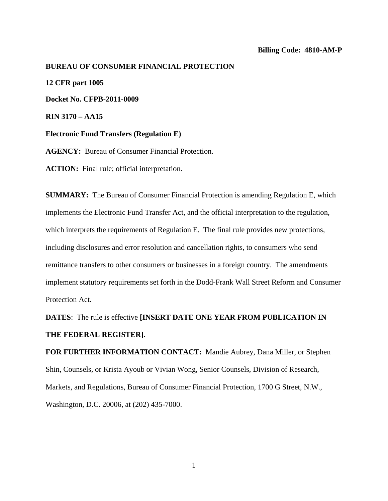**BUREAU OF CONSUMER FINANCIAL PROTECTION 12 CFR part 1005 Docket No. CFPB-2011-0009 RIN 3170 – AA15 Electronic Fund Transfers (Regulation E)** 

**AGENCY:** Bureau of Consumer Financial Protection.

**ACTION:** Final rule; official interpretation.

**SUMMARY:** The Bureau of Consumer Financial Protection is amending Regulation E, which implements the Electronic Fund Transfer Act, and the official interpretation to the regulation, which interprets the requirements of Regulation E. The final rule provides new protections, including disclosures and error resolution and cancellation rights, to consumers who send remittance transfers to other consumers or businesses in a foreign country. The amendments implement statutory requirements set forth in the Dodd-Frank Wall Street Reform and Consumer Protection Act.

**DATES**: The rule is effective **[INSERT DATE ONE YEAR FROM PUBLICATION IN THE FEDERAL REGISTER]**.

**FOR FURTHER INFORMATION CONTACT:** Mandie Aubrey, Dana Miller, or Stephen Shin, Counsels, or Krista Ayoub or Vivian Wong, Senior Counsels, Division of Research, Markets, and Regulations, Bureau of Consumer Financial Protection, 1700 G Street, N.W., Washington, D.C. 20006, at (202) 435-7000.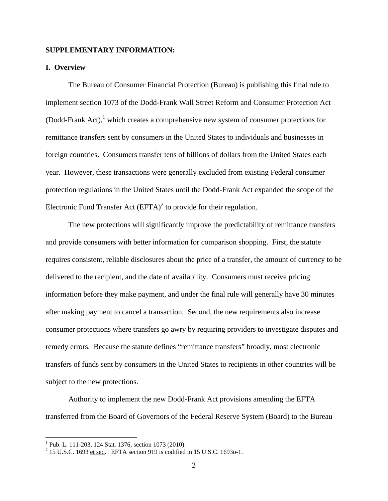## **SUPPLEMENTARY INFORMATION:**

## **I. Overview**

The Bureau of Consumer Financial Protection (Bureau) is publishing this final rule to implement section 1073 of the Dodd-Frank Wall Street Reform and Consumer Protection Act (Dodd-Frank Act), $1$  which creates a comprehensive new system of consumer protections for remittance transfers sent by consumers in the United States to individuals and businesses in foreign countries. Consumers transfer tens of billions of dollars from the United States each year. However, these transactions were generally excluded from existing Federal consumer protection regulations in the United States until the Dodd-Frank Act expanded the scope of the Electronic Fund Transfer Act  $(EFTA)^2$  to provide for their regulation.

The new protections will significantly improve the predictability of remittance transfers and provide consumers with better information for comparison shopping. First, the statute requires consistent, reliable disclosures about the price of a transfer, the amount of currency to be delivered to the recipient, and the date of availability. Consumers must receive pricing information before they make payment, and under the final rule will generally have 30 minutes after making payment to cancel a transaction. Second, the new requirements also increase consumer protections where transfers go awry by requiring providers to investigate disputes and remedy errors. Because the statute defines "remittance transfers" broadly, most electronic transfers of funds sent by consumers in the United States to recipients in other countries will be subject to the new protections.

Authority to implement the new Dodd-Frank Act provisions amending the EFTA transferred from the Board of Governors of the Federal Reserve System (Board) to the Bureau

 1 Pub. L. 111-203, 124 Stat. 1376, section 1073 (2010).

<sup>&</sup>lt;sup>2</sup> 15 U.S.C. 1693 et seq. EFTA section 919 is codified in 15 U.S.C. 1693o-1.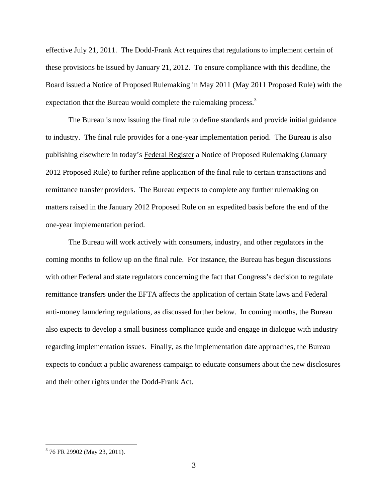effective July 21, 2011. The Dodd-Frank Act requires that regulations to implement certain of these provisions be issued by January 21, 2012. To ensure compliance with this deadline, the Board issued a Notice of Proposed Rulemaking in May 2011 (May 2011 Proposed Rule) with the expectation that the Bureau would complete the rulemaking process.<sup>3</sup>

The Bureau is now issuing the final rule to define standards and provide initial guidance to industry. The final rule provides for a one-year implementation period. The Bureau is also publishing elsewhere in today's Federal Register a Notice of Proposed Rulemaking (January 2012 Proposed Rule) to further refine application of the final rule to certain transactions and remittance transfer providers. The Bureau expects to complete any further rulemaking on matters raised in the January 2012 Proposed Rule on an expedited basis before the end of the one-year implementation period.

The Bureau will work actively with consumers, industry, and other regulators in the coming months to follow up on the final rule. For instance, the Bureau has begun discussions with other Federal and state regulators concerning the fact that Congress's decision to regulate remittance transfers under the EFTA affects the application of certain State laws and Federal anti-money laundering regulations, as discussed further below. In coming months, the Bureau also expects to develop a small business compliance guide and engage in dialogue with industry regarding implementation issues. Finally, as the implementation date approaches, the Bureau expects to conduct a public awareness campaign to educate consumers about the new disclosures and their other rights under the Dodd-Frank Act.

<sup>&</sup>lt;sup>3</sup> 76 FR 29902 (May 23, 2011).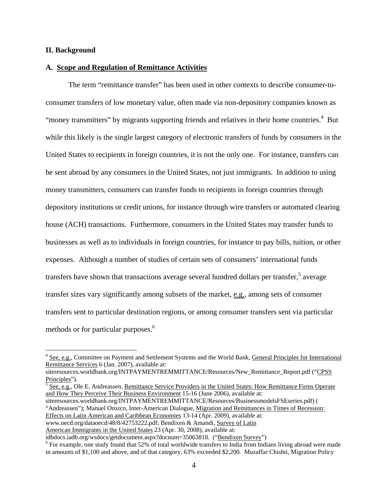# **II. Background**

 $\overline{a}$ 

## **A. Scope and Regulation of Remittance Activities**

The term "remittance transfer" has been used in other contexts to describe consumer-toconsumer transfers of low monetary value, often made via non-depository companies known as "money transmitters" by migrants supporting friends and relatives in their home countries.<sup>4</sup> But while this likely is the single largest category of electronic transfers of funds by consumers in the United States to recipients in foreign countries, it is not the only one. For instance, transfers can be sent abroad by any consumers in the United States, not just immigrants. In addition to using money transmitters, consumers can transfer funds to recipients in foreign countries through depository institutions or credit unions, for instance through wire transfers or automated clearing house (ACH) transactions. Furthermore, consumers in the United States may transfer funds to businesses as well as to individuals in foreign countries, for instance to pay bills, tuition, or other expenses. Although a number of studies of certain sets of consumers' international funds transfers have shown that transactions average several hundred dollars per transfer,  $5$  average transfer sizes vary significantly among subsets of the market, e.g., among sets of consumer transfers sent to particular destination regions, or among consumer transfers sent via particular methods or for particular purposes.<sup>6</sup>

5 See, e.g., Ole E. Andreassen, Remittance Service Providers in the United States: How Remittance Firms Operate and How They Perceive Their Business Environment 15-16 (June 2006), available at:

siteresources.worldbank.org/INTPAYMENTREMMITTANCE/Resources/BusinessmodelsFSEseries.pdf) ( "Andreassen"); Manuel Orozco, Inter-American Dialogue, Migration and Remittances in Times of Recession: Effects on Latin American and Caribbean Economies 13-14 (Apr. 2009), available at:

www.oecd.org/dataoecd/48/8/42753222.pdf; Bendixen & Amandi, Survey of Latin

American Immigrants in the United States 23 (Apr. 30, 2008), available at:

idbdocs.iadb.org/wsdocs/getdocument.aspx?docnum=35063818. ("Bendixen Survey")

<sup>&</sup>lt;sup>4</sup> See, e.g., Committee on Payment and Settlement Systems and the World Bank, General Principles for International Remittance Services 6 (Jan. 2007), available at:

siteresources.worldbank.org/INTPAYMENTREMMITTANCE/Resources/New\_Remittance\_Report.pdf ("CPSS Principles").

<sup>&</sup>lt;sup>6</sup> For example, one study found that 52% of total worldwide transfers to India from Indians living abroad were made in amounts of \$1,100 and above, and of that category, 63% exceeded \$2,200. Muzaffar Chishti, Migration Policy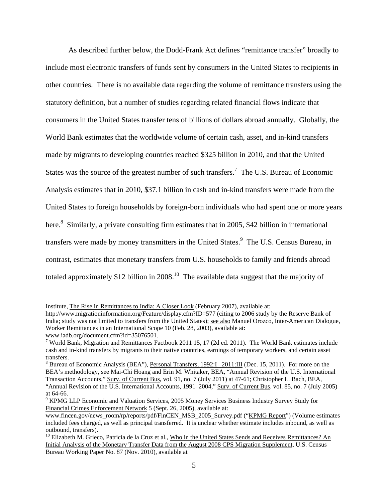As described further below, the Dodd-Frank Act defines "remittance transfer" broadly to include most electronic transfers of funds sent by consumers in the United States to recipients in other countries. There is no available data regarding the volume of remittance transfers using the statutory definition, but a number of studies regarding related financial flows indicate that consumers in the United States transfer tens of billions of dollars abroad annually. Globally, the World Bank estimates that the worldwide volume of certain cash, asset, and in-kind transfers made by migrants to developing countries reached \$325 billion in 2010, and that the United States was the source of the greatest number of such transfers.<sup>7</sup> The U.S. Bureau of Economic Analysis estimates that in 2010, \$37.1 billion in cash and in-kind transfers were made from the United States to foreign households by foreign-born individuals who had spent one or more years here.<sup>8</sup> Similarly, a private consulting firm estimates that in 2005, \$42 billion in international transfers were made by money transmitters in the United States.<sup>9</sup> The U.S. Census Bureau, in contrast, estimates that monetary transfers from U.S. households to family and friends abroad totaled approximately \$12 billion in  $2008$ .<sup>10</sup> The available data suggest that the majority of

Institute, The Rise in Remittances to India: A Closer Look (February 2007), available at:

http://www.migrationinformation.org/Feature/display.cfm?ID=577 (citing to 2006 study by the Reserve Bank of India; study was not limited to transfers from the United States); see also Manuel Orozco, Inter-American Dialogue, Worker Remittances in an International Scope 10 (Feb. 28, 2003), available at:

www.iadb.org/document.cfm?id=35076501.

<sup>&</sup>lt;sup>7</sup> World Bank, Migration and Remittances Factbook 2011 15, 17 (2d ed. 2011). The World Bank estimates include cash and in-kind transfers by migrants to their native countries, earnings of temporary workers, and certain asset transfers.

<sup>&</sup>lt;sup>8</sup> Bureau of Economic Analysis (BEA"), *Personal Transfers*,  $1992:I - 2011:III$  (Dec. 15, 2011). For more on the BEA's methodology, see Mai-Chi Hoang and Erin M. Whitaker, BEA, "Annual Revision of the U.S. International Transaction Accounts," Surv. of Current Bus, vol. 91, no. 7 (July 2011) at 47-61; Christopher L. Bach, BEA, "Annual Revision of the U.S. International Accounts, 1991–2004," Surv. of Current Bus. vol. 85, no. 7 (July 2005) at 64-66.

<sup>&</sup>lt;sup>9</sup> KPMG LLP Economic and Valuation Services, 2005 Money Services Business Industry Survey Study for Financial Crimes Enforcement Network 5 (Sept. 26, 2005), available at:

www.fincen.gov/news\_room/rp/reports/pdf/FinCEN\_MSB\_2005\_Survey.pdf ("KPMG Report") (Volume estimates included fees charged, as well as principal transferred. It is unclear whether estimate includes inbound, as well as outbound, transfers).

<sup>&</sup>lt;sup>10</sup> Elizabeth M. Grieco, Patricia de la Cruz et al., Who in the United States Sends and Receives Remittances? An Initial Analysis of the Monetary Transfer Data from the August 2008 CPS Migration Supplement, U.S. Census Bureau Working Paper No. 87 (Nov. 2010), available at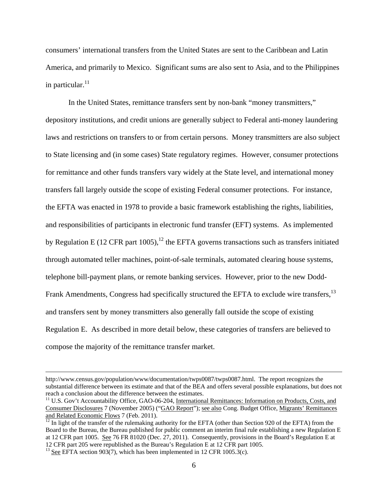consumers' international transfers from the United States are sent to the Caribbean and Latin America, and primarily to Mexico. Significant sums are also sent to Asia, and to the Philippines in particular. $^{11}$ 

In the United States, remittance transfers sent by non-bank "money transmitters," depository institutions, and credit unions are generally subject to Federal anti-money laundering laws and restrictions on transfers to or from certain persons. Money transmitters are also subject to State licensing and (in some cases) State regulatory regimes. However, consumer protections for remittance and other funds transfers vary widely at the State level, and international money transfers fall largely outside the scope of existing Federal consumer protections. For instance, the EFTA was enacted in 1978 to provide a basic framework establishing the rights, liabilities, and responsibilities of participants in electronic fund transfer (EFT) systems. As implemented by Regulation E (12 CFR part 1005),<sup>12</sup> the EFTA governs transactions such as transfers initiated through automated teller machines, point-of-sale terminals, automated clearing house systems, telephone bill-payment plans, or remote banking services. However, prior to the new Dodd-Frank Amendments, Congress had specifically structured the EFTA to exclude wire transfers.<sup>13</sup> and transfers sent by money transmitters also generally fall outside the scope of existing Regulation E. As described in more detail below, these categories of transfers are believed to compose the majority of the remittance transfer market.

http://www.census.gov/population/www/documentation/twps0087/twps0087.html. The report recognizes the substantial difference between its estimate and that of the BEA and offers several possible explanations, but does not reach a conclusion about the difference between the estimates.<br><sup>11</sup> U.S. Gov't Accountability Office, GAO-06-204, International Remittances: Information on Products, Costs, and

Consumer Disclosures 7 (November 2005) ("GAO Report"); see also Cong. Budget Office, Migrants' Remittances and Related Economic Flows 7 (Feb. 2011).

 $\frac{12}{12}$  In light of the transfer of the rulemaking authority for the EFTA (other than Section 920 of the EFTA) from the Board to the Bureau, the Bureau published for public comment an interim final rule establishing a new Regulation E at 12 CFR part 1005. See 76 FR 81020 (Dec. 27, 2011). Consequently, provisions in the Board's Regulation E at 12 CFR part 205 were republished as the Bureau's Regulation E at 12 CFR part 1005.

<sup>&</sup>lt;sup>13</sup> See EFTA section 903(7), which has been implemented in 12 CFR 1005.3(c).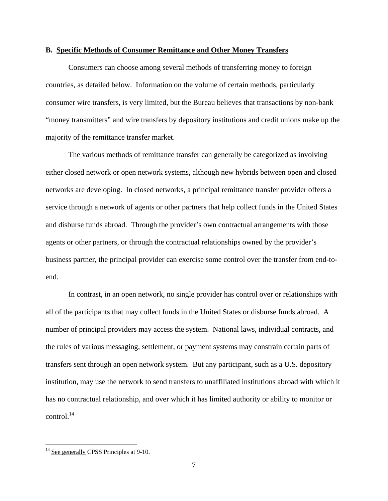## **B. Specific Methods of Consumer Remittance and Other Money Transfers**

Consumers can choose among several methods of transferring money to foreign countries, as detailed below. Information on the volume of certain methods, particularly consumer wire transfers, is very limited, but the Bureau believes that transactions by non-bank "money transmitters" and wire transfers by depository institutions and credit unions make up the majority of the remittance transfer market.

The various methods of remittance transfer can generally be categorized as involving either closed network or open network systems, although new hybrids between open and closed networks are developing. In closed networks, a principal remittance transfer provider offers a service through a network of agents or other partners that help collect funds in the United States and disburse funds abroad. Through the provider's own contractual arrangements with those agents or other partners, or through the contractual relationships owned by the provider's business partner, the principal provider can exercise some control over the transfer from end-toend.

In contrast, in an open network, no single provider has control over or relationships with all of the participants that may collect funds in the United States or disburse funds abroad. A number of principal providers may access the system. National laws, individual contracts, and the rules of various messaging, settlement, or payment systems may constrain certain parts of transfers sent through an open network system. But any participant, such as a U.S. depository institution, may use the network to send transfers to unaffiliated institutions abroad with which it has no contractual relationship, and over which it has limited authority or ability to monitor or control.14

<sup>&</sup>lt;sup>14</sup> See generally CPSS Principles at 9-10.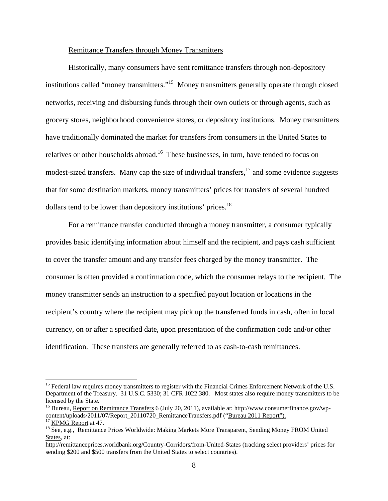## Remittance Transfers through Money Transmitters

Historically, many consumers have sent remittance transfers through non-depository institutions called "money transmitters."<sup>15</sup> Money transmitters generally operate through closed networks, receiving and disbursing funds through their own outlets or through agents, such as grocery stores, neighborhood convenience stores, or depository institutions. Money transmitters have traditionally dominated the market for transfers from consumers in the United States to relatives or other households abroad.<sup>16</sup> These businesses, in turn, have tended to focus on modest-sized transfers. Many cap the size of individual transfers,  $17$  and some evidence suggests that for some destination markets, money transmitters' prices for transfers of several hundred dollars tend to be lower than depository institutions' prices.<sup>18</sup>

For a remittance transfer conducted through a money transmitter, a consumer typically provides basic identifying information about himself and the recipient, and pays cash sufficient to cover the transfer amount and any transfer fees charged by the money transmitter. The consumer is often provided a confirmation code, which the consumer relays to the recipient. The money transmitter sends an instruction to a specified payout location or locations in the recipient's country where the recipient may pick up the transferred funds in cash, often in local currency, on or after a specified date, upon presentation of the confirmation code and/or other identification. These transfers are generally referred to as cash-to-cash remittances.

<sup>&</sup>lt;sup>15</sup> Federal law requires money transmitters to register with the Financial Crimes Enforcement Network of the U.S. Department of the Treasury. 31 U.S.C. 5330; 31 CFR 1022.380. Most states also require money transmitters to be licensed by the State.

<sup>&</sup>lt;sup>16</sup> Bureau, Report on Remittance Transfers 6 (July 20, 2011), available at: http://www.consumerfinance.gov/wpcontent/uploads/2011/07/Report\_20110720\_RemittanceTransfers.pdf ("Bureau 2011 Report"). <sup>17</sup> KPMG Report at 47.

<sup>&</sup>lt;sup>18</sup> See, e.g., Remittance Prices Worldwide: Making Markets More Transparent, Sending Money FROM United States, at:

http://remittanceprices.worldbank.org/Country-Corridors/from-United-States (tracking select providers' prices for sending \$200 and \$500 transfers from the United States to select countries).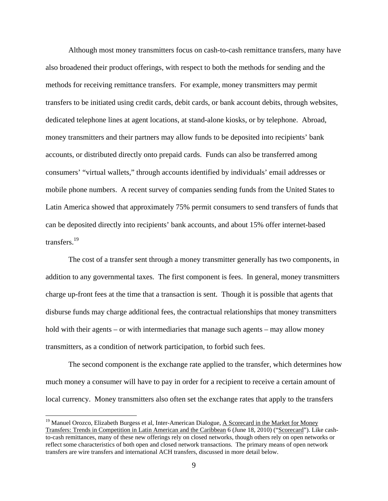Although most money transmitters focus on cash-to-cash remittance transfers, many have also broadened their product offerings, with respect to both the methods for sending and the methods for receiving remittance transfers. For example, money transmitters may permit transfers to be initiated using credit cards, debit cards, or bank account debits, through websites, dedicated telephone lines at agent locations, at stand-alone kiosks, or by telephone. Abroad, money transmitters and their partners may allow funds to be deposited into recipients' bank accounts, or distributed directly onto prepaid cards. Funds can also be transferred among consumers' "virtual wallets," through accounts identified by individuals' email addresses or mobile phone numbers. A recent survey of companies sending funds from the United States to Latin America showed that approximately 75% permit consumers to send transfers of funds that can be deposited directly into recipients' bank accounts, and about 15% offer internet-based transfers.19

The cost of a transfer sent through a money transmitter generally has two components, in addition to any governmental taxes. The first component is fees. In general, money transmitters charge up-front fees at the time that a transaction is sent. Though it is possible that agents that disburse funds may charge additional fees, the contractual relationships that money transmitters hold with their agents – or with intermediaries that manage such agents – may allow money transmitters, as a condition of network participation, to forbid such fees.

The second component is the exchange rate applied to the transfer, which determines how much money a consumer will have to pay in order for a recipient to receive a certain amount of local currency. Money transmitters also often set the exchange rates that apply to the transfers

<sup>&</sup>lt;sup>19</sup> Manuel Orozco, Elizabeth Burgess et al, Inter-American Dialogue, A Scorecard in the Market for Money Transfers: Trends in Competition in Latin American and the Caribbean 6 (June 18, 2010) ("Scorecard"). Like cashto-cash remittances, many of these new offerings rely on closed networks, though others rely on open networks or reflect some characteristics of both open and closed network transactions. The primary means of open network transfers are wire transfers and international ACH transfers, discussed in more detail below.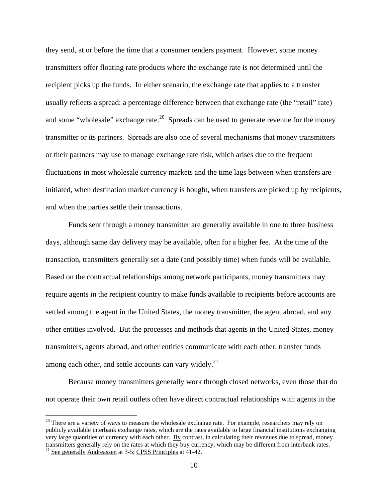they send, at or before the time that a consumer tenders payment. However, some money transmitters offer floating rate products where the exchange rate is not determined until the recipient picks up the funds. In either scenario, the exchange rate that applies to a transfer usually reflects a spread: a percentage difference between that exchange rate (the "retail" rate) and some "wholesale" exchange rate.<sup>20</sup> Spreads can be used to generate revenue for the money transmitter or its partners. Spreads are also one of several mechanisms that money transmitters or their partners may use to manage exchange rate risk, which arises due to the frequent fluctuations in most wholesale currency markets and the time lags between when transfers are initiated, when destination market currency is bought, when transfers are picked up by recipients, and when the parties settle their transactions.

Funds sent through a money transmitter are generally available in one to three business days, although same day delivery may be available, often for a higher fee. At the time of the transaction, transmitters generally set a date (and possibly time) when funds will be available. Based on the contractual relationships among network participants, money transmitters may require agents in the recipient country to make funds available to recipients before accounts are settled among the agent in the United States, the money transmitter, the agent abroad, and any other entities involved. But the processes and methods that agents in the United States, money transmitters, agents abroad, and other entities communicate with each other, transfer funds among each other, and settle accounts can vary widely. $^{21}$ 

Because money transmitters generally work through closed networks, even those that do not operate their own retail outlets often have direct contractual relationships with agents in the

<sup>&</sup>lt;sup>20</sup> There are a variety of ways to measure the wholesale exchange rate. For example, researchers may rely on publicly available interbank exchange rates, which are the rates available to large financial institutions exchanging very large quantities of currency with each other. By contrast, in calculating their revenues due to spread, money transmitters generally rely on the rates at which they buy currency, which may be different from interbank rates.<br><sup>21</sup> See generally Andreassen at 3-5; CPSS Principles at 41-42.

<sup>10</sup>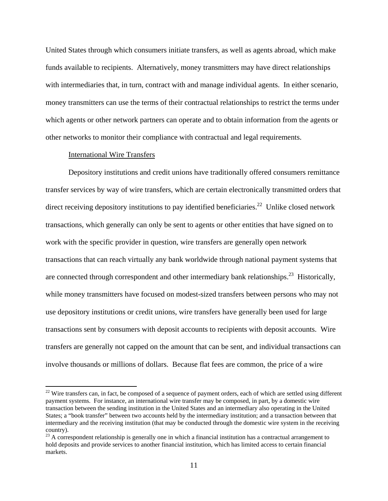United States through which consumers initiate transfers, as well as agents abroad, which make funds available to recipients. Alternatively, money transmitters may have direct relationships with intermediaries that, in turn, contract with and manage individual agents. In either scenario, money transmitters can use the terms of their contractual relationships to restrict the terms under which agents or other network partners can operate and to obtain information from the agents or other networks to monitor their compliance with contractual and legal requirements.

### International Wire Transfers

 $\overline{a}$ 

Depository institutions and credit unions have traditionally offered consumers remittance transfer services by way of wire transfers, which are certain electronically transmitted orders that direct receiving depository institutions to pay identified beneficiaries.<sup>22</sup> Unlike closed network transactions, which generally can only be sent to agents or other entities that have signed on to work with the specific provider in question, wire transfers are generally open network transactions that can reach virtually any bank worldwide through national payment systems that are connected through correspondent and other intermediary bank relationships.<sup>23</sup> Historically, while money transmitters have focused on modest-sized transfers between persons who may not use depository institutions or credit unions, wire transfers have generally been used for large transactions sent by consumers with deposit accounts to recipients with deposit accounts. Wire transfers are generally not capped on the amount that can be sent, and individual transactions can involve thousands or millions of dollars. Because flat fees are common, the price of a wire

<sup>&</sup>lt;sup>22</sup> Wire transfers can, in fact, be composed of a sequence of payment orders, each of which are settled using different payment systems. For instance, an international wire transfer may be composed, in part, by a domestic wire transaction between the sending institution in the United States and an intermediary also operating in the United States; a "book transfer" between two accounts held by the intermediary institution; and a transaction between that intermediary and the receiving institution (that may be conducted through the domestic wire system in the receiving country).

 $^{23}$  A correspondent relationship is generally one in which a financial institution has a contractual arrangement to hold deposits and provide services to another financial institution, which has limited access to certain financial markets.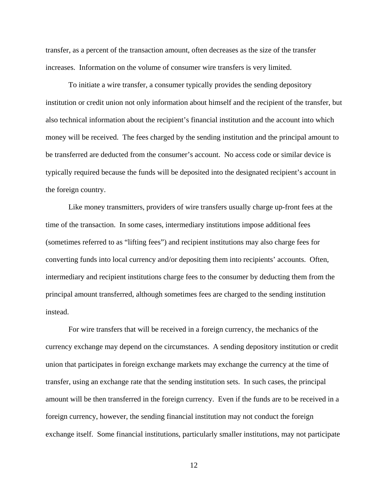transfer, as a percent of the transaction amount, often decreases as the size of the transfer increases. Information on the volume of consumer wire transfers is very limited.

To initiate a wire transfer, a consumer typically provides the sending depository institution or credit union not only information about himself and the recipient of the transfer, but also technical information about the recipient's financial institution and the account into which money will be received. The fees charged by the sending institution and the principal amount to be transferred are deducted from the consumer's account. No access code or similar device is typically required because the funds will be deposited into the designated recipient's account in the foreign country.

Like money transmitters, providers of wire transfers usually charge up-front fees at the time of the transaction. In some cases, intermediary institutions impose additional fees (sometimes referred to as "lifting fees") and recipient institutions may also charge fees for converting funds into local currency and/or depositing them into recipients' accounts. Often, intermediary and recipient institutions charge fees to the consumer by deducting them from the principal amount transferred, although sometimes fees are charged to the sending institution instead.

For wire transfers that will be received in a foreign currency, the mechanics of the currency exchange may depend on the circumstances. A sending depository institution or credit union that participates in foreign exchange markets may exchange the currency at the time of transfer, using an exchange rate that the sending institution sets. In such cases, the principal amount will be then transferred in the foreign currency. Even if the funds are to be received in a foreign currency, however, the sending financial institution may not conduct the foreign exchange itself. Some financial institutions, particularly smaller institutions, may not participate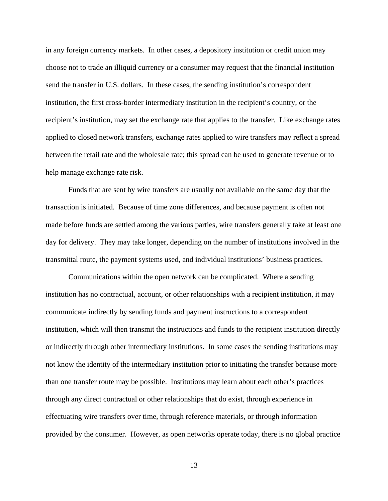in any foreign currency markets. In other cases, a depository institution or credit union may choose not to trade an illiquid currency or a consumer may request that the financial institution send the transfer in U.S. dollars. In these cases, the sending institution's correspondent institution, the first cross-border intermediary institution in the recipient's country, or the recipient's institution, may set the exchange rate that applies to the transfer. Like exchange rates applied to closed network transfers, exchange rates applied to wire transfers may reflect a spread between the retail rate and the wholesale rate; this spread can be used to generate revenue or to help manage exchange rate risk.

Funds that are sent by wire transfers are usually not available on the same day that the transaction is initiated. Because of time zone differences, and because payment is often not made before funds are settled among the various parties, wire transfers generally take at least one day for delivery. They may take longer, depending on the number of institutions involved in the transmittal route, the payment systems used, and individual institutions' business practices.

Communications within the open network can be complicated. Where a sending institution has no contractual, account, or other relationships with a recipient institution, it may communicate indirectly by sending funds and payment instructions to a correspondent institution, which will then transmit the instructions and funds to the recipient institution directly or indirectly through other intermediary institutions. In some cases the sending institutions may not know the identity of the intermediary institution prior to initiating the transfer because more than one transfer route may be possible. Institutions may learn about each other's practices through any direct contractual or other relationships that do exist, through experience in effectuating wire transfers over time, through reference materials, or through information provided by the consumer. However, as open networks operate today, there is no global practice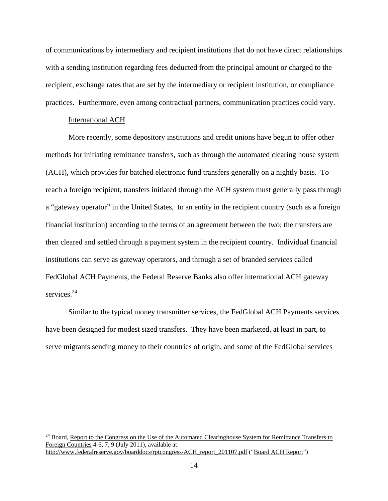of communications by intermediary and recipient institutions that do not have direct relationships with a sending institution regarding fees deducted from the principal amount or charged to the recipient, exchange rates that are set by the intermediary or recipient institution, or compliance practices. Furthermore, even among contractual partners, communication practices could vary.

## International ACH

 $\overline{a}$ 

More recently, some depository institutions and credit unions have begun to offer other methods for initiating remittance transfers, such as through the automated clearing house system (ACH), which provides for batched electronic fund transfers generally on a nightly basis. To reach a foreign recipient, transfers initiated through the ACH system must generally pass through a "gateway operator" in the United States, to an entity in the recipient country (such as a foreign financial institution) according to the terms of an agreement between the two; the transfers are then cleared and settled through a payment system in the recipient country. Individual financial institutions can serve as gateway operators, and through a set of branded services called FedGlobal ACH Payments, the Federal Reserve Banks also offer international ACH gateway services<sup>24</sup>

Similar to the typical money transmitter services, the FedGlobal ACH Payments services have been designed for modest sized transfers. They have been marketed, at least in part, to serve migrants sending money to their countries of origin, and some of the FedGlobal services

<sup>&</sup>lt;sup>24</sup> Board, Report to the Congress on the Use of the Automated Clearinghouse System for Remittance Transfers to Foreign Countries 4-6, 7, 9 (July 2011), available at: http://www.federalreserve.gov/boarddocs/rptcongress/ACH\_report\_201107.pdf ("Board ACH Report")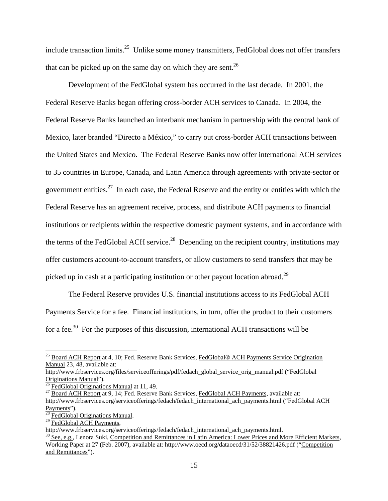include transaction limits.<sup>25</sup> Unlike some money transmitters, FedGlobal does not offer transfers that can be picked up on the same day on which they are sent. $^{26}$ 

Development of the FedGlobal system has occurred in the last decade. In 2001, the Federal Reserve Banks began offering cross-border ACH services to Canada. In 2004, the Federal Reserve Banks launched an interbank mechanism in partnership with the central bank of Mexico, later branded "Directo a México," to carry out cross-border ACH transactions between the United States and Mexico. The Federal Reserve Banks now offer international ACH services to 35 countries in Europe, Canada, and Latin America through agreements with private-sector or government entities.<sup>27</sup> In each case, the Federal Reserve and the entity or entities with which the Federal Reserve has an agreement receive, process, and distribute ACH payments to financial institutions or recipients within the respective domestic payment systems, and in accordance with the terms of the FedGlobal ACH service.<sup>28</sup> Depending on the recipient country, institutions may offer customers account-to-account transfers, or allow customers to send transfers that may be picked up in cash at a participating institution or other payout location abroad.29

The Federal Reserve provides U.S. financial institutions access to its FedGlobal ACH Payments Service for a fee. Financial institutions, in turn, offer the product to their customers for a fee.<sup>30</sup> For the purposes of this discussion, international ACH transactions will be

 $\overline{a}$ 

 $^{29}$  FedGlobal ACH Payments,<br>http://www.frbservices.org/serviceofferings/fedach/fedach international ach payments.html.

<sup>&</sup>lt;sup>25</sup> Board ACH Report at 4, 10; Fed. Reserve Bank Services, FedGlobal® ACH Payments Service Origination Manual 23, 48, available at:

http://www.frbservices.org/files/serviceofferings/pdf/fedach\_global\_service\_orig\_manual.pdf ("FedGlobal  $O$ riginations Manual").

FedGlobal Originations Manual at 11, 49.

<sup>&</sup>lt;sup>27</sup> Board ACH Report at 9, 14; Fed. Reserve Bank Services, FedGlobal ACH Payments, available at: http://www.frbservices.org/serviceofferings/fedach/fedach\_international\_ach\_payments.html ("FedGlobal ACH Payments").

FedGlobal Originations Manual.

<sup>&</sup>lt;sup>30</sup> See, e.g., Lenora Suki, Competition and Remittances in Latin America: Lower Prices and More Efficient Markets, Working Paper at 27 (Feb. 2007), available at: http://www.oecd.org/dataoecd/31/52/38821426.pdf ("Competition and Remittances").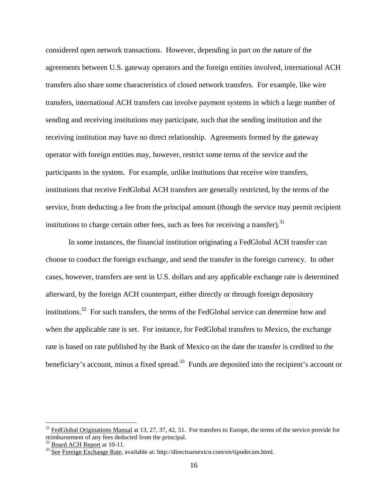considered open network transactions. However, depending in part on the nature of the agreements between U.S. gateway operators and the foreign entities involved, international ACH transfers also share some characteristics of closed network transfers. For example, like wire transfers, international ACH transfers can involve payment systems in which a large number of sending and receiving institutions may participate, such that the sending institution and the receiving institution may have no direct relationship. Agreements formed by the gateway operator with foreign entities may, however, restrict some terms of the service and the participants in the system. For example, unlike institutions that receive wire transfers, institutions that receive FedGlobal ACH transfers are generally restricted, by the terms of the service, from deducting a fee from the principal amount (though the service may permit recipient institutions to charge certain other fees, such as fees for receiving a transfer).<sup>31</sup>

In some instances, the financial institution originating a FedGlobal ACH transfer can choose to conduct the foreign exchange, and send the transfer in the foreign currency. In other cases, however, transfers are sent in U.S. dollars and any applicable exchange rate is determined afterward, by the foreign ACH counterpart, either directly or through foreign depository institutions.<sup>32</sup> For such transfers, the terms of the FedGlobal service can determine how and when the applicable rate is set. For instance, for FedGlobal transfers to Mexico, the exchange rate is based on rate published by the Bank of Mexico on the date the transfer is credited to the beneficiary's account, minus a fixed spread.<sup>33</sup> Funds are deposited into the recipient's account or

 $31$  FedGlobal Originations Manual at 13, 27, 37, 42, 51. For transfers to Europe, the terms of the service provide for reimbursement of any fees deducted from the principal.

<sup>&</sup>lt;sup>32</sup> Board ACH Report at 10-11.

<sup>33</sup> See Foreign Exchange Rate, available at: http://directoamexico.com/en/tipodecam.html.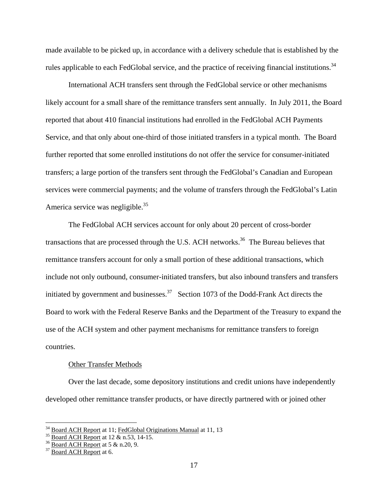made available to be picked up, in accordance with a delivery schedule that is established by the rules applicable to each FedGlobal service, and the practice of receiving financial institutions.<sup>34</sup>

International ACH transfers sent through the FedGlobal service or other mechanisms likely account for a small share of the remittance transfers sent annually. In July 2011, the Board reported that about 410 financial institutions had enrolled in the FedGlobal ACH Payments Service, and that only about one-third of those initiated transfers in a typical month. The Board further reported that some enrolled institutions do not offer the service for consumer-initiated transfers; a large portion of the transfers sent through the FedGlobal's Canadian and European services were commercial payments; and the volume of transfers through the FedGlobal's Latin America service was negligible. $35$ 

The FedGlobal ACH services account for only about 20 percent of cross-border transactions that are processed through the U.S. ACH networks.<sup>36</sup> The Bureau believes that remittance transfers account for only a small portion of these additional transactions, which include not only outbound, consumer-initiated transfers, but also inbound transfers and transfers initiated by government and businesses.<sup>37</sup> Section 1073 of the Dodd-Frank Act directs the Board to work with the Federal Reserve Banks and the Department of the Treasury to expand the use of the ACH system and other payment mechanisms for remittance transfers to foreign countries.

#### Other Transfer Methods

Over the last decade, some depository institutions and credit unions have independently developed other remittance transfer products, or have directly partnered with or joined other

<sup>&</sup>lt;sup>34</sup> Board ACH Report at 11; FedGlobal Originations Manual at 11, 13

 $35$  Board ACH Report at 12 & n.53, 14-15.

 $36$  Board ACH Report at 5 & n.20, 9.

<sup>&</sup>lt;sup>37</sup> Board ACH Report at 6.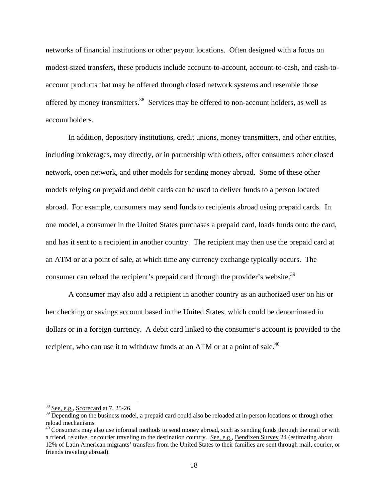networks of financial institutions or other payout locations. Often designed with a focus on modest-sized transfers, these products include account-to-account, account-to-cash, and cash-toaccount products that may be offered through closed network systems and resemble those offered by money transmitters.<sup>38</sup> Services may be offered to non-account holders, as well as accountholders.

In addition, depository institutions, credit unions, money transmitters, and other entities, including brokerages, may directly, or in partnership with others, offer consumers other closed network, open network, and other models for sending money abroad. Some of these other models relying on prepaid and debit cards can be used to deliver funds to a person located abroad. For example, consumers may send funds to recipients abroad using prepaid cards. In one model, a consumer in the United States purchases a prepaid card, loads funds onto the card, and has it sent to a recipient in another country. The recipient may then use the prepaid card at an ATM or at a point of sale, at which time any currency exchange typically occurs. The consumer can reload the recipient's prepaid card through the provider's website.<sup>39</sup>

A consumer may also add a recipient in another country as an authorized user on his or her checking or savings account based in the United States, which could be denominated in dollars or in a foreign currency. A debit card linked to the consumer's account is provided to the recipient, who can use it to withdraw funds at an ATM or at a point of sale.<sup>40</sup>

 $38$  See, e.g., Scorecard at 7, 25-26.

<sup>&</sup>lt;sup>39</sup> Depending on the business model, a prepaid card could also be reloaded at in-person locations or through other reload mechanisms.

 $^{40}$  Consumers may also use informal methods to send money abroad, such as sending funds through the mail or with a friend, relative, or courier traveling to the destination country. See, e.g., Bendixen Survey 24 (estimating about 12% of Latin American migrants' transfers from the United States to their families are sent through mail, courier, or friends traveling abroad).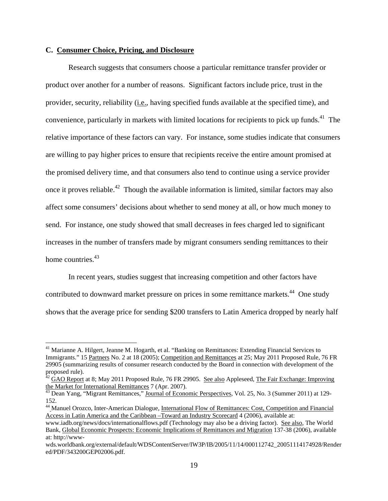## **C. Consumer Choice, Pricing, and Disclosure**

 $\overline{a}$ 

Research suggests that consumers choose a particular remittance transfer provider or product over another for a number of reasons. Significant factors include price, trust in the provider, security, reliability (i.e., having specified funds available at the specified time), and convenience, particularly in markets with limited locations for recipients to pick up funds.<sup>41</sup> The relative importance of these factors can vary. For instance, some studies indicate that consumers are willing to pay higher prices to ensure that recipients receive the entire amount promised at the promised delivery time, and that consumers also tend to continue using a service provider once it proves reliable.<sup>42</sup> Though the available information is limited, similar factors may also affect some consumers' decisions about whether to send money at all, or how much money to send. For instance, one study showed that small decreases in fees charged led to significant increases in the number of transfers made by migrant consumers sending remittances to their home countries.<sup>43</sup>

In recent years, studies suggest that increasing competition and other factors have contributed to downward market pressure on prices in some remittance markets.<sup>44</sup> One study shows that the average price for sending \$200 transfers to Latin America dropped by nearly half

<sup>&</sup>lt;sup>41</sup> Marianne A. Hilgert, Jeanne M. Hogarth, et al. "Banking on Remittances: Extending Financial Services to Immigrants." 15 Partners No. 2 at 18 (2005); Competition and Remittances at 25; May 2011 Proposed Rule, 76 FR 29905 (summarizing results of consumer research conducted by the Board in connection with development of the proposed rule).

 $^{42}$  GAO Report at 8; May 2011 Proposed Rule, 76 FR 29905. See also Appleseed, The Fair Exchange: Improving the Market for International Remittances 7 (Apr. 2007).<br><sup>43</sup> Dean Yang, "Migrant Remittances," <u>Journal of Economic Perspectives</u>, Vol. 25, No. 3 (Summer 2011) at 129-

<sup>152.</sup> 

<sup>&</sup>lt;sup>44</sup> Manuel Orozco, Inter-American Dialogue, International Flow of Remittances: Cost, Competition and Financial Access in Latin America and the Caribbean –Toward an Industry Scorecard 4 (2006), available at:

www.iadb.org/news/docs/internationalflows.pdf (Technology may also be a driving factor). See also, The World Bank, Global Economic Prospects: Economic Implications of Remittances and Migration 137-38 (2006), available at: http://www-

wds.worldbank.org/external/default/WDSContentServer/IW3P/IB/2005/11/14/000112742\_20051114174928/Render ed/PDF/343200GEP02006.pdf.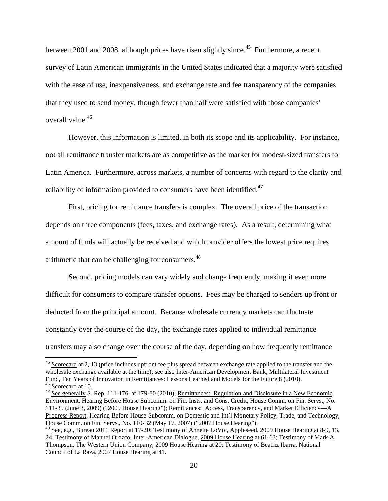between 2001 and 2008, although prices have risen slightly since.<sup>45</sup> Furthermore, a recent survey of Latin American immigrants in the United States indicated that a majority were satisfied with the ease of use, inexpensiveness, and exchange rate and fee transparency of the companies that they used to send money, though fewer than half were satisfied with those companies' overall value.46

However, this information is limited, in both its scope and its applicability. For instance, not all remittance transfer markets are as competitive as the market for modest-sized transfers to Latin America. Furthermore, across markets, a number of concerns with regard to the clarity and reliability of information provided to consumers have been identified. $47$ 

First, pricing for remittance transfers is complex. The overall price of the transaction depends on three components (fees, taxes, and exchange rates). As a result, determining what amount of funds will actually be received and which provider offers the lowest price requires arithmetic that can be challenging for consumers.<sup>48</sup>

Second, pricing models can vary widely and change frequently, making it even more difficult for consumers to compare transfer options. Fees may be charged to senders up front or deducted from the principal amount. Because wholesale currency markets can fluctuate constantly over the course of the day, the exchange rates applied to individual remittance transfers may also change over the course of the day, depending on how frequently remittance

<sup>&</sup>lt;sup>45</sup> Scorecard at 2, 13 (price includes upfront fee plus spread between exchange rate applied to the transfer and the wholesale exchange available at the time); see also Inter-American Development Bank, Multilateral Investment Fund, Ten Years of Innovation in Remittances: Lessons Learned and Models for the Future 8 (2010). <sup>46</sup> Scorecard at 10.

<sup>&</sup>lt;sup>47</sup> See generally S. Rep. 111-176, at 179-80 (2010); Remittances: Regulation and Disclosure in a New Economic Environment, Hearing Before House Subcomm. on Fin. Insts. and Cons. Credit, House Comm. on Fin. Servs., No. 111-39 (June 3, 2009) ("2009 House Hearing"); Remittances: Access, Transparency, and Market Efficiency—A Progress Report, Hearing Before House Subcomm. on Domestic and Int'l Monetary Policy, Trade, and Technology, House Comm. on Fin. Servs., No. 110-32 (May 17, 2007) ("2007 House Hearing").

<sup>&</sup>lt;sup>48</sup> See, e.g., Bureau 2011 Report at 17-20; Testimony of Annette LoVoi, Appleseed, 2009 House Hearing at 8-9, 13, 24; Testimony of Manuel Orozco, Inter-American Dialogue, 2009 House Hearing at 61-63; Testimony of Mark A. Thompson, The Western Union Company, 2009 House Hearing at 20; Testimony of Beatriz Ibarra, National Council of La Raza, 2007 House Hearing at 41.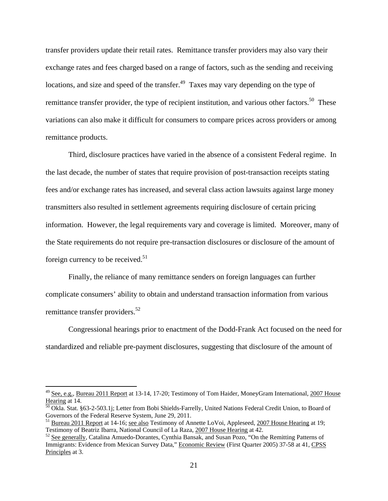transfer providers update their retail rates. Remittance transfer providers may also vary their exchange rates and fees charged based on a range of factors, such as the sending and receiving locations, and size and speed of the transfer.<sup>49</sup> Taxes may vary depending on the type of remittance transfer provider, the type of recipient institution, and various other factors.<sup>50</sup> These variations can also make it difficult for consumers to compare prices across providers or among remittance products.

Third, disclosure practices have varied in the absence of a consistent Federal regime. In the last decade, the number of states that require provision of post-transaction receipts stating fees and/or exchange rates has increased, and several class action lawsuits against large money transmitters also resulted in settlement agreements requiring disclosure of certain pricing information. However, the legal requirements vary and coverage is limited. Moreover, many of the State requirements do not require pre-transaction disclosures or disclosure of the amount of foreign currency to be received.<sup>51</sup>

Finally, the reliance of many remittance senders on foreign languages can further complicate consumers' ability to obtain and understand transaction information from various remittance transfer providers.<sup>52</sup>

Congressional hearings prior to enactment of the Dodd-Frank Act focused on the need for standardized and reliable pre-payment disclosures, suggesting that disclosure of the amount of

<sup>&</sup>lt;sup>49</sup> See, e.g., Bureau 2011 Report at 13-14, 17-20; Testimony of Tom Haider, MoneyGram International, 2007 House Hearing at 14.

 $^0$  Okla. Stat. §63-2-503.1j; Letter from Bobi Shields-Farrelly, United Nations Federal Credit Union, to Board of Governors of the Federal Reserve System, June 29, 2011.

<sup>&</sup>lt;sup>51</sup> Bureau 2011 Report at 14-16; <u>see also</u> Testimony of Annette LoVoi, Appleseed,  $\frac{2007}{2007}$  House Hearing at 19; Testimony of Beatriz Ibarra, National Council of La Raza, 2007 House Hearing at 42.

 $52$  See generally, Catalina Amuedo-Dorantes, Cynthia Bansak, and Susan Pozo, "On the Remitting Patterns of Immigrants: Evidence from Mexican Survey Data," Economic Review (First Quarter 2005) 37-58 at 41, CPSS Principles at 3.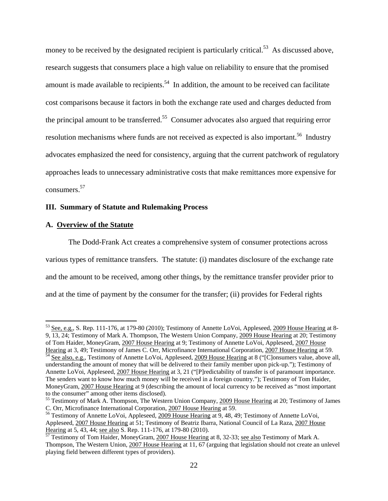money to be received by the designated recipient is particularly critical.<sup>53</sup> As discussed above, research suggests that consumers place a high value on reliability to ensure that the promised amount is made available to recipients.<sup>54</sup> In addition, the amount to be received can facilitate cost comparisons because it factors in both the exchange rate used and charges deducted from the principal amount to be transferred.<sup>55</sup> Consumer advocates also argued that requiring error resolution mechanisms where funds are not received as expected is also important.<sup>56</sup> Industry advocates emphasized the need for consistency, arguing that the current patchwork of regulatory approaches leads to unnecessary administrative costs that make remittances more expensive for consumers.<sup>57</sup>

# **III. Summary of Statute and Rulemaking Process**

# **A. Overview of the Statute**

 $\overline{a}$ 

The Dodd-Frank Act creates a comprehensive system of consumer protections across various types of remittance transfers. The statute: (i) mandates disclosure of the exchange rate and the amount to be received, among other things, by the remittance transfer provider prior to and at the time of payment by the consumer for the transfer; (ii) provides for Federal rights

<sup>53</sup> See, e.g., S. Rep. 111-176, at 179-80 (2010); Testimony of Annette LoVoi, Appleseed, 2009 House Hearing at 8- 9, 13, 24; Testimony of Mark A. Thompson, The Western Union Company, 2009 House Hearing at 20; Testimony of Tom Haider, MoneyGram, 2007 House Hearing at 9; Testimony of Annette LoVoi, Appleseed, 2007 House Hearing at 3, 49; Testimony of James C. Orr, Microfinance International Corporation, 2007 House Hearing at 59.<br><sup>54</sup> See also, e.g., Testimony of Annette LoVoi, Appleseed, 2009 House Hearing at 8 ("[C]onsumers value, above understanding the amount of money that will be delivered to their family member upon pick-up."); Testimony of

Annette LoVoi, Appleseed, 2007 House Hearing at 3, 21 ("[P]redictability of transfer is of paramount importance. The senders want to know how much money will be received in a foreign country."); Testimony of Tom Haider, MoneyGram, 2007 House Hearing at 9 (describing the amount of local currency to be received as "most important to the consumer" among other items disclosed).

<sup>&</sup>lt;sup>55</sup> Testimony of Mark A. Thompson, The Western Union Company, 2009 House Hearing at 20; Testimony of James C. Orr, Microfinance International Corporation, 2007 House Hearing at 59.

<sup>&</sup>lt;sup>56</sup> Testimony of Annette LoVoi, Appleseed, 2009 House Hearing at  $\overline{9}$ , 48, 49; Testimony of Annette LoVoi, Appleseed, 2007 House Hearing at 51; Testimony of Beatriz Ibarra, National Council of La Raza, 2007 House Hearing at 5, 43, 44; see also S. Rep. 111-176, at 179-80 (2010).

 $\frac{57}{57}$  Testimony of Tom Haider, MoneyGram, 2007 House Hearing at 8, 32-33; see also Testimony of Mark A. Thompson, The Western Union, 2007 House Hearing at 11, 67 (arguing that legislation should not create an unlevel playing field between different types of providers).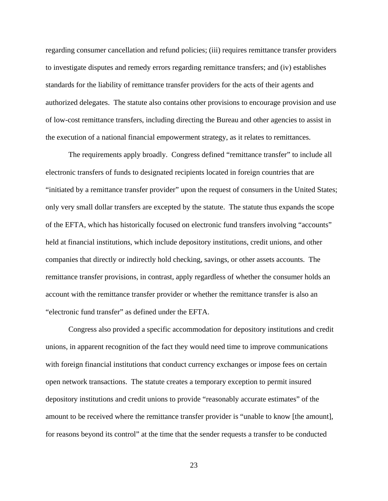regarding consumer cancellation and refund policies; (iii) requires remittance transfer providers to investigate disputes and remedy errors regarding remittance transfers; and (iv) establishes standards for the liability of remittance transfer providers for the acts of their agents and authorized delegates. The statute also contains other provisions to encourage provision and use of low-cost remittance transfers, including directing the Bureau and other agencies to assist in the execution of a national financial empowerment strategy, as it relates to remittances.

The requirements apply broadly. Congress defined "remittance transfer" to include all electronic transfers of funds to designated recipients located in foreign countries that are "initiated by a remittance transfer provider" upon the request of consumers in the United States; only very small dollar transfers are excepted by the statute. The statute thus expands the scope of the EFTA, which has historically focused on electronic fund transfers involving "accounts" held at financial institutions, which include depository institutions, credit unions, and other companies that directly or indirectly hold checking, savings, or other assets accounts. The remittance transfer provisions, in contrast, apply regardless of whether the consumer holds an account with the remittance transfer provider or whether the remittance transfer is also an "electronic fund transfer" as defined under the EFTA.

Congress also provided a specific accommodation for depository institutions and credit unions, in apparent recognition of the fact they would need time to improve communications with foreign financial institutions that conduct currency exchanges or impose fees on certain open network transactions. The statute creates a temporary exception to permit insured depository institutions and credit unions to provide "reasonably accurate estimates" of the amount to be received where the remittance transfer provider is "unable to know [the amount], for reasons beyond its control" at the time that the sender requests a transfer to be conducted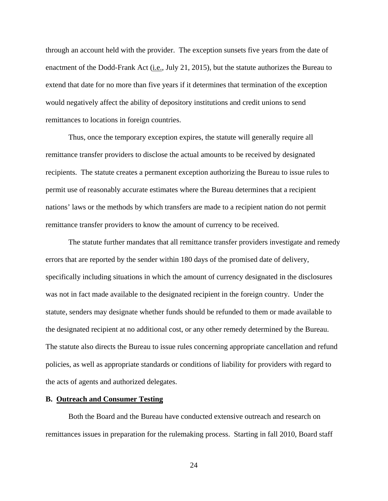through an account held with the provider. The exception sunsets five years from the date of enactment of the Dodd-Frank Act (i.e., July 21, 2015), but the statute authorizes the Bureau to extend that date for no more than five years if it determines that termination of the exception would negatively affect the ability of depository institutions and credit unions to send remittances to locations in foreign countries.

Thus, once the temporary exception expires, the statute will generally require all remittance transfer providers to disclose the actual amounts to be received by designated recipients. The statute creates a permanent exception authorizing the Bureau to issue rules to permit use of reasonably accurate estimates where the Bureau determines that a recipient nations' laws or the methods by which transfers are made to a recipient nation do not permit remittance transfer providers to know the amount of currency to be received.

The statute further mandates that all remittance transfer providers investigate and remedy errors that are reported by the sender within 180 days of the promised date of delivery, specifically including situations in which the amount of currency designated in the disclosures was not in fact made available to the designated recipient in the foreign country. Under the statute, senders may designate whether funds should be refunded to them or made available to the designated recipient at no additional cost, or any other remedy determined by the Bureau. The statute also directs the Bureau to issue rules concerning appropriate cancellation and refund policies, as well as appropriate standards or conditions of liability for providers with regard to the acts of agents and authorized delegates.

# **B. Outreach and Consumer Testing**

Both the Board and the Bureau have conducted extensive outreach and research on remittances issues in preparation for the rulemaking process. Starting in fall 2010, Board staff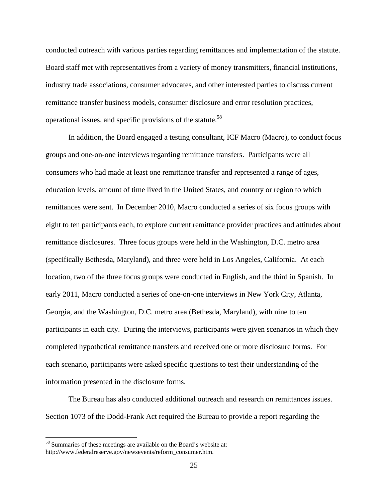conducted outreach with various parties regarding remittances and implementation of the statute. Board staff met with representatives from a variety of money transmitters, financial institutions, industry trade associations, consumer advocates, and other interested parties to discuss current remittance transfer business models, consumer disclosure and error resolution practices, operational issues, and specific provisions of the statute.<sup>58</sup>

In addition, the Board engaged a testing consultant, ICF Macro (Macro), to conduct focus groups and one-on-one interviews regarding remittance transfers. Participants were all consumers who had made at least one remittance transfer and represented a range of ages, education levels, amount of time lived in the United States, and country or region to which remittances were sent. In December 2010, Macro conducted a series of six focus groups with eight to ten participants each, to explore current remittance provider practices and attitudes about remittance disclosures. Three focus groups were held in the Washington, D.C. metro area (specifically Bethesda, Maryland), and three were held in Los Angeles, California. At each location, two of the three focus groups were conducted in English, and the third in Spanish. In early 2011, Macro conducted a series of one-on-one interviews in New York City, Atlanta, Georgia, and the Washington, D.C. metro area (Bethesda, Maryland), with nine to ten participants in each city. During the interviews, participants were given scenarios in which they completed hypothetical remittance transfers and received one or more disclosure forms. For each scenario, participants were asked specific questions to test their understanding of the information presented in the disclosure forms.

The Bureau has also conducted additional outreach and research on remittances issues. Section 1073 of the Dodd-Frank Act required the Bureau to provide a report regarding the

<sup>58</sup> Summaries of these meetings are available on the Board's website at: http://www.federalreserve.gov/newsevents/reform\_consumer.htm.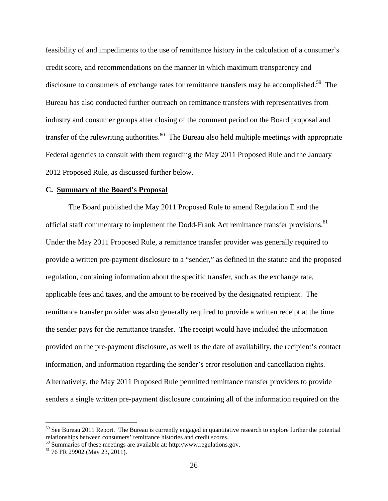feasibility of and impediments to the use of remittance history in the calculation of a consumer's credit score, and recommendations on the manner in which maximum transparency and disclosure to consumers of exchange rates for remittance transfers may be accomplished.<sup>59</sup> The Bureau has also conducted further outreach on remittance transfers with representatives from industry and consumer groups after closing of the comment period on the Board proposal and transfer of the rulewriting authorities.<sup>60</sup> The Bureau also held multiple meetings with appropriate Federal agencies to consult with them regarding the May 2011 Proposed Rule and the January 2012 Proposed Rule, as discussed further below.

## **C. Summary of the Board's Proposal**

The Board published the May 2011 Proposed Rule to amend Regulation E and the official staff commentary to implement the Dodd-Frank Act remittance transfer provisions.<sup>61</sup> Under the May 2011 Proposed Rule, a remittance transfer provider was generally required to provide a written pre-payment disclosure to a "sender," as defined in the statute and the proposed regulation, containing information about the specific transfer, such as the exchange rate, applicable fees and taxes, and the amount to be received by the designated recipient. The remittance transfer provider was also generally required to provide a written receipt at the time the sender pays for the remittance transfer. The receipt would have included the information provided on the pre-payment disclosure, as well as the date of availability, the recipient's contact information, and information regarding the sender's error resolution and cancellation rights. Alternatively, the May 2011 Proposed Rule permitted remittance transfer providers to provide senders a single written pre-payment disclosure containing all of the information required on the

<u>.</u>

 $59$  See Bureau 2011 Report. The Bureau is currently engaged in quantitative research to explore further the potential relationships between consumers' remittance histories and credit scores.

 $\frac{60}{2}$  Summaries of these meetings are available at: http://www.regulations.gov.

<sup>61 76</sup> FR 29902 (May 23, 2011).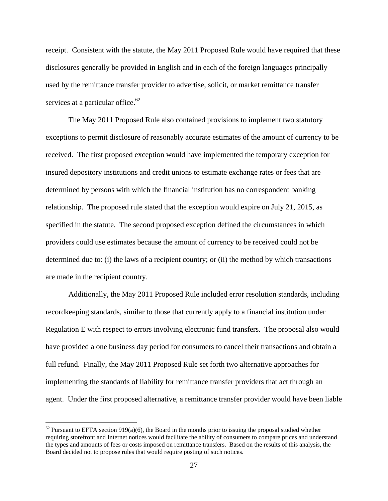receipt. Consistent with the statute, the May 2011 Proposed Rule would have required that these disclosures generally be provided in English and in each of the foreign languages principally used by the remittance transfer provider to advertise, solicit, or market remittance transfer services at a particular office.<sup>62</sup>

The May 2011 Proposed Rule also contained provisions to implement two statutory exceptions to permit disclosure of reasonably accurate estimates of the amount of currency to be received. The first proposed exception would have implemented the temporary exception for insured depository institutions and credit unions to estimate exchange rates or fees that are determined by persons with which the financial institution has no correspondent banking relationship. The proposed rule stated that the exception would expire on July 21, 2015, as specified in the statute. The second proposed exception defined the circumstances in which providers could use estimates because the amount of currency to be received could not be determined due to: (i) the laws of a recipient country; or (ii) the method by which transactions are made in the recipient country.

Additionally, the May 2011 Proposed Rule included error resolution standards, including recordkeeping standards, similar to those that currently apply to a financial institution under Regulation E with respect to errors involving electronic fund transfers. The proposal also would have provided a one business day period for consumers to cancel their transactions and obtain a full refund. Finally, the May 2011 Proposed Rule set forth two alternative approaches for implementing the standards of liability for remittance transfer providers that act through an agent. Under the first proposed alternative, a remittance transfer provider would have been liable

 $62$  Pursuant to EFTA section 919(a)(6), the Board in the months prior to issuing the proposal studied whether requiring storefront and Internet notices would facilitate the ability of consumers to compare prices and understand the types and amounts of fees or costs imposed on remittance transfers. Based on the results of this analysis, the Board decided not to propose rules that would require posting of such notices.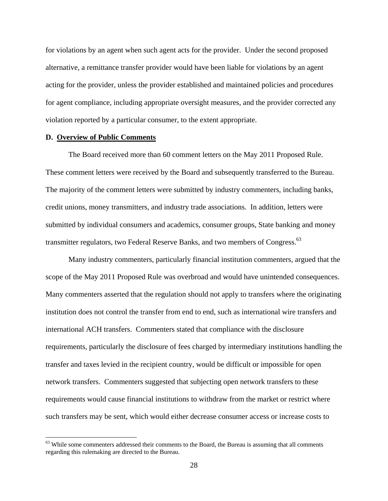for violations by an agent when such agent acts for the provider. Under the second proposed alternative, a remittance transfer provider would have been liable for violations by an agent acting for the provider, unless the provider established and maintained policies and procedures for agent compliance, including appropriate oversight measures, and the provider corrected any violation reported by a particular consumer, to the extent appropriate.

# **D. Overview of Public Comments**

1

The Board received more than 60 comment letters on the May 2011 Proposed Rule. These comment letters were received by the Board and subsequently transferred to the Bureau. The majority of the comment letters were submitted by industry commenters, including banks, credit unions, money transmitters, and industry trade associations. In addition, letters were submitted by individual consumers and academics, consumer groups, State banking and money transmitter regulators, two Federal Reserve Banks, and two members of Congress.<sup>63</sup>

Many industry commenters, particularly financial institution commenters, argued that the scope of the May 2011 Proposed Rule was overbroad and would have unintended consequences. Many commenters asserted that the regulation should not apply to transfers where the originating institution does not control the transfer from end to end, such as international wire transfers and international ACH transfers. Commenters stated that compliance with the disclosure requirements, particularly the disclosure of fees charged by intermediary institutions handling the transfer and taxes levied in the recipient country, would be difficult or impossible for open network transfers. Commenters suggested that subjecting open network transfers to these requirements would cause financial institutions to withdraw from the market or restrict where such transfers may be sent, which would either decrease consumer access or increase costs to

 $63$  While some commenters addressed their comments to the Board, the Bureau is assuming that all comments regarding this rulemaking are directed to the Bureau.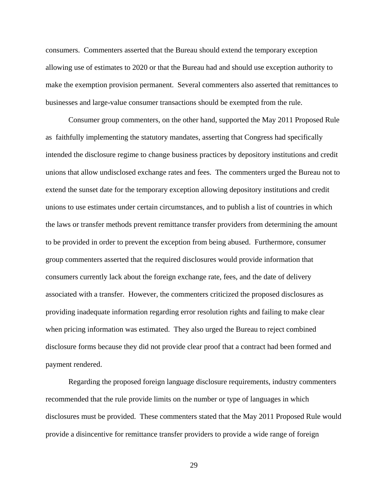consumers. Commenters asserted that the Bureau should extend the temporary exception allowing use of estimates to 2020 or that the Bureau had and should use exception authority to make the exemption provision permanent. Several commenters also asserted that remittances to businesses and large-value consumer transactions should be exempted from the rule.

Consumer group commenters, on the other hand, supported the May 2011 Proposed Rule as faithfully implementing the statutory mandates, asserting that Congress had specifically intended the disclosure regime to change business practices by depository institutions and credit unions that allow undisclosed exchange rates and fees. The commenters urged the Bureau not to extend the sunset date for the temporary exception allowing depository institutions and credit unions to use estimates under certain circumstances, and to publish a list of countries in which the laws or transfer methods prevent remittance transfer providers from determining the amount to be provided in order to prevent the exception from being abused. Furthermore, consumer group commenters asserted that the required disclosures would provide information that consumers currently lack about the foreign exchange rate, fees, and the date of delivery associated with a transfer. However, the commenters criticized the proposed disclosures as providing inadequate information regarding error resolution rights and failing to make clear when pricing information was estimated. They also urged the Bureau to reject combined disclosure forms because they did not provide clear proof that a contract had been formed and payment rendered.

Regarding the proposed foreign language disclosure requirements, industry commenters recommended that the rule provide limits on the number or type of languages in which disclosures must be provided. These commenters stated that the May 2011 Proposed Rule would provide a disincentive for remittance transfer providers to provide a wide range of foreign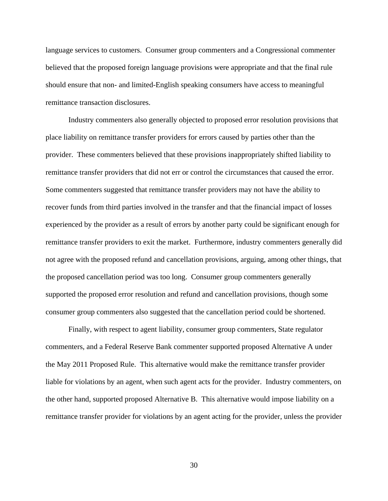language services to customers. Consumer group commenters and a Congressional commenter believed that the proposed foreign language provisions were appropriate and that the final rule should ensure that non- and limited-English speaking consumers have access to meaningful remittance transaction disclosures.

Industry commenters also generally objected to proposed error resolution provisions that place liability on remittance transfer providers for errors caused by parties other than the provider. These commenters believed that these provisions inappropriately shifted liability to remittance transfer providers that did not err or control the circumstances that caused the error. Some commenters suggested that remittance transfer providers may not have the ability to recover funds from third parties involved in the transfer and that the financial impact of losses experienced by the provider as a result of errors by another party could be significant enough for remittance transfer providers to exit the market. Furthermore, industry commenters generally did not agree with the proposed refund and cancellation provisions, arguing, among other things, that the proposed cancellation period was too long. Consumer group commenters generally supported the proposed error resolution and refund and cancellation provisions, though some consumer group commenters also suggested that the cancellation period could be shortened.

Finally, with respect to agent liability, consumer group commenters, State regulator commenters, and a Federal Reserve Bank commenter supported proposed Alternative A under the May 2011 Proposed Rule. This alternative would make the remittance transfer provider liable for violations by an agent, when such agent acts for the provider. Industry commenters, on the other hand, supported proposed Alternative B. This alternative would impose liability on a remittance transfer provider for violations by an agent acting for the provider, unless the provider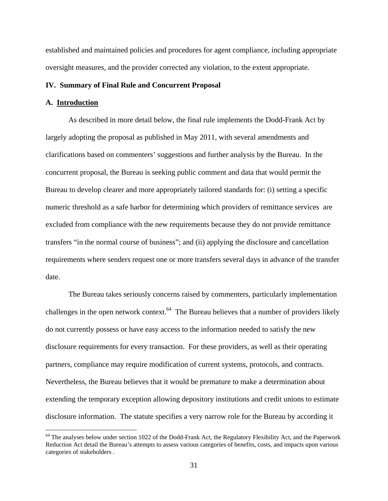established and maintained policies and procedures for agent compliance, including appropriate oversight measures, and the provider corrected any violation, to the extent appropriate.

#### **IV. Summary of Final Rule and Concurrent Proposal**

#### **A. Introduction**

 $\overline{a}$ 

As described in more detail below, the final rule implements the Dodd-Frank Act by largely adopting the proposal as published in May 2011, with several amendments and clarifications based on commenters' suggestions and further analysis by the Bureau. In the concurrent proposal, the Bureau is seeking public comment and data that would permit the Bureau to develop clearer and more appropriately tailored standards for: (i) setting a specific numeric threshold as a safe harbor for determining which providers of remittance services are excluded from compliance with the new requirements because they do not provide remittance transfers "in the normal course of business"; and (ii) applying the disclosure and cancellation requirements where senders request one or more transfers several days in advance of the transfer date.

The Bureau takes seriously concerns raised by commenters, particularly implementation challenges in the open network context.<sup>64</sup> The Bureau believes that a number of providers likely do not currently possess or have easy access to the information needed to satisfy the new disclosure requirements for every transaction. For these providers, as well as their operating partners, compliance may require modification of current systems, protocols, and contracts. Nevertheless, the Bureau believes that it would be premature to make a determination about extending the temporary exception allowing depository institutions and credit unions to estimate disclosure information. The statute specifies a very narrow role for the Bureau by according it

 $64$  The analyses below under section 1022 of the Dodd-Frank Act, the Regulatory Flexibility Act, and the Paperwork Reduction Act detail the Bureau's attempts to assess various categories of benefits, costs, and impacts upon various categories of stakeholders .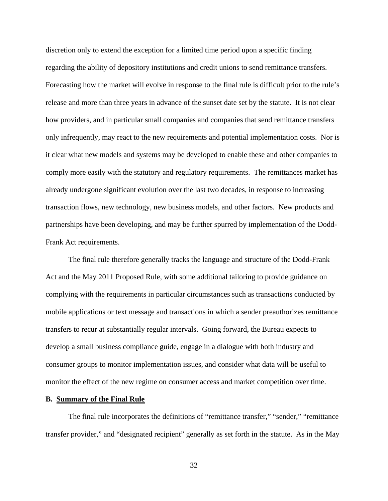discretion only to extend the exception for a limited time period upon a specific finding regarding the ability of depository institutions and credit unions to send remittance transfers. Forecasting how the market will evolve in response to the final rule is difficult prior to the rule's release and more than three years in advance of the sunset date set by the statute. It is not clear how providers, and in particular small companies and companies that send remittance transfers only infrequently, may react to the new requirements and potential implementation costs. Nor is it clear what new models and systems may be developed to enable these and other companies to comply more easily with the statutory and regulatory requirements. The remittances market has already undergone significant evolution over the last two decades, in response to increasing transaction flows, new technology, new business models, and other factors. New products and partnerships have been developing, and may be further spurred by implementation of the Dodd-Frank Act requirements.

The final rule therefore generally tracks the language and structure of the Dodd-Frank Act and the May 2011 Proposed Rule, with some additional tailoring to provide guidance on complying with the requirements in particular circumstances such as transactions conducted by mobile applications or text message and transactions in which a sender preauthorizes remittance transfers to recur at substantially regular intervals. Going forward, the Bureau expects to develop a small business compliance guide, engage in a dialogue with both industry and consumer groups to monitor implementation issues, and consider what data will be useful to monitor the effect of the new regime on consumer access and market competition over time.

#### **B. Summary of the Final Rule**

The final rule incorporates the definitions of "remittance transfer," "sender," "remittance transfer provider," and "designated recipient" generally as set forth in the statute. As in the May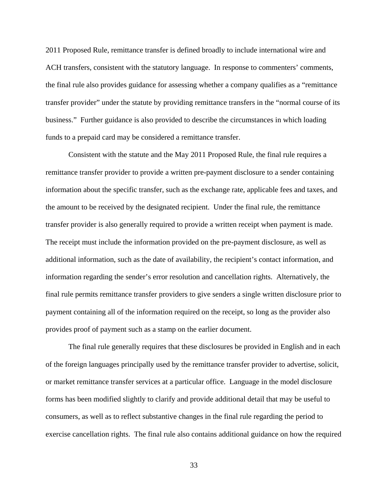2011 Proposed Rule, remittance transfer is defined broadly to include international wire and ACH transfers, consistent with the statutory language. In response to commenters' comments, the final rule also provides guidance for assessing whether a company qualifies as a "remittance transfer provider" under the statute by providing remittance transfers in the "normal course of its business." Further guidance is also provided to describe the circumstances in which loading funds to a prepaid card may be considered a remittance transfer.

Consistent with the statute and the May 2011 Proposed Rule, the final rule requires a remittance transfer provider to provide a written pre-payment disclosure to a sender containing information about the specific transfer, such as the exchange rate, applicable fees and taxes, and the amount to be received by the designated recipient. Under the final rule, the remittance transfer provider is also generally required to provide a written receipt when payment is made. The receipt must include the information provided on the pre-payment disclosure, as well as additional information, such as the date of availability, the recipient's contact information, and information regarding the sender's error resolution and cancellation rights. Alternatively, the final rule permits remittance transfer providers to give senders a single written disclosure prior to payment containing all of the information required on the receipt, so long as the provider also provides proof of payment such as a stamp on the earlier document.

The final rule generally requires that these disclosures be provided in English and in each of the foreign languages principally used by the remittance transfer provider to advertise, solicit, or market remittance transfer services at a particular office. Language in the model disclosure forms has been modified slightly to clarify and provide additional detail that may be useful to consumers, as well as to reflect substantive changes in the final rule regarding the period to exercise cancellation rights. The final rule also contains additional guidance on how the required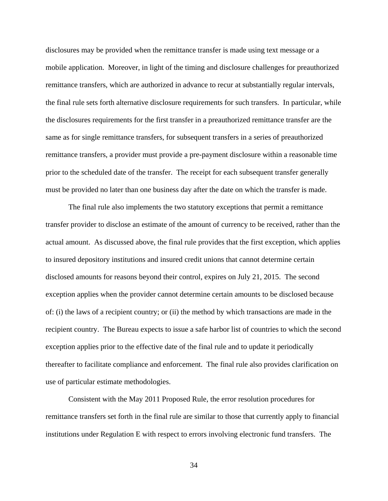disclosures may be provided when the remittance transfer is made using text message or a mobile application. Moreover, in light of the timing and disclosure challenges for preauthorized remittance transfers, which are authorized in advance to recur at substantially regular intervals, the final rule sets forth alternative disclosure requirements for such transfers. In particular, while the disclosures requirements for the first transfer in a preauthorized remittance transfer are the same as for single remittance transfers, for subsequent transfers in a series of preauthorized remittance transfers, a provider must provide a pre-payment disclosure within a reasonable time prior to the scheduled date of the transfer. The receipt for each subsequent transfer generally must be provided no later than one business day after the date on which the transfer is made.

The final rule also implements the two statutory exceptions that permit a remittance transfer provider to disclose an estimate of the amount of currency to be received, rather than the actual amount. As discussed above, the final rule provides that the first exception, which applies to insured depository institutions and insured credit unions that cannot determine certain disclosed amounts for reasons beyond their control, expires on July 21, 2015. The second exception applies when the provider cannot determine certain amounts to be disclosed because of: (i) the laws of a recipient country; or (ii) the method by which transactions are made in the recipient country. The Bureau expects to issue a safe harbor list of countries to which the second exception applies prior to the effective date of the final rule and to update it periodically thereafter to facilitate compliance and enforcement. The final rule also provides clarification on use of particular estimate methodologies.

Consistent with the May 2011 Proposed Rule, the error resolution procedures for remittance transfers set forth in the final rule are similar to those that currently apply to financial institutions under Regulation E with respect to errors involving electronic fund transfers. The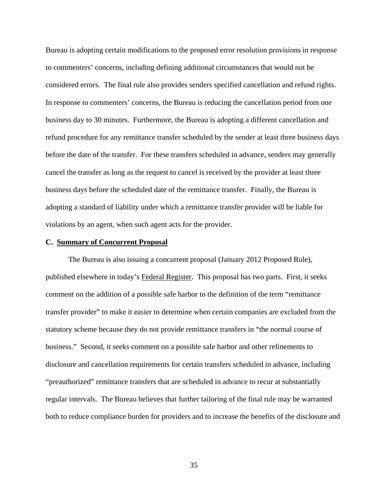Bureau is adopting certain modifications to the proposed error resolution provisions in response to commenters' concerns, including defining additional circumstances that would not be considered errors. The final rule also provides senders specified cancellation and refund rights. In response to commenters' concerns, the Bureau is reducing the cancellation period from one business day to 30 minutes. Furthermore, the Bureau is adopting a different cancellation and refund procedure for any remittance transfer scheduled by the sender at least three business days before the date of the transfer. For these transfers scheduled in advance, senders may generally cancel the transfer as long as the request to cancel is received by the provider at least three business days before the scheduled date of the remittance transfer. Finally, the Bureau is adopting a standard of liability under which a remittance transfer provider will be liable for violations by an agent, when such agent acts for the provider.

#### **C. Summary of Concurrent Proposal**

 The Bureau is also issuing a concurrent proposal (January 2012 Proposed Rule), published elsewhere in today's Federal Register. This proposal has two parts. First, it seeks comment on the addition of a possible safe harbor to the definition of the term "remittance transfer provider" to make it easier to determine when certain companies are excluded from the statutory scheme because they do not provide remittance transfers in "the normal course of business." Second, it seeks comment on a possible safe harbor and other refinements to disclosure and cancellation requirements for certain transfers scheduled in advance, including "preauthorized" remittance transfers that are scheduled in advance to recur at substantially regular intervals. The Bureau believes that further tailoring of the final rule may be warranted both to reduce compliance burden for providers and to increase the benefits of the disclosure and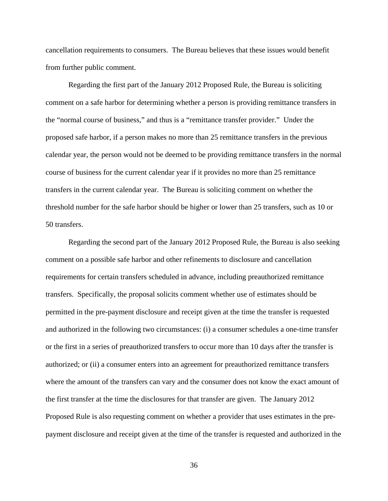cancellation requirements to consumers. The Bureau believes that these issues would benefit from further public comment.

Regarding the first part of the January 2012 Proposed Rule, the Bureau is soliciting comment on a safe harbor for determining whether a person is providing remittance transfers in the "normal course of business," and thus is a "remittance transfer provider." Under the proposed safe harbor, if a person makes no more than 25 remittance transfers in the previous calendar year, the person would not be deemed to be providing remittance transfers in the normal course of business for the current calendar year if it provides no more than 25 remittance transfers in the current calendar year. The Bureau is soliciting comment on whether the threshold number for the safe harbor should be higher or lower than 25 transfers, such as 10 or 50 transfers.

Regarding the second part of the January 2012 Proposed Rule, the Bureau is also seeking comment on a possible safe harbor and other refinements to disclosure and cancellation requirements for certain transfers scheduled in advance, including preauthorized remittance transfers. Specifically, the proposal solicits comment whether use of estimates should be permitted in the pre-payment disclosure and receipt given at the time the transfer is requested and authorized in the following two circumstances: (i) a consumer schedules a one-time transfer or the first in a series of preauthorized transfers to occur more than 10 days after the transfer is authorized; or (ii) a consumer enters into an agreement for preauthorized remittance transfers where the amount of the transfers can vary and the consumer does not know the exact amount of the first transfer at the time the disclosures for that transfer are given. The January 2012 Proposed Rule is also requesting comment on whether a provider that uses estimates in the prepayment disclosure and receipt given at the time of the transfer is requested and authorized in the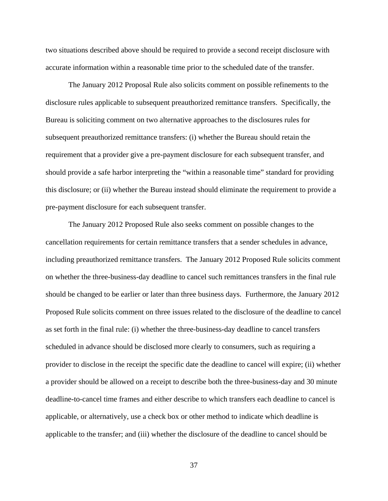two situations described above should be required to provide a second receipt disclosure with accurate information within a reasonable time prior to the scheduled date of the transfer.

The January 2012 Proposal Rule also solicits comment on possible refinements to the disclosure rules applicable to subsequent preauthorized remittance transfers. Specifically, the Bureau is soliciting comment on two alternative approaches to the disclosures rules for subsequent preauthorized remittance transfers: (i) whether the Bureau should retain the requirement that a provider give a pre-payment disclosure for each subsequent transfer, and should provide a safe harbor interpreting the "within a reasonable time" standard for providing this disclosure; or (ii) whether the Bureau instead should eliminate the requirement to provide a pre-payment disclosure for each subsequent transfer.

The January 2012 Proposed Rule also seeks comment on possible changes to the cancellation requirements for certain remittance transfers that a sender schedules in advance, including preauthorized remittance transfers. The January 2012 Proposed Rule solicits comment on whether the three-business-day deadline to cancel such remittances transfers in the final rule should be changed to be earlier or later than three business days. Furthermore, the January 2012 Proposed Rule solicits comment on three issues related to the disclosure of the deadline to cancel as set forth in the final rule: (i) whether the three-business-day deadline to cancel transfers scheduled in advance should be disclosed more clearly to consumers, such as requiring a provider to disclose in the receipt the specific date the deadline to cancel will expire; (ii) whether a provider should be allowed on a receipt to describe both the three-business-day and 30 minute deadline-to-cancel time frames and either describe to which transfers each deadline to cancel is applicable, or alternatively, use a check box or other method to indicate which deadline is applicable to the transfer; and (iii) whether the disclosure of the deadline to cancel should be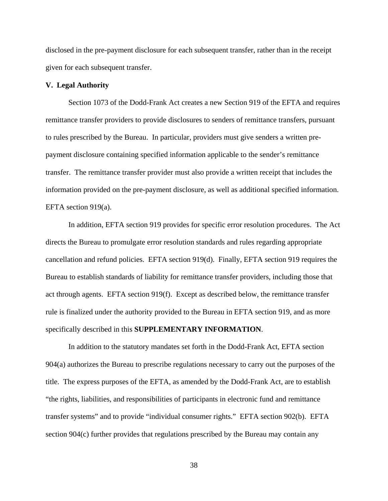disclosed in the pre-payment disclosure for each subsequent transfer, rather than in the receipt given for each subsequent transfer.

# **V. Legal Authority**

Section 1073 of the Dodd-Frank Act creates a new Section 919 of the EFTA and requires remittance transfer providers to provide disclosures to senders of remittance transfers, pursuant to rules prescribed by the Bureau. In particular, providers must give senders a written prepayment disclosure containing specified information applicable to the sender's remittance transfer. The remittance transfer provider must also provide a written receipt that includes the information provided on the pre-payment disclosure, as well as additional specified information. EFTA section 919(a).

In addition, EFTA section 919 provides for specific error resolution procedures. The Act directs the Bureau to promulgate error resolution standards and rules regarding appropriate cancellation and refund policies. EFTA section 919(d). Finally, EFTA section 919 requires the Bureau to establish standards of liability for remittance transfer providers, including those that act through agents. EFTA section 919(f). Except as described below, the remittance transfer rule is finalized under the authority provided to the Bureau in EFTA section 919, and as more specifically described in this **SUPPLEMENTARY INFORMATION**.

In addition to the statutory mandates set forth in the Dodd-Frank Act, EFTA section 904(a) authorizes the Bureau to prescribe regulations necessary to carry out the purposes of the title. The express purposes of the EFTA, as amended by the Dodd-Frank Act, are to establish "the rights, liabilities, and responsibilities of participants in electronic fund and remittance transfer systems" and to provide "individual consumer rights." EFTA section 902(b). EFTA section 904(c) further provides that regulations prescribed by the Bureau may contain any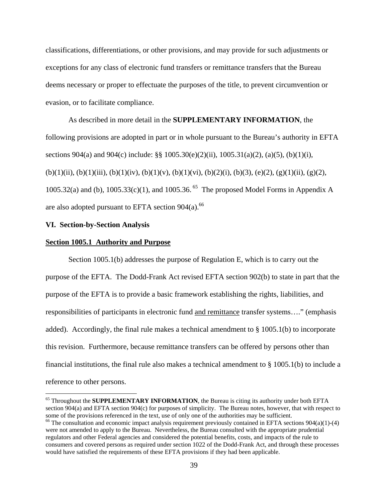classifications, differentiations, or other provisions, and may provide for such adjustments or exceptions for any class of electronic fund transfers or remittance transfers that the Bureau deems necessary or proper to effectuate the purposes of the title, to prevent circumvention or evasion, or to facilitate compliance.

As described in more detail in the **SUPPLEMENTARY INFORMATION**, the following provisions are adopted in part or in whole pursuant to the Bureau's authority in EFTA sections 904(a) and 904(c) include:  $\S\S 1005.30(e)(2)(ii)$ ,  $1005.31(a)(2)$ ,  $(a)(5)$ ,  $(b)(1)(i)$ ,  $(b)(1)(ii), (b)(1)(iii), (b)(1)(iv), (b)(1)(v), (b)(1)(vi), (b)(2)(i), (b)(3), (e)(2), (g)(1)(ii), (g)(2),$ 1005.32(a) and (b), 1005.33(c)(1), and 1005.36.<sup>65</sup> The proposed Model Forms in Appendix A are also adopted pursuant to EFTA section  $904(a)$ .<sup>66</sup>

## **VI. Section-by-Section Analysis**

 $\overline{a}$ 

#### **Section 1005.1 Authority and Purpose**

 Section 1005.1(b) addresses the purpose of Regulation E, which is to carry out the purpose of the EFTA. The Dodd-Frank Act revised EFTA section 902(b) to state in part that the purpose of the EFTA is to provide a basic framework establishing the rights, liabilities, and responsibilities of participants in electronic fund and remittance transfer systems…." (emphasis added). Accordingly, the final rule makes a technical amendment to § 1005.1(b) to incorporate this revision. Furthermore, because remittance transfers can be offered by persons other than financial institutions, the final rule also makes a technical amendment to § 1005.1(b) to include a reference to other persons.

<sup>&</sup>lt;sup>65</sup> Throughout the **SUPPLEMENTARY INFORMATION**, the Bureau is citing its authority under both EFTA section 904(a) and EFTA section 904(c) for purposes of simplicity. The Bureau notes, however, that with respect to some of the provisions referenced in the text, use of only one of the authorities may be sufficient.  $66$  The consultation and economic impact analysis requirement previously contained in EFTA sections  $904(a)(1)-(4)$ were not amended to apply to the Bureau. Nevertheless, the Bureau consulted with the appropriate prudential regulators and other Federal agencies and considered the potential benefits, costs, and impacts of the rule to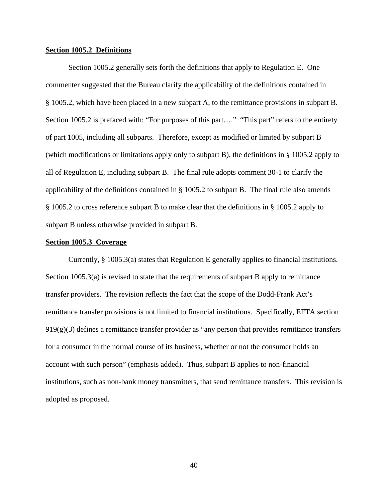#### **Section 1005.2 Definitions**

Section 1005.2 generally sets forth the definitions that apply to Regulation E. One commenter suggested that the Bureau clarify the applicability of the definitions contained in § 1005.2, which have been placed in a new subpart A, to the remittance provisions in subpart B. Section 1005.2 is prefaced with: "For purposes of this part...." "This part" refers to the entirety of part 1005, including all subparts. Therefore, except as modified or limited by subpart B (which modifications or limitations apply only to subpart B), the definitions in § 1005.2 apply to all of Regulation E, including subpart B. The final rule adopts comment 30-1 to clarify the applicability of the definitions contained in § 1005.2 to subpart B. The final rule also amends § 1005.2 to cross reference subpart B to make clear that the definitions in § 1005.2 apply to subpart B unless otherwise provided in subpart B.

#### **Section 1005.3 Coverage**

Currently, § 1005.3(a) states that Regulation E generally applies to financial institutions. Section 1005.3(a) is revised to state that the requirements of subpart B apply to remittance transfer providers. The revision reflects the fact that the scope of the Dodd-Frank Act's remittance transfer provisions is not limited to financial institutions. Specifically, EFTA section  $919(g)(3)$  defines a remittance transfer provider as "any person that provides remittance transfers" for a consumer in the normal course of its business, whether or not the consumer holds an account with such person" (emphasis added). Thus, subpart B applies to non-financial institutions, such as non-bank money transmitters, that send remittance transfers. This revision is adopted as proposed.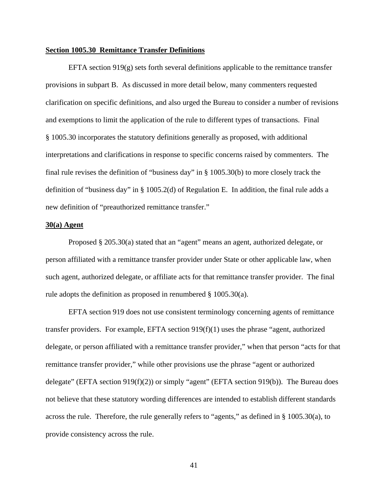## **Section 1005.30 Remittance Transfer Definitions**

EFTA section  $919(g)$  sets forth several definitions applicable to the remittance transfer provisions in subpart B. As discussed in more detail below, many commenters requested clarification on specific definitions, and also urged the Bureau to consider a number of revisions and exemptions to limit the application of the rule to different types of transactions. Final § 1005.30 incorporates the statutory definitions generally as proposed, with additional interpretations and clarifications in response to specific concerns raised by commenters. The final rule revises the definition of "business day" in § 1005.30(b) to more closely track the definition of "business day" in § 1005.2(d) of Regulation E. In addition, the final rule adds a new definition of "preauthorized remittance transfer."

## **30(a) Agent**

Proposed § 205.30(a) stated that an "agent" means an agent, authorized delegate, or person affiliated with a remittance transfer provider under State or other applicable law, when such agent, authorized delegate, or affiliate acts for that remittance transfer provider. The final rule adopts the definition as proposed in renumbered § 1005.30(a).

EFTA section 919 does not use consistent terminology concerning agents of remittance transfer providers. For example, EFTA section  $919(f)(1)$  uses the phrase "agent, authorized" delegate, or person affiliated with a remittance transfer provider," when that person "acts for that remittance transfer provider," while other provisions use the phrase "agent or authorized delegate" (EFTA section 919(f)(2)) or simply "agent" (EFTA section 919(b)). The Bureau does not believe that these statutory wording differences are intended to establish different standards across the rule. Therefore, the rule generally refers to "agents," as defined in § 1005.30(a), to provide consistency across the rule.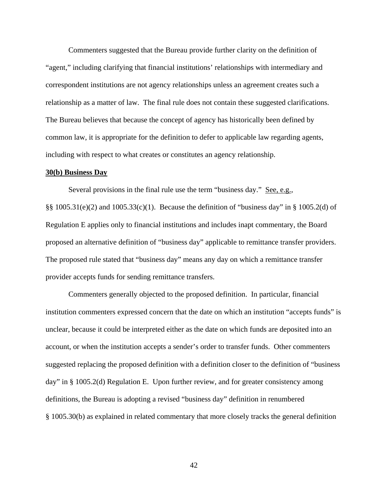Commenters suggested that the Bureau provide further clarity on the definition of "agent," including clarifying that financial institutions' relationships with intermediary and correspondent institutions are not agency relationships unless an agreement creates such a relationship as a matter of law. The final rule does not contain these suggested clarifications. The Bureau believes that because the concept of agency has historically been defined by common law, it is appropriate for the definition to defer to applicable law regarding agents, including with respect to what creates or constitutes an agency relationship.

#### **30(b) Business Day**

Several provisions in the final rule use the term "business day." See, e.g., §§ 1005.31(e)(2) and 1005.33(c)(1). Because the definition of "business day" in § 1005.2(d) of Regulation E applies only to financial institutions and includes inapt commentary, the Board proposed an alternative definition of "business day" applicable to remittance transfer providers. The proposed rule stated that "business day" means any day on which a remittance transfer provider accepts funds for sending remittance transfers.

Commenters generally objected to the proposed definition. In particular, financial institution commenters expressed concern that the date on which an institution "accepts funds" is unclear, because it could be interpreted either as the date on which funds are deposited into an account, or when the institution accepts a sender's order to transfer funds. Other commenters suggested replacing the proposed definition with a definition closer to the definition of "business day" in § 1005.2(d) Regulation E. Upon further review, and for greater consistency among definitions, the Bureau is adopting a revised "business day" definition in renumbered § 1005.30(b) as explained in related commentary that more closely tracks the general definition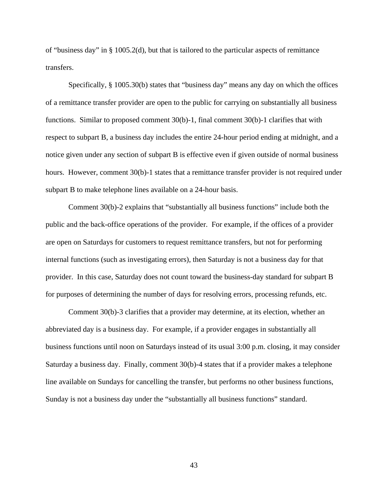of "business day" in § 1005.2(d), but that is tailored to the particular aspects of remittance transfers.

Specifically, § 1005.30(b) states that "business day" means any day on which the offices of a remittance transfer provider are open to the public for carrying on substantially all business functions. Similar to proposed comment 30(b)-1, final comment 30(b)-1 clarifies that with respect to subpart B, a business day includes the entire 24-hour period ending at midnight, and a notice given under any section of subpart B is effective even if given outside of normal business hours. However, comment 30(b)-1 states that a remittance transfer provider is not required under subpart B to make telephone lines available on a 24-hour basis.

Comment 30(b)-2 explains that "substantially all business functions" include both the public and the back-office operations of the provider. For example, if the offices of a provider are open on Saturdays for customers to request remittance transfers, but not for performing internal functions (such as investigating errors), then Saturday is not a business day for that provider. In this case, Saturday does not count toward the business-day standard for subpart B for purposes of determining the number of days for resolving errors, processing refunds, etc.

Comment 30(b)-3 clarifies that a provider may determine, at its election, whether an abbreviated day is a business day. For example, if a provider engages in substantially all business functions until noon on Saturdays instead of its usual 3:00 p.m. closing, it may consider Saturday a business day. Finally, comment 30(b)-4 states that if a provider makes a telephone line available on Sundays for cancelling the transfer, but performs no other business functions, Sunday is not a business day under the "substantially all business functions" standard.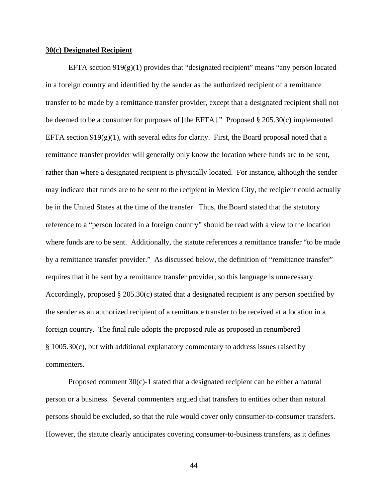#### **30(c) Designated Recipient**

EFTA section  $919(g)(1)$  provides that "designated recipient" means "any person located in a foreign country and identified by the sender as the authorized recipient of a remittance transfer to be made by a remittance transfer provider, except that a designated recipient shall not be deemed to be a consumer for purposes of [the EFTA]." Proposed § 205.30(c) implemented EFTA section  $919(g)(1)$ , with several edits for clarity. First, the Board proposal noted that a remittance transfer provider will generally only know the location where funds are to be sent, rather than where a designated recipient is physically located. For instance, although the sender may indicate that funds are to be sent to the recipient in Mexico City, the recipient could actually be in the United States at the time of the transfer. Thus, the Board stated that the statutory reference to a "person located in a foreign country" should be read with a view to the location where funds are to be sent. Additionally, the statute references a remittance transfer "to be made by a remittance transfer provider." As discussed below, the definition of "remittance transfer" requires that it be sent by a remittance transfer provider, so this language is unnecessary. Accordingly, proposed § 205.30(c) stated that a designated recipient is any person specified by the sender as an authorized recipient of a remittance transfer to be received at a location in a foreign country. The final rule adopts the proposed rule as proposed in renumbered § 1005.30(c), but with additional explanatory commentary to address issues raised by commenters.

Proposed comment 30(c)-1 stated that a designated recipient can be either a natural person or a business. Several commenters argued that transfers to entities other than natural persons should be excluded, so that the rule would cover only consumer-to-consumer transfers. However, the statute clearly anticipates covering consumer-to-business transfers, as it defines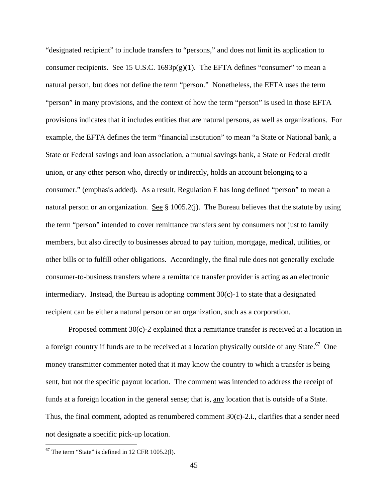"designated recipient" to include transfers to "persons," and does not limit its application to consumer recipients. See 15 U.S.C.  $1693p(g)(1)$ . The EFTA defines "consumer" to mean a natural person, but does not define the term "person." Nonetheless, the EFTA uses the term "person" in many provisions, and the context of how the term "person" is used in those EFTA provisions indicates that it includes entities that are natural persons, as well as organizations. For example, the EFTA defines the term "financial institution" to mean "a State or National bank, a State or Federal savings and loan association, a mutual savings bank, a State or Federal credit union, or any other person who, directly or indirectly, holds an account belonging to a consumer." (emphasis added). As a result, Regulation E has long defined "person" to mean a natural person or an organization. See § 1005.2(j). The Bureau believes that the statute by using the term "person" intended to cover remittance transfers sent by consumers not just to family members, but also directly to businesses abroad to pay tuition, mortgage, medical, utilities, or other bills or to fulfill other obligations. Accordingly, the final rule does not generally exclude consumer-to-business transfers where a remittance transfer provider is acting as an electronic intermediary. Instead, the Bureau is adopting comment  $30(c)$ -1 to state that a designated recipient can be either a natural person or an organization, such as a corporation.

Proposed comment 30(c)-2 explained that a remittance transfer is received at a location in a foreign country if funds are to be received at a location physically outside of any State.<sup>67</sup> One money transmitter commenter noted that it may know the country to which a transfer is being sent, but not the specific payout location. The comment was intended to address the receipt of funds at a foreign location in the general sense; that is, any location that is outside of a State. Thus, the final comment, adopted as renumbered comment  $30(c)$ -2.i., clarifies that a sender need not designate a specific pick-up location.

 $\overline{a}$ 

 $67$  The term "State" is defined in 12 CFR 1005.2(1).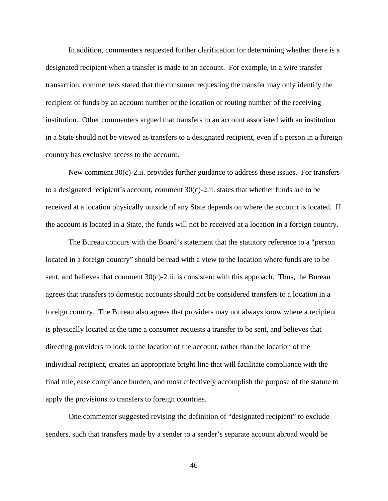In addition, commenters requested further clarification for determining whether there is a designated recipient when a transfer is made to an account. For example, in a wire transfer transaction, commenters stated that the consumer requesting the transfer may only identify the recipient of funds by an account number or the location or routing number of the receiving institution. Other commenters argued that transfers to an account associated with an institution in a State should not be viewed as transfers to a designated recipient, even if a person in a foreign country has exclusive access to the account.

New comment 30(c)-2.ii. provides further guidance to address these issues. For transfers to a designated recipient's account, comment  $30(c)$ -2.ii. states that whether funds are to be received at a location physically outside of any State depends on where the account is located. If the account is located in a State, the funds will not be received at a location in a foreign country.

The Bureau concurs with the Board's statement that the statutory reference to a "person located in a foreign country" should be read with a view to the location where funds are to be sent, and believes that comment  $30(c)$ -2.ii. is consistent with this approach. Thus, the Bureau agrees that transfers to domestic accounts should not be considered transfers to a location in a foreign country. The Bureau also agrees that providers may not always know where a recipient is physically located at the time a consumer requests a transfer to be sent, and believes that directing providers to look to the location of the account, rather than the location of the individual recipient, creates an appropriate bright line that will facilitate compliance with the final rule, ease compliance burden, and most effectively accomplish the purpose of the statute to apply the provisions to transfers to foreign countries.

One commenter suggested revising the definition of "designated recipient" to exclude senders, such that transfers made by a sender to a sender's separate account abroad would be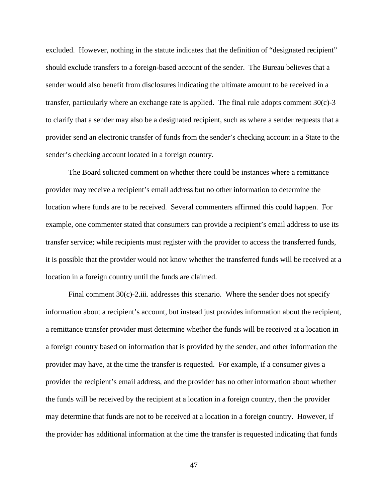excluded. However, nothing in the statute indicates that the definition of "designated recipient" should exclude transfers to a foreign-based account of the sender. The Bureau believes that a sender would also benefit from disclosures indicating the ultimate amount to be received in a transfer, particularly where an exchange rate is applied. The final rule adopts comment  $30(c)$ -3 to clarify that a sender may also be a designated recipient, such as where a sender requests that a provider send an electronic transfer of funds from the sender's checking account in a State to the sender's checking account located in a foreign country.

The Board solicited comment on whether there could be instances where a remittance provider may receive a recipient's email address but no other information to determine the location where funds are to be received. Several commenters affirmed this could happen. For example, one commenter stated that consumers can provide a recipient's email address to use its transfer service; while recipients must register with the provider to access the transferred funds, it is possible that the provider would not know whether the transferred funds will be received at a location in a foreign country until the funds are claimed.

Final comment 30(c)-2.iii. addresses this scenario. Where the sender does not specify information about a recipient's account, but instead just provides information about the recipient, a remittance transfer provider must determine whether the funds will be received at a location in a foreign country based on information that is provided by the sender, and other information the provider may have, at the time the transfer is requested. For example, if a consumer gives a provider the recipient's email address, and the provider has no other information about whether the funds will be received by the recipient at a location in a foreign country, then the provider may determine that funds are not to be received at a location in a foreign country. However, if the provider has additional information at the time the transfer is requested indicating that funds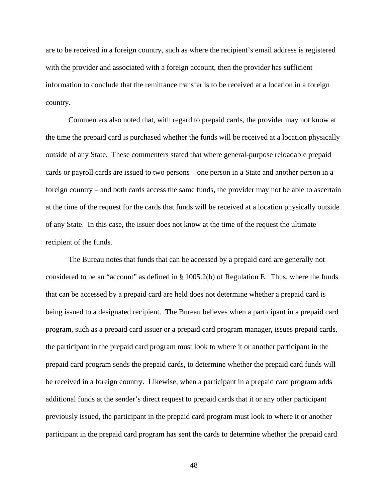are to be received in a foreign country, such as where the recipient's email address is registered with the provider and associated with a foreign account, then the provider has sufficient information to conclude that the remittance transfer is to be received at a location in a foreign country.

Commenters also noted that, with regard to prepaid cards, the provider may not know at the time the prepaid card is purchased whether the funds will be received at a location physically outside of any State. These commenters stated that where general-purpose reloadable prepaid cards or payroll cards are issued to two persons – one person in a State and another person in a foreign country – and both cards access the same funds, the provider may not be able to ascertain at the time of the request for the cards that funds will be received at a location physically outside of any State. In this case, the issuer does not know at the time of the request the ultimate recipient of the funds.

The Bureau notes that funds that can be accessed by a prepaid card are generally not considered to be an "account" as defined in § 1005.2(b) of Regulation E. Thus, where the funds that can be accessed by a prepaid card are held does not determine whether a prepaid card is being issued to a designated recipient. The Bureau believes when a participant in a prepaid card program, such as a prepaid card issuer or a prepaid card program manager, issues prepaid cards, the participant in the prepaid card program must look to where it or another participant in the prepaid card program sends the prepaid cards, to determine whether the prepaid card funds will be received in a foreign country. Likewise, when a participant in a prepaid card program adds additional funds at the sender's direct request to prepaid cards that it or any other participant previously issued, the participant in the prepaid card program must look to where it or another participant in the prepaid card program has sent the cards to determine whether the prepaid card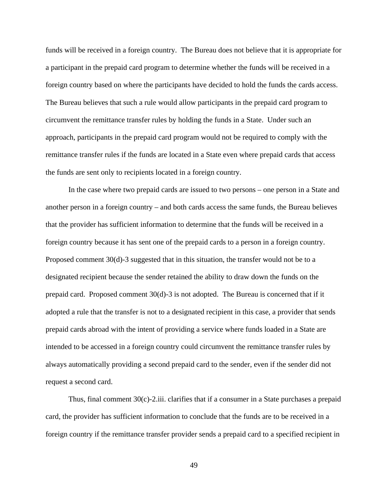funds will be received in a foreign country. The Bureau does not believe that it is appropriate for a participant in the prepaid card program to determine whether the funds will be received in a foreign country based on where the participants have decided to hold the funds the cards access. The Bureau believes that such a rule would allow participants in the prepaid card program to circumvent the remittance transfer rules by holding the funds in a State. Under such an approach, participants in the prepaid card program would not be required to comply with the remittance transfer rules if the funds are located in a State even where prepaid cards that access the funds are sent only to recipients located in a foreign country.

In the case where two prepaid cards are issued to two persons – one person in a State and another person in a foreign country – and both cards access the same funds, the Bureau believes that the provider has sufficient information to determine that the funds will be received in a foreign country because it has sent one of the prepaid cards to a person in a foreign country. Proposed comment 30(d)-3 suggested that in this situation, the transfer would not be to a designated recipient because the sender retained the ability to draw down the funds on the prepaid card. Proposed comment 30(d)-3 is not adopted. The Bureau is concerned that if it adopted a rule that the transfer is not to a designated recipient in this case, a provider that sends prepaid cards abroad with the intent of providing a service where funds loaded in a State are intended to be accessed in a foreign country could circumvent the remittance transfer rules by always automatically providing a second prepaid card to the sender, even if the sender did not request a second card.

Thus, final comment 30(c)-2.iii. clarifies that if a consumer in a State purchases a prepaid card, the provider has sufficient information to conclude that the funds are to be received in a foreign country if the remittance transfer provider sends a prepaid card to a specified recipient in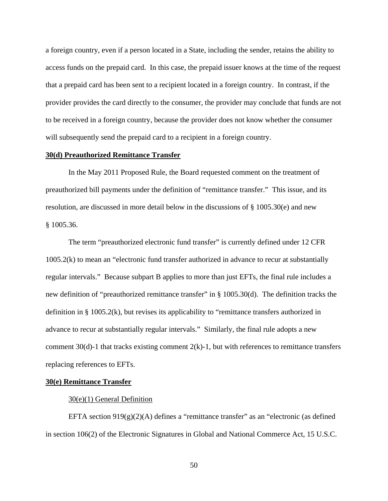a foreign country, even if a person located in a State, including the sender, retains the ability to access funds on the prepaid card. In this case, the prepaid issuer knows at the time of the request that a prepaid card has been sent to a recipient located in a foreign country. In contrast, if the provider provides the card directly to the consumer, the provider may conclude that funds are not to be received in a foreign country, because the provider does not know whether the consumer will subsequently send the prepaid card to a recipient in a foreign country.

## **30(d) Preauthorized Remittance Transfer**

In the May 2011 Proposed Rule, the Board requested comment on the treatment of preauthorized bill payments under the definition of "remittance transfer." This issue, and its resolution, are discussed in more detail below in the discussions of  $\S$  1005.30(e) and new § 1005.36.

The term "preauthorized electronic fund transfer" is currently defined under 12 CFR 1005.2(k) to mean an "electronic fund transfer authorized in advance to recur at substantially regular intervals." Because subpart B applies to more than just EFTs, the final rule includes a new definition of "preauthorized remittance transfer" in § 1005.30(d). The definition tracks the definition in  $\S$  1005.2(k), but revises its applicability to "remittance transfers authorized in advance to recur at substantially regular intervals." Similarly, the final rule adopts a new comment  $30(d)$ -1 that tracks existing comment  $2(k)$ -1, but with references to remittance transfers replacing references to EFTs.

### **30(e) Remittance Transfer**

#### 30(e)(1) General Definition

EFTA section  $919(g)(2)(A)$  defines a "remittance transfer" as an "electronic (as defined in section 106(2) of the Electronic Signatures in Global and National Commerce Act, 15 U.S.C.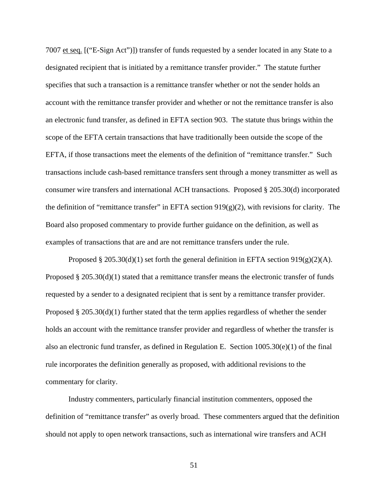7007 et seq. [("E-Sign Act")]) transfer of funds requested by a sender located in any State to a designated recipient that is initiated by a remittance transfer provider." The statute further specifies that such a transaction is a remittance transfer whether or not the sender holds an account with the remittance transfer provider and whether or not the remittance transfer is also an electronic fund transfer, as defined in EFTA section 903. The statute thus brings within the scope of the EFTA certain transactions that have traditionally been outside the scope of the EFTA, if those transactions meet the elements of the definition of "remittance transfer." Such transactions include cash-based remittance transfers sent through a money transmitter as well as consumer wire transfers and international ACH transactions. Proposed § 205.30(d) incorporated the definition of "remittance transfer" in EFTA section  $919(g)(2)$ , with revisions for clarity. The Board also proposed commentary to provide further guidance on the definition, as well as examples of transactions that are and are not remittance transfers under the rule.

Proposed § 205.30(d)(1) set forth the general definition in EFTA section  $919(g)(2)(A)$ . Proposed  $\S 205.30(d)(1)$  stated that a remittance transfer means the electronic transfer of funds requested by a sender to a designated recipient that is sent by a remittance transfer provider. Proposed  $\S 205.30(d)(1)$  further stated that the term applies regardless of whether the sender holds an account with the remittance transfer provider and regardless of whether the transfer is also an electronic fund transfer, as defined in Regulation E. Section  $1005.30(e)(1)$  of the final rule incorporates the definition generally as proposed, with additional revisions to the commentary for clarity.

Industry commenters, particularly financial institution commenters, opposed the definition of "remittance transfer" as overly broad. These commenters argued that the definition should not apply to open network transactions, such as international wire transfers and ACH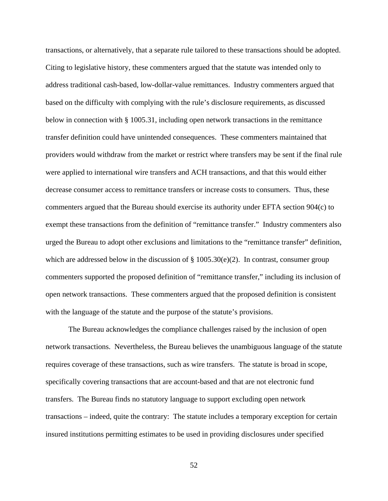transactions, or alternatively, that a separate rule tailored to these transactions should be adopted. Citing to legislative history, these commenters argued that the statute was intended only to address traditional cash-based, low-dollar-value remittances. Industry commenters argued that based on the difficulty with complying with the rule's disclosure requirements, as discussed below in connection with § 1005.31, including open network transactions in the remittance transfer definition could have unintended consequences. These commenters maintained that providers would withdraw from the market or restrict where transfers may be sent if the final rule were applied to international wire transfers and ACH transactions, and that this would either decrease consumer access to remittance transfers or increase costs to consumers. Thus, these commenters argued that the Bureau should exercise its authority under EFTA section 904(c) to exempt these transactions from the definition of "remittance transfer." Industry commenters also urged the Bureau to adopt other exclusions and limitations to the "remittance transfer" definition, which are addressed below in the discussion of  $\S$  1005.30(e)(2). In contrast, consumer group commenters supported the proposed definition of "remittance transfer," including its inclusion of open network transactions. These commenters argued that the proposed definition is consistent with the language of the statute and the purpose of the statute's provisions.

The Bureau acknowledges the compliance challenges raised by the inclusion of open network transactions. Nevertheless, the Bureau believes the unambiguous language of the statute requires coverage of these transactions, such as wire transfers. The statute is broad in scope, specifically covering transactions that are account-based and that are not electronic fund transfers. The Bureau finds no statutory language to support excluding open network transactions – indeed, quite the contrary: The statute includes a temporary exception for certain insured institutions permitting estimates to be used in providing disclosures under specified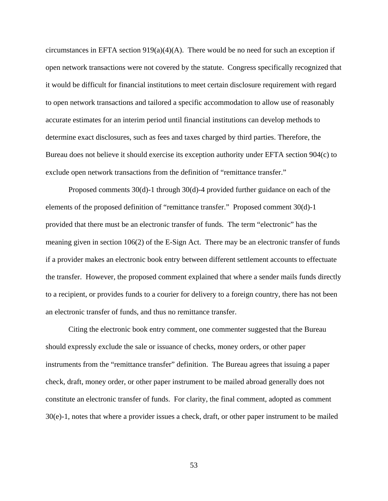circumstances in EFTA section  $919(a)(4)(A)$ . There would be no need for such an exception if open network transactions were not covered by the statute. Congress specifically recognized that it would be difficult for financial institutions to meet certain disclosure requirement with regard to open network transactions and tailored a specific accommodation to allow use of reasonably accurate estimates for an interim period until financial institutions can develop methods to determine exact disclosures, such as fees and taxes charged by third parties. Therefore, the Bureau does not believe it should exercise its exception authority under EFTA section 904(c) to exclude open network transactions from the definition of "remittance transfer."

Proposed comments 30(d)-1 through 30(d)-4 provided further guidance on each of the elements of the proposed definition of "remittance transfer." Proposed comment 30(d)-1 provided that there must be an electronic transfer of funds. The term "electronic" has the meaning given in section 106(2) of the E-Sign Act. There may be an electronic transfer of funds if a provider makes an electronic book entry between different settlement accounts to effectuate the transfer. However, the proposed comment explained that where a sender mails funds directly to a recipient, or provides funds to a courier for delivery to a foreign country, there has not been an electronic transfer of funds, and thus no remittance transfer.

Citing the electronic book entry comment, one commenter suggested that the Bureau should expressly exclude the sale or issuance of checks, money orders, or other paper instruments from the "remittance transfer" definition. The Bureau agrees that issuing a paper check, draft, money order, or other paper instrument to be mailed abroad generally does not constitute an electronic transfer of funds. For clarity, the final comment, adopted as comment 30(e)-1, notes that where a provider issues a check, draft, or other paper instrument to be mailed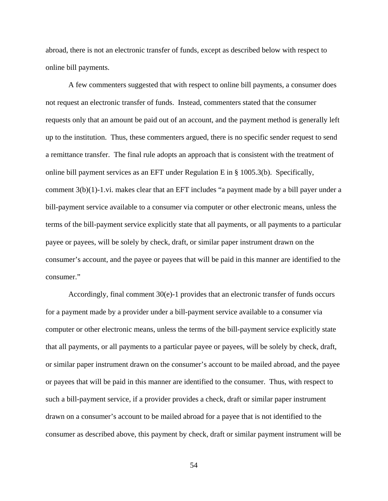abroad, there is not an electronic transfer of funds, except as described below with respect to online bill payments.

A few commenters suggested that with respect to online bill payments, a consumer does not request an electronic transfer of funds. Instead, commenters stated that the consumer requests only that an amount be paid out of an account, and the payment method is generally left up to the institution. Thus, these commenters argued, there is no specific sender request to send a remittance transfer. The final rule adopts an approach that is consistent with the treatment of online bill payment services as an EFT under Regulation E in § 1005.3(b). Specifically, comment 3(b)(1)-1.vi. makes clear that an EFT includes "a payment made by a bill payer under a bill-payment service available to a consumer via computer or other electronic means, unless the terms of the bill-payment service explicitly state that all payments, or all payments to a particular payee or payees, will be solely by check, draft, or similar paper instrument drawn on the consumer's account, and the payee or payees that will be paid in this manner are identified to the consumer."

Accordingly, final comment 30(e)-1 provides that an electronic transfer of funds occurs for a payment made by a provider under a bill-payment service available to a consumer via computer or other electronic means, unless the terms of the bill-payment service explicitly state that all payments, or all payments to a particular payee or payees, will be solely by check, draft, or similar paper instrument drawn on the consumer's account to be mailed abroad, and the payee or payees that will be paid in this manner are identified to the consumer. Thus, with respect to such a bill-payment service, if a provider provides a check, draft or similar paper instrument drawn on a consumer's account to be mailed abroad for a payee that is not identified to the consumer as described above, this payment by check, draft or similar payment instrument will be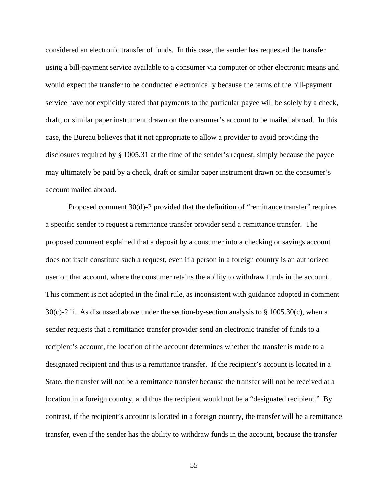considered an electronic transfer of funds. In this case, the sender has requested the transfer using a bill-payment service available to a consumer via computer or other electronic means and would expect the transfer to be conducted electronically because the terms of the bill-payment service have not explicitly stated that payments to the particular payee will be solely by a check, draft, or similar paper instrument drawn on the consumer's account to be mailed abroad. In this case, the Bureau believes that it not appropriate to allow a provider to avoid providing the disclosures required by § 1005.31 at the time of the sender's request, simply because the payee may ultimately be paid by a check, draft or similar paper instrument drawn on the consumer's account mailed abroad.

Proposed comment 30(d)-2 provided that the definition of "remittance transfer" requires a specific sender to request a remittance transfer provider send a remittance transfer. The proposed comment explained that a deposit by a consumer into a checking or savings account does not itself constitute such a request, even if a person in a foreign country is an authorized user on that account, where the consumer retains the ability to withdraw funds in the account. This comment is not adopted in the final rule, as inconsistent with guidance adopted in comment  $30(c)$ -2.ii. As discussed above under the section-by-section analysis to § 1005.30(c), when a sender requests that a remittance transfer provider send an electronic transfer of funds to a recipient's account, the location of the account determines whether the transfer is made to a designated recipient and thus is a remittance transfer. If the recipient's account is located in a State, the transfer will not be a remittance transfer because the transfer will not be received at a location in a foreign country, and thus the recipient would not be a "designated recipient." By contrast, if the recipient's account is located in a foreign country, the transfer will be a remittance transfer, even if the sender has the ability to withdraw funds in the account, because the transfer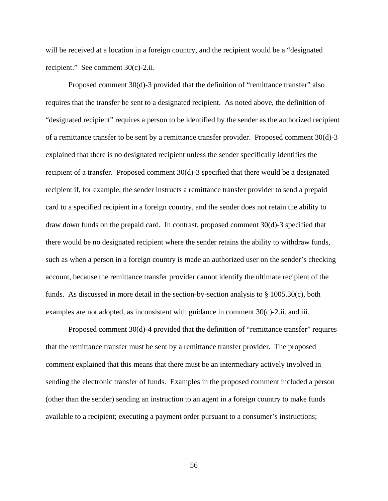will be received at a location in a foreign country, and the recipient would be a "designated recipient." See comment 30(c)-2.ii.

Proposed comment 30(d)-3 provided that the definition of "remittance transfer" also requires that the transfer be sent to a designated recipient. As noted above, the definition of "designated recipient" requires a person to be identified by the sender as the authorized recipient of a remittance transfer to be sent by a remittance transfer provider. Proposed comment 30(d)-3 explained that there is no designated recipient unless the sender specifically identifies the recipient of a transfer. Proposed comment 30(d)-3 specified that there would be a designated recipient if, for example, the sender instructs a remittance transfer provider to send a prepaid card to a specified recipient in a foreign country, and the sender does not retain the ability to draw down funds on the prepaid card. In contrast, proposed comment 30(d)-3 specified that there would be no designated recipient where the sender retains the ability to withdraw funds, such as when a person in a foreign country is made an authorized user on the sender's checking account, because the remittance transfer provider cannot identify the ultimate recipient of the funds. As discussed in more detail in the section-by-section analysis to § 1005.30(c), both examples are not adopted, as inconsistent with guidance in comment  $30(c)$ -2.ii. and iii.

Proposed comment 30(d)-4 provided that the definition of "remittance transfer" requires that the remittance transfer must be sent by a remittance transfer provider. The proposed comment explained that this means that there must be an intermediary actively involved in sending the electronic transfer of funds. Examples in the proposed comment included a person (other than the sender) sending an instruction to an agent in a foreign country to make funds available to a recipient; executing a payment order pursuant to a consumer's instructions;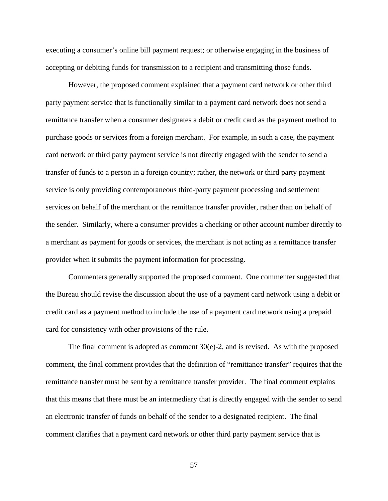executing a consumer's online bill payment request; or otherwise engaging in the business of accepting or debiting funds for transmission to a recipient and transmitting those funds.

However, the proposed comment explained that a payment card network or other third party payment service that is functionally similar to a payment card network does not send a remittance transfer when a consumer designates a debit or credit card as the payment method to purchase goods or services from a foreign merchant. For example, in such a case, the payment card network or third party payment service is not directly engaged with the sender to send a transfer of funds to a person in a foreign country; rather, the network or third party payment service is only providing contemporaneous third-party payment processing and settlement services on behalf of the merchant or the remittance transfer provider, rather than on behalf of the sender. Similarly, where a consumer provides a checking or other account number directly to a merchant as payment for goods or services, the merchant is not acting as a remittance transfer provider when it submits the payment information for processing.

Commenters generally supported the proposed comment. One commenter suggested that the Bureau should revise the discussion about the use of a payment card network using a debit or credit card as a payment method to include the use of a payment card network using a prepaid card for consistency with other provisions of the rule.

The final comment is adopted as comment  $30(e)$ -2, and is revised. As with the proposed comment, the final comment provides that the definition of "remittance transfer" requires that the remittance transfer must be sent by a remittance transfer provider. The final comment explains that this means that there must be an intermediary that is directly engaged with the sender to send an electronic transfer of funds on behalf of the sender to a designated recipient. The final comment clarifies that a payment card network or other third party payment service that is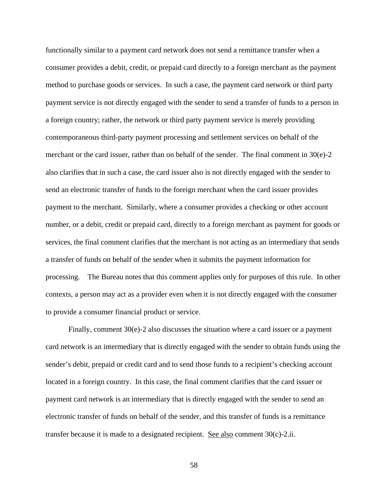functionally similar to a payment card network does not send a remittance transfer when a consumer provides a debit, credit, or prepaid card directly to a foreign merchant as the payment method to purchase goods or services. In such a case, the payment card network or third party payment service is not directly engaged with the sender to send a transfer of funds to a person in a foreign country; rather, the network or third party payment service is merely providing contemporaneous third-party payment processing and settlement services on behalf of the merchant or the card issuer, rather than on behalf of the sender. The final comment in 30(e)-2 also clarifies that in such a case, the card issuer also is not directly engaged with the sender to send an electronic transfer of funds to the foreign merchant when the card issuer provides payment to the merchant. Similarly, where a consumer provides a checking or other account number, or a debit, credit or prepaid card, directly to a foreign merchant as payment for goods or services, the final comment clarifies that the merchant is not acting as an intermediary that sends a transfer of funds on behalf of the sender when it submits the payment information for processing. The Bureau notes that this comment applies only for purposes of this rule. In other contexts, a person may act as a provider even when it is not directly engaged with the consumer to provide a consumer financial product or service.

Finally, comment 30(e)-2 also discusses the situation where a card issuer or a payment card network is an intermediary that is directly engaged with the sender to obtain funds using the sender's debit, prepaid or credit card and to send those funds to a recipient's checking account located in a foreign country. In this case, the final comment clarifies that the card issuer or payment card network is an intermediary that is directly engaged with the sender to send an electronic transfer of funds on behalf of the sender, and this transfer of funds is a remittance transfer because it is made to a designated recipient. See also comment 30(c)-2.ii.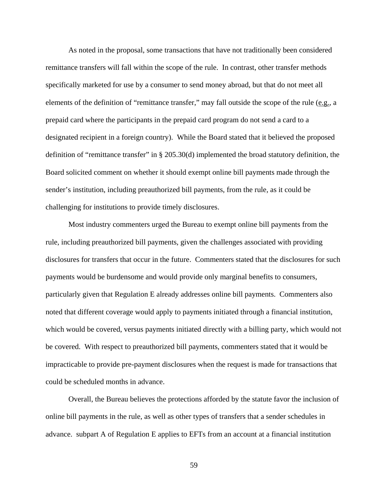As noted in the proposal, some transactions that have not traditionally been considered remittance transfers will fall within the scope of the rule. In contrast, other transfer methods specifically marketed for use by a consumer to send money abroad, but that do not meet all elements of the definition of "remittance transfer," may fall outside the scope of the rule (e.g., a prepaid card where the participants in the prepaid card program do not send a card to a designated recipient in a foreign country). While the Board stated that it believed the proposed definition of "remittance transfer" in § 205.30(d) implemented the broad statutory definition, the Board solicited comment on whether it should exempt online bill payments made through the sender's institution, including preauthorized bill payments, from the rule, as it could be challenging for institutions to provide timely disclosures.

Most industry commenters urged the Bureau to exempt online bill payments from the rule, including preauthorized bill payments, given the challenges associated with providing disclosures for transfers that occur in the future. Commenters stated that the disclosures for such payments would be burdensome and would provide only marginal benefits to consumers, particularly given that Regulation E already addresses online bill payments. Commenters also noted that different coverage would apply to payments initiated through a financial institution, which would be covered, versus payments initiated directly with a billing party, which would not be covered. With respect to preauthorized bill payments, commenters stated that it would be impracticable to provide pre-payment disclosures when the request is made for transactions that could be scheduled months in advance.

Overall, the Bureau believes the protections afforded by the statute favor the inclusion of online bill payments in the rule, as well as other types of transfers that a sender schedules in advance. subpart A of Regulation E applies to EFTs from an account at a financial institution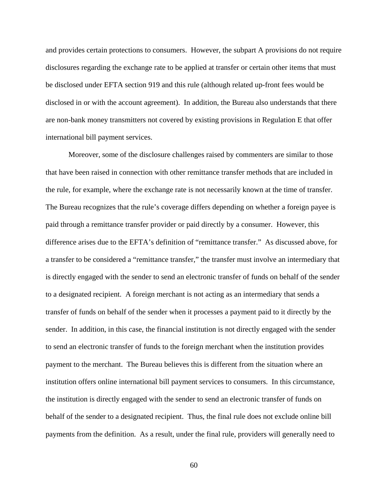and provides certain protections to consumers. However, the subpart A provisions do not require disclosures regarding the exchange rate to be applied at transfer or certain other items that must be disclosed under EFTA section 919 and this rule (although related up-front fees would be disclosed in or with the account agreement). In addition, the Bureau also understands that there are non-bank money transmitters not covered by existing provisions in Regulation E that offer international bill payment services.

Moreover, some of the disclosure challenges raised by commenters are similar to those that have been raised in connection with other remittance transfer methods that are included in the rule, for example, where the exchange rate is not necessarily known at the time of transfer. The Bureau recognizes that the rule's coverage differs depending on whether a foreign payee is paid through a remittance transfer provider or paid directly by a consumer. However, this difference arises due to the EFTA's definition of "remittance transfer." As discussed above, for a transfer to be considered a "remittance transfer," the transfer must involve an intermediary that is directly engaged with the sender to send an electronic transfer of funds on behalf of the sender to a designated recipient. A foreign merchant is not acting as an intermediary that sends a transfer of funds on behalf of the sender when it processes a payment paid to it directly by the sender. In addition, in this case, the financial institution is not directly engaged with the sender to send an electronic transfer of funds to the foreign merchant when the institution provides payment to the merchant. The Bureau believes this is different from the situation where an institution offers online international bill payment services to consumers. In this circumstance, the institution is directly engaged with the sender to send an electronic transfer of funds on behalf of the sender to a designated recipient. Thus, the final rule does not exclude online bill payments from the definition. As a result, under the final rule, providers will generally need to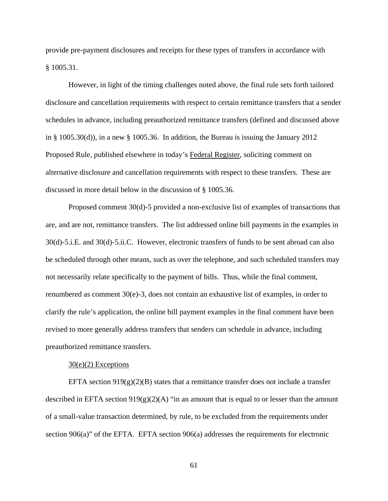provide pre-payment disclosures and receipts for these types of transfers in accordance with § 1005.31.

However, in light of the timing challenges noted above, the final rule sets forth tailored disclosure and cancellation requirements with respect to certain remittance transfers that a sender schedules in advance, including preauthorized remittance transfers (defined and discussed above in § 1005.30(d)), in a new § 1005.36. In addition, the Bureau is issuing the January 2012 Proposed Rule, published elsewhere in today's Federal Register, soliciting comment on alternative disclosure and cancellation requirements with respect to these transfers. These are discussed in more detail below in the discussion of § 1005.36.

Proposed comment 30(d)-5 provided a non-exclusive list of examples of transactions that are, and are not, remittance transfers. The list addressed online bill payments in the examples in 30(d)-5.i.E. and 30(d)-5.ii.C. However, electronic transfers of funds to be sent abroad can also be scheduled through other means, such as over the telephone, and such scheduled transfers may not necessarily relate specifically to the payment of bills. Thus, while the final comment, renumbered as comment 30(e)-3, does not contain an exhaustive list of examples, in order to clarify the rule's application, the online bill payment examples in the final comment have been revised to more generally address transfers that senders can schedule in advance, including preauthorized remittance transfers.

#### 30(e)(2) Exceptions

EFTA section  $919(g)(2)(B)$  states that a remittance transfer does not include a transfer described in EFTA section  $919(g)(2)$ (A) "in an amount that is equal to or lesser than the amount of a small-value transaction determined, by rule, to be excluded from the requirements under section 906(a)" of the EFTA. EFTA section 906(a) addresses the requirements for electronic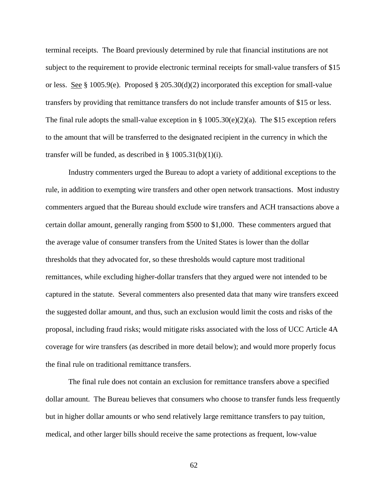terminal receipts. The Board previously determined by rule that financial institutions are not subject to the requirement to provide electronic terminal receipts for small-value transfers of \$15 or less. See § 1005.9(e). Proposed § 205.30(d)(2) incorporated this exception for small-value transfers by providing that remittance transfers do not include transfer amounts of \$15 or less. The final rule adopts the small-value exception in §  $1005.30(e)(2)(a)$ . The \$15 exception refers to the amount that will be transferred to the designated recipient in the currency in which the transfer will be funded, as described in  $\S$  1005.31(b)(1)(i).

Industry commenters urged the Bureau to adopt a variety of additional exceptions to the rule, in addition to exempting wire transfers and other open network transactions. Most industry commenters argued that the Bureau should exclude wire transfers and ACH transactions above a certain dollar amount, generally ranging from \$500 to \$1,000. These commenters argued that the average value of consumer transfers from the United States is lower than the dollar thresholds that they advocated for, so these thresholds would capture most traditional remittances, while excluding higher-dollar transfers that they argued were not intended to be captured in the statute. Several commenters also presented data that many wire transfers exceed the suggested dollar amount, and thus, such an exclusion would limit the costs and risks of the proposal, including fraud risks; would mitigate risks associated with the loss of UCC Article 4A coverage for wire transfers (as described in more detail below); and would more properly focus the final rule on traditional remittance transfers.

The final rule does not contain an exclusion for remittance transfers above a specified dollar amount. The Bureau believes that consumers who choose to transfer funds less frequently but in higher dollar amounts or who send relatively large remittance transfers to pay tuition, medical, and other larger bills should receive the same protections as frequent, low-value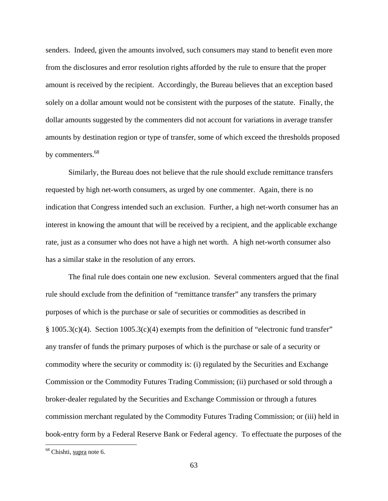senders. Indeed, given the amounts involved, such consumers may stand to benefit even more from the disclosures and error resolution rights afforded by the rule to ensure that the proper amount is received by the recipient. Accordingly, the Bureau believes that an exception based solely on a dollar amount would not be consistent with the purposes of the statute. Finally, the dollar amounts suggested by the commenters did not account for variations in average transfer amounts by destination region or type of transfer, some of which exceed the thresholds proposed by commenters.<sup>68</sup>

Similarly, the Bureau does not believe that the rule should exclude remittance transfers requested by high net-worth consumers, as urged by one commenter. Again, there is no indication that Congress intended such an exclusion. Further, a high net-worth consumer has an interest in knowing the amount that will be received by a recipient, and the applicable exchange rate, just as a consumer who does not have a high net worth. A high net-worth consumer also has a similar stake in the resolution of any errors.

The final rule does contain one new exclusion. Several commenters argued that the final rule should exclude from the definition of "remittance transfer" any transfers the primary purposes of which is the purchase or sale of securities or commodities as described in § 1005.3(c)(4). Section 1005.3(c)(4) exempts from the definition of "electronic fund transfer" any transfer of funds the primary purposes of which is the purchase or sale of a security or commodity where the security or commodity is: (i) regulated by the Securities and Exchange Commission or the Commodity Futures Trading Commission; (ii) purchased or sold through a broker-dealer regulated by the Securities and Exchange Commission or through a futures commission merchant regulated by the Commodity Futures Trading Commission; or (iii) held in book-entry form by a Federal Reserve Bank or Federal agency. To effectuate the purposes of the

 $\overline{a}$ 

<sup>&</sup>lt;sup>68</sup> Chishti, supra note 6.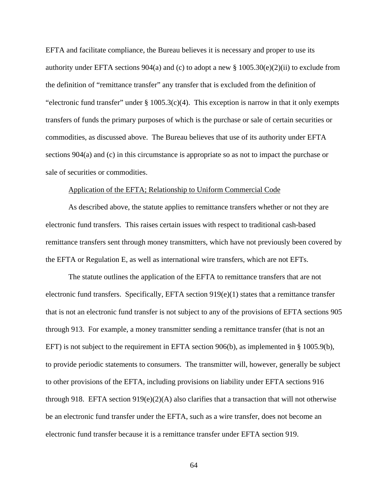EFTA and facilitate compliance, the Bureau believes it is necessary and proper to use its authority under EFTA sections 904(a) and (c) to adopt a new  $\S$  1005.30(e)(2)(ii) to exclude from the definition of "remittance transfer" any transfer that is excluded from the definition of "electronic fund transfer" under  $\S 1005.3(c)(4)$ . This exception is narrow in that it only exempts transfers of funds the primary purposes of which is the purchase or sale of certain securities or commodities, as discussed above. The Bureau believes that use of its authority under EFTA sections 904(a) and (c) in this circumstance is appropriate so as not to impact the purchase or sale of securities or commodities.

#### Application of the EFTA; Relationship to Uniform Commercial Code

As described above, the statute applies to remittance transfers whether or not they are electronic fund transfers. This raises certain issues with respect to traditional cash-based remittance transfers sent through money transmitters, which have not previously been covered by the EFTA or Regulation E, as well as international wire transfers, which are not EFTs.

The statute outlines the application of the EFTA to remittance transfers that are not electronic fund transfers. Specifically, EFTA section 919(e)(1) states that a remittance transfer that is not an electronic fund transfer is not subject to any of the provisions of EFTA sections 905 through 913. For example, a money transmitter sending a remittance transfer (that is not an EFT) is not subject to the requirement in EFTA section 906(b), as implemented in § 1005.9(b), to provide periodic statements to consumers. The transmitter will, however, generally be subject to other provisions of the EFTA, including provisions on liability under EFTA sections 916 through 918. EFTA section  $919(e)(2)(A)$  also clarifies that a transaction that will not otherwise be an electronic fund transfer under the EFTA, such as a wire transfer, does not become an electronic fund transfer because it is a remittance transfer under EFTA section 919.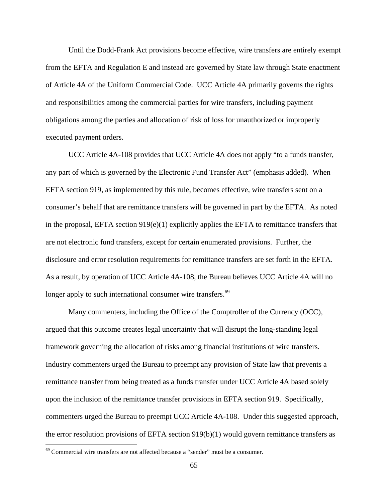Until the Dodd-Frank Act provisions become effective, wire transfers are entirely exempt from the EFTA and Regulation E and instead are governed by State law through State enactment of Article 4A of the Uniform Commercial Code. UCC Article 4A primarily governs the rights and responsibilities among the commercial parties for wire transfers, including payment obligations among the parties and allocation of risk of loss for unauthorized or improperly executed payment orders.

UCC Article 4A-108 provides that UCC Article 4A does not apply "to a funds transfer, any part of which is governed by the Electronic Fund Transfer Act" (emphasis added). When EFTA section 919, as implemented by this rule, becomes effective, wire transfers sent on a consumer's behalf that are remittance transfers will be governed in part by the EFTA. As noted in the proposal, EFTA section  $919(e)(1)$  explicitly applies the EFTA to remittance transfers that are not electronic fund transfers, except for certain enumerated provisions. Further, the disclosure and error resolution requirements for remittance transfers are set forth in the EFTA. As a result, by operation of UCC Article 4A-108, the Bureau believes UCC Article 4A will no longer apply to such international consumer wire transfers.<sup>69</sup>

Many commenters, including the Office of the Comptroller of the Currency (OCC), argued that this outcome creates legal uncertainty that will disrupt the long-standing legal framework governing the allocation of risks among financial institutions of wire transfers. Industry commenters urged the Bureau to preempt any provision of State law that prevents a remittance transfer from being treated as a funds transfer under UCC Article 4A based solely upon the inclusion of the remittance transfer provisions in EFTA section 919. Specifically, commenters urged the Bureau to preempt UCC Article 4A-108. Under this suggested approach, the error resolution provisions of EFTA section  $919(b)(1)$  would govern remittance transfers as

 $\overline{a}$ 

 $69$  Commercial wire transfers are not affected because a "sender" must be a consumer.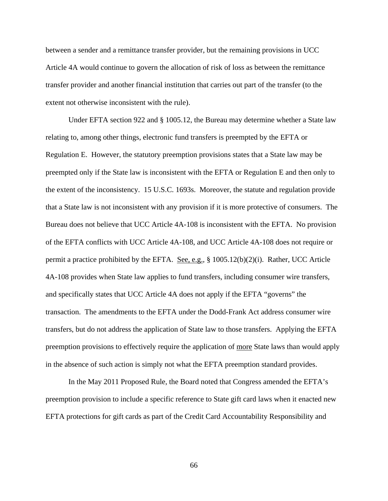between a sender and a remittance transfer provider, but the remaining provisions in UCC Article 4A would continue to govern the allocation of risk of loss as between the remittance transfer provider and another financial institution that carries out part of the transfer (to the extent not otherwise inconsistent with the rule).

Under EFTA section 922 and § 1005.12, the Bureau may determine whether a State law relating to, among other things, electronic fund transfers is preempted by the EFTA or Regulation E. However, the statutory preemption provisions states that a State law may be preempted only if the State law is inconsistent with the EFTA or Regulation E and then only to the extent of the inconsistency. 15 U.S.C. 1693s. Moreover, the statute and regulation provide that a State law is not inconsistent with any provision if it is more protective of consumers. The Bureau does not believe that UCC Article 4A-108 is inconsistent with the EFTA. No provision of the EFTA conflicts with UCC Article 4A-108, and UCC Article 4A-108 does not require or permit a practice prohibited by the EFTA. See, e.g., § 1005.12(b)(2)(i). Rather, UCC Article 4A-108 provides when State law applies to fund transfers, including consumer wire transfers, and specifically states that UCC Article 4A does not apply if the EFTA "governs" the transaction. The amendments to the EFTA under the Dodd-Frank Act address consumer wire transfers, but do not address the application of State law to those transfers. Applying the EFTA preemption provisions to effectively require the application of more State laws than would apply in the absence of such action is simply not what the EFTA preemption standard provides.

In the May 2011 Proposed Rule, the Board noted that Congress amended the EFTA's preemption provision to include a specific reference to State gift card laws when it enacted new EFTA protections for gift cards as part of the Credit Card Accountability Responsibility and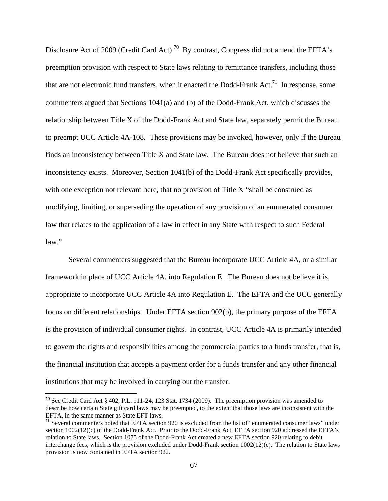Disclosure Act of 2009 (Credit Card Act).<sup>70</sup> By contrast, Congress did not amend the EFTA's preemption provision with respect to State laws relating to remittance transfers, including those that are not electronic fund transfers, when it enacted the Dodd-Frank Act.<sup>71</sup> In response, some commenters argued that Sections 1041(a) and (b) of the Dodd-Frank Act, which discusses the relationship between Title X of the Dodd-Frank Act and State law, separately permit the Bureau to preempt UCC Article 4A-108. These provisions may be invoked, however, only if the Bureau finds an inconsistency between Title X and State law. The Bureau does not believe that such an inconsistency exists. Moreover, Section 1041(b) of the Dodd-Frank Act specifically provides, with one exception not relevant here, that no provision of Title X "shall be construed as modifying, limiting, or superseding the operation of any provision of an enumerated consumer law that relates to the application of a law in effect in any State with respect to such Federal law."

Several commenters suggested that the Bureau incorporate UCC Article 4A, or a similar framework in place of UCC Article 4A, into Regulation E. The Bureau does not believe it is appropriate to incorporate UCC Article 4A into Regulation E. The EFTA and the UCC generally focus on different relationships. Under EFTA section 902(b), the primary purpose of the EFTA is the provision of individual consumer rights. In contrast, UCC Article 4A is primarily intended to govern the rights and responsibilities among the commercial parties to a funds transfer, that is, the financial institution that accepts a payment order for a funds transfer and any other financial institutions that may be involved in carrying out the transfer.

 $\overline{a}$ 

 $70$  See Credit Card Act § 402, P.L. 111-24, 123 Stat. 1734 (2009). The preemption provision was amended to describe how certain State gift card laws may be preempted, to the extent that those laws are inconsistent with the EFTA, in the same manner as State EFT laws.

 $71$  Several commenters noted that EFTA section 920 is excluded from the list of "enumerated consumer laws" under section 1002(12)(c) of the Dodd-Frank Act. Prior to the Dodd-Frank Act, EFTA section 920 addressed the EFTA's relation to State laws. Section 1075 of the Dodd-Frank Act created a new EFTA section 920 relating to debit interchange fees, which is the provision excluded under Dodd-Frank section 1002(12)(c). The relation to State laws provision is now contained in EFTA section 922.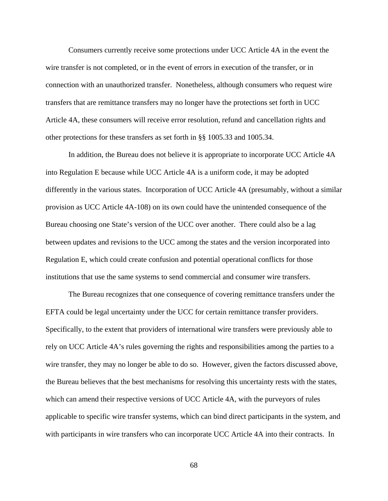Consumers currently receive some protections under UCC Article 4A in the event the wire transfer is not completed, or in the event of errors in execution of the transfer, or in connection with an unauthorized transfer. Nonetheless, although consumers who request wire transfers that are remittance transfers may no longer have the protections set forth in UCC Article 4A, these consumers will receive error resolution, refund and cancellation rights and other protections for these transfers as set forth in §§ 1005.33 and 1005.34.

In addition, the Bureau does not believe it is appropriate to incorporate UCC Article 4A into Regulation E because while UCC Article 4A is a uniform code, it may be adopted differently in the various states. Incorporation of UCC Article 4A (presumably, without a similar provision as UCC Article 4A-108) on its own could have the unintended consequence of the Bureau choosing one State's version of the UCC over another. There could also be a lag between updates and revisions to the UCC among the states and the version incorporated into Regulation E, which could create confusion and potential operational conflicts for those institutions that use the same systems to send commercial and consumer wire transfers.

The Bureau recognizes that one consequence of covering remittance transfers under the EFTA could be legal uncertainty under the UCC for certain remittance transfer providers. Specifically, to the extent that providers of international wire transfers were previously able to rely on UCC Article 4A's rules governing the rights and responsibilities among the parties to a wire transfer, they may no longer be able to do so. However, given the factors discussed above, the Bureau believes that the best mechanisms for resolving this uncertainty rests with the states, which can amend their respective versions of UCC Article 4A, with the purveyors of rules applicable to specific wire transfer systems, which can bind direct participants in the system, and with participants in wire transfers who can incorporate UCC Article 4A into their contracts. In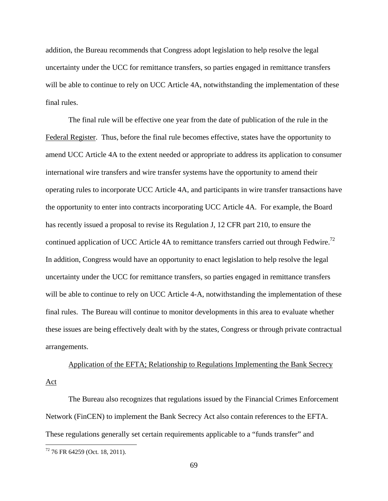addition, the Bureau recommends that Congress adopt legislation to help resolve the legal uncertainty under the UCC for remittance transfers, so parties engaged in remittance transfers will be able to continue to rely on UCC Article 4A, notwithstanding the implementation of these final rules.

The final rule will be effective one year from the date of publication of the rule in the Federal Register. Thus, before the final rule becomes effective, states have the opportunity to amend UCC Article 4A to the extent needed or appropriate to address its application to consumer international wire transfers and wire transfer systems have the opportunity to amend their operating rules to incorporate UCC Article 4A, and participants in wire transfer transactions have the opportunity to enter into contracts incorporating UCC Article 4A. For example, the Board has recently issued a proposal to revise its Regulation J, 12 CFR part 210, to ensure the continued application of UCC Article 4A to remittance transfers carried out through Fedwire.<sup>72</sup> In addition, Congress would have an opportunity to enact legislation to help resolve the legal uncertainty under the UCC for remittance transfers, so parties engaged in remittance transfers will be able to continue to rely on UCC Article 4-A, notwithstanding the implementation of these final rules. The Bureau will continue to monitor developments in this area to evaluate whether these issues are being effectively dealt with by the states, Congress or through private contractual arrangements.

Application of the EFTA; Relationship to Regulations Implementing the Bank Secrecy Act

The Bureau also recognizes that regulations issued by the Financial Crimes Enforcement Network (FinCEN) to implement the Bank Secrecy Act also contain references to the EFTA. These regulations generally set certain requirements applicable to a "funds transfer" and

 $\overline{a}$ 

 $72$  76 FR 64259 (Oct. 18, 2011).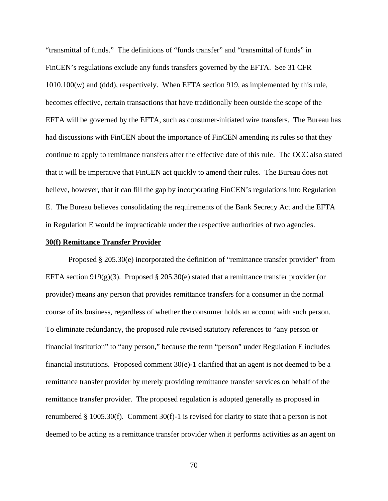"transmittal of funds." The definitions of "funds transfer" and "transmittal of funds" in FinCEN's regulations exclude any funds transfers governed by the EFTA. See 31 CFR 1010.100(w) and (ddd), respectively. When EFTA section 919, as implemented by this rule, becomes effective, certain transactions that have traditionally been outside the scope of the EFTA will be governed by the EFTA, such as consumer-initiated wire transfers. The Bureau has had discussions with FinCEN about the importance of FinCEN amending its rules so that they continue to apply to remittance transfers after the effective date of this rule. The OCC also stated that it will be imperative that FinCEN act quickly to amend their rules. The Bureau does not believe, however, that it can fill the gap by incorporating FinCEN's regulations into Regulation E. The Bureau believes consolidating the requirements of the Bank Secrecy Act and the EFTA in Regulation E would be impracticable under the respective authorities of two agencies.

## **30(f) Remittance Transfer Provider**

Proposed § 205.30(e) incorporated the definition of "remittance transfer provider" from EFTA section 919(g)(3). Proposed § 205.30(e) stated that a remittance transfer provider (or provider) means any person that provides remittance transfers for a consumer in the normal course of its business, regardless of whether the consumer holds an account with such person. To eliminate redundancy, the proposed rule revised statutory references to "any person or financial institution" to "any person," because the term "person" under Regulation E includes financial institutions. Proposed comment  $30(e)$ -1 clarified that an agent is not deemed to be a remittance transfer provider by merely providing remittance transfer services on behalf of the remittance transfer provider. The proposed regulation is adopted generally as proposed in renumbered § 1005.30(f). Comment 30(f)-1 is revised for clarity to state that a person is not deemed to be acting as a remittance transfer provider when it performs activities as an agent on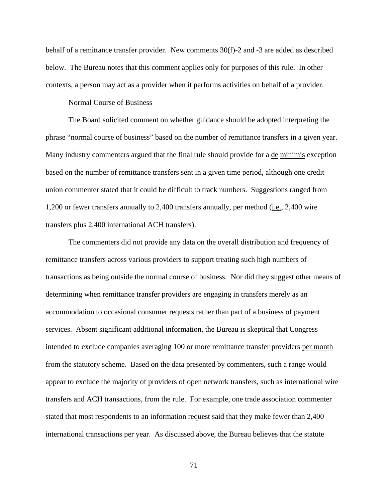behalf of a remittance transfer provider. New comments 30(f)-2 and -3 are added as described below. The Bureau notes that this comment applies only for purposes of this rule. In other contexts, a person may act as a provider when it performs activities on behalf of a provider.

## Normal Course of Business

The Board solicited comment on whether guidance should be adopted interpreting the phrase "normal course of business" based on the number of remittance transfers in a given year. Many industry commenters argued that the final rule should provide for a de minimis exception based on the number of remittance transfers sent in a given time period, although one credit union commenter stated that it could be difficult to track numbers. Suggestions ranged from 1,200 or fewer transfers annually to 2,400 transfers annually, per method (i.e., 2,400 wire transfers plus 2,400 international ACH transfers).

The commenters did not provide any data on the overall distribution and frequency of remittance transfers across various providers to support treating such high numbers of transactions as being outside the normal course of business. Nor did they suggest other means of determining when remittance transfer providers are engaging in transfers merely as an accommodation to occasional consumer requests rather than part of a business of payment services. Absent significant additional information, the Bureau is skeptical that Congress intended to exclude companies averaging 100 or more remittance transfer providers per month from the statutory scheme. Based on the data presented by commenters, such a range would appear to exclude the majority of providers of open network transfers, such as international wire transfers and ACH transactions, from the rule. For example, one trade association commenter stated that most respondents to an information request said that they make fewer than 2,400 international transactions per year. As discussed above, the Bureau believes that the statute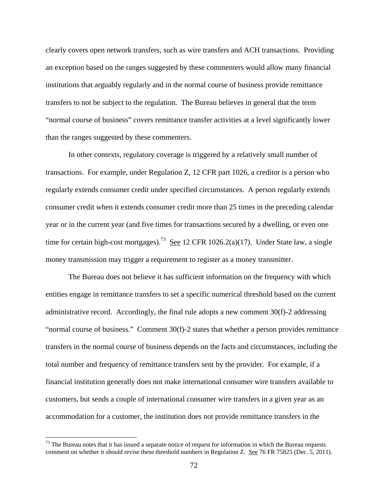clearly covers open network transfers, such as wire transfers and ACH transactions. Providing an exception based on the ranges suggested by these commenters would allow many financial institutions that arguably regularly and in the normal course of business provide remittance transfers to not be subject to the regulation. The Bureau believes in general that the term "normal course of business" covers remittance transfer activities at a level significantly lower than the ranges suggested by these commenters.

In other contexts, regulatory coverage is triggered by a relatively small number of transactions. For example, under Regulation Z, 12 CFR part 1026, a creditor is a person who regularly extends consumer credit under specified circumstances. A person regularly extends consumer credit when it extends consumer credit more than 25 times in the preceding calendar year or in the current year (and five times for transactions secured by a dwelling, or even one time for certain high-cost mortgages).<sup>73</sup> See 12 CFR 1026.2(a)(17). Under State law, a single money transmission may trigger a requirement to register as a money transmitter.

The Bureau does not believe it has sufficient information on the frequency with which entities engage in remittance transfers to set a specific numerical threshold based on the current administrative record. Accordingly, the final rule adopts a new comment 30(f)-2 addressing "normal course of business." Comment  $30(f)-2$  states that whether a person provides remittance transfers in the normal course of business depends on the facts and circumstances, including the total number and frequency of remittance transfers sent by the provider. For example, if a financial institution generally does not make international consumer wire transfers available to customers, but sends a couple of international consumer wire transfers in a given year as an accommodation for a customer, the institution does not provide remittance transfers in the

 $\overline{a}$ 

 $73$  The Bureau notes that it has issued a separate notice of request for information in which the Bureau requests comment on whether it should revise these threshold numbers in Regulation Z. See 76 FR 75825 (Dec. 5, 2011).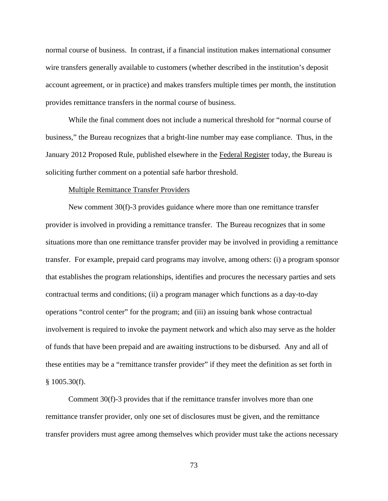normal course of business. In contrast, if a financial institution makes international consumer wire transfers generally available to customers (whether described in the institution's deposit account agreement, or in practice) and makes transfers multiple times per month, the institution provides remittance transfers in the normal course of business.

While the final comment does not include a numerical threshold for "normal course of business," the Bureau recognizes that a bright-line number may ease compliance. Thus, in the January 2012 Proposed Rule, published elsewhere in the Federal Register today, the Bureau is soliciting further comment on a potential safe harbor threshold.

# Multiple Remittance Transfer Providers

New comment 30(f)-3 provides guidance where more than one remittance transfer provider is involved in providing a remittance transfer. The Bureau recognizes that in some situations more than one remittance transfer provider may be involved in providing a remittance transfer. For example, prepaid card programs may involve, among others: (i) a program sponsor that establishes the program relationships, identifies and procures the necessary parties and sets contractual terms and conditions; (ii) a program manager which functions as a day-to-day operations "control center" for the program; and (iii) an issuing bank whose contractual involvement is required to invoke the payment network and which also may serve as the holder of funds that have been prepaid and are awaiting instructions to be disbursed. Any and all of these entities may be a "remittance transfer provider" if they meet the definition as set forth in § 1005.30(f).

Comment 30(f)-3 provides that if the remittance transfer involves more than one remittance transfer provider, only one set of disclosures must be given, and the remittance transfer providers must agree among themselves which provider must take the actions necessary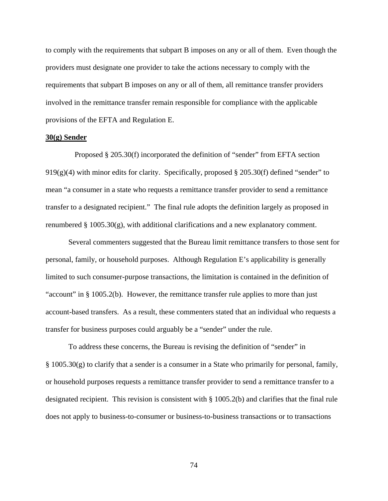to comply with the requirements that subpart B imposes on any or all of them. Even though the providers must designate one provider to take the actions necessary to comply with the requirements that subpart B imposes on any or all of them, all remittance transfer providers involved in the remittance transfer remain responsible for compliance with the applicable provisions of the EFTA and Regulation E.

# **30(g) Sender**

 Proposed § 205.30(f) incorporated the definition of "sender" from EFTA section  $919(g)(4)$  with minor edits for clarity. Specifically, proposed § 205.30(f) defined "sender" to mean "a consumer in a state who requests a remittance transfer provider to send a remittance transfer to a designated recipient." The final rule adopts the definition largely as proposed in renumbered § 1005.30(g), with additional clarifications and a new explanatory comment.

 Several commenters suggested that the Bureau limit remittance transfers to those sent for personal, family, or household purposes. Although Regulation E's applicability is generally limited to such consumer-purpose transactions, the limitation is contained in the definition of "account" in § 1005.2(b). However, the remittance transfer rule applies to more than just account-based transfers. As a result, these commenters stated that an individual who requests a transfer for business purposes could arguably be a "sender" under the rule.

To address these concerns, the Bureau is revising the definition of "sender" in § 1005.30(g) to clarify that a sender is a consumer in a State who primarily for personal, family, or household purposes requests a remittance transfer provider to send a remittance transfer to a designated recipient. This revision is consistent with § 1005.2(b) and clarifies that the final rule does not apply to business-to-consumer or business-to-business transactions or to transactions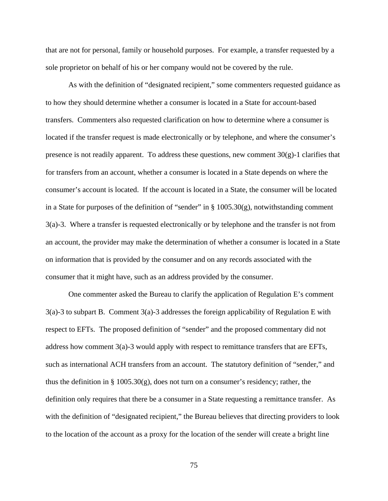that are not for personal, family or household purposes. For example, a transfer requested by a sole proprietor on behalf of his or her company would not be covered by the rule.

As with the definition of "designated recipient," some commenters requested guidance as to how they should determine whether a consumer is located in a State for account-based transfers. Commenters also requested clarification on how to determine where a consumer is located if the transfer request is made electronically or by telephone, and where the consumer's presence is not readily apparent. To address these questions, new comment  $30(g)-1$  clarifies that for transfers from an account, whether a consumer is located in a State depends on where the consumer's account is located. If the account is located in a State, the consumer will be located in a State for purposes of the definition of "sender" in  $\S$  1005.30(g), notwithstanding comment 3(a)-3. Where a transfer is requested electronically or by telephone and the transfer is not from an account, the provider may make the determination of whether a consumer is located in a State on information that is provided by the consumer and on any records associated with the consumer that it might have, such as an address provided by the consumer.

One commenter asked the Bureau to clarify the application of Regulation E's comment  $3(a)$ -3 to subpart B. Comment  $3(a)$ -3 addresses the foreign applicability of Regulation E with respect to EFTs. The proposed definition of "sender" and the proposed commentary did not address how comment  $3(a)$ -3 would apply with respect to remittance transfers that are EFTs, such as international ACH transfers from an account. The statutory definition of "sender," and thus the definition in § 1005.30(g), does not turn on a consumer's residency; rather, the definition only requires that there be a consumer in a State requesting a remittance transfer. As with the definition of "designated recipient," the Bureau believes that directing providers to look to the location of the account as a proxy for the location of the sender will create a bright line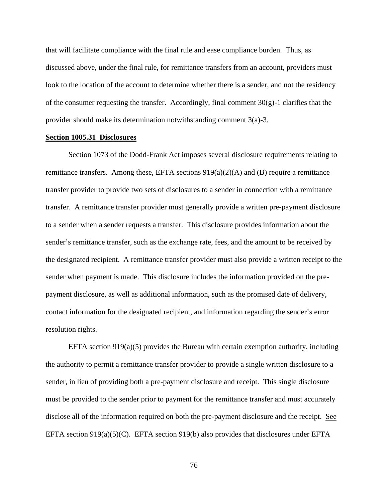that will facilitate compliance with the final rule and ease compliance burden. Thus, as discussed above, under the final rule, for remittance transfers from an account, providers must look to the location of the account to determine whether there is a sender, and not the residency of the consumer requesting the transfer. Accordingly, final comment  $30(g)$ -1 clarifies that the provider should make its determination notwithstanding comment 3(a)-3.

## **Section 1005.31 Disclosures**

Section 1073 of the Dodd-Frank Act imposes several disclosure requirements relating to remittance transfers. Among these, EFTA sections  $919(a)(2)(A)$  and (B) require a remittance transfer provider to provide two sets of disclosures to a sender in connection with a remittance transfer. A remittance transfer provider must generally provide a written pre-payment disclosure to a sender when a sender requests a transfer. This disclosure provides information about the sender's remittance transfer, such as the exchange rate, fees, and the amount to be received by the designated recipient. A remittance transfer provider must also provide a written receipt to the sender when payment is made. This disclosure includes the information provided on the prepayment disclosure, as well as additional information, such as the promised date of delivery, contact information for the designated recipient, and information regarding the sender's error resolution rights.

EFTA section  $919(a)(5)$  provides the Bureau with certain exemption authority, including the authority to permit a remittance transfer provider to provide a single written disclosure to a sender, in lieu of providing both a pre-payment disclosure and receipt. This single disclosure must be provided to the sender prior to payment for the remittance transfer and must accurately disclose all of the information required on both the pre-payment disclosure and the receipt. See EFTA section 919(a)(5)(C). EFTA section 919(b) also provides that disclosures under EFTA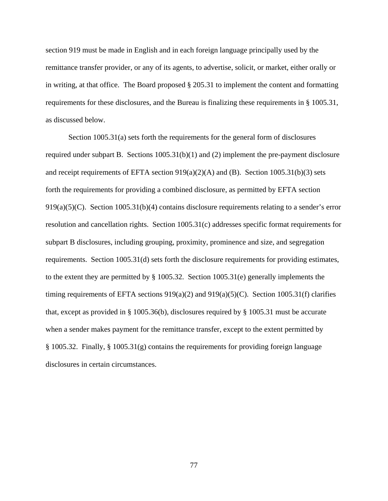section 919 must be made in English and in each foreign language principally used by the remittance transfer provider, or any of its agents, to advertise, solicit, or market, either orally or in writing, at that office. The Board proposed § 205.31 to implement the content and formatting requirements for these disclosures, and the Bureau is finalizing these requirements in § 1005.31, as discussed below.

Section 1005.31(a) sets forth the requirements for the general form of disclosures required under subpart B. Sections 1005.31(b)(1) and (2) implement the pre-payment disclosure and receipt requirements of EFTA section  $919(a)(2)(A)$  and (B). Section 1005.31(b)(3) sets forth the requirements for providing a combined disclosure, as permitted by EFTA section 919(a)(5)(C). Section 1005.31(b)(4) contains disclosure requirements relating to a sender's error resolution and cancellation rights. Section 1005.31(c) addresses specific format requirements for subpart B disclosures, including grouping, proximity, prominence and size, and segregation requirements. Section 1005.31(d) sets forth the disclosure requirements for providing estimates, to the extent they are permitted by § 1005.32. Section 1005.31(e) generally implements the timing requirements of EFTA sections  $919(a)(2)$  and  $919(a)(5)(C)$ . Section 1005.31(f) clarifies that, except as provided in § 1005.36(b), disclosures required by § 1005.31 must be accurate when a sender makes payment for the remittance transfer, except to the extent permitted by § 1005.32. Finally, § 1005.31(g) contains the requirements for providing foreign language disclosures in certain circumstances.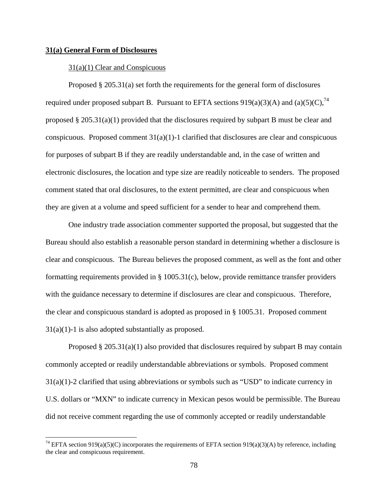# **31(a) General Form of Disclosures**

 $\overline{a}$ 

# 31(a)(1) Clear and Conspicuous

Proposed § 205.31(a) set forth the requirements for the general form of disclosures required under proposed subpart B. Pursuant to EFTA sections  $919(a)(3)(A)$  and  $(a)(5)(C)$ ,<sup>74</sup> proposed  $\S 205.31(a)(1)$  provided that the disclosures required by subpart B must be clear and conspicuous. Proposed comment 31(a)(1)-1 clarified that disclosures are clear and conspicuous for purposes of subpart B if they are readily understandable and, in the case of written and electronic disclosures, the location and type size are readily noticeable to senders. The proposed comment stated that oral disclosures, to the extent permitted, are clear and conspicuous when they are given at a volume and speed sufficient for a sender to hear and comprehend them.

One industry trade association commenter supported the proposal, but suggested that the Bureau should also establish a reasonable person standard in determining whether a disclosure is clear and conspicuous. The Bureau believes the proposed comment, as well as the font and other formatting requirements provided in § 1005.31(c), below, provide remittance transfer providers with the guidance necessary to determine if disclosures are clear and conspicuous. Therefore, the clear and conspicuous standard is adopted as proposed in § 1005.31. Proposed comment  $31(a)(1)-1$  is also adopted substantially as proposed.

Proposed  $\S 205.31(a)(1)$  also provided that disclosures required by subpart B may contain commonly accepted or readily understandable abbreviations or symbols. Proposed comment 31(a)(1)-2 clarified that using abbreviations or symbols such as "USD" to indicate currency in U.S. dollars or "MXN" to indicate currency in Mexican pesos would be permissible. The Bureau did not receive comment regarding the use of commonly accepted or readily understandable

<sup>&</sup>lt;sup>74</sup> EFTA section 919(a)(5)(C) incorporates the requirements of EFTA section 919(a)(3)(A) by reference, including the clear and conspicuous requirement.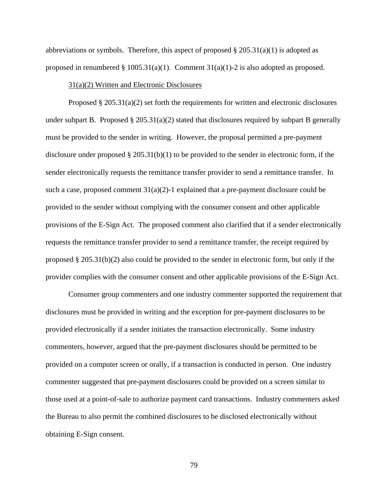abbreviations or symbols. Therefore, this aspect of proposed  $\S 205.31(a)(1)$  is adopted as proposed in renumbered § 1005.31(a)(1). Comment 31(a)(1)-2 is also adopted as proposed.

## 31(a)(2) Written and Electronic Disclosures

 Proposed § 205.31(a)(2) set forth the requirements for written and electronic disclosures under subpart B. Proposed  $\S 205.31(a)(2)$  stated that disclosures required by subpart B generally must be provided to the sender in writing. However, the proposal permitted a pre-payment disclosure under proposed § 205.31(b)(1) to be provided to the sender in electronic form, if the sender electronically requests the remittance transfer provider to send a remittance transfer. In such a case, proposed comment  $31(a)(2)-1$  explained that a pre-payment disclosure could be provided to the sender without complying with the consumer consent and other applicable provisions of the E-Sign Act. The proposed comment also clarified that if a sender electronically requests the remittance transfer provider to send a remittance transfer, the receipt required by proposed § 205.31(b)(2) also could be provided to the sender in electronic form, but only if the provider complies with the consumer consent and other applicable provisions of the E-Sign Act.

Consumer group commenters and one industry commenter supported the requirement that disclosures must be provided in writing and the exception for pre-payment disclosures to be provided electronically if a sender initiates the transaction electronically. Some industry commenters, however, argued that the pre-payment disclosures should be permitted to be provided on a computer screen or orally, if a transaction is conducted in person. One industry commenter suggested that pre-payment disclosures could be provided on a screen similar to those used at a point-of-sale to authorize payment card transactions. Industry commenters asked the Bureau to also permit the combined disclosures to be disclosed electronically without obtaining E-Sign consent.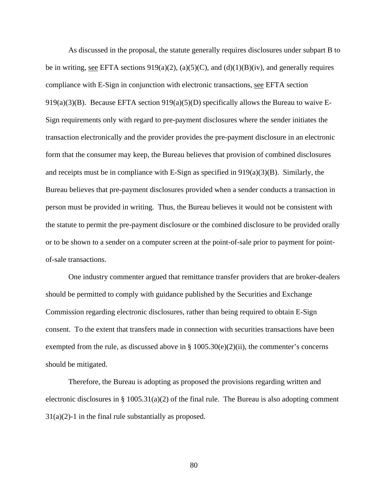As discussed in the proposal, the statute generally requires disclosures under subpart B to be in writing, see EFTA sections  $919(a)(2)$ ,  $(a)(5)(C)$ , and  $(d)(1)(B)(iv)$ , and generally requires compliance with E-Sign in conjunction with electronic transactions, see EFTA section 919(a)(3)(B). Because EFTA section  $919(a)(5)(D)$  specifically allows the Bureau to waive E-Sign requirements only with regard to pre-payment disclosures where the sender initiates the transaction electronically and the provider provides the pre-payment disclosure in an electronic form that the consumer may keep, the Bureau believes that provision of combined disclosures and receipts must be in compliance with E-Sign as specified in  $919(a)(3)(B)$ . Similarly, the Bureau believes that pre-payment disclosures provided when a sender conducts a transaction in person must be provided in writing. Thus, the Bureau believes it would not be consistent with the statute to permit the pre-payment disclosure or the combined disclosure to be provided orally or to be shown to a sender on a computer screen at the point-of-sale prior to payment for pointof-sale transactions.

One industry commenter argued that remittance transfer providers that are broker-dealers should be permitted to comply with guidance published by the Securities and Exchange Commission regarding electronic disclosures, rather than being required to obtain E-Sign consent. To the extent that transfers made in connection with securities transactions have been exempted from the rule, as discussed above in §  $1005.30(e)(2)(ii)$ , the commenter's concerns should be mitigated.

Therefore, the Bureau is adopting as proposed the provisions regarding written and electronic disclosures in  $\S 1005.31(a)(2)$  of the final rule. The Bureau is also adopting comment  $31(a)(2)-1$  in the final rule substantially as proposed.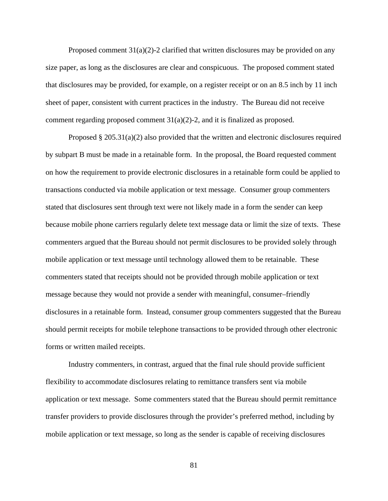Proposed comment  $31(a)(2)-2$  clarified that written disclosures may be provided on any size paper, as long as the disclosures are clear and conspicuous. The proposed comment stated that disclosures may be provided, for example, on a register receipt or on an 8.5 inch by 11 inch sheet of paper, consistent with current practices in the industry. The Bureau did not receive comment regarding proposed comment  $31(a)(2)-2$ , and it is finalized as proposed.

Proposed § 205.31(a)(2) also provided that the written and electronic disclosures required by subpart B must be made in a retainable form. In the proposal, the Board requested comment on how the requirement to provide electronic disclosures in a retainable form could be applied to transactions conducted via mobile application or text message. Consumer group commenters stated that disclosures sent through text were not likely made in a form the sender can keep because mobile phone carriers regularly delete text message data or limit the size of texts. These commenters argued that the Bureau should not permit disclosures to be provided solely through mobile application or text message until technology allowed them to be retainable. These commenters stated that receipts should not be provided through mobile application or text message because they would not provide a sender with meaningful, consumer–friendly disclosures in a retainable form. Instead, consumer group commenters suggested that the Bureau should permit receipts for mobile telephone transactions to be provided through other electronic forms or written mailed receipts.

Industry commenters, in contrast, argued that the final rule should provide sufficient flexibility to accommodate disclosures relating to remittance transfers sent via mobile application or text message. Some commenters stated that the Bureau should permit remittance transfer providers to provide disclosures through the provider's preferred method, including by mobile application or text message, so long as the sender is capable of receiving disclosures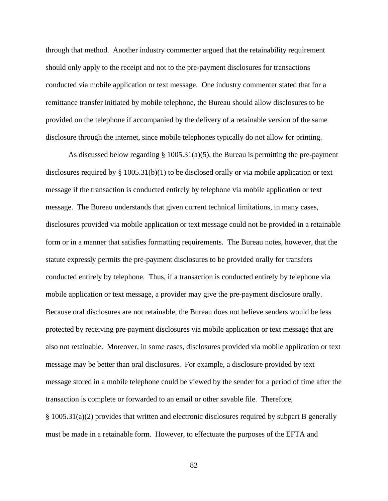through that method. Another industry commenter argued that the retainability requirement should only apply to the receipt and not to the pre-payment disclosures for transactions conducted via mobile application or text message. One industry commenter stated that for a remittance transfer initiated by mobile telephone, the Bureau should allow disclosures to be provided on the telephone if accompanied by the delivery of a retainable version of the same disclosure through the internet, since mobile telephones typically do not allow for printing.

As discussed below regarding  $\S 1005.31(a)(5)$ , the Bureau is permitting the pre-payment disclosures required by  $\S 1005.31(b)(1)$  to be disclosed orally or via mobile application or text message if the transaction is conducted entirely by telephone via mobile application or text message. The Bureau understands that given current technical limitations, in many cases, disclosures provided via mobile application or text message could not be provided in a retainable form or in a manner that satisfies formatting requirements. The Bureau notes, however, that the statute expressly permits the pre-payment disclosures to be provided orally for transfers conducted entirely by telephone. Thus, if a transaction is conducted entirely by telephone via mobile application or text message, a provider may give the pre-payment disclosure orally. Because oral disclosures are not retainable, the Bureau does not believe senders would be less protected by receiving pre-payment disclosures via mobile application or text message that are also not retainable. Moreover, in some cases, disclosures provided via mobile application or text message may be better than oral disclosures. For example, a disclosure provided by text message stored in a mobile telephone could be viewed by the sender for a period of time after the transaction is complete or forwarded to an email or other savable file. Therefore, § 1005.31(a)(2) provides that written and electronic disclosures required by subpart B generally must be made in a retainable form. However, to effectuate the purposes of the EFTA and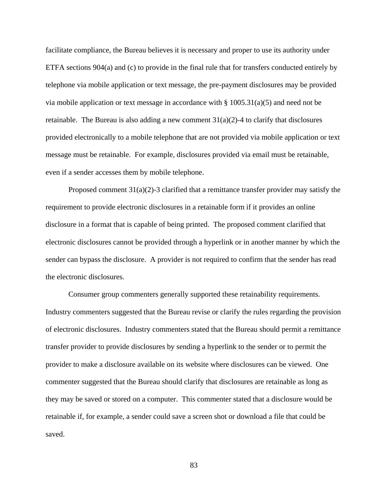facilitate compliance, the Bureau believes it is necessary and proper to use its authority under ETFA sections 904(a) and (c) to provide in the final rule that for transfers conducted entirely by telephone via mobile application or text message, the pre-payment disclosures may be provided via mobile application or text message in accordance with  $\S 1005.31(a)(5)$  and need not be retainable. The Bureau is also adding a new comment  $31(a)(2)$ -4 to clarify that disclosures provided electronically to a mobile telephone that are not provided via mobile application or text message must be retainable. For example, disclosures provided via email must be retainable, even if a sender accesses them by mobile telephone.

Proposed comment  $31(a)(2)-3$  clarified that a remittance transfer provider may satisfy the requirement to provide electronic disclosures in a retainable form if it provides an online disclosure in a format that is capable of being printed. The proposed comment clarified that electronic disclosures cannot be provided through a hyperlink or in another manner by which the sender can bypass the disclosure. A provider is not required to confirm that the sender has read the electronic disclosures.

Consumer group commenters generally supported these retainability requirements. Industry commenters suggested that the Bureau revise or clarify the rules regarding the provision of electronic disclosures. Industry commenters stated that the Bureau should permit a remittance transfer provider to provide disclosures by sending a hyperlink to the sender or to permit the provider to make a disclosure available on its website where disclosures can be viewed. One commenter suggested that the Bureau should clarify that disclosures are retainable as long as they may be saved or stored on a computer. This commenter stated that a disclosure would be retainable if, for example, a sender could save a screen shot or download a file that could be saved.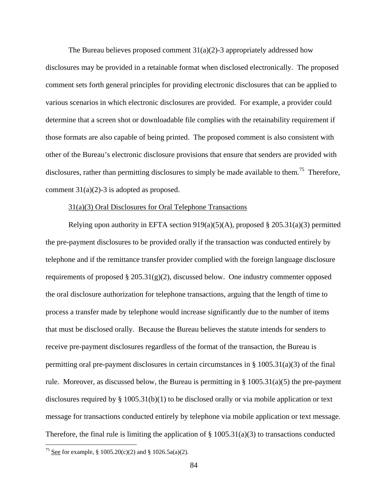The Bureau believes proposed comment  $31(a)(2)-3$  appropriately addressed how disclosures may be provided in a retainable format when disclosed electronically. The proposed comment sets forth general principles for providing electronic disclosures that can be applied to various scenarios in which electronic disclosures are provided. For example, a provider could determine that a screen shot or downloadable file complies with the retainability requirement if those formats are also capable of being printed. The proposed comment is also consistent with other of the Bureau's electronic disclosure provisions that ensure that senders are provided with disclosures, rather than permitting disclosures to simply be made available to them.<sup>75</sup> Therefore, comment 31(a)(2)-3 is adopted as proposed.

# 31(a)(3) Oral Disclosures for Oral Telephone Transactions

Relying upon authority in EFTA section  $919(a)(5)(A)$ , proposed § 205.31(a)(3) permitted the pre-payment disclosures to be provided orally if the transaction was conducted entirely by telephone and if the remittance transfer provider complied with the foreign language disclosure requirements of proposed  $\S 205.31(g)(2)$ , discussed below. One industry commenter opposed the oral disclosure authorization for telephone transactions, arguing that the length of time to process a transfer made by telephone would increase significantly due to the number of items that must be disclosed orally. Because the Bureau believes the statute intends for senders to receive pre-payment disclosures regardless of the format of the transaction, the Bureau is permitting oral pre-payment disclosures in certain circumstances in §  $1005.31(a)(3)$  of the final rule. Moreover, as discussed below, the Bureau is permitting in § 1005.31(a)(5) the pre-payment disclosures required by  $\S 1005.31(b)(1)$  to be disclosed orally or via mobile application or text message for transactions conducted entirely by telephone via mobile application or text message. Therefore, the final rule is limiting the application of  $\S 1005.31(a)(3)$  to transactions conducted

 $\overline{a}$ 

<sup>&</sup>lt;sup>75</sup> See for example, § 1005.20(c)(2) and § 1026.5a(a)(2).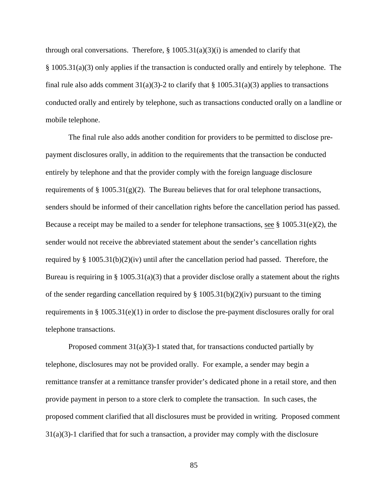through oral conversations. Therefore,  $\S 1005.31(a)(3)(i)$  is amended to clarify that § 1005.31(a)(3) only applies if the transaction is conducted orally and entirely by telephone. The final rule also adds comment  $31(a)(3)-2$  to clarify that §  $1005.31(a)(3)$  applies to transactions conducted orally and entirely by telephone, such as transactions conducted orally on a landline or mobile telephone.

The final rule also adds another condition for providers to be permitted to disclose prepayment disclosures orally, in addition to the requirements that the transaction be conducted entirely by telephone and that the provider comply with the foreign language disclosure requirements of  $\S 1005.31(g)(2)$ . The Bureau believes that for oral telephone transactions, senders should be informed of their cancellation rights before the cancellation period has passed. Because a receipt may be mailed to a sender for telephone transactions, see  $\S$  1005.31(e)(2), the sender would not receive the abbreviated statement about the sender's cancellation rights required by § 1005.31(b)(2)(iv) until after the cancellation period had passed. Therefore, the Bureau is requiring in § 1005.31(a)(3) that a provider disclose orally a statement about the rights of the sender regarding cancellation required by  $\S 1005.31(b)(2)(iv)$  pursuant to the timing requirements in § 1005.31(e)(1) in order to disclose the pre-payment disclosures orally for oral telephone transactions.

Proposed comment  $31(a)(3)-1$  stated that, for transactions conducted partially by telephone, disclosures may not be provided orally. For example, a sender may begin a remittance transfer at a remittance transfer provider's dedicated phone in a retail store, and then provide payment in person to a store clerk to complete the transaction. In such cases, the proposed comment clarified that all disclosures must be provided in writing. Proposed comment  $31(a)(3)-1$  clarified that for such a transaction, a provider may comply with the disclosure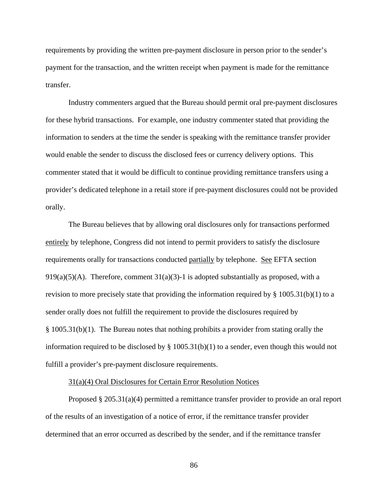requirements by providing the written pre-payment disclosure in person prior to the sender's payment for the transaction, and the written receipt when payment is made for the remittance transfer.

Industry commenters argued that the Bureau should permit oral pre-payment disclosures for these hybrid transactions. For example, one industry commenter stated that providing the information to senders at the time the sender is speaking with the remittance transfer provider would enable the sender to discuss the disclosed fees or currency delivery options. This commenter stated that it would be difficult to continue providing remittance transfers using a provider's dedicated telephone in a retail store if pre-payment disclosures could not be provided orally.

The Bureau believes that by allowing oral disclosures only for transactions performed entirely by telephone, Congress did not intend to permit providers to satisfy the disclosure requirements orally for transactions conducted partially by telephone. See EFTA section 919(a)(5)(A). Therefore, comment  $31(a)(3)-1$  is adopted substantially as proposed, with a revision to more precisely state that providing the information required by § 1005.31(b)(1) to a sender orally does not fulfill the requirement to provide the disclosures required by  $§ 1005.31(b)(1)$ . The Bureau notes that nothing prohibits a provider from stating orally the information required to be disclosed by  $\S 1005.31(b)(1)$  to a sender, even though this would not fulfill a provider's pre-payment disclosure requirements.

# 31(a)(4) Oral Disclosures for Certain Error Resolution Notices

Proposed § 205.31(a)(4) permitted a remittance transfer provider to provide an oral report of the results of an investigation of a notice of error, if the remittance transfer provider determined that an error occurred as described by the sender, and if the remittance transfer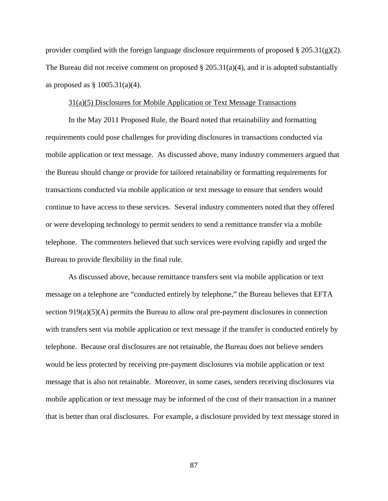provider complied with the foreign language disclosure requirements of proposed § 205.31(g)(2). The Bureau did not receive comment on proposed  $\S 205.31(a)(4)$ , and it is adopted substantially as proposed as  $\S 1005.31(a)(4)$ .

## 31(a)(5) Disclosures for Mobile Application or Text Message Transactions

 In the May 2011 Proposed Rule, the Board noted that retainability and formatting requirements could pose challenges for providing disclosures in transactions conducted via mobile application or text message. As discussed above, many industry commenters argued that the Bureau should change or provide for tailored retainability or formatting requirements for transactions conducted via mobile application or text message to ensure that senders would continue to have access to these services. Several industry commenters noted that they offered or were developing technology to permit senders to send a remittance transfer via a mobile telephone. The commenters believed that such services were evolving rapidly and urged the Bureau to provide flexibility in the final rule.

As discussed above, because remittance transfers sent via mobile application or text message on a telephone are "conducted entirely by telephone," the Bureau believes that EFTA section  $919(a)(5)(A)$  permits the Bureau to allow oral pre-payment disclosures in connection with transfers sent via mobile application or text message if the transfer is conducted entirely by telephone. Because oral disclosures are not retainable, the Bureau does not believe senders would be less protected by receiving pre-payment disclosures via mobile application or text message that is also not retainable. Moreover, in some cases, senders receiving disclosures via mobile application or text message may be informed of the cost of their transaction in a manner that is better than oral disclosures. For example, a disclosure provided by text message stored in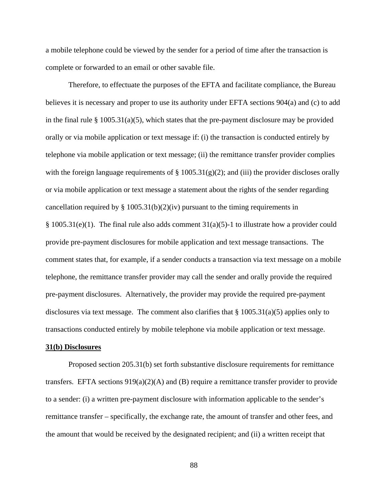a mobile telephone could be viewed by the sender for a period of time after the transaction is complete or forwarded to an email or other savable file.

Therefore, to effectuate the purposes of the EFTA and facilitate compliance, the Bureau believes it is necessary and proper to use its authority under EFTA sections 904(a) and (c) to add in the final rule  $\S 1005.31(a)(5)$ , which states that the pre-payment disclosure may be provided orally or via mobile application or text message if: (i) the transaction is conducted entirely by telephone via mobile application or text message; (ii) the remittance transfer provider complies with the foreign language requirements of  $\S 1005.31(g)(2)$ ; and (iii) the provider discloses orally or via mobile application or text message a statement about the rights of the sender regarding cancellation required by  $\S 1005.31(b)(2)(iv)$  pursuant to the timing requirements in § 1005.31(e)(1). The final rule also adds comment  $31(a)(5)-1$  to illustrate how a provider could provide pre-payment disclosures for mobile application and text message transactions. The comment states that, for example, if a sender conducts a transaction via text message on a mobile telephone, the remittance transfer provider may call the sender and orally provide the required pre-payment disclosures. Alternatively, the provider may provide the required pre-payment disclosures via text message. The comment also clarifies that  $\S 1005.31(a)(5)$  applies only to transactions conducted entirely by mobile telephone via mobile application or text message.

#### **31(b) Disclosures**

 Proposed section 205.31(b) set forth substantive disclosure requirements for remittance transfers. EFTA sections  $919(a)(2)(A)$  and (B) require a remittance transfer provider to provide to a sender: (i) a written pre-payment disclosure with information applicable to the sender's remittance transfer – specifically, the exchange rate, the amount of transfer and other fees, and the amount that would be received by the designated recipient; and (ii) a written receipt that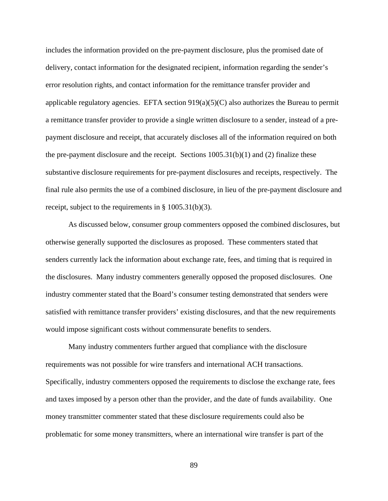includes the information provided on the pre-payment disclosure, plus the promised date of delivery, contact information for the designated recipient, information regarding the sender's error resolution rights, and contact information for the remittance transfer provider and applicable regulatory agencies. EFTA section  $919(a)(5)(C)$  also authorizes the Bureau to permit a remittance transfer provider to provide a single written disclosure to a sender, instead of a prepayment disclosure and receipt, that accurately discloses all of the information required on both the pre-payment disclosure and the receipt. Sections  $1005.31(b)(1)$  and (2) finalize these substantive disclosure requirements for pre-payment disclosures and receipts, respectively. The final rule also permits the use of a combined disclosure, in lieu of the pre-payment disclosure and receipt, subject to the requirements in § 1005.31(b)(3).

As discussed below, consumer group commenters opposed the combined disclosures, but otherwise generally supported the disclosures as proposed. These commenters stated that senders currently lack the information about exchange rate, fees, and timing that is required in the disclosures. Many industry commenters generally opposed the proposed disclosures. One industry commenter stated that the Board's consumer testing demonstrated that senders were satisfied with remittance transfer providers' existing disclosures, and that the new requirements would impose significant costs without commensurate benefits to senders.

Many industry commenters further argued that compliance with the disclosure requirements was not possible for wire transfers and international ACH transactions. Specifically, industry commenters opposed the requirements to disclose the exchange rate, fees and taxes imposed by a person other than the provider, and the date of funds availability. One money transmitter commenter stated that these disclosure requirements could also be problematic for some money transmitters, where an international wire transfer is part of the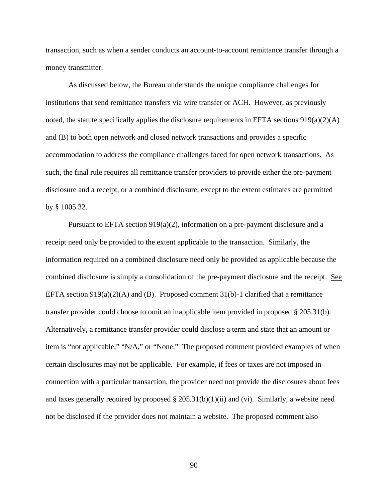transaction, such as when a sender conducts an account-to-account remittance transfer through a money transmitter.

As discussed below, the Bureau understands the unique compliance challenges for institutions that send remittance transfers via wire transfer or ACH. However, as previously noted, the statute specifically applies the disclosure requirements in EFTA sections  $919(a)(2)(A)$ and (B) to both open network and closed network transactions and provides a specific accommodation to address the compliance challenges faced for open network transactions. As such, the final rule requires all remittance transfer providers to provide either the pre-payment disclosure and a receipt, or a combined disclosure, except to the extent estimates are permitted by § 1005.32.

Pursuant to EFTA section 919(a)(2), information on a pre-payment disclosure and a receipt need only be provided to the extent applicable to the transaction. Similarly, the information required on a combined disclosure need only be provided as applicable because the combined disclosure is simply a consolidation of the pre-payment disclosure and the receipt. See EFTA section  $919(a)(2)(A)$  and (B). Proposed comment  $31(b)$ -1 clarified that a remittance transfer provider could choose to omit an inapplicable item provided in proposed § 205.31(b). Alternatively, a remittance transfer provider could disclose a term and state that an amount or item is "not applicable," "N/A," or "None." The proposed comment provided examples of when certain disclosures may not be applicable. For example, if fees or taxes are not imposed in connection with a particular transaction, the provider need not provide the disclosures about fees and taxes generally required by proposed  $\S 205.31(b)(1)(ii)$  and (vi). Similarly, a website need not be disclosed if the provider does not maintain a website. The proposed comment also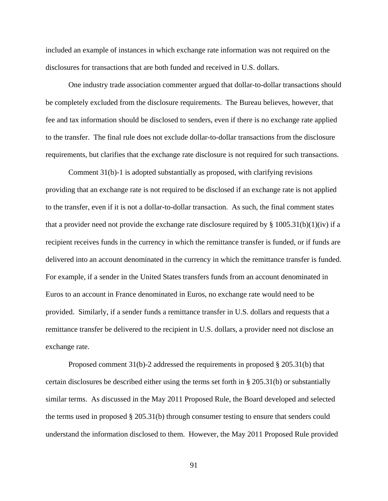included an example of instances in which exchange rate information was not required on the disclosures for transactions that are both funded and received in U.S. dollars.

One industry trade association commenter argued that dollar-to-dollar transactions should be completely excluded from the disclosure requirements. The Bureau believes, however, that fee and tax information should be disclosed to senders, even if there is no exchange rate applied to the transfer. The final rule does not exclude dollar-to-dollar transactions from the disclosure requirements, but clarifies that the exchange rate disclosure is not required for such transactions.

Comment 31(b)-1 is adopted substantially as proposed, with clarifying revisions providing that an exchange rate is not required to be disclosed if an exchange rate is not applied to the transfer, even if it is not a dollar-to-dollar transaction. As such, the final comment states that a provider need not provide the exchange rate disclosure required by  $\S$  1005.31(b)(1)(iv) if a recipient receives funds in the currency in which the remittance transfer is funded, or if funds are delivered into an account denominated in the currency in which the remittance transfer is funded. For example, if a sender in the United States transfers funds from an account denominated in Euros to an account in France denominated in Euros, no exchange rate would need to be provided. Similarly, if a sender funds a remittance transfer in U.S. dollars and requests that a remittance transfer be delivered to the recipient in U.S. dollars, a provider need not disclose an exchange rate.

Proposed comment  $31(b)-2$  addressed the requirements in proposed § 205.31(b) that certain disclosures be described either using the terms set forth in § 205.31(b) or substantially similar terms. As discussed in the May 2011 Proposed Rule, the Board developed and selected the terms used in proposed § 205.31(b) through consumer testing to ensure that senders could understand the information disclosed to them. However, the May 2011 Proposed Rule provided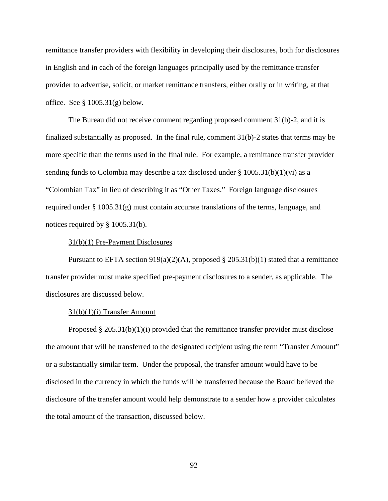remittance transfer providers with flexibility in developing their disclosures, both for disclosures in English and in each of the foreign languages principally used by the remittance transfer provider to advertise, solicit, or market remittance transfers, either orally or in writing, at that office. See  $\S 1005.31(g)$  below.

The Bureau did not receive comment regarding proposed comment 31(b)-2, and it is finalized substantially as proposed. In the final rule, comment 31(b)-2 states that terms may be more specific than the terms used in the final rule. For example, a remittance transfer provider sending funds to Colombia may describe a tax disclosed under  $\S$  1005.31(b)(1)(vi) as a "Colombian Tax" in lieu of describing it as "Other Taxes." Foreign language disclosures required under  $\S 1005.31(g)$  must contain accurate translations of the terms, language, and notices required by § 1005.31(b).

### 31(b)(1) Pre-Payment Disclosures

Pursuant to EFTA section  $919(a)(2)(A)$ , proposed § 205.31(b)(1) stated that a remittance transfer provider must make specified pre-payment disclosures to a sender, as applicable. The disclosures are discussed below.

### 31(b)(1)(i) Transfer Amount

Proposed  $\S 205.31(b)(1)(i)$  provided that the remittance transfer provider must disclose the amount that will be transferred to the designated recipient using the term "Transfer Amount" or a substantially similar term. Under the proposal, the transfer amount would have to be disclosed in the currency in which the funds will be transferred because the Board believed the disclosure of the transfer amount would help demonstrate to a sender how a provider calculates the total amount of the transaction, discussed below.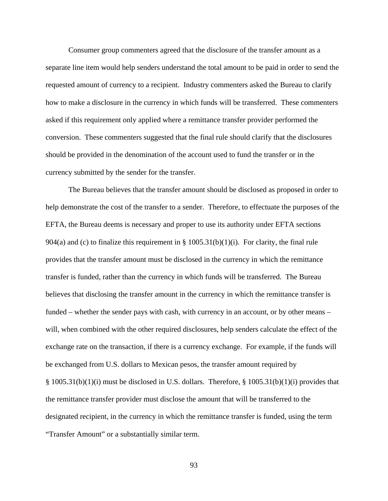Consumer group commenters agreed that the disclosure of the transfer amount as a separate line item would help senders understand the total amount to be paid in order to send the requested amount of currency to a recipient. Industry commenters asked the Bureau to clarify how to make a disclosure in the currency in which funds will be transferred. These commenters asked if this requirement only applied where a remittance transfer provider performed the conversion. These commenters suggested that the final rule should clarify that the disclosures should be provided in the denomination of the account used to fund the transfer or in the currency submitted by the sender for the transfer.

The Bureau believes that the transfer amount should be disclosed as proposed in order to help demonstrate the cost of the transfer to a sender. Therefore, to effectuate the purposes of the EFTA, the Bureau deems is necessary and proper to use its authority under EFTA sections 904(a) and (c) to finalize this requirement in §  $1005.31(b)(1)(i)$ . For clarity, the final rule provides that the transfer amount must be disclosed in the currency in which the remittance transfer is funded, rather than the currency in which funds will be transferred. The Bureau believes that disclosing the transfer amount in the currency in which the remittance transfer is funded – whether the sender pays with cash, with currency in an account, or by other means – will, when combined with the other required disclosures, help senders calculate the effect of the exchange rate on the transaction, if there is a currency exchange. For example, if the funds will be exchanged from U.S. dollars to Mexican pesos, the transfer amount required by  $§ 1005.31(b)(1)(i)$  must be disclosed in U.S. dollars. Therefore,  $§ 1005.31(b)(1)(i)$  provides that the remittance transfer provider must disclose the amount that will be transferred to the designated recipient, in the currency in which the remittance transfer is funded, using the term "Transfer Amount" or a substantially similar term.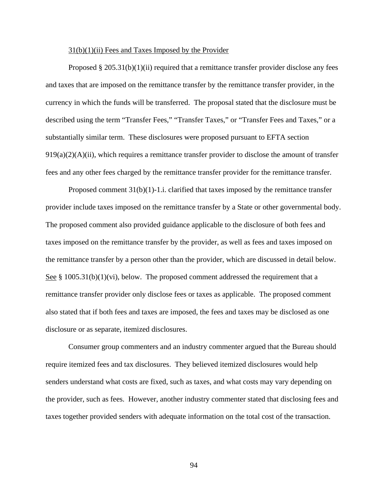# $31(b)(1)(ii)$  Fees and Taxes Imposed by the Provider

Proposed  $\S 205.31(b)(1)(ii)$  required that a remittance transfer provider disclose any fees and taxes that are imposed on the remittance transfer by the remittance transfer provider, in the currency in which the funds will be transferred. The proposal stated that the disclosure must be described using the term "Transfer Fees," "Transfer Taxes," or "Transfer Fees and Taxes," or a substantially similar term. These disclosures were proposed pursuant to EFTA section  $919(a)(2)(A)(ii)$ , which requires a remittance transfer provider to disclose the amount of transfer fees and any other fees charged by the remittance transfer provider for the remittance transfer.

Proposed comment  $31(b)(1)-1$ .i. clarified that taxes imposed by the remittance transfer provider include taxes imposed on the remittance transfer by a State or other governmental body. The proposed comment also provided guidance applicable to the disclosure of both fees and taxes imposed on the remittance transfer by the provider, as well as fees and taxes imposed on the remittance transfer by a person other than the provider, which are discussed in detail below. See §  $1005.31(b)(1)(vi)$ , below. The proposed comment addressed the requirement that a remittance transfer provider only disclose fees or taxes as applicable. The proposed comment also stated that if both fees and taxes are imposed, the fees and taxes may be disclosed as one disclosure or as separate, itemized disclosures.

Consumer group commenters and an industry commenter argued that the Bureau should require itemized fees and tax disclosures. They believed itemized disclosures would help senders understand what costs are fixed, such as taxes, and what costs may vary depending on the provider, such as fees. However, another industry commenter stated that disclosing fees and taxes together provided senders with adequate information on the total cost of the transaction.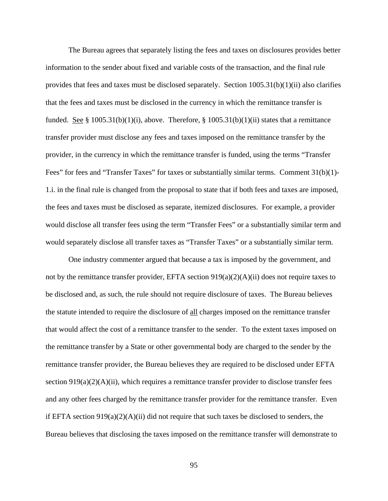The Bureau agrees that separately listing the fees and taxes on disclosures provides better information to the sender about fixed and variable costs of the transaction, and the final rule provides that fees and taxes must be disclosed separately. Section  $1005.31(b)(1)(ii)$  also clarifies that the fees and taxes must be disclosed in the currency in which the remittance transfer is funded. See § 1005.31(b)(1)(i), above. Therefore, § 1005.31(b)(1)(ii) states that a remittance transfer provider must disclose any fees and taxes imposed on the remittance transfer by the provider, in the currency in which the remittance transfer is funded, using the terms "Transfer Fees" for fees and "Transfer Taxes" for taxes or substantially similar terms. Comment 31(b)(1)-1.i. in the final rule is changed from the proposal to state that if both fees and taxes are imposed, the fees and taxes must be disclosed as separate, itemized disclosures. For example, a provider would disclose all transfer fees using the term "Transfer Fees" or a substantially similar term and would separately disclose all transfer taxes as "Transfer Taxes" or a substantially similar term.

One industry commenter argued that because a tax is imposed by the government, and not by the remittance transfer provider, EFTA section  $919(a)(2)(A)(ii)$  does not require taxes to be disclosed and, as such, the rule should not require disclosure of taxes. The Bureau believes the statute intended to require the disclosure of all charges imposed on the remittance transfer that would affect the cost of a remittance transfer to the sender. To the extent taxes imposed on the remittance transfer by a State or other governmental body are charged to the sender by the remittance transfer provider, the Bureau believes they are required to be disclosed under EFTA section  $919(a)(2)(A)(ii)$ , which requires a remittance transfer provider to disclose transfer fees and any other fees charged by the remittance transfer provider for the remittance transfer. Even if EFTA section  $919(a)(2)(A)(ii)$  did not require that such taxes be disclosed to senders, the Bureau believes that disclosing the taxes imposed on the remittance transfer will demonstrate to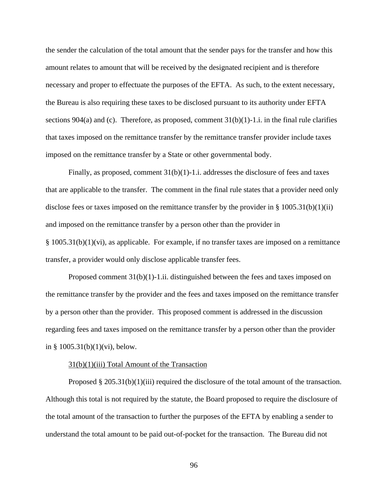the sender the calculation of the total amount that the sender pays for the transfer and how this amount relates to amount that will be received by the designated recipient and is therefore necessary and proper to effectuate the purposes of the EFTA. As such, to the extent necessary, the Bureau is also requiring these taxes to be disclosed pursuant to its authority under EFTA sections 904(a) and (c). Therefore, as proposed, comment  $31(b)(1)-1.i.$  in the final rule clarifies that taxes imposed on the remittance transfer by the remittance transfer provider include taxes imposed on the remittance transfer by a State or other governmental body.

Finally, as proposed, comment  $31(b)(1)-1.i.$  addresses the disclosure of fees and taxes that are applicable to the transfer. The comment in the final rule states that a provider need only disclose fees or taxes imposed on the remittance transfer by the provider in  $\S 1005.31(b)(1)(ii)$ and imposed on the remittance transfer by a person other than the provider in  $§ 1005.31(b)(1)(vi)$ , as applicable. For example, if no transfer taxes are imposed on a remittance transfer, a provider would only disclose applicable transfer fees.

Proposed comment 31(b)(1)-1.ii. distinguished between the fees and taxes imposed on the remittance transfer by the provider and the fees and taxes imposed on the remittance transfer by a person other than the provider. This proposed comment is addressed in the discussion regarding fees and taxes imposed on the remittance transfer by a person other than the provider in §  $1005.31(b)(1)(vi)$ , below.

### 31(b)(1)(iii) Total Amount of the Transaction

Proposed  $\S 205.31(b)(1)(iii)$  required the disclosure of the total amount of the transaction. Although this total is not required by the statute, the Board proposed to require the disclosure of the total amount of the transaction to further the purposes of the EFTA by enabling a sender to understand the total amount to be paid out-of-pocket for the transaction. The Bureau did not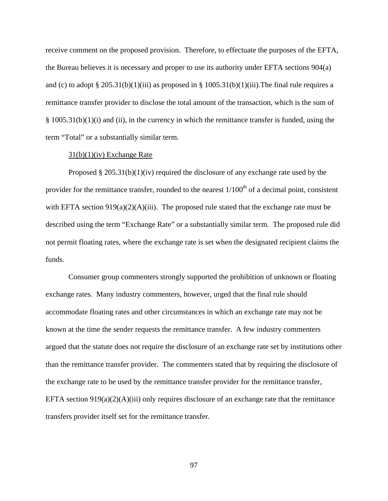receive comment on the proposed provision. Therefore, to effectuate the purposes of the EFTA, the Bureau believes it is necessary and proper to use its authority under EFTA sections 904(a) and (c) to adopt § 205.31(b)(1)(iii) as proposed in § 1005.31(b)(1)(iii). The final rule requires a remittance transfer provider to disclose the total amount of the transaction, which is the sum of  $§ 1005.31(b)(1)(i)$  and (ii), in the currency in which the remittance transfer is funded, using the term "Total" or a substantially similar term.

### 31(b)(1)(iv) Exchange Rate

Proposed  $\S 205.31(b)(1)(iv)$  required the disclosure of any exchange rate used by the provider for the remittance transfer, rounded to the nearest  $1/100<sup>th</sup>$  of a decimal point, consistent with EFTA section  $919(a)(2)(A)(iii)$ . The proposed rule stated that the exchange rate must be described using the term "Exchange Rate" or a substantially similar term. The proposed rule did not permit floating rates, where the exchange rate is set when the designated recipient claims the funds.

Consumer group commenters strongly supported the prohibition of unknown or floating exchange rates. Many industry commenters, however, urged that the final rule should accommodate floating rates and other circumstances in which an exchange rate may not be known at the time the sender requests the remittance transfer. A few industry commenters argued that the statute does not require the disclosure of an exchange rate set by institutions other than the remittance transfer provider. The commenters stated that by requiring the disclosure of the exchange rate to be used by the remittance transfer provider for the remittance transfer, EFTA section  $919(a)(2)(A)(iii)$  only requires disclosure of an exchange rate that the remittance transfers provider itself set for the remittance transfer.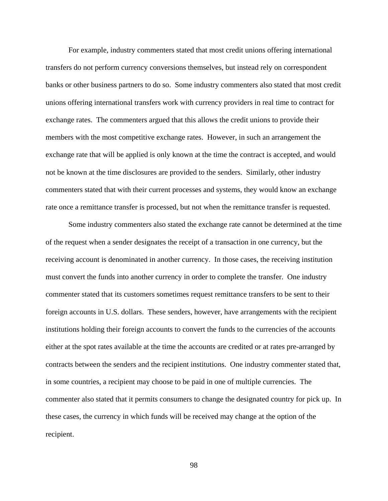For example, industry commenters stated that most credit unions offering international transfers do not perform currency conversions themselves, but instead rely on correspondent banks or other business partners to do so. Some industry commenters also stated that most credit unions offering international transfers work with currency providers in real time to contract for exchange rates. The commenters argued that this allows the credit unions to provide their members with the most competitive exchange rates. However, in such an arrangement the exchange rate that will be applied is only known at the time the contract is accepted, and would not be known at the time disclosures are provided to the senders. Similarly, other industry commenters stated that with their current processes and systems, they would know an exchange rate once a remittance transfer is processed, but not when the remittance transfer is requested.

Some industry commenters also stated the exchange rate cannot be determined at the time of the request when a sender designates the receipt of a transaction in one currency, but the receiving account is denominated in another currency. In those cases, the receiving institution must convert the funds into another currency in order to complete the transfer. One industry commenter stated that its customers sometimes request remittance transfers to be sent to their foreign accounts in U.S. dollars. These senders, however, have arrangements with the recipient institutions holding their foreign accounts to convert the funds to the currencies of the accounts either at the spot rates available at the time the accounts are credited or at rates pre-arranged by contracts between the senders and the recipient institutions. One industry commenter stated that, in some countries, a recipient may choose to be paid in one of multiple currencies. The commenter also stated that it permits consumers to change the designated country for pick up. In these cases, the currency in which funds will be received may change at the option of the recipient.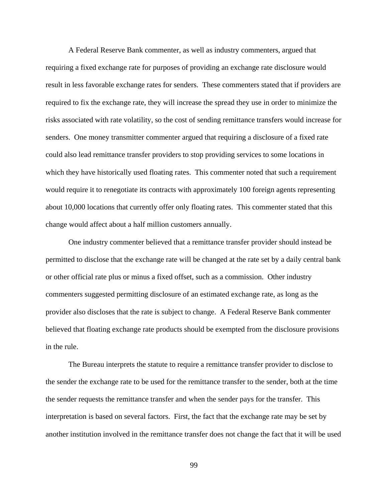A Federal Reserve Bank commenter, as well as industry commenters, argued that requiring a fixed exchange rate for purposes of providing an exchange rate disclosure would result in less favorable exchange rates for senders. These commenters stated that if providers are required to fix the exchange rate, they will increase the spread they use in order to minimize the risks associated with rate volatility, so the cost of sending remittance transfers would increase for senders. One money transmitter commenter argued that requiring a disclosure of a fixed rate could also lead remittance transfer providers to stop providing services to some locations in which they have historically used floating rates. This commenter noted that such a requirement would require it to renegotiate its contracts with approximately 100 foreign agents representing about 10,000 locations that currently offer only floating rates. This commenter stated that this change would affect about a half million customers annually.

One industry commenter believed that a remittance transfer provider should instead be permitted to disclose that the exchange rate will be changed at the rate set by a daily central bank or other official rate plus or minus a fixed offset, such as a commission. Other industry commenters suggested permitting disclosure of an estimated exchange rate, as long as the provider also discloses that the rate is subject to change. A Federal Reserve Bank commenter believed that floating exchange rate products should be exempted from the disclosure provisions in the rule.

The Bureau interprets the statute to require a remittance transfer provider to disclose to the sender the exchange rate to be used for the remittance transfer to the sender, both at the time the sender requests the remittance transfer and when the sender pays for the transfer. This interpretation is based on several factors. First, the fact that the exchange rate may be set by another institution involved in the remittance transfer does not change the fact that it will be used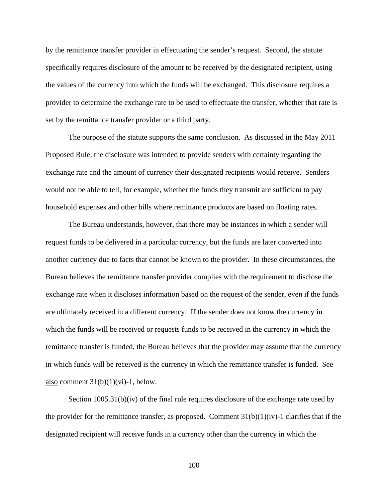by the remittance transfer provider in effectuating the sender's request. Second, the statute specifically requires disclosure of the amount to be received by the designated recipient, using the values of the currency into which the funds will be exchanged. This disclosure requires a provider to determine the exchange rate to be used to effectuate the transfer, whether that rate is set by the remittance transfer provider or a third party.

The purpose of the statute supports the same conclusion. As discussed in the May 2011 Proposed Rule, the disclosure was intended to provide senders with certainty regarding the exchange rate and the amount of currency their designated recipients would receive. Senders would not be able to tell, for example, whether the funds they transmit are sufficient to pay household expenses and other bills where remittance products are based on floating rates.

The Bureau understands, however, that there may be instances in which a sender will request funds to be delivered in a particular currency, but the funds are later converted into another currency due to facts that cannot be known to the provider. In these circumstances, the Bureau believes the remittance transfer provider complies with the requirement to disclose the exchange rate when it discloses information based on the request of the sender, even if the funds are ultimately received in a different currency. If the sender does not know the currency in which the funds will be received or requests funds to be received in the currency in which the remittance transfer is funded, the Bureau believes that the provider may assume that the currency in which funds will be received is the currency in which the remittance transfer is funded. See also comment  $31(b)(1)(vi)$ -1, below.

Section 1005.31(b)(iv) of the final rule requires disclosure of the exchange rate used by the provider for the remittance transfer, as proposed. Comment  $31(b)(1)(iv)$ -1 clarifies that if the designated recipient will receive funds in a currency other than the currency in which the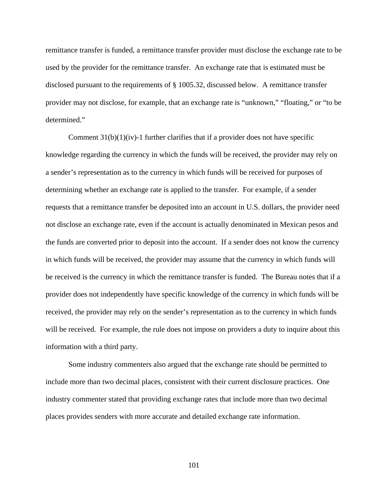remittance transfer is funded, a remittance transfer provider must disclose the exchange rate to be used by the provider for the remittance transfer. An exchange rate that is estimated must be disclosed pursuant to the requirements of § 1005.32, discussed below. A remittance transfer provider may not disclose, for example, that an exchange rate is "unknown," "floating," or "to be determined."

Comment  $31(b)(1)(iv)$ -1 further clarifies that if a provider does not have specific knowledge regarding the currency in which the funds will be received, the provider may rely on a sender's representation as to the currency in which funds will be received for purposes of determining whether an exchange rate is applied to the transfer. For example, if a sender requests that a remittance transfer be deposited into an account in U.S. dollars, the provider need not disclose an exchange rate, even if the account is actually denominated in Mexican pesos and the funds are converted prior to deposit into the account. If a sender does not know the currency in which funds will be received, the provider may assume that the currency in which funds will be received is the currency in which the remittance transfer is funded. The Bureau notes that if a provider does not independently have specific knowledge of the currency in which funds will be received, the provider may rely on the sender's representation as to the currency in which funds will be received. For example, the rule does not impose on providers a duty to inquire about this information with a third party.

Some industry commenters also argued that the exchange rate should be permitted to include more than two decimal places, consistent with their current disclosure practices. One industry commenter stated that providing exchange rates that include more than two decimal places provides senders with more accurate and detailed exchange rate information.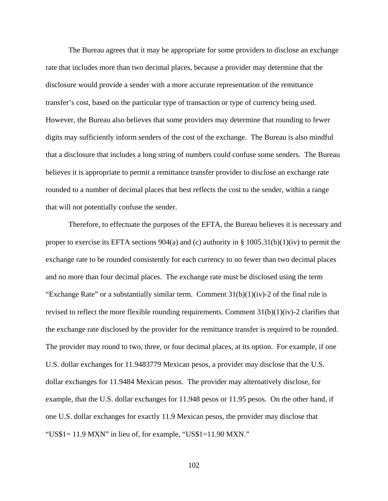The Bureau agrees that it may be appropriate for some providers to disclose an exchange rate that includes more than two decimal places, because a provider may determine that the disclosure would provide a sender with a more accurate representation of the remittance transfer's cost, based on the particular type of transaction or type of currency being used. However, the Bureau also believes that some providers may determine that rounding to fewer digits may sufficiently inform senders of the cost of the exchange. The Bureau is also mindful that a disclosure that includes a long string of numbers could confuse some senders. The Bureau believes it is appropriate to permit a remittance transfer provider to disclose an exchange rate rounded to a number of decimal places that best reflects the cost to the sender, within a range that will not potentially confuse the sender.

Therefore, to effectuate the purposes of the EFTA, the Bureau believes it is necessary and proper to exercise its EFTA sections  $904(a)$  and (c) authority in § 1005.31(b)(1)(iv) to permit the exchange rate to be rounded consistently for each currency to no fewer than two decimal places and no more than four decimal places. The exchange rate must be disclosed using the term "Exchange Rate" or a substantially similar term. Comment  $31(b)(1)(iv)$ -2 of the final rule is revised to reflect the more flexible rounding requirements. Comment  $31(b)(1)(iv)-2$  clarifies that the exchange rate disclosed by the provider for the remittance transfer is required to be rounded. The provider may round to two, three, or four decimal places, at its option. For example, if one U.S. dollar exchanges for 11.9483779 Mexican pesos, a provider may disclose that the U.S. dollar exchanges for 11.9484 Mexican pesos. The provider may alternatively disclose, for example, that the U.S. dollar exchanges for 11.948 pesos or 11.95 pesos. On the other hand, if one U.S. dollar exchanges for exactly 11.9 Mexican pesos, the provider may disclose that "US\$1= 11.9 MXN" in lieu of, for example, "US\$1=11.90 MXN."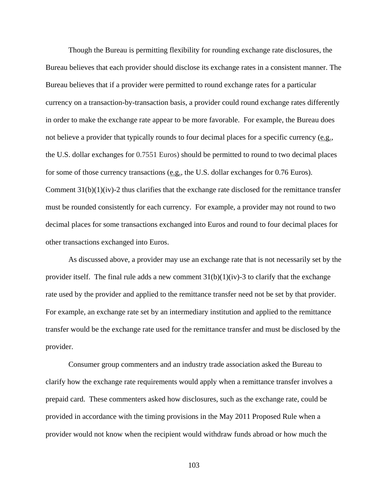Though the Bureau is permitting flexibility for rounding exchange rate disclosures, the Bureau believes that each provider should disclose its exchange rates in a consistent manner. The Bureau believes that if a provider were permitted to round exchange rates for a particular currency on a transaction-by-transaction basis, a provider could round exchange rates differently in order to make the exchange rate appear to be more favorable. For example, the Bureau does not believe a provider that typically rounds to four decimal places for a specific currency (e.g., the U.S. dollar exchanges for 0.7551 Euros) should be permitted to round to two decimal places for some of those currency transactions (e.g., the U.S. dollar exchanges for 0.76 Euros). Comment  $31(b)(1)(iv)-2$  thus clarifies that the exchange rate disclosed for the remittance transfer must be rounded consistently for each currency. For example, a provider may not round to two decimal places for some transactions exchanged into Euros and round to four decimal places for other transactions exchanged into Euros.

As discussed above, a provider may use an exchange rate that is not necessarily set by the provider itself. The final rule adds a new comment  $31(b)(1)(iv)$ -3 to clarify that the exchange rate used by the provider and applied to the remittance transfer need not be set by that provider. For example, an exchange rate set by an intermediary institution and applied to the remittance transfer would be the exchange rate used for the remittance transfer and must be disclosed by the provider.

Consumer group commenters and an industry trade association asked the Bureau to clarify how the exchange rate requirements would apply when a remittance transfer involves a prepaid card. These commenters asked how disclosures, such as the exchange rate, could be provided in accordance with the timing provisions in the May 2011 Proposed Rule when a provider would not know when the recipient would withdraw funds abroad or how much the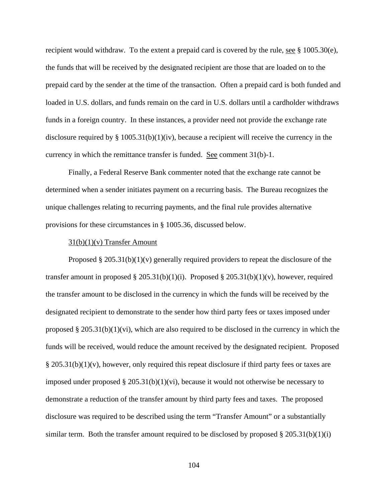recipient would withdraw. To the extent a prepaid card is covered by the rule, see  $\S$  1005.30(e), the funds that will be received by the designated recipient are those that are loaded on to the prepaid card by the sender at the time of the transaction. Often a prepaid card is both funded and loaded in U.S. dollars, and funds remain on the card in U.S. dollars until a cardholder withdraws funds in a foreign country. In these instances, a provider need not provide the exchange rate disclosure required by  $\S 1005.31(b)(1)(iv)$ , because a recipient will receive the currency in the currency in which the remittance transfer is funded. See comment 31(b)-1.

Finally, a Federal Reserve Bank commenter noted that the exchange rate cannot be determined when a sender initiates payment on a recurring basis. The Bureau recognizes the unique challenges relating to recurring payments, and the final rule provides alternative provisions for these circumstances in § 1005.36, discussed below.

#### 31(b)(1)(v) Transfer Amount

Proposed  $\S 205.31(b)(1)(v)$  generally required providers to repeat the disclosure of the transfer amount in proposed § 205.31(b)(1)(i). Proposed § 205.31(b)(1)(v), however, required the transfer amount to be disclosed in the currency in which the funds will be received by the designated recipient to demonstrate to the sender how third party fees or taxes imposed under proposed  $\S 205.31(b)(1)(vi)$ , which are also required to be disclosed in the currency in which the funds will be received, would reduce the amount received by the designated recipient. Proposed  $\S 205.31(b)(1)(v)$ , however, only required this repeat disclosure if third party fees or taxes are imposed under proposed  $\S 205.31(b)(1)(vi)$ , because it would not otherwise be necessary to demonstrate a reduction of the transfer amount by third party fees and taxes. The proposed disclosure was required to be described using the term "Transfer Amount" or a substantially similar term. Both the transfer amount required to be disclosed by proposed  $\S 205.31(b)(1)(i)$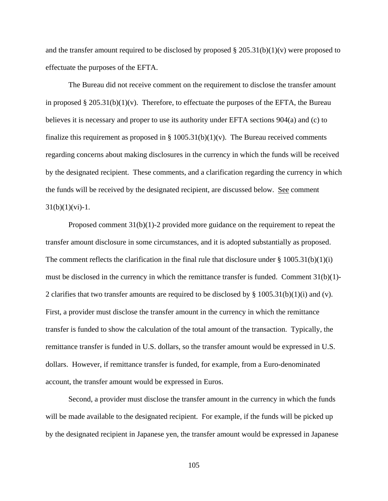and the transfer amount required to be disclosed by proposed  $\S 205.31(b)(1)(v)$  were proposed to effectuate the purposes of the EFTA.

The Bureau did not receive comment on the requirement to disclose the transfer amount in proposed  $\S 205.31(b)(1)(v)$ . Therefore, to effectuate the purposes of the EFTA, the Bureau believes it is necessary and proper to use its authority under EFTA sections 904(a) and (c) to finalize this requirement as proposed in §  $1005.31(b)(1)(v)$ . The Bureau received comments regarding concerns about making disclosures in the currency in which the funds will be received by the designated recipient. These comments, and a clarification regarding the currency in which the funds will be received by the designated recipient, are discussed below. See comment  $31(b)(1)(vi)-1.$ 

 Proposed comment 31(b)(1)-2 provided more guidance on the requirement to repeat the transfer amount disclosure in some circumstances, and it is adopted substantially as proposed. The comment reflects the clarification in the final rule that disclosure under  $\S 1005.31(b)(1)(i)$ must be disclosed in the currency in which the remittance transfer is funded. Comment  $31(b)(1)$ -2 clarifies that two transfer amounts are required to be disclosed by § 1005.31(b)(1)(i) and (v). First, a provider must disclose the transfer amount in the currency in which the remittance transfer is funded to show the calculation of the total amount of the transaction. Typically, the remittance transfer is funded in U.S. dollars, so the transfer amount would be expressed in U.S. dollars. However, if remittance transfer is funded, for example, from a Euro-denominated account, the transfer amount would be expressed in Euros.

Second, a provider must disclose the transfer amount in the currency in which the funds will be made available to the designated recipient. For example, if the funds will be picked up by the designated recipient in Japanese yen, the transfer amount would be expressed in Japanese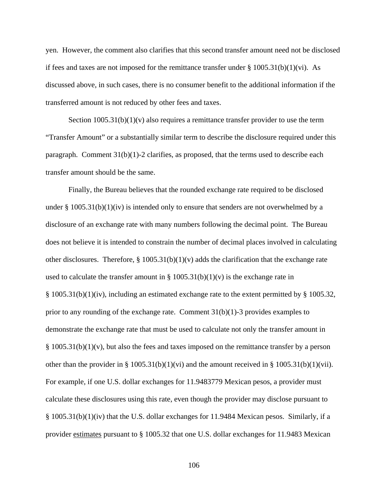yen. However, the comment also clarifies that this second transfer amount need not be disclosed if fees and taxes are not imposed for the remittance transfer under  $\S$  1005.31(b)(1)(vi). As discussed above, in such cases, there is no consumer benefit to the additional information if the transferred amount is not reduced by other fees and taxes.

Section  $1005.31(b)(1)(v)$  also requires a remittance transfer provider to use the term "Transfer Amount" or a substantially similar term to describe the disclosure required under this paragraph. Comment  $31(b)(1)-2$  clarifies, as proposed, that the terms used to describe each transfer amount should be the same.

Finally, the Bureau believes that the rounded exchange rate required to be disclosed under  $\S 1005.31(b)(1)(iv)$  is intended only to ensure that senders are not overwhelmed by a disclosure of an exchange rate with many numbers following the decimal point. The Bureau does not believe it is intended to constrain the number of decimal places involved in calculating other disclosures. Therefore,  $\S 1005.31(b)(1)(v)$  adds the clarification that the exchange rate used to calculate the transfer amount in § 1005.31(b)(1)(v) is the exchange rate in § 1005.31(b)(1)(iv), including an estimated exchange rate to the extent permitted by § 1005.32, prior to any rounding of the exchange rate. Comment  $31(b)(1)-3$  provides examples to demonstrate the exchange rate that must be used to calculate not only the transfer amount in  $§ 1005.31(b)(1)(v)$ , but also the fees and taxes imposed on the remittance transfer by a person other than the provider in §  $1005.31(b)(1)(vi)$  and the amount received in §  $1005.31(b)(1)(vii)$ . For example, if one U.S. dollar exchanges for 11.9483779 Mexican pesos, a provider must calculate these disclosures using this rate, even though the provider may disclose pursuant to § 1005.31(b)(1)(iv) that the U.S. dollar exchanges for 11.9484 Mexican pesos. Similarly, if a provider estimates pursuant to § 1005.32 that one U.S. dollar exchanges for 11.9483 Mexican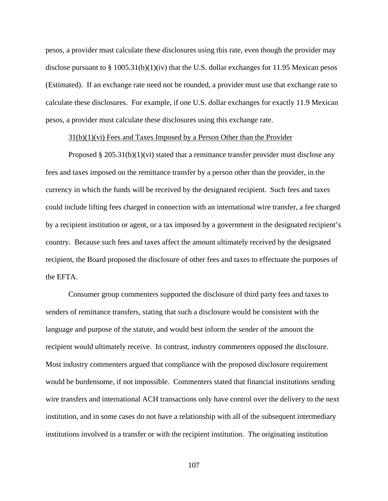pesos, a provider must calculate these disclosures using this rate, even though the provider may disclose pursuant to  $\S 1005.31(b)(1)(iv)$  that the U.S. dollar exchanges for 11.95 Mexican pesos (Estimated). If an exchange rate need not be rounded, a provider must use that exchange rate to calculate these disclosures. For example, if one U.S. dollar exchanges for exactly 11.9 Mexican pesos, a provider must calculate these disclosures using this exchange rate.

## 31(b)(1)(vi) Fees and Taxes Imposed by a Person Other than the Provider

Proposed  $\S 205.31(b)(1)(vi)$  stated that a remittance transfer provider must disclose any fees and taxes imposed on the remittance transfer by a person other than the provider, in the currency in which the funds will be received by the designated recipient. Such fees and taxes could include lifting fees charged in connection with an international wire transfer, a fee charged by a recipient institution or agent, or a tax imposed by a government in the designated recipient's country. Because such fees and taxes affect the amount ultimately received by the designated recipient, the Board proposed the disclosure of other fees and taxes to effectuate the purposes of the EFTA.

Consumer group commenters supported the disclosure of third party fees and taxes to senders of remittance transfers, stating that such a disclosure would be consistent with the language and purpose of the statute, and would best inform the sender of the amount the recipient would ultimately receive. In contrast, industry commenters opposed the disclosure. Most industry commenters argued that compliance with the proposed disclosure requirement would be burdensome, if not impossible. Commenters stated that financial institutions sending wire transfers and international ACH transactions only have control over the delivery to the next institution, and in some cases do not have a relationship with all of the subsequent intermediary institutions involved in a transfer or with the recipient institution. The originating institution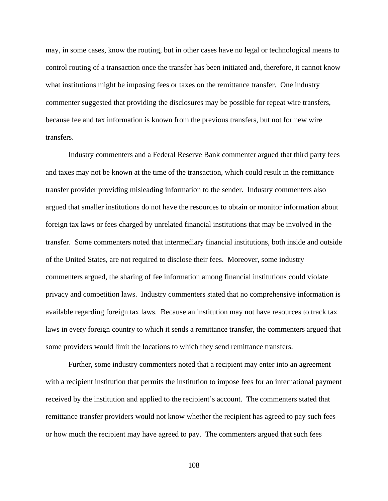may, in some cases, know the routing, but in other cases have no legal or technological means to control routing of a transaction once the transfer has been initiated and, therefore, it cannot know what institutions might be imposing fees or taxes on the remittance transfer. One industry commenter suggested that providing the disclosures may be possible for repeat wire transfers, because fee and tax information is known from the previous transfers, but not for new wire transfers.

Industry commenters and a Federal Reserve Bank commenter argued that third party fees and taxes may not be known at the time of the transaction, which could result in the remittance transfer provider providing misleading information to the sender. Industry commenters also argued that smaller institutions do not have the resources to obtain or monitor information about foreign tax laws or fees charged by unrelated financial institutions that may be involved in the transfer. Some commenters noted that intermediary financial institutions, both inside and outside of the United States, are not required to disclose their fees. Moreover, some industry commenters argued, the sharing of fee information among financial institutions could violate privacy and competition laws. Industry commenters stated that no comprehensive information is available regarding foreign tax laws. Because an institution may not have resources to track tax laws in every foreign country to which it sends a remittance transfer, the commenters argued that some providers would limit the locations to which they send remittance transfers.

Further, some industry commenters noted that a recipient may enter into an agreement with a recipient institution that permits the institution to impose fees for an international payment received by the institution and applied to the recipient's account. The commenters stated that remittance transfer providers would not know whether the recipient has agreed to pay such fees or how much the recipient may have agreed to pay. The commenters argued that such fees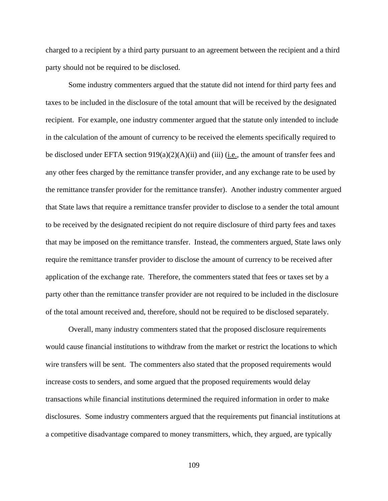charged to a recipient by a third party pursuant to an agreement between the recipient and a third party should not be required to be disclosed.

Some industry commenters argued that the statute did not intend for third party fees and taxes to be included in the disclosure of the total amount that will be received by the designated recipient. For example, one industry commenter argued that the statute only intended to include in the calculation of the amount of currency to be received the elements specifically required to be disclosed under EFTA section  $919(a)(2)(A)(ii)$  and (iii) (i.e., the amount of transfer fees and any other fees charged by the remittance transfer provider, and any exchange rate to be used by the remittance transfer provider for the remittance transfer). Another industry commenter argued that State laws that require a remittance transfer provider to disclose to a sender the total amount to be received by the designated recipient do not require disclosure of third party fees and taxes that may be imposed on the remittance transfer. Instead, the commenters argued, State laws only require the remittance transfer provider to disclose the amount of currency to be received after application of the exchange rate. Therefore, the commenters stated that fees or taxes set by a party other than the remittance transfer provider are not required to be included in the disclosure of the total amount received and, therefore, should not be required to be disclosed separately.

Overall, many industry commenters stated that the proposed disclosure requirements would cause financial institutions to withdraw from the market or restrict the locations to which wire transfers will be sent. The commenters also stated that the proposed requirements would increase costs to senders, and some argued that the proposed requirements would delay transactions while financial institutions determined the required information in order to make disclosures. Some industry commenters argued that the requirements put financial institutions at a competitive disadvantage compared to money transmitters, which, they argued, are typically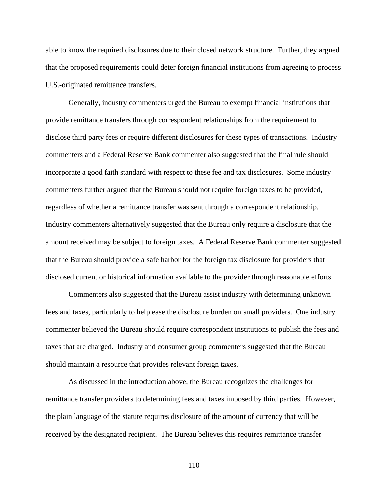able to know the required disclosures due to their closed network structure. Further, they argued that the proposed requirements could deter foreign financial institutions from agreeing to process U.S.-originated remittance transfers.

Generally, industry commenters urged the Bureau to exempt financial institutions that provide remittance transfers through correspondent relationships from the requirement to disclose third party fees or require different disclosures for these types of transactions. Industry commenters and a Federal Reserve Bank commenter also suggested that the final rule should incorporate a good faith standard with respect to these fee and tax disclosures. Some industry commenters further argued that the Bureau should not require foreign taxes to be provided, regardless of whether a remittance transfer was sent through a correspondent relationship. Industry commenters alternatively suggested that the Bureau only require a disclosure that the amount received may be subject to foreign taxes. A Federal Reserve Bank commenter suggested that the Bureau should provide a safe harbor for the foreign tax disclosure for providers that disclosed current or historical information available to the provider through reasonable efforts.

Commenters also suggested that the Bureau assist industry with determining unknown fees and taxes, particularly to help ease the disclosure burden on small providers. One industry commenter believed the Bureau should require correspondent institutions to publish the fees and taxes that are charged. Industry and consumer group commenters suggested that the Bureau should maintain a resource that provides relevant foreign taxes.

As discussed in the introduction above, the Bureau recognizes the challenges for remittance transfer providers to determining fees and taxes imposed by third parties. However, the plain language of the statute requires disclosure of the amount of currency that will be received by the designated recipient. The Bureau believes this requires remittance transfer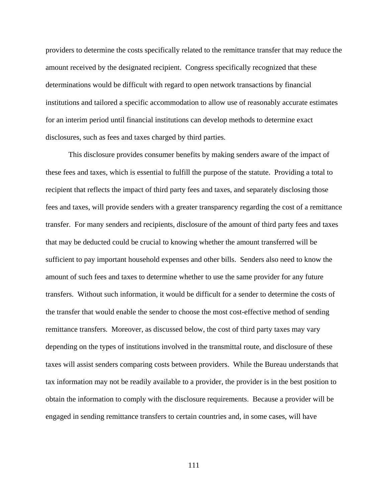providers to determine the costs specifically related to the remittance transfer that may reduce the amount received by the designated recipient. Congress specifically recognized that these determinations would be difficult with regard to open network transactions by financial institutions and tailored a specific accommodation to allow use of reasonably accurate estimates for an interim period until financial institutions can develop methods to determine exact disclosures, such as fees and taxes charged by third parties.

This disclosure provides consumer benefits by making senders aware of the impact of these fees and taxes, which is essential to fulfill the purpose of the statute. Providing a total to recipient that reflects the impact of third party fees and taxes, and separately disclosing those fees and taxes, will provide senders with a greater transparency regarding the cost of a remittance transfer. For many senders and recipients, disclosure of the amount of third party fees and taxes that may be deducted could be crucial to knowing whether the amount transferred will be sufficient to pay important household expenses and other bills. Senders also need to know the amount of such fees and taxes to determine whether to use the same provider for any future transfers. Without such information, it would be difficult for a sender to determine the costs of the transfer that would enable the sender to choose the most cost-effective method of sending remittance transfers. Moreover, as discussed below, the cost of third party taxes may vary depending on the types of institutions involved in the transmittal route, and disclosure of these taxes will assist senders comparing costs between providers. While the Bureau understands that tax information may not be readily available to a provider, the provider is in the best position to obtain the information to comply with the disclosure requirements. Because a provider will be engaged in sending remittance transfers to certain countries and, in some cases, will have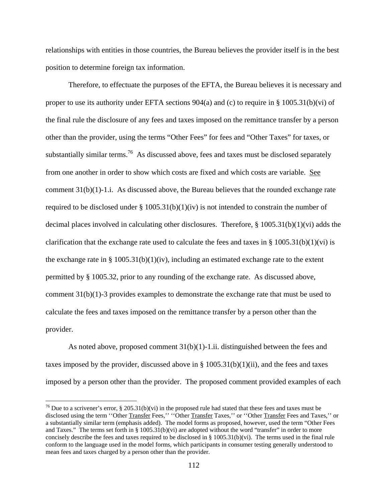relationships with entities in those countries, the Bureau believes the provider itself is in the best position to determine foreign tax information.

 Therefore, to effectuate the purposes of the EFTA, the Bureau believes it is necessary and proper to use its authority under EFTA sections 904(a) and (c) to require in § 1005.31(b)(vi) of the final rule the disclosure of any fees and taxes imposed on the remittance transfer by a person other than the provider, using the terms "Other Fees" for fees and "Other Taxes" for taxes, or substantially similar terms.<sup>76</sup> As discussed above, fees and taxes must be disclosed separately from one another in order to show which costs are fixed and which costs are variable. See comment  $31(b)(1)-1.i.$  As discussed above, the Bureau believes that the rounded exchange rate required to be disclosed under §  $1005.31(b)(1)(iv)$  is not intended to constrain the number of decimal places involved in calculating other disclosures. Therefore, § 1005.31(b)(1)(vi) adds the clarification that the exchange rate used to calculate the fees and taxes in §  $1005.31(b)(1)(vi)$  is the exchange rate in § 1005.31(b)(1)(iv), including an estimated exchange rate to the extent permitted by § 1005.32, prior to any rounding of the exchange rate. As discussed above, comment 31(b)(1)-3 provides examples to demonstrate the exchange rate that must be used to calculate the fees and taxes imposed on the remittance transfer by a person other than the provider.

As noted above, proposed comment 31(b)(1)-1.ii. distinguished between the fees and taxes imposed by the provider, discussed above in §  $1005.31(b)(1)(ii)$ , and the fees and taxes imposed by a person other than the provider. The proposed comment provided examples of each

 $\overline{a}$ 

<sup>&</sup>lt;sup>76</sup> Due to a scrivener's error, § 205.31(b)(vi) in the proposed rule had stated that these fees and taxes must be disclosed using the term "Other Transfer Fees," "Other Transfer Taxes," or "Other Transfer Fees and Taxes," or a substantially similar term (emphasis added). The model forms as proposed, however, used the term "Other Fees and Taxes." The terms set forth in  $\S 1005.31(b)(vi)$  are adopted without the word "transfer" in order to more concisely describe the fees and taxes required to be disclosed in § 1005.31(b)(vi). The terms used in the final rule conform to the language used in the model forms, which participants in consumer testing generally understood to mean fees and taxes charged by a person other than the provider.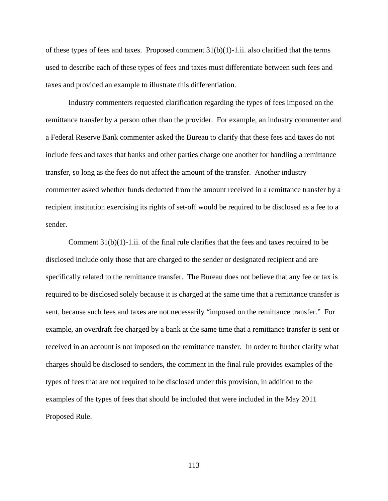of these types of fees and taxes. Proposed comment  $31(b)(1)-1$ .ii. also clarified that the terms used to describe each of these types of fees and taxes must differentiate between such fees and taxes and provided an example to illustrate this differentiation.

Industry commenters requested clarification regarding the types of fees imposed on the remittance transfer by a person other than the provider. For example, an industry commenter and a Federal Reserve Bank commenter asked the Bureau to clarify that these fees and taxes do not include fees and taxes that banks and other parties charge one another for handling a remittance transfer, so long as the fees do not affect the amount of the transfer. Another industry commenter asked whether funds deducted from the amount received in a remittance transfer by a recipient institution exercising its rights of set-off would be required to be disclosed as a fee to a sender.

Comment  $31(b)(1)-1$ .ii. of the final rule clarifies that the fees and taxes required to be disclosed include only those that are charged to the sender or designated recipient and are specifically related to the remittance transfer. The Bureau does not believe that any fee or tax is required to be disclosed solely because it is charged at the same time that a remittance transfer is sent, because such fees and taxes are not necessarily "imposed on the remittance transfer." For example, an overdraft fee charged by a bank at the same time that a remittance transfer is sent or received in an account is not imposed on the remittance transfer. In order to further clarify what charges should be disclosed to senders, the comment in the final rule provides examples of the types of fees that are not required to be disclosed under this provision, in addition to the examples of the types of fees that should be included that were included in the May 2011 Proposed Rule.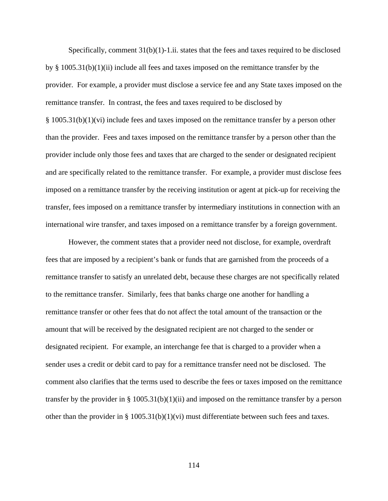Specifically, comment  $31(b)(1)-1$ .ii. states that the fees and taxes required to be disclosed by  $\S 1005.31(b)(1)(ii)$  include all fees and taxes imposed on the remittance transfer by the provider. For example, a provider must disclose a service fee and any State taxes imposed on the remittance transfer. In contrast, the fees and taxes required to be disclosed by § 1005.31(b)(1)(vi) include fees and taxes imposed on the remittance transfer by a person other than the provider. Fees and taxes imposed on the remittance transfer by a person other than the provider include only those fees and taxes that are charged to the sender or designated recipient and are specifically related to the remittance transfer. For example, a provider must disclose fees imposed on a remittance transfer by the receiving institution or agent at pick-up for receiving the transfer, fees imposed on a remittance transfer by intermediary institutions in connection with an international wire transfer, and taxes imposed on a remittance transfer by a foreign government.

However, the comment states that a provider need not disclose, for example, overdraft fees that are imposed by a recipient's bank or funds that are garnished from the proceeds of a remittance transfer to satisfy an unrelated debt, because these charges are not specifically related to the remittance transfer. Similarly, fees that banks charge one another for handling a remittance transfer or other fees that do not affect the total amount of the transaction or the amount that will be received by the designated recipient are not charged to the sender or designated recipient. For example, an interchange fee that is charged to a provider when a sender uses a credit or debit card to pay for a remittance transfer need not be disclosed. The comment also clarifies that the terms used to describe the fees or taxes imposed on the remittance transfer by the provider in  $\S 1005.31(b)(1)(ii)$  and imposed on the remittance transfer by a person other than the provider in §  $1005.31(b)(1)(vi)$  must differentiate between such fees and taxes.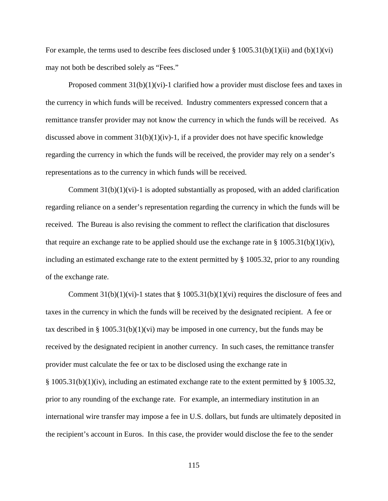For example, the terms used to describe fees disclosed under  $\S 1005.31(b)(1)(ii)$  and  $(b)(1)(vi)$ may not both be described solely as "Fees."

Proposed comment 31(b)(1)(vi)-1 clarified how a provider must disclose fees and taxes in the currency in which funds will be received. Industry commenters expressed concern that a remittance transfer provider may not know the currency in which the funds will be received. As discussed above in comment  $31(b)(1)(iv)$ -1, if a provider does not have specific knowledge regarding the currency in which the funds will be received, the provider may rely on a sender's representations as to the currency in which funds will be received.

Comment  $31(b)(1)(vi)-1$  is adopted substantially as proposed, with an added clarification regarding reliance on a sender's representation regarding the currency in which the funds will be received. The Bureau is also revising the comment to reflect the clarification that disclosures that require an exchange rate to be applied should use the exchange rate in § 1005.31(b)(1)(iv), including an estimated exchange rate to the extent permitted by § 1005.32, prior to any rounding of the exchange rate.

Comment  $31(b)(1)(vi)$ -1 states that § 1005.31(b)(1)(vi) requires the disclosure of fees and taxes in the currency in which the funds will be received by the designated recipient. A fee or tax described in § 1005.31(b)(1)(vi) may be imposed in one currency, but the funds may be received by the designated recipient in another currency. In such cases, the remittance transfer provider must calculate the fee or tax to be disclosed using the exchange rate in § 1005.31(b)(1)(iv), including an estimated exchange rate to the extent permitted by § 1005.32, prior to any rounding of the exchange rate. For example, an intermediary institution in an international wire transfer may impose a fee in U.S. dollars, but funds are ultimately deposited in the recipient's account in Euros. In this case, the provider would disclose the fee to the sender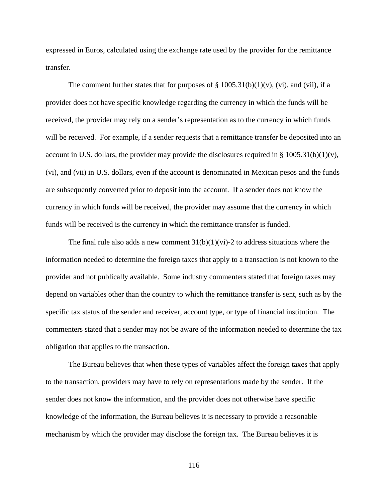expressed in Euros, calculated using the exchange rate used by the provider for the remittance transfer.

The comment further states that for purposes of  $\S$  1005.31(b)(1)(v), (vi), and (vii), if a provider does not have specific knowledge regarding the currency in which the funds will be received, the provider may rely on a sender's representation as to the currency in which funds will be received. For example, if a sender requests that a remittance transfer be deposited into an account in U.S. dollars, the provider may provide the disclosures required in § 1005.31(b)(1)(v), (vi), and (vii) in U.S. dollars, even if the account is denominated in Mexican pesos and the funds are subsequently converted prior to deposit into the account. If a sender does not know the currency in which funds will be received, the provider may assume that the currency in which funds will be received is the currency in which the remittance transfer is funded.

The final rule also adds a new comment  $31(b)(1)(vi)-2$  to address situations where the information needed to determine the foreign taxes that apply to a transaction is not known to the provider and not publically available. Some industry commenters stated that foreign taxes may depend on variables other than the country to which the remittance transfer is sent, such as by the specific tax status of the sender and receiver, account type, or type of financial institution. The commenters stated that a sender may not be aware of the information needed to determine the tax obligation that applies to the transaction.

The Bureau believes that when these types of variables affect the foreign taxes that apply to the transaction, providers may have to rely on representations made by the sender. If the sender does not know the information, and the provider does not otherwise have specific knowledge of the information, the Bureau believes it is necessary to provide a reasonable mechanism by which the provider may disclose the foreign tax. The Bureau believes it is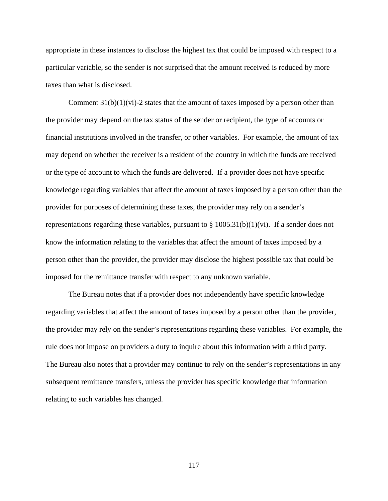appropriate in these instances to disclose the highest tax that could be imposed with respect to a particular variable, so the sender is not surprised that the amount received is reduced by more taxes than what is disclosed.

Comment  $31(b)(1)(vi)-2$  states that the amount of taxes imposed by a person other than the provider may depend on the tax status of the sender or recipient, the type of accounts or financial institutions involved in the transfer, or other variables. For example, the amount of tax may depend on whether the receiver is a resident of the country in which the funds are received or the type of account to which the funds are delivered. If a provider does not have specific knowledge regarding variables that affect the amount of taxes imposed by a person other than the provider for purposes of determining these taxes, the provider may rely on a sender's representations regarding these variables, pursuant to  $\S 1005.31(b)(1)(vi)$ . If a sender does not know the information relating to the variables that affect the amount of taxes imposed by a person other than the provider, the provider may disclose the highest possible tax that could be imposed for the remittance transfer with respect to any unknown variable.

The Bureau notes that if a provider does not independently have specific knowledge regarding variables that affect the amount of taxes imposed by a person other than the provider, the provider may rely on the sender's representations regarding these variables. For example, the rule does not impose on providers a duty to inquire about this information with a third party. The Bureau also notes that a provider may continue to rely on the sender's representations in any subsequent remittance transfers, unless the provider has specific knowledge that information relating to such variables has changed.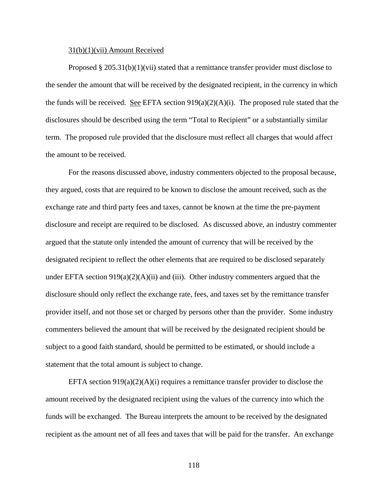#### 31(b)(1)(vii) Amount Received

Proposed § 205.31(b)(1)(vii) stated that a remittance transfer provider must disclose to the sender the amount that will be received by the designated recipient, in the currency in which the funds will be received. See EFTA section  $919(a)(2)(A)(i)$ . The proposed rule stated that the disclosures should be described using the term "Total to Recipient" or a substantially similar term. The proposed rule provided that the disclosure must reflect all charges that would affect the amount to be received.

For the reasons discussed above, industry commenters objected to the proposal because, they argued, costs that are required to be known to disclose the amount received, such as the exchange rate and third party fees and taxes, cannot be known at the time the pre-payment disclosure and receipt are required to be disclosed. As discussed above, an industry commenter argued that the statute only intended the amount of currency that will be received by the designated recipient to reflect the other elements that are required to be disclosed separately under EFTA section  $919(a)(2)(A)(ii)$  and (iii). Other industry commenters argued that the disclosure should only reflect the exchange rate, fees, and taxes set by the remittance transfer provider itself, and not those set or charged by persons other than the provider. Some industry commenters believed the amount that will be received by the designated recipient should be subject to a good faith standard, should be permitted to be estimated, or should include a statement that the total amount is subject to change.

EFTA section  $919(a)(2)(A)(i)$  requires a remittance transfer provider to disclose the amount received by the designated recipient using the values of the currency into which the funds will be exchanged. The Bureau interprets the amount to be received by the designated recipient as the amount net of all fees and taxes that will be paid for the transfer. An exchange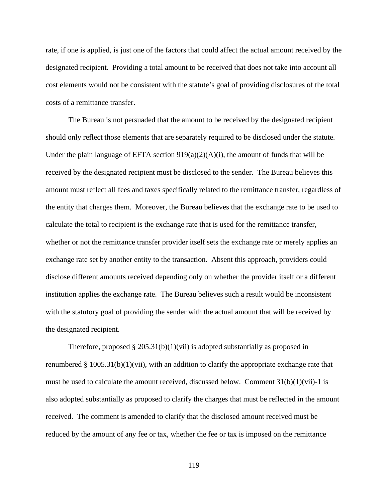rate, if one is applied, is just one of the factors that could affect the actual amount received by the designated recipient. Providing a total amount to be received that does not take into account all cost elements would not be consistent with the statute's goal of providing disclosures of the total costs of a remittance transfer.

The Bureau is not persuaded that the amount to be received by the designated recipient should only reflect those elements that are separately required to be disclosed under the statute. Under the plain language of EFTA section  $919(a)(2)(A)(i)$ , the amount of funds that will be received by the designated recipient must be disclosed to the sender. The Bureau believes this amount must reflect all fees and taxes specifically related to the remittance transfer, regardless of the entity that charges them. Moreover, the Bureau believes that the exchange rate to be used to calculate the total to recipient is the exchange rate that is used for the remittance transfer, whether or not the remittance transfer provider itself sets the exchange rate or merely applies an exchange rate set by another entity to the transaction. Absent this approach, providers could disclose different amounts received depending only on whether the provider itself or a different institution applies the exchange rate. The Bureau believes such a result would be inconsistent with the statutory goal of providing the sender with the actual amount that will be received by the designated recipient.

Therefore, proposed  $\S 205.31(b)(1)(vii)$  is adopted substantially as proposed in renumbered  $\S 1005.31(b)(1)(vii)$ , with an addition to clarify the appropriate exchange rate that must be used to calculate the amount received, discussed below. Comment  $31(b)(1)(vi)$ -1 is also adopted substantially as proposed to clarify the charges that must be reflected in the amount received. The comment is amended to clarify that the disclosed amount received must be reduced by the amount of any fee or tax, whether the fee or tax is imposed on the remittance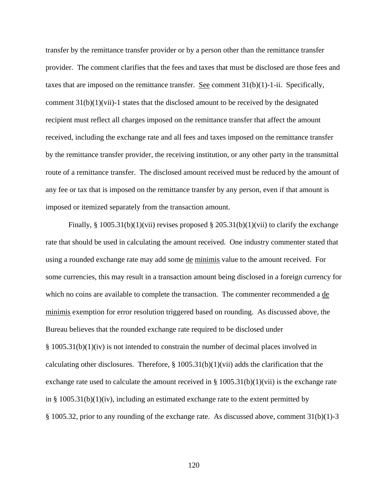transfer by the remittance transfer provider or by a person other than the remittance transfer provider. The comment clarifies that the fees and taxes that must be disclosed are those fees and taxes that are imposed on the remittance transfer. See comment  $31(b)(1)-1-i$  i. Specifically, comment  $31(b)(1)(vii)$ -1 states that the disclosed amount to be received by the designated recipient must reflect all charges imposed on the remittance transfer that affect the amount received, including the exchange rate and all fees and taxes imposed on the remittance transfer by the remittance transfer provider, the receiving institution, or any other party in the transmittal route of a remittance transfer. The disclosed amount received must be reduced by the amount of any fee or tax that is imposed on the remittance transfer by any person, even if that amount is imposed or itemized separately from the transaction amount.

Finally, § 1005.31(b)(1)(vii) revises proposed § 205.31(b)(1)(vii) to clarify the exchange rate that should be used in calculating the amount received. One industry commenter stated that using a rounded exchange rate may add some de minimis value to the amount received. For some currencies, this may result in a transaction amount being disclosed in a foreign currency for which no coins are available to complete the transaction. The commenter recommended a de minimis exemption for error resolution triggered based on rounding. As discussed above, the Bureau believes that the rounded exchange rate required to be disclosed under § 1005.31(b)(1)(iv) is not intended to constrain the number of decimal places involved in calculating other disclosures. Therefore,  $\S 1005.31(b)(1)(vi)$  adds the clarification that the exchange rate used to calculate the amount received in  $\S 1005.31(b)(1)(vii)$  is the exchange rate in § 1005.31(b)(1)(iv), including an estimated exchange rate to the extent permitted by § 1005.32, prior to any rounding of the exchange rate. As discussed above, comment 31(b)(1)-3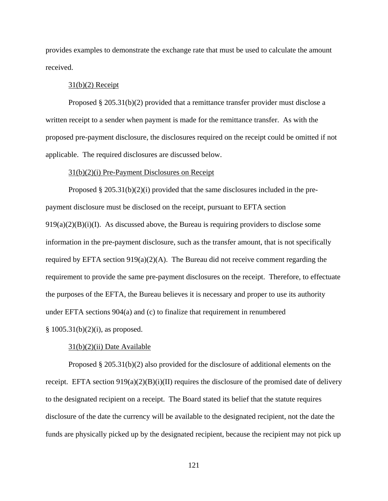provides examples to demonstrate the exchange rate that must be used to calculate the amount received.

#### $31(b)(2)$  Receipt

Proposed § 205.31(b)(2) provided that a remittance transfer provider must disclose a written receipt to a sender when payment is made for the remittance transfer. As with the proposed pre-payment disclosure, the disclosures required on the receipt could be omitted if not applicable. The required disclosures are discussed below.

#### 31(b)(2)(i) Pre-Payment Disclosures on Receipt

Proposed  $\S 205.31(b)(2)(i)$  provided that the same disclosures included in the prepayment disclosure must be disclosed on the receipt, pursuant to EFTA section  $919(a)(2)(B)(i)(I)$ . As discussed above, the Bureau is requiring providers to disclose some information in the pre-payment disclosure, such as the transfer amount, that is not specifically required by EFTA section 919(a)(2)(A). The Bureau did not receive comment regarding the requirement to provide the same pre-payment disclosures on the receipt. Therefore, to effectuate the purposes of the EFTA, the Bureau believes it is necessary and proper to use its authority under EFTA sections 904(a) and (c) to finalize that requirement in renumbered § 1005.31(b)(2)(i), as proposed.

## 31(b)(2)(ii) Date Available

Proposed § 205.31(b)(2) also provided for the disclosure of additional elements on the receipt. EFTA section  $919(a)(2)(B)(i)(II)$  requires the disclosure of the promised date of delivery to the designated recipient on a receipt. The Board stated its belief that the statute requires disclosure of the date the currency will be available to the designated recipient, not the date the funds are physically picked up by the designated recipient, because the recipient may not pick up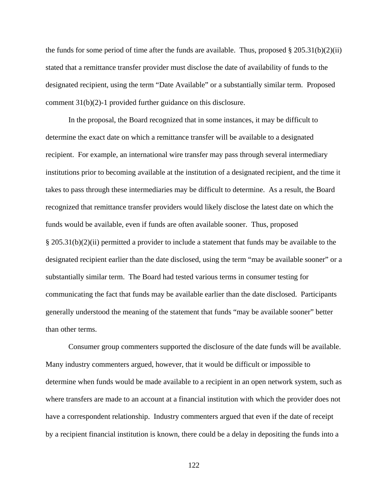the funds for some period of time after the funds are available. Thus, proposed  $\S 205.31(b)(2)(ii)$ stated that a remittance transfer provider must disclose the date of availability of funds to the designated recipient, using the term "Date Available" or a substantially similar term. Proposed comment 31(b)(2)-1 provided further guidance on this disclosure.

In the proposal, the Board recognized that in some instances, it may be difficult to determine the exact date on which a remittance transfer will be available to a designated recipient. For example, an international wire transfer may pass through several intermediary institutions prior to becoming available at the institution of a designated recipient, and the time it takes to pass through these intermediaries may be difficult to determine. As a result, the Board recognized that remittance transfer providers would likely disclose the latest date on which the funds would be available, even if funds are often available sooner. Thus, proposed § 205.31(b)(2)(ii) permitted a provider to include a statement that funds may be available to the designated recipient earlier than the date disclosed, using the term "may be available sooner" or a substantially similar term. The Board had tested various terms in consumer testing for communicating the fact that funds may be available earlier than the date disclosed. Participants generally understood the meaning of the statement that funds "may be available sooner" better than other terms.

Consumer group commenters supported the disclosure of the date funds will be available. Many industry commenters argued, however, that it would be difficult or impossible to determine when funds would be made available to a recipient in an open network system, such as where transfers are made to an account at a financial institution with which the provider does not have a correspondent relationship. Industry commenters argued that even if the date of receipt by a recipient financial institution is known, there could be a delay in depositing the funds into a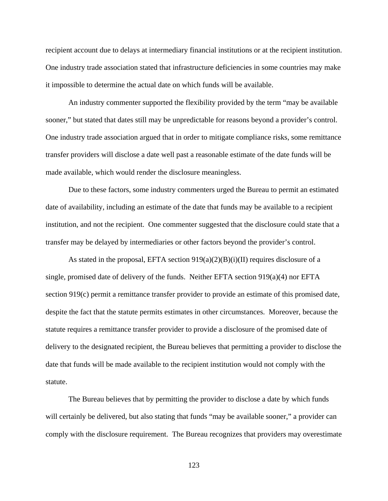recipient account due to delays at intermediary financial institutions or at the recipient institution. One industry trade association stated that infrastructure deficiencies in some countries may make it impossible to determine the actual date on which funds will be available.

An industry commenter supported the flexibility provided by the term "may be available sooner," but stated that dates still may be unpredictable for reasons beyond a provider's control. One industry trade association argued that in order to mitigate compliance risks, some remittance transfer providers will disclose a date well past a reasonable estimate of the date funds will be made available, which would render the disclosure meaningless.

Due to these factors, some industry commenters urged the Bureau to permit an estimated date of availability, including an estimate of the date that funds may be available to a recipient institution, and not the recipient. One commenter suggested that the disclosure could state that a transfer may be delayed by intermediaries or other factors beyond the provider's control.

As stated in the proposal, EFTA section  $919(a)(2)(B)(i)(II)$  requires disclosure of a single, promised date of delivery of the funds. Neither EFTA section  $919(a)(4)$  nor EFTA section 919(c) permit a remittance transfer provider to provide an estimate of this promised date, despite the fact that the statute permits estimates in other circumstances. Moreover, because the statute requires a remittance transfer provider to provide a disclosure of the promised date of delivery to the designated recipient, the Bureau believes that permitting a provider to disclose the date that funds will be made available to the recipient institution would not comply with the statute.

The Bureau believes that by permitting the provider to disclose a date by which funds will certainly be delivered, but also stating that funds "may be available sooner," a provider can comply with the disclosure requirement. The Bureau recognizes that providers may overestimate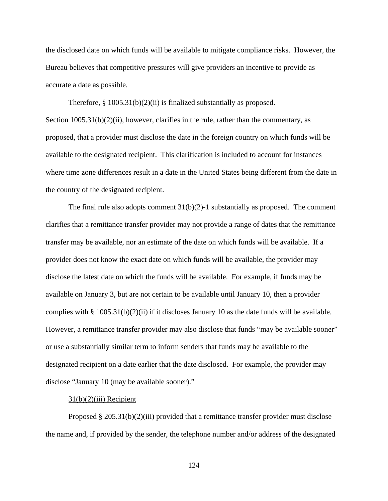the disclosed date on which funds will be available to mitigate compliance risks. However, the Bureau believes that competitive pressures will give providers an incentive to provide as accurate a date as possible.

Therefore, § 1005.31(b)(2)(ii) is finalized substantially as proposed. Section  $1005.31(b)(2)(ii)$ , however, clarifies in the rule, rather than the commentary, as proposed, that a provider must disclose the date in the foreign country on which funds will be available to the designated recipient. This clarification is included to account for instances where time zone differences result in a date in the United States being different from the date in the country of the designated recipient.

The final rule also adopts comment  $31(b)(2)-1$  substantially as proposed. The comment clarifies that a remittance transfer provider may not provide a range of dates that the remittance transfer may be available, nor an estimate of the date on which funds will be available. If a provider does not know the exact date on which funds will be available, the provider may disclose the latest date on which the funds will be available. For example, if funds may be available on January 3, but are not certain to be available until January 10, then a provider complies with  $\S 1005.31(b)(2)(ii)$  if it discloses January 10 as the date funds will be available. However, a remittance transfer provider may also disclose that funds "may be available sooner" or use a substantially similar term to inform senders that funds may be available to the designated recipient on a date earlier that the date disclosed. For example, the provider may disclose "January 10 (may be available sooner)."

#### $31(b)(2)(iii)$  Recipient

Proposed § 205.31(b)(2)(iii) provided that a remittance transfer provider must disclose the name and, if provided by the sender, the telephone number and/or address of the designated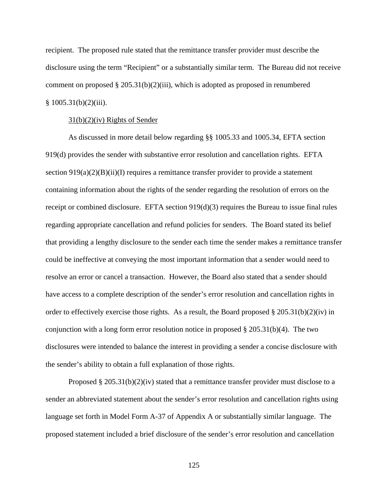recipient. The proposed rule stated that the remittance transfer provider must describe the disclosure using the term "Recipient" or a substantially similar term. The Bureau did not receive comment on proposed  $\S 205.31(b)(2)(iii)$ , which is adopted as proposed in renumbered  $§ 1005.31(b)(2)(iii).$ 

#### 31(b)(2)(iv) Rights of Sender

As discussed in more detail below regarding §§ 1005.33 and 1005.34, EFTA section 919(d) provides the sender with substantive error resolution and cancellation rights. EFTA section  $919(a)(2)(B)(ii)(I)$  requires a remittance transfer provider to provide a statement containing information about the rights of the sender regarding the resolution of errors on the receipt or combined disclosure. EFTA section 919(d)(3) requires the Bureau to issue final rules regarding appropriate cancellation and refund policies for senders. The Board stated its belief that providing a lengthy disclosure to the sender each time the sender makes a remittance transfer could be ineffective at conveying the most important information that a sender would need to resolve an error or cancel a transaction. However, the Board also stated that a sender should have access to a complete description of the sender's error resolution and cancellation rights in order to effectively exercise those rights. As a result, the Board proposed § 205.31(b)(2)(iv) in conjunction with a long form error resolution notice in proposed  $\S 205.31(b)(4)$ . The two disclosures were intended to balance the interest in providing a sender a concise disclosure with the sender's ability to obtain a full explanation of those rights.

Proposed  $\S 205.31(b)(2)(iv)$  stated that a remittance transfer provider must disclose to a sender an abbreviated statement about the sender's error resolution and cancellation rights using language set forth in Model Form A-37 of Appendix A or substantially similar language. The proposed statement included a brief disclosure of the sender's error resolution and cancellation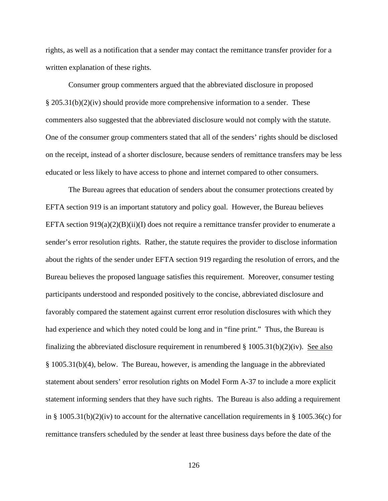rights, as well as a notification that a sender may contact the remittance transfer provider for a written explanation of these rights.

Consumer group commenters argued that the abbreviated disclosure in proposed § 205.31(b)(2)(iv) should provide more comprehensive information to a sender. These commenters also suggested that the abbreviated disclosure would not comply with the statute. One of the consumer group commenters stated that all of the senders' rights should be disclosed on the receipt, instead of a shorter disclosure, because senders of remittance transfers may be less educated or less likely to have access to phone and internet compared to other consumers.

The Bureau agrees that education of senders about the consumer protections created by EFTA section 919 is an important statutory and policy goal. However, the Bureau believes EFTA section  $919(a)(2)(B)(ii)(I)$  does not require a remittance transfer provider to enumerate a sender's error resolution rights. Rather, the statute requires the provider to disclose information about the rights of the sender under EFTA section 919 regarding the resolution of errors, and the Bureau believes the proposed language satisfies this requirement. Moreover, consumer testing participants understood and responded positively to the concise, abbreviated disclosure and favorably compared the statement against current error resolution disclosures with which they had experience and which they noted could be long and in "fine print." Thus, the Bureau is finalizing the abbreviated disclosure requirement in renumbered  $\S 1005.31(b)(2)(iv)$ . See also § 1005.31(b)(4), below. The Bureau, however, is amending the language in the abbreviated statement about senders' error resolution rights on Model Form A-37 to include a more explicit statement informing senders that they have such rights. The Bureau is also adding a requirement in § 1005.31(b)(2)(iv) to account for the alternative cancellation requirements in § 1005.36(c) for remittance transfers scheduled by the sender at least three business days before the date of the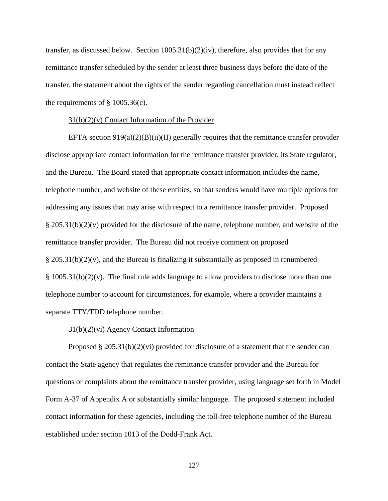transfer, as discussed below. Section  $1005.31(b)(2)(iv)$ , therefore, also provides that for any remittance transfer scheduled by the sender at least three business days before the date of the transfer, the statement about the rights of the sender regarding cancellation must instead reflect the requirements of  $\S$  1005.36(c).

#### 31(b)(2)(v) Contact Information of the Provider

EFTA section  $919(a)(2)(B)(ii)(II)$  generally requires that the remittance transfer provider disclose appropriate contact information for the remittance transfer provider, its State regulator, and the Bureau. The Board stated that appropriate contact information includes the name, telephone number, and website of these entities, so that senders would have multiple options for addressing any issues that may arise with respect to a remittance transfer provider. Proposed  $\S 205.31(b)(2)(v)$  provided for the disclosure of the name, telephone number, and website of the remittance transfer provider. The Bureau did not receive comment on proposed § 205.31(b)(2)(v), and the Bureau is finalizing it substantially as proposed in renumbered  $§ 1005.31(b)(2)(v)$ . The final rule adds language to allow providers to disclose more than one telephone number to account for circumstances, for example, where a provider maintains a separate TTY/TDD telephone number.

#### 31(b)(2)(vi) Agency Contact Information

Proposed  $\S 205.31(b)(2)(vi)$  provided for disclosure of a statement that the sender can contact the State agency that regulates the remittance transfer provider and the Bureau for questions or complaints about the remittance transfer provider, using language set forth in Model Form A-37 of Appendix A or substantially similar language. The proposed statement included contact information for these agencies, including the toll-free telephone number of the Bureau established under section 1013 of the Dodd-Frank Act.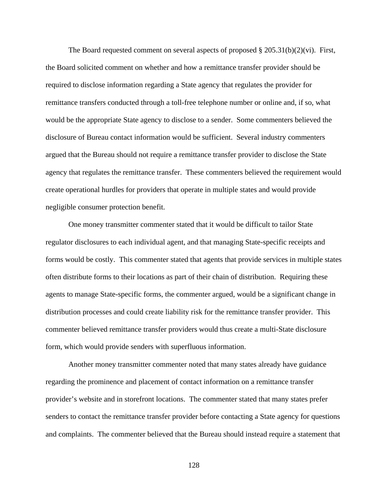The Board requested comment on several aspects of proposed  $\S 205.31(b)(2)(vi)$ . First, the Board solicited comment on whether and how a remittance transfer provider should be required to disclose information regarding a State agency that regulates the provider for remittance transfers conducted through a toll-free telephone number or online and, if so, what would be the appropriate State agency to disclose to a sender. Some commenters believed the disclosure of Bureau contact information would be sufficient. Several industry commenters argued that the Bureau should not require a remittance transfer provider to disclose the State agency that regulates the remittance transfer. These commenters believed the requirement would create operational hurdles for providers that operate in multiple states and would provide negligible consumer protection benefit.

One money transmitter commenter stated that it would be difficult to tailor State regulator disclosures to each individual agent, and that managing State-specific receipts and forms would be costly. This commenter stated that agents that provide services in multiple states often distribute forms to their locations as part of their chain of distribution. Requiring these agents to manage State-specific forms, the commenter argued, would be a significant change in distribution processes and could create liability risk for the remittance transfer provider. This commenter believed remittance transfer providers would thus create a multi-State disclosure form, which would provide senders with superfluous information.

Another money transmitter commenter noted that many states already have guidance regarding the prominence and placement of contact information on a remittance transfer provider's website and in storefront locations. The commenter stated that many states prefer senders to contact the remittance transfer provider before contacting a State agency for questions and complaints. The commenter believed that the Bureau should instead require a statement that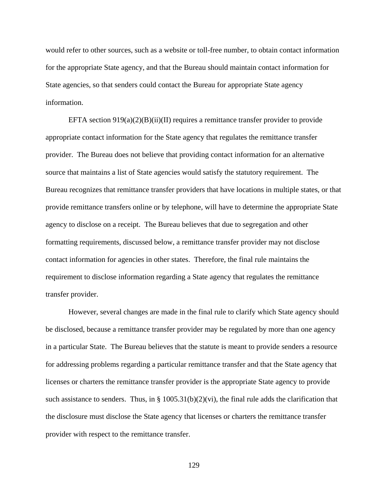would refer to other sources, such as a website or toll-free number, to obtain contact information for the appropriate State agency, and that the Bureau should maintain contact information for State agencies, so that senders could contact the Bureau for appropriate State agency information.

EFTA section  $919(a)(2)(B)(ii)(II)$  requires a remittance transfer provider to provide appropriate contact information for the State agency that regulates the remittance transfer provider. The Bureau does not believe that providing contact information for an alternative source that maintains a list of State agencies would satisfy the statutory requirement. The Bureau recognizes that remittance transfer providers that have locations in multiple states, or that provide remittance transfers online or by telephone, will have to determine the appropriate State agency to disclose on a receipt. The Bureau believes that due to segregation and other formatting requirements, discussed below, a remittance transfer provider may not disclose contact information for agencies in other states. Therefore, the final rule maintains the requirement to disclose information regarding a State agency that regulates the remittance transfer provider.

However, several changes are made in the final rule to clarify which State agency should be disclosed, because a remittance transfer provider may be regulated by more than one agency in a particular State. The Bureau believes that the statute is meant to provide senders a resource for addressing problems regarding a particular remittance transfer and that the State agency that licenses or charters the remittance transfer provider is the appropriate State agency to provide such assistance to senders. Thus, in §  $1005.31(b)(2)(vi)$ , the final rule adds the clarification that the disclosure must disclose the State agency that licenses or charters the remittance transfer provider with respect to the remittance transfer.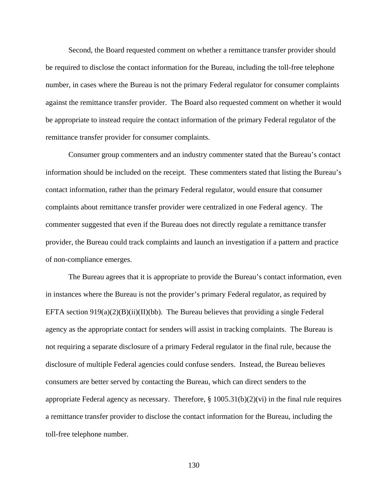Second, the Board requested comment on whether a remittance transfer provider should be required to disclose the contact information for the Bureau, including the toll-free telephone number, in cases where the Bureau is not the primary Federal regulator for consumer complaints against the remittance transfer provider. The Board also requested comment on whether it would be appropriate to instead require the contact information of the primary Federal regulator of the remittance transfer provider for consumer complaints.

Consumer group commenters and an industry commenter stated that the Bureau's contact information should be included on the receipt. These commenters stated that listing the Bureau's contact information, rather than the primary Federal regulator, would ensure that consumer complaints about remittance transfer provider were centralized in one Federal agency. The commenter suggested that even if the Bureau does not directly regulate a remittance transfer provider, the Bureau could track complaints and launch an investigation if a pattern and practice of non-compliance emerges.

The Bureau agrees that it is appropriate to provide the Bureau's contact information, even in instances where the Bureau is not the provider's primary Federal regulator, as required by EFTA section  $919(a)(2)(B)(ii)(II)(bb)$ . The Bureau believes that providing a single Federal agency as the appropriate contact for senders will assist in tracking complaints. The Bureau is not requiring a separate disclosure of a primary Federal regulator in the final rule, because the disclosure of multiple Federal agencies could confuse senders. Instead, the Bureau believes consumers are better served by contacting the Bureau, which can direct senders to the appropriate Federal agency as necessary. Therefore,  $\S 1005.31(b)(2)(vi)$  in the final rule requires a remittance transfer provider to disclose the contact information for the Bureau, including the toll-free telephone number.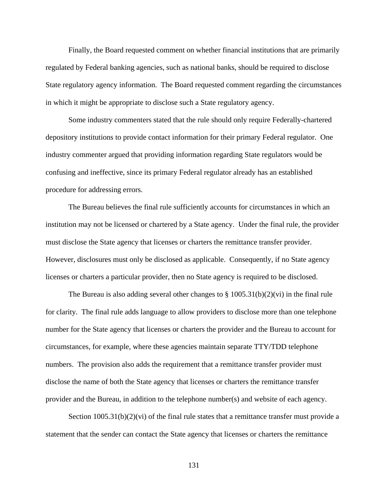Finally, the Board requested comment on whether financial institutions that are primarily regulated by Federal banking agencies, such as national banks, should be required to disclose State regulatory agency information. The Board requested comment regarding the circumstances in which it might be appropriate to disclose such a State regulatory agency.

Some industry commenters stated that the rule should only require Federally-chartered depository institutions to provide contact information for their primary Federal regulator. One industry commenter argued that providing information regarding State regulators would be confusing and ineffective, since its primary Federal regulator already has an established procedure for addressing errors.

The Bureau believes the final rule sufficiently accounts for circumstances in which an institution may not be licensed or chartered by a State agency. Under the final rule, the provider must disclose the State agency that licenses or charters the remittance transfer provider. However, disclosures must only be disclosed as applicable. Consequently, if no State agency licenses or charters a particular provider, then no State agency is required to be disclosed.

The Bureau is also adding several other changes to  $\S 1005.31(b)(2)(vi)$  in the final rule for clarity. The final rule adds language to allow providers to disclose more than one telephone number for the State agency that licenses or charters the provider and the Bureau to account for circumstances, for example, where these agencies maintain separate TTY/TDD telephone numbers. The provision also adds the requirement that a remittance transfer provider must disclose the name of both the State agency that licenses or charters the remittance transfer provider and the Bureau, in addition to the telephone number(s) and website of each agency.

Section  $1005.31(b)(2)(vi)$  of the final rule states that a remittance transfer must provide a statement that the sender can contact the State agency that licenses or charters the remittance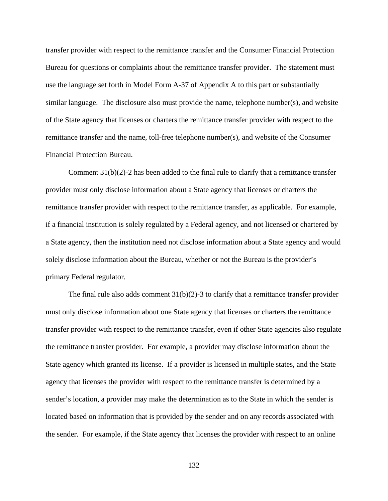transfer provider with respect to the remittance transfer and the Consumer Financial Protection Bureau for questions or complaints about the remittance transfer provider. The statement must use the language set forth in Model Form A-37 of Appendix A to this part or substantially similar language. The disclosure also must provide the name, telephone number(s), and website of the State agency that licenses or charters the remittance transfer provider with respect to the remittance transfer and the name, toll-free telephone number(s), and website of the Consumer Financial Protection Bureau.

Comment 31(b)(2)-2 has been added to the final rule to clarify that a remittance transfer provider must only disclose information about a State agency that licenses or charters the remittance transfer provider with respect to the remittance transfer, as applicable. For example, if a financial institution is solely regulated by a Federal agency, and not licensed or chartered by a State agency, then the institution need not disclose information about a State agency and would solely disclose information about the Bureau, whether or not the Bureau is the provider's primary Federal regulator.

The final rule also adds comment  $31(b)(2)-3$  to clarify that a remittance transfer provider must only disclose information about one State agency that licenses or charters the remittance transfer provider with respect to the remittance transfer, even if other State agencies also regulate the remittance transfer provider. For example, a provider may disclose information about the State agency which granted its license. If a provider is licensed in multiple states, and the State agency that licenses the provider with respect to the remittance transfer is determined by a sender's location, a provider may make the determination as to the State in which the sender is located based on information that is provided by the sender and on any records associated with the sender. For example, if the State agency that licenses the provider with respect to an online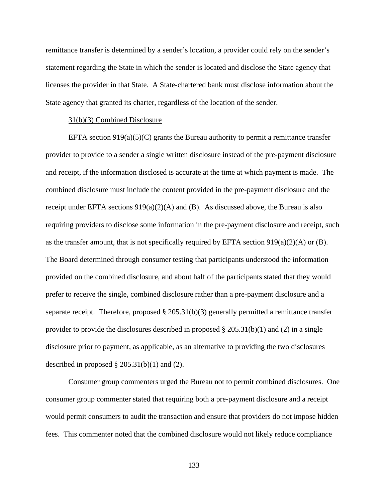remittance transfer is determined by a sender's location, a provider could rely on the sender's statement regarding the State in which the sender is located and disclose the State agency that licenses the provider in that State. A State-chartered bank must disclose information about the State agency that granted its charter, regardless of the location of the sender.

#### 31(b)(3) Combined Disclosure

EFTA section  $919(a)(5)(C)$  grants the Bureau authority to permit a remittance transfer provider to provide to a sender a single written disclosure instead of the pre-payment disclosure and receipt, if the information disclosed is accurate at the time at which payment is made. The combined disclosure must include the content provided in the pre-payment disclosure and the receipt under EFTA sections  $919(a)(2)(A)$  and (B). As discussed above, the Bureau is also requiring providers to disclose some information in the pre-payment disclosure and receipt, such as the transfer amount, that is not specifically required by EFTA section  $919(a)(2)(A)$  or (B). The Board determined through consumer testing that participants understood the information provided on the combined disclosure, and about half of the participants stated that they would prefer to receive the single, combined disclosure rather than a pre-payment disclosure and a separate receipt. Therefore, proposed  $\S 205.31(b)(3)$  generally permitted a remittance transfer provider to provide the disclosures described in proposed  $\S 205.31(b)(1)$  and (2) in a single disclosure prior to payment, as applicable, as an alternative to providing the two disclosures described in proposed  $\S 205.31(b)(1)$  and (2).

Consumer group commenters urged the Bureau not to permit combined disclosures. One consumer group commenter stated that requiring both a pre-payment disclosure and a receipt would permit consumers to audit the transaction and ensure that providers do not impose hidden fees. This commenter noted that the combined disclosure would not likely reduce compliance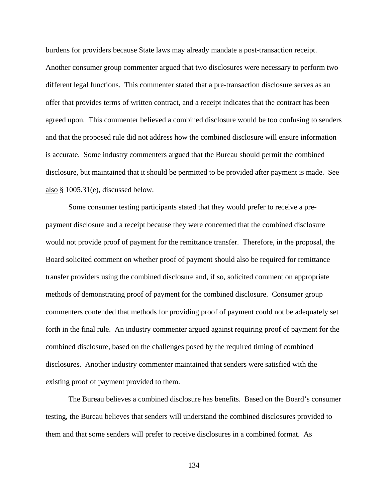burdens for providers because State laws may already mandate a post-transaction receipt. Another consumer group commenter argued that two disclosures were necessary to perform two different legal functions. This commenter stated that a pre-transaction disclosure serves as an offer that provides terms of written contract, and a receipt indicates that the contract has been agreed upon. This commenter believed a combined disclosure would be too confusing to senders and that the proposed rule did not address how the combined disclosure will ensure information is accurate. Some industry commenters argued that the Bureau should permit the combined disclosure, but maintained that it should be permitted to be provided after payment is made. See also § 1005.31(e), discussed below.

Some consumer testing participants stated that they would prefer to receive a prepayment disclosure and a receipt because they were concerned that the combined disclosure would not provide proof of payment for the remittance transfer. Therefore, in the proposal, the Board solicited comment on whether proof of payment should also be required for remittance transfer providers using the combined disclosure and, if so, solicited comment on appropriate methods of demonstrating proof of payment for the combined disclosure. Consumer group commenters contended that methods for providing proof of payment could not be adequately set forth in the final rule. An industry commenter argued against requiring proof of payment for the combined disclosure, based on the challenges posed by the required timing of combined disclosures. Another industry commenter maintained that senders were satisfied with the existing proof of payment provided to them.

The Bureau believes a combined disclosure has benefits. Based on the Board's consumer testing, the Bureau believes that senders will understand the combined disclosures provided to them and that some senders will prefer to receive disclosures in a combined format. As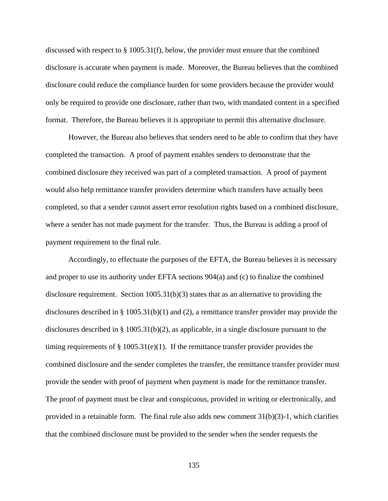discussed with respect to § 1005.31(f), below, the provider must ensure that the combined disclosure is accurate when payment is made. Moreover, the Bureau believes that the combined disclosure could reduce the compliance burden for some providers because the provider would only be required to provide one disclosure, rather than two, with mandated content in a specified format. Therefore, the Bureau believes it is appropriate to permit this alternative disclosure.

However, the Bureau also believes that senders need to be able to confirm that they have completed the transaction. A proof of payment enables senders to demonstrate that the combined disclosure they received was part of a completed transaction. A proof of payment would also help remittance transfer providers determine which transfers have actually been completed, so that a sender cannot assert error resolution rights based on a combined disclosure, where a sender has not made payment for the transfer. Thus, the Bureau is adding a proof of payment requirement to the final rule.

Accordingly, to effectuate the purposes of the EFTA, the Bureau believes it is necessary and proper to use its authority under EFTA sections 904(a) and (c) to finalize the combined disclosure requirement. Section 1005.31(b)(3) states that as an alternative to providing the disclosures described in § 1005.31(b)(1) and (2), a remittance transfer provider may provide the disclosures described in § 1005.31(b)(2), as applicable, in a single disclosure pursuant to the timing requirements of  $\S 1005.31(e)(1)$ . If the remittance transfer provider provides the combined disclosure and the sender completes the transfer, the remittance transfer provider must provide the sender with proof of payment when payment is made for the remittance transfer. The proof of payment must be clear and conspicuous, provided in writing or electronically, and provided in a retainable form. The final rule also adds new comment  $31(b)(3)-1$ , which clarifies that the combined disclosure must be provided to the sender when the sender requests the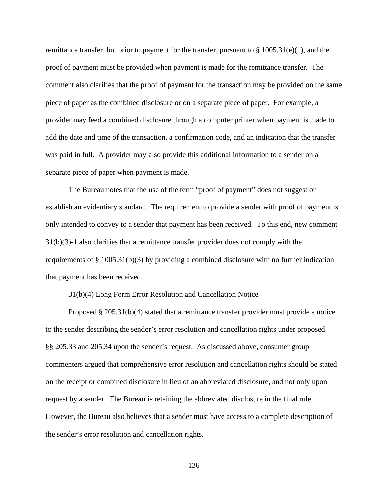remittance transfer, but prior to payment for the transfer, pursuant to  $\S 1005.31(e)(1)$ , and the proof of payment must be provided when payment is made for the remittance transfer. The comment also clarifies that the proof of payment for the transaction may be provided on the same piece of paper as the combined disclosure or on a separate piece of paper. For example, a provider may feed a combined disclosure through a computer printer when payment is made to add the date and time of the transaction, a confirmation code, and an indication that the transfer was paid in full. A provider may also provide this additional information to a sender on a separate piece of paper when payment is made.

The Bureau notes that the use of the term "proof of payment" does not suggest or establish an evidentiary standard. The requirement to provide a sender with proof of payment is only intended to convey to a sender that payment has been received. To this end, new comment 31(b)(3)-1 also clarifies that a remittance transfer provider does not comply with the requirements of § 1005.31(b)(3) by providing a combined disclosure with no further indication that payment has been received.

## 31(b)(4) Long Form Error Resolution and Cancellation Notice

Proposed § 205.31(b)(4) stated that a remittance transfer provider must provide a notice to the sender describing the sender's error resolution and cancellation rights under proposed §§ 205.33 and 205.34 upon the sender's request. As discussed above, consumer group commenters argued that comprehensive error resolution and cancellation rights should be stated on the receipt or combined disclosure in lieu of an abbreviated disclosure, and not only upon request by a sender. The Bureau is retaining the abbreviated disclosure in the final rule. However, the Bureau also believes that a sender must have access to a complete description of the sender's error resolution and cancellation rights.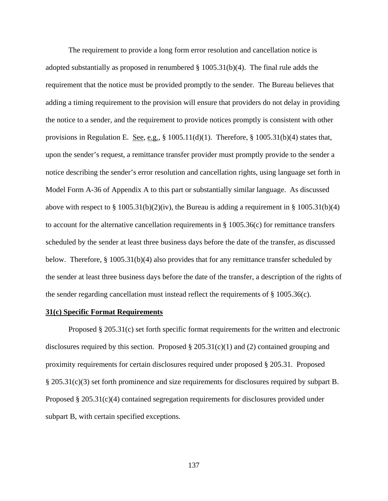The requirement to provide a long form error resolution and cancellation notice is adopted substantially as proposed in renumbered  $\S 1005.31(b)(4)$ . The final rule adds the requirement that the notice must be provided promptly to the sender. The Bureau believes that adding a timing requirement to the provision will ensure that providers do not delay in providing the notice to a sender, and the requirement to provide notices promptly is consistent with other provisions in Regulation E. See, e.g.,  $\S 1005.11(d)(1)$ . Therefore,  $\S 1005.31(b)(4)$  states that, upon the sender's request, a remittance transfer provider must promptly provide to the sender a notice describing the sender's error resolution and cancellation rights, using language set forth in Model Form A-36 of Appendix A to this part or substantially similar language. As discussed above with respect to § 1005.31(b)(2)(iv), the Bureau is adding a requirement in § 1005.31(b)(4) to account for the alternative cancellation requirements in  $\S$  1005.36(c) for remittance transfers scheduled by the sender at least three business days before the date of the transfer, as discussed below. Therefore, § 1005.31(b)(4) also provides that for any remittance transfer scheduled by the sender at least three business days before the date of the transfer, a description of the rights of the sender regarding cancellation must instead reflect the requirements of  $\S$  1005.36(c).

# **31(c) Specific Format Requirements**

Proposed § 205.31(c) set forth specific format requirements for the written and electronic disclosures required by this section. Proposed  $\S 205.31(c)(1)$  and (2) contained grouping and proximity requirements for certain disclosures required under proposed § 205.31. Proposed § 205.31(c)(3) set forth prominence and size requirements for disclosures required by subpart B. Proposed § 205.31(c)(4) contained segregation requirements for disclosures provided under subpart B, with certain specified exceptions.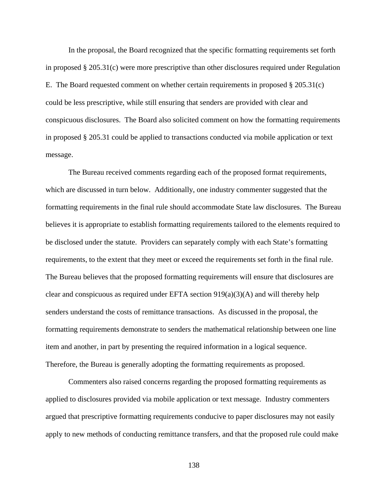In the proposal, the Board recognized that the specific formatting requirements set forth in proposed § 205.31(c) were more prescriptive than other disclosures required under Regulation E. The Board requested comment on whether certain requirements in proposed  $\S 205.31(c)$ could be less prescriptive, while still ensuring that senders are provided with clear and conspicuous disclosures. The Board also solicited comment on how the formatting requirements in proposed § 205.31 could be applied to transactions conducted via mobile application or text message.

The Bureau received comments regarding each of the proposed format requirements, which are discussed in turn below. Additionally, one industry commenter suggested that the formatting requirements in the final rule should accommodate State law disclosures. The Bureau believes it is appropriate to establish formatting requirements tailored to the elements required to be disclosed under the statute. Providers can separately comply with each State's formatting requirements, to the extent that they meet or exceed the requirements set forth in the final rule. The Bureau believes that the proposed formatting requirements will ensure that disclosures are clear and conspicuous as required under EFTA section 919(a)(3)(A) and will thereby help senders understand the costs of remittance transactions. As discussed in the proposal, the formatting requirements demonstrate to senders the mathematical relationship between one line item and another, in part by presenting the required information in a logical sequence. Therefore, the Bureau is generally adopting the formatting requirements as proposed.

Commenters also raised concerns regarding the proposed formatting requirements as applied to disclosures provided via mobile application or text message. Industry commenters argued that prescriptive formatting requirements conducive to paper disclosures may not easily apply to new methods of conducting remittance transfers, and that the proposed rule could make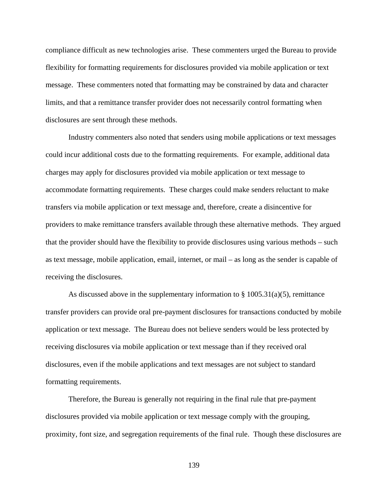compliance difficult as new technologies arise. These commenters urged the Bureau to provide flexibility for formatting requirements for disclosures provided via mobile application or text message. These commenters noted that formatting may be constrained by data and character limits, and that a remittance transfer provider does not necessarily control formatting when disclosures are sent through these methods.

Industry commenters also noted that senders using mobile applications or text messages could incur additional costs due to the formatting requirements. For example, additional data charges may apply for disclosures provided via mobile application or text message to accommodate formatting requirements. These charges could make senders reluctant to make transfers via mobile application or text message and, therefore, create a disincentive for providers to make remittance transfers available through these alternative methods. They argued that the provider should have the flexibility to provide disclosures using various methods – such as text message, mobile application, email, internet, or mail – as long as the sender is capable of receiving the disclosures.

As discussed above in the supplementary information to  $\S 1005.31(a)(5)$ , remittance transfer providers can provide oral pre-payment disclosures for transactions conducted by mobile application or text message. The Bureau does not believe senders would be less protected by receiving disclosures via mobile application or text message than if they received oral disclosures, even if the mobile applications and text messages are not subject to standard formatting requirements.

Therefore, the Bureau is generally not requiring in the final rule that pre-payment disclosures provided via mobile application or text message comply with the grouping, proximity, font size, and segregation requirements of the final rule. Though these disclosures are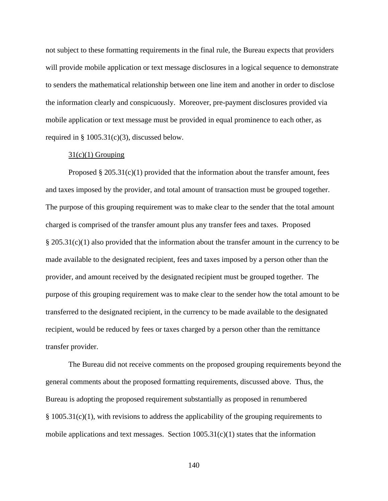not subject to these formatting requirements in the final rule, the Bureau expects that providers will provide mobile application or text message disclosures in a logical sequence to demonstrate to senders the mathematical relationship between one line item and another in order to disclose the information clearly and conspicuously. Moreover, pre-payment disclosures provided via mobile application or text message must be provided in equal prominence to each other, as required in  $\S 1005.31(c)(3)$ , discussed below.

#### $31(c)(1)$  Grouping

Proposed  $\S 205.31(c)(1)$  provided that the information about the transfer amount, fees and taxes imposed by the provider, and total amount of transaction must be grouped together. The purpose of this grouping requirement was to make clear to the sender that the total amount charged is comprised of the transfer amount plus any transfer fees and taxes. Proposed § 205.31(c)(1) also provided that the information about the transfer amount in the currency to be made available to the designated recipient, fees and taxes imposed by a person other than the provider, and amount received by the designated recipient must be grouped together. The purpose of this grouping requirement was to make clear to the sender how the total amount to be transferred to the designated recipient, in the currency to be made available to the designated recipient, would be reduced by fees or taxes charged by a person other than the remittance transfer provider.

The Bureau did not receive comments on the proposed grouping requirements beyond the general comments about the proposed formatting requirements, discussed above. Thus, the Bureau is adopting the proposed requirement substantially as proposed in renumbered  $§ 1005.31(c)(1)$ , with revisions to address the applicability of the grouping requirements to mobile applications and text messages. Section  $1005.31(c)(1)$  states that the information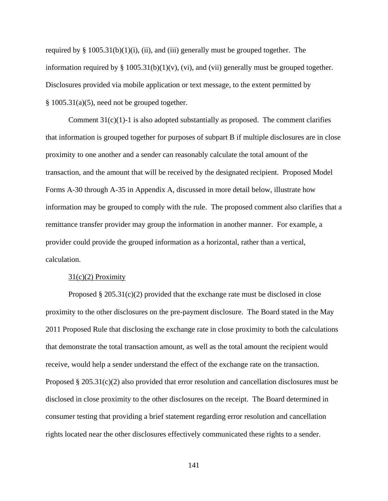required by  $§$  1005.31(b)(1)(i), (ii), and (iii) generally must be grouped together. The information required by § 1005.31(b)(1)(v), (vi), and (vii) generally must be grouped together. Disclosures provided via mobile application or text message, to the extent permitted by § 1005.31(a)(5), need not be grouped together.

Comment  $31(c)(1)-1$  is also adopted substantially as proposed. The comment clarifies that information is grouped together for purposes of subpart B if multiple disclosures are in close proximity to one another and a sender can reasonably calculate the total amount of the transaction, and the amount that will be received by the designated recipient. Proposed Model Forms A-30 through A-35 in Appendix A, discussed in more detail below, illustrate how information may be grouped to comply with the rule. The proposed comment also clarifies that a remittance transfer provider may group the information in another manner. For example, a provider could provide the grouped information as a horizontal, rather than a vertical, calculation.

## 31(c)(2) Proximity

Proposed  $\S 205.31(c)(2)$  provided that the exchange rate must be disclosed in close proximity to the other disclosures on the pre-payment disclosure. The Board stated in the May 2011 Proposed Rule that disclosing the exchange rate in close proximity to both the calculations that demonstrate the total transaction amount, as well as the total amount the recipient would receive, would help a sender understand the effect of the exchange rate on the transaction. Proposed  $\S 205.31(c)(2)$  also provided that error resolution and cancellation disclosures must be disclosed in close proximity to the other disclosures on the receipt. The Board determined in consumer testing that providing a brief statement regarding error resolution and cancellation rights located near the other disclosures effectively communicated these rights to a sender.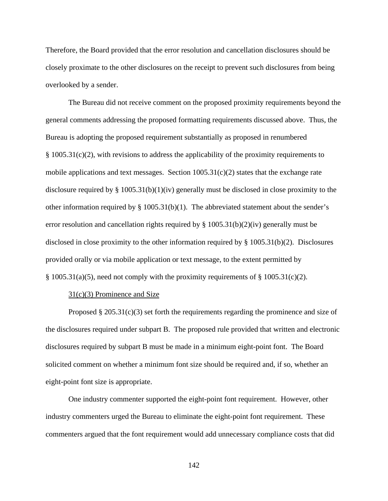Therefore, the Board provided that the error resolution and cancellation disclosures should be closely proximate to the other disclosures on the receipt to prevent such disclosures from being overlooked by a sender.

The Bureau did not receive comment on the proposed proximity requirements beyond the general comments addressing the proposed formatting requirements discussed above. Thus, the Bureau is adopting the proposed requirement substantially as proposed in renumbered  $\S 1005.31(c)(2)$ , with revisions to address the applicability of the proximity requirements to mobile applications and text messages. Section  $1005.31(c)(2)$  states that the exchange rate disclosure required by § 1005.31(b)(1)(iv) generally must be disclosed in close proximity to the other information required by  $\S 1005.31(b)(1)$ . The abbreviated statement about the sender's error resolution and cancellation rights required by § 1005.31(b)(2)(iv) generally must be disclosed in close proximity to the other information required by § 1005.31(b)(2). Disclosures provided orally or via mobile application or text message, to the extent permitted by § 1005.31(a)(5), need not comply with the proximity requirements of § 1005.31(c)(2).

## 31(c)(3) Prominence and Size

Proposed  $\S 205.31(c)(3)$  set forth the requirements regarding the prominence and size of the disclosures required under subpart B. The proposed rule provided that written and electronic disclosures required by subpart B must be made in a minimum eight-point font. The Board solicited comment on whether a minimum font size should be required and, if so, whether an eight-point font size is appropriate.

One industry commenter supported the eight-point font requirement. However, other industry commenters urged the Bureau to eliminate the eight-point font requirement. These commenters argued that the font requirement would add unnecessary compliance costs that did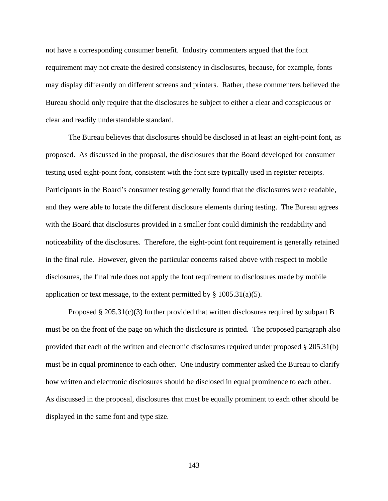not have a corresponding consumer benefit. Industry commenters argued that the font requirement may not create the desired consistency in disclosures, because, for example, fonts may display differently on different screens and printers. Rather, these commenters believed the Bureau should only require that the disclosures be subject to either a clear and conspicuous or clear and readily understandable standard.

The Bureau believes that disclosures should be disclosed in at least an eight-point font, as proposed. As discussed in the proposal, the disclosures that the Board developed for consumer testing used eight-point font, consistent with the font size typically used in register receipts. Participants in the Board's consumer testing generally found that the disclosures were readable, and they were able to locate the different disclosure elements during testing. The Bureau agrees with the Board that disclosures provided in a smaller font could diminish the readability and noticeability of the disclosures. Therefore, the eight-point font requirement is generally retained in the final rule. However, given the particular concerns raised above with respect to mobile disclosures, the final rule does not apply the font requirement to disclosures made by mobile application or text message, to the extent permitted by  $\S 1005.31(a)(5)$ .

Proposed  $\S 205.31(c)(3)$  further provided that written disclosures required by subpart B must be on the front of the page on which the disclosure is printed. The proposed paragraph also provided that each of the written and electronic disclosures required under proposed § 205.31(b) must be in equal prominence to each other. One industry commenter asked the Bureau to clarify how written and electronic disclosures should be disclosed in equal prominence to each other. As discussed in the proposal, disclosures that must be equally prominent to each other should be displayed in the same font and type size.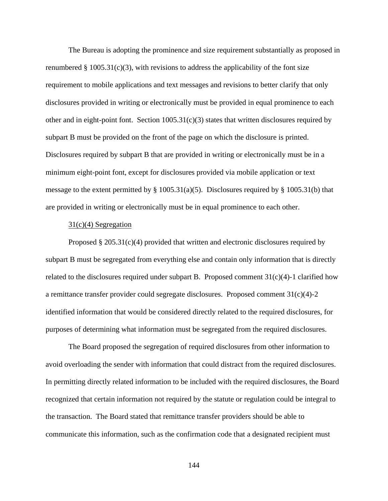The Bureau is adopting the prominence and size requirement substantially as proposed in renumbered  $\S 1005.31(c)(3)$ , with revisions to address the applicability of the font size requirement to mobile applications and text messages and revisions to better clarify that only disclosures provided in writing or electronically must be provided in equal prominence to each other and in eight-point font. Section  $1005.31(c)(3)$  states that written disclosures required by subpart B must be provided on the front of the page on which the disclosure is printed. Disclosures required by subpart B that are provided in writing or electronically must be in a minimum eight-point font, except for disclosures provided via mobile application or text message to the extent permitted by § 1005.31(a)(5). Disclosures required by § 1005.31(b) that are provided in writing or electronically must be in equal prominence to each other.

## 31(c)(4) Segregation

Proposed  $\S 205.31(c)(4)$  provided that written and electronic disclosures required by subpart B must be segregated from everything else and contain only information that is directly related to the disclosures required under subpart B. Proposed comment  $31(c)(4)-1$  clarified how a remittance transfer provider could segregate disclosures. Proposed comment 31(c)(4)-2 identified information that would be considered directly related to the required disclosures, for purposes of determining what information must be segregated from the required disclosures.

The Board proposed the segregation of required disclosures from other information to avoid overloading the sender with information that could distract from the required disclosures. In permitting directly related information to be included with the required disclosures, the Board recognized that certain information not required by the statute or regulation could be integral to the transaction. The Board stated that remittance transfer providers should be able to communicate this information, such as the confirmation code that a designated recipient must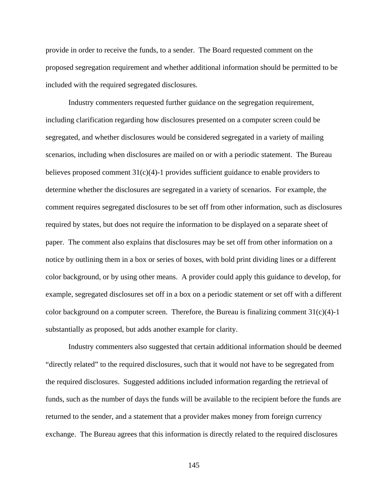provide in order to receive the funds, to a sender. The Board requested comment on the proposed segregation requirement and whether additional information should be permitted to be included with the required segregated disclosures.

Industry commenters requested further guidance on the segregation requirement, including clarification regarding how disclosures presented on a computer screen could be segregated, and whether disclosures would be considered segregated in a variety of mailing scenarios, including when disclosures are mailed on or with a periodic statement. The Bureau believes proposed comment  $31(c)(4)-1$  provides sufficient guidance to enable providers to determine whether the disclosures are segregated in a variety of scenarios. For example, the comment requires segregated disclosures to be set off from other information, such as disclosures required by states, but does not require the information to be displayed on a separate sheet of paper. The comment also explains that disclosures may be set off from other information on a notice by outlining them in a box or series of boxes, with bold print dividing lines or a different color background, or by using other means. A provider could apply this guidance to develop, for example, segregated disclosures set off in a box on a periodic statement or set off with a different color background on a computer screen. Therefore, the Bureau is finalizing comment  $31(c)(4)-1$ substantially as proposed, but adds another example for clarity.

Industry commenters also suggested that certain additional information should be deemed "directly related" to the required disclosures, such that it would not have to be segregated from the required disclosures. Suggested additions included information regarding the retrieval of funds, such as the number of days the funds will be available to the recipient before the funds are returned to the sender, and a statement that a provider makes money from foreign currency exchange. The Bureau agrees that this information is directly related to the required disclosures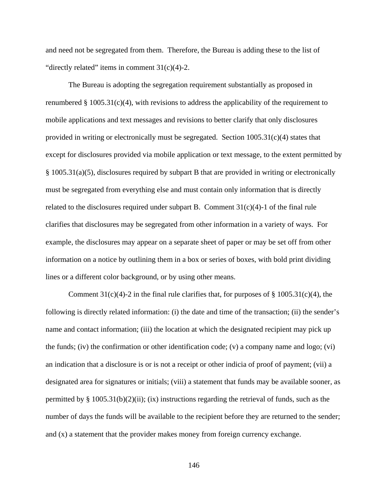and need not be segregated from them. Therefore, the Bureau is adding these to the list of "directly related" items in comment  $31(c)(4)-2$ .

The Bureau is adopting the segregation requirement substantially as proposed in renumbered  $\S$  1005.31(c)(4), with revisions to address the applicability of the requirement to mobile applications and text messages and revisions to better clarify that only disclosures provided in writing or electronically must be segregated. Section  $1005.31(c)(4)$  states that except for disclosures provided via mobile application or text message, to the extent permitted by § 1005.31(a)(5), disclosures required by subpart B that are provided in writing or electronically must be segregated from everything else and must contain only information that is directly related to the disclosures required under subpart B. Comment  $31(c)(4)$ -1 of the final rule clarifies that disclosures may be segregated from other information in a variety of ways. For example, the disclosures may appear on a separate sheet of paper or may be set off from other information on a notice by outlining them in a box or series of boxes, with bold print dividing lines or a different color background, or by using other means.

Comment  $31(c)(4)-2$  in the final rule clarifies that, for purposes of § 1005.31(c)(4), the following is directly related information: (i) the date and time of the transaction; (ii) the sender's name and contact information; (iii) the location at which the designated recipient may pick up the funds; (iv) the confirmation or other identification code; (v) a company name and logo; (vi) an indication that a disclosure is or is not a receipt or other indicia of proof of payment; (vii) a designated area for signatures or initials; (viii) a statement that funds may be available sooner, as permitted by §  $1005.31(b)(2)(ii)$ ; (ix) instructions regarding the retrieval of funds, such as the number of days the funds will be available to the recipient before they are returned to the sender; and (x) a statement that the provider makes money from foreign currency exchange.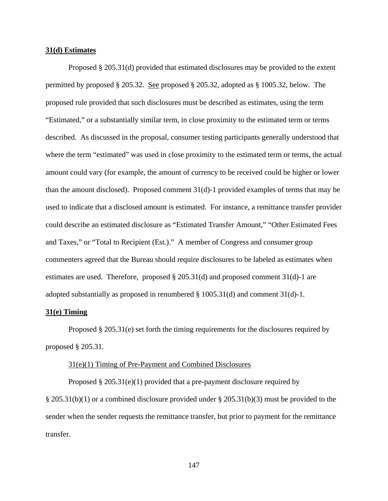## **31(d) Estimates**

Proposed § 205.31(d) provided that estimated disclosures may be provided to the extent permitted by proposed § 205.32. See proposed § 205.32, adopted as § 1005.32, below. The proposed rule provided that such disclosures must be described as estimates, using the term "Estimated," or a substantially similar term, in close proximity to the estimated term or terms described. As discussed in the proposal, consumer testing participants generally understood that where the term "estimated" was used in close proximity to the estimated term or terms, the actual amount could vary (for example, the amount of currency to be received could be higher or lower than the amount disclosed). Proposed comment 31(d)-1 provided examples of terms that may be used to indicate that a disclosed amount is estimated. For instance, a remittance transfer provider could describe an estimated disclosure as "Estimated Transfer Amount," "Other Estimated Fees and Taxes," or "Total to Recipient (Est.)." A member of Congress and consumer group commenters agreed that the Bureau should require disclosures to be labeled as estimates when estimates are used. Therefore, proposed § 205.31(d) and proposed comment 31(d)-1 are adopted substantially as proposed in renumbered § 1005.31(d) and comment 31(d)-1.

# **31(e) Timing**

Proposed § 205.31(e) set forth the timing requirements for the disclosures required by proposed § 205.31.

#### 31(e)(1) Timing of Pre-Payment and Combined Disclosures

Proposed  $\S 205.31(e)(1)$  provided that a pre-payment disclosure required by § 205.31(b)(1) or a combined disclosure provided under § 205.31(b)(3) must be provided to the sender when the sender requests the remittance transfer, but prior to payment for the remittance transfer.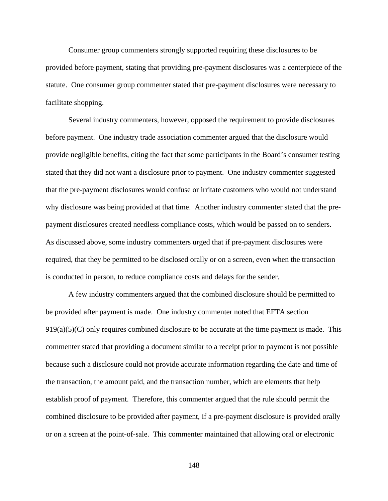Consumer group commenters strongly supported requiring these disclosures to be provided before payment, stating that providing pre-payment disclosures was a centerpiece of the statute. One consumer group commenter stated that pre-payment disclosures were necessary to facilitate shopping.

Several industry commenters, however, opposed the requirement to provide disclosures before payment. One industry trade association commenter argued that the disclosure would provide negligible benefits, citing the fact that some participants in the Board's consumer testing stated that they did not want a disclosure prior to payment. One industry commenter suggested that the pre-payment disclosures would confuse or irritate customers who would not understand why disclosure was being provided at that time. Another industry commenter stated that the prepayment disclosures created needless compliance costs, which would be passed on to senders. As discussed above, some industry commenters urged that if pre-payment disclosures were required, that they be permitted to be disclosed orally or on a screen, even when the transaction is conducted in person, to reduce compliance costs and delays for the sender.

A few industry commenters argued that the combined disclosure should be permitted to be provided after payment is made. One industry commenter noted that EFTA section  $919(a)(5)(C)$  only requires combined disclosure to be accurate at the time payment is made. This commenter stated that providing a document similar to a receipt prior to payment is not possible because such a disclosure could not provide accurate information regarding the date and time of the transaction, the amount paid, and the transaction number, which are elements that help establish proof of payment. Therefore, this commenter argued that the rule should permit the combined disclosure to be provided after payment, if a pre-payment disclosure is provided orally or on a screen at the point-of-sale. This commenter maintained that allowing oral or electronic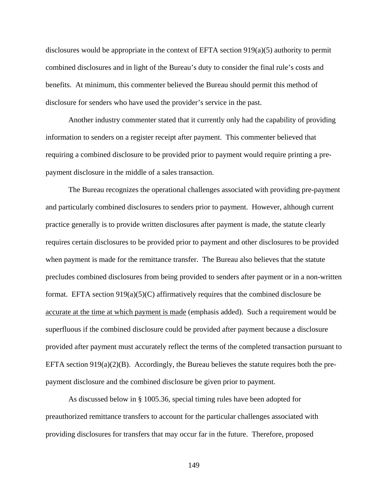disclosures would be appropriate in the context of EFTA section 919(a)(5) authority to permit combined disclosures and in light of the Bureau's duty to consider the final rule's costs and benefits. At minimum, this commenter believed the Bureau should permit this method of disclosure for senders who have used the provider's service in the past.

Another industry commenter stated that it currently only had the capability of providing information to senders on a register receipt after payment. This commenter believed that requiring a combined disclosure to be provided prior to payment would require printing a prepayment disclosure in the middle of a sales transaction.

The Bureau recognizes the operational challenges associated with providing pre-payment and particularly combined disclosures to senders prior to payment. However, although current practice generally is to provide written disclosures after payment is made, the statute clearly requires certain disclosures to be provided prior to payment and other disclosures to be provided when payment is made for the remittance transfer. The Bureau also believes that the statute precludes combined disclosures from being provided to senders after payment or in a non-written format. EFTA section  $919(a)(5)(C)$  affirmatively requires that the combined disclosure be accurate at the time at which payment is made (emphasis added). Such a requirement would be superfluous if the combined disclosure could be provided after payment because a disclosure provided after payment must accurately reflect the terms of the completed transaction pursuant to EFTA section  $919(a)(2)(B)$ . Accordingly, the Bureau believes the statute requires both the prepayment disclosure and the combined disclosure be given prior to payment.

As discussed below in § 1005.36, special timing rules have been adopted for preauthorized remittance transfers to account for the particular challenges associated with providing disclosures for transfers that may occur far in the future. Therefore, proposed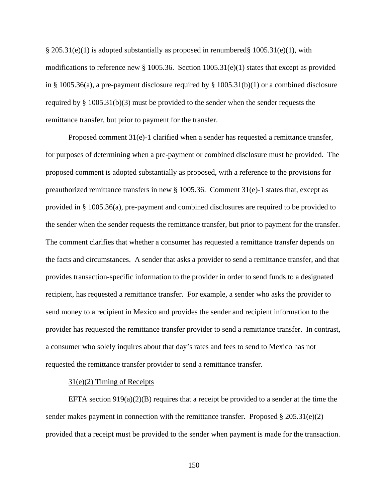$\S 205.31(e)(1)$  is adopted substantially as proposed in renumbered $\S 1005.31(e)(1)$ , with modifications to reference new § 1005.36. Section  $1005.31(e)(1)$  states that except as provided in § 1005.36(a), a pre-payment disclosure required by § 1005.31(b)(1) or a combined disclosure required by § 1005.31(b)(3) must be provided to the sender when the sender requests the remittance transfer, but prior to payment for the transfer.

Proposed comment 31(e)-1 clarified when a sender has requested a remittance transfer, for purposes of determining when a pre-payment or combined disclosure must be provided. The proposed comment is adopted substantially as proposed, with a reference to the provisions for preauthorized remittance transfers in new § 1005.36. Comment 31(e)-1 states that, except as provided in § 1005.36(a), pre-payment and combined disclosures are required to be provided to the sender when the sender requests the remittance transfer, but prior to payment for the transfer. The comment clarifies that whether a consumer has requested a remittance transfer depends on the facts and circumstances. A sender that asks a provider to send a remittance transfer, and that provides transaction-specific information to the provider in order to send funds to a designated recipient, has requested a remittance transfer. For example, a sender who asks the provider to send money to a recipient in Mexico and provides the sender and recipient information to the provider has requested the remittance transfer provider to send a remittance transfer. In contrast, a consumer who solely inquires about that day's rates and fees to send to Mexico has not requested the remittance transfer provider to send a remittance transfer.

# 31(e)(2) Timing of Receipts

EFTA section  $919(a)(2)(B)$  requires that a receipt be provided to a sender at the time the sender makes payment in connection with the remittance transfer. Proposed  $\S 205.31(e)$ (2) provided that a receipt must be provided to the sender when payment is made for the transaction.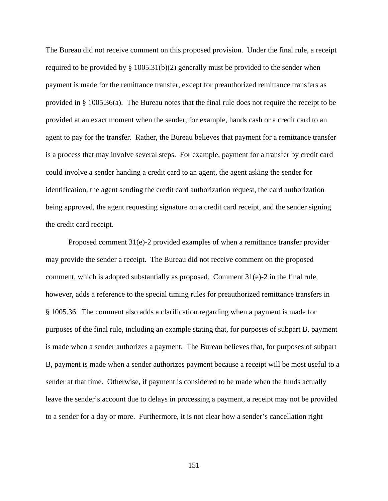The Bureau did not receive comment on this proposed provision. Under the final rule, a receipt required to be provided by  $\S 1005.31(b)(2)$  generally must be provided to the sender when payment is made for the remittance transfer, except for preauthorized remittance transfers as provided in § 1005.36(a). The Bureau notes that the final rule does not require the receipt to be provided at an exact moment when the sender, for example, hands cash or a credit card to an agent to pay for the transfer. Rather, the Bureau believes that payment for a remittance transfer is a process that may involve several steps. For example, payment for a transfer by credit card could involve a sender handing a credit card to an agent, the agent asking the sender for identification, the agent sending the credit card authorization request, the card authorization being approved, the agent requesting signature on a credit card receipt, and the sender signing the credit card receipt.

Proposed comment 31(e)-2 provided examples of when a remittance transfer provider may provide the sender a receipt. The Bureau did not receive comment on the proposed comment, which is adopted substantially as proposed. Comment 31(e)-2 in the final rule, however, adds a reference to the special timing rules for preauthorized remittance transfers in § 1005.36. The comment also adds a clarification regarding when a payment is made for purposes of the final rule, including an example stating that, for purposes of subpart B, payment is made when a sender authorizes a payment. The Bureau believes that, for purposes of subpart B, payment is made when a sender authorizes payment because a receipt will be most useful to a sender at that time. Otherwise, if payment is considered to be made when the funds actually leave the sender's account due to delays in processing a payment, a receipt may not be provided to a sender for a day or more. Furthermore, it is not clear how a sender's cancellation right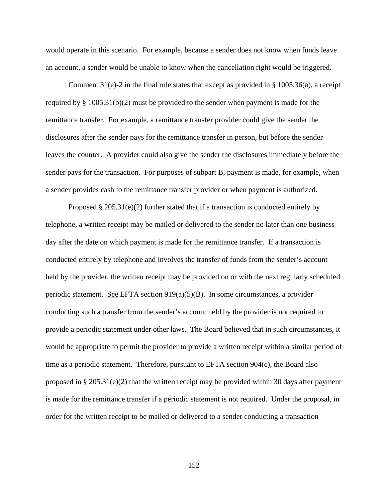would operate in this scenario. For example, because a sender does not know when funds leave an account, a sender would be unable to know when the cancellation right would be triggered.

Comment  $31(e)-2$  in the final rule states that except as provided in § 1005.36(a), a receipt required by § 1005.31(b)(2) must be provided to the sender when payment is made for the remittance transfer. For example, a remittance transfer provider could give the sender the disclosures after the sender pays for the remittance transfer in person, but before the sender leaves the counter. A provider could also give the sender the disclosures immediately before the sender pays for the transaction. For purposes of subpart B, payment is made, for example, when a sender provides cash to the remittance transfer provider or when payment is authorized.

Proposed  $\S 205.31(e)(2)$  further stated that if a transaction is conducted entirely by telephone, a written receipt may be mailed or delivered to the sender no later than one business day after the date on which payment is made for the remittance transfer. If a transaction is conducted entirely by telephone and involves the transfer of funds from the sender's account held by the provider, the written receipt may be provided on or with the next regularly scheduled periodic statement. See EFTA section 919(a)(5)(B). In some circumstances, a provider conducting such a transfer from the sender's account held by the provider is not required to provide a periodic statement under other laws. The Board believed that in such circumstances, it would be appropriate to permit the provider to provide a written receipt within a similar period of time as a periodic statement. Therefore, pursuant to EFTA section  $904(c)$ , the Board also proposed in  $\S 205.31(e)(2)$  that the written receipt may be provided within 30 days after payment is made for the remittance transfer if a periodic statement is not required. Under the proposal, in order for the written receipt to be mailed or delivered to a sender conducting a transaction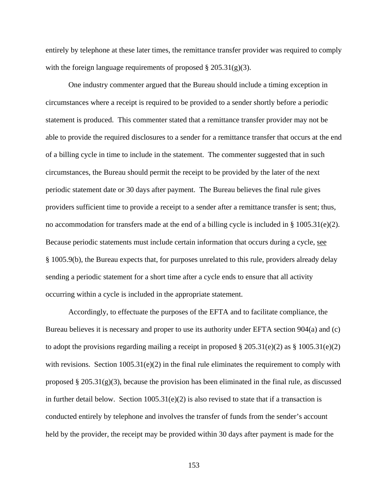entirely by telephone at these later times, the remittance transfer provider was required to comply with the foreign language requirements of proposed  $\S 205.31(g)(3)$ .

One industry commenter argued that the Bureau should include a timing exception in circumstances where a receipt is required to be provided to a sender shortly before a periodic statement is produced. This commenter stated that a remittance transfer provider may not be able to provide the required disclosures to a sender for a remittance transfer that occurs at the end of a billing cycle in time to include in the statement. The commenter suggested that in such circumstances, the Bureau should permit the receipt to be provided by the later of the next periodic statement date or 30 days after payment. The Bureau believes the final rule gives providers sufficient time to provide a receipt to a sender after a remittance transfer is sent; thus, no accommodation for transfers made at the end of a billing cycle is included in § 1005.31(e)(2). Because periodic statements must include certain information that occurs during a cycle, see § 1005.9(b), the Bureau expects that, for purposes unrelated to this rule, providers already delay sending a periodic statement for a short time after a cycle ends to ensure that all activity occurring within a cycle is included in the appropriate statement.

Accordingly, to effectuate the purposes of the EFTA and to facilitate compliance, the Bureau believes it is necessary and proper to use its authority under EFTA section 904(a) and (c) to adopt the provisions regarding mailing a receipt in proposed § 205.31(e)(2) as § 1005.31(e)(2) with revisions. Section  $1005.31(e)(2)$  in the final rule eliminates the requirement to comply with proposed  $\S 205.31(g)(3)$ , because the provision has been eliminated in the final rule, as discussed in further detail below. Section  $1005.31(e)(2)$  is also revised to state that if a transaction is conducted entirely by telephone and involves the transfer of funds from the sender's account held by the provider, the receipt may be provided within 30 days after payment is made for the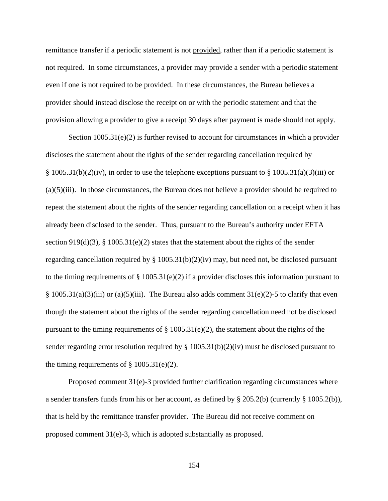remittance transfer if a periodic statement is not provided, rather than if a periodic statement is not required. In some circumstances, a provider may provide a sender with a periodic statement even if one is not required to be provided. In these circumstances, the Bureau believes a provider should instead disclose the receipt on or with the periodic statement and that the provision allowing a provider to give a receipt 30 days after payment is made should not apply.

Section  $1005.31(e)(2)$  is further revised to account for circumstances in which a provider discloses the statement about the rights of the sender regarding cancellation required by § 1005.31(b)(2)(iv), in order to use the telephone exceptions pursuant to § 1005.31(a)(3)(iii) or (a)(5)(iii). In those circumstances, the Bureau does not believe a provider should be required to repeat the statement about the rights of the sender regarding cancellation on a receipt when it has already been disclosed to the sender. Thus, pursuant to the Bureau's authority under EFTA section 919(d)(3), § 1005.31(e)(2) states that the statement about the rights of the sender regarding cancellation required by § 1005.31(b)(2)(iv) may, but need not, be disclosed pursuant to the timing requirements of  $\S 1005.31(e)(2)$  if a provider discloses this information pursuant to § 1005.31(a)(3)(iii) or (a)(5)(iii). The Bureau also adds comment 31(e)(2)-5 to clarify that even though the statement about the rights of the sender regarding cancellation need not be disclosed pursuant to the timing requirements of  $\S 1005.31(e)(2)$ , the statement about the rights of the sender regarding error resolution required by § 1005.31(b)(2)(iv) must be disclosed pursuant to the timing requirements of  $\S 1005.31(e)(2)$ .

Proposed comment 31(e)-3 provided further clarification regarding circumstances where a sender transfers funds from his or her account, as defined by § 205.2(b) (currently § 1005.2(b)), that is held by the remittance transfer provider. The Bureau did not receive comment on proposed comment 31(e)-3, which is adopted substantially as proposed.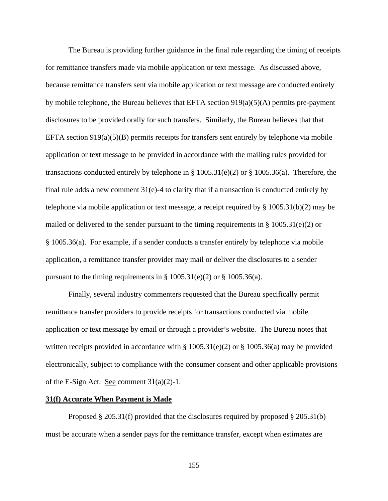The Bureau is providing further guidance in the final rule regarding the timing of receipts for remittance transfers made via mobile application or text message. As discussed above, because remittance transfers sent via mobile application or text message are conducted entirely by mobile telephone, the Bureau believes that EFTA section 919(a)(5)(A) permits pre-payment disclosures to be provided orally for such transfers. Similarly, the Bureau believes that that EFTA section  $919(a)(5)(B)$  permits receipts for transfers sent entirely by telephone via mobile application or text message to be provided in accordance with the mailing rules provided for transactions conducted entirely by telephone in §  $1005.31(e)(2)$  or §  $1005.36(a)$ . Therefore, the final rule adds a new comment  $31(e)$ -4 to clarify that if a transaction is conducted entirely by telephone via mobile application or text message, a receipt required by § 1005.31(b)(2) may be mailed or delivered to the sender pursuant to the timing requirements in § 1005.31(e)(2) or § 1005.36(a). For example, if a sender conducts a transfer entirely by telephone via mobile application, a remittance transfer provider may mail or deliver the disclosures to a sender pursuant to the timing requirements in  $\S 1005.31(e)(2)$  or  $\S 1005.36(a)$ .

Finally, several industry commenters requested that the Bureau specifically permit remittance transfer providers to provide receipts for transactions conducted via mobile application or text message by email or through a provider's website. The Bureau notes that written receipts provided in accordance with  $\S 1005.31(e)(2)$  or  $\S 1005.36(a)$  may be provided electronically, subject to compliance with the consumer consent and other applicable provisions of the E-Sign Act. See comment  $31(a)(2)-1$ .

# **31(f) Accurate When Payment is Made**

Proposed § 205.31(f) provided that the disclosures required by proposed § 205.31(b) must be accurate when a sender pays for the remittance transfer, except when estimates are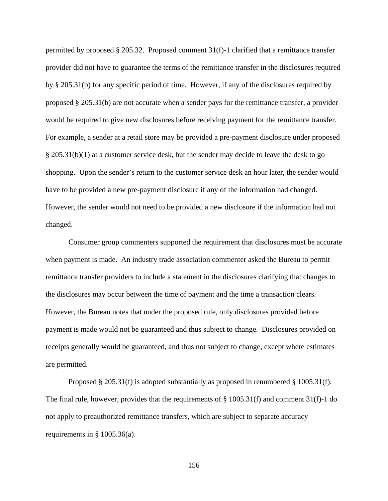permitted by proposed § 205.32. Proposed comment 31(f)-1 clarified that a remittance transfer provider did not have to guarantee the terms of the remittance transfer in the disclosures required by § 205.31(b) for any specific period of time. However, if any of the disclosures required by proposed § 205.31(b) are not accurate when a sender pays for the remittance transfer, a provider would be required to give new disclosures before receiving payment for the remittance transfer. For example, a sender at a retail store may be provided a pre-payment disclosure under proposed § 205.31(b)(1) at a customer service desk, but the sender may decide to leave the desk to go shopping. Upon the sender's return to the customer service desk an hour later, the sender would have to be provided a new pre-payment disclosure if any of the information had changed. However, the sender would not need to be provided a new disclosure if the information had not changed.

 Consumer group commenters supported the requirement that disclosures must be accurate when payment is made. An industry trade association commenter asked the Bureau to permit remittance transfer providers to include a statement in the disclosures clarifying that changes to the disclosures may occur between the time of payment and the time a transaction clears. However, the Bureau notes that under the proposed rule, only disclosures provided before payment is made would not be guaranteed and thus subject to change. Disclosures provided on receipts generally would be guaranteed, and thus not subject to change, except where estimates are permitted.

Proposed § 205.31(f) is adopted substantially as proposed in renumbered § 1005.31(f). The final rule, however, provides that the requirements of § 1005.31(f) and comment 31(f)-1 do not apply to preauthorized remittance transfers, which are subject to separate accuracy requirements in § 1005.36(a).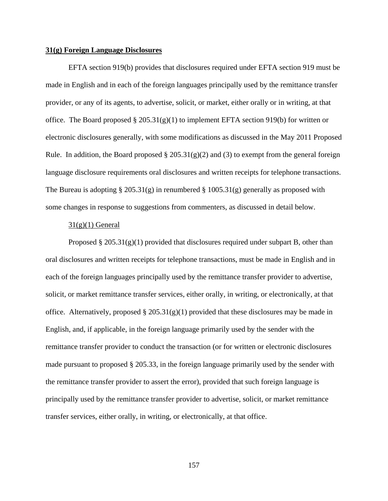# **31(g) Foreign Language Disclosures**

EFTA section 919(b) provides that disclosures required under EFTA section 919 must be made in English and in each of the foreign languages principally used by the remittance transfer provider, or any of its agents, to advertise, solicit, or market, either orally or in writing, at that office. The Board proposed §  $205.31(g)(1)$  to implement EFTA section 919(b) for written or electronic disclosures generally, with some modifications as discussed in the May 2011 Proposed Rule. In addition, the Board proposed  $\S 205.31(g)(2)$  and (3) to exempt from the general foreign language disclosure requirements oral disclosures and written receipts for telephone transactions. The Bureau is adopting  $\S 205.31(g)$  in renumbered  $\S 1005.31(g)$  generally as proposed with some changes in response to suggestions from commenters, as discussed in detail below.

# $31(g)(1)$  General

Proposed  $\S 205.31(g)(1)$  provided that disclosures required under subpart B, other than oral disclosures and written receipts for telephone transactions, must be made in English and in each of the foreign languages principally used by the remittance transfer provider to advertise, solicit, or market remittance transfer services, either orally, in writing, or electronically, at that office. Alternatively, proposed  $\S 205.31(g)(1)$  provided that these disclosures may be made in English, and, if applicable, in the foreign language primarily used by the sender with the remittance transfer provider to conduct the transaction (or for written or electronic disclosures made pursuant to proposed § 205.33, in the foreign language primarily used by the sender with the remittance transfer provider to assert the error), provided that such foreign language is principally used by the remittance transfer provider to advertise, solicit, or market remittance transfer services, either orally, in writing, or electronically, at that office.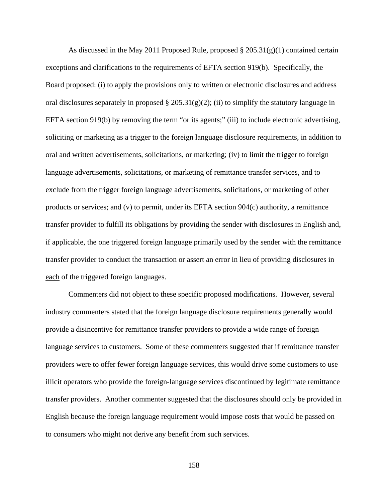As discussed in the May 2011 Proposed Rule, proposed  $\S 205.31(g)(1)$  contained certain exceptions and clarifications to the requirements of EFTA section 919(b). Specifically, the Board proposed: (i) to apply the provisions only to written or electronic disclosures and address oral disclosures separately in proposed  $\S 205.31(g)(2)$ ; (ii) to simplify the statutory language in EFTA section 919(b) by removing the term "or its agents;" (iii) to include electronic advertising, soliciting or marketing as a trigger to the foreign language disclosure requirements, in addition to oral and written advertisements, solicitations, or marketing; (iv) to limit the trigger to foreign language advertisements, solicitations, or marketing of remittance transfer services, and to exclude from the trigger foreign language advertisements, solicitations, or marketing of other products or services; and (v) to permit, under its EFTA section 904(c) authority, a remittance transfer provider to fulfill its obligations by providing the sender with disclosures in English and, if applicable, the one triggered foreign language primarily used by the sender with the remittance transfer provider to conduct the transaction or assert an error in lieu of providing disclosures in each of the triggered foreign languages.

Commenters did not object to these specific proposed modifications. However, several industry commenters stated that the foreign language disclosure requirements generally would provide a disincentive for remittance transfer providers to provide a wide range of foreign language services to customers. Some of these commenters suggested that if remittance transfer providers were to offer fewer foreign language services, this would drive some customers to use illicit operators who provide the foreign-language services discontinued by legitimate remittance transfer providers. Another commenter suggested that the disclosures should only be provided in English because the foreign language requirement would impose costs that would be passed on to consumers who might not derive any benefit from such services.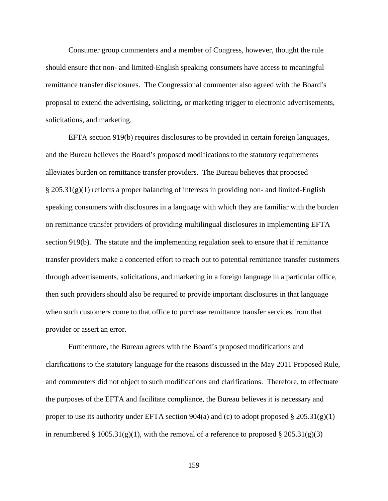Consumer group commenters and a member of Congress, however, thought the rule should ensure that non- and limited-English speaking consumers have access to meaningful remittance transfer disclosures. The Congressional commenter also agreed with the Board's proposal to extend the advertising, soliciting, or marketing trigger to electronic advertisements, solicitations, and marketing.

EFTA section 919(b) requires disclosures to be provided in certain foreign languages, and the Bureau believes the Board's proposed modifications to the statutory requirements alleviates burden on remittance transfer providers. The Bureau believes that proposed § 205.31(g)(1) reflects a proper balancing of interests in providing non- and limited-English speaking consumers with disclosures in a language with which they are familiar with the burden on remittance transfer providers of providing multilingual disclosures in implementing EFTA section 919(b). The statute and the implementing regulation seek to ensure that if remittance transfer providers make a concerted effort to reach out to potential remittance transfer customers through advertisements, solicitations, and marketing in a foreign language in a particular office, then such providers should also be required to provide important disclosures in that language when such customers come to that office to purchase remittance transfer services from that provider or assert an error.

Furthermore, the Bureau agrees with the Board's proposed modifications and clarifications to the statutory language for the reasons discussed in the May 2011 Proposed Rule, and commenters did not object to such modifications and clarifications. Therefore, to effectuate the purposes of the EFTA and facilitate compliance, the Bureau believes it is necessary and proper to use its authority under EFTA section 904(a) and (c) to adopt proposed  $\S 205.31(g)(1)$ in renumbered §  $1005.31(g)(1)$ , with the removal of a reference to proposed §  $205.31(g)(3)$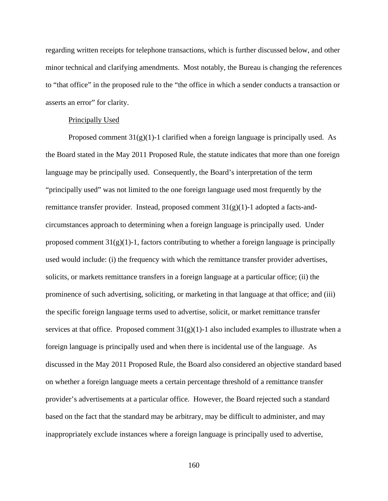regarding written receipts for telephone transactions, which is further discussed below, and other minor technical and clarifying amendments. Most notably, the Bureau is changing the references to "that office" in the proposed rule to the "the office in which a sender conducts a transaction or asserts an error" for clarity.

#### Principally Used

Proposed comment  $31(g)(1)$ -1 clarified when a foreign language is principally used. As the Board stated in the May 2011 Proposed Rule, the statute indicates that more than one foreign language may be principally used. Consequently, the Board's interpretation of the term "principally used" was not limited to the one foreign language used most frequently by the remittance transfer provider. Instead, proposed comment  $31(g)(1)$ -1 adopted a facts-andcircumstances approach to determining when a foreign language is principally used. Under proposed comment  $31(g)(1)-1$ , factors contributing to whether a foreign language is principally used would include: (i) the frequency with which the remittance transfer provider advertises, solicits, or markets remittance transfers in a foreign language at a particular office; (ii) the prominence of such advertising, soliciting, or marketing in that language at that office; and (iii) the specific foreign language terms used to advertise, solicit, or market remittance transfer services at that office. Proposed comment  $31(g)(1)$ -1 also included examples to illustrate when a foreign language is principally used and when there is incidental use of the language. As discussed in the May 2011 Proposed Rule, the Board also considered an objective standard based on whether a foreign language meets a certain percentage threshold of a remittance transfer provider's advertisements at a particular office. However, the Board rejected such a standard based on the fact that the standard may be arbitrary, may be difficult to administer, and may inappropriately exclude instances where a foreign language is principally used to advertise,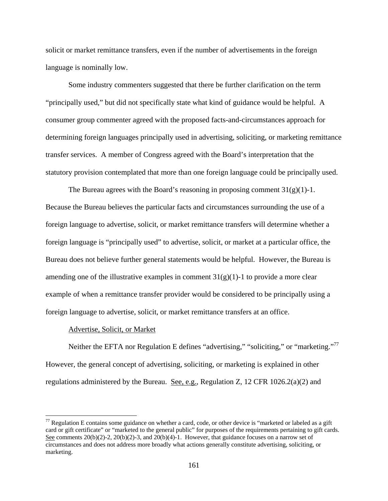solicit or market remittance transfers, even if the number of advertisements in the foreign language is nominally low.

Some industry commenters suggested that there be further clarification on the term "principally used," but did not specifically state what kind of guidance would be helpful. A consumer group commenter agreed with the proposed facts-and-circumstances approach for determining foreign languages principally used in advertising, soliciting, or marketing remittance transfer services. A member of Congress agreed with the Board's interpretation that the statutory provision contemplated that more than one foreign language could be principally used.

The Bureau agrees with the Board's reasoning in proposing comment  $31(g)(1)-1$ . Because the Bureau believes the particular facts and circumstances surrounding the use of a foreign language to advertise, solicit, or market remittance transfers will determine whether a foreign language is "principally used" to advertise, solicit, or market at a particular office, the Bureau does not believe further general statements would be helpful. However, the Bureau is amending one of the illustrative examples in comment  $31(g)(1)-1$  to provide a more clear example of when a remittance transfer provider would be considered to be principally using a foreign language to advertise, solicit, or market remittance transfers at an office.

## Advertise, Solicit, or Market

 $\overline{a}$ 

Neither the EFTA nor Regulation E defines "advertising," "soliciting," or "marketing."<sup>77</sup> However, the general concept of advertising, soliciting, or marketing is explained in other regulations administered by the Bureau. See, e.g., Regulation Z, 12 CFR 1026.2(a)(2) and

 $77$  Regulation E contains some guidance on whether a card, code, or other device is "marketed or labeled as a gift card or gift certificate" or "marketed to the general public" for purposes of the requirements pertaining to gift cards. See comments  $20(b)(2)-2$ ,  $20(b)(2)-3$ , and  $20(b)(4)-1$ . However, that guidance focuses on a narrow set of circumstances and does not address more broadly what actions generally constitute advertising, soliciting, or marketing.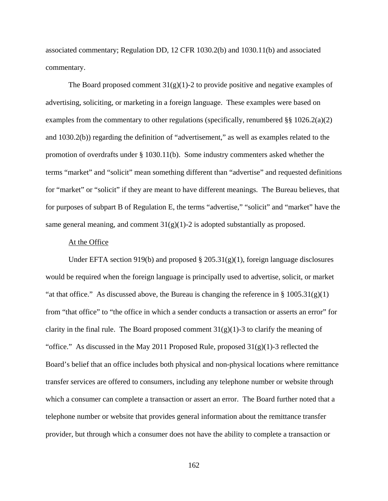associated commentary; Regulation DD, 12 CFR 1030.2(b) and 1030.11(b) and associated commentary.

The Board proposed comment  $31(g)(1)-2$  to provide positive and negative examples of advertising, soliciting, or marketing in a foreign language. These examples were based on examples from the commentary to other regulations (specifically, renumbered  $\S$ § 1026.2(a)(2) and 1030.2(b)) regarding the definition of "advertisement," as well as examples related to the promotion of overdrafts under § 1030.11(b). Some industry commenters asked whether the terms "market" and "solicit" mean something different than "advertise" and requested definitions for "market" or "solicit" if they are meant to have different meanings. The Bureau believes, that for purposes of subpart B of Regulation E, the terms "advertise," "solicit" and "market" have the same general meaning, and comment  $31(g)(1)-2$  is adopted substantially as proposed.

#### At the Office

Under EFTA section 919(b) and proposed  $\S 205.31(g)(1)$ , foreign language disclosures would be required when the foreign language is principally used to advertise, solicit, or market "at that office." As discussed above, the Bureau is changing the reference in §  $1005.31(g)(1)$ from "that office" to "the office in which a sender conducts a transaction or asserts an error" for clarity in the final rule. The Board proposed comment  $31(g)(1)$ -3 to clarify the meaning of "office." As discussed in the May 2011 Proposed Rule, proposed  $31(g)(1)$ -3 reflected the Board's belief that an office includes both physical and non-physical locations where remittance transfer services are offered to consumers, including any telephone number or website through which a consumer can complete a transaction or assert an error. The Board further noted that a telephone number or website that provides general information about the remittance transfer provider, but through which a consumer does not have the ability to complete a transaction or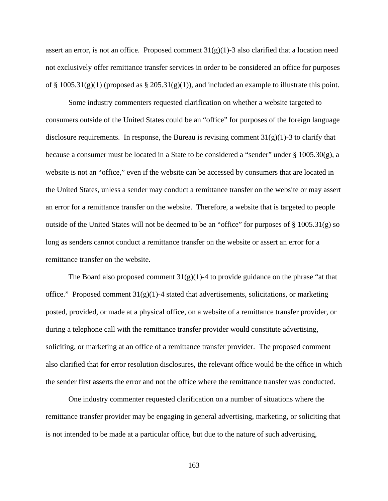assert an error, is not an office. Proposed comment  $31(g)(1)-3$  also clarified that a location need not exclusively offer remittance transfer services in order to be considered an office for purposes of § 1005.31(g)(1) (proposed as § 205.31(g)(1)), and included an example to illustrate this point.

Some industry commenters requested clarification on whether a website targeted to consumers outside of the United States could be an "office" for purposes of the foreign language disclosure requirements. In response, the Bureau is revising comment  $31(g)(1)$ -3 to clarify that because a consumer must be located in a State to be considered a "sender" under § 1005.30(g), a website is not an "office," even if the website can be accessed by consumers that are located in the United States, unless a sender may conduct a remittance transfer on the website or may assert an error for a remittance transfer on the website. Therefore, a website that is targeted to people outside of the United States will not be deemed to be an "office" for purposes of § 1005.31(g) so long as senders cannot conduct a remittance transfer on the website or assert an error for a remittance transfer on the website.

The Board also proposed comment  $31(g)(1)$ -4 to provide guidance on the phrase "at that office." Proposed comment  $31(g)(1)$ -4 stated that advertisements, solicitations, or marketing posted, provided, or made at a physical office, on a website of a remittance transfer provider, or during a telephone call with the remittance transfer provider would constitute advertising, soliciting, or marketing at an office of a remittance transfer provider. The proposed comment also clarified that for error resolution disclosures, the relevant office would be the office in which the sender first asserts the error and not the office where the remittance transfer was conducted.

One industry commenter requested clarification on a number of situations where the remittance transfer provider may be engaging in general advertising, marketing, or soliciting that is not intended to be made at a particular office, but due to the nature of such advertising,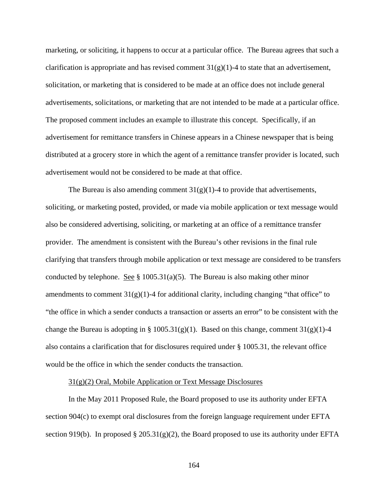marketing, or soliciting, it happens to occur at a particular office. The Bureau agrees that such a clarification is appropriate and has revised comment  $31(g)(1)-4$  to state that an advertisement, solicitation, or marketing that is considered to be made at an office does not include general advertisements, solicitations, or marketing that are not intended to be made at a particular office. The proposed comment includes an example to illustrate this concept. Specifically, if an advertisement for remittance transfers in Chinese appears in a Chinese newspaper that is being distributed at a grocery store in which the agent of a remittance transfer provider is located, such advertisement would not be considered to be made at that office.

The Bureau is also amending comment  $31(g)(1)$ -4 to provide that advertisements, soliciting, or marketing posted, provided, or made via mobile application or text message would also be considered advertising, soliciting, or marketing at an office of a remittance transfer provider. The amendment is consistent with the Bureau's other revisions in the final rule clarifying that transfers through mobile application or text message are considered to be transfers conducted by telephone. See § 1005.31(a)(5). The Bureau is also making other minor amendments to comment  $31(g)(1)$ -4 for additional clarity, including changing "that office" to "the office in which a sender conducts a transaction or asserts an error" to be consistent with the change the Bureau is adopting in § 1005.31(g)(1). Based on this change, comment  $31(g)(1)$ -4 also contains a clarification that for disclosures required under § 1005.31, the relevant office would be the office in which the sender conducts the transaction.

## 31(g)(2) Oral, Mobile Application or Text Message Disclosures

In the May 2011 Proposed Rule, the Board proposed to use its authority under EFTA section 904(c) to exempt oral disclosures from the foreign language requirement under EFTA section 919(b). In proposed § 205.31(g)(2), the Board proposed to use its authority under EFTA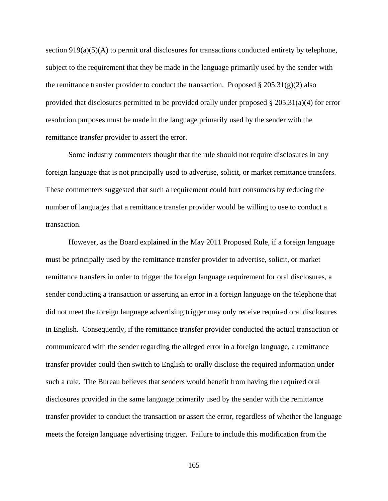section  $919(a)(5)(A)$  to permit oral disclosures for transactions conducted entirety by telephone, subject to the requirement that they be made in the language primarily used by the sender with the remittance transfer provider to conduct the transaction. Proposed  $\S 205.31(g)(2)$  also provided that disclosures permitted to be provided orally under proposed § 205.31(a)(4) for error resolution purposes must be made in the language primarily used by the sender with the remittance transfer provider to assert the error.

Some industry commenters thought that the rule should not require disclosures in any foreign language that is not principally used to advertise, solicit, or market remittance transfers. These commenters suggested that such a requirement could hurt consumers by reducing the number of languages that a remittance transfer provider would be willing to use to conduct a transaction.

However, as the Board explained in the May 2011 Proposed Rule, if a foreign language must be principally used by the remittance transfer provider to advertise, solicit, or market remittance transfers in order to trigger the foreign language requirement for oral disclosures, a sender conducting a transaction or asserting an error in a foreign language on the telephone that did not meet the foreign language advertising trigger may only receive required oral disclosures in English. Consequently, if the remittance transfer provider conducted the actual transaction or communicated with the sender regarding the alleged error in a foreign language, a remittance transfer provider could then switch to English to orally disclose the required information under such a rule. The Bureau believes that senders would benefit from having the required oral disclosures provided in the same language primarily used by the sender with the remittance transfer provider to conduct the transaction or assert the error, regardless of whether the language meets the foreign language advertising trigger. Failure to include this modification from the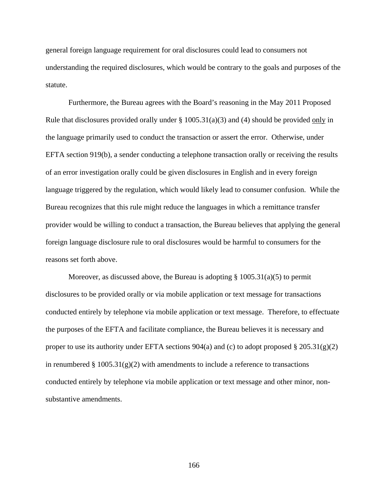general foreign language requirement for oral disclosures could lead to consumers not understanding the required disclosures, which would be contrary to the goals and purposes of the statute.

Furthermore, the Bureau agrees with the Board's reasoning in the May 2011 Proposed Rule that disclosures provided orally under  $\S 1005.31(a)(3)$  and (4) should be provided only in the language primarily used to conduct the transaction or assert the error. Otherwise, under EFTA section 919(b), a sender conducting a telephone transaction orally or receiving the results of an error investigation orally could be given disclosures in English and in every foreign language triggered by the regulation, which would likely lead to consumer confusion. While the Bureau recognizes that this rule might reduce the languages in which a remittance transfer provider would be willing to conduct a transaction, the Bureau believes that applying the general foreign language disclosure rule to oral disclosures would be harmful to consumers for the reasons set forth above.

Moreover, as discussed above, the Bureau is adopting  $\S 1005.31(a)(5)$  to permit disclosures to be provided orally or via mobile application or text message for transactions conducted entirely by telephone via mobile application or text message. Therefore, to effectuate the purposes of the EFTA and facilitate compliance, the Bureau believes it is necessary and proper to use its authority under EFTA sections  $904(a)$  and (c) to adopt proposed § 205.31(g)(2) in renumbered  $\S 1005.31(g)(2)$  with amendments to include a reference to transactions conducted entirely by telephone via mobile application or text message and other minor, nonsubstantive amendments.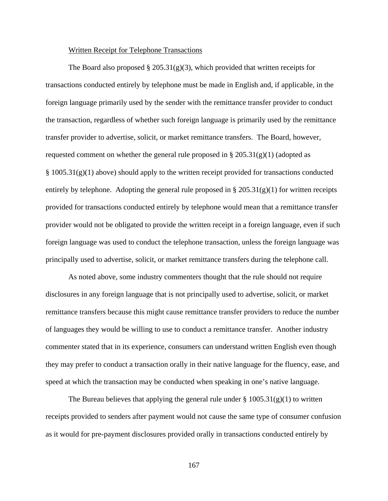# Written Receipt for Telephone Transactions

The Board also proposed § 205.31(g)(3), which provided that written receipts for transactions conducted entirely by telephone must be made in English and, if applicable, in the foreign language primarily used by the sender with the remittance transfer provider to conduct the transaction, regardless of whether such foreign language is primarily used by the remittance transfer provider to advertise, solicit, or market remittance transfers. The Board, however, requested comment on whether the general rule proposed in §  $205.31(g)(1)$  (adopted as  $§ 1005.31(g)(1)$  above) should apply to the written receipt provided for transactions conducted entirely by telephone. Adopting the general rule proposed in  $\S 205.31(g)(1)$  for written receipts provided for transactions conducted entirely by telephone would mean that a remittance transfer provider would not be obligated to provide the written receipt in a foreign language, even if such foreign language was used to conduct the telephone transaction, unless the foreign language was principally used to advertise, solicit, or market remittance transfers during the telephone call.

As noted above, some industry commenters thought that the rule should not require disclosures in any foreign language that is not principally used to advertise, solicit, or market remittance transfers because this might cause remittance transfer providers to reduce the number of languages they would be willing to use to conduct a remittance transfer. Another industry commenter stated that in its experience, consumers can understand written English even though they may prefer to conduct a transaction orally in their native language for the fluency, ease, and speed at which the transaction may be conducted when speaking in one's native language.

The Bureau believes that applying the general rule under  $\S 1005.31(g)(1)$  to written receipts provided to senders after payment would not cause the same type of consumer confusion as it would for pre-payment disclosures provided orally in transactions conducted entirely by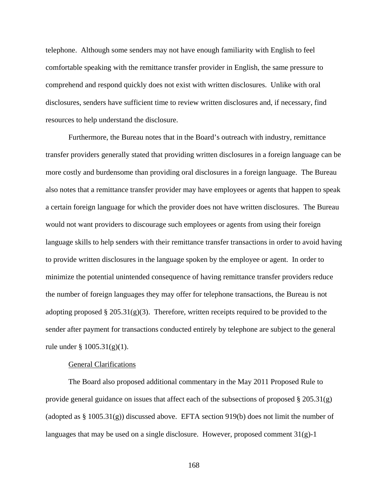telephone. Although some senders may not have enough familiarity with English to feel comfortable speaking with the remittance transfer provider in English, the same pressure to comprehend and respond quickly does not exist with written disclosures. Unlike with oral disclosures, senders have sufficient time to review written disclosures and, if necessary, find resources to help understand the disclosure.

Furthermore, the Bureau notes that in the Board's outreach with industry, remittance transfer providers generally stated that providing written disclosures in a foreign language can be more costly and burdensome than providing oral disclosures in a foreign language. The Bureau also notes that a remittance transfer provider may have employees or agents that happen to speak a certain foreign language for which the provider does not have written disclosures. The Bureau would not want providers to discourage such employees or agents from using their foreign language skills to help senders with their remittance transfer transactions in order to avoid having to provide written disclosures in the language spoken by the employee or agent. In order to minimize the potential unintended consequence of having remittance transfer providers reduce the number of foreign languages they may offer for telephone transactions, the Bureau is not adopting proposed § 205.31(g)(3). Therefore, written receipts required to be provided to the sender after payment for transactions conducted entirely by telephone are subject to the general rule under § 1005.31(g)(1).

#### General Clarifications

The Board also proposed additional commentary in the May 2011 Proposed Rule to provide general guidance on issues that affect each of the subsections of proposed  $\S 205.31(g)$ (adopted as  $\S 1005.31(g)$ ) discussed above. EFTA section 919(b) does not limit the number of languages that may be used on a single disclosure. However, proposed comment  $31(g)-1$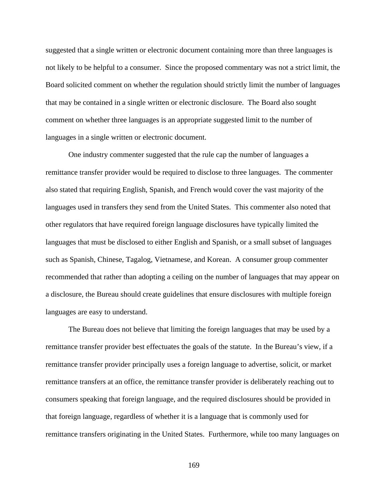suggested that a single written or electronic document containing more than three languages is not likely to be helpful to a consumer. Since the proposed commentary was not a strict limit, the Board solicited comment on whether the regulation should strictly limit the number of languages that may be contained in a single written or electronic disclosure. The Board also sought comment on whether three languages is an appropriate suggested limit to the number of languages in a single written or electronic document.

One industry commenter suggested that the rule cap the number of languages a remittance transfer provider would be required to disclose to three languages. The commenter also stated that requiring English, Spanish, and French would cover the vast majority of the languages used in transfers they send from the United States. This commenter also noted that other regulators that have required foreign language disclosures have typically limited the languages that must be disclosed to either English and Spanish, or a small subset of languages such as Spanish, Chinese, Tagalog, Vietnamese, and Korean. A consumer group commenter recommended that rather than adopting a ceiling on the number of languages that may appear on a disclosure, the Bureau should create guidelines that ensure disclosures with multiple foreign languages are easy to understand.

The Bureau does not believe that limiting the foreign languages that may be used by a remittance transfer provider best effectuates the goals of the statute. In the Bureau's view, if a remittance transfer provider principally uses a foreign language to advertise, solicit, or market remittance transfers at an office, the remittance transfer provider is deliberately reaching out to consumers speaking that foreign language, and the required disclosures should be provided in that foreign language, regardless of whether it is a language that is commonly used for remittance transfers originating in the United States. Furthermore, while too many languages on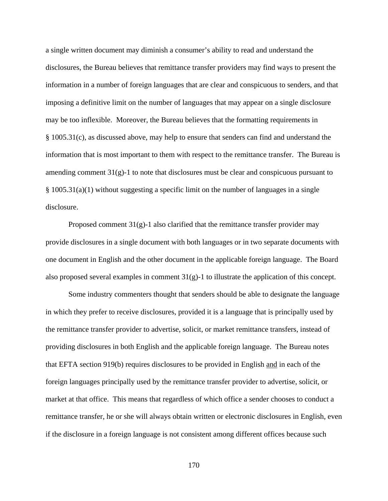a single written document may diminish a consumer's ability to read and understand the disclosures, the Bureau believes that remittance transfer providers may find ways to present the information in a number of foreign languages that are clear and conspicuous to senders, and that imposing a definitive limit on the number of languages that may appear on a single disclosure may be too inflexible. Moreover, the Bureau believes that the formatting requirements in § 1005.31(c), as discussed above, may help to ensure that senders can find and understand the information that is most important to them with respect to the remittance transfer. The Bureau is amending comment  $31(g)$ -1 to note that disclosures must be clear and conspicuous pursuant to  $§ 1005.31(a)(1)$  without suggesting a specific limit on the number of languages in a single disclosure.

Proposed comment  $31(g)-1$  also clarified that the remittance transfer provider may provide disclosures in a single document with both languages or in two separate documents with one document in English and the other document in the applicable foreign language. The Board also proposed several examples in comment 31(g)-1 to illustrate the application of this concept.

Some industry commenters thought that senders should be able to designate the language in which they prefer to receive disclosures, provided it is a language that is principally used by the remittance transfer provider to advertise, solicit, or market remittance transfers, instead of providing disclosures in both English and the applicable foreign language. The Bureau notes that EFTA section 919(b) requires disclosures to be provided in English and in each of the foreign languages principally used by the remittance transfer provider to advertise, solicit, or market at that office. This means that regardless of which office a sender chooses to conduct a remittance transfer, he or she will always obtain written or electronic disclosures in English, even if the disclosure in a foreign language is not consistent among different offices because such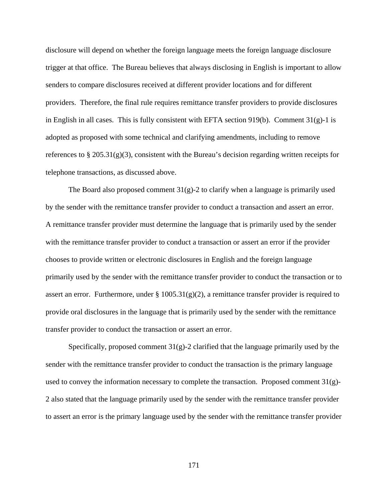disclosure will depend on whether the foreign language meets the foreign language disclosure trigger at that office. The Bureau believes that always disclosing in English is important to allow senders to compare disclosures received at different provider locations and for different providers. Therefore, the final rule requires remittance transfer providers to provide disclosures in English in all cases. This is fully consistent with EFTA section 919(b). Comment  $31(g)-1$  is adopted as proposed with some technical and clarifying amendments, including to remove references to § 205.31(g)(3), consistent with the Bureau's decision regarding written receipts for telephone transactions, as discussed above.

The Board also proposed comment  $31(g)-2$  to clarify when a language is primarily used by the sender with the remittance transfer provider to conduct a transaction and assert an error. A remittance transfer provider must determine the language that is primarily used by the sender with the remittance transfer provider to conduct a transaction or assert an error if the provider chooses to provide written or electronic disclosures in English and the foreign language primarily used by the sender with the remittance transfer provider to conduct the transaction or to assert an error. Furthermore, under  $\S 1005.31(g)(2)$ , a remittance transfer provider is required to provide oral disclosures in the language that is primarily used by the sender with the remittance transfer provider to conduct the transaction or assert an error.

Specifically, proposed comment  $31(g)-2$  clarified that the language primarily used by the sender with the remittance transfer provider to conduct the transaction is the primary language used to convey the information necessary to complete the transaction. Proposed comment 31(g)- 2 also stated that the language primarily used by the sender with the remittance transfer provider to assert an error is the primary language used by the sender with the remittance transfer provider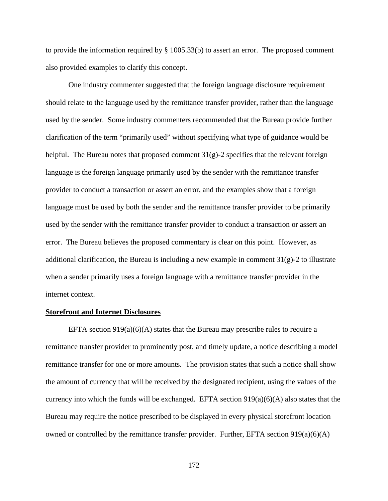to provide the information required by § 1005.33(b) to assert an error. The proposed comment also provided examples to clarify this concept.

One industry commenter suggested that the foreign language disclosure requirement should relate to the language used by the remittance transfer provider, rather than the language used by the sender. Some industry commenters recommended that the Bureau provide further clarification of the term "primarily used" without specifying what type of guidance would be helpful. The Bureau notes that proposed comment  $31(g)$ -2 specifies that the relevant foreign language is the foreign language primarily used by the sender with the remittance transfer provider to conduct a transaction or assert an error, and the examples show that a foreign language must be used by both the sender and the remittance transfer provider to be primarily used by the sender with the remittance transfer provider to conduct a transaction or assert an error. The Bureau believes the proposed commentary is clear on this point. However, as additional clarification, the Bureau is including a new example in comment  $31(g)$ -2 to illustrate when a sender primarily uses a foreign language with a remittance transfer provider in the internet context.

# **Storefront and Internet Disclosures**

EFTA section  $919(a)(6)(A)$  states that the Bureau may prescribe rules to require a remittance transfer provider to prominently post, and timely update, a notice describing a model remittance transfer for one or more amounts. The provision states that such a notice shall show the amount of currency that will be received by the designated recipient, using the values of the currency into which the funds will be exchanged. EFTA section 919(a)(6)(A) also states that the Bureau may require the notice prescribed to be displayed in every physical storefront location owned or controlled by the remittance transfer provider. Further, EFTA section  $919(a)(6)(A)$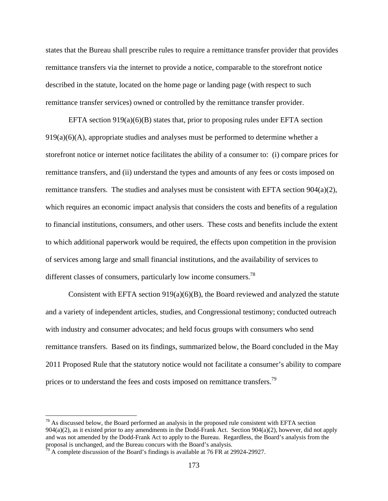states that the Bureau shall prescribe rules to require a remittance transfer provider that provides remittance transfers via the internet to provide a notice, comparable to the storefront notice described in the statute, located on the home page or landing page (with respect to such remittance transfer services) owned or controlled by the remittance transfer provider.

EFTA section  $919(a)(6)(B)$  states that, prior to proposing rules under EFTA section  $919(a)(6)(A)$ , appropriate studies and analyses must be performed to determine whether a storefront notice or internet notice facilitates the ability of a consumer to: (i) compare prices for remittance transfers, and (ii) understand the types and amounts of any fees or costs imposed on remittance transfers. The studies and analyses must be consistent with EFTA section 904(a)(2), which requires an economic impact analysis that considers the costs and benefits of a regulation to financial institutions, consumers, and other users. These costs and benefits include the extent to which additional paperwork would be required, the effects upon competition in the provision of services among large and small financial institutions, and the availability of services to different classes of consumers, particularly low income consumers.<sup>78</sup>

Consistent with EFTA section 919(a)(6)(B), the Board reviewed and analyzed the statute and a variety of independent articles, studies, and Congressional testimony; conducted outreach with industry and consumer advocates; and held focus groups with consumers who send remittance transfers. Based on its findings, summarized below, the Board concluded in the May 2011 Proposed Rule that the statutory notice would not facilitate a consumer's ability to compare prices or to understand the fees and costs imposed on remittance transfers.<sup>79</sup>

 $\overline{a}$ 

 $78$  As discussed below, the Board performed an analysis in the proposed rule consistent with EFTA section  $904(a)(2)$ , as it existed prior to any amendments in the Dodd-Frank Act. Section  $904(a)(2)$ , however, did not apply and was not amended by the Dodd-Frank Act to apply to the Bureau. Regardless, the Board's analysis from the proposal is unchanged, and the Bureau concurs with the Board's analysis.

 $^9$  A complete discussion of the Board's findings is available at 76 FR at 29924-29927.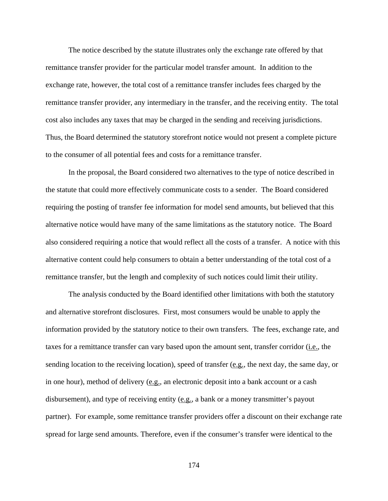The notice described by the statute illustrates only the exchange rate offered by that remittance transfer provider for the particular model transfer amount. In addition to the exchange rate, however, the total cost of a remittance transfer includes fees charged by the remittance transfer provider, any intermediary in the transfer, and the receiving entity. The total cost also includes any taxes that may be charged in the sending and receiving jurisdictions. Thus, the Board determined the statutory storefront notice would not present a complete picture to the consumer of all potential fees and costs for a remittance transfer.

In the proposal, the Board considered two alternatives to the type of notice described in the statute that could more effectively communicate costs to a sender. The Board considered requiring the posting of transfer fee information for model send amounts, but believed that this alternative notice would have many of the same limitations as the statutory notice. The Board also considered requiring a notice that would reflect all the costs of a transfer. A notice with this alternative content could help consumers to obtain a better understanding of the total cost of a remittance transfer, but the length and complexity of such notices could limit their utility.

The analysis conducted by the Board identified other limitations with both the statutory and alternative storefront disclosures. First, most consumers would be unable to apply the information provided by the statutory notice to their own transfers. The fees, exchange rate, and taxes for a remittance transfer can vary based upon the amount sent, transfer corridor (i.e., the sending location to the receiving location), speed of transfer  $(e.g., the next day, the same day, or$ in one hour), method of delivery  $(e.g.,)$  an electronic deposit into a bank account or a cash disbursement), and type of receiving entity (e.g., a bank or a money transmitter's payout partner). For example, some remittance transfer providers offer a discount on their exchange rate spread for large send amounts. Therefore, even if the consumer's transfer were identical to the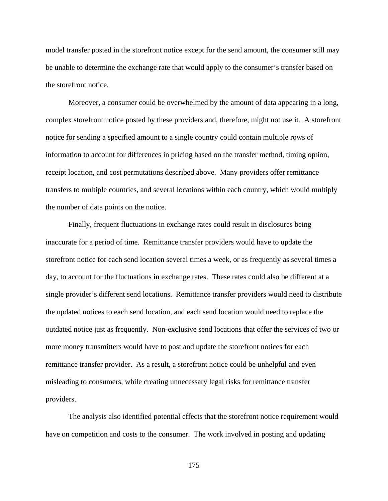model transfer posted in the storefront notice except for the send amount, the consumer still may be unable to determine the exchange rate that would apply to the consumer's transfer based on the storefront notice.

Moreover, a consumer could be overwhelmed by the amount of data appearing in a long, complex storefront notice posted by these providers and, therefore, might not use it. A storefront notice for sending a specified amount to a single country could contain multiple rows of information to account for differences in pricing based on the transfer method, timing option, receipt location, and cost permutations described above. Many providers offer remittance transfers to multiple countries, and several locations within each country, which would multiply the number of data points on the notice.

Finally, frequent fluctuations in exchange rates could result in disclosures being inaccurate for a period of time. Remittance transfer providers would have to update the storefront notice for each send location several times a week, or as frequently as several times a day, to account for the fluctuations in exchange rates. These rates could also be different at a single provider's different send locations. Remittance transfer providers would need to distribute the updated notices to each send location, and each send location would need to replace the outdated notice just as frequently. Non-exclusive send locations that offer the services of two or more money transmitters would have to post and update the storefront notices for each remittance transfer provider. As a result, a storefront notice could be unhelpful and even misleading to consumers, while creating unnecessary legal risks for remittance transfer providers.

The analysis also identified potential effects that the storefront notice requirement would have on competition and costs to the consumer. The work involved in posting and updating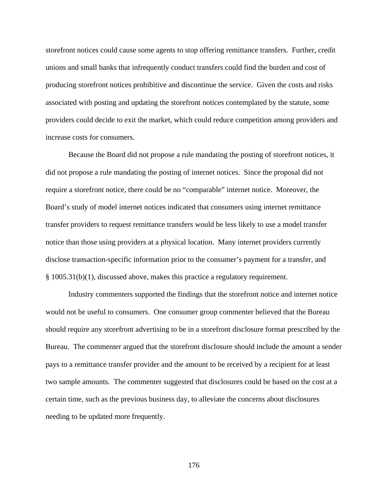storefront notices could cause some agents to stop offering remittance transfers. Further, credit unions and small banks that infrequently conduct transfers could find the burden and cost of producing storefront notices prohibitive and discontinue the service. Given the costs and risks associated with posting and updating the storefront notices contemplated by the statute, some providers could decide to exit the market, which could reduce competition among providers and increase costs for consumers.

Because the Board did not propose a rule mandating the posting of storefront notices, it did not propose a rule mandating the posting of internet notices. Since the proposal did not require a storefront notice, there could be no "comparable" internet notice. Moreover, the Board's study of model internet notices indicated that consumers using internet remittance transfer providers to request remittance transfers would be less likely to use a model transfer notice than those using providers at a physical location. Many internet providers currently disclose transaction-specific information prior to the consumer's payment for a transfer, and § 1005.31(b)(1), discussed above, makes this practice a regulatory requirement.

Industry commenters supported the findings that the storefront notice and internet notice would not be useful to consumers. One consumer group commenter believed that the Bureau should require any storefront advertising to be in a storefront disclosure format prescribed by the Bureau. The commenter argued that the storefront disclosure should include the amount a sender pays to a remittance transfer provider and the amount to be received by a recipient for at least two sample amounts. The commenter suggested that disclosures could be based on the cost at a certain time, such as the previous business day, to alleviate the concerns about disclosures needing to be updated more frequently.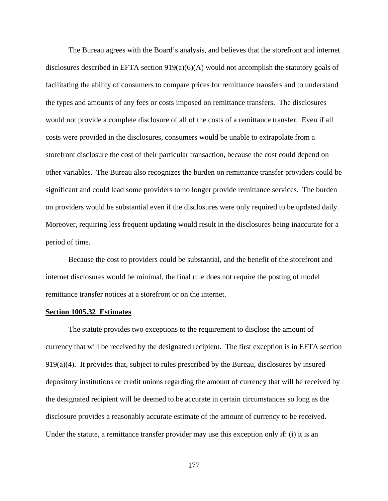The Bureau agrees with the Board's analysis, and believes that the storefront and internet disclosures described in EFTA section  $919(a)(6)(A)$  would not accomplish the statutory goals of facilitating the ability of consumers to compare prices for remittance transfers and to understand the types and amounts of any fees or costs imposed on remittance transfers. The disclosures would not provide a complete disclosure of all of the costs of a remittance transfer. Even if all costs were provided in the disclosures, consumers would be unable to extrapolate from a storefront disclosure the cost of their particular transaction, because the cost could depend on other variables. The Bureau also recognizes the burden on remittance transfer providers could be significant and could lead some providers to no longer provide remittance services. The burden on providers would be substantial even if the disclosures were only required to be updated daily. Moreover, requiring less frequent updating would result in the disclosures being inaccurate for a period of time.

Because the cost to providers could be substantial, and the benefit of the storefront and internet disclosures would be minimal, the final rule does not require the posting of model remittance transfer notices at a storefront or on the internet.

#### **Section 1005.32 Estimates**

The statute provides two exceptions to the requirement to disclose the amount of currency that will be received by the designated recipient. The first exception is in EFTA section 919(a)(4). It provides that, subject to rules prescribed by the Bureau, disclosures by insured depository institutions or credit unions regarding the amount of currency that will be received by the designated recipient will be deemed to be accurate in certain circumstances so long as the disclosure provides a reasonably accurate estimate of the amount of currency to be received. Under the statute, a remittance transfer provider may use this exception only if: (i) it is an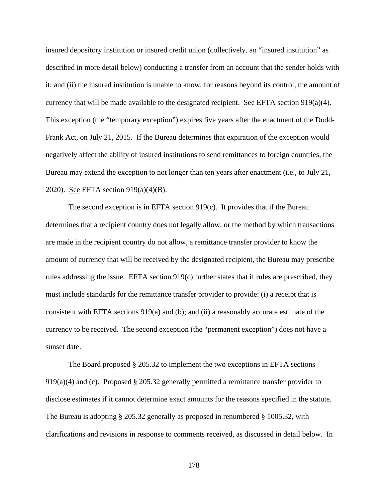insured depository institution or insured credit union (collectively, an "insured institution" as described in more detail below) conducting a transfer from an account that the sender holds with it; and (ii) the insured institution is unable to know, for reasons beyond its control, the amount of currency that will be made available to the designated recipient. See EFTA section 919(a)(4). This exception (the "temporary exception") expires five years after the enactment of the Dodd-Frank Act, on July 21, 2015. If the Bureau determines that expiration of the exception would negatively affect the ability of insured institutions to send remittances to foreign countries, the Bureau may extend the exception to not longer than ten years after enactment (i.e., to July 21, 2020). See EFTA section 919(a)(4)(B).

The second exception is in EFTA section 919(c). It provides that if the Bureau determines that a recipient country does not legally allow, or the method by which transactions are made in the recipient country do not allow, a remittance transfer provider to know the amount of currency that will be received by the designated recipient, the Bureau may prescribe rules addressing the issue. EFTA section  $919(c)$  further states that if rules are prescribed, they must include standards for the remittance transfer provider to provide: (i) a receipt that is consistent with EFTA sections 919(a) and (b); and (ii) a reasonably accurate estimate of the currency to be received. The second exception (the "permanent exception") does not have a sunset date.

The Board proposed § 205.32 to implement the two exceptions in EFTA sections 919(a)(4) and (c). Proposed § 205.32 generally permitted a remittance transfer provider to disclose estimates if it cannot determine exact amounts for the reasons specified in the statute. The Bureau is adopting § 205.32 generally as proposed in renumbered § 1005.32, with clarifications and revisions in response to comments received, as discussed in detail below. In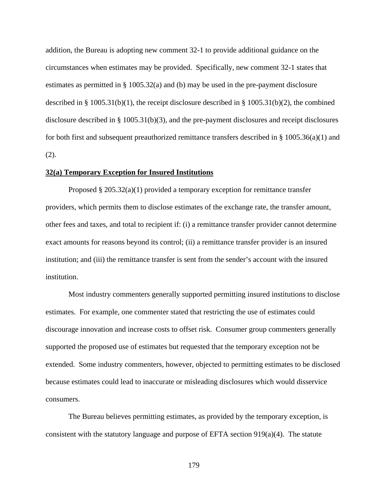addition, the Bureau is adopting new comment 32-1 to provide additional guidance on the circumstances when estimates may be provided. Specifically, new comment 32-1 states that estimates as permitted in § 1005.32(a) and (b) may be used in the pre-payment disclosure described in § 1005.31(b)(1), the receipt disclosure described in § 1005.31(b)(2), the combined disclosure described in § 1005.31(b)(3), and the pre-payment disclosures and receipt disclosures for both first and subsequent preauthorized remittance transfers described in § 1005.36(a)(1) and (2).

# **32(a) Temporary Exception for Insured Institutions**

Proposed § 205.32(a)(1) provided a temporary exception for remittance transfer providers, which permits them to disclose estimates of the exchange rate, the transfer amount, other fees and taxes, and total to recipient if: (i) a remittance transfer provider cannot determine exact amounts for reasons beyond its control; (ii) a remittance transfer provider is an insured institution; and (iii) the remittance transfer is sent from the sender's account with the insured institution.

Most industry commenters generally supported permitting insured institutions to disclose estimates. For example, one commenter stated that restricting the use of estimates could discourage innovation and increase costs to offset risk. Consumer group commenters generally supported the proposed use of estimates but requested that the temporary exception not be extended. Some industry commenters, however, objected to permitting estimates to be disclosed because estimates could lead to inaccurate or misleading disclosures which would disservice consumers.

The Bureau believes permitting estimates, as provided by the temporary exception, is consistent with the statutory language and purpose of EFTA section  $919(a)(4)$ . The statute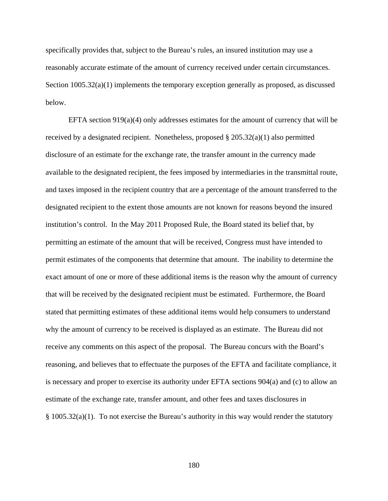specifically provides that, subject to the Bureau's rules, an insured institution may use a reasonably accurate estimate of the amount of currency received under certain circumstances. Section 1005.32(a)(1) implements the temporary exception generally as proposed, as discussed below.

EFTA section 919(a)(4) only addresses estimates for the amount of currency that will be received by a designated recipient. Nonetheless, proposed  $\S 205.32(a)(1)$  also permitted disclosure of an estimate for the exchange rate, the transfer amount in the currency made available to the designated recipient, the fees imposed by intermediaries in the transmittal route, and taxes imposed in the recipient country that are a percentage of the amount transferred to the designated recipient to the extent those amounts are not known for reasons beyond the insured institution's control. In the May 2011 Proposed Rule, the Board stated its belief that, by permitting an estimate of the amount that will be received, Congress must have intended to permit estimates of the components that determine that amount. The inability to determine the exact amount of one or more of these additional items is the reason why the amount of currency that will be received by the designated recipient must be estimated. Furthermore, the Board stated that permitting estimates of these additional items would help consumers to understand why the amount of currency to be received is displayed as an estimate. The Bureau did not receive any comments on this aspect of the proposal. The Bureau concurs with the Board's reasoning, and believes that to effectuate the purposes of the EFTA and facilitate compliance, it is necessary and proper to exercise its authority under EFTA sections 904(a) and (c) to allow an estimate of the exchange rate, transfer amount, and other fees and taxes disclosures in  $§ 1005.32(a)(1)$ . To not exercise the Bureau's authority in this way would render the statutory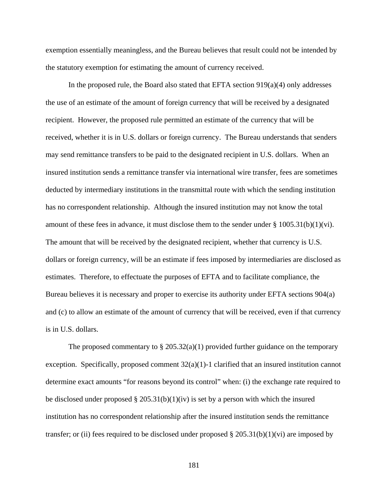exemption essentially meaningless, and the Bureau believes that result could not be intended by the statutory exemption for estimating the amount of currency received.

In the proposed rule, the Board also stated that EFTA section  $919(a)(4)$  only addresses the use of an estimate of the amount of foreign currency that will be received by a designated recipient. However, the proposed rule permitted an estimate of the currency that will be received, whether it is in U.S. dollars or foreign currency. The Bureau understands that senders may send remittance transfers to be paid to the designated recipient in U.S. dollars. When an insured institution sends a remittance transfer via international wire transfer, fees are sometimes deducted by intermediary institutions in the transmittal route with which the sending institution has no correspondent relationship. Although the insured institution may not know the total amount of these fees in advance, it must disclose them to the sender under  $\S$  1005.31(b)(1)(vi). The amount that will be received by the designated recipient, whether that currency is U.S. dollars or foreign currency, will be an estimate if fees imposed by intermediaries are disclosed as estimates. Therefore, to effectuate the purposes of EFTA and to facilitate compliance, the Bureau believes it is necessary and proper to exercise its authority under EFTA sections 904(a) and (c) to allow an estimate of the amount of currency that will be received, even if that currency is in U.S. dollars.

The proposed commentary to  $\S 205.32(a)(1)$  provided further guidance on the temporary exception. Specifically, proposed comment  $32(a)(1)$ -1 clarified that an insured institution cannot determine exact amounts "for reasons beyond its control" when: (i) the exchange rate required to be disclosed under proposed  $\S 205.31(b)(1)(iv)$  is set by a person with which the insured institution has no correspondent relationship after the insured institution sends the remittance transfer; or (ii) fees required to be disclosed under proposed  $\S 205.31(b)(1)(vi)$  are imposed by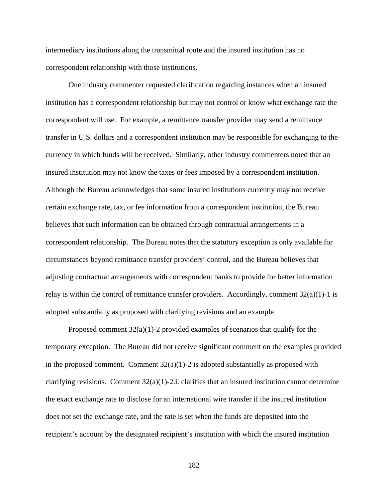intermediary institutions along the transmittal route and the insured institution has no correspondent relationship with those institutions.

One industry commenter requested clarification regarding instances when an insured institution has a correspondent relationship but may not control or know what exchange rate the correspondent will use. For example, a remittance transfer provider may send a remittance transfer in U.S. dollars and a correspondent institution may be responsible for exchanging to the currency in which funds will be received. Similarly, other industry commenters noted that an insured institution may not know the taxes or fees imposed by a correspondent institution. Although the Bureau acknowledges that some insured institutions currently may not receive certain exchange rate, tax, or fee information from a correspondent institution, the Bureau believes that such information can be obtained through contractual arrangements in a correspondent relationship. The Bureau notes that the statutory exception is only available for circumstances beyond remittance transfer providers' control, and the Bureau believes that adjusting contractual arrangements with correspondent banks to provide for better information relay is within the control of remittance transfer providers. Accordingly, comment  $32(a)(1)-1$  is adopted substantially as proposed with clarifying revisions and an example.

Proposed comment  $32(a)(1)-2$  provided examples of scenarios that qualify for the temporary exception. The Bureau did not receive significant comment on the examples provided in the proposed comment. Comment  $32(a)(1)-2$  is adopted substantially as proposed with clarifying revisions. Comment  $32(a)(1)-2.i.$  clarifies that an insured institution cannot determine the exact exchange rate to disclose for an international wire transfer if the insured institution does not set the exchange rate, and the rate is set when the funds are deposited into the recipient's account by the designated recipient's institution with which the insured institution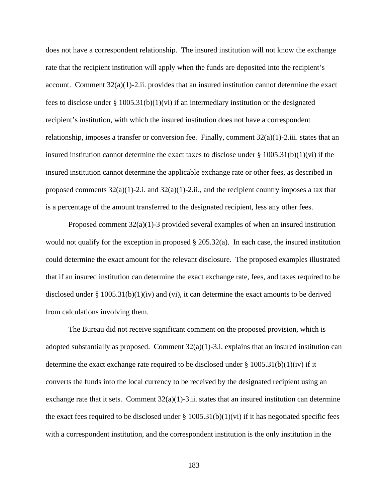does not have a correspondent relationship. The insured institution will not know the exchange rate that the recipient institution will apply when the funds are deposited into the recipient's account. Comment 32(a)(1)-2.ii. provides that an insured institution cannot determine the exact fees to disclose under  $\S 1005.31(b)(1)(vi)$  if an intermediary institution or the designated recipient's institution, with which the insured institution does not have a correspondent relationship, imposes a transfer or conversion fee. Finally, comment  $32(a)(1)$ -2.iii. states that an insured institution cannot determine the exact taxes to disclose under  $\S 1005.31(b)(1)(vi)$  if the insured institution cannot determine the applicable exchange rate or other fees, as described in proposed comments  $32(a)(1)-2.i.$  and  $32(a)(1)-2.$ ii., and the recipient country imposes a tax that is a percentage of the amount transferred to the designated recipient, less any other fees.

Proposed comment  $32(a)(1)-3$  provided several examples of when an insured institution would not qualify for the exception in proposed  $\S 205.32(a)$ . In each case, the insured institution could determine the exact amount for the relevant disclosure. The proposed examples illustrated that if an insured institution can determine the exact exchange rate, fees, and taxes required to be disclosed under § 1005.31(b)(1)(iv) and (vi), it can determine the exact amounts to be derived from calculations involving them.

The Bureau did not receive significant comment on the proposed provision, which is adopted substantially as proposed. Comment  $32(a)(1)-3.i.$  explains that an insured institution can determine the exact exchange rate required to be disclosed under  $\S 1005.31(b)(1)(iv)$  if it converts the funds into the local currency to be received by the designated recipient using an exchange rate that it sets. Comment  $32(a)(1)-3.ii$ . states that an insured institution can determine the exact fees required to be disclosed under  $\S 1005.31(b)(1)(vi)$  if it has negotiated specific fees with a correspondent institution, and the correspondent institution is the only institution in the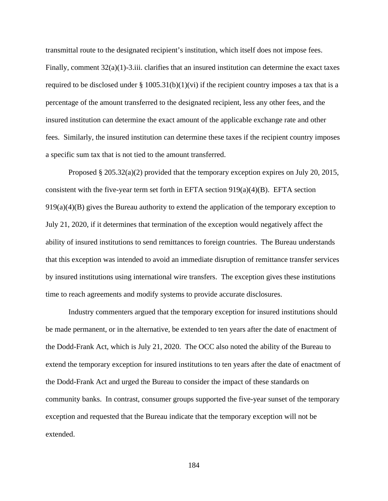transmittal route to the designated recipient's institution, which itself does not impose fees. Finally, comment  $32(a)(1)-3.iii$ . clarifies that an insured institution can determine the exact taxes required to be disclosed under  $\S 1005.31(b)(1)(vi)$  if the recipient country imposes a tax that is a percentage of the amount transferred to the designated recipient, less any other fees, and the insured institution can determine the exact amount of the applicable exchange rate and other fees. Similarly, the insured institution can determine these taxes if the recipient country imposes a specific sum tax that is not tied to the amount transferred.

Proposed § 205.32(a)(2) provided that the temporary exception expires on July 20, 2015, consistent with the five-year term set forth in EFTA section 919(a)(4)(B). EFTA section  $919(a)(4)(B)$  gives the Bureau authority to extend the application of the temporary exception to July 21, 2020, if it determines that termination of the exception would negatively affect the ability of insured institutions to send remittances to foreign countries. The Bureau understands that this exception was intended to avoid an immediate disruption of remittance transfer services by insured institutions using international wire transfers. The exception gives these institutions time to reach agreements and modify systems to provide accurate disclosures.

Industry commenters argued that the temporary exception for insured institutions should be made permanent, or in the alternative, be extended to ten years after the date of enactment of the Dodd-Frank Act, which is July 21, 2020. The OCC also noted the ability of the Bureau to extend the temporary exception for insured institutions to ten years after the date of enactment of the Dodd-Frank Act and urged the Bureau to consider the impact of these standards on community banks. In contrast, consumer groups supported the five-year sunset of the temporary exception and requested that the Bureau indicate that the temporary exception will not be extended.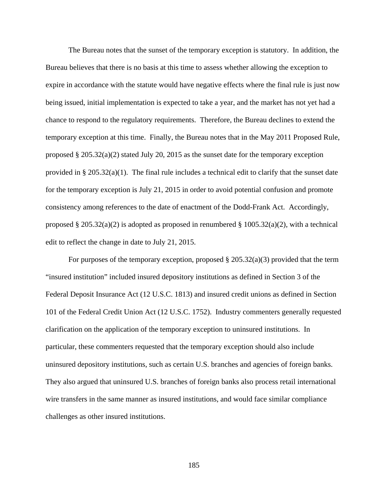The Bureau notes that the sunset of the temporary exception is statutory. In addition, the Bureau believes that there is no basis at this time to assess whether allowing the exception to expire in accordance with the statute would have negative effects where the final rule is just now being issued, initial implementation is expected to take a year, and the market has not yet had a chance to respond to the regulatory requirements. Therefore, the Bureau declines to extend the temporary exception at this time. Finally, the Bureau notes that in the May 2011 Proposed Rule, proposed  $\S 205.32(a)(2)$  stated July 20, 2015 as the sunset date for the temporary exception provided in § 205.32(a)(1). The final rule includes a technical edit to clarify that the sunset date for the temporary exception is July 21, 2015 in order to avoid potential confusion and promote consistency among references to the date of enactment of the Dodd-Frank Act. Accordingly, proposed § 205.32(a)(2) is adopted as proposed in renumbered § 1005.32(a)(2), with a technical edit to reflect the change in date to July 21, 2015.

For purposes of the temporary exception, proposed  $\S 205.32(a)(3)$  provided that the term "insured institution" included insured depository institutions as defined in Section 3 of the Federal Deposit Insurance Act (12 U.S.C. 1813) and insured credit unions as defined in Section 101 of the Federal Credit Union Act (12 U.S.C. 1752). Industry commenters generally requested clarification on the application of the temporary exception to uninsured institutions. In particular, these commenters requested that the temporary exception should also include uninsured depository institutions, such as certain U.S. branches and agencies of foreign banks. They also argued that uninsured U.S. branches of foreign banks also process retail international wire transfers in the same manner as insured institutions, and would face similar compliance challenges as other insured institutions.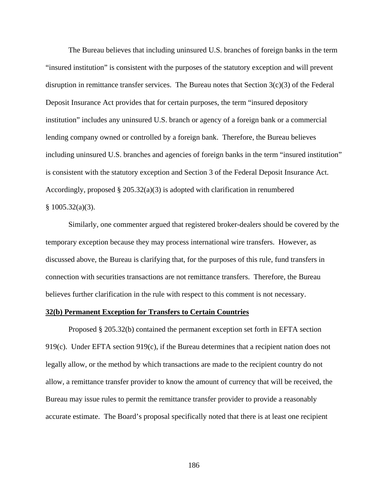The Bureau believes that including uninsured U.S. branches of foreign banks in the term "insured institution" is consistent with the purposes of the statutory exception and will prevent disruption in remittance transfer services. The Bureau notes that Section 3(c)(3) of the Federal Deposit Insurance Act provides that for certain purposes, the term "insured depository institution" includes any uninsured U.S. branch or agency of a foreign bank or a commercial lending company owned or controlled by a foreign bank. Therefore, the Bureau believes including uninsured U.S. branches and agencies of foreign banks in the term "insured institution" is consistent with the statutory exception and Section 3 of the Federal Deposit Insurance Act. Accordingly, proposed  $\S 205.32(a)(3)$  is adopted with clarification in renumbered  $§ 1005.32(a)(3).$ 

Similarly, one commenter argued that registered broker-dealers should be covered by the temporary exception because they may process international wire transfers. However, as discussed above, the Bureau is clarifying that, for the purposes of this rule, fund transfers in connection with securities transactions are not remittance transfers. Therefore, the Bureau believes further clarification in the rule with respect to this comment is not necessary.

### **32(b) Permanent Exception for Transfers to Certain Countries**

Proposed § 205.32(b) contained the permanent exception set forth in EFTA section 919(c). Under EFTA section 919(c), if the Bureau determines that a recipient nation does not legally allow, or the method by which transactions are made to the recipient country do not allow, a remittance transfer provider to know the amount of currency that will be received, the Bureau may issue rules to permit the remittance transfer provider to provide a reasonably accurate estimate. The Board's proposal specifically noted that there is at least one recipient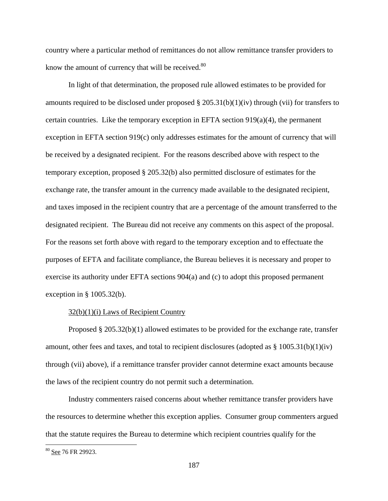country where a particular method of remittances do not allow remittance transfer providers to know the amount of currency that will be received.<sup>80</sup>

In light of that determination, the proposed rule allowed estimates to be provided for amounts required to be disclosed under proposed § 205.31(b)(1)(iv) through (vii) for transfers to certain countries. Like the temporary exception in EFTA section  $919(a)(4)$ , the permanent exception in EFTA section 919(c) only addresses estimates for the amount of currency that will be received by a designated recipient. For the reasons described above with respect to the temporary exception, proposed § 205.32(b) also permitted disclosure of estimates for the exchange rate, the transfer amount in the currency made available to the designated recipient, and taxes imposed in the recipient country that are a percentage of the amount transferred to the designated recipient. The Bureau did not receive any comments on this aspect of the proposal. For the reasons set forth above with regard to the temporary exception and to effectuate the purposes of EFTA and facilitate compliance, the Bureau believes it is necessary and proper to exercise its authority under EFTA sections 904(a) and (c) to adopt this proposed permanent exception in § 1005.32(b).

## 32(b)(1)(i) Laws of Recipient Country

Proposed  $\S 205.32(b)(1)$  allowed estimates to be provided for the exchange rate, transfer amount, other fees and taxes, and total to recipient disclosures (adopted as  $\S 1005.31(b)(1)(iv)$ ) through (vii) above), if a remittance transfer provider cannot determine exact amounts because the laws of the recipient country do not permit such a determination.

Industry commenters raised concerns about whether remittance transfer providers have the resources to determine whether this exception applies. Consumer group commenters argued that the statute requires the Bureau to determine which recipient countries qualify for the

 $\overline{a}$ 

<sup>&</sup>lt;sup>80</sup> See 76 FR 29923.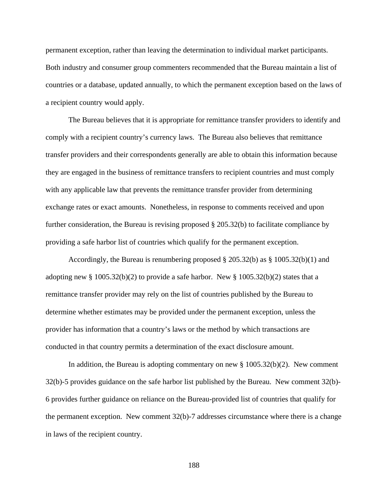permanent exception, rather than leaving the determination to individual market participants. Both industry and consumer group commenters recommended that the Bureau maintain a list of countries or a database, updated annually, to which the permanent exception based on the laws of a recipient country would apply.

The Bureau believes that it is appropriate for remittance transfer providers to identify and comply with a recipient country's currency laws. The Bureau also believes that remittance transfer providers and their correspondents generally are able to obtain this information because they are engaged in the business of remittance transfers to recipient countries and must comply with any applicable law that prevents the remittance transfer provider from determining exchange rates or exact amounts. Nonetheless, in response to comments received and upon further consideration, the Bureau is revising proposed § 205.32(b) to facilitate compliance by providing a safe harbor list of countries which qualify for the permanent exception.

Accordingly, the Bureau is renumbering proposed § 205.32(b) as § 1005.32(b)(1) and adopting new § 1005.32(b)(2) to provide a safe harbor. New § 1005.32(b)(2) states that a remittance transfer provider may rely on the list of countries published by the Bureau to determine whether estimates may be provided under the permanent exception, unless the provider has information that a country's laws or the method by which transactions are conducted in that country permits a determination of the exact disclosure amount.

In addition, the Bureau is adopting commentary on new  $\S 1005.32(b)(2)$ . New comment 32(b)-5 provides guidance on the safe harbor list published by the Bureau. New comment 32(b)- 6 provides further guidance on reliance on the Bureau-provided list of countries that qualify for the permanent exception. New comment 32(b)-7 addresses circumstance where there is a change in laws of the recipient country.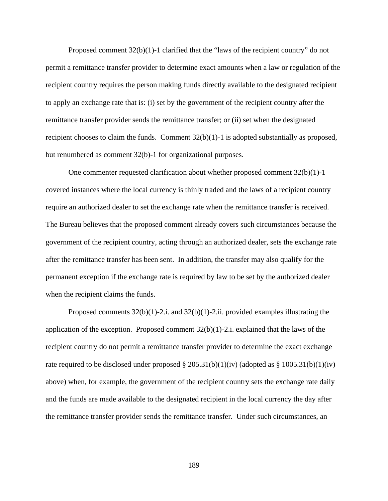Proposed comment 32(b)(1)-1 clarified that the "laws of the recipient country" do not permit a remittance transfer provider to determine exact amounts when a law or regulation of the recipient country requires the person making funds directly available to the designated recipient to apply an exchange rate that is: (i) set by the government of the recipient country after the remittance transfer provider sends the remittance transfer; or (ii) set when the designated recipient chooses to claim the funds. Comment 32(b)(1)-1 is adopted substantially as proposed, but renumbered as comment 32(b)-1 for organizational purposes.

One commenter requested clarification about whether proposed comment 32(b)(1)-1 covered instances where the local currency is thinly traded and the laws of a recipient country require an authorized dealer to set the exchange rate when the remittance transfer is received. The Bureau believes that the proposed comment already covers such circumstances because the government of the recipient country, acting through an authorized dealer, sets the exchange rate after the remittance transfer has been sent. In addition, the transfer may also qualify for the permanent exception if the exchange rate is required by law to be set by the authorized dealer when the recipient claims the funds.

Proposed comments  $32(b)(1)-2.i.$  and  $32(b)(1)-2.$ ii. provided examples illustrating the application of the exception. Proposed comment  $32(b)(1)-2$ .i. explained that the laws of the recipient country do not permit a remittance transfer provider to determine the exact exchange rate required to be disclosed under proposed  $\S 205.31(b)(1)(iv)$  (adopted as  $\S 1005.31(b)(1)(iv)$ ) above) when, for example, the government of the recipient country sets the exchange rate daily and the funds are made available to the designated recipient in the local currency the day after the remittance transfer provider sends the remittance transfer. Under such circumstances, an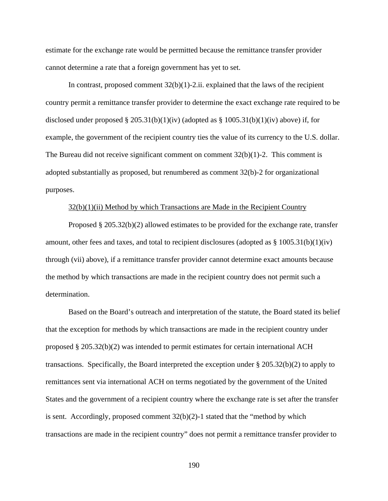estimate for the exchange rate would be permitted because the remittance transfer provider cannot determine a rate that a foreign government has yet to set.

In contrast, proposed comment  $32(b)(1)-2.ii$ . explained that the laws of the recipient country permit a remittance transfer provider to determine the exact exchange rate required to be disclosed under proposed § 205.31(b)(1)(iv) (adopted as § 1005.31(b)(1)(iv) above) if, for example, the government of the recipient country ties the value of its currency to the U.S. dollar. The Bureau did not receive significant comment on comment  $32(b)(1)-2$ . This comment is adopted substantially as proposed, but renumbered as comment 32(b)-2 for organizational purposes.

### $32(b)(1)(ii)$  Method by which Transactions are Made in the Recipient Country

Proposed § 205.32(b)(2) allowed estimates to be provided for the exchange rate, transfer amount, other fees and taxes, and total to recipient disclosures (adopted as  $\S 1005.31(b)(1)(iv)$ ) through (vii) above), if a remittance transfer provider cannot determine exact amounts because the method by which transactions are made in the recipient country does not permit such a determination.

Based on the Board's outreach and interpretation of the statute, the Board stated its belief that the exception for methods by which transactions are made in the recipient country under proposed § 205.32(b)(2) was intended to permit estimates for certain international ACH transactions. Specifically, the Board interpreted the exception under § 205.32(b)(2) to apply to remittances sent via international ACH on terms negotiated by the government of the United States and the government of a recipient country where the exchange rate is set after the transfer is sent. Accordingly, proposed comment  $32(b)(2)$ -1 stated that the "method by which transactions are made in the recipient country" does not permit a remittance transfer provider to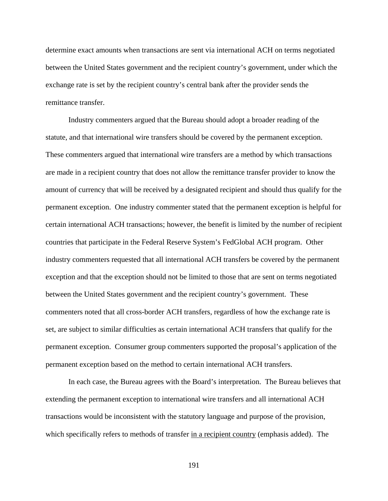determine exact amounts when transactions are sent via international ACH on terms negotiated between the United States government and the recipient country's government, under which the exchange rate is set by the recipient country's central bank after the provider sends the remittance transfer.

Industry commenters argued that the Bureau should adopt a broader reading of the statute, and that international wire transfers should be covered by the permanent exception. These commenters argued that international wire transfers are a method by which transactions are made in a recipient country that does not allow the remittance transfer provider to know the amount of currency that will be received by a designated recipient and should thus qualify for the permanent exception. One industry commenter stated that the permanent exception is helpful for certain international ACH transactions; however, the benefit is limited by the number of recipient countries that participate in the Federal Reserve System's FedGlobal ACH program. Other industry commenters requested that all international ACH transfers be covered by the permanent exception and that the exception should not be limited to those that are sent on terms negotiated between the United States government and the recipient country's government. These commenters noted that all cross-border ACH transfers, regardless of how the exchange rate is set, are subject to similar difficulties as certain international ACH transfers that qualify for the permanent exception. Consumer group commenters supported the proposal's application of the permanent exception based on the method to certain international ACH transfers.

In each case, the Bureau agrees with the Board's interpretation. The Bureau believes that extending the permanent exception to international wire transfers and all international ACH transactions would be inconsistent with the statutory language and purpose of the provision, which specifically refers to methods of transfer in a recipient country (emphasis added). The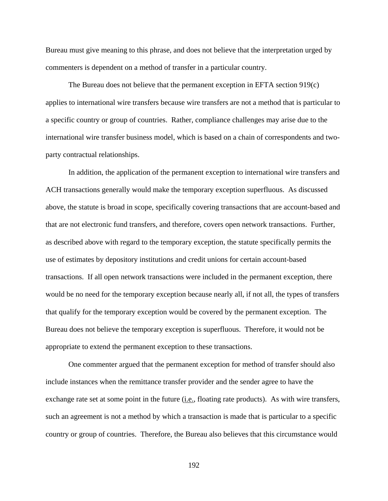Bureau must give meaning to this phrase, and does not believe that the interpretation urged by commenters is dependent on a method of transfer in a particular country.

The Bureau does not believe that the permanent exception in EFTA section 919(c) applies to international wire transfers because wire transfers are not a method that is particular to a specific country or group of countries. Rather, compliance challenges may arise due to the international wire transfer business model, which is based on a chain of correspondents and twoparty contractual relationships.

In addition, the application of the permanent exception to international wire transfers and ACH transactions generally would make the temporary exception superfluous. As discussed above, the statute is broad in scope, specifically covering transactions that are account-based and that are not electronic fund transfers, and therefore, covers open network transactions. Further, as described above with regard to the temporary exception, the statute specifically permits the use of estimates by depository institutions and credit unions for certain account-based transactions. If all open network transactions were included in the permanent exception, there would be no need for the temporary exception because nearly all, if not all, the types of transfers that qualify for the temporary exception would be covered by the permanent exception. The Bureau does not believe the temporary exception is superfluous. Therefore, it would not be appropriate to extend the permanent exception to these transactions.

One commenter argued that the permanent exception for method of transfer should also include instances when the remittance transfer provider and the sender agree to have the exchange rate set at some point in the future  $(i.e.,$  floating rate products). As with wire transfers, such an agreement is not a method by which a transaction is made that is particular to a specific country or group of countries. Therefore, the Bureau also believes that this circumstance would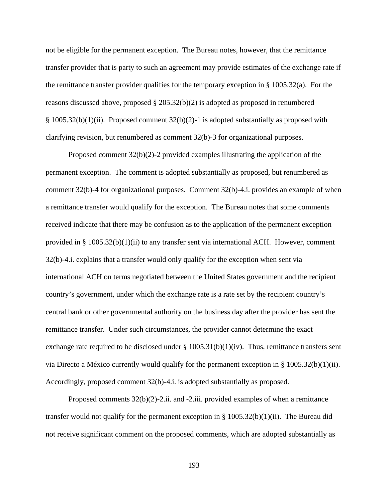not be eligible for the permanent exception. The Bureau notes, however, that the remittance transfer provider that is party to such an agreement may provide estimates of the exchange rate if the remittance transfer provider qualifies for the temporary exception in § 1005.32(a). For the reasons discussed above, proposed § 205.32(b)(2) is adopted as proposed in renumbered  $§ 1005.32(b)(1)(ii)$ . Proposed comment 32(b)(2)-1 is adopted substantially as proposed with clarifying revision, but renumbered as comment 32(b)-3 for organizational purposes.

Proposed comment  $32(b)(2)-2$  provided examples illustrating the application of the permanent exception. The comment is adopted substantially as proposed, but renumbered as comment 32(b)-4 for organizational purposes. Comment 32(b)-4.i. provides an example of when a remittance transfer would qualify for the exception. The Bureau notes that some comments received indicate that there may be confusion as to the application of the permanent exception provided in § 1005.32(b)(1)(ii) to any transfer sent via international ACH. However, comment 32(b)-4.i. explains that a transfer would only qualify for the exception when sent via international ACH on terms negotiated between the United States government and the recipient country's government, under which the exchange rate is a rate set by the recipient country's central bank or other governmental authority on the business day after the provider has sent the remittance transfer. Under such circumstances, the provider cannot determine the exact exchange rate required to be disclosed under  $\S 1005.31(b)(1)(iv)$ . Thus, remittance transfers sent via Directo a México currently would qualify for the permanent exception in § 1005.32(b)(1)(ii). Accordingly, proposed comment 32(b)-4.i. is adopted substantially as proposed.

Proposed comments 32(b)(2)-2.ii. and -2.iii. provided examples of when a remittance transfer would not qualify for the permanent exception in  $\S 1005.32(b)(1)(ii)$ . The Bureau did not receive significant comment on the proposed comments, which are adopted substantially as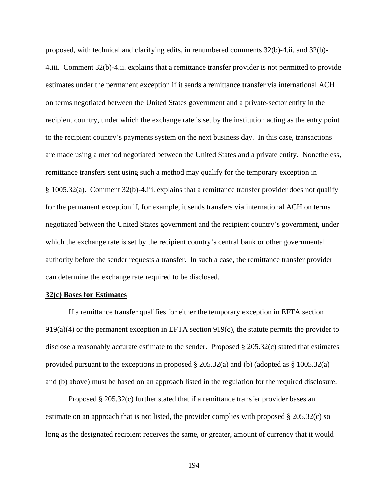proposed, with technical and clarifying edits, in renumbered comments 32(b)-4.ii. and 32(b)- 4.iii. Comment 32(b)-4.ii. explains that a remittance transfer provider is not permitted to provide estimates under the permanent exception if it sends a remittance transfer via international ACH on terms negotiated between the United States government and a private-sector entity in the recipient country, under which the exchange rate is set by the institution acting as the entry point to the recipient country's payments system on the next business day. In this case, transactions are made using a method negotiated between the United States and a private entity. Nonetheless, remittance transfers sent using such a method may qualify for the temporary exception in § 1005.32(a). Comment 32(b)-4.iii. explains that a remittance transfer provider does not qualify for the permanent exception if, for example, it sends transfers via international ACH on terms negotiated between the United States government and the recipient country's government, under which the exchange rate is set by the recipient country's central bank or other governmental authority before the sender requests a transfer. In such a case, the remittance transfer provider can determine the exchange rate required to be disclosed.

## **32(c) Bases for Estimates**

If a remittance transfer qualifies for either the temporary exception in EFTA section  $919(a)(4)$  or the permanent exception in EFTA section  $919(c)$ , the statute permits the provider to disclose a reasonably accurate estimate to the sender. Proposed § 205.32(c) stated that estimates provided pursuant to the exceptions in proposed § 205.32(a) and (b) (adopted as § 1005.32(a) and (b) above) must be based on an approach listed in the regulation for the required disclosure.

Proposed § 205.32(c) further stated that if a remittance transfer provider bases an estimate on an approach that is not listed, the provider complies with proposed  $\S 205.32(c)$  so long as the designated recipient receives the same, or greater, amount of currency that it would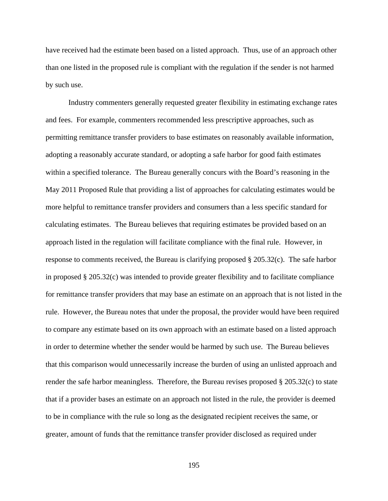have received had the estimate been based on a listed approach. Thus, use of an approach other than one listed in the proposed rule is compliant with the regulation if the sender is not harmed by such use.

Industry commenters generally requested greater flexibility in estimating exchange rates and fees. For example, commenters recommended less prescriptive approaches, such as permitting remittance transfer providers to base estimates on reasonably available information, adopting a reasonably accurate standard, or adopting a safe harbor for good faith estimates within a specified tolerance. The Bureau generally concurs with the Board's reasoning in the May 2011 Proposed Rule that providing a list of approaches for calculating estimates would be more helpful to remittance transfer providers and consumers than a less specific standard for calculating estimates. The Bureau believes that requiring estimates be provided based on an approach listed in the regulation will facilitate compliance with the final rule. However, in response to comments received, the Bureau is clarifying proposed § 205.32(c). The safe harbor in proposed § 205.32(c) was intended to provide greater flexibility and to facilitate compliance for remittance transfer providers that may base an estimate on an approach that is not listed in the rule. However, the Bureau notes that under the proposal, the provider would have been required to compare any estimate based on its own approach with an estimate based on a listed approach in order to determine whether the sender would be harmed by such use. The Bureau believes that this comparison would unnecessarily increase the burden of using an unlisted approach and render the safe harbor meaningless. Therefore, the Bureau revises proposed § 205.32(c) to state that if a provider bases an estimate on an approach not listed in the rule, the provider is deemed to be in compliance with the rule so long as the designated recipient receives the same, or greater, amount of funds that the remittance transfer provider disclosed as required under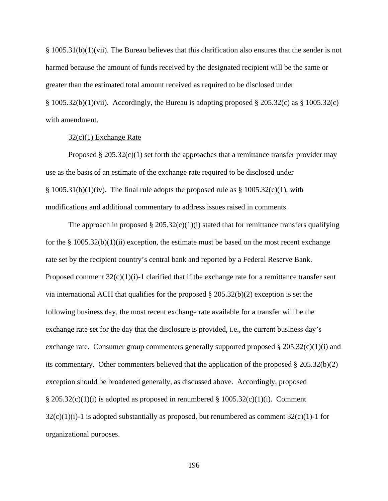§ 1005.31(b)(1)(vii). The Bureau believes that this clarification also ensures that the sender is not harmed because the amount of funds received by the designated recipient will be the same or greater than the estimated total amount received as required to be disclosed under  $\S$  1005.32(b)(1)(vii). Accordingly, the Bureau is adopting proposed  $\S$  205.32(c) as  $\S$  1005.32(c) with amendment.

## 32(c)(1) Exchange Rate

Proposed  $\S 205.32(c)(1)$  set forth the approaches that a remittance transfer provider may use as the basis of an estimate of the exchange rate required to be disclosed under  $\S 1005.31(b)(1)(iv)$ . The final rule adopts the proposed rule as  $\S 1005.32(c)(1)$ , with modifications and additional commentary to address issues raised in comments.

The approach in proposed § 205.32(c)(1)(i) stated that for remittance transfers qualifying for the  $\S 1005.32(b)(1)(ii)$  exception, the estimate must be based on the most recent exchange rate set by the recipient country's central bank and reported by a Federal Reserve Bank. Proposed comment  $32(c)(1)(i)$ -1 clarified that if the exchange rate for a remittance transfer sent via international ACH that qualifies for the proposed § 205.32(b)(2) exception is set the following business day, the most recent exchange rate available for a transfer will be the exchange rate set for the day that the disclosure is provided, i.e., the current business day's exchange rate. Consumer group commenters generally supported proposed  $\S 205.32(c)(1)(i)$  and its commentary. Other commenters believed that the application of the proposed § 205.32(b)(2) exception should be broadened generally, as discussed above. Accordingly, proposed  $\S 205.32(c)(1)(i)$  is adopted as proposed in renumbered  $\S 1005.32(c)(1)(i)$ . Comment  $32(c)(1)(i)$ -1 is adopted substantially as proposed, but renumbered as comment  $32(c)(1)$ -1 for organizational purposes.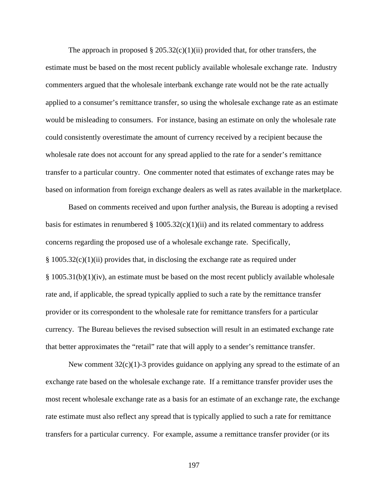The approach in proposed § 205.32(c)(1)(ii) provided that, for other transfers, the estimate must be based on the most recent publicly available wholesale exchange rate. Industry commenters argued that the wholesale interbank exchange rate would not be the rate actually applied to a consumer's remittance transfer, so using the wholesale exchange rate as an estimate would be misleading to consumers. For instance, basing an estimate on only the wholesale rate could consistently overestimate the amount of currency received by a recipient because the wholesale rate does not account for any spread applied to the rate for a sender's remittance transfer to a particular country. One commenter noted that estimates of exchange rates may be based on information from foreign exchange dealers as well as rates available in the marketplace.

Based on comments received and upon further analysis, the Bureau is adopting a revised basis for estimates in renumbered  $\S 1005.32(c)(1)(ii)$  and its related commentary to address concerns regarding the proposed use of a wholesale exchange rate. Specifically, § 1005.32(c)(1)(ii) provides that, in disclosing the exchange rate as required under  $§ 1005.31(b)(1)(iv)$ , an estimate must be based on the most recent publicly available wholesale rate and, if applicable, the spread typically applied to such a rate by the remittance transfer provider or its correspondent to the wholesale rate for remittance transfers for a particular currency. The Bureau believes the revised subsection will result in an estimated exchange rate that better approximates the "retail" rate that will apply to a sender's remittance transfer.

New comment  $32(c)(1)-3$  provides guidance on applying any spread to the estimate of an exchange rate based on the wholesale exchange rate. If a remittance transfer provider uses the most recent wholesale exchange rate as a basis for an estimate of an exchange rate, the exchange rate estimate must also reflect any spread that is typically applied to such a rate for remittance transfers for a particular currency. For example, assume a remittance transfer provider (or its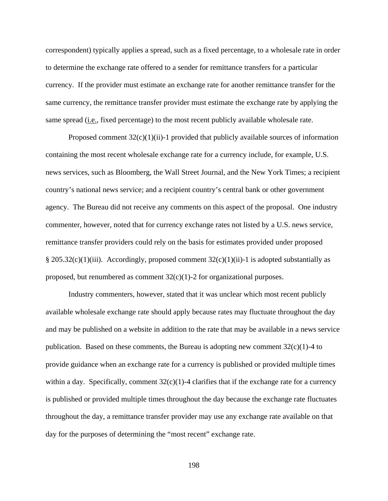correspondent) typically applies a spread, such as a fixed percentage, to a wholesale rate in order to determine the exchange rate offered to a sender for remittance transfers for a particular currency. If the provider must estimate an exchange rate for another remittance transfer for the same currency, the remittance transfer provider must estimate the exchange rate by applying the same spread (i.e., fixed percentage) to the most recent publicly available wholesale rate.

Proposed comment  $32(c)(1)(ii)$ -1 provided that publicly available sources of information containing the most recent wholesale exchange rate for a currency include, for example, U.S. news services, such as Bloomberg, the Wall Street Journal, and the New York Times; a recipient country's national news service; and a recipient country's central bank or other government agency. The Bureau did not receive any comments on this aspect of the proposal. One industry commenter, however, noted that for currency exchange rates not listed by a U.S. news service, remittance transfer providers could rely on the basis for estimates provided under proposed  $§ 205.32(c)(1)(iii)$ . Accordingly, proposed comment  $32(c)(1)(ii)$ -1 is adopted substantially as proposed, but renumbered as comment  $32(c)(1)-2$  for organizational purposes.

Industry commenters, however, stated that it was unclear which most recent publicly available wholesale exchange rate should apply because rates may fluctuate throughout the day and may be published on a website in addition to the rate that may be available in a news service publication. Based on these comments, the Bureau is adopting new comment  $32(c)(1)-4$  to provide guidance when an exchange rate for a currency is published or provided multiple times within a day. Specifically, comment  $32(c)(1)$ -4 clarifies that if the exchange rate for a currency is published or provided multiple times throughout the day because the exchange rate fluctuates throughout the day, a remittance transfer provider may use any exchange rate available on that day for the purposes of determining the "most recent" exchange rate.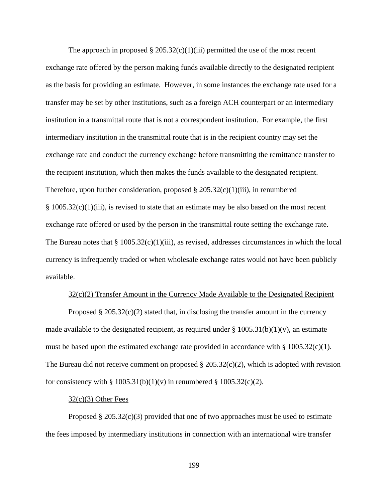The approach in proposed §  $205.32(c)(1)(iii)$  permitted the use of the most recent exchange rate offered by the person making funds available directly to the designated recipient as the basis for providing an estimate. However, in some instances the exchange rate used for a transfer may be set by other institutions, such as a foreign ACH counterpart or an intermediary institution in a transmittal route that is not a correspondent institution. For example, the first intermediary institution in the transmittal route that is in the recipient country may set the exchange rate and conduct the currency exchange before transmitting the remittance transfer to the recipient institution, which then makes the funds available to the designated recipient. Therefore, upon further consideration, proposed  $\S 205.32(c)(1)(iii)$ , in renumbered  $§ 1005.32(c)(1)(iii)$ , is revised to state that an estimate may be also based on the most recent exchange rate offered or used by the person in the transmittal route setting the exchange rate. The Bureau notes that  $\S 1005.32(c)(1)(iii)$ , as revised, addresses circumstances in which the local currency is infrequently traded or when wholesale exchange rates would not have been publicly available.

### 32(c)(2) Transfer Amount in the Currency Made Available to the Designated Recipient

Proposed  $\S 205.32(c)(2)$  stated that, in disclosing the transfer amount in the currency made available to the designated recipient, as required under  $\S 1005.31(b)(1)(v)$ , an estimate must be based upon the estimated exchange rate provided in accordance with  $\S 1005.32(c)(1)$ . The Bureau did not receive comment on proposed  $\S 205.32(c)(2)$ , which is adopted with revision for consistency with §  $1005.31(b)(1)(v)$  in renumbered §  $1005.32(c)(2)$ .

### 32(c)(3) Other Fees

Proposed  $\S 205.32(c)(3)$  provided that one of two approaches must be used to estimate the fees imposed by intermediary institutions in connection with an international wire transfer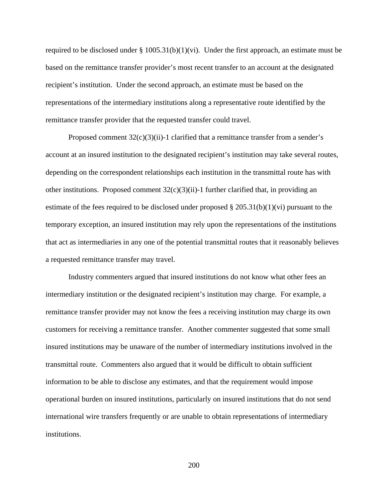required to be disclosed under  $\S 1005.31(b)(1)(vi)$ . Under the first approach, an estimate must be based on the remittance transfer provider's most recent transfer to an account at the designated recipient's institution. Under the second approach, an estimate must be based on the representations of the intermediary institutions along a representative route identified by the remittance transfer provider that the requested transfer could travel.

Proposed comment  $32(c)(3)(ii)$ -1 clarified that a remittance transfer from a sender's account at an insured institution to the designated recipient's institution may take several routes, depending on the correspondent relationships each institution in the transmittal route has with other institutions. Proposed comment  $32(c)(3)(ii)$ -1 further clarified that, in providing an estimate of the fees required to be disclosed under proposed  $\S 205.31(b)(1)(vi)$  pursuant to the temporary exception, an insured institution may rely upon the representations of the institutions that act as intermediaries in any one of the potential transmittal routes that it reasonably believes a requested remittance transfer may travel.

Industry commenters argued that insured institutions do not know what other fees an intermediary institution or the designated recipient's institution may charge. For example, a remittance transfer provider may not know the fees a receiving institution may charge its own customers for receiving a remittance transfer. Another commenter suggested that some small insured institutions may be unaware of the number of intermediary institutions involved in the transmittal route. Commenters also argued that it would be difficult to obtain sufficient information to be able to disclose any estimates, and that the requirement would impose operational burden on insured institutions, particularly on insured institutions that do not send international wire transfers frequently or are unable to obtain representations of intermediary institutions.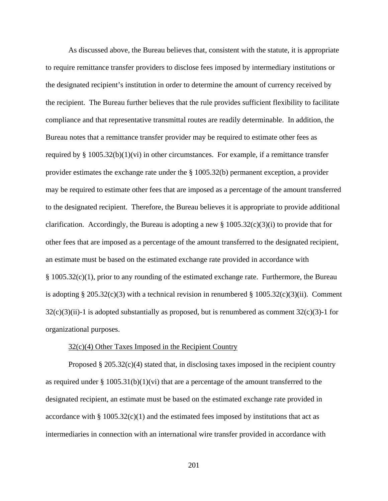As discussed above, the Bureau believes that, consistent with the statute, it is appropriate to require remittance transfer providers to disclose fees imposed by intermediary institutions or the designated recipient's institution in order to determine the amount of currency received by the recipient. The Bureau further believes that the rule provides sufficient flexibility to facilitate compliance and that representative transmittal routes are readily determinable. In addition, the Bureau notes that a remittance transfer provider may be required to estimate other fees as required by  $\S 1005.32(b)(1)(vi)$  in other circumstances. For example, if a remittance transfer provider estimates the exchange rate under the § 1005.32(b) permanent exception, a provider may be required to estimate other fees that are imposed as a percentage of the amount transferred to the designated recipient. Therefore, the Bureau believes it is appropriate to provide additional clarification. Accordingly, the Bureau is adopting a new  $\S$  1005.32(c)(3)(i) to provide that for other fees that are imposed as a percentage of the amount transferred to the designated recipient, an estimate must be based on the estimated exchange rate provided in accordance with  $\S 1005.32(c)(1)$ , prior to any rounding of the estimated exchange rate. Furthermore, the Bureau is adopting § 205.32(c)(3) with a technical revision in renumbered § 1005.32(c)(3)(ii). Comment  $32(c)(3)(ii)$ -1 is adopted substantially as proposed, but is renumbered as comment  $32(c)(3)$ -1 for organizational purposes.

#### 32(c)(4) Other Taxes Imposed in the Recipient Country

Proposed  $\S 205.32(c)(4)$  stated that, in disclosing taxes imposed in the recipient country as required under §  $1005.31(b)(1)(vi)$  that are a percentage of the amount transferred to the designated recipient, an estimate must be based on the estimated exchange rate provided in accordance with  $\S 1005.32(c)(1)$  and the estimated fees imposed by institutions that act as intermediaries in connection with an international wire transfer provided in accordance with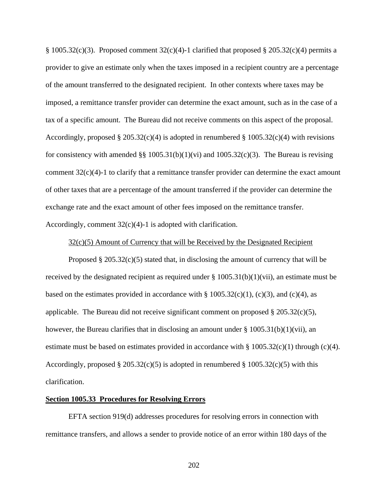§ 1005.32(c)(3). Proposed comment 32(c)(4)-1 clarified that proposed § 205.32(c)(4) permits a provider to give an estimate only when the taxes imposed in a recipient country are a percentage of the amount transferred to the designated recipient. In other contexts where taxes may be imposed, a remittance transfer provider can determine the exact amount, such as in the case of a tax of a specific amount. The Bureau did not receive comments on this aspect of the proposal. Accordingly, proposed § 205.32(c)(4) is adopted in renumbered § 1005.32(c)(4) with revisions for consistency with amended §§ 1005.31(b)(1)(vi) and 1005.32(c)(3). The Bureau is revising comment  $32(c)(4)-1$  to clarify that a remittance transfer provider can determine the exact amount of other taxes that are a percentage of the amount transferred if the provider can determine the exchange rate and the exact amount of other fees imposed on the remittance transfer. Accordingly, comment  $32(c)(4)-1$  is adopted with clarification.

## 32(c)(5) Amount of Currency that will be Received by the Designated Recipient

Proposed  $\S 205.32(c)(5)$  stated that, in disclosing the amount of currency that will be received by the designated recipient as required under  $\S 1005.31(b)(1)(vii)$ , an estimate must be based on the estimates provided in accordance with  $\S 1005.32(c)(1)$ , (c)(3), and (c)(4), as applicable. The Bureau did not receive significant comment on proposed  $\S 205.32(c)(5)$ , however, the Bureau clarifies that in disclosing an amount under §  $1005.31(b)(1)(vii)$ , an estimate must be based on estimates provided in accordance with  $\S 1005.32(c)(1)$  through (c)(4). Accordingly, proposed § 205.32(c)(5) is adopted in renumbered § 1005.32(c)(5) with this clarification.

# **Section 1005.33 Procedures for Resolving Errors**

 EFTA section 919(d) addresses procedures for resolving errors in connection with remittance transfers, and allows a sender to provide notice of an error within 180 days of the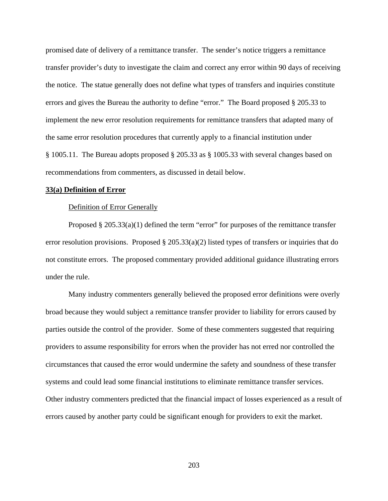promised date of delivery of a remittance transfer. The sender's notice triggers a remittance transfer provider's duty to investigate the claim and correct any error within 90 days of receiving the notice. The statue generally does not define what types of transfers and inquiries constitute errors and gives the Bureau the authority to define "error." The Board proposed § 205.33 to implement the new error resolution requirements for remittance transfers that adapted many of the same error resolution procedures that currently apply to a financial institution under § 1005.11. The Bureau adopts proposed § 205.33 as § 1005.33 with several changes based on recommendations from commenters, as discussed in detail below.

### **33(a) Definition of Error**

## Definition of Error Generally

Proposed  $\S 205.33(a)(1)$  defined the term "error" for purposes of the remittance transfer error resolution provisions. Proposed  $\S 205.33(a)(2)$  listed types of transfers or inquiries that do not constitute errors. The proposed commentary provided additional guidance illustrating errors under the rule.

 Many industry commenters generally believed the proposed error definitions were overly broad because they would subject a remittance transfer provider to liability for errors caused by parties outside the control of the provider. Some of these commenters suggested that requiring providers to assume responsibility for errors when the provider has not erred nor controlled the circumstances that caused the error would undermine the safety and soundness of these transfer systems and could lead some financial institutions to eliminate remittance transfer services. Other industry commenters predicted that the financial impact of losses experienced as a result of errors caused by another party could be significant enough for providers to exit the market.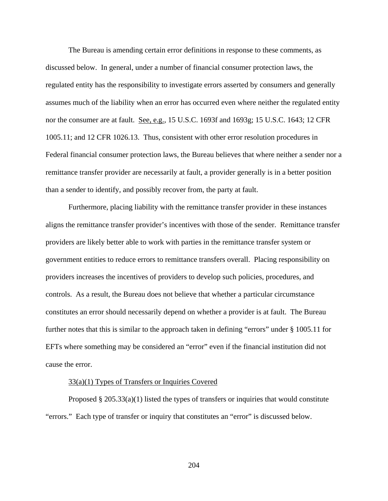The Bureau is amending certain error definitions in response to these comments, as discussed below. In general, under a number of financial consumer protection laws, the regulated entity has the responsibility to investigate errors asserted by consumers and generally assumes much of the liability when an error has occurred even where neither the regulated entity nor the consumer are at fault. See, e.g., 15 U.S.C. 1693f and 1693g; 15 U.S.C. 1643; 12 CFR 1005.11; and 12 CFR 1026.13. Thus, consistent with other error resolution procedures in Federal financial consumer protection laws, the Bureau believes that where neither a sender nor a remittance transfer provider are necessarily at fault, a provider generally is in a better position than a sender to identify, and possibly recover from, the party at fault.

Furthermore, placing liability with the remittance transfer provider in these instances aligns the remittance transfer provider's incentives with those of the sender. Remittance transfer providers are likely better able to work with parties in the remittance transfer system or government entities to reduce errors to remittance transfers overall. Placing responsibility on providers increases the incentives of providers to develop such policies, procedures, and controls. As a result, the Bureau does not believe that whether a particular circumstance constitutes an error should necessarily depend on whether a provider is at fault. The Bureau further notes that this is similar to the approach taken in defining "errors" under § 1005.11 for EFTs where something may be considered an "error" even if the financial institution did not cause the error.

## 33(a)(1) Types of Transfers or Inquiries Covered

Proposed  $\S 205.33(a)(1)$  listed the types of transfers or inquiries that would constitute "errors." Each type of transfer or inquiry that constitutes an "error" is discussed below.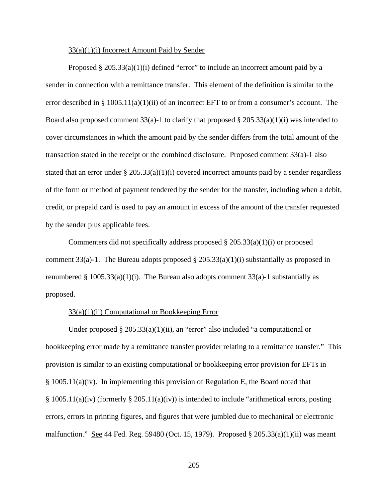### 33(a)(1)(i) Incorrect Amount Paid by Sender

Proposed  $\S 205.33(a)(1)(i)$  defined "error" to include an incorrect amount paid by a sender in connection with a remittance transfer. This element of the definition is similar to the error described in § 1005.11(a)(1)(ii) of an incorrect EFT to or from a consumer's account. The Board also proposed comment 33(a)-1 to clarify that proposed  $\S 205.33(a)(1)(i)$  was intended to cover circumstances in which the amount paid by the sender differs from the total amount of the transaction stated in the receipt or the combined disclosure. Proposed comment 33(a)-1 also stated that an error under  $\S 205.33(a)(1)(i)$  covered incorrect amounts paid by a sender regardless of the form or method of payment tendered by the sender for the transfer, including when a debit, credit, or prepaid card is used to pay an amount in excess of the amount of the transfer requested by the sender plus applicable fees.

 Commenters did not specifically address proposed § 205.33(a)(1)(i) or proposed comment 33(a)-1. The Bureau adopts proposed  $\S 205.33(a)(1)(i)$  substantially as proposed in renumbered §  $1005.33(a)(1)(i)$ . The Bureau also adopts comment  $33(a)-1$  substantially as proposed.

## 33(a)(1)(ii) Computational or Bookkeeping Error

Under proposed  $\S 205.33(a)(1)(ii)$ , an "error" also included "a computational or bookkeeping error made by a remittance transfer provider relating to a remittance transfer." This provision is similar to an existing computational or bookkeeping error provision for EFTs in § 1005.11(a)(iv). In implementing this provision of Regulation E, the Board noted that  $\S 1005.11(a)(iv)$  (formerly  $\S 205.11(a)(iv)$ ) is intended to include "arithmetical errors, posting errors, errors in printing figures, and figures that were jumbled due to mechanical or electronic malfunction." See 44 Fed. Reg. 59480 (Oct. 15, 1979). Proposed § 205.33(a)(1)(ii) was meant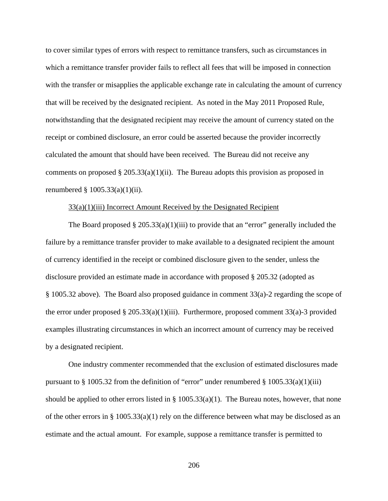to cover similar types of errors with respect to remittance transfers, such as circumstances in which a remittance transfer provider fails to reflect all fees that will be imposed in connection with the transfer or misapplies the applicable exchange rate in calculating the amount of currency that will be received by the designated recipient. As noted in the May 2011 Proposed Rule, notwithstanding that the designated recipient may receive the amount of currency stated on the receipt or combined disclosure, an error could be asserted because the provider incorrectly calculated the amount that should have been received. The Bureau did not receive any comments on proposed §  $205.33(a)(1)(ii)$ . The Bureau adopts this provision as proposed in renumbered § 1005.33(a)(1)(ii).

### 33(a)(1)(iii) Incorrect Amount Received by the Designated Recipient

The Board proposed  $\S 205.33(a)(1)(iii)$  to provide that an "error" generally included the failure by a remittance transfer provider to make available to a designated recipient the amount of currency identified in the receipt or combined disclosure given to the sender, unless the disclosure provided an estimate made in accordance with proposed § 205.32 (adopted as § 1005.32 above). The Board also proposed guidance in comment 33(a)-2 regarding the scope of the error under proposed  $\S 205.33(a)(1)(iii)$ . Furthermore, proposed comment 33(a)-3 provided examples illustrating circumstances in which an incorrect amount of currency may be received by a designated recipient.

 One industry commenter recommended that the exclusion of estimated disclosures made pursuant to  $\S 1005.32$  from the definition of "error" under renumbered  $\S 1005.33(a)(1)(iii)$ should be applied to other errors listed in §  $1005.33(a)(1)$ . The Bureau notes, however, that none of the other errors in §  $1005.33(a)(1)$  rely on the difference between what may be disclosed as an estimate and the actual amount. For example, suppose a remittance transfer is permitted to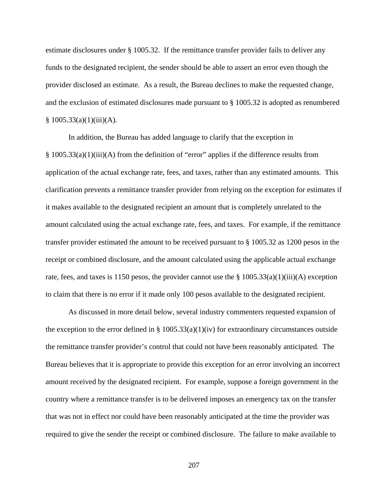estimate disclosures under § 1005.32. If the remittance transfer provider fails to deliver any funds to the designated recipient, the sender should be able to assert an error even though the provider disclosed an estimate. As a result, the Bureau declines to make the requested change, and the exclusion of estimated disclosures made pursuant to § 1005.32 is adopted as renumbered  $§ 1005.33(a)(1)(iii)(A).$ 

In addition, the Bureau has added language to clarify that the exception in § 1005.33(a)(1)(iii)(A) from the definition of "error" applies if the difference results from application of the actual exchange rate, fees, and taxes, rather than any estimated amounts. This clarification prevents a remittance transfer provider from relying on the exception for estimates if it makes available to the designated recipient an amount that is completely unrelated to the amount calculated using the actual exchange rate, fees, and taxes. For example, if the remittance transfer provider estimated the amount to be received pursuant to § 1005.32 as 1200 pesos in the receipt or combined disclosure, and the amount calculated using the applicable actual exchange rate, fees, and taxes is 1150 pesos, the provider cannot use the  $\S 1005.33(a)(1)(iii)(A)$  exception to claim that there is no error if it made only 100 pesos available to the designated recipient.

As discussed in more detail below, several industry commenters requested expansion of the exception to the error defined in §  $1005.33(a)(1)(iv)$  for extraordinary circumstances outside the remittance transfer provider's control that could not have been reasonably anticipated. The Bureau believes that it is appropriate to provide this exception for an error involving an incorrect amount received by the designated recipient. For example, suppose a foreign government in the country where a remittance transfer is to be delivered imposes an emergency tax on the transfer that was not in effect nor could have been reasonably anticipated at the time the provider was required to give the sender the receipt or combined disclosure. The failure to make available to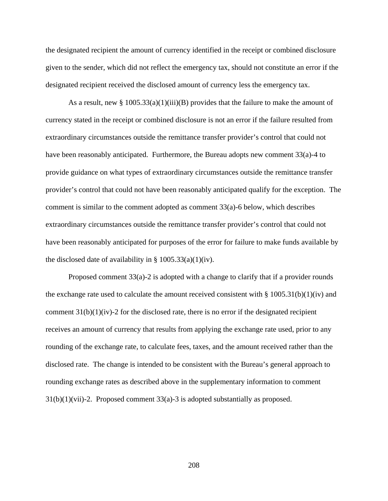the designated recipient the amount of currency identified in the receipt or combined disclosure given to the sender, which did not reflect the emergency tax, should not constitute an error if the designated recipient received the disclosed amount of currency less the emergency tax.

As a result, new §  $1005.33(a)(1)(iii)(B)$  provides that the failure to make the amount of currency stated in the receipt or combined disclosure is not an error if the failure resulted from extraordinary circumstances outside the remittance transfer provider's control that could not have been reasonably anticipated. Furthermore, the Bureau adopts new comment 33(a)-4 to provide guidance on what types of extraordinary circumstances outside the remittance transfer provider's control that could not have been reasonably anticipated qualify for the exception. The comment is similar to the comment adopted as comment 33(a)-6 below, which describes extraordinary circumstances outside the remittance transfer provider's control that could not have been reasonably anticipated for purposes of the error for failure to make funds available by the disclosed date of availability in  $\S$  1005.33(a)(1)(iv).

Proposed comment 33(a)-2 is adopted with a change to clarify that if a provider rounds the exchange rate used to calculate the amount received consistent with  $\S 1005.31(b)(1)(iv)$  and comment  $31(b)(1)(iv)-2$  for the disclosed rate, there is no error if the designated recipient receives an amount of currency that results from applying the exchange rate used, prior to any rounding of the exchange rate, to calculate fees, taxes, and the amount received rather than the disclosed rate. The change is intended to be consistent with the Bureau's general approach to rounding exchange rates as described above in the supplementary information to comment  $31(b)(1)(vii)-2$ . Proposed comment  $33(a)-3$  is adopted substantially as proposed.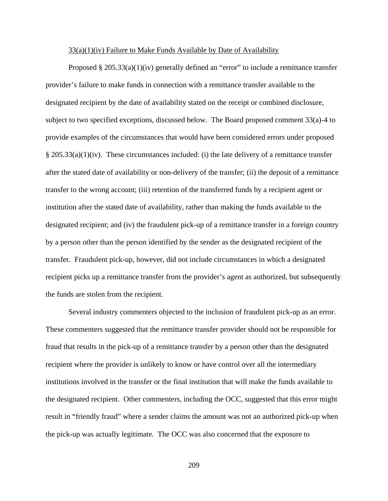#### 33(a)(1)(iv) Failure to Make Funds Available by Date of Availability

Proposed  $\S 205.33(a)(1)(iv)$  generally defined an "error" to include a remittance transfer provider's failure to make funds in connection with a remittance transfer available to the designated recipient by the date of availability stated on the receipt or combined disclosure, subject to two specified exceptions, discussed below. The Board proposed comment 33(a)-4 to provide examples of the circumstances that would have been considered errors under proposed  $\S 205.33(a)(1)(iv)$ . These circumstances included: (i) the late delivery of a remittance transfer after the stated date of availability or non-delivery of the transfer; (ii) the deposit of a remittance transfer to the wrong account; (iii) retention of the transferred funds by a recipient agent or institution after the stated date of availability, rather than making the funds available to the designated recipient; and (iv) the fraudulent pick-up of a remittance transfer in a foreign country by a person other than the person identified by the sender as the designated recipient of the transfer. Fraudulent pick-up, however, did not include circumstances in which a designated recipient picks up a remittance transfer from the provider's agent as authorized, but subsequently the funds are stolen from the recipient.

Several industry commenters objected to the inclusion of fraudulent pick-up as an error. These commenters suggested that the remittance transfer provider should not be responsible for fraud that results in the pick-up of a remittance transfer by a person other than the designated recipient where the provider is unlikely to know or have control over all the intermediary institutions involved in the transfer or the final institution that will make the funds available to the designated recipient. Other commenters, including the OCC, suggested that this error might result in "friendly fraud" where a sender claims the amount was not an authorized pick-up when the pick-up was actually legitimate. The OCC was also concerned that the exposure to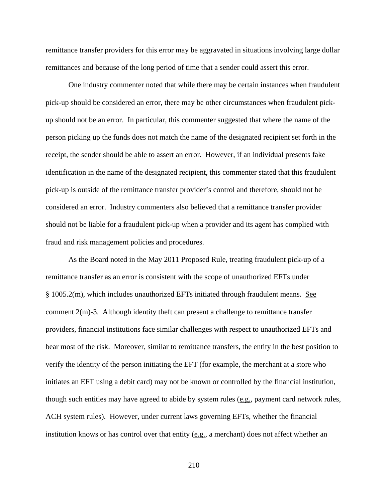remittance transfer providers for this error may be aggravated in situations involving large dollar remittances and because of the long period of time that a sender could assert this error.

One industry commenter noted that while there may be certain instances when fraudulent pick-up should be considered an error, there may be other circumstances when fraudulent pickup should not be an error. In particular, this commenter suggested that where the name of the person picking up the funds does not match the name of the designated recipient set forth in the receipt, the sender should be able to assert an error. However, if an individual presents fake identification in the name of the designated recipient, this commenter stated that this fraudulent pick-up is outside of the remittance transfer provider's control and therefore, should not be considered an error. Industry commenters also believed that a remittance transfer provider should not be liable for a fraudulent pick-up when a provider and its agent has complied with fraud and risk management policies and procedures.

As the Board noted in the May 2011 Proposed Rule, treating fraudulent pick-up of a remittance transfer as an error is consistent with the scope of unauthorized EFTs under § 1005.2(m), which includes unauthorized EFTs initiated through fraudulent means. See comment 2(m)-3. Although identity theft can present a challenge to remittance transfer providers, financial institutions face similar challenges with respect to unauthorized EFTs and bear most of the risk. Moreover, similar to remittance transfers, the entity in the best position to verify the identity of the person initiating the EFT (for example, the merchant at a store who initiates an EFT using a debit card) may not be known or controlled by the financial institution, though such entities may have agreed to abide by system rules (e.g., payment card network rules, ACH system rules). However, under current laws governing EFTs, whether the financial institution knows or has control over that entity (e.g., a merchant) does not affect whether an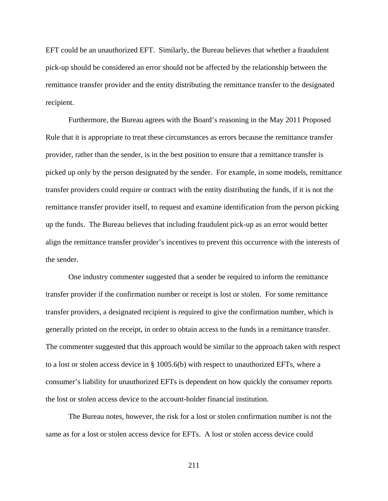EFT could be an unauthorized EFT. Similarly, the Bureau believes that whether a fraudulent pick-up should be considered an error should not be affected by the relationship between the remittance transfer provider and the entity distributing the remittance transfer to the designated recipient.

Furthermore, the Bureau agrees with the Board's reasoning in the May 2011 Proposed Rule that it is appropriate to treat these circumstances as errors because the remittance transfer provider, rather than the sender, is in the best position to ensure that a remittance transfer is picked up only by the person designated by the sender. For example, in some models, remittance transfer providers could require or contract with the entity distributing the funds, if it is not the remittance transfer provider itself, to request and examine identification from the person picking up the funds. The Bureau believes that including fraudulent pick-up as an error would better align the remittance transfer provider's incentives to prevent this occurrence with the interests of the sender.

One industry commenter suggested that a sender be required to inform the remittance transfer provider if the confirmation number or receipt is lost or stolen. For some remittance transfer providers, a designated recipient is required to give the confirmation number, which is generally printed on the receipt, in order to obtain access to the funds in a remittance transfer. The commenter suggested that this approach would be similar to the approach taken with respect to a lost or stolen access device in § 1005.6(b) with respect to unauthorized EFTs, where a consumer's liability for unauthorized EFTs is dependent on how quickly the consumer reports the lost or stolen access device to the account-holder financial institution.

The Bureau notes, however, the risk for a lost or stolen confirmation number is not the same as for a lost or stolen access device for EFTs. A lost or stolen access device could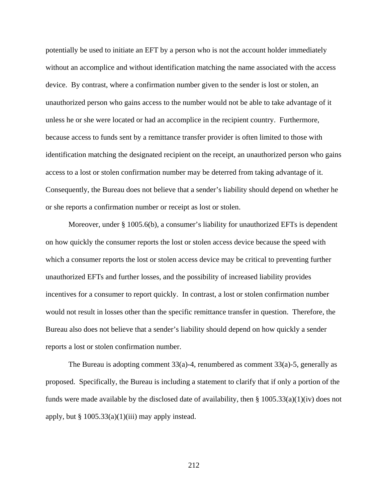potentially be used to initiate an EFT by a person who is not the account holder immediately without an accomplice and without identification matching the name associated with the access device. By contrast, where a confirmation number given to the sender is lost or stolen, an unauthorized person who gains access to the number would not be able to take advantage of it unless he or she were located or had an accomplice in the recipient country. Furthermore, because access to funds sent by a remittance transfer provider is often limited to those with identification matching the designated recipient on the receipt, an unauthorized person who gains access to a lost or stolen confirmation number may be deterred from taking advantage of it. Consequently, the Bureau does not believe that a sender's liability should depend on whether he or she reports a confirmation number or receipt as lost or stolen.

Moreover, under § 1005.6(b), a consumer's liability for unauthorized EFTs is dependent on how quickly the consumer reports the lost or stolen access device because the speed with which a consumer reports the lost or stolen access device may be critical to preventing further unauthorized EFTs and further losses, and the possibility of increased liability provides incentives for a consumer to report quickly. In contrast, a lost or stolen confirmation number would not result in losses other than the specific remittance transfer in question. Therefore, the Bureau also does not believe that a sender's liability should depend on how quickly a sender reports a lost or stolen confirmation number.

The Bureau is adopting comment  $33(a)-4$ , renumbered as comment  $33(a)-5$ , generally as proposed. Specifically, the Bureau is including a statement to clarify that if only a portion of the funds were made available by the disclosed date of availability, then  $\S 1005.33(a)(1)(iv)$  does not apply, but  $\S 1005.33(a)(1)(iii)$  may apply instead.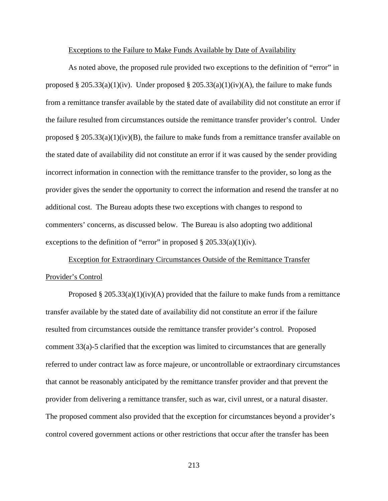Exceptions to the Failure to Make Funds Available by Date of Availability

As noted above, the proposed rule provided two exceptions to the definition of "error" in proposed § 205.33(a)(1)(iv). Under proposed § 205.33(a)(1)(iv)(A), the failure to make funds from a remittance transfer available by the stated date of availability did not constitute an error if the failure resulted from circumstances outside the remittance transfer provider's control. Under proposed § 205.33(a)(1)(iv)(B), the failure to make funds from a remittance transfer available on the stated date of availability did not constitute an error if it was caused by the sender providing incorrect information in connection with the remittance transfer to the provider, so long as the provider gives the sender the opportunity to correct the information and resend the transfer at no additional cost. The Bureau adopts these two exceptions with changes to respond to commenters' concerns, as discussed below. The Bureau is also adopting two additional exceptions to the definition of "error" in proposed  $\S 205.33(a)(1)(iv)$ .

Exception for Extraordinary Circumstances Outside of the Remittance Transfer Provider's Control

Proposed § 205.33(a)(1)(iv)(A) provided that the failure to make funds from a remittance transfer available by the stated date of availability did not constitute an error if the failure resulted from circumstances outside the remittance transfer provider's control. Proposed comment 33(a)-5 clarified that the exception was limited to circumstances that are generally referred to under contract law as force majeure, or uncontrollable or extraordinary circumstances that cannot be reasonably anticipated by the remittance transfer provider and that prevent the provider from delivering a remittance transfer, such as war, civil unrest, or a natural disaster. The proposed comment also provided that the exception for circumstances beyond a provider's control covered government actions or other restrictions that occur after the transfer has been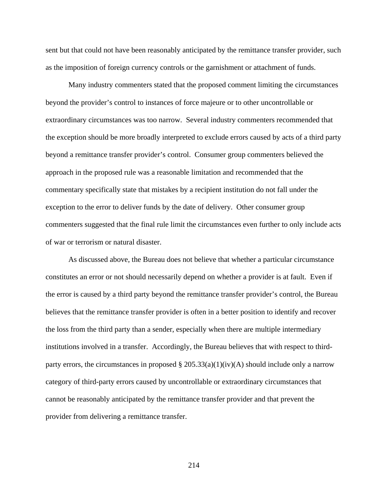sent but that could not have been reasonably anticipated by the remittance transfer provider, such as the imposition of foreign currency controls or the garnishment or attachment of funds.

Many industry commenters stated that the proposed comment limiting the circumstances beyond the provider's control to instances of force majeure or to other uncontrollable or extraordinary circumstances was too narrow. Several industry commenters recommended that the exception should be more broadly interpreted to exclude errors caused by acts of a third party beyond a remittance transfer provider's control. Consumer group commenters believed the approach in the proposed rule was a reasonable limitation and recommended that the commentary specifically state that mistakes by a recipient institution do not fall under the exception to the error to deliver funds by the date of delivery. Other consumer group commenters suggested that the final rule limit the circumstances even further to only include acts of war or terrorism or natural disaster.

As discussed above, the Bureau does not believe that whether a particular circumstance constitutes an error or not should necessarily depend on whether a provider is at fault. Even if the error is caused by a third party beyond the remittance transfer provider's control, the Bureau believes that the remittance transfer provider is often in a better position to identify and recover the loss from the third party than a sender, especially when there are multiple intermediary institutions involved in a transfer. Accordingly, the Bureau believes that with respect to thirdparty errors, the circumstances in proposed §  $205.33(a)(1)(iv)(A)$  should include only a narrow category of third-party errors caused by uncontrollable or extraordinary circumstances that cannot be reasonably anticipated by the remittance transfer provider and that prevent the provider from delivering a remittance transfer.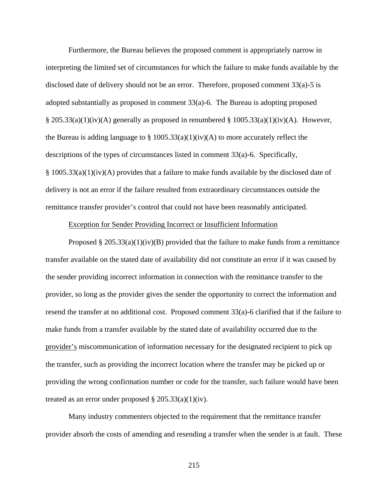Furthermore, the Bureau believes the proposed comment is appropriately narrow in interpreting the limited set of circumstances for which the failure to make funds available by the disclosed date of delivery should not be an error. Therefore, proposed comment 33(a)-5 is adopted substantially as proposed in comment 33(a)-6. The Bureau is adopting proposed  $\S 205.33(a)(1)(iv)(A)$  generally as proposed in renumbered  $\S 1005.33(a)(1)(iv)(A)$ . However, the Bureau is adding language to  $\S 1005.33(a)(1)(iv)(A)$  to more accurately reflect the descriptions of the types of circumstances listed in comment 33(a)-6. Specifically,  $\S$  1005.33(a)(1)(iv)(A) provides that a failure to make funds available by the disclosed date of delivery is not an error if the failure resulted from extraordinary circumstances outside the remittance transfer provider's control that could not have been reasonably anticipated.

### Exception for Sender Providing Incorrect or Insufficient Information

Proposed § 205.33(a)(1)(iv)(B) provided that the failure to make funds from a remittance transfer available on the stated date of availability did not constitute an error if it was caused by the sender providing incorrect information in connection with the remittance transfer to the provider, so long as the provider gives the sender the opportunity to correct the information and resend the transfer at no additional cost. Proposed comment 33(a)-6 clarified that if the failure to make funds from a transfer available by the stated date of availability occurred due to the provider's miscommunication of information necessary for the designated recipient to pick up the transfer, such as providing the incorrect location where the transfer may be picked up or providing the wrong confirmation number or code for the transfer, such failure would have been treated as an error under proposed  $\S 205.33(a)(1)(iv)$ .

 Many industry commenters objected to the requirement that the remittance transfer provider absorb the costs of amending and resending a transfer when the sender is at fault. These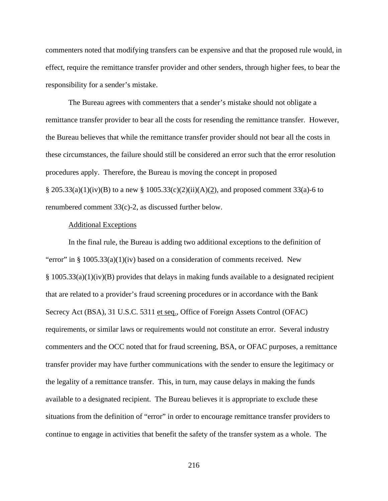commenters noted that modifying transfers can be expensive and that the proposed rule would, in effect, require the remittance transfer provider and other senders, through higher fees, to bear the responsibility for a sender's mistake.

 The Bureau agrees with commenters that a sender's mistake should not obligate a remittance transfer provider to bear all the costs for resending the remittance transfer. However, the Bureau believes that while the remittance transfer provider should not bear all the costs in these circumstances, the failure should still be considered an error such that the error resolution procedures apply. Therefore, the Bureau is moving the concept in proposed § 205.33(a)(1)(iv)(B) to a new § 1005.33(c)(2)(ii)(A)(2), and proposed comment 33(a)-6 to renumbered comment 33(c)-2, as discussed further below.

### Additional Exceptions

In the final rule, the Bureau is adding two additional exceptions to the definition of "error" in  $\S$  1005.33(a)(1)(iv) based on a consideration of comments received. New  $§ 1005.33(a)(1)(iv)(B)$  provides that delays in making funds available to a designated recipient that are related to a provider's fraud screening procedures or in accordance with the Bank Secrecy Act (BSA), 31 U.S.C. 5311 et seq., Office of Foreign Assets Control (OFAC) requirements, or similar laws or requirements would not constitute an error. Several industry commenters and the OCC noted that for fraud screening, BSA, or OFAC purposes, a remittance transfer provider may have further communications with the sender to ensure the legitimacy or the legality of a remittance transfer. This, in turn, may cause delays in making the funds available to a designated recipient. The Bureau believes it is appropriate to exclude these situations from the definition of "error" in order to encourage remittance transfer providers to continue to engage in activities that benefit the safety of the transfer system as a whole. The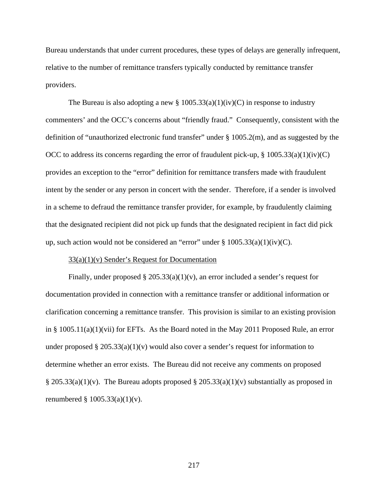Bureau understands that under current procedures, these types of delays are generally infrequent, relative to the number of remittance transfers typically conducted by remittance transfer providers.

The Bureau is also adopting a new  $\S 1005.33(a)(1)(iv)(C)$  in response to industry commenters' and the OCC's concerns about "friendly fraud." Consequently, consistent with the definition of "unauthorized electronic fund transfer" under § 1005.2(m), and as suggested by the OCC to address its concerns regarding the error of fraudulent pick-up,  $\S 1005.33(a)(1)(iv)(C)$ provides an exception to the "error" definition for remittance transfers made with fraudulent intent by the sender or any person in concert with the sender. Therefore, if a sender is involved in a scheme to defraud the remittance transfer provider, for example, by fraudulently claiming that the designated recipient did not pick up funds that the designated recipient in fact did pick up, such action would not be considered an "error" under  $\S 1005.33(a)(1)(iv)(C)$ .

## $33(a)(1)(v)$  Sender's Request for Documentation

Finally, under proposed § 205.33(a)(1)(v), an error included a sender's request for documentation provided in connection with a remittance transfer or additional information or clarification concerning a remittance transfer. This provision is similar to an existing provision in §  $1005.11(a)(1)(vii)$  for EFTs. As the Board noted in the May 2011 Proposed Rule, an error under proposed § 205.33(a)(1)(v) would also cover a sender's request for information to determine whether an error exists. The Bureau did not receive any comments on proposed  $\S 205.33(a)(1)(v)$ . The Bureau adopts proposed  $\S 205.33(a)(1)(v)$  substantially as proposed in renumbered  $\S 1005.33(a)(1)(v)$ .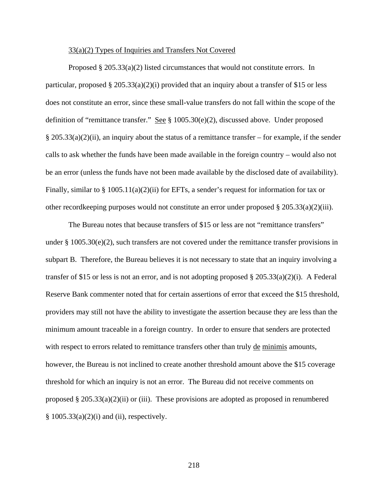### 33(a)(2) Types of Inquiries and Transfers Not Covered

Proposed  $\S 205.33(a)(2)$  listed circumstances that would not constitute errors. In particular, proposed § 205.33(a)(2)(i) provided that an inquiry about a transfer of \$15 or less does not constitute an error, since these small-value transfers do not fall within the scope of the definition of "remittance transfer." <u>See § 1005.30(e)</u>(2), discussed above. Under proposed  $\S 205.33(a)(2)(ii)$ , an inquiry about the status of a remittance transfer – for example, if the sender calls to ask whether the funds have been made available in the foreign country – would also not be an error (unless the funds have not been made available by the disclosed date of availability). Finally, similar to  $\S 1005.11(a)(2)(ii)$  for EFTs, a sender's request for information for tax or other recordkeeping purposes would not constitute an error under proposed § 205.33(a)(2)(iii).

 The Bureau notes that because transfers of \$15 or less are not "remittance transfers" under  $\S 1005.30(e)(2)$ , such transfers are not covered under the remittance transfer provisions in subpart B. Therefore, the Bureau believes it is not necessary to state that an inquiry involving a transfer of \$15 or less is not an error, and is not adopting proposed  $\S 205.33(a)(2)(i)$ . A Federal Reserve Bank commenter noted that for certain assertions of error that exceed the \$15 threshold, providers may still not have the ability to investigate the assertion because they are less than the minimum amount traceable in a foreign country. In order to ensure that senders are protected with respect to errors related to remittance transfers other than truly de minimis amounts, however, the Bureau is not inclined to create another threshold amount above the \$15 coverage threshold for which an inquiry is not an error. The Bureau did not receive comments on proposed  $\S 205.33(a)(2)(ii)$  or (iii). These provisions are adopted as proposed in renumbered  $§ 1005.33(a)(2)(i)$  and (ii), respectively.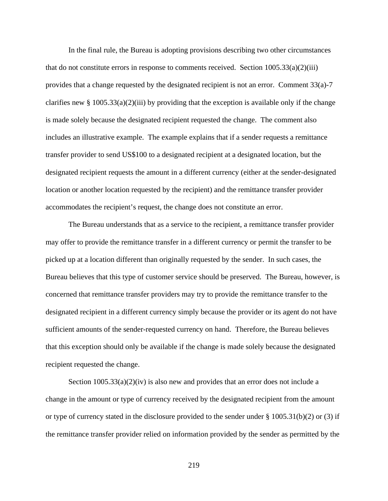In the final rule, the Bureau is adopting provisions describing two other circumstances that do not constitute errors in response to comments received. Section  $1005.33(a)(2)(iii)$ provides that a change requested by the designated recipient is not an error. Comment 33(a)-7 clarifies new §  $1005.33(a)(2)(iii)$  by providing that the exception is available only if the change is made solely because the designated recipient requested the change. The comment also includes an illustrative example. The example explains that if a sender requests a remittance transfer provider to send US\$100 to a designated recipient at a designated location, but the designated recipient requests the amount in a different currency (either at the sender-designated location or another location requested by the recipient) and the remittance transfer provider accommodates the recipient's request, the change does not constitute an error.

The Bureau understands that as a service to the recipient, a remittance transfer provider may offer to provide the remittance transfer in a different currency or permit the transfer to be picked up at a location different than originally requested by the sender. In such cases, the Bureau believes that this type of customer service should be preserved. The Bureau, however, is concerned that remittance transfer providers may try to provide the remittance transfer to the designated recipient in a different currency simply because the provider or its agent do not have sufficient amounts of the sender-requested currency on hand. Therefore, the Bureau believes that this exception should only be available if the change is made solely because the designated recipient requested the change.

Section  $1005.33(a)(2)(iv)$  is also new and provides that an error does not include a change in the amount or type of currency received by the designated recipient from the amount or type of currency stated in the disclosure provided to the sender under  $\S$  1005.31(b)(2) or (3) if the remittance transfer provider relied on information provided by the sender as permitted by the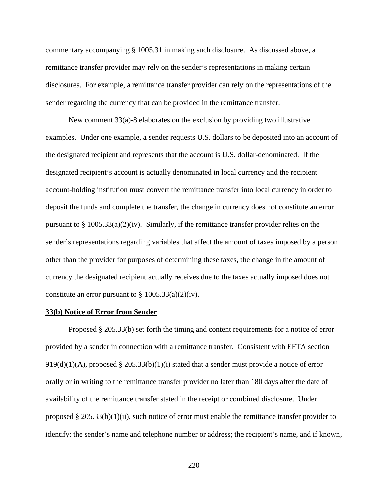commentary accompanying § 1005.31 in making such disclosure. As discussed above, a remittance transfer provider may rely on the sender's representations in making certain disclosures. For example, a remittance transfer provider can rely on the representations of the sender regarding the currency that can be provided in the remittance transfer.

New comment 33(a)-8 elaborates on the exclusion by providing two illustrative examples. Under one example, a sender requests U.S. dollars to be deposited into an account of the designated recipient and represents that the account is U.S. dollar-denominated. If the designated recipient's account is actually denominated in local currency and the recipient account-holding institution must convert the remittance transfer into local currency in order to deposit the funds and complete the transfer, the change in currency does not constitute an error pursuant to §  $1005.33(a)(2)(iv)$ . Similarly, if the remittance transfer provider relies on the sender's representations regarding variables that affect the amount of taxes imposed by a person other than the provider for purposes of determining these taxes, the change in the amount of currency the designated recipient actually receives due to the taxes actually imposed does not constitute an error pursuant to  $\S 1005.33(a)(2)(iv)$ .

## **33(b) Notice of Error from Sender**

 Proposed § 205.33(b) set forth the timing and content requirements for a notice of error provided by a sender in connection with a remittance transfer. Consistent with EFTA section  $919(d)(1)(A)$ , proposed § 205.33(b)(1)(i) stated that a sender must provide a notice of error orally or in writing to the remittance transfer provider no later than 180 days after the date of availability of the remittance transfer stated in the receipt or combined disclosure. Under proposed § 205.33(b)(1)(ii), such notice of error must enable the remittance transfer provider to identify: the sender's name and telephone number or address; the recipient's name, and if known,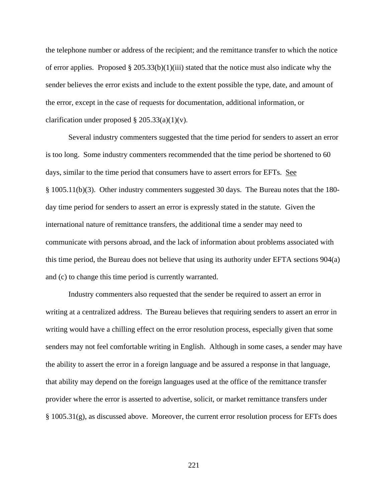the telephone number or address of the recipient; and the remittance transfer to which the notice of error applies. Proposed  $\S 205.33(b)(1)(iii)$  stated that the notice must also indicate why the sender believes the error exists and include to the extent possible the type, date, and amount of the error, except in the case of requests for documentation, additional information, or clarification under proposed  $\S 205.33(a)(1)(v)$ .

 Several industry commenters suggested that the time period for senders to assert an error is too long. Some industry commenters recommended that the time period be shortened to 60 days, similar to the time period that consumers have to assert errors for EFTs. See § 1005.11(b)(3). Other industry commenters suggested 30 days. The Bureau notes that the 180 day time period for senders to assert an error is expressly stated in the statute. Given the international nature of remittance transfers, the additional time a sender may need to communicate with persons abroad, and the lack of information about problems associated with this time period, the Bureau does not believe that using its authority under EFTA sections 904(a) and (c) to change this time period is currently warranted.

 Industry commenters also requested that the sender be required to assert an error in writing at a centralized address. The Bureau believes that requiring senders to assert an error in writing would have a chilling effect on the error resolution process, especially given that some senders may not feel comfortable writing in English. Although in some cases, a sender may have the ability to assert the error in a foreign language and be assured a response in that language, that ability may depend on the foreign languages used at the office of the remittance transfer provider where the error is asserted to advertise, solicit, or market remittance transfers under § 1005.31(g), as discussed above. Moreover, the current error resolution process for EFTs does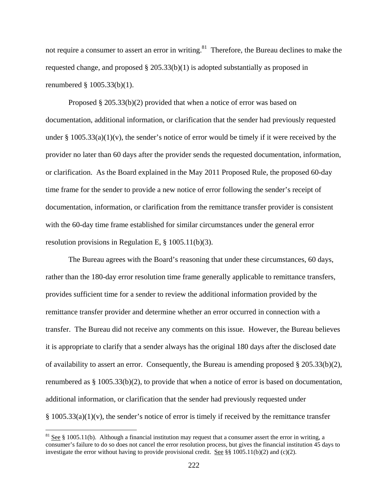not require a consumer to assert an error in writing.<sup>81</sup> Therefore, the Bureau declines to make the requested change, and proposed § 205.33(b)(1) is adopted substantially as proposed in renumbered § 1005.33(b)(1).

 Proposed § 205.33(b)(2) provided that when a notice of error was based on documentation, additional information, or clarification that the sender had previously requested under  $\S 1005.33(a)(1)(v)$ , the sender's notice of error would be timely if it were received by the provider no later than 60 days after the provider sends the requested documentation, information, or clarification. As the Board explained in the May 2011 Proposed Rule, the proposed 60-day time frame for the sender to provide a new notice of error following the sender's receipt of documentation, information, or clarification from the remittance transfer provider is consistent with the 60-day time frame established for similar circumstances under the general error resolution provisions in Regulation E, § 1005.11(b)(3).

The Bureau agrees with the Board's reasoning that under these circumstances, 60 days, rather than the 180-day error resolution time frame generally applicable to remittance transfers, provides sufficient time for a sender to review the additional information provided by the remittance transfer provider and determine whether an error occurred in connection with a transfer. The Bureau did not receive any comments on this issue. However, the Bureau believes it is appropriate to clarify that a sender always has the original 180 days after the disclosed date of availability to assert an error. Consequently, the Bureau is amending proposed  $\S 205.33(b)(2)$ , renumbered as  $\S 1005.33(b)(2)$ , to provide that when a notice of error is based on documentation, additional information, or clarification that the sender had previously requested under  $\S$  1005.33(a)(1)(v), the sender's notice of error is timely if received by the remittance transfer

 $\overline{a}$ 

<sup>&</sup>lt;sup>81</sup> See § 1005.11(b). Although a financial institution may request that a consumer assert the error in writing, a consumer's failure to do so does not cancel the error resolution process, but gives the financial institution 45 days to investigate the error without having to provide provisional credit. See §§ 1005.11(b)(2) and (c)(2).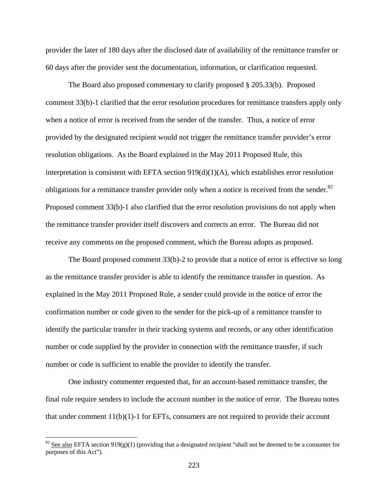provider the later of 180 days after the disclosed date of availability of the remittance transfer or 60 days after the provider sent the documentation, information, or clarification requested.

 The Board also proposed commentary to clarify proposed § 205.33(b). Proposed comment 33(b)-1 clarified that the error resolution procedures for remittance transfers apply only when a notice of error is received from the sender of the transfer. Thus, a notice of error provided by the designated recipient would not trigger the remittance transfer provider's error resolution obligations. As the Board explained in the May 2011 Proposed Rule, this interpretation is consistent with EFTA section 919(d)(1)(A), which establishes error resolution obligations for a remittance transfer provider only when a notice is received from the sender.<sup>82</sup> Proposed comment 33(b)-1 also clarified that the error resolution provisions do not apply when the remittance transfer provider itself discovers and corrects an error. The Bureau did not receive any comments on the proposed comment, which the Bureau adopts as proposed.

 The Board proposed comment 33(b)-2 to provide that a notice of error is effective so long as the remittance transfer provider is able to identify the remittance transfer in question. As explained in the May 2011 Proposed Rule, a sender could provide in the notice of error the confirmation number or code given to the sender for the pick-up of a remittance transfer to identify the particular transfer in their tracking systems and records, or any other identification number or code supplied by the provider in connection with the remittance transfer, if such number or code is sufficient to enable the provider to identify the transfer.

One industry commenter requested that, for an account-based remittance transfer, the final rule require senders to include the account number in the notice of error. The Bureau notes that under comment  $11(b)(1)-1$  for EFTs, consumers are not required to provide their account

 $\overline{a}$ 

 $82$  See also EFTA section 919(g)(1) (providing that a designated recipient "shall not be deemed to be a consumer for purposes of this Act").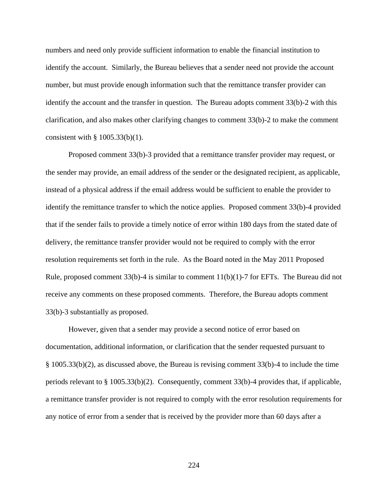numbers and need only provide sufficient information to enable the financial institution to identify the account. Similarly, the Bureau believes that a sender need not provide the account number, but must provide enough information such that the remittance transfer provider can identify the account and the transfer in question. The Bureau adopts comment 33(b)-2 with this clarification, and also makes other clarifying changes to comment 33(b)-2 to make the comment consistent with  $\S 1005.33(b)(1)$ .

Proposed comment 33(b)-3 provided that a remittance transfer provider may request, or the sender may provide, an email address of the sender or the designated recipient, as applicable, instead of a physical address if the email address would be sufficient to enable the provider to identify the remittance transfer to which the notice applies. Proposed comment 33(b)-4 provided that if the sender fails to provide a timely notice of error within 180 days from the stated date of delivery, the remittance transfer provider would not be required to comply with the error resolution requirements set forth in the rule. As the Board noted in the May 2011 Proposed Rule, proposed comment  $33(b)-4$  is similar to comment  $11(b)(1)-7$  for EFTs. The Bureau did not receive any comments on these proposed comments. Therefore, the Bureau adopts comment 33(b)-3 substantially as proposed.

However, given that a sender may provide a second notice of error based on documentation, additional information, or clarification that the sender requested pursuant to § 1005.33(b)(2), as discussed above, the Bureau is revising comment 33(b)-4 to include the time periods relevant to § 1005.33(b)(2). Consequently, comment 33(b)-4 provides that, if applicable, a remittance transfer provider is not required to comply with the error resolution requirements for any notice of error from a sender that is received by the provider more than 60 days after a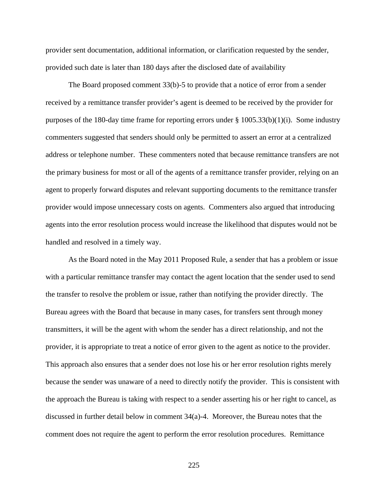provider sent documentation, additional information, or clarification requested by the sender, provided such date is later than 180 days after the disclosed date of availability

 The Board proposed comment 33(b)-5 to provide that a notice of error from a sender received by a remittance transfer provider's agent is deemed to be received by the provider for purposes of the 180-day time frame for reporting errors under  $\S$  1005.33(b)(1)(i). Some industry commenters suggested that senders should only be permitted to assert an error at a centralized address or telephone number. These commenters noted that because remittance transfers are not the primary business for most or all of the agents of a remittance transfer provider, relying on an agent to properly forward disputes and relevant supporting documents to the remittance transfer provider would impose unnecessary costs on agents. Commenters also argued that introducing agents into the error resolution process would increase the likelihood that disputes would not be handled and resolved in a timely way.

As the Board noted in the May 2011 Proposed Rule, a sender that has a problem or issue with a particular remittance transfer may contact the agent location that the sender used to send the transfer to resolve the problem or issue, rather than notifying the provider directly. The Bureau agrees with the Board that because in many cases, for transfers sent through money transmitters, it will be the agent with whom the sender has a direct relationship, and not the provider, it is appropriate to treat a notice of error given to the agent as notice to the provider. This approach also ensures that a sender does not lose his or her error resolution rights merely because the sender was unaware of a need to directly notify the provider. This is consistent with the approach the Bureau is taking with respect to a sender asserting his or her right to cancel, as discussed in further detail below in comment  $34(a)$ -4. Moreover, the Bureau notes that the comment does not require the agent to perform the error resolution procedures. Remittance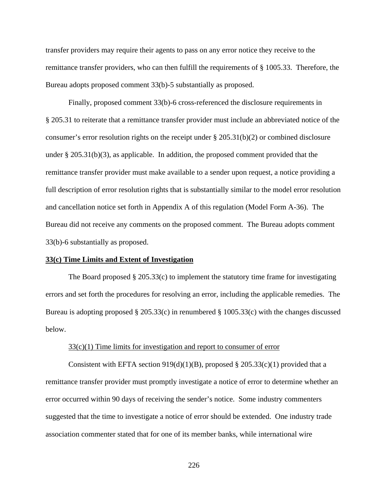transfer providers may require their agents to pass on any error notice they receive to the remittance transfer providers, who can then fulfill the requirements of § 1005.33. Therefore, the Bureau adopts proposed comment 33(b)-5 substantially as proposed.

Finally, proposed comment 33(b)-6 cross-referenced the disclosure requirements in § 205.31 to reiterate that a remittance transfer provider must include an abbreviated notice of the consumer's error resolution rights on the receipt under § 205.31(b)(2) or combined disclosure under  $\S 205.31(b)(3)$ , as applicable. In addition, the proposed comment provided that the remittance transfer provider must make available to a sender upon request, a notice providing a full description of error resolution rights that is substantially similar to the model error resolution and cancellation notice set forth in Appendix A of this regulation (Model Form A-36). The Bureau did not receive any comments on the proposed comment. The Bureau adopts comment 33(b)-6 substantially as proposed.

## **33(c) Time Limits and Extent of Investigation**

The Board proposed  $\S 205.33(c)$  to implement the statutory time frame for investigating errors and set forth the procedures for resolving an error, including the applicable remedies. The Bureau is adopting proposed § 205.33(c) in renumbered § 1005.33(c) with the changes discussed below.

#### 33(c)(1) Time limits for investigation and report to consumer of error

Consistent with EFTA section  $919(d)(1)(B)$ , proposed § 205.33(c)(1) provided that a remittance transfer provider must promptly investigate a notice of error to determine whether an error occurred within 90 days of receiving the sender's notice. Some industry commenters suggested that the time to investigate a notice of error should be extended. One industry trade association commenter stated that for one of its member banks, while international wire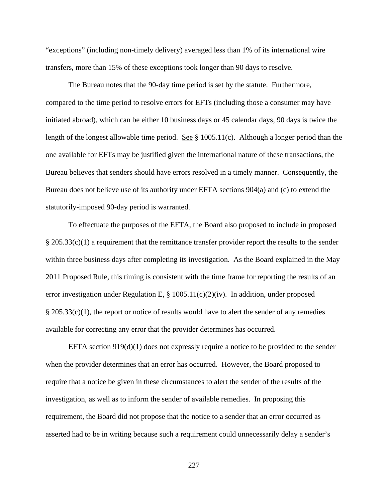"exceptions" (including non-timely delivery) averaged less than 1% of its international wire transfers, more than 15% of these exceptions took longer than 90 days to resolve.

The Bureau notes that the 90-day time period is set by the statute. Furthermore, compared to the time period to resolve errors for EFTs (including those a consumer may have initiated abroad), which can be either 10 business days or 45 calendar days, 90 days is twice the length of the longest allowable time period. <u>See</u> § 1005.11(c). Although a longer period than the one available for EFTs may be justified given the international nature of these transactions, the Bureau believes that senders should have errors resolved in a timely manner. Consequently, the Bureau does not believe use of its authority under EFTA sections 904(a) and (c) to extend the statutorily-imposed 90-day period is warranted.

To effectuate the purposes of the EFTA, the Board also proposed to include in proposed  $\S 205.33(c)(1)$  a requirement that the remittance transfer provider report the results to the sender within three business days after completing its investigation. As the Board explained in the May 2011 Proposed Rule, this timing is consistent with the time frame for reporting the results of an error investigation under Regulation E, § 1005.11(c)(2)(iv). In addition, under proposed  $\S 205.33(c)(1)$ , the report or notice of results would have to alert the sender of any remedies available for correcting any error that the provider determines has occurred.

EFTA section  $919(d)(1)$  does not expressly require a notice to be provided to the sender when the provider determines that an error has occurred. However, the Board proposed to require that a notice be given in these circumstances to alert the sender of the results of the investigation, as well as to inform the sender of available remedies. In proposing this requirement, the Board did not propose that the notice to a sender that an error occurred as asserted had to be in writing because such a requirement could unnecessarily delay a sender's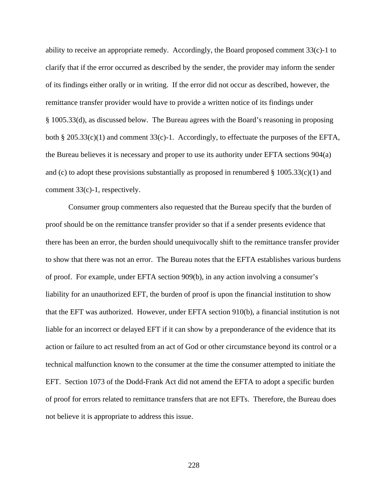ability to receive an appropriate remedy. Accordingly, the Board proposed comment 33(c)-1 to clarify that if the error occurred as described by the sender, the provider may inform the sender of its findings either orally or in writing. If the error did not occur as described, however, the remittance transfer provider would have to provide a written notice of its findings under § 1005.33(d), as discussed below. The Bureau agrees with the Board's reasoning in proposing both § 205.33(c)(1) and comment 33(c)-1. Accordingly, to effectuate the purposes of the EFTA, the Bureau believes it is necessary and proper to use its authority under EFTA sections 904(a) and (c) to adopt these provisions substantially as proposed in renumbered  $\S$  1005.33(c)(1) and comment 33(c)-1, respectively.

Consumer group commenters also requested that the Bureau specify that the burden of proof should be on the remittance transfer provider so that if a sender presents evidence that there has been an error, the burden should unequivocally shift to the remittance transfer provider to show that there was not an error. The Bureau notes that the EFTA establishes various burdens of proof. For example, under EFTA section 909(b), in any action involving a consumer's liability for an unauthorized EFT, the burden of proof is upon the financial institution to show that the EFT was authorized. However, under EFTA section 910(b), a financial institution is not liable for an incorrect or delayed EFT if it can show by a preponderance of the evidence that its action or failure to act resulted from an act of God or other circumstance beyond its control or a technical malfunction known to the consumer at the time the consumer attempted to initiate the EFT. Section 1073 of the Dodd-Frank Act did not amend the EFTA to adopt a specific burden of proof for errors related to remittance transfers that are not EFTs. Therefore, the Bureau does not believe it is appropriate to address this issue.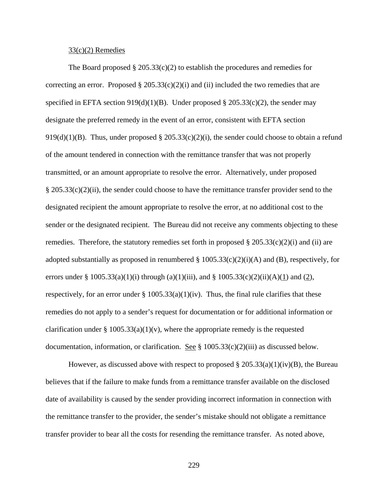#### 33(c)(2) Remedies

The Board proposed  $\S 205.33(c)(2)$  to establish the procedures and remedies for correcting an error. Proposed § 205.33(c)(2)(i) and (ii) included the two remedies that are specified in EFTA section 919(d)(1)(B). Under proposed  $\S 205.33(c)(2)$ , the sender may designate the preferred remedy in the event of an error, consistent with EFTA section 919(d)(1)(B). Thus, under proposed § 205.33(c)(2)(i), the sender could choose to obtain a refund of the amount tendered in connection with the remittance transfer that was not properly transmitted, or an amount appropriate to resolve the error. Alternatively, under proposed  $\S 205.33(c)(2)(ii)$ , the sender could choose to have the remittance transfer provider send to the designated recipient the amount appropriate to resolve the error, at no additional cost to the sender or the designated recipient. The Bureau did not receive any comments objecting to these remedies. Therefore, the statutory remedies set forth in proposed  $\S 205.33(c)(2)(i)$  and (ii) are adopted substantially as proposed in renumbered  $\S$  1005.33(c)(2)(i)(A) and (B), respectively, for errors under § 1005.33(a)(1)(i) through (a)(1)(iii), and § 1005.33(c)(2)(ii)(A)(1) and (2), respectively, for an error under  $\S 1005.33(a)(1)(iv)$ . Thus, the final rule clarifies that these remedies do not apply to a sender's request for documentation or for additional information or clarification under §  $1005.33(a)(1)(v)$ , where the appropriate remedy is the requested documentation, information, or clarification. See §  $1005.33(c)(2)(iii)$  as discussed below.

However, as discussed above with respect to proposed  $\S 205.33(a)(1)(iv)(B)$ , the Bureau believes that if the failure to make funds from a remittance transfer available on the disclosed date of availability is caused by the sender providing incorrect information in connection with the remittance transfer to the provider, the sender's mistake should not obligate a remittance transfer provider to bear all the costs for resending the remittance transfer. As noted above,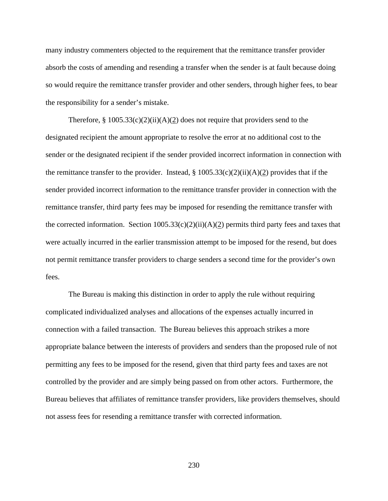many industry commenters objected to the requirement that the remittance transfer provider absorb the costs of amending and resending a transfer when the sender is at fault because doing so would require the remittance transfer provider and other senders, through higher fees, to bear the responsibility for a sender's mistake.

Therefore, §  $1005.33(c)(2)(ii)(A)(2)$  does not require that providers send to the designated recipient the amount appropriate to resolve the error at no additional cost to the sender or the designated recipient if the sender provided incorrect information in connection with the remittance transfer to the provider. Instead,  $\S 1005.33(c)(2)(ii)(A)(2)$  provides that if the sender provided incorrect information to the remittance transfer provider in connection with the remittance transfer, third party fees may be imposed for resending the remittance transfer with the corrected information. Section  $1005.33(c)(2)(ii)(A)(2)$  permits third party fees and taxes that were actually incurred in the earlier transmission attempt to be imposed for the resend, but does not permit remittance transfer providers to charge senders a second time for the provider's own fees.

 The Bureau is making this distinction in order to apply the rule without requiring complicated individualized analyses and allocations of the expenses actually incurred in connection with a failed transaction. The Bureau believes this approach strikes a more appropriate balance between the interests of providers and senders than the proposed rule of not permitting any fees to be imposed for the resend, given that third party fees and taxes are not controlled by the provider and are simply being passed on from other actors. Furthermore, the Bureau believes that affiliates of remittance transfer providers, like providers themselves, should not assess fees for resending a remittance transfer with corrected information.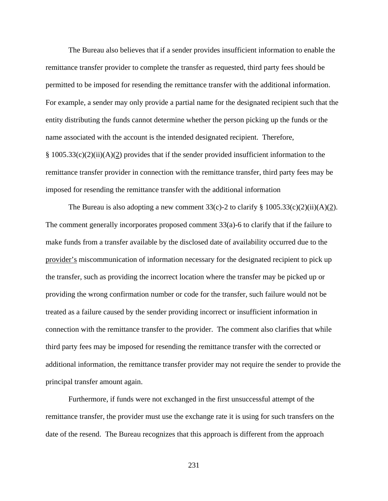The Bureau also believes that if a sender provides insufficient information to enable the remittance transfer provider to complete the transfer as requested, third party fees should be permitted to be imposed for resending the remittance transfer with the additional information. For example, a sender may only provide a partial name for the designated recipient such that the entity distributing the funds cannot determine whether the person picking up the funds or the name associated with the account is the intended designated recipient. Therefore,  $\S 1005.33(c)(2)(ii)(A)(2)$  provides that if the sender provided insufficient information to the remittance transfer provider in connection with the remittance transfer, third party fees may be imposed for resending the remittance transfer with the additional information

The Bureau is also adopting a new comment 33(c)-2 to clarify  $\S 1005.33(c)(2)(ii)(A)(2)$ . The comment generally incorporates proposed comment 33(a)-6 to clarify that if the failure to make funds from a transfer available by the disclosed date of availability occurred due to the provider's miscommunication of information necessary for the designated recipient to pick up the transfer, such as providing the incorrect location where the transfer may be picked up or providing the wrong confirmation number or code for the transfer, such failure would not be treated as a failure caused by the sender providing incorrect or insufficient information in connection with the remittance transfer to the provider. The comment also clarifies that while third party fees may be imposed for resending the remittance transfer with the corrected or additional information, the remittance transfer provider may not require the sender to provide the principal transfer amount again.

Furthermore, if funds were not exchanged in the first unsuccessful attempt of the remittance transfer, the provider must use the exchange rate it is using for such transfers on the date of the resend. The Bureau recognizes that this approach is different from the approach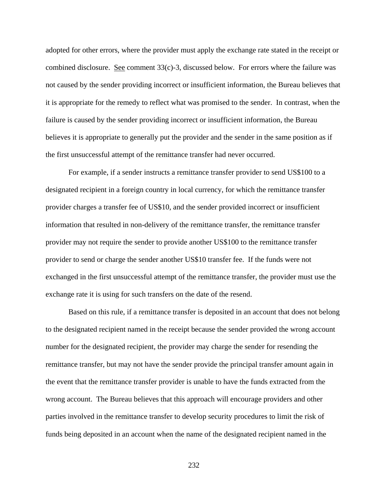adopted for other errors, where the provider must apply the exchange rate stated in the receipt or combined disclosure. See comment 33(c)-3, discussed below. For errors where the failure was not caused by the sender providing incorrect or insufficient information, the Bureau believes that it is appropriate for the remedy to reflect what was promised to the sender. In contrast, when the failure is caused by the sender providing incorrect or insufficient information, the Bureau believes it is appropriate to generally put the provider and the sender in the same position as if the first unsuccessful attempt of the remittance transfer had never occurred.

For example, if a sender instructs a remittance transfer provider to send US\$100 to a designated recipient in a foreign country in local currency, for which the remittance transfer provider charges a transfer fee of US\$10, and the sender provided incorrect or insufficient information that resulted in non-delivery of the remittance transfer, the remittance transfer provider may not require the sender to provide another US\$100 to the remittance transfer provider to send or charge the sender another US\$10 transfer fee. If the funds were not exchanged in the first unsuccessful attempt of the remittance transfer, the provider must use the exchange rate it is using for such transfers on the date of the resend.

 Based on this rule, if a remittance transfer is deposited in an account that does not belong to the designated recipient named in the receipt because the sender provided the wrong account number for the designated recipient, the provider may charge the sender for resending the remittance transfer, but may not have the sender provide the principal transfer amount again in the event that the remittance transfer provider is unable to have the funds extracted from the wrong account. The Bureau believes that this approach will encourage providers and other parties involved in the remittance transfer to develop security procedures to limit the risk of funds being deposited in an account when the name of the designated recipient named in the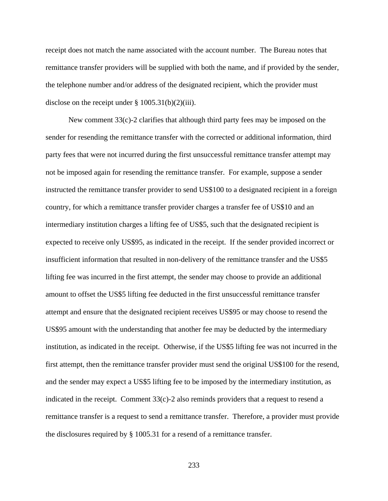receipt does not match the name associated with the account number. The Bureau notes that remittance transfer providers will be supplied with both the name, and if provided by the sender, the telephone number and/or address of the designated recipient, which the provider must disclose on the receipt under  $\S 1005.31(b)(2)(iii)$ .

New comment  $33(c)-2$  clarifies that although third party fees may be imposed on the sender for resending the remittance transfer with the corrected or additional information, third party fees that were not incurred during the first unsuccessful remittance transfer attempt may not be imposed again for resending the remittance transfer. For example, suppose a sender instructed the remittance transfer provider to send US\$100 to a designated recipient in a foreign country, for which a remittance transfer provider charges a transfer fee of US\$10 and an intermediary institution charges a lifting fee of US\$5, such that the designated recipient is expected to receive only US\$95, as indicated in the receipt. If the sender provided incorrect or insufficient information that resulted in non-delivery of the remittance transfer and the US\$5 lifting fee was incurred in the first attempt, the sender may choose to provide an additional amount to offset the US\$5 lifting fee deducted in the first unsuccessful remittance transfer attempt and ensure that the designated recipient receives US\$95 or may choose to resend the US\$95 amount with the understanding that another fee may be deducted by the intermediary institution, as indicated in the receipt. Otherwise, if the US\$5 lifting fee was not incurred in the first attempt, then the remittance transfer provider must send the original US\$100 for the resend, and the sender may expect a US\$5 lifting fee to be imposed by the intermediary institution, as indicated in the receipt. Comment  $33(c)$ -2 also reminds providers that a request to resend a remittance transfer is a request to send a remittance transfer. Therefore, a provider must provide the disclosures required by § 1005.31 for a resend of a remittance transfer.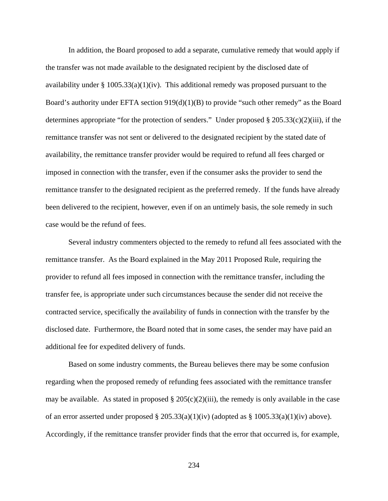In addition, the Board proposed to add a separate, cumulative remedy that would apply if the transfer was not made available to the designated recipient by the disclosed date of availability under  $\S 1005.33(a)(1)(iv)$ . This additional remedy was proposed pursuant to the Board's authority under EFTA section 919(d)(1)(B) to provide "such other remedy" as the Board determines appropriate "for the protection of senders." Under proposed § 205.33(c)(2)(iii), if the remittance transfer was not sent or delivered to the designated recipient by the stated date of availability, the remittance transfer provider would be required to refund all fees charged or imposed in connection with the transfer, even if the consumer asks the provider to send the remittance transfer to the designated recipient as the preferred remedy. If the funds have already been delivered to the recipient, however, even if on an untimely basis, the sole remedy in such case would be the refund of fees.

Several industry commenters objected to the remedy to refund all fees associated with the remittance transfer. As the Board explained in the May 2011 Proposed Rule, requiring the provider to refund all fees imposed in connection with the remittance transfer, including the transfer fee, is appropriate under such circumstances because the sender did not receive the contracted service, specifically the availability of funds in connection with the transfer by the disclosed date. Furthermore, the Board noted that in some cases, the sender may have paid an additional fee for expedited delivery of funds.

Based on some industry comments, the Bureau believes there may be some confusion regarding when the proposed remedy of refunding fees associated with the remittance transfer may be available. As stated in proposed  $\S 205(c)(2)(iii)$ , the remedy is only available in the case of an error asserted under proposed § 205.33(a)(1)(iv) (adopted as § 1005.33(a)(1)(iv) above). Accordingly, if the remittance transfer provider finds that the error that occurred is, for example,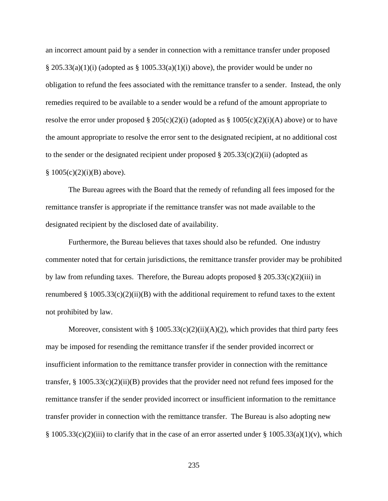an incorrect amount paid by a sender in connection with a remittance transfer under proposed  $\S 205.33(a)(1)(i)$  (adopted as  $\S 1005.33(a)(1)(i)$  above), the provider would be under no obligation to refund the fees associated with the remittance transfer to a sender. Instead, the only remedies required to be available to a sender would be a refund of the amount appropriate to resolve the error under proposed § 205(c)(2)(i) (adopted as § 1005(c)(2)(i)(A) above) or to have the amount appropriate to resolve the error sent to the designated recipient, at no additional cost to the sender or the designated recipient under proposed  $\S 205.33(c)(2)(ii)$  (adopted as  $§ 1005(c)(2)(i)(B) above).$ 

The Bureau agrees with the Board that the remedy of refunding all fees imposed for the remittance transfer is appropriate if the remittance transfer was not made available to the designated recipient by the disclosed date of availability.

Furthermore, the Bureau believes that taxes should also be refunded. One industry commenter noted that for certain jurisdictions, the remittance transfer provider may be prohibited by law from refunding taxes. Therefore, the Bureau adopts proposed  $\S 205.33(c)(2)(iii)$  in renumbered  $\S$  1005.33(c)(2)(ii)(B) with the additional requirement to refund taxes to the extent not prohibited by law.

Moreover, consistent with §  $1005.33(c)(2)(ii)(A)(2)$ , which provides that third party fees may be imposed for resending the remittance transfer if the sender provided incorrect or insufficient information to the remittance transfer provider in connection with the remittance transfer,  $\S 1005.33(c)(2)(ii)(B)$  provides that the provider need not refund fees imposed for the remittance transfer if the sender provided incorrect or insufficient information to the remittance transfer provider in connection with the remittance transfer. The Bureau is also adopting new § 1005.33(c)(2)(iii) to clarify that in the case of an error asserted under § 1005.33(a)(1)(v), which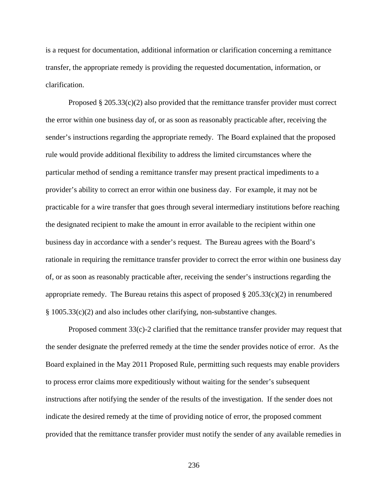is a request for documentation, additional information or clarification concerning a remittance transfer, the appropriate remedy is providing the requested documentation, information, or clarification.

Proposed  $\S 205.33(c)(2)$  also provided that the remittance transfer provider must correct the error within one business day of, or as soon as reasonably practicable after, receiving the sender's instructions regarding the appropriate remedy. The Board explained that the proposed rule would provide additional flexibility to address the limited circumstances where the particular method of sending a remittance transfer may present practical impediments to a provider's ability to correct an error within one business day. For example, it may not be practicable for a wire transfer that goes through several intermediary institutions before reaching the designated recipient to make the amount in error available to the recipient within one business day in accordance with a sender's request. The Bureau agrees with the Board's rationale in requiring the remittance transfer provider to correct the error within one business day of, or as soon as reasonably practicable after, receiving the sender's instructions regarding the appropriate remedy. The Bureau retains this aspect of proposed  $\S 205.33(c)(2)$  in renumbered § 1005.33(c)(2) and also includes other clarifying, non-substantive changes.

Proposed comment 33(c)-2 clarified that the remittance transfer provider may request that the sender designate the preferred remedy at the time the sender provides notice of error. As the Board explained in the May 2011 Proposed Rule, permitting such requests may enable providers to process error claims more expeditiously without waiting for the sender's subsequent instructions after notifying the sender of the results of the investigation. If the sender does not indicate the desired remedy at the time of providing notice of error, the proposed comment provided that the remittance transfer provider must notify the sender of any available remedies in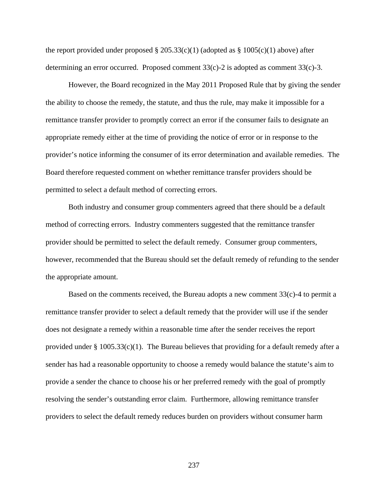the report provided under proposed § 205.33(c)(1) (adopted as § 1005(c)(1) above) after determining an error occurred. Proposed comment 33(c)-2 is adopted as comment 33(c)-3.

However, the Board recognized in the May 2011 Proposed Rule that by giving the sender the ability to choose the remedy, the statute, and thus the rule, may make it impossible for a remittance transfer provider to promptly correct an error if the consumer fails to designate an appropriate remedy either at the time of providing the notice of error or in response to the provider's notice informing the consumer of its error determination and available remedies. The Board therefore requested comment on whether remittance transfer providers should be permitted to select a default method of correcting errors.

Both industry and consumer group commenters agreed that there should be a default method of correcting errors. Industry commenters suggested that the remittance transfer provider should be permitted to select the default remedy. Consumer group commenters, however, recommended that the Bureau should set the default remedy of refunding to the sender the appropriate amount.

Based on the comments received, the Bureau adopts a new comment  $33(c)$ -4 to permit a remittance transfer provider to select a default remedy that the provider will use if the sender does not designate a remedy within a reasonable time after the sender receives the report provided under § 1005.33(c)(1). The Bureau believes that providing for a default remedy after a sender has had a reasonable opportunity to choose a remedy would balance the statute's aim to provide a sender the chance to choose his or her preferred remedy with the goal of promptly resolving the sender's outstanding error claim. Furthermore, allowing remittance transfer providers to select the default remedy reduces burden on providers without consumer harm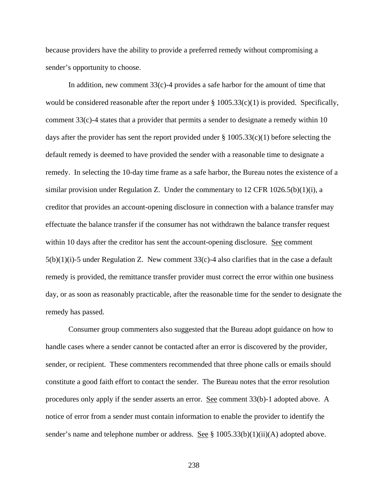because providers have the ability to provide a preferred remedy without compromising a sender's opportunity to choose.

In addition, new comment  $33(c)$ -4 provides a safe harbor for the amount of time that would be considered reasonable after the report under  $\S 1005.33(c)(1)$  is provided. Specifically, comment  $33(c)$ -4 states that a provider that permits a sender to designate a remedy within 10 days after the provider has sent the report provided under § 1005.33(c)(1) before selecting the default remedy is deemed to have provided the sender with a reasonable time to designate a remedy. In selecting the 10-day time frame as a safe harbor, the Bureau notes the existence of a similar provision under Regulation Z. Under the commentary to 12 CFR 1026.5(b)(1)(i), a creditor that provides an account-opening disclosure in connection with a balance transfer may effectuate the balance transfer if the consumer has not withdrawn the balance transfer request within 10 days after the creditor has sent the account-opening disclosure. See comment  $5(b)(1)(i)$ -5 under Regulation Z. New comment 33(c)-4 also clarifies that in the case a default remedy is provided, the remittance transfer provider must correct the error within one business day, or as soon as reasonably practicable, after the reasonable time for the sender to designate the remedy has passed.

Consumer group commenters also suggested that the Bureau adopt guidance on how to handle cases where a sender cannot be contacted after an error is discovered by the provider, sender, or recipient. These commenters recommended that three phone calls or emails should constitute a good faith effort to contact the sender. The Bureau notes that the error resolution procedures only apply if the sender asserts an error. See comment 33(b)-1 adopted above. A notice of error from a sender must contain information to enable the provider to identify the sender's name and telephone number or address. See §  $1005.33(b)(1)(ii)(A)$  adopted above.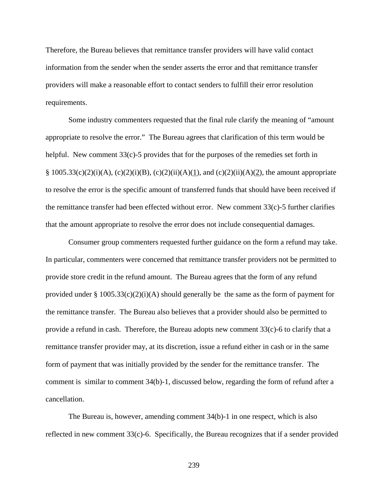Therefore, the Bureau believes that remittance transfer providers will have valid contact information from the sender when the sender asserts the error and that remittance transfer providers will make a reasonable effort to contact senders to fulfill their error resolution requirements.

 Some industry commenters requested that the final rule clarify the meaning of "amount appropriate to resolve the error." The Bureau agrees that clarification of this term would be helpful. New comment 33(c)-5 provides that for the purposes of the remedies set forth in §  $1005.33(c)(2)(i)(A)$ , (c)(2)(i)(B), (c)(2)(ii)(A)(1), and (c)(2)(ii)(A)(2), the amount appropriate to resolve the error is the specific amount of transferred funds that should have been received if the remittance transfer had been effected without error. New comment  $33(c)$ -5 further clarifies that the amount appropriate to resolve the error does not include consequential damages.

 Consumer group commenters requested further guidance on the form a refund may take. In particular, commenters were concerned that remittance transfer providers not be permitted to provide store credit in the refund amount. The Bureau agrees that the form of any refund provided under  $\S 1005.33(c)(2)(i)(A)$  should generally be the same as the form of payment for the remittance transfer. The Bureau also believes that a provider should also be permitted to provide a refund in cash. Therefore, the Bureau adopts new comment  $33(c)$ -6 to clarify that a remittance transfer provider may, at its discretion, issue a refund either in cash or in the same form of payment that was initially provided by the sender for the remittance transfer. The comment is similar to comment 34(b)-1, discussed below, regarding the form of refund after a cancellation.

 The Bureau is, however, amending comment 34(b)-1 in one respect, which is also reflected in new comment 33(c)-6. Specifically, the Bureau recognizes that if a sender provided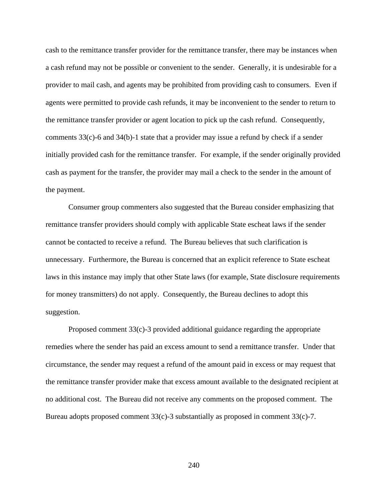cash to the remittance transfer provider for the remittance transfer, there may be instances when a cash refund may not be possible or convenient to the sender. Generally, it is undesirable for a provider to mail cash, and agents may be prohibited from providing cash to consumers. Even if agents were permitted to provide cash refunds, it may be inconvenient to the sender to return to the remittance transfer provider or agent location to pick up the cash refund. Consequently, comments 33(c)-6 and 34(b)-1 state that a provider may issue a refund by check if a sender initially provided cash for the remittance transfer. For example, if the sender originally provided cash as payment for the transfer, the provider may mail a check to the sender in the amount of the payment.

 Consumer group commenters also suggested that the Bureau consider emphasizing that remittance transfer providers should comply with applicable State escheat laws if the sender cannot be contacted to receive a refund. The Bureau believes that such clarification is unnecessary. Furthermore, the Bureau is concerned that an explicit reference to State escheat laws in this instance may imply that other State laws (for example, State disclosure requirements for money transmitters) do not apply. Consequently, the Bureau declines to adopt this suggestion.

 Proposed comment 33(c)-3 provided additional guidance regarding the appropriate remedies where the sender has paid an excess amount to send a remittance transfer. Under that circumstance, the sender may request a refund of the amount paid in excess or may request that the remittance transfer provider make that excess amount available to the designated recipient at no additional cost. The Bureau did not receive any comments on the proposed comment. The Bureau adopts proposed comment 33(c)-3 substantially as proposed in comment 33(c)-7.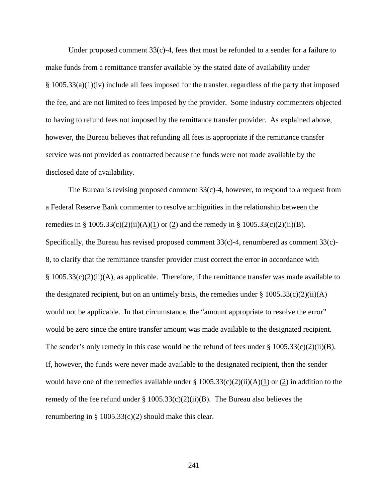Under proposed comment  $33(c)$ -4, fees that must be refunded to a sender for a failure to make funds from a remittance transfer available by the stated date of availability under § 1005.33(a)(1)(iv) include all fees imposed for the transfer, regardless of the party that imposed the fee, and are not limited to fees imposed by the provider. Some industry commenters objected to having to refund fees not imposed by the remittance transfer provider. As explained above, however, the Bureau believes that refunding all fees is appropriate if the remittance transfer service was not provided as contracted because the funds were not made available by the disclosed date of availability.

The Bureau is revising proposed comment  $33(c)$ -4, however, to respond to a request from a Federal Reserve Bank commenter to resolve ambiguities in the relationship between the remedies in § 1005.33(c)(2)(ii)(A)(1) or (2) and the remedy in § 1005.33(c)(2)(ii)(B). Specifically, the Bureau has revised proposed comment 33(c)-4, renumbered as comment 33(c)- 8, to clarify that the remittance transfer provider must correct the error in accordance with § 1005.33(c)(2)(ii)(A), as applicable. Therefore, if the remittance transfer was made available to the designated recipient, but on an untimely basis, the remedies under  $\S 1005.33(c)(2)(ii)(A)$ would not be applicable. In that circumstance, the "amount appropriate to resolve the error" would be zero since the entire transfer amount was made available to the designated recipient. The sender's only remedy in this case would be the refund of fees under §  $1005.33(c)(2)(ii)(B)$ . If, however, the funds were never made available to the designated recipient, then the sender would have one of the remedies available under  $\S 1005.33(c)(2)(ii)(A)(1)$  or (2) in addition to the remedy of the fee refund under §  $1005.33(c)(2)(ii)(B)$ . The Bureau also believes the renumbering in §  $1005.33(c)(2)$  should make this clear.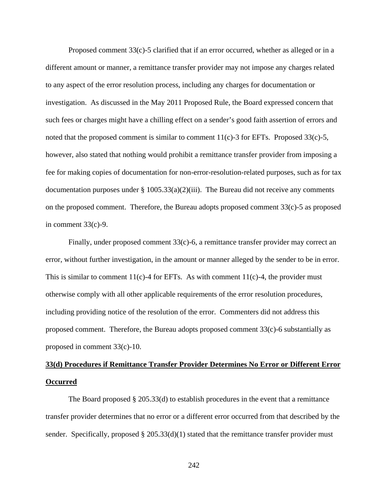Proposed comment 33(c)-5 clarified that if an error occurred, whether as alleged or in a different amount or manner, a remittance transfer provider may not impose any charges related to any aspect of the error resolution process, including any charges for documentation or investigation. As discussed in the May 2011 Proposed Rule, the Board expressed concern that such fees or charges might have a chilling effect on a sender's good faith assertion of errors and noted that the proposed comment is similar to comment  $11(c)$ -3 for EFTs. Proposed 33(c)-5, however, also stated that nothing would prohibit a remittance transfer provider from imposing a fee for making copies of documentation for non-error-resolution-related purposes, such as for tax documentation purposes under  $\S 1005.33(a)(2)(iii)$ . The Bureau did not receive any comments on the proposed comment. Therefore, the Bureau adopts proposed comment  $33(c)$ -5 as proposed in comment 33(c)-9.

Finally, under proposed comment  $33(c)$ -6, a remittance transfer provider may correct an error, without further investigation, in the amount or manner alleged by the sender to be in error. This is similar to comment  $11(c)$ -4 for EFTs. As with comment  $11(c)$ -4, the provider must otherwise comply with all other applicable requirements of the error resolution procedures, including providing notice of the resolution of the error. Commenters did not address this proposed comment. Therefore, the Bureau adopts proposed comment  $33(c)$ -6 substantially as proposed in comment 33(c)-10.

# **33(d) Procedures if Remittance Transfer Provider Determines No Error or Different Error Occurred**

 The Board proposed § 205.33(d) to establish procedures in the event that a remittance transfer provider determines that no error or a different error occurred from that described by the sender. Specifically, proposed  $\S 205.33(d)(1)$  stated that the remittance transfer provider must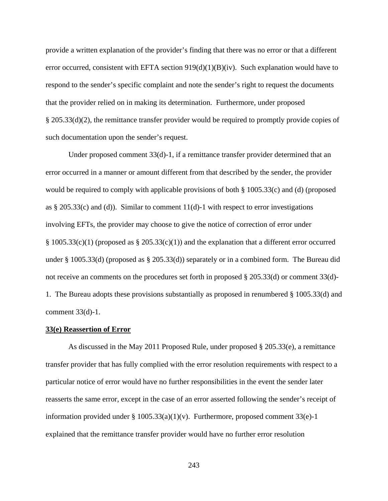provide a written explanation of the provider's finding that there was no error or that a different error occurred, consistent with EFTA section  $919(d)(1)(B)(iv)$ . Such explanation would have to respond to the sender's specific complaint and note the sender's right to request the documents that the provider relied on in making its determination. Furthermore, under proposed § 205.33(d)(2), the remittance transfer provider would be required to promptly provide copies of such documentation upon the sender's request.

 Under proposed comment 33(d)-1, if a remittance transfer provider determined that an error occurred in a manner or amount different from that described by the sender, the provider would be required to comply with applicable provisions of both § 1005.33(c) and (d) (proposed as § 205.33(c) and (d)). Similar to comment  $11(d)-1$  with respect to error investigations involving EFTs, the provider may choose to give the notice of correction of error under  $\S 1005.33(c)(1)$  (proposed as  $\S 205.33(c)(1)$ ) and the explanation that a different error occurred under § 1005.33(d) (proposed as § 205.33(d)) separately or in a combined form. The Bureau did not receive an comments on the procedures set forth in proposed § 205.33(d) or comment 33(d)-1. The Bureau adopts these provisions substantially as proposed in renumbered § 1005.33(d) and comment 33(d)-1.

#### **33(e) Reassertion of Error**

As discussed in the May 2011 Proposed Rule, under proposed  $\S 205.33(e)$ , a remittance transfer provider that has fully complied with the error resolution requirements with respect to a particular notice of error would have no further responsibilities in the event the sender later reasserts the same error, except in the case of an error asserted following the sender's receipt of information provided under §  $1005.33(a)(1)(v)$ . Furthermore, proposed comment 33(e)-1 explained that the remittance transfer provider would have no further error resolution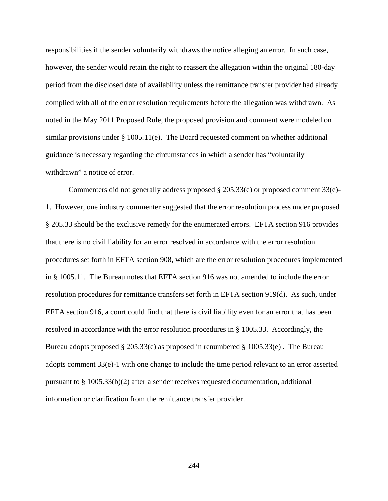responsibilities if the sender voluntarily withdraws the notice alleging an error. In such case, however, the sender would retain the right to reassert the allegation within the original 180-day period from the disclosed date of availability unless the remittance transfer provider had already complied with all of the error resolution requirements before the allegation was withdrawn. As noted in the May 2011 Proposed Rule, the proposed provision and comment were modeled on similar provisions under § 1005.11(e). The Board requested comment on whether additional guidance is necessary regarding the circumstances in which a sender has "voluntarily withdrawn" a notice of error.

 Commenters did not generally address proposed § 205.33(e) or proposed comment 33(e)- 1. However, one industry commenter suggested that the error resolution process under proposed § 205.33 should be the exclusive remedy for the enumerated errors. EFTA section 916 provides that there is no civil liability for an error resolved in accordance with the error resolution procedures set forth in EFTA section 908, which are the error resolution procedures implemented in § 1005.11. The Bureau notes that EFTA section 916 was not amended to include the error resolution procedures for remittance transfers set forth in EFTA section 919(d). As such, under EFTA section 916, a court could find that there is civil liability even for an error that has been resolved in accordance with the error resolution procedures in § 1005.33. Accordingly, the Bureau adopts proposed § 205.33(e) as proposed in renumbered § 1005.33(e) . The Bureau adopts comment  $33(e)$ -1 with one change to include the time period relevant to an error asserted pursuant to § 1005.33(b)(2) after a sender receives requested documentation, additional information or clarification from the remittance transfer provider.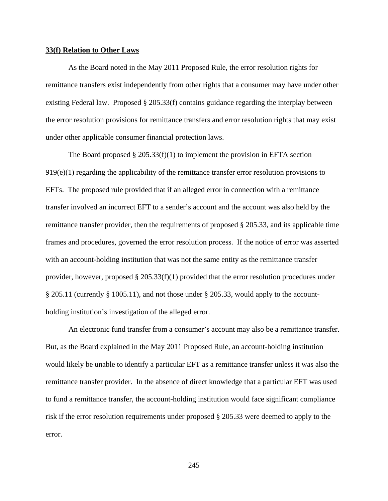#### **33(f) Relation to Other Laws**

 As the Board noted in the May 2011 Proposed Rule, the error resolution rights for remittance transfers exist independently from other rights that a consumer may have under other existing Federal law. Proposed § 205.33(f) contains guidance regarding the interplay between the error resolution provisions for remittance transfers and error resolution rights that may exist under other applicable consumer financial protection laws.

The Board proposed  $\S 205.33(f)(1)$  to implement the provision in EFTA section 919(e)(1) regarding the applicability of the remittance transfer error resolution provisions to EFTs. The proposed rule provided that if an alleged error in connection with a remittance transfer involved an incorrect EFT to a sender's account and the account was also held by the remittance transfer provider, then the requirements of proposed § 205.33, and its applicable time frames and procedures, governed the error resolution process. If the notice of error was asserted with an account-holding institution that was not the same entity as the remittance transfer provider, however, proposed  $\S 205.33(f)(1)$  provided that the error resolution procedures under § 205.11 (currently § 1005.11), and not those under § 205.33, would apply to the accountholding institution's investigation of the alleged error.

An electronic fund transfer from a consumer's account may also be a remittance transfer. But, as the Board explained in the May 2011 Proposed Rule, an account-holding institution would likely be unable to identify a particular EFT as a remittance transfer unless it was also the remittance transfer provider. In the absence of direct knowledge that a particular EFT was used to fund a remittance transfer, the account-holding institution would face significant compliance risk if the error resolution requirements under proposed § 205.33 were deemed to apply to the error.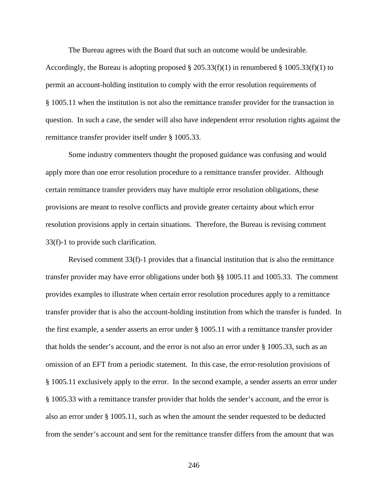The Bureau agrees with the Board that such an outcome would be undesirable. Accordingly, the Bureau is adopting proposed § 205.33(f)(1) in renumbered § 1005.33(f)(1) to permit an account-holding institution to comply with the error resolution requirements of § 1005.11 when the institution is not also the remittance transfer provider for the transaction in question. In such a case, the sender will also have independent error resolution rights against the remittance transfer provider itself under § 1005.33.

Some industry commenters thought the proposed guidance was confusing and would apply more than one error resolution procedure to a remittance transfer provider. Although certain remittance transfer providers may have multiple error resolution obligations, these provisions are meant to resolve conflicts and provide greater certainty about which error resolution provisions apply in certain situations. Therefore, the Bureau is revising comment 33(f)-1 to provide such clarification.

Revised comment 33(f)-1 provides that a financial institution that is also the remittance transfer provider may have error obligations under both §§ 1005.11 and 1005.33. The comment provides examples to illustrate when certain error resolution procedures apply to a remittance transfer provider that is also the account-holding institution from which the transfer is funded. In the first example, a sender asserts an error under § 1005.11 with a remittance transfer provider that holds the sender's account, and the error is not also an error under § 1005.33, such as an omission of an EFT from a periodic statement. In this case, the error-resolution provisions of § 1005.11 exclusively apply to the error. In the second example, a sender asserts an error under § 1005.33 with a remittance transfer provider that holds the sender's account, and the error is also an error under § 1005.11, such as when the amount the sender requested to be deducted from the sender's account and sent for the remittance transfer differs from the amount that was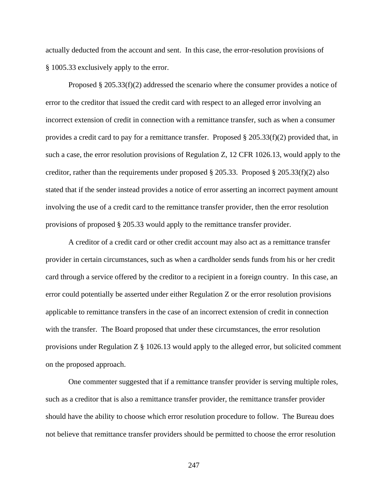actually deducted from the account and sent. In this case, the error-resolution provisions of § 1005.33 exclusively apply to the error.

Proposed § 205.33(f)(2) addressed the scenario where the consumer provides a notice of error to the creditor that issued the credit card with respect to an alleged error involving an incorrect extension of credit in connection with a remittance transfer, such as when a consumer provides a credit card to pay for a remittance transfer. Proposed § 205.33(f)(2) provided that, in such a case, the error resolution provisions of Regulation Z, 12 CFR 1026.13, would apply to the creditor, rather than the requirements under proposed  $\S 205.33$ . Proposed  $\S 205.33(f)(2)$  also stated that if the sender instead provides a notice of error asserting an incorrect payment amount involving the use of a credit card to the remittance transfer provider, then the error resolution provisions of proposed § 205.33 would apply to the remittance transfer provider.

A creditor of a credit card or other credit account may also act as a remittance transfer provider in certain circumstances, such as when a cardholder sends funds from his or her credit card through a service offered by the creditor to a recipient in a foreign country. In this case, an error could potentially be asserted under either Regulation Z or the error resolution provisions applicable to remittance transfers in the case of an incorrect extension of credit in connection with the transfer. The Board proposed that under these circumstances, the error resolution provisions under Regulation Z § 1026.13 would apply to the alleged error, but solicited comment on the proposed approach.

One commenter suggested that if a remittance transfer provider is serving multiple roles, such as a creditor that is also a remittance transfer provider, the remittance transfer provider should have the ability to choose which error resolution procedure to follow. The Bureau does not believe that remittance transfer providers should be permitted to choose the error resolution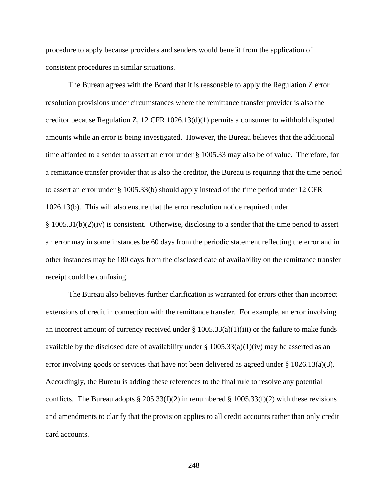procedure to apply because providers and senders would benefit from the application of consistent procedures in similar situations.

The Bureau agrees with the Board that it is reasonable to apply the Regulation Z error resolution provisions under circumstances where the remittance transfer provider is also the creditor because Regulation Z, 12 CFR  $1026.13(d)(1)$  permits a consumer to withhold disputed amounts while an error is being investigated. However, the Bureau believes that the additional time afforded to a sender to assert an error under § 1005.33 may also be of value. Therefore, for a remittance transfer provider that is also the creditor, the Bureau is requiring that the time period to assert an error under § 1005.33(b) should apply instead of the time period under 12 CFR 1026.13(b). This will also ensure that the error resolution notice required under § 1005.31(b)(2)(iv) is consistent. Otherwise, disclosing to a sender that the time period to assert an error may in some instances be 60 days from the periodic statement reflecting the error and in other instances may be 180 days from the disclosed date of availability on the remittance transfer receipt could be confusing.

The Bureau also believes further clarification is warranted for errors other than incorrect extensions of credit in connection with the remittance transfer. For example, an error involving an incorrect amount of currency received under  $\S 1005.33(a)(1)(iii)$  or the failure to make funds available by the disclosed date of availability under  $\S 1005.33(a)(1)(iv)$  may be asserted as an error involving goods or services that have not been delivered as agreed under  $\S 1026.13(a)(3)$ . Accordingly, the Bureau is adding these references to the final rule to resolve any potential conflicts. The Bureau adopts § 205.33(f)(2) in renumbered § 1005.33(f)(2) with these revisions and amendments to clarify that the provision applies to all credit accounts rather than only credit card accounts.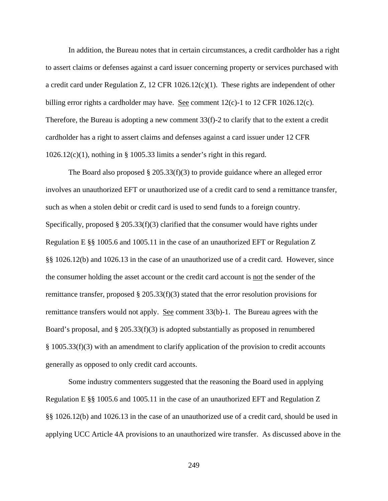In addition, the Bureau notes that in certain circumstances, a credit cardholder has a right to assert claims or defenses against a card issuer concerning property or services purchased with a credit card under Regulation Z, 12 CFR 1026.12(c)(1). These rights are independent of other billing error rights a cardholder may have. See comment 12(c)-1 to 12 CFR 1026.12(c). Therefore, the Bureau is adopting a new comment 33(f)-2 to clarify that to the extent a credit cardholder has a right to assert claims and defenses against a card issuer under 12 CFR  $1026.12(c)(1)$ , nothing in § 1005.33 limits a sender's right in this regard.

The Board also proposed § 205.33(f)(3) to provide guidance where an alleged error involves an unauthorized EFT or unauthorized use of a credit card to send a remittance transfer, such as when a stolen debit or credit card is used to send funds to a foreign country. Specifically, proposed  $\S 205.33(f)(3)$  clarified that the consumer would have rights under Regulation E §§ 1005.6 and 1005.11 in the case of an unauthorized EFT or Regulation Z §§ 1026.12(b) and 1026.13 in the case of an unauthorized use of a credit card. However, since the consumer holding the asset account or the credit card account is not the sender of the remittance transfer, proposed § 205.33(f)(3) stated that the error resolution provisions for remittance transfers would not apply. See comment 33(b)-1. The Bureau agrees with the Board's proposal, and  $\S 205.33(f)(3)$  is adopted substantially as proposed in renumbered  $§ 1005.33(f)(3)$  with an amendment to clarify application of the provision to credit accounts generally as opposed to only credit card accounts.

Some industry commenters suggested that the reasoning the Board used in applying Regulation E §§ 1005.6 and 1005.11 in the case of an unauthorized EFT and Regulation Z §§ 1026.12(b) and 1026.13 in the case of an unauthorized use of a credit card, should be used in applying UCC Article 4A provisions to an unauthorized wire transfer. As discussed above in the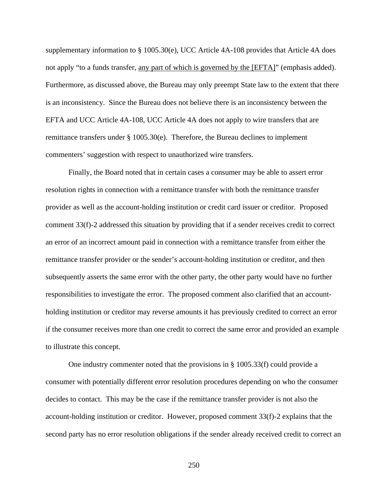supplementary information to § 1005.30(e), UCC Article 4A-108 provides that Article 4A does not apply "to a funds transfer, any part of which is governed by the [EFTA]" (emphasis added). Furthermore, as discussed above, the Bureau may only preempt State law to the extent that there is an inconsistency. Since the Bureau does not believe there is an inconsistency between the EFTA and UCC Article 4A-108, UCC Article 4A does not apply to wire transfers that are remittance transfers under § 1005.30(e). Therefore, the Bureau declines to implement commenters' suggestion with respect to unauthorized wire transfers.

 Finally, the Board noted that in certain cases a consumer may be able to assert error resolution rights in connection with a remittance transfer with both the remittance transfer provider as well as the account-holding institution or credit card issuer or creditor. Proposed comment 33(f)-2 addressed this situation by providing that if a sender receives credit to correct an error of an incorrect amount paid in connection with a remittance transfer from either the remittance transfer provider or the sender's account-holding institution or creditor, and then subsequently asserts the same error with the other party, the other party would have no further responsibilities to investigate the error. The proposed comment also clarified that an accountholding institution or creditor may reverse amounts it has previously credited to correct an error if the consumer receives more than one credit to correct the same error and provided an example to illustrate this concept.

One industry commenter noted that the provisions in  $\S$  1005.33(f) could provide a consumer with potentially different error resolution procedures depending on who the consumer decides to contact. This may be the case if the remittance transfer provider is not also the account-holding institution or creditor. However, proposed comment 33(f)-2 explains that the second party has no error resolution obligations if the sender already received credit to correct an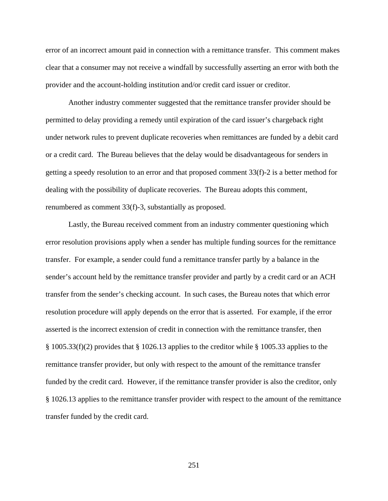error of an incorrect amount paid in connection with a remittance transfer. This comment makes clear that a consumer may not receive a windfall by successfully asserting an error with both the provider and the account-holding institution and/or credit card issuer or creditor.

Another industry commenter suggested that the remittance transfer provider should be permitted to delay providing a remedy until expiration of the card issuer's chargeback right under network rules to prevent duplicate recoveries when remittances are funded by a debit card or a credit card. The Bureau believes that the delay would be disadvantageous for senders in getting a speedy resolution to an error and that proposed comment 33(f)-2 is a better method for dealing with the possibility of duplicate recoveries. The Bureau adopts this comment, renumbered as comment 33(f)-3, substantially as proposed.

Lastly, the Bureau received comment from an industry commenter questioning which error resolution provisions apply when a sender has multiple funding sources for the remittance transfer. For example, a sender could fund a remittance transfer partly by a balance in the sender's account held by the remittance transfer provider and partly by a credit card or an ACH transfer from the sender's checking account. In such cases, the Bureau notes that which error resolution procedure will apply depends on the error that is asserted. For example, if the error asserted is the incorrect extension of credit in connection with the remittance transfer, then § 1005.33(f)(2) provides that § 1026.13 applies to the creditor while § 1005.33 applies to the remittance transfer provider, but only with respect to the amount of the remittance transfer funded by the credit card. However, if the remittance transfer provider is also the creditor, only § 1026.13 applies to the remittance transfer provider with respect to the amount of the remittance transfer funded by the credit card.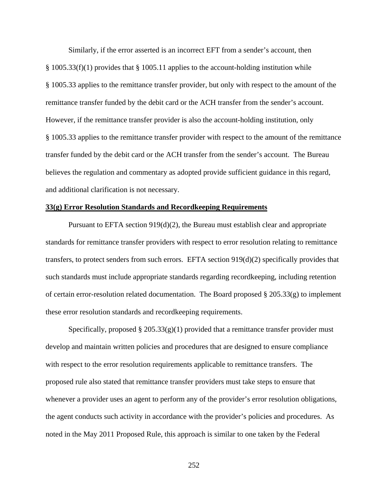Similarly, if the error asserted is an incorrect EFT from a sender's account, then  $§ 1005.33(f)(1)$  provides that  $§ 1005.11$  applies to the account-holding institution while § 1005.33 applies to the remittance transfer provider, but only with respect to the amount of the remittance transfer funded by the debit card or the ACH transfer from the sender's account. However, if the remittance transfer provider is also the account-holding institution, only § 1005.33 applies to the remittance transfer provider with respect to the amount of the remittance transfer funded by the debit card or the ACH transfer from the sender's account. The Bureau believes the regulation and commentary as adopted provide sufficient guidance in this regard, and additional clarification is not necessary.

#### **33(g) Error Resolution Standards and Recordkeeping Requirements**

 Pursuant to EFTA section 919(d)(2), the Bureau must establish clear and appropriate standards for remittance transfer providers with respect to error resolution relating to remittance transfers, to protect senders from such errors. EFTA section 919(d)(2) specifically provides that such standards must include appropriate standards regarding recordkeeping, including retention of certain error-resolution related documentation. The Board proposed § 205.33(g) to implement these error resolution standards and recordkeeping requirements.

Specifically, proposed  $\S 205.33(g)(1)$  provided that a remittance transfer provider must develop and maintain written policies and procedures that are designed to ensure compliance with respect to the error resolution requirements applicable to remittance transfers. The proposed rule also stated that remittance transfer providers must take steps to ensure that whenever a provider uses an agent to perform any of the provider's error resolution obligations, the agent conducts such activity in accordance with the provider's policies and procedures. As noted in the May 2011 Proposed Rule, this approach is similar to one taken by the Federal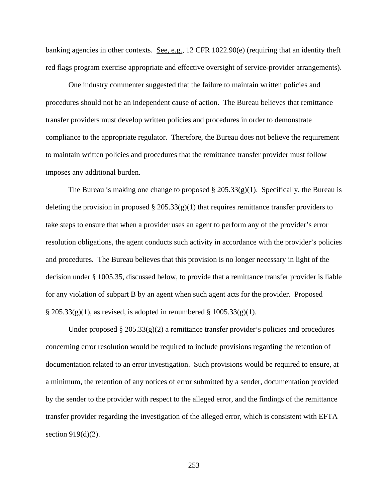banking agencies in other contexts. <u>See, e.g.</u>, 12 CFR 1022.90(e) (requiring that an identity theft red flags program exercise appropriate and effective oversight of service-provider arrangements).

 One industry commenter suggested that the failure to maintain written policies and procedures should not be an independent cause of action. The Bureau believes that remittance transfer providers must develop written policies and procedures in order to demonstrate compliance to the appropriate regulator. Therefore, the Bureau does not believe the requirement to maintain written policies and procedures that the remittance transfer provider must follow imposes any additional burden.

The Bureau is making one change to proposed  $\S 205.33(g)(1)$ . Specifically, the Bureau is deleting the provision in proposed  $\S 205.33(g)(1)$  that requires remittance transfer providers to take steps to ensure that when a provider uses an agent to perform any of the provider's error resolution obligations, the agent conducts such activity in accordance with the provider's policies and procedures. The Bureau believes that this provision is no longer necessary in light of the decision under § 1005.35, discussed below, to provide that a remittance transfer provider is liable for any violation of subpart B by an agent when such agent acts for the provider. Proposed  $\S 205.33(g)(1)$ , as revised, is adopted in renumbered  $\S 1005.33(g)(1)$ .

Under proposed  $\S 205.33(g)(2)$  a remittance transfer provider's policies and procedures concerning error resolution would be required to include provisions regarding the retention of documentation related to an error investigation. Such provisions would be required to ensure, at a minimum, the retention of any notices of error submitted by a sender, documentation provided by the sender to the provider with respect to the alleged error, and the findings of the remittance transfer provider regarding the investigation of the alleged error, which is consistent with EFTA section 919(d)(2).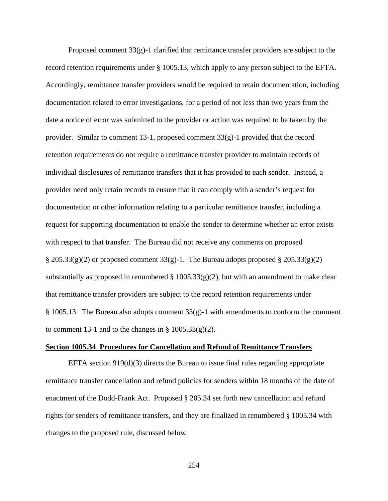Proposed comment 33(g)-1 clarified that remittance transfer providers are subject to the record retention requirements under § 1005.13, which apply to any person subject to the EFTA. Accordingly, remittance transfer providers would be required to retain documentation, including documentation related to error investigations, for a period of not less than two years from the date a notice of error was submitted to the provider or action was required to be taken by the provider. Similar to comment 13-1, proposed comment  $33(g)$ -1 provided that the record retention requirements do not require a remittance transfer provider to maintain records of individual disclosures of remittance transfers that it has provided to each sender. Instead, a provider need only retain records to ensure that it can comply with a sender's request for documentation or other information relating to a particular remittance transfer, including a request for supporting documentation to enable the sender to determine whether an error exists with respect to that transfer. The Bureau did not receive any comments on proposed  $\S 205.33(g)(2)$  or proposed comment 33(g)-1. The Bureau adopts proposed  $\S 205.33(g)(2)$ substantially as proposed in renumbered §  $1005.33(g)(2)$ , but with an amendment to make clear that remittance transfer providers are subject to the record retention requirements under § 1005.13. The Bureau also adopts comment 33(g)-1 with amendments to conform the comment to comment 13-1 and to the changes in §  $1005.33(g)(2)$ .

# **Section 1005.34 Procedures for Cancellation and Refund of Remittance Transfers**

 EFTA section 919(d)(3) directs the Bureau to issue final rules regarding appropriate remittance transfer cancellation and refund policies for senders within 18 months of the date of enactment of the Dodd-Frank Act. Proposed § 205.34 set forth new cancellation and refund rights for senders of remittance transfers, and they are finalized in renumbered § 1005.34 with changes to the proposed rule, discussed below.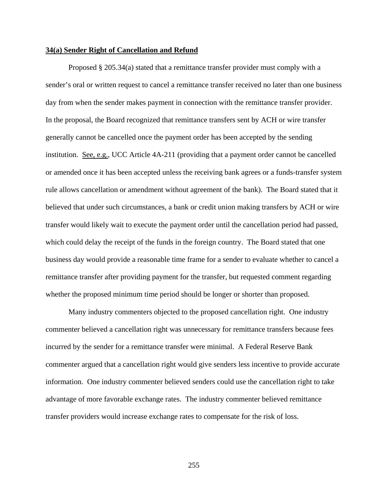### **34(a) Sender Right of Cancellation and Refund**

 Proposed § 205.34(a) stated that a remittance transfer provider must comply with a sender's oral or written request to cancel a remittance transfer received no later than one business day from when the sender makes payment in connection with the remittance transfer provider. In the proposal, the Board recognized that remittance transfers sent by ACH or wire transfer generally cannot be cancelled once the payment order has been accepted by the sending institution. See, e.g., UCC Article 4A-211 (providing that a payment order cannot be cancelled or amended once it has been accepted unless the receiving bank agrees or a funds-transfer system rule allows cancellation or amendment without agreement of the bank). The Board stated that it believed that under such circumstances, a bank or credit union making transfers by ACH or wire transfer would likely wait to execute the payment order until the cancellation period had passed, which could delay the receipt of the funds in the foreign country. The Board stated that one business day would provide a reasonable time frame for a sender to evaluate whether to cancel a remittance transfer after providing payment for the transfer, but requested comment regarding whether the proposed minimum time period should be longer or shorter than proposed.

 Many industry commenters objected to the proposed cancellation right. One industry commenter believed a cancellation right was unnecessary for remittance transfers because fees incurred by the sender for a remittance transfer were minimal. A Federal Reserve Bank commenter argued that a cancellation right would give senders less incentive to provide accurate information. One industry commenter believed senders could use the cancellation right to take advantage of more favorable exchange rates. The industry commenter believed remittance transfer providers would increase exchange rates to compensate for the risk of loss.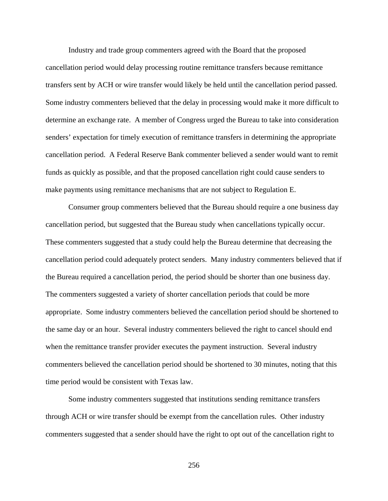Industry and trade group commenters agreed with the Board that the proposed cancellation period would delay processing routine remittance transfers because remittance transfers sent by ACH or wire transfer would likely be held until the cancellation period passed. Some industry commenters believed that the delay in processing would make it more difficult to determine an exchange rate. A member of Congress urged the Bureau to take into consideration senders' expectation for timely execution of remittance transfers in determining the appropriate cancellation period. A Federal Reserve Bank commenter believed a sender would want to remit funds as quickly as possible, and that the proposed cancellation right could cause senders to make payments using remittance mechanisms that are not subject to Regulation E.

Consumer group commenters believed that the Bureau should require a one business day cancellation period, but suggested that the Bureau study when cancellations typically occur. These commenters suggested that a study could help the Bureau determine that decreasing the cancellation period could adequately protect senders. Many industry commenters believed that if the Bureau required a cancellation period, the period should be shorter than one business day. The commenters suggested a variety of shorter cancellation periods that could be more appropriate. Some industry commenters believed the cancellation period should be shortened to the same day or an hour. Several industry commenters believed the right to cancel should end when the remittance transfer provider executes the payment instruction. Several industry commenters believed the cancellation period should be shortened to 30 minutes, noting that this time period would be consistent with Texas law.

Some industry commenters suggested that institutions sending remittance transfers through ACH or wire transfer should be exempt from the cancellation rules. Other industry commenters suggested that a sender should have the right to opt out of the cancellation right to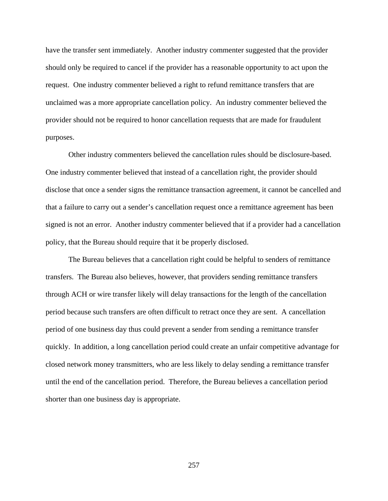have the transfer sent immediately. Another industry commenter suggested that the provider should only be required to cancel if the provider has a reasonable opportunity to act upon the request. One industry commenter believed a right to refund remittance transfers that are unclaimed was a more appropriate cancellation policy. An industry commenter believed the provider should not be required to honor cancellation requests that are made for fraudulent purposes.

Other industry commenters believed the cancellation rules should be disclosure-based. One industry commenter believed that instead of a cancellation right, the provider should disclose that once a sender signs the remittance transaction agreement, it cannot be cancelled and that a failure to carry out a sender's cancellation request once a remittance agreement has been signed is not an error. Another industry commenter believed that if a provider had a cancellation policy, that the Bureau should require that it be properly disclosed.

The Bureau believes that a cancellation right could be helpful to senders of remittance transfers. The Bureau also believes, however, that providers sending remittance transfers through ACH or wire transfer likely will delay transactions for the length of the cancellation period because such transfers are often difficult to retract once they are sent. A cancellation period of one business day thus could prevent a sender from sending a remittance transfer quickly. In addition, a long cancellation period could create an unfair competitive advantage for closed network money transmitters, who are less likely to delay sending a remittance transfer until the end of the cancellation period. Therefore, the Bureau believes a cancellation period shorter than one business day is appropriate.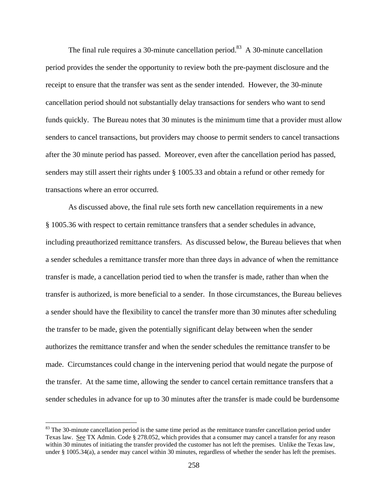The final rule requires a 30-minute cancellation period.<sup>83</sup> A 30-minute cancellation period provides the sender the opportunity to review both the pre-payment disclosure and the receipt to ensure that the transfer was sent as the sender intended. However, the 30-minute cancellation period should not substantially delay transactions for senders who want to send funds quickly. The Bureau notes that 30 minutes is the minimum time that a provider must allow senders to cancel transactions, but providers may choose to permit senders to cancel transactions after the 30 minute period has passed. Moreover, even after the cancellation period has passed, senders may still assert their rights under § 1005.33 and obtain a refund or other remedy for transactions where an error occurred.

As discussed above, the final rule sets forth new cancellation requirements in a new § 1005.36 with respect to certain remittance transfers that a sender schedules in advance, including preauthorized remittance transfers. As discussed below, the Bureau believes that when a sender schedules a remittance transfer more than three days in advance of when the remittance transfer is made, a cancellation period tied to when the transfer is made, rather than when the transfer is authorized, is more beneficial to a sender. In those circumstances, the Bureau believes a sender should have the flexibility to cancel the transfer more than 30 minutes after scheduling the transfer to be made, given the potentially significant delay between when the sender authorizes the remittance transfer and when the sender schedules the remittance transfer to be made. Circumstances could change in the intervening period that would negate the purpose of the transfer. At the same time, allowing the sender to cancel certain remittance transfers that a sender schedules in advance for up to 30 minutes after the transfer is made could be burdensome

 $\overline{a}$ 

<sup>&</sup>lt;sup>83</sup> The 30-minute cancellation period is the same time period as the remittance transfer cancellation period under Texas law. See TX Admin. Code § 278.052, which provides that a consumer may cancel a transfer for any reason within 30 minutes of initiating the transfer provided the customer has not left the premises. Unlike the Texas law, under § 1005.34(a), a sender may cancel within 30 minutes, regardless of whether the sender has left the premises.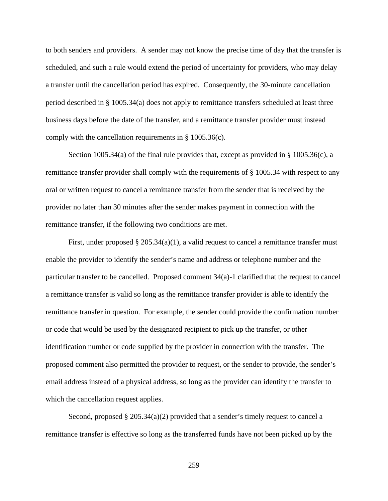to both senders and providers. A sender may not know the precise time of day that the transfer is scheduled, and such a rule would extend the period of uncertainty for providers, who may delay a transfer until the cancellation period has expired. Consequently, the 30-minute cancellation period described in § 1005.34(a) does not apply to remittance transfers scheduled at least three business days before the date of the transfer, and a remittance transfer provider must instead comply with the cancellation requirements in § 1005.36(c).

Section 1005.34(a) of the final rule provides that, except as provided in § 1005.36(c), a remittance transfer provider shall comply with the requirements of § 1005.34 with respect to any oral or written request to cancel a remittance transfer from the sender that is received by the provider no later than 30 minutes after the sender makes payment in connection with the remittance transfer, if the following two conditions are met.

First, under proposed § 205.34(a)(1), a valid request to cancel a remittance transfer must enable the provider to identify the sender's name and address or telephone number and the particular transfer to be cancelled. Proposed comment 34(a)-1 clarified that the request to cancel a remittance transfer is valid so long as the remittance transfer provider is able to identify the remittance transfer in question. For example, the sender could provide the confirmation number or code that would be used by the designated recipient to pick up the transfer, or other identification number or code supplied by the provider in connection with the transfer. The proposed comment also permitted the provider to request, or the sender to provide, the sender's email address instead of a physical address, so long as the provider can identify the transfer to which the cancellation request applies.

Second, proposed  $\S 205.34(a)(2)$  provided that a sender's timely request to cancel a remittance transfer is effective so long as the transferred funds have not been picked up by the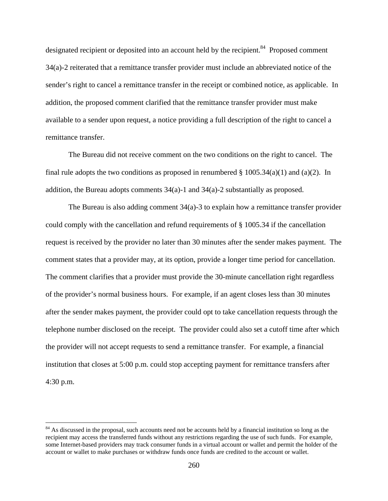designated recipient or deposited into an account held by the recipient.<sup>84</sup> Proposed comment 34(a)-2 reiterated that a remittance transfer provider must include an abbreviated notice of the sender's right to cancel a remittance transfer in the receipt or combined notice, as applicable. In addition, the proposed comment clarified that the remittance transfer provider must make available to a sender upon request, a notice providing a full description of the right to cancel a remittance transfer.

 The Bureau did not receive comment on the two conditions on the right to cancel. The final rule adopts the two conditions as proposed in renumbered  $\S$  1005.34(a)(1) and (a)(2). In addition, the Bureau adopts comments 34(a)-1 and 34(a)-2 substantially as proposed.

The Bureau is also adding comment 34(a)-3 to explain how a remittance transfer provider could comply with the cancellation and refund requirements of § 1005.34 if the cancellation request is received by the provider no later than 30 minutes after the sender makes payment. The comment states that a provider may, at its option, provide a longer time period for cancellation. The comment clarifies that a provider must provide the 30-minute cancellation right regardless of the provider's normal business hours. For example, if an agent closes less than 30 minutes after the sender makes payment, the provider could opt to take cancellation requests through the telephone number disclosed on the receipt. The provider could also set a cutoff time after which the provider will not accept requests to send a remittance transfer. For example, a financial institution that closes at 5:00 p.m. could stop accepting payment for remittance transfers after 4:30 p.m.

 $\overline{a}$ 

<sup>&</sup>lt;sup>84</sup> As discussed in the proposal, such accounts need not be accounts held by a financial institution so long as the recipient may access the transferred funds without any restrictions regarding the use of such funds. For example, some Internet-based providers may track consumer funds in a virtual account or wallet and permit the holder of the account or wallet to make purchases or withdraw funds once funds are credited to the account or wallet.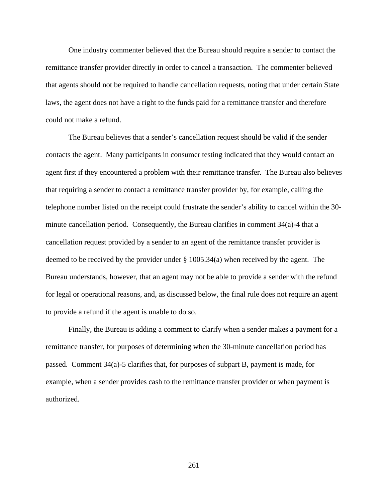One industry commenter believed that the Bureau should require a sender to contact the remittance transfer provider directly in order to cancel a transaction. The commenter believed that agents should not be required to handle cancellation requests, noting that under certain State laws, the agent does not have a right to the funds paid for a remittance transfer and therefore could not make a refund.

The Bureau believes that a sender's cancellation request should be valid if the sender contacts the agent. Many participants in consumer testing indicated that they would contact an agent first if they encountered a problem with their remittance transfer. The Bureau also believes that requiring a sender to contact a remittance transfer provider by, for example, calling the telephone number listed on the receipt could frustrate the sender's ability to cancel within the 30 minute cancellation period. Consequently, the Bureau clarifies in comment 34(a)-4 that a cancellation request provided by a sender to an agent of the remittance transfer provider is deemed to be received by the provider under § 1005.34(a) when received by the agent. The Bureau understands, however, that an agent may not be able to provide a sender with the refund for legal or operational reasons, and, as discussed below, the final rule does not require an agent to provide a refund if the agent is unable to do so.

Finally, the Bureau is adding a comment to clarify when a sender makes a payment for a remittance transfer, for purposes of determining when the 30-minute cancellation period has passed. Comment 34(a)-5 clarifies that, for purposes of subpart B, payment is made, for example, when a sender provides cash to the remittance transfer provider or when payment is authorized.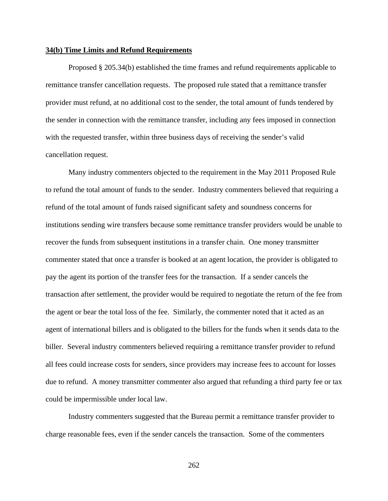### **34(b) Time Limits and Refund Requirements**

 Proposed § 205.34(b) established the time frames and refund requirements applicable to remittance transfer cancellation requests. The proposed rule stated that a remittance transfer provider must refund, at no additional cost to the sender, the total amount of funds tendered by the sender in connection with the remittance transfer, including any fees imposed in connection with the requested transfer, within three business days of receiving the sender's valid cancellation request.

 Many industry commenters objected to the requirement in the May 2011 Proposed Rule to refund the total amount of funds to the sender. Industry commenters believed that requiring a refund of the total amount of funds raised significant safety and soundness concerns for institutions sending wire transfers because some remittance transfer providers would be unable to recover the funds from subsequent institutions in a transfer chain. One money transmitter commenter stated that once a transfer is booked at an agent location, the provider is obligated to pay the agent its portion of the transfer fees for the transaction. If a sender cancels the transaction after settlement, the provider would be required to negotiate the return of the fee from the agent or bear the total loss of the fee. Similarly, the commenter noted that it acted as an agent of international billers and is obligated to the billers for the funds when it sends data to the biller. Several industry commenters believed requiring a remittance transfer provider to refund all fees could increase costs for senders, since providers may increase fees to account for losses due to refund. A money transmitter commenter also argued that refunding a third party fee or tax could be impermissible under local law.

 Industry commenters suggested that the Bureau permit a remittance transfer provider to charge reasonable fees, even if the sender cancels the transaction. Some of the commenters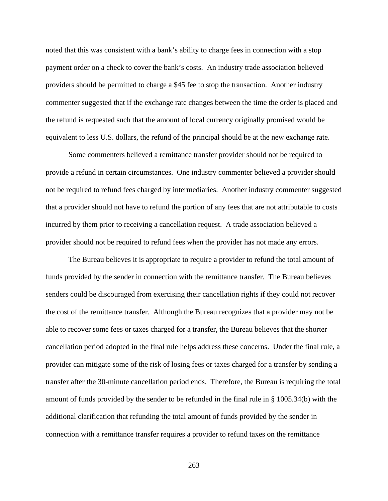noted that this was consistent with a bank's ability to charge fees in connection with a stop payment order on a check to cover the bank's costs. An industry trade association believed providers should be permitted to charge a \$45 fee to stop the transaction. Another industry commenter suggested that if the exchange rate changes between the time the order is placed and the refund is requested such that the amount of local currency originally promised would be equivalent to less U.S. dollars, the refund of the principal should be at the new exchange rate.

Some commenters believed a remittance transfer provider should not be required to provide a refund in certain circumstances. One industry commenter believed a provider should not be required to refund fees charged by intermediaries. Another industry commenter suggested that a provider should not have to refund the portion of any fees that are not attributable to costs incurred by them prior to receiving a cancellation request. A trade association believed a provider should not be required to refund fees when the provider has not made any errors.

The Bureau believes it is appropriate to require a provider to refund the total amount of funds provided by the sender in connection with the remittance transfer. The Bureau believes senders could be discouraged from exercising their cancellation rights if they could not recover the cost of the remittance transfer. Although the Bureau recognizes that a provider may not be able to recover some fees or taxes charged for a transfer, the Bureau believes that the shorter cancellation period adopted in the final rule helps address these concerns. Under the final rule, a provider can mitigate some of the risk of losing fees or taxes charged for a transfer by sending a transfer after the 30-minute cancellation period ends. Therefore, the Bureau is requiring the total amount of funds provided by the sender to be refunded in the final rule in § 1005.34(b) with the additional clarification that refunding the total amount of funds provided by the sender in connection with a remittance transfer requires a provider to refund taxes on the remittance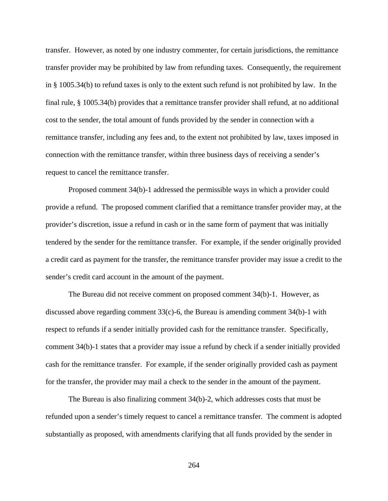transfer. However, as noted by one industry commenter, for certain jurisdictions, the remittance transfer provider may be prohibited by law from refunding taxes. Consequently, the requirement in § 1005.34(b) to refund taxes is only to the extent such refund is not prohibited by law. In the final rule, § 1005.34(b) provides that a remittance transfer provider shall refund, at no additional cost to the sender, the total amount of funds provided by the sender in connection with a remittance transfer, including any fees and, to the extent not prohibited by law, taxes imposed in connection with the remittance transfer, within three business days of receiving a sender's request to cancel the remittance transfer.

Proposed comment 34(b)-1 addressed the permissible ways in which a provider could provide a refund. The proposed comment clarified that a remittance transfer provider may, at the provider's discretion, issue a refund in cash or in the same form of payment that was initially tendered by the sender for the remittance transfer. For example, if the sender originally provided a credit card as payment for the transfer, the remittance transfer provider may issue a credit to the sender's credit card account in the amount of the payment.

The Bureau did not receive comment on proposed comment 34(b)-1. However, as discussed above regarding comment  $33(c)$ -6, the Bureau is amending comment  $34(b)$ -1 with respect to refunds if a sender initially provided cash for the remittance transfer. Specifically, comment 34(b)-1 states that a provider may issue a refund by check if a sender initially provided cash for the remittance transfer. For example, if the sender originally provided cash as payment for the transfer, the provider may mail a check to the sender in the amount of the payment.

The Bureau is also finalizing comment 34(b)-2, which addresses costs that must be refunded upon a sender's timely request to cancel a remittance transfer. The comment is adopted substantially as proposed, with amendments clarifying that all funds provided by the sender in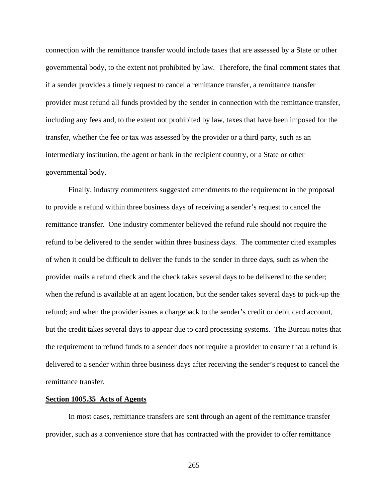connection with the remittance transfer would include taxes that are assessed by a State or other governmental body, to the extent not prohibited by law. Therefore, the final comment states that if a sender provides a timely request to cancel a remittance transfer, a remittance transfer provider must refund all funds provided by the sender in connection with the remittance transfer, including any fees and, to the extent not prohibited by law, taxes that have been imposed for the transfer, whether the fee or tax was assessed by the provider or a third party, such as an intermediary institution, the agent or bank in the recipient country, or a State or other governmental body.

Finally, industry commenters suggested amendments to the requirement in the proposal to provide a refund within three business days of receiving a sender's request to cancel the remittance transfer. One industry commenter believed the refund rule should not require the refund to be delivered to the sender within three business days. The commenter cited examples of when it could be difficult to deliver the funds to the sender in three days, such as when the provider mails a refund check and the check takes several days to be delivered to the sender; when the refund is available at an agent location, but the sender takes several days to pick-up the refund; and when the provider issues a chargeback to the sender's credit or debit card account, but the credit takes several days to appear due to card processing systems. The Bureau notes that the requirement to refund funds to a sender does not require a provider to ensure that a refund is delivered to a sender within three business days after receiving the sender's request to cancel the remittance transfer.

## **Section 1005.35 Acts of Agents**

In most cases, remittance transfers are sent through an agent of the remittance transfer provider, such as a convenience store that has contracted with the provider to offer remittance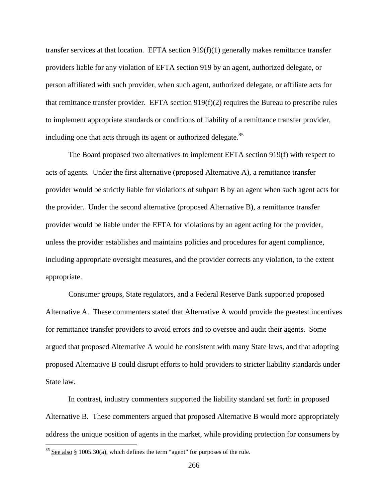transfer services at that location. EFTA section 919(f)(1) generally makes remittance transfer providers liable for any violation of EFTA section 919 by an agent, authorized delegate, or person affiliated with such provider, when such agent, authorized delegate, or affiliate acts for that remittance transfer provider. EFTA section 919(f)(2) requires the Bureau to prescribe rules to implement appropriate standards or conditions of liability of a remittance transfer provider, including one that acts through its agent or authorized delegate.<sup>85</sup>

 The Board proposed two alternatives to implement EFTA section 919(f) with respect to acts of agents. Under the first alternative (proposed Alternative A), a remittance transfer provider would be strictly liable for violations of subpart B by an agent when such agent acts for the provider. Under the second alternative (proposed Alternative B), a remittance transfer provider would be liable under the EFTA for violations by an agent acting for the provider, unless the provider establishes and maintains policies and procedures for agent compliance, including appropriate oversight measures, and the provider corrects any violation, to the extent appropriate.

 Consumer groups, State regulators, and a Federal Reserve Bank supported proposed Alternative A. These commenters stated that Alternative A would provide the greatest incentives for remittance transfer providers to avoid errors and to oversee and audit their agents. Some argued that proposed Alternative A would be consistent with many State laws, and that adopting proposed Alternative B could disrupt efforts to hold providers to stricter liability standards under State law.

In contrast, industry commenters supported the liability standard set forth in proposed Alternative B. These commenters argued that proposed Alternative B would more appropriately address the unique position of agents in the market, while providing protection for consumers by

 $\overline{a}$ 

 $85$  See also § 1005.30(a), which defines the term "agent" for purposes of the rule.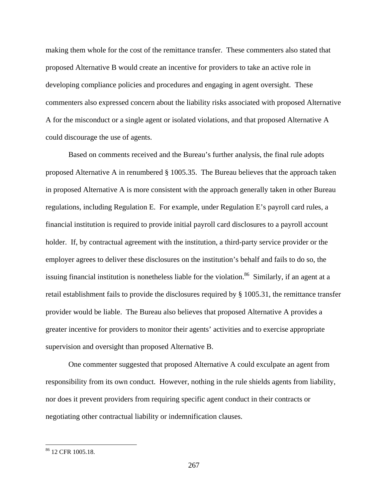making them whole for the cost of the remittance transfer. These commenters also stated that proposed Alternative B would create an incentive for providers to take an active role in developing compliance policies and procedures and engaging in agent oversight. These commenters also expressed concern about the liability risks associated with proposed Alternative A for the misconduct or a single agent or isolated violations, and that proposed Alternative A could discourage the use of agents.

Based on comments received and the Bureau's further analysis, the final rule adopts proposed Alternative A in renumbered § 1005.35. The Bureau believes that the approach taken in proposed Alternative A is more consistent with the approach generally taken in other Bureau regulations, including Regulation E. For example, under Regulation E's payroll card rules, a financial institution is required to provide initial payroll card disclosures to a payroll account holder. If, by contractual agreement with the institution, a third-party service provider or the employer agrees to deliver these disclosures on the institution's behalf and fails to do so, the issuing financial institution is nonetheless liable for the violation.<sup>86</sup> Similarly, if an agent at a retail establishment fails to provide the disclosures required by § 1005.31, the remittance transfer provider would be liable. The Bureau also believes that proposed Alternative A provides a greater incentive for providers to monitor their agents' activities and to exercise appropriate supervision and oversight than proposed Alternative B.

One commenter suggested that proposed Alternative A could exculpate an agent from responsibility from its own conduct. However, nothing in the rule shields agents from liability, nor does it prevent providers from requiring specific agent conduct in their contracts or negotiating other contractual liability or indemnification clauses.

 $\overline{a}$ 

<sup>86 12</sup> CFR 1005.18.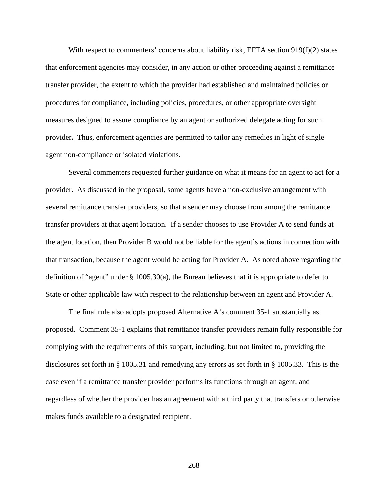With respect to commenters' concerns about liability risk, EFTA section  $919(f)(2)$  states that enforcement agencies may consider, in any action or other proceeding against a remittance transfer provider, the extent to which the provider had established and maintained policies or procedures for compliance, including policies, procedures, or other appropriate oversight measures designed to assure compliance by an agent or authorized delegate acting for such provider**.** Thus, enforcement agencies are permitted to tailor any remedies in light of single agent non-compliance or isolated violations.

Several commenters requested further guidance on what it means for an agent to act for a provider. As discussed in the proposal, some agents have a non-exclusive arrangement with several remittance transfer providers, so that a sender may choose from among the remittance transfer providers at that agent location. If a sender chooses to use Provider A to send funds at the agent location, then Provider B would not be liable for the agent's actions in connection with that transaction, because the agent would be acting for Provider A. As noted above regarding the definition of "agent" under § 1005.30(a), the Bureau believes that it is appropriate to defer to State or other applicable law with respect to the relationship between an agent and Provider A.

The final rule also adopts proposed Alternative A's comment 35-1 substantially as proposed. Comment 35-1 explains that remittance transfer providers remain fully responsible for complying with the requirements of this subpart, including, but not limited to, providing the disclosures set forth in § 1005.31 and remedying any errors as set forth in § 1005.33. This is the case even if a remittance transfer provider performs its functions through an agent, and regardless of whether the provider has an agreement with a third party that transfers or otherwise makes funds available to a designated recipient.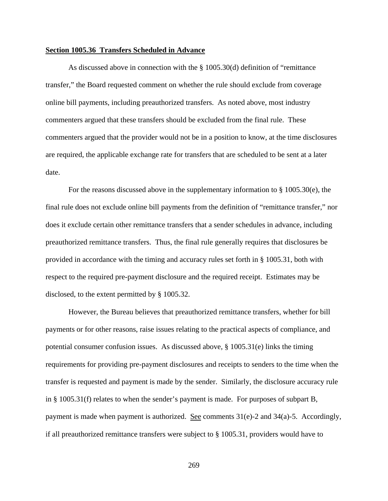# **Section 1005.36 Transfers Scheduled in Advance**

 As discussed above in connection with the § 1005.30(d) definition of "remittance transfer," the Board requested comment on whether the rule should exclude from coverage online bill payments, including preauthorized transfers. As noted above, most industry commenters argued that these transfers should be excluded from the final rule. These commenters argued that the provider would not be in a position to know, at the time disclosures are required, the applicable exchange rate for transfers that are scheduled to be sent at a later date.

For the reasons discussed above in the supplementary information to § 1005.30(e), the final rule does not exclude online bill payments from the definition of "remittance transfer," nor does it exclude certain other remittance transfers that a sender schedules in advance, including preauthorized remittance transfers. Thus, the final rule generally requires that disclosures be provided in accordance with the timing and accuracy rules set forth in § 1005.31, both with respect to the required pre-payment disclosure and the required receipt. Estimates may be disclosed, to the extent permitted by § 1005.32.

However, the Bureau believes that preauthorized remittance transfers, whether for bill payments or for other reasons, raise issues relating to the practical aspects of compliance, and potential consumer confusion issues. As discussed above, § 1005.31(e) links the timing requirements for providing pre-payment disclosures and receipts to senders to the time when the transfer is requested and payment is made by the sender. Similarly, the disclosure accuracy rule in § 1005.31(f) relates to when the sender's payment is made. For purposes of subpart B, payment is made when payment is authorized. See comments  $31(e)$ -2 and  $34(a)$ -5. Accordingly, if all preauthorized remittance transfers were subject to § 1005.31, providers would have to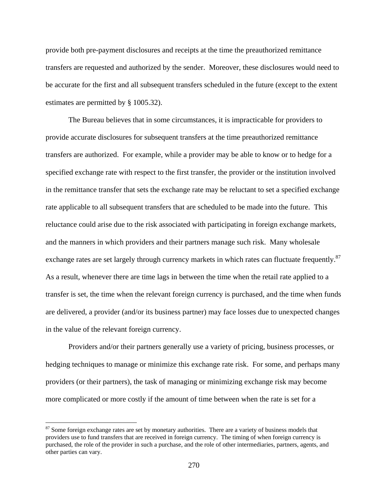provide both pre-payment disclosures and receipts at the time the preauthorized remittance transfers are requested and authorized by the sender. Moreover, these disclosures would need to be accurate for the first and all subsequent transfers scheduled in the future (except to the extent estimates are permitted by § 1005.32).

The Bureau believes that in some circumstances, it is impracticable for providers to provide accurate disclosures for subsequent transfers at the time preauthorized remittance transfers are authorized. For example, while a provider may be able to know or to hedge for a specified exchange rate with respect to the first transfer, the provider or the institution involved in the remittance transfer that sets the exchange rate may be reluctant to set a specified exchange rate applicable to all subsequent transfers that are scheduled to be made into the future. This reluctance could arise due to the risk associated with participating in foreign exchange markets, and the manners in which providers and their partners manage such risk. Many wholesale exchange rates are set largely through currency markets in which rates can fluctuate frequently.<sup>87</sup> As a result, whenever there are time lags in between the time when the retail rate applied to a transfer is set, the time when the relevant foreign currency is purchased, and the time when funds are delivered, a provider (and/or its business partner) may face losses due to unexpected changes in the value of the relevant foreign currency.

Providers and/or their partners generally use a variety of pricing, business processes, or hedging techniques to manage or minimize this exchange rate risk. For some, and perhaps many providers (or their partners), the task of managing or minimizing exchange risk may become more complicated or more costly if the amount of time between when the rate is set for a

<u>.</u>

<sup>&</sup>lt;sup>87</sup> Some foreign exchange rates are set by monetary authorities. There are a variety of business models that providers use to fund transfers that are received in foreign currency. The timing of when foreign currency is purchased, the role of the provider in such a purchase, and the role of other intermediaries, partners, agents, and other parties can vary.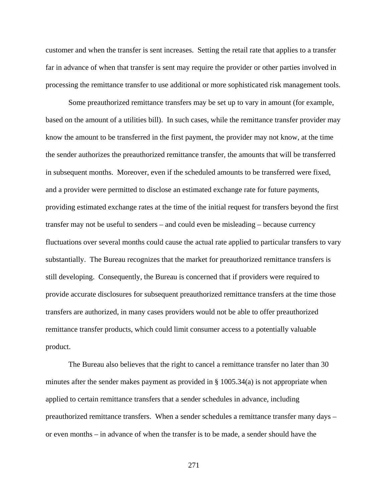customer and when the transfer is sent increases. Setting the retail rate that applies to a transfer far in advance of when that transfer is sent may require the provider or other parties involved in processing the remittance transfer to use additional or more sophisticated risk management tools.

Some preauthorized remittance transfers may be set up to vary in amount (for example, based on the amount of a utilities bill). In such cases, while the remittance transfer provider may know the amount to be transferred in the first payment, the provider may not know, at the time the sender authorizes the preauthorized remittance transfer, the amounts that will be transferred in subsequent months. Moreover, even if the scheduled amounts to be transferred were fixed, and a provider were permitted to disclose an estimated exchange rate for future payments, providing estimated exchange rates at the time of the initial request for transfers beyond the first transfer may not be useful to senders – and could even be misleading – because currency fluctuations over several months could cause the actual rate applied to particular transfers to vary substantially. The Bureau recognizes that the market for preauthorized remittance transfers is still developing. Consequently, the Bureau is concerned that if providers were required to provide accurate disclosures for subsequent preauthorized remittance transfers at the time those transfers are authorized, in many cases providers would not be able to offer preauthorized remittance transfer products, which could limit consumer access to a potentially valuable product.

The Bureau also believes that the right to cancel a remittance transfer no later than 30 minutes after the sender makes payment as provided in § 1005.34(a) is not appropriate when applied to certain remittance transfers that a sender schedules in advance, including preauthorized remittance transfers. When a sender schedules a remittance transfer many days – or even months – in advance of when the transfer is to be made, a sender should have the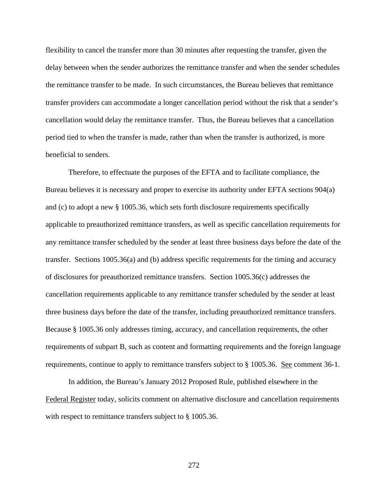flexibility to cancel the transfer more than 30 minutes after requesting the transfer, given the delay between when the sender authorizes the remittance transfer and when the sender schedules the remittance transfer to be made. In such circumstances, the Bureau believes that remittance transfer providers can accommodate a longer cancellation period without the risk that a sender's cancellation would delay the remittance transfer. Thus, the Bureau believes that a cancellation period tied to when the transfer is made, rather than when the transfer is authorized, is more beneficial to senders.

Therefore, to effectuate the purposes of the EFTA and to facilitate compliance, the Bureau believes it is necessary and proper to exercise its authority under EFTA sections 904(a) and (c) to adopt a new § 1005.36, which sets forth disclosure requirements specifically applicable to preauthorized remittance transfers, as well as specific cancellation requirements for any remittance transfer scheduled by the sender at least three business days before the date of the transfer. Sections 1005.36(a) and (b) address specific requirements for the timing and accuracy of disclosures for preauthorized remittance transfers. Section 1005.36(c) addresses the cancellation requirements applicable to any remittance transfer scheduled by the sender at least three business days before the date of the transfer, including preauthorized remittance transfers. Because § 1005.36 only addresses timing, accuracy, and cancellation requirements, the other requirements of subpart B, such as content and formatting requirements and the foreign language requirements, continue to apply to remittance transfers subject to § 1005.36. See comment 36-1.

In addition, the Bureau's January 2012 Proposed Rule, published elsewhere in the Federal Register today, solicits comment on alternative disclosure and cancellation requirements with respect to remittance transfers subject to § 1005.36.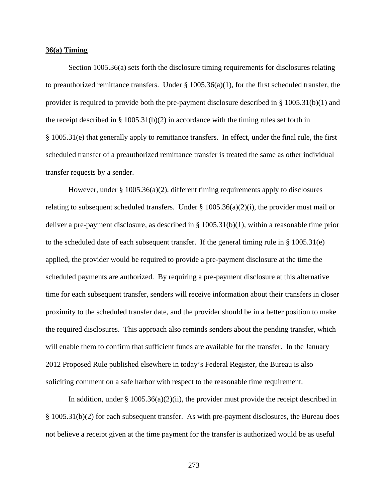## **36(a) Timing**

Section 1005.36(a) sets forth the disclosure timing requirements for disclosures relating to preauthorized remittance transfers. Under § 1005.36(a)(1), for the first scheduled transfer, the provider is required to provide both the pre-payment disclosure described in § 1005.31(b)(1) and the receipt described in § 1005.31(b)(2) in accordance with the timing rules set forth in § 1005.31(e) that generally apply to remittance transfers. In effect, under the final rule, the first scheduled transfer of a preauthorized remittance transfer is treated the same as other individual transfer requests by a sender.

However, under § 1005.36(a)(2), different timing requirements apply to disclosures relating to subsequent scheduled transfers. Under § 1005.36(a)(2)(i), the provider must mail or deliver a pre-payment disclosure, as described in § 1005.31(b)(1), within a reasonable time prior to the scheduled date of each subsequent transfer. If the general timing rule in  $\S$  1005.31(e) applied, the provider would be required to provide a pre-payment disclosure at the time the scheduled payments are authorized. By requiring a pre-payment disclosure at this alternative time for each subsequent transfer, senders will receive information about their transfers in closer proximity to the scheduled transfer date, and the provider should be in a better position to make the required disclosures. This approach also reminds senders about the pending transfer, which will enable them to confirm that sufficient funds are available for the transfer. In the January 2012 Proposed Rule published elsewhere in today's Federal Register, the Bureau is also soliciting comment on a safe harbor with respect to the reasonable time requirement.

In addition, under  $\S 1005.36(a)(2)(ii)$ , the provider must provide the receipt described in § 1005.31(b)(2) for each subsequent transfer. As with pre-payment disclosures, the Bureau does not believe a receipt given at the time payment for the transfer is authorized would be as useful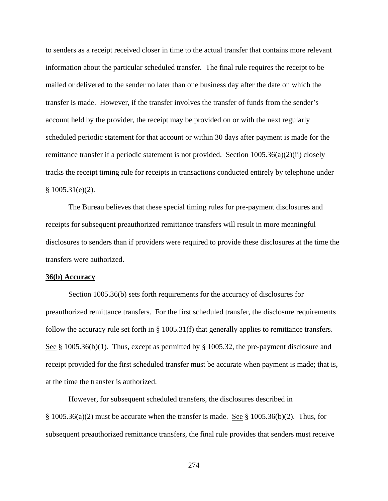to senders as a receipt received closer in time to the actual transfer that contains more relevant information about the particular scheduled transfer. The final rule requires the receipt to be mailed or delivered to the sender no later than one business day after the date on which the transfer is made. However, if the transfer involves the transfer of funds from the sender's account held by the provider, the receipt may be provided on or with the next regularly scheduled periodic statement for that account or within 30 days after payment is made for the remittance transfer if a periodic statement is not provided. Section  $1005.36(a)(2)(ii)$  closely tracks the receipt timing rule for receipts in transactions conducted entirely by telephone under  $§ 1005.31(e)(2).$ 

The Bureau believes that these special timing rules for pre-payment disclosures and receipts for subsequent preauthorized remittance transfers will result in more meaningful disclosures to senders than if providers were required to provide these disclosures at the time the transfers were authorized.

#### **36(b) Accuracy**

 Section 1005.36(b) sets forth requirements for the accuracy of disclosures for preauthorized remittance transfers. For the first scheduled transfer, the disclosure requirements follow the accuracy rule set forth in § 1005.31(f) that generally applies to remittance transfers. See § 1005.36(b)(1). Thus, except as permitted by § 1005.32, the pre-payment disclosure and receipt provided for the first scheduled transfer must be accurate when payment is made; that is, at the time the transfer is authorized.

 However, for subsequent scheduled transfers, the disclosures described in  $\S 1005.36(a)(2)$  must be accurate when the transfer is made. See  $\S 1005.36(b)(2)$ . Thus, for subsequent preauthorized remittance transfers, the final rule provides that senders must receive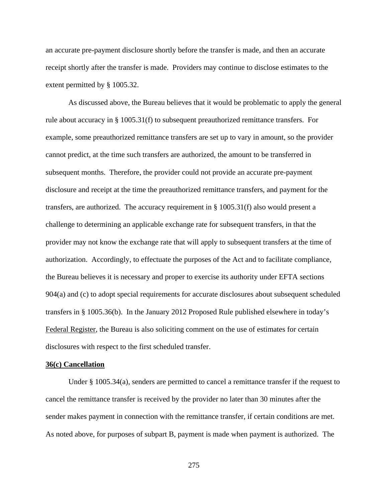an accurate pre-payment disclosure shortly before the transfer is made, and then an accurate receipt shortly after the transfer is made. Providers may continue to disclose estimates to the extent permitted by § 1005.32.

 As discussed above, the Bureau believes that it would be problematic to apply the general rule about accuracy in § 1005.31(f) to subsequent preauthorized remittance transfers. For example, some preauthorized remittance transfers are set up to vary in amount, so the provider cannot predict, at the time such transfers are authorized, the amount to be transferred in subsequent months. Therefore, the provider could not provide an accurate pre-payment disclosure and receipt at the time the preauthorized remittance transfers, and payment for the transfers, are authorized. The accuracy requirement in § 1005.31(f) also would present a challenge to determining an applicable exchange rate for subsequent transfers, in that the provider may not know the exchange rate that will apply to subsequent transfers at the time of authorization. Accordingly, to effectuate the purposes of the Act and to facilitate compliance, the Bureau believes it is necessary and proper to exercise its authority under EFTA sections 904(a) and (c) to adopt special requirements for accurate disclosures about subsequent scheduled transfers in § 1005.36(b). In the January 2012 Proposed Rule published elsewhere in today's Federal Register, the Bureau is also soliciting comment on the use of estimates for certain disclosures with respect to the first scheduled transfer.

### **36(c) Cancellation**

 Under § 1005.34(a), senders are permitted to cancel a remittance transfer if the request to cancel the remittance transfer is received by the provider no later than 30 minutes after the sender makes payment in connection with the remittance transfer, if certain conditions are met. As noted above, for purposes of subpart B, payment is made when payment is authorized. The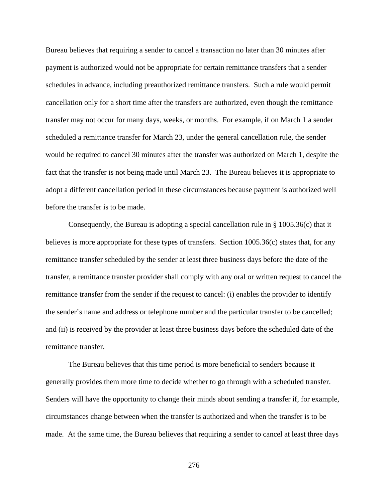Bureau believes that requiring a sender to cancel a transaction no later than 30 minutes after payment is authorized would not be appropriate for certain remittance transfers that a sender schedules in advance, including preauthorized remittance transfers. Such a rule would permit cancellation only for a short time after the transfers are authorized, even though the remittance transfer may not occur for many days, weeks, or months. For example, if on March 1 a sender scheduled a remittance transfer for March 23, under the general cancellation rule, the sender would be required to cancel 30 minutes after the transfer was authorized on March 1, despite the fact that the transfer is not being made until March 23. The Bureau believes it is appropriate to adopt a different cancellation period in these circumstances because payment is authorized well before the transfer is to be made.

Consequently, the Bureau is adopting a special cancellation rule in § 1005.36(c) that it believes is more appropriate for these types of transfers. Section 1005.36(c) states that, for any remittance transfer scheduled by the sender at least three business days before the date of the transfer, a remittance transfer provider shall comply with any oral or written request to cancel the remittance transfer from the sender if the request to cancel: (i) enables the provider to identify the sender's name and address or telephone number and the particular transfer to be cancelled; and (ii) is received by the provider at least three business days before the scheduled date of the remittance transfer.

The Bureau believes that this time period is more beneficial to senders because it generally provides them more time to decide whether to go through with a scheduled transfer. Senders will have the opportunity to change their minds about sending a transfer if, for example, circumstances change between when the transfer is authorized and when the transfer is to be made. At the same time, the Bureau believes that requiring a sender to cancel at least three days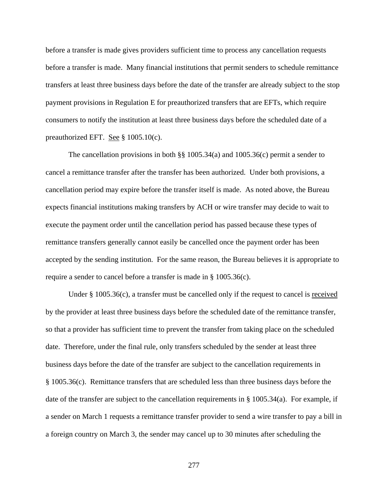before a transfer is made gives providers sufficient time to process any cancellation requests before a transfer is made. Many financial institutions that permit senders to schedule remittance transfers at least three business days before the date of the transfer are already subject to the stop payment provisions in Regulation E for preauthorized transfers that are EFTs, which require consumers to notify the institution at least three business days before the scheduled date of a preauthorized EFT. See  $\S$  1005.10(c).

The cancellation provisions in both §§ 1005.34(a) and 1005.36(c) permit a sender to cancel a remittance transfer after the transfer has been authorized. Under both provisions, a cancellation period may expire before the transfer itself is made. As noted above, the Bureau expects financial institutions making transfers by ACH or wire transfer may decide to wait to execute the payment order until the cancellation period has passed because these types of remittance transfers generally cannot easily be cancelled once the payment order has been accepted by the sending institution. For the same reason, the Bureau believes it is appropriate to require a sender to cancel before a transfer is made in § 1005.36(c).

Under § 1005.36(c), a transfer must be cancelled only if the request to cancel is received by the provider at least three business days before the scheduled date of the remittance transfer, so that a provider has sufficient time to prevent the transfer from taking place on the scheduled date. Therefore, under the final rule, only transfers scheduled by the sender at least three business days before the date of the transfer are subject to the cancellation requirements in § 1005.36(c). Remittance transfers that are scheduled less than three business days before the date of the transfer are subject to the cancellation requirements in § 1005.34(a). For example, if a sender on March 1 requests a remittance transfer provider to send a wire transfer to pay a bill in a foreign country on March 3, the sender may cancel up to 30 minutes after scheduling the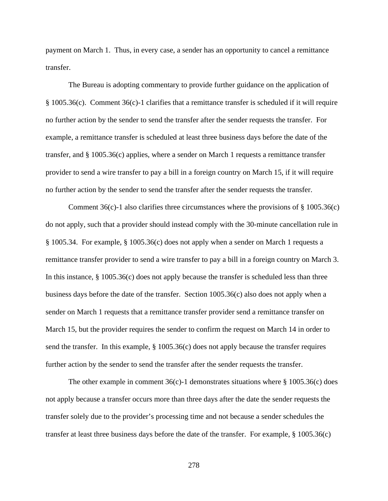payment on March 1. Thus, in every case, a sender has an opportunity to cancel a remittance transfer.

 The Bureau is adopting commentary to provide further guidance on the application of § 1005.36(c). Comment 36(c)-1 clarifies that a remittance transfer is scheduled if it will require no further action by the sender to send the transfer after the sender requests the transfer. For example, a remittance transfer is scheduled at least three business days before the date of the transfer, and § 1005.36(c) applies, where a sender on March 1 requests a remittance transfer provider to send a wire transfer to pay a bill in a foreign country on March 15, if it will require no further action by the sender to send the transfer after the sender requests the transfer.

Comment  $36(c)$ -1 also clarifies three circumstances where the provisions of § 1005.36(c) do not apply, such that a provider should instead comply with the 30-minute cancellation rule in § 1005.34. For example, § 1005.36(c) does not apply when a sender on March 1 requests a remittance transfer provider to send a wire transfer to pay a bill in a foreign country on March 3. In this instance, § 1005.36(c) does not apply because the transfer is scheduled less than three business days before the date of the transfer. Section 1005.36(c) also does not apply when a sender on March 1 requests that a remittance transfer provider send a remittance transfer on March 15, but the provider requires the sender to confirm the request on March 14 in order to send the transfer. In this example,  $\S 1005.36(c)$  does not apply because the transfer requires further action by the sender to send the transfer after the sender requests the transfer.

The other example in comment  $36(c)$ -1 demonstrates situations where § 1005.36(c) does not apply because a transfer occurs more than three days after the date the sender requests the transfer solely due to the provider's processing time and not because a sender schedules the transfer at least three business days before the date of the transfer. For example, § 1005.36(c)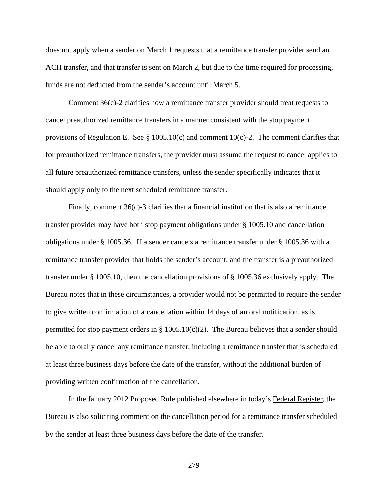does not apply when a sender on March 1 requests that a remittance transfer provider send an ACH transfer, and that transfer is sent on March 2, but due to the time required for processing, funds are not deducted from the sender's account until March 5.

Comment 36(c)-2 clarifies how a remittance transfer provider should treat requests to cancel preauthorized remittance transfers in a manner consistent with the stop payment provisions of Regulation E. See  $\S$  1005.10(c) and comment 10(c)-2. The comment clarifies that for preauthorized remittance transfers, the provider must assume the request to cancel applies to all future preauthorized remittance transfers, unless the sender specifically indicates that it should apply only to the next scheduled remittance transfer.

Finally, comment  $36(c)$ -3 clarifies that a financial institution that is also a remittance transfer provider may have both stop payment obligations under § 1005.10 and cancellation obligations under § 1005.36. If a sender cancels a remittance transfer under § 1005.36 with a remittance transfer provider that holds the sender's account, and the transfer is a preauthorized transfer under § 1005.10, then the cancellation provisions of § 1005.36 exclusively apply. The Bureau notes that in these circumstances, a provider would not be permitted to require the sender to give written confirmation of a cancellation within 14 days of an oral notification, as is permitted for stop payment orders in § 1005.10(c)(2). The Bureau believes that a sender should be able to orally cancel any remittance transfer, including a remittance transfer that is scheduled at least three business days before the date of the transfer, without the additional burden of providing written confirmation of the cancellation.

In the January 2012 Proposed Rule published elsewhere in today's Federal Register, the Bureau is also soliciting comment on the cancellation period for a remittance transfer scheduled by the sender at least three business days before the date of the transfer.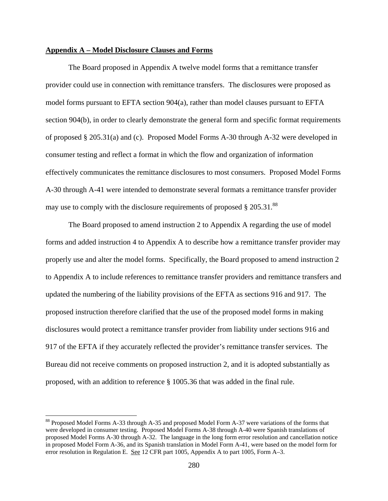# **Appendix A – Model Disclosure Clauses and Forms**

 The Board proposed in Appendix A twelve model forms that a remittance transfer provider could use in connection with remittance transfers. The disclosures were proposed as model forms pursuant to EFTA section 904(a), rather than model clauses pursuant to EFTA section 904(b), in order to clearly demonstrate the general form and specific format requirements of proposed § 205.31(a) and (c). Proposed Model Forms A-30 through A-32 were developed in consumer testing and reflect a format in which the flow and organization of information effectively communicates the remittance disclosures to most consumers. Proposed Model Forms A-30 through A-41 were intended to demonstrate several formats a remittance transfer provider may use to comply with the disclosure requirements of proposed  $\S 205.31$ .<sup>88</sup>

 The Board proposed to amend instruction 2 to Appendix A regarding the use of model forms and added instruction 4 to Appendix A to describe how a remittance transfer provider may properly use and alter the model forms. Specifically, the Board proposed to amend instruction 2 to Appendix A to include references to remittance transfer providers and remittance transfers and updated the numbering of the liability provisions of the EFTA as sections 916 and 917. The proposed instruction therefore clarified that the use of the proposed model forms in making disclosures would protect a remittance transfer provider from liability under sections 916 and 917 of the EFTA if they accurately reflected the provider's remittance transfer services. The Bureau did not receive comments on proposed instruction 2, and it is adopted substantially as proposed, with an addition to reference § 1005.36 that was added in the final rule.

<sup>&</sup>lt;sup>88</sup> Proposed Model Forms A-33 through A-35 and proposed Model Form A-37 were variations of the forms that were developed in consumer testing. Proposed Model Forms A-38 through A-40 were Spanish translations of proposed Model Forms A-30 through A-32. The language in the long form error resolution and cancellation notice in proposed Model Form A-36, and its Spanish translation in Model Form A-41, were based on the model form for error resolution in Regulation E. See 12 CFR part 1005, Appendix A to part 1005, Form A–3.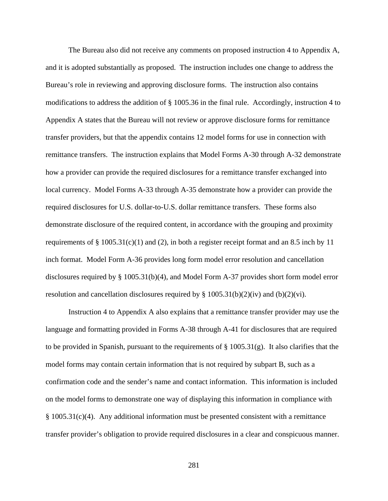The Bureau also did not receive any comments on proposed instruction 4 to Appendix A, and it is adopted substantially as proposed. The instruction includes one change to address the Bureau's role in reviewing and approving disclosure forms. The instruction also contains modifications to address the addition of § 1005.36 in the final rule. Accordingly, instruction 4 to Appendix A states that the Bureau will not review or approve disclosure forms for remittance transfer providers, but that the appendix contains 12 model forms for use in connection with remittance transfers. The instruction explains that Model Forms A-30 through A-32 demonstrate how a provider can provide the required disclosures for a remittance transfer exchanged into local currency. Model Forms A-33 through A-35 demonstrate how a provider can provide the required disclosures for U.S. dollar-to-U.S. dollar remittance transfers. These forms also demonstrate disclosure of the required content, in accordance with the grouping and proximity requirements of § 1005.31(c)(1) and (2), in both a register receipt format and an 8.5 inch by 11 inch format. Model Form A-36 provides long form model error resolution and cancellation disclosures required by § 1005.31(b)(4), and Model Form A-37 provides short form model error resolution and cancellation disclosures required by  $\S 1005.31(b)(2)(iv)$  and  $(b)(2)(vi)$ .

Instruction 4 to Appendix A also explains that a remittance transfer provider may use the language and formatting provided in Forms A-38 through A-41 for disclosures that are required to be provided in Spanish, pursuant to the requirements of  $\S 1005.31(g)$ . It also clarifies that the model forms may contain certain information that is not required by subpart B, such as a confirmation code and the sender's name and contact information. This information is included on the model forms to demonstrate one way of displaying this information in compliance with § 1005.31(c)(4). Any additional information must be presented consistent with a remittance transfer provider's obligation to provide required disclosures in a clear and conspicuous manner.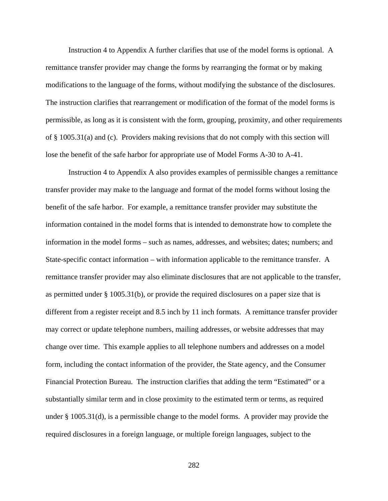Instruction 4 to Appendix A further clarifies that use of the model forms is optional. A remittance transfer provider may change the forms by rearranging the format or by making modifications to the language of the forms, without modifying the substance of the disclosures. The instruction clarifies that rearrangement or modification of the format of the model forms is permissible, as long as it is consistent with the form, grouping, proximity, and other requirements of § 1005.31(a) and (c). Providers making revisions that do not comply with this section will lose the benefit of the safe harbor for appropriate use of Model Forms A-30 to A-41.

 Instruction 4 to Appendix A also provides examples of permissible changes a remittance transfer provider may make to the language and format of the model forms without losing the benefit of the safe harbor. For example, a remittance transfer provider may substitute the information contained in the model forms that is intended to demonstrate how to complete the information in the model forms – such as names, addresses, and websites; dates; numbers; and State-specific contact information – with information applicable to the remittance transfer. A remittance transfer provider may also eliminate disclosures that are not applicable to the transfer, as permitted under § 1005.31(b), or provide the required disclosures on a paper size that is different from a register receipt and 8.5 inch by 11 inch formats. A remittance transfer provider may correct or update telephone numbers, mailing addresses, or website addresses that may change over time. This example applies to all telephone numbers and addresses on a model form, including the contact information of the provider, the State agency, and the Consumer Financial Protection Bureau. The instruction clarifies that adding the term "Estimated" or a substantially similar term and in close proximity to the estimated term or terms, as required under § 1005.31(d), is a permissible change to the model forms. A provider may provide the required disclosures in a foreign language, or multiple foreign languages, subject to the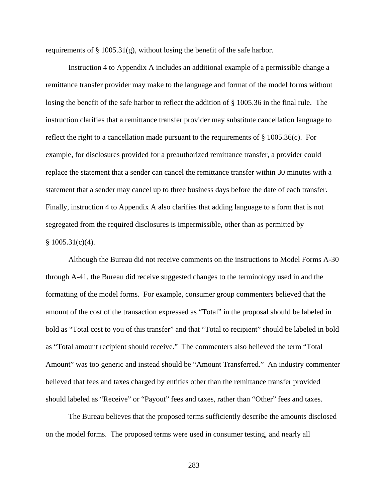requirements of  $\S 1005.31(g)$ , without losing the benefit of the safe harbor.

 Instruction 4 to Appendix A includes an additional example of a permissible change a remittance transfer provider may make to the language and format of the model forms without losing the benefit of the safe harbor to reflect the addition of § 1005.36 in the final rule. The instruction clarifies that a remittance transfer provider may substitute cancellation language to reflect the right to a cancellation made pursuant to the requirements of § 1005.36(c). For example, for disclosures provided for a preauthorized remittance transfer, a provider could replace the statement that a sender can cancel the remittance transfer within 30 minutes with a statement that a sender may cancel up to three business days before the date of each transfer. Finally, instruction 4 to Appendix A also clarifies that adding language to a form that is not segregated from the required disclosures is impermissible, other than as permitted by  $$1005.31(c)(4).$ 

 Although the Bureau did not receive comments on the instructions to Model Forms A-30 through A-41, the Bureau did receive suggested changes to the terminology used in and the formatting of the model forms. For example, consumer group commenters believed that the amount of the cost of the transaction expressed as "Total" in the proposal should be labeled in bold as "Total cost to you of this transfer" and that "Total to recipient" should be labeled in bold as "Total amount recipient should receive." The commenters also believed the term "Total Amount" was too generic and instead should be "Amount Transferred." An industry commenter believed that fees and taxes charged by entities other than the remittance transfer provided should labeled as "Receive" or "Payout" fees and taxes, rather than "Other" fees and taxes.

 The Bureau believes that the proposed terms sufficiently describe the amounts disclosed on the model forms. The proposed terms were used in consumer testing, and nearly all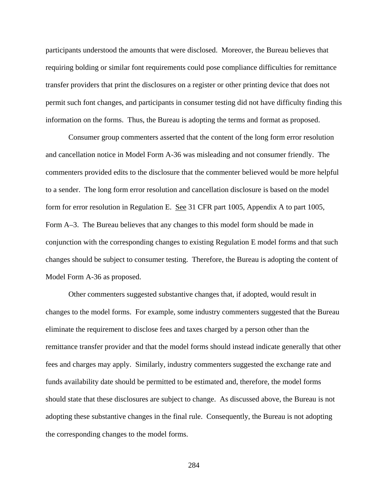participants understood the amounts that were disclosed. Moreover, the Bureau believes that requiring bolding or similar font requirements could pose compliance difficulties for remittance transfer providers that print the disclosures on a register or other printing device that does not permit such font changes, and participants in consumer testing did not have difficulty finding this information on the forms. Thus, the Bureau is adopting the terms and format as proposed.

Consumer group commenters asserted that the content of the long form error resolution and cancellation notice in Model Form A-36 was misleading and not consumer friendly. The commenters provided edits to the disclosure that the commenter believed would be more helpful to a sender. The long form error resolution and cancellation disclosure is based on the model form for error resolution in Regulation E. See 31 CFR part 1005, Appendix A to part 1005, Form A–3. The Bureau believes that any changes to this model form should be made in conjunction with the corresponding changes to existing Regulation E model forms and that such changes should be subject to consumer testing. Therefore, the Bureau is adopting the content of Model Form A-36 as proposed.

Other commenters suggested substantive changes that, if adopted, would result in changes to the model forms. For example, some industry commenters suggested that the Bureau eliminate the requirement to disclose fees and taxes charged by a person other than the remittance transfer provider and that the model forms should instead indicate generally that other fees and charges may apply. Similarly, industry commenters suggested the exchange rate and funds availability date should be permitted to be estimated and, therefore, the model forms should state that these disclosures are subject to change. As discussed above, the Bureau is not adopting these substantive changes in the final rule. Consequently, the Bureau is not adopting the corresponding changes to the model forms.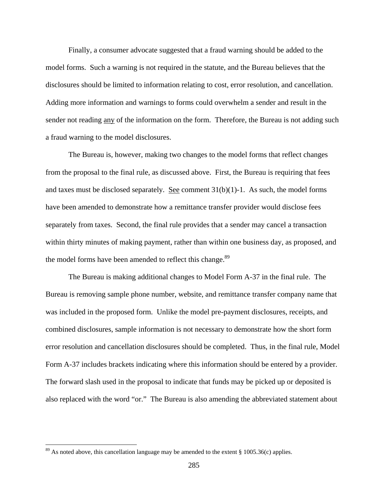Finally, a consumer advocate suggested that a fraud warning should be added to the model forms. Such a warning is not required in the statute, and the Bureau believes that the disclosures should be limited to information relating to cost, error resolution, and cancellation. Adding more information and warnings to forms could overwhelm a sender and result in the sender not reading any of the information on the form. Therefore, the Bureau is not adding such a fraud warning to the model disclosures.

 The Bureau is, however, making two changes to the model forms that reflect changes from the proposal to the final rule, as discussed above. First, the Bureau is requiring that fees and taxes must be disclosed separately. See comment  $31(b)(1)-1$ . As such, the model forms have been amended to demonstrate how a remittance transfer provider would disclose fees separately from taxes. Second, the final rule provides that a sender may cancel a transaction within thirty minutes of making payment, rather than within one business day, as proposed, and the model forms have been amended to reflect this change.<sup>89</sup>

 The Bureau is making additional changes to Model Form A-37 in the final rule. The Bureau is removing sample phone number, website, and remittance transfer company name that was included in the proposed form. Unlike the model pre-payment disclosures, receipts, and combined disclosures, sample information is not necessary to demonstrate how the short form error resolution and cancellation disclosures should be completed. Thus, in the final rule, Model Form A-37 includes brackets indicating where this information should be entered by a provider. The forward slash used in the proposal to indicate that funds may be picked up or deposited is also replaced with the word "or." The Bureau is also amending the abbreviated statement about

<u>.</u>

 $89$  As noted above, this cancellation language may be amended to the extent § 1005.36(c) applies.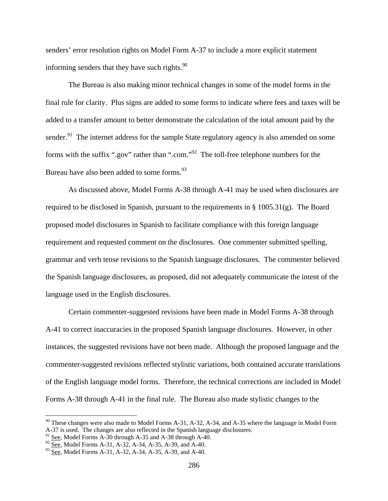senders' error resolution rights on Model Form A-37 to include a more explicit statement informing senders that they have such rights.<sup>90</sup>

 The Bureau is also making minor technical changes in some of the model forms in the final rule for clarity. Plus signs are added to some forms to indicate where fees and taxes will be added to a transfer amount to better demonstrate the calculation of the total amount paid by the sender.<sup>91</sup> The internet address for the sample State regulatory agency is also amended on some forms with the suffix ".gov" rather than ".com."92 The toll-free telephone numbers for the Bureau have also been added to some forms.<sup>93</sup>

As discussed above, Model Forms A-38 through A-41 may be used when disclosures are required to be disclosed in Spanish, pursuant to the requirements in § 1005.31(g). The Board proposed model disclosures in Spanish to facilitate compliance with this foreign language requirement and requested comment on the disclosures. One commenter submitted spelling, grammar and verb tense revisions to the Spanish language disclosures. The commenter believed the Spanish language disclosures, as proposed, did not adequately communicate the intent of the language used in the English disclosures.

Certain commenter-suggested revisions have been made in Model Forms A-38 through A-41 to correct inaccuracies in the proposed Spanish language disclosures. However, in other instances, the suggested revisions have not been made. Although the proposed language and the commenter-suggested revisions reflected stylistic variations, both contained accurate translations of the English language model forms. Therefore, the technical corrections are included in Model Forms A-38 through A-41 in the final rule. The Bureau also made stylistic changes to the

 $\overline{a}$ 

 $90$  These changes were also made to Model Forms A-31, A-32, A-34, and A-35 where the language in Model Form A-37 is used. The changes are also reflected in the Spanish language disclosures.

 $91$  See, Model Forms A-30 through A-35 and A-38 through A-40.

<sup>&</sup>lt;sup>92</sup> See, Model Forms A-31, A-32, A-34, A-35, A-39, and A-40.

<sup>93</sup> See, Model Forms A-31, A-32, A-34, A-35, A-39, and A-40.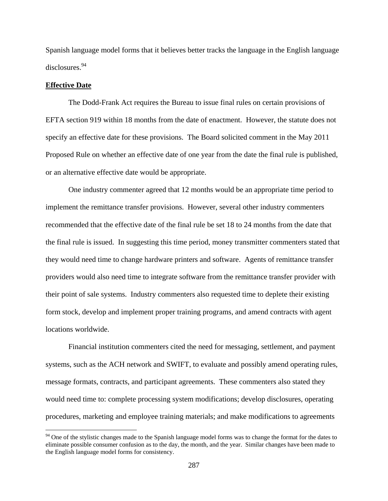Spanish language model forms that it believes better tracks the language in the English language disclosures.<sup>94</sup>

### **Effective Date**

 $\overline{a}$ 

The Dodd-Frank Act requires the Bureau to issue final rules on certain provisions of EFTA section 919 within 18 months from the date of enactment. However, the statute does not specify an effective date for these provisions. The Board solicited comment in the May 2011 Proposed Rule on whether an effective date of one year from the date the final rule is published, or an alternative effective date would be appropriate.

One industry commenter agreed that 12 months would be an appropriate time period to implement the remittance transfer provisions. However, several other industry commenters recommended that the effective date of the final rule be set 18 to 24 months from the date that the final rule is issued. In suggesting this time period, money transmitter commenters stated that they would need time to change hardware printers and software. Agents of remittance transfer providers would also need time to integrate software from the remittance transfer provider with their point of sale systems. Industry commenters also requested time to deplete their existing form stock, develop and implement proper training programs, and amend contracts with agent locations worldwide.

Financial institution commenters cited the need for messaging, settlement, and payment systems, such as the ACH network and SWIFT, to evaluate and possibly amend operating rules, message formats, contracts, and participant agreements. These commenters also stated they would need time to: complete processing system modifications; develop disclosures, operating procedures, marketing and employee training materials; and make modifications to agreements

<sup>&</sup>lt;sup>94</sup> One of the stylistic changes made to the Spanish language model forms was to change the format for the dates to eliminate possible consumer confusion as to the day, the month, and the year. Similar changes have been made to the English language model forms for consistency.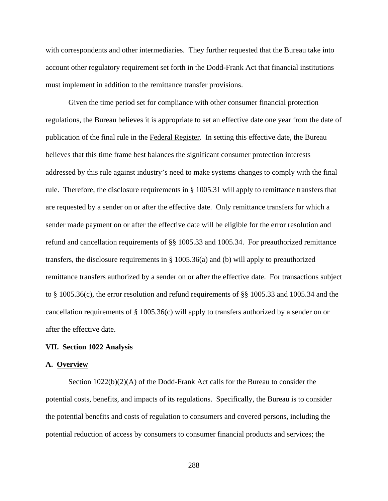with correspondents and other intermediaries. They further requested that the Bureau take into account other regulatory requirement set forth in the Dodd-Frank Act that financial institutions must implement in addition to the remittance transfer provisions.

Given the time period set for compliance with other consumer financial protection regulations, the Bureau believes it is appropriate to set an effective date one year from the date of publication of the final rule in the Federal Register. In setting this effective date, the Bureau believes that this time frame best balances the significant consumer protection interests addressed by this rule against industry's need to make systems changes to comply with the final rule. Therefore, the disclosure requirements in § 1005.31 will apply to remittance transfers that are requested by a sender on or after the effective date. Only remittance transfers for which a sender made payment on or after the effective date will be eligible for the error resolution and refund and cancellation requirements of §§ 1005.33 and 1005.34. For preauthorized remittance transfers, the disclosure requirements in § 1005.36(a) and (b) will apply to preauthorized remittance transfers authorized by a sender on or after the effective date. For transactions subject to § 1005.36(c), the error resolution and refund requirements of §§ 1005.33 and 1005.34 and the cancellation requirements of § 1005.36(c) will apply to transfers authorized by a sender on or after the effective date.

## **VII. Section 1022 Analysis**

# **A. Overview**

Section  $1022(b)(2)(A)$  of the Dodd-Frank Act calls for the Bureau to consider the potential costs, benefits, and impacts of its regulations. Specifically, the Bureau is to consider the potential benefits and costs of regulation to consumers and covered persons, including the potential reduction of access by consumers to consumer financial products and services; the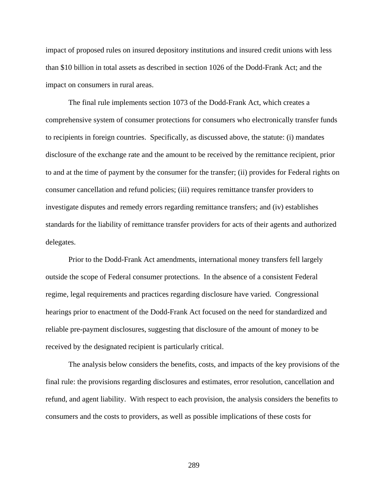impact of proposed rules on insured depository institutions and insured credit unions with less than \$10 billion in total assets as described in section 1026 of the Dodd-Frank Act; and the impact on consumers in rural areas.

The final rule implements section 1073 of the Dodd-Frank Act, which creates a comprehensive system of consumer protections for consumers who electronically transfer funds to recipients in foreign countries. Specifically, as discussed above, the statute: (i) mandates disclosure of the exchange rate and the amount to be received by the remittance recipient, prior to and at the time of payment by the consumer for the transfer; (ii) provides for Federal rights on consumer cancellation and refund policies; (iii) requires remittance transfer providers to investigate disputes and remedy errors regarding remittance transfers; and (iv) establishes standards for the liability of remittance transfer providers for acts of their agents and authorized delegates.

Prior to the Dodd-Frank Act amendments, international money transfers fell largely outside the scope of Federal consumer protections. In the absence of a consistent Federal regime, legal requirements and practices regarding disclosure have varied. Congressional hearings prior to enactment of the Dodd-Frank Act focused on the need for standardized and reliable pre-payment disclosures, suggesting that disclosure of the amount of money to be received by the designated recipient is particularly critical.

The analysis below considers the benefits, costs, and impacts of the key provisions of the final rule: the provisions regarding disclosures and estimates, error resolution, cancellation and refund, and agent liability. With respect to each provision, the analysis considers the benefits to consumers and the costs to providers, as well as possible implications of these costs for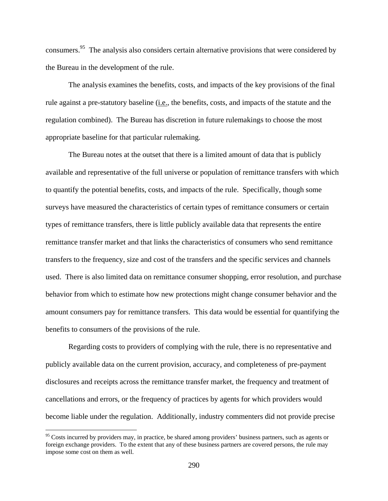consumers.95 The analysis also considers certain alternative provisions that were considered by the Bureau in the development of the rule.

The analysis examines the benefits, costs, and impacts of the key provisions of the final rule against a pre-statutory baseline (i.e., the benefits, costs, and impacts of the statute and the regulation combined). The Bureau has discretion in future rulemakings to choose the most appropriate baseline for that particular rulemaking.

The Bureau notes at the outset that there is a limited amount of data that is publicly available and representative of the full universe or population of remittance transfers with which to quantify the potential benefits, costs, and impacts of the rule. Specifically, though some surveys have measured the characteristics of certain types of remittance consumers or certain types of remittance transfers, there is little publicly available data that represents the entire remittance transfer market and that links the characteristics of consumers who send remittance transfers to the frequency, size and cost of the transfers and the specific services and channels used. There is also limited data on remittance consumer shopping, error resolution, and purchase behavior from which to estimate how new protections might change consumer behavior and the amount consumers pay for remittance transfers. This data would be essential for quantifying the benefits to consumers of the provisions of the rule.

Regarding costs to providers of complying with the rule, there is no representative and publicly available data on the current provision, accuracy, and completeness of pre-payment disclosures and receipts across the remittance transfer market, the frequency and treatment of cancellations and errors, or the frequency of practices by agents for which providers would become liable under the regulation. Additionally, industry commenters did not provide precise

<sup>&</sup>lt;sup>95</sup> Costs incurred by providers may, in practice, be shared among providers' business partners, such as agents or foreign exchange providers. To the extent that any of these business partners are covered persons, the rule may impose some cost on them as well.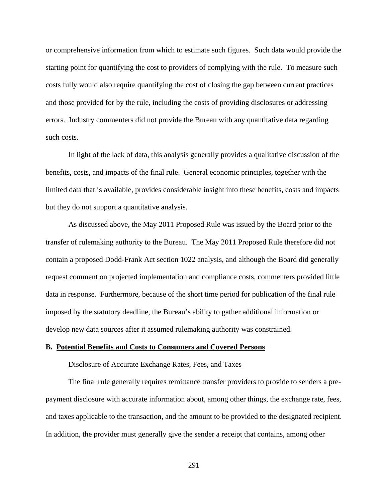or comprehensive information from which to estimate such figures. Such data would provide the starting point for quantifying the cost to providers of complying with the rule. To measure such costs fully would also require quantifying the cost of closing the gap between current practices and those provided for by the rule, including the costs of providing disclosures or addressing errors. Industry commenters did not provide the Bureau with any quantitative data regarding such costs.

In light of the lack of data, this analysis generally provides a qualitative discussion of the benefits, costs, and impacts of the final rule. General economic principles, together with the limited data that is available, provides considerable insight into these benefits, costs and impacts but they do not support a quantitative analysis.

As discussed above, the May 2011 Proposed Rule was issued by the Board prior to the transfer of rulemaking authority to the Bureau. The May 2011 Proposed Rule therefore did not contain a proposed Dodd-Frank Act section 1022 analysis, and although the Board did generally request comment on projected implementation and compliance costs, commenters provided little data in response. Furthermore, because of the short time period for publication of the final rule imposed by the statutory deadline, the Bureau's ability to gather additional information or develop new data sources after it assumed rulemaking authority was constrained.

### **B. Potential Benefits and Costs to Consumers and Covered Persons**

### Disclosure of Accurate Exchange Rates, Fees, and Taxes

 The final rule generally requires remittance transfer providers to provide to senders a prepayment disclosure with accurate information about, among other things, the exchange rate, fees, and taxes applicable to the transaction, and the amount to be provided to the designated recipient. In addition, the provider must generally give the sender a receipt that contains, among other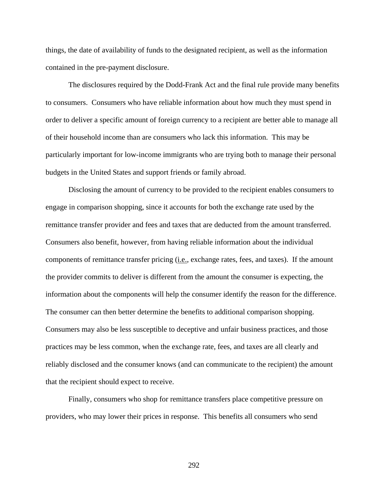things, the date of availability of funds to the designated recipient, as well as the information contained in the pre-payment disclosure.

 The disclosures required by the Dodd-Frank Act and the final rule provide many benefits to consumers. Consumers who have reliable information about how much they must spend in order to deliver a specific amount of foreign currency to a recipient are better able to manage all of their household income than are consumers who lack this information. This may be particularly important for low-income immigrants who are trying both to manage their personal budgets in the United States and support friends or family abroad.

 Disclosing the amount of currency to be provided to the recipient enables consumers to engage in comparison shopping, since it accounts for both the exchange rate used by the remittance transfer provider and fees and taxes that are deducted from the amount transferred. Consumers also benefit, however, from having reliable information about the individual components of remittance transfer pricing (i.e., exchange rates, fees, and taxes). If the amount the provider commits to deliver is different from the amount the consumer is expecting, the information about the components will help the consumer identify the reason for the difference. The consumer can then better determine the benefits to additional comparison shopping. Consumers may also be less susceptible to deceptive and unfair business practices, and those practices may be less common, when the exchange rate, fees, and taxes are all clearly and reliably disclosed and the consumer knows (and can communicate to the recipient) the amount that the recipient should expect to receive.

 Finally, consumers who shop for remittance transfers place competitive pressure on providers, who may lower their prices in response. This benefits all consumers who send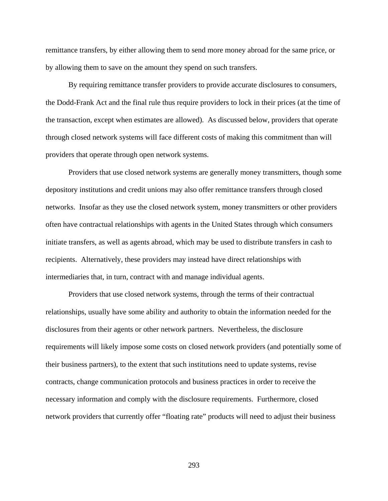remittance transfers, by either allowing them to send more money abroad for the same price, or by allowing them to save on the amount they spend on such transfers.

 By requiring remittance transfer providers to provide accurate disclosures to consumers, the Dodd-Frank Act and the final rule thus require providers to lock in their prices (at the time of the transaction, except when estimates are allowed). As discussed below, providers that operate through closed network systems will face different costs of making this commitment than will providers that operate through open network systems.

 Providers that use closed network systems are generally money transmitters, though some depository institutions and credit unions may also offer remittance transfers through closed networks. Insofar as they use the closed network system, money transmitters or other providers often have contractual relationships with agents in the United States through which consumers initiate transfers, as well as agents abroad, which may be used to distribute transfers in cash to recipients. Alternatively, these providers may instead have direct relationships with intermediaries that, in turn, contract with and manage individual agents.

 Providers that use closed network systems, through the terms of their contractual relationships, usually have some ability and authority to obtain the information needed for the disclosures from their agents or other network partners. Nevertheless, the disclosure requirements will likely impose some costs on closed network providers (and potentially some of their business partners), to the extent that such institutions need to update systems, revise contracts, change communication protocols and business practices in order to receive the necessary information and comply with the disclosure requirements. Furthermore, closed network providers that currently offer "floating rate" products will need to adjust their business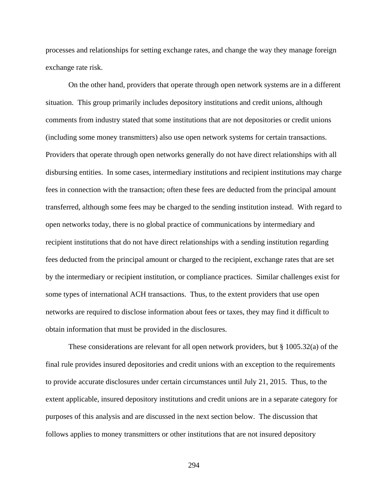processes and relationships for setting exchange rates, and change the way they manage foreign exchange rate risk.

 On the other hand, providers that operate through open network systems are in a different situation. This group primarily includes depository institutions and credit unions, although comments from industry stated that some institutions that are not depositories or credit unions (including some money transmitters) also use open network systems for certain transactions. Providers that operate through open networks generally do not have direct relationships with all disbursing entities. In some cases, intermediary institutions and recipient institutions may charge fees in connection with the transaction; often these fees are deducted from the principal amount transferred, although some fees may be charged to the sending institution instead. With regard to open networks today, there is no global practice of communications by intermediary and recipient institutions that do not have direct relationships with a sending institution regarding fees deducted from the principal amount or charged to the recipient, exchange rates that are set by the intermediary or recipient institution, or compliance practices. Similar challenges exist for some types of international ACH transactions. Thus, to the extent providers that use open networks are required to disclose information about fees or taxes, they may find it difficult to obtain information that must be provided in the disclosures.

 These considerations are relevant for all open network providers, but § 1005.32(a) of the final rule provides insured depositories and credit unions with an exception to the requirements to provide accurate disclosures under certain circumstances until July 21, 2015. Thus, to the extent applicable, insured depository institutions and credit unions are in a separate category for purposes of this analysis and are discussed in the next section below. The discussion that follows applies to money transmitters or other institutions that are not insured depository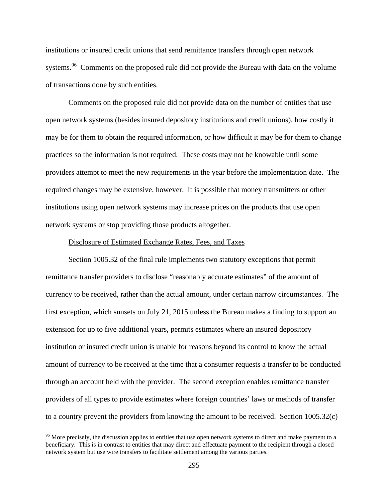institutions or insured credit unions that send remittance transfers through open network systems.<sup>96</sup> Comments on the proposed rule did not provide the Bureau with data on the volume of transactions done by such entities.

 Comments on the proposed rule did not provide data on the number of entities that use open network systems (besides insured depository institutions and credit unions), how costly it may be for them to obtain the required information, or how difficult it may be for them to change practices so the information is not required. These costs may not be knowable until some providers attempt to meet the new requirements in the year before the implementation date. The required changes may be extensive, however. It is possible that money transmitters or other institutions using open network systems may increase prices on the products that use open network systems or stop providing those products altogether.

# Disclosure of Estimated Exchange Rates, Fees, and Taxes

 Section 1005.32 of the final rule implements two statutory exceptions that permit remittance transfer providers to disclose "reasonably accurate estimates" of the amount of currency to be received, rather than the actual amount, under certain narrow circumstances. The first exception, which sunsets on July 21, 2015 unless the Bureau makes a finding to support an extension for up to five additional years, permits estimates where an insured depository institution or insured credit union is unable for reasons beyond its control to know the actual amount of currency to be received at the time that a consumer requests a transfer to be conducted through an account held with the provider. The second exception enables remittance transfer providers of all types to provide estimates where foreign countries' laws or methods of transfer to a country prevent the providers from knowing the amount to be received. Section 1005.32(c)

<sup>&</sup>lt;sup>96</sup> More precisely, the discussion applies to entities that use open network systems to direct and make payment to a beneficiary. This is in contrast to entities that may direct and effectuate payment to the recipient through a closed network system but use wire transfers to facilitate settlement among the various parties.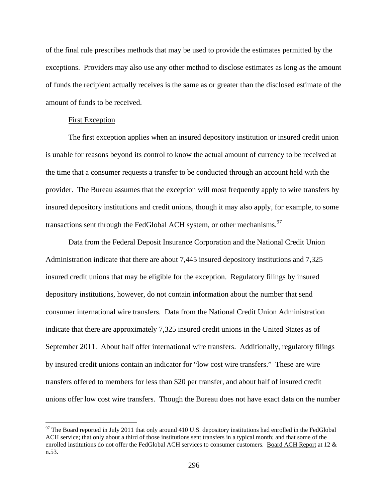of the final rule prescribes methods that may be used to provide the estimates permitted by the exceptions. Providers may also use any other method to disclose estimates as long as the amount of funds the recipient actually receives is the same as or greater than the disclosed estimate of the amount of funds to be received.

### First Exception

 $\overline{a}$ 

The first exception applies when an insured depository institution or insured credit union is unable for reasons beyond its control to know the actual amount of currency to be received at the time that a consumer requests a transfer to be conducted through an account held with the provider. The Bureau assumes that the exception will most frequently apply to wire transfers by insured depository institutions and credit unions, though it may also apply, for example, to some transactions sent through the FedGlobal ACH system, or other mechanisms.<sup>97</sup>

Data from the Federal Deposit Insurance Corporation and the National Credit Union Administration indicate that there are about 7,445 insured depository institutions and 7,325 insured credit unions that may be eligible for the exception. Regulatory filings by insured depository institutions, however, do not contain information about the number that send consumer international wire transfers. Data from the National Credit Union Administration indicate that there are approximately 7,325 insured credit unions in the United States as of September 2011. About half offer international wire transfers. Additionally, regulatory filings by insured credit unions contain an indicator for "low cost wire transfers." These are wire transfers offered to members for less than \$20 per transfer, and about half of insured credit unions offer low cost wire transfers. Though the Bureau does not have exact data on the number

 $97$  The Board reported in July 2011 that only around 410 U.S. depository institutions had enrolled in the FedGlobal ACH service; that only about a third of those institutions sent transfers in a typical month; and that some of the enrolled institutions do not offer the FedGlobal ACH services to consumer customers. Board ACH Report at 12 & n.53.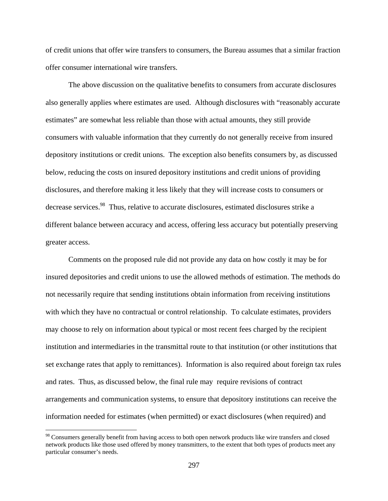of credit unions that offer wire transfers to consumers, the Bureau assumes that a similar fraction offer consumer international wire transfers.

 The above discussion on the qualitative benefits to consumers from accurate disclosures also generally applies where estimates are used. Although disclosures with "reasonably accurate estimates" are somewhat less reliable than those with actual amounts, they still provide consumers with valuable information that they currently do not generally receive from insured depository institutions or credit unions. The exception also benefits consumers by, as discussed below, reducing the costs on insured depository institutions and credit unions of providing disclosures, and therefore making it less likely that they will increase costs to consumers or decrease services.<sup>98</sup> Thus, relative to accurate disclosures, estimated disclosures strike a different balance between accuracy and access, offering less accuracy but potentially preserving greater access.

 Comments on the proposed rule did not provide any data on how costly it may be for insured depositories and credit unions to use the allowed methods of estimation. The methods do not necessarily require that sending institutions obtain information from receiving institutions with which they have no contractual or control relationship. To calculate estimates, providers may choose to rely on information about typical or most recent fees charged by the recipient institution and intermediaries in the transmittal route to that institution (or other institutions that set exchange rates that apply to remittances). Information is also required about foreign tax rules and rates. Thus, as discussed below, the final rule may require revisions of contract arrangements and communication systems, to ensure that depository institutions can receive the information needed for estimates (when permitted) or exact disclosures (when required) and

<sup>&</sup>lt;sup>98</sup> Consumers generally benefit from having access to both open network products like wire transfers and closed network products like those used offered by money transmitters, to the extent that both types of products meet any particular consumer's needs.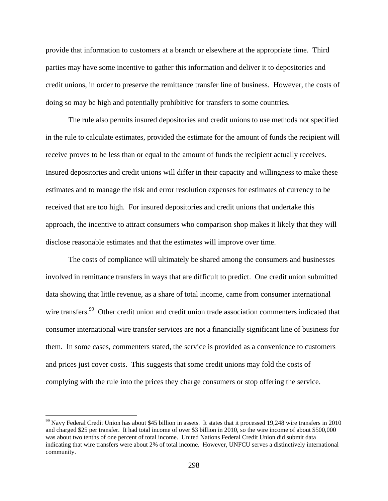provide that information to customers at a branch or elsewhere at the appropriate time. Third parties may have some incentive to gather this information and deliver it to depositories and credit unions, in order to preserve the remittance transfer line of business. However, the costs of doing so may be high and potentially prohibitive for transfers to some countries.

The rule also permits insured depositories and credit unions to use methods not specified in the rule to calculate estimates, provided the estimate for the amount of funds the recipient will receive proves to be less than or equal to the amount of funds the recipient actually receives. Insured depositories and credit unions will differ in their capacity and willingness to make these estimates and to manage the risk and error resolution expenses for estimates of currency to be received that are too high. For insured depositories and credit unions that undertake this approach, the incentive to attract consumers who comparison shop makes it likely that they will disclose reasonable estimates and that the estimates will improve over time.

 The costs of compliance will ultimately be shared among the consumers and businesses involved in remittance transfers in ways that are difficult to predict. One credit union submitted data showing that little revenue, as a share of total income, came from consumer international wire transfers.<sup>99</sup> Other credit union and credit union trade association commenters indicated that consumer international wire transfer services are not a financially significant line of business for them. In some cases, commenters stated, the service is provided as a convenience to customers and prices just cover costs. This suggests that some credit unions may fold the costs of complying with the rule into the prices they charge consumers or stop offering the service.

<sup>&</sup>lt;sup>99</sup> Navy Federal Credit Union has about \$45 billion in assets. It states that it processed 19,248 wire transfers in 2010 and charged \$25 per transfer. It had total income of over \$3 billion in 2010, so the wire income of about \$500,000 was about two tenths of one percent of total income. United Nations Federal Credit Union did submit data indicating that wire transfers were about 2% of total income. However, UNFCU serves a distinctively international community.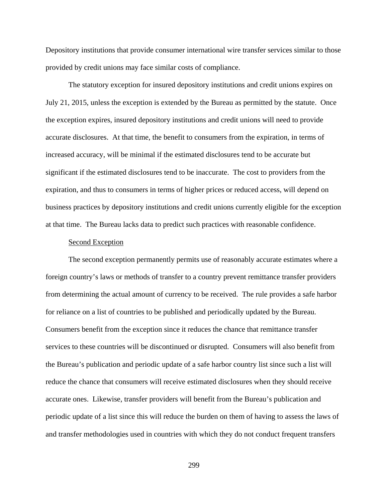Depository institutions that provide consumer international wire transfer services similar to those provided by credit unions may face similar costs of compliance.

 The statutory exception for insured depository institutions and credit unions expires on July 21, 2015, unless the exception is extended by the Bureau as permitted by the statute. Once the exception expires, insured depository institutions and credit unions will need to provide accurate disclosures. At that time, the benefit to consumers from the expiration, in terms of increased accuracy, will be minimal if the estimated disclosures tend to be accurate but significant if the estimated disclosures tend to be inaccurate. The cost to providers from the expiration, and thus to consumers in terms of higher prices or reduced access, will depend on business practices by depository institutions and credit unions currently eligible for the exception at that time. The Bureau lacks data to predict such practices with reasonable confidence.

### Second Exception

The second exception permanently permits use of reasonably accurate estimates where a foreign country's laws or methods of transfer to a country prevent remittance transfer providers from determining the actual amount of currency to be received. The rule provides a safe harbor for reliance on a list of countries to be published and periodically updated by the Bureau. Consumers benefit from the exception since it reduces the chance that remittance transfer services to these countries will be discontinued or disrupted. Consumers will also benefit from the Bureau's publication and periodic update of a safe harbor country list since such a list will reduce the chance that consumers will receive estimated disclosures when they should receive accurate ones. Likewise, transfer providers will benefit from the Bureau's publication and periodic update of a list since this will reduce the burden on them of having to assess the laws of and transfer methodologies used in countries with which they do not conduct frequent transfers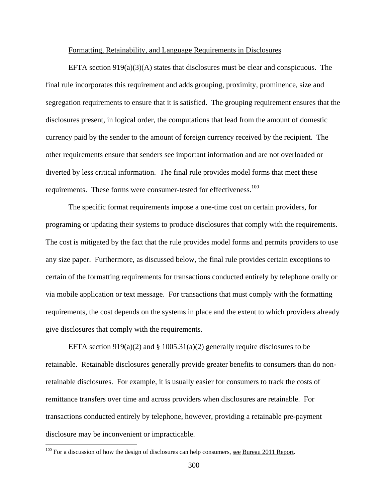## Formatting, Retainability, and Language Requirements in Disclosures

EFTA section  $919(a)(3)(A)$  states that disclosures must be clear and conspicuous. The final rule incorporates this requirement and adds grouping, proximity, prominence, size and segregation requirements to ensure that it is satisfied. The grouping requirement ensures that the disclosures present, in logical order, the computations that lead from the amount of domestic currency paid by the sender to the amount of foreign currency received by the recipient. The other requirements ensure that senders see important information and are not overloaded or diverted by less critical information. The final rule provides model forms that meet these requirements. These forms were consumer-tested for effectiveness.<sup>100</sup>

 The specific format requirements impose a one-time cost on certain providers, for programing or updating their systems to produce disclosures that comply with the requirements. The cost is mitigated by the fact that the rule provides model forms and permits providers to use any size paper. Furthermore, as discussed below, the final rule provides certain exceptions to certain of the formatting requirements for transactions conducted entirely by telephone orally or via mobile application or text message. For transactions that must comply with the formatting requirements, the cost depends on the systems in place and the extent to which providers already give disclosures that comply with the requirements.

EFTA section 919(a)(2) and  $\S$  1005.31(a)(2) generally require disclosures to be retainable. Retainable disclosures generally provide greater benefits to consumers than do nonretainable disclosures. For example, it is usually easier for consumers to track the costs of remittance transfers over time and across providers when disclosures are retainable. For transactions conducted entirely by telephone, however, providing a retainable pre-payment disclosure may be inconvenient or impracticable.

 $100$  For a discussion of how the design of disclosures can help consumers, see Bureau 2011 Report.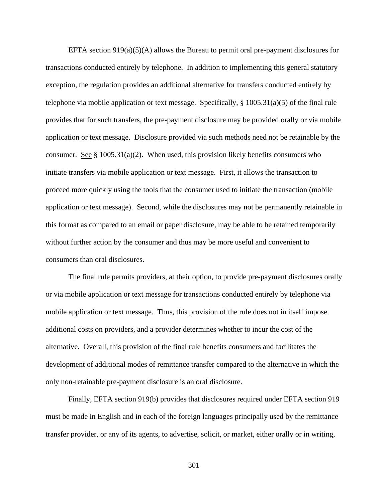EFTA section  $919(a)(5)(A)$  allows the Bureau to permit oral pre-payment disclosures for transactions conducted entirely by telephone. In addition to implementing this general statutory exception, the regulation provides an additional alternative for transfers conducted entirely by telephone via mobile application or text message. Specifically, § 1005.31(a)(5) of the final rule provides that for such transfers, the pre-payment disclosure may be provided orally or via mobile application or text message. Disclosure provided via such methods need not be retainable by the consumer. See § 1005.31(a)(2). When used, this provision likely benefits consumers who initiate transfers via mobile application or text message. First, it allows the transaction to proceed more quickly using the tools that the consumer used to initiate the transaction (mobile application or text message). Second, while the disclosures may not be permanently retainable in this format as compared to an email or paper disclosure, may be able to be retained temporarily without further action by the consumer and thus may be more useful and convenient to consumers than oral disclosures.

The final rule permits providers, at their option, to provide pre-payment disclosures orally or via mobile application or text message for transactions conducted entirely by telephone via mobile application or text message. Thus, this provision of the rule does not in itself impose additional costs on providers, and a provider determines whether to incur the cost of the alternative. Overall, this provision of the final rule benefits consumers and facilitates the development of additional modes of remittance transfer compared to the alternative in which the only non-retainable pre-payment disclosure is an oral disclosure.

 Finally, EFTA section 919(b) provides that disclosures required under EFTA section 919 must be made in English and in each of the foreign languages principally used by the remittance transfer provider, or any of its agents, to advertise, solicit, or market, either orally or in writing,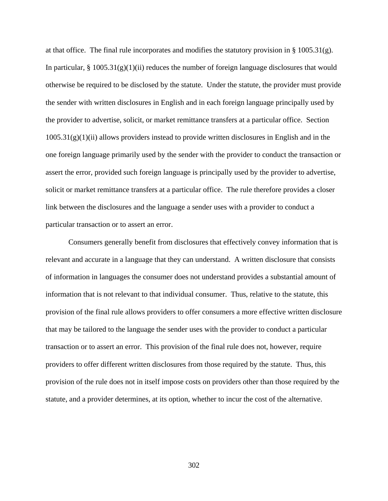at that office. The final rule incorporates and modifies the statutory provision in § 1005.31(g). In particular,  $\S 1005.31(g)(1)(ii)$  reduces the number of foreign language disclosures that would otherwise be required to be disclosed by the statute. Under the statute, the provider must provide the sender with written disclosures in English and in each foreign language principally used by the provider to advertise, solicit, or market remittance transfers at a particular office. Section  $1005.31(g)(1)(ii)$  allows providers instead to provide written disclosures in English and in the one foreign language primarily used by the sender with the provider to conduct the transaction or assert the error, provided such foreign language is principally used by the provider to advertise, solicit or market remittance transfers at a particular office. The rule therefore provides a closer link between the disclosures and the language a sender uses with a provider to conduct a particular transaction or to assert an error.

 Consumers generally benefit from disclosures that effectively convey information that is relevant and accurate in a language that they can understand. A written disclosure that consists of information in languages the consumer does not understand provides a substantial amount of information that is not relevant to that individual consumer. Thus, relative to the statute, this provision of the final rule allows providers to offer consumers a more effective written disclosure that may be tailored to the language the sender uses with the provider to conduct a particular transaction or to assert an error. This provision of the final rule does not, however, require providers to offer different written disclosures from those required by the statute. Thus, this provision of the rule does not in itself impose costs on providers other than those required by the statute, and a provider determines, at its option, whether to incur the cost of the alternative.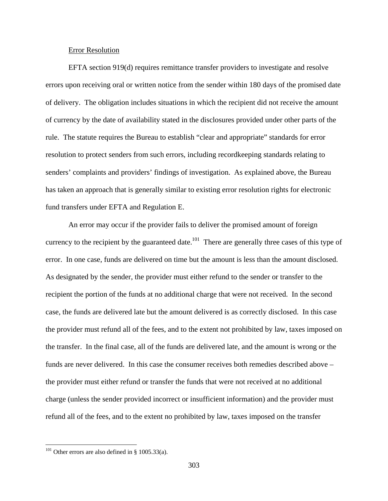### Error Resolution

 EFTA section 919(d) requires remittance transfer providers to investigate and resolve errors upon receiving oral or written notice from the sender within 180 days of the promised date of delivery. The obligation includes situations in which the recipient did not receive the amount of currency by the date of availability stated in the disclosures provided under other parts of the rule. The statute requires the Bureau to establish "clear and appropriate" standards for error resolution to protect senders from such errors, including recordkeeping standards relating to senders' complaints and providers' findings of investigation. As explained above, the Bureau has taken an approach that is generally similar to existing error resolution rights for electronic fund transfers under EFTA and Regulation E.

 An error may occur if the provider fails to deliver the promised amount of foreign currency to the recipient by the guaranteed date.<sup>101</sup> There are generally three cases of this type of error. In one case, funds are delivered on time but the amount is less than the amount disclosed. As designated by the sender, the provider must either refund to the sender or transfer to the recipient the portion of the funds at no additional charge that were not received. In the second case, the funds are delivered late but the amount delivered is as correctly disclosed. In this case the provider must refund all of the fees, and to the extent not prohibited by law, taxes imposed on the transfer. In the final case, all of the funds are delivered late, and the amount is wrong or the funds are never delivered. In this case the consumer receives both remedies described above – the provider must either refund or transfer the funds that were not received at no additional charge (unless the sender provided incorrect or insufficient information) and the provider must refund all of the fees, and to the extent no prohibited by law, taxes imposed on the transfer

<sup>&</sup>lt;sup>101</sup> Other errors are also defined in § 1005.33(a).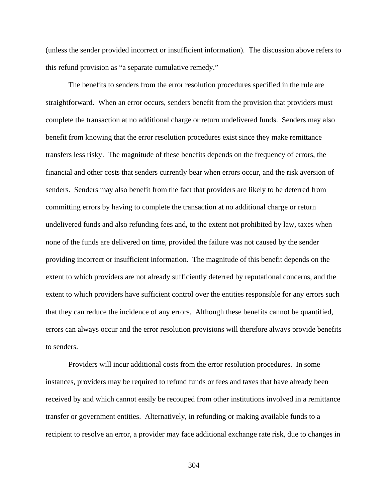(unless the sender provided incorrect or insufficient information). The discussion above refers to this refund provision as "a separate cumulative remedy."

 The benefits to senders from the error resolution procedures specified in the rule are straightforward. When an error occurs, senders benefit from the provision that providers must complete the transaction at no additional charge or return undelivered funds. Senders may also benefit from knowing that the error resolution procedures exist since they make remittance transfers less risky. The magnitude of these benefits depends on the frequency of errors, the financial and other costs that senders currently bear when errors occur, and the risk aversion of senders. Senders may also benefit from the fact that providers are likely to be deterred from committing errors by having to complete the transaction at no additional charge or return undelivered funds and also refunding fees and, to the extent not prohibited by law, taxes when none of the funds are delivered on time, provided the failure was not caused by the sender providing incorrect or insufficient information. The magnitude of this benefit depends on the extent to which providers are not already sufficiently deterred by reputational concerns, and the extent to which providers have sufficient control over the entities responsible for any errors such that they can reduce the incidence of any errors. Although these benefits cannot be quantified, errors can always occur and the error resolution provisions will therefore always provide benefits to senders.

Providers will incur additional costs from the error resolution procedures. In some instances, providers may be required to refund funds or fees and taxes that have already been received by and which cannot easily be recouped from other institutions involved in a remittance transfer or government entities. Alternatively, in refunding or making available funds to a recipient to resolve an error, a provider may face additional exchange rate risk, due to changes in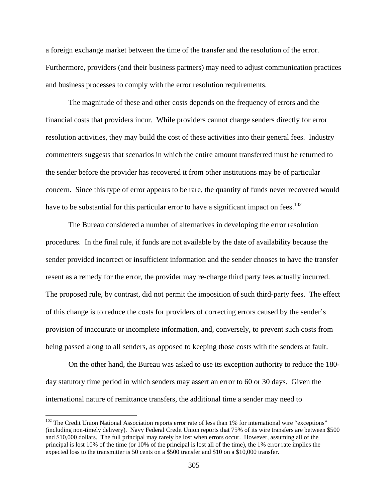a foreign exchange market between the time of the transfer and the resolution of the error. Furthermore, providers (and their business partners) may need to adjust communication practices and business processes to comply with the error resolution requirements.

The magnitude of these and other costs depends on the frequency of errors and the financial costs that providers incur. While providers cannot charge senders directly for error resolution activities, they may build the cost of these activities into their general fees. Industry commenters suggests that scenarios in which the entire amount transferred must be returned to the sender before the provider has recovered it from other institutions may be of particular concern. Since this type of error appears to be rare, the quantity of funds never recovered would have to be substantial for this particular error to have a significant impact on fees.<sup>102</sup>

 The Bureau considered a number of alternatives in developing the error resolution procedures. In the final rule, if funds are not available by the date of availability because the sender provided incorrect or insufficient information and the sender chooses to have the transfer resent as a remedy for the error, the provider may re-charge third party fees actually incurred. The proposed rule, by contrast, did not permit the imposition of such third-party fees. The effect of this change is to reduce the costs for providers of correcting errors caused by the sender's provision of inaccurate or incomplete information, and, conversely, to prevent such costs from being passed along to all senders, as opposed to keeping those costs with the senders at fault.

On the other hand, the Bureau was asked to use its exception authority to reduce the 180 day statutory time period in which senders may assert an error to 60 or 30 days. Given the international nature of remittance transfers, the additional time a sender may need to

<sup>&</sup>lt;sup>102</sup> The Credit Union National Association reports error rate of less than 1% for international wire "exceptions" (including non-timely delivery). Navy Federal Credit Union reports that 75% of its wire transfers are between \$500 and \$10,000 dollars. The full principal may rarely be lost when errors occur. However, assuming all of the principal is lost 10% of the time (or 10% of the principal is lost all of the time), the 1% error rate implies the expected loss to the transmitter is 50 cents on a \$500 transfer and \$10 on a \$10,000 transfer.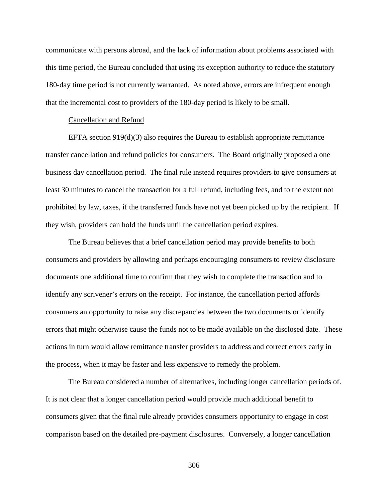communicate with persons abroad, and the lack of information about problems associated with this time period, the Bureau concluded that using its exception authority to reduce the statutory 180-day time period is not currently warranted. As noted above, errors are infrequent enough that the incremental cost to providers of the 180-day period is likely to be small.

#### Cancellation and Refund

 EFTA section 919(d)(3) also requires the Bureau to establish appropriate remittance transfer cancellation and refund policies for consumers. The Board originally proposed a one business day cancellation period. The final rule instead requires providers to give consumers at least 30 minutes to cancel the transaction for a full refund, including fees, and to the extent not prohibited by law, taxes, if the transferred funds have not yet been picked up by the recipient. If they wish, providers can hold the funds until the cancellation period expires.

 The Bureau believes that a brief cancellation period may provide benefits to both consumers and providers by allowing and perhaps encouraging consumers to review disclosure documents one additional time to confirm that they wish to complete the transaction and to identify any scrivener's errors on the receipt. For instance, the cancellation period affords consumers an opportunity to raise any discrepancies between the two documents or identify errors that might otherwise cause the funds not to be made available on the disclosed date. These actions in turn would allow remittance transfer providers to address and correct errors early in the process, when it may be faster and less expensive to remedy the problem.

 The Bureau considered a number of alternatives, including longer cancellation periods of. It is not clear that a longer cancellation period would provide much additional benefit to consumers given that the final rule already provides consumers opportunity to engage in cost comparison based on the detailed pre-payment disclosures. Conversely, a longer cancellation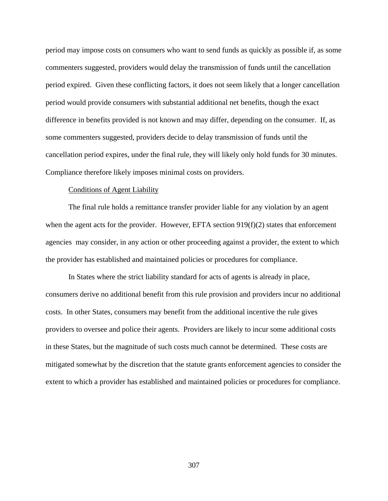period may impose costs on consumers who want to send funds as quickly as possible if, as some commenters suggested, providers would delay the transmission of funds until the cancellation period expired. Given these conflicting factors, it does not seem likely that a longer cancellation period would provide consumers with substantial additional net benefits, though the exact difference in benefits provided is not known and may differ, depending on the consumer. If, as some commenters suggested, providers decide to delay transmission of funds until the cancellation period expires, under the final rule, they will likely only hold funds for 30 minutes. Compliance therefore likely imposes minimal costs on providers.

### Conditions of Agent Liability

 The final rule holds a remittance transfer provider liable for any violation by an agent when the agent acts for the provider. However, EFTA section 919(f)(2) states that enforcement agencies may consider, in any action or other proceeding against a provider, the extent to which the provider has established and maintained policies or procedures for compliance.

 In States where the strict liability standard for acts of agents is already in place, consumers derive no additional benefit from this rule provision and providers incur no additional costs. In other States, consumers may benefit from the additional incentive the rule gives providers to oversee and police their agents. Providers are likely to incur some additional costs in these States, but the magnitude of such costs much cannot be determined. These costs are mitigated somewhat by the discretion that the statute grants enforcement agencies to consider the extent to which a provider has established and maintained policies or procedures for compliance.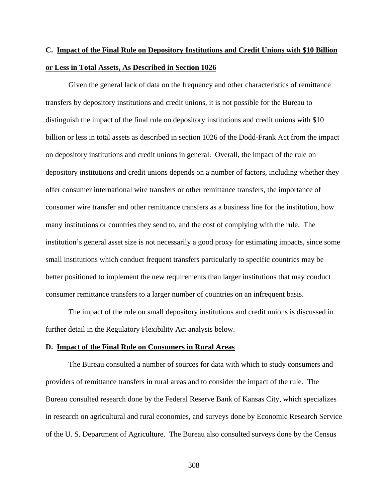# **C. Impact of the Final Rule on Depository Institutions and Credit Unions with \$10 Billion or Less in Total Assets, As Described in Section 1026**

 Given the general lack of data on the frequency and other characteristics of remittance transfers by depository institutions and credit unions, it is not possible for the Bureau to distinguish the impact of the final rule on depository institutions and credit unions with \$10 billion or less in total assets as described in section 1026 of the Dodd-Frank Act from the impact on depository institutions and credit unions in general. Overall, the impact of the rule on depository institutions and credit unions depends on a number of factors, including whether they offer consumer international wire transfers or other remittance transfers, the importance of consumer wire transfer and other remittance transfers as a business line for the institution, how many institutions or countries they send to, and the cost of complying with the rule. The institution's general asset size is not necessarily a good proxy for estimating impacts, since some small institutions which conduct frequent transfers particularly to specific countries may be better positioned to implement the new requirements than larger institutions that may conduct consumer remittance transfers to a larger number of countries on an infrequent basis.

The impact of the rule on small depository institutions and credit unions is discussed in further detail in the Regulatory Flexibility Act analysis below.

### **D. Impact of the Final Rule on Consumers in Rural Areas**

 The Bureau consulted a number of sources for data with which to study consumers and providers of remittance transfers in rural areas and to consider the impact of the rule. The Bureau consulted research done by the Federal Reserve Bank of Kansas City, which specializes in research on agricultural and rural economies, and surveys done by Economic Research Service of the U. S. Department of Agriculture. The Bureau also consulted surveys done by the Census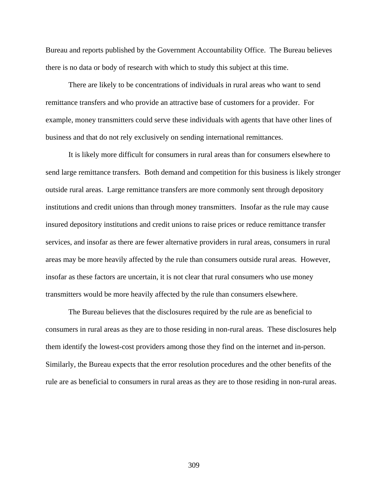Bureau and reports published by the Government Accountability Office. The Bureau believes there is no data or body of research with which to study this subject at this time.

There are likely to be concentrations of individuals in rural areas who want to send remittance transfers and who provide an attractive base of customers for a provider. For example, money transmitters could serve these individuals with agents that have other lines of business and that do not rely exclusively on sending international remittances.

It is likely more difficult for consumers in rural areas than for consumers elsewhere to send large remittance transfers. Both demand and competition for this business is likely stronger outside rural areas. Large remittance transfers are more commonly sent through depository institutions and credit unions than through money transmitters. Insofar as the rule may cause insured depository institutions and credit unions to raise prices or reduce remittance transfer services, and insofar as there are fewer alternative providers in rural areas, consumers in rural areas may be more heavily affected by the rule than consumers outside rural areas. However, insofar as these factors are uncertain, it is not clear that rural consumers who use money transmitters would be more heavily affected by the rule than consumers elsewhere.

 The Bureau believes that the disclosures required by the rule are as beneficial to consumers in rural areas as they are to those residing in non-rural areas. These disclosures help them identify the lowest-cost providers among those they find on the internet and in-person. Similarly, the Bureau expects that the error resolution procedures and the other benefits of the rule are as beneficial to consumers in rural areas as they are to those residing in non-rural areas.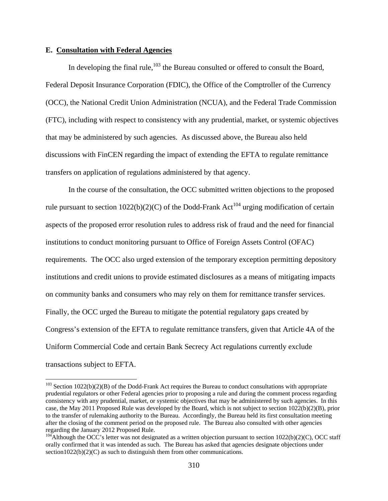# **E. Consultation with Federal Agencies**

 $\overline{a}$ 

In developing the final rule, $103$  the Bureau consulted or offered to consult the Board, Federal Deposit Insurance Corporation (FDIC), the Office of the Comptroller of the Currency (OCC), the National Credit Union Administration (NCUA), and the Federal Trade Commission (FTC), including with respect to consistency with any prudential, market, or systemic objectives that may be administered by such agencies. As discussed above, the Bureau also held discussions with FinCEN regarding the impact of extending the EFTA to regulate remittance transfers on application of regulations administered by that agency.

In the course of the consultation, the OCC submitted written objections to the proposed rule pursuant to section  $1022(b)(2)(C)$  of the Dodd-Frank Act<sup>104</sup> urging modification of certain aspects of the proposed error resolution rules to address risk of fraud and the need for financial institutions to conduct monitoring pursuant to Office of Foreign Assets Control (OFAC) requirements. The OCC also urged extension of the temporary exception permitting depository institutions and credit unions to provide estimated disclosures as a means of mitigating impacts on community banks and consumers who may rely on them for remittance transfer services. Finally, the OCC urged the Bureau to mitigate the potential regulatory gaps created by Congress's extension of the EFTA to regulate remittance transfers, given that Article 4A of the Uniform Commercial Code and certain Bank Secrecy Act regulations currently exclude transactions subject to EFTA.

 $103$  Section 1022(b)(2)(B) of the Dodd-Frank Act requires the Bureau to conduct consultations with appropriate prudential regulators or other Federal agencies prior to proposing a rule and during the comment process regarding consistency with any prudential, market, or systemic objectives that may be administered by such agencies. In this case, the May 2011 Proposed Rule was developed by the Board, which is not subject to section 1022(b)(2)(B), prior to the transfer of rulemaking authority to the Bureau. Accordingly, the Bureau held its first consultation meeting after the closing of the comment period on the proposed rule. The Bureau also consulted with other agencies regarding the January 2012 Proposed Rule.

 $104$ Although the OCC's letter was not designated as a written objection pursuant to section 1022(b)(2)(C), OCC staff orally confirmed that it was intended as such. The Bureau has asked that agencies designate objections under section1022(b)(2)(C) as such to distinguish them from other communications.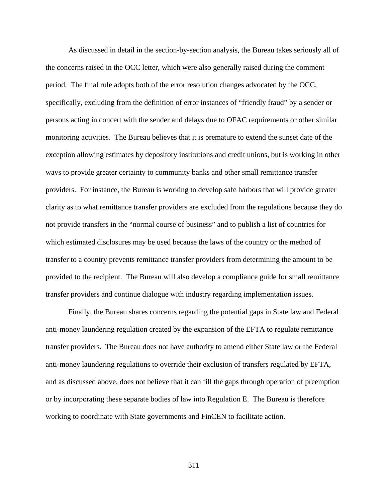As discussed in detail in the section-by-section analysis, the Bureau takes seriously all of the concerns raised in the OCC letter, which were also generally raised during the comment period. The final rule adopts both of the error resolution changes advocated by the OCC, specifically, excluding from the definition of error instances of "friendly fraud" by a sender or persons acting in concert with the sender and delays due to OFAC requirements or other similar monitoring activities. The Bureau believes that it is premature to extend the sunset date of the exception allowing estimates by depository institutions and credit unions, but is working in other ways to provide greater certainty to community banks and other small remittance transfer providers. For instance, the Bureau is working to develop safe harbors that will provide greater clarity as to what remittance transfer providers are excluded from the regulations because they do not provide transfers in the "normal course of business" and to publish a list of countries for which estimated disclosures may be used because the laws of the country or the method of transfer to a country prevents remittance transfer providers from determining the amount to be provided to the recipient. The Bureau will also develop a compliance guide for small remittance transfer providers and continue dialogue with industry regarding implementation issues.

Finally, the Bureau shares concerns regarding the potential gaps in State law and Federal anti-money laundering regulation created by the expansion of the EFTA to regulate remittance transfer providers. The Bureau does not have authority to amend either State law or the Federal anti-money laundering regulations to override their exclusion of transfers regulated by EFTA, and as discussed above, does not believe that it can fill the gaps through operation of preemption or by incorporating these separate bodies of law into Regulation E. The Bureau is therefore working to coordinate with State governments and FinCEN to facilitate action.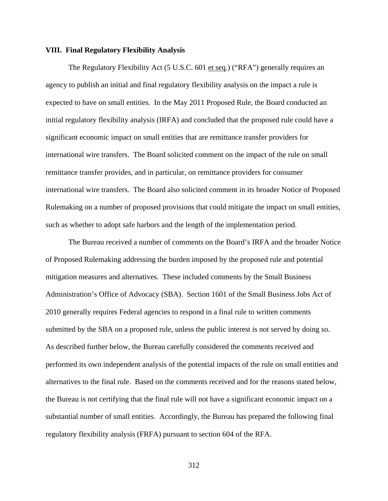# **VIII. Final Regulatory Flexibility Analysis**

The Regulatory Flexibility Act (5 U.S.C. 601 et seq.) ("RFA") generally requires an agency to publish an initial and final regulatory flexibility analysis on the impact a rule is expected to have on small entities. In the May 2011 Proposed Rule, the Board conducted an initial regulatory flexibility analysis (IRFA) and concluded that the proposed rule could have a significant economic impact on small entities that are remittance transfer providers for international wire transfers. The Board solicited comment on the impact of the rule on small remittance transfer provides, and in particular, on remittance providers for consumer international wire transfers. The Board also solicited comment in its broader Notice of Proposed Rulemaking on a number of proposed provisions that could mitigate the impact on small entities, such as whether to adopt safe harbors and the length of the implementation period.

The Bureau received a number of comments on the Board's IRFA and the broader Notice of Proposed Rulemaking addressing the burden imposed by the proposed rule and potential mitigation measures and alternatives. These included comments by the Small Business Administration's Office of Advocacy (SBA). Section 1601 of the Small Business Jobs Act of 2010 generally requires Federal agencies to respond in a final rule to written comments submitted by the SBA on a proposed rule, unless the public interest is not served by doing so. As described further below, the Bureau carefully considered the comments received and performed its own independent analysis of the potential impacts of the rule on small entities and alternatives to the final rule. Based on the comments received and for the reasons stated below, the Bureau is not certifying that the final rule will not have a significant economic impact on a substantial number of small entities. Accordingly, the Bureau has prepared the following final regulatory flexibility analysis (FRFA) pursuant to section 604 of the RFA.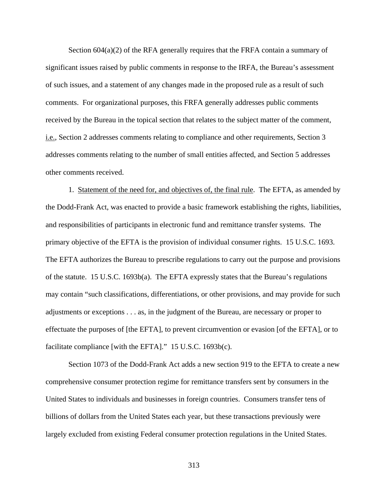Section  $604(a)(2)$  of the RFA generally requires that the FRFA contain a summary of significant issues raised by public comments in response to the IRFA, the Bureau's assessment of such issues, and a statement of any changes made in the proposed rule as a result of such comments. For organizational purposes, this FRFA generally addresses public comments received by the Bureau in the topical section that relates to the subject matter of the comment, i.e., Section 2 addresses comments relating to compliance and other requirements, Section 3 addresses comments relating to the number of small entities affected, and Section 5 addresses other comments received.

1. Statement of the need for, and objectives of, the final rule. The EFTA, as amended by the Dodd-Frank Act, was enacted to provide a basic framework establishing the rights, liabilities, and responsibilities of participants in electronic fund and remittance transfer systems. The primary objective of the EFTA is the provision of individual consumer rights. 15 U.S.C. 1693. The EFTA authorizes the Bureau to prescribe regulations to carry out the purpose and provisions of the statute. 15 U.S.C. 1693b(a). The EFTA expressly states that the Bureau's regulations may contain "such classifications, differentiations, or other provisions, and may provide for such adjustments or exceptions . . . as, in the judgment of the Bureau, are necessary or proper to effectuate the purposes of [the EFTA], to prevent circumvention or evasion [of the EFTA], or to facilitate compliance [with the EFTA]." 15 U.S.C. 1693b(c).

Section 1073 of the Dodd-Frank Act adds a new section 919 to the EFTA to create a new comprehensive consumer protection regime for remittance transfers sent by consumers in the United States to individuals and businesses in foreign countries. Consumers transfer tens of billions of dollars from the United States each year, but these transactions previously were largely excluded from existing Federal consumer protection regulations in the United States.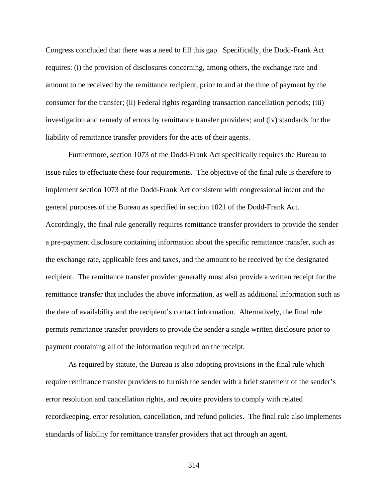Congress concluded that there was a need to fill this gap. Specifically, the Dodd-Frank Act requires: (i) the provision of disclosures concerning, among others, the exchange rate and amount to be received by the remittance recipient, prior to and at the time of payment by the consumer for the transfer; (ii) Federal rights regarding transaction cancellation periods; (iii) investigation and remedy of errors by remittance transfer providers; and (iv) standards for the liability of remittance transfer providers for the acts of their agents.

 Furthermore, section 1073 of the Dodd-Frank Act specifically requires the Bureau to issue rules to effectuate these four requirements. The objective of the final rule is therefore to implement section 1073 of the Dodd-Frank Act consistent with congressional intent and the general purposes of the Bureau as specified in section 1021 of the Dodd-Frank Act. Accordingly, the final rule generally requires remittance transfer providers to provide the sender a pre-payment disclosure containing information about the specific remittance transfer, such as the exchange rate, applicable fees and taxes, and the amount to be received by the designated recipient. The remittance transfer provider generally must also provide a written receipt for the remittance transfer that includes the above information, as well as additional information such as the date of availability and the recipient's contact information. Alternatively, the final rule permits remittance transfer providers to provide the sender a single written disclosure prior to payment containing all of the information required on the receipt.

 As required by statute, the Bureau is also adopting provisions in the final rule which require remittance transfer providers to furnish the sender with a brief statement of the sender's error resolution and cancellation rights, and require providers to comply with related recordkeeping, error resolution, cancellation, and refund policies. The final rule also implements standards of liability for remittance transfer providers that act through an agent.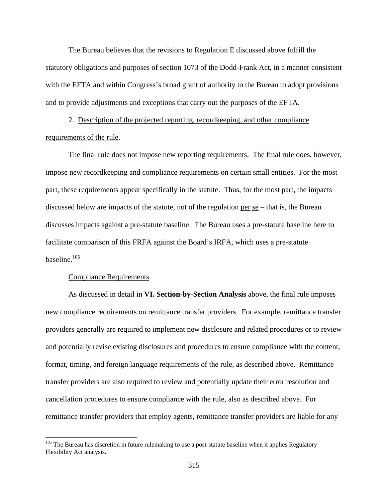The Bureau believes that the revisions to Regulation E discussed above fulfill the statutory obligations and purposes of section 1073 of the Dodd-Frank Act, in a manner consistent with the EFTA and within Congress's broad grant of authority to the Bureau to adopt provisions and to provide adjustments and exceptions that carry out the purposes of the EFTA.

 2. Description of the projected reporting, recordkeeping, and other compliance requirements of the rule.

The final rule does not impose new reporting requirements. The final rule does, however, impose new recordkeeping and compliance requirements on certain small entities. For the most part, these requirements appear specifically in the statute. Thus, for the most part, the impacts discussed below are impacts of the statute, not of the regulation <u>per se</u> – that is, the Bureau discusses impacts against a pre-statute baseline. The Bureau uses a pre-statute baseline here to facilitate comparison of this FRFA against the Board's IRFA, which uses a pre-statute baseline. $105$ 

### Compliance Requirements

 $\overline{a}$ 

As discussed in detail in **VI. Section-by-Section Analysis** above, the final rule imposes new compliance requirements on remittance transfer providers. For example, remittance transfer providers generally are required to implement new disclosure and related procedures or to review and potentially revise existing disclosures and procedures to ensure compliance with the content, format, timing, and foreign language requirements of the rule, as described above. Remittance transfer providers are also required to review and potentially update their error resolution and cancellation procedures to ensure compliance with the rule, also as described above. For remittance transfer providers that employ agents, remittance transfer providers are liable for any

<sup>&</sup>lt;sup>105</sup> The Bureau has discretion in future rulemaking to use a post-statute baseline when it applies Regulatory Flexibility Act analysis.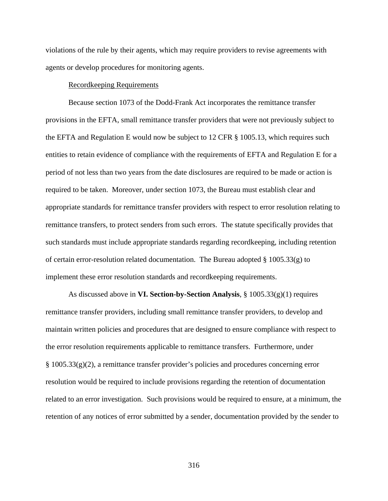violations of the rule by their agents, which may require providers to revise agreements with agents or develop procedures for monitoring agents.

# Recordkeeping Requirements

Because section 1073 of the Dodd-Frank Act incorporates the remittance transfer provisions in the EFTA, small remittance transfer providers that were not previously subject to the EFTA and Regulation E would now be subject to 12 CFR § 1005.13, which requires such entities to retain evidence of compliance with the requirements of EFTA and Regulation E for a period of not less than two years from the date disclosures are required to be made or action is required to be taken. Moreover, under section 1073, the Bureau must establish clear and appropriate standards for remittance transfer providers with respect to error resolution relating to remittance transfers, to protect senders from such errors. The statute specifically provides that such standards must include appropriate standards regarding recordkeeping, including retention of certain error-resolution related documentation. The Bureau adopted § 1005.33(g) to implement these error resolution standards and recordkeeping requirements.

As discussed above in **VI. Section-by-Section Analysis**, § 1005.33(g)(1) requires remittance transfer providers, including small remittance transfer providers, to develop and maintain written policies and procedures that are designed to ensure compliance with respect to the error resolution requirements applicable to remittance transfers. Furthermore, under § 1005.33(g)(2), a remittance transfer provider's policies and procedures concerning error resolution would be required to include provisions regarding the retention of documentation related to an error investigation. Such provisions would be required to ensure, at a minimum, the retention of any notices of error submitted by a sender, documentation provided by the sender to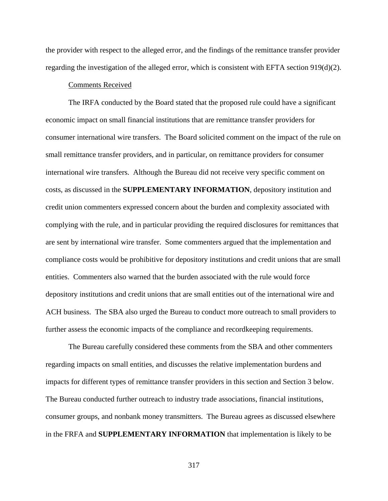the provider with respect to the alleged error, and the findings of the remittance transfer provider regarding the investigation of the alleged error, which is consistent with EFTA section 919(d)(2).

### Comments Received

The IRFA conducted by the Board stated that the proposed rule could have a significant economic impact on small financial institutions that are remittance transfer providers for consumer international wire transfers. The Board solicited comment on the impact of the rule on small remittance transfer providers, and in particular, on remittance providers for consumer international wire transfers. Although the Bureau did not receive very specific comment on costs, as discussed in the **SUPPLEMENTARY INFORMATION**, depository institution and credit union commenters expressed concern about the burden and complexity associated with complying with the rule, and in particular providing the required disclosures for remittances that are sent by international wire transfer. Some commenters argued that the implementation and compliance costs would be prohibitive for depository institutions and credit unions that are small entities. Commenters also warned that the burden associated with the rule would force depository institutions and credit unions that are small entities out of the international wire and ACH business. The SBA also urged the Bureau to conduct more outreach to small providers to further assess the economic impacts of the compliance and recordkeeping requirements.

The Bureau carefully considered these comments from the SBA and other commenters regarding impacts on small entities, and discusses the relative implementation burdens and impacts for different types of remittance transfer providers in this section and Section 3 below. The Bureau conducted further outreach to industry trade associations, financial institutions, consumer groups, and nonbank money transmitters. The Bureau agrees as discussed elsewhere in the FRFA and **SUPPLEMENTARY INFORMATION** that implementation is likely to be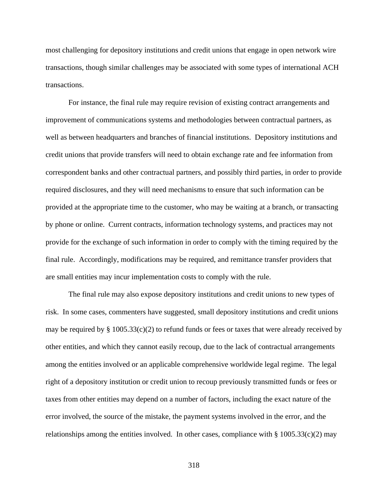most challenging for depository institutions and credit unions that engage in open network wire transactions, though similar challenges may be associated with some types of international ACH transactions.

For instance, the final rule may require revision of existing contract arrangements and improvement of communications systems and methodologies between contractual partners, as well as between headquarters and branches of financial institutions. Depository institutions and credit unions that provide transfers will need to obtain exchange rate and fee information from correspondent banks and other contractual partners, and possibly third parties, in order to provide required disclosures, and they will need mechanisms to ensure that such information can be provided at the appropriate time to the customer, who may be waiting at a branch, or transacting by phone or online. Current contracts, information technology systems, and practices may not provide for the exchange of such information in order to comply with the timing required by the final rule. Accordingly, modifications may be required, and remittance transfer providers that are small entities may incur implementation costs to comply with the rule.

The final rule may also expose depository institutions and credit unions to new types of risk. In some cases, commenters have suggested, small depository institutions and credit unions may be required by  $\S 1005.33(c)(2)$  to refund funds or fees or taxes that were already received by other entities, and which they cannot easily recoup, due to the lack of contractual arrangements among the entities involved or an applicable comprehensive worldwide legal regime. The legal right of a depository institution or credit union to recoup previously transmitted funds or fees or taxes from other entities may depend on a number of factors, including the exact nature of the error involved, the source of the mistake, the payment systems involved in the error, and the relationships among the entities involved. In other cases, compliance with  $\S 1005.33(c)(2)$  may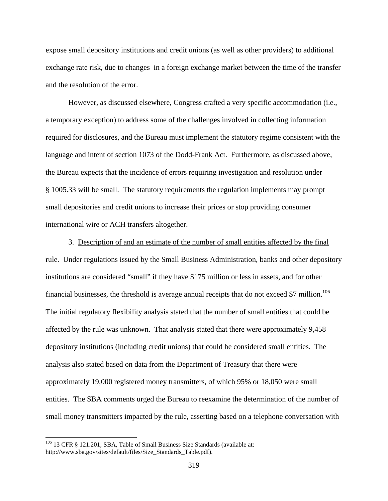expose small depository institutions and credit unions (as well as other providers) to additional exchange rate risk, due to changes in a foreign exchange market between the time of the transfer and the resolution of the error.

However, as discussed elsewhere, Congress crafted a very specific accommodation (i.e., a temporary exception) to address some of the challenges involved in collecting information required for disclosures, and the Bureau must implement the statutory regime consistent with the language and intent of section 1073 of the Dodd-Frank Act. Furthermore, as discussed above, the Bureau expects that the incidence of errors requiring investigation and resolution under § 1005.33 will be small. The statutory requirements the regulation implements may prompt small depositories and credit unions to increase their prices or stop providing consumer international wire or ACH transfers altogether.

3. Description of and an estimate of the number of small entities affected by the final rule. Under regulations issued by the Small Business Administration, banks and other depository institutions are considered "small" if they have \$175 million or less in assets, and for other financial businesses, the threshold is average annual receipts that do not exceed \$7 million.<sup>106</sup> The initial regulatory flexibility analysis stated that the number of small entities that could be affected by the rule was unknown. That analysis stated that there were approximately 9,458 depository institutions (including credit unions) that could be considered small entities. The analysis also stated based on data from the Department of Treasury that there were approximately 19,000 registered money transmitters, of which 95% or 18,050 were small entities. The SBA comments urged the Bureau to reexamine the determination of the number of small money transmitters impacted by the rule, asserting based on a telephone conversation with

<sup>&</sup>lt;sup>106</sup> 13 CFR § 121.201; SBA, Table of Small Business Size Standards (available at: http://www.sba.gov/sites/default/files/Size\_Standards\_Table.pdf).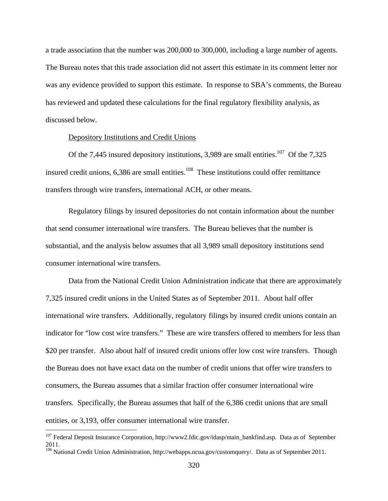a trade association that the number was 200,000 to 300,000, including a large number of agents. The Bureau notes that this trade association did not assert this estimate in its comment letter nor was any evidence provided to support this estimate. In response to SBA's comments, the Bureau has reviewed and updated these calculations for the final regulatory flexibility analysis, as discussed below.

### Depository Institutions and Credit Unions

1

Of the 7,445 insured depository institutions, 3,989 are small entities.<sup>107</sup> Of the 7,325 insured credit unions,  $6,386$  are small entities.<sup>108</sup> These institutions could offer remittance transfers through wire transfers, international ACH, or other means.

Regulatory filings by insured depositories do not contain information about the number that send consumer international wire transfers. The Bureau believes that the number is substantial, and the analysis below assumes that all 3,989 small depository institutions send consumer international wire transfers.

Data from the National Credit Union Administration indicate that there are approximately 7,325 insured credit unions in the United States as of September 2011. About half offer international wire transfers. Additionally, regulatory filings by insured credit unions contain an indicator for "low cost wire transfers." These are wire transfers offered to members for less than \$20 per transfer. Also about half of insured credit unions offer low cost wire transfers. Though the Bureau does not have exact data on the number of credit unions that offer wire transfers to consumers, the Bureau assumes that a similar fraction offer consumer international wire transfers. Specifically, the Bureau assumes that half of the 6,386 credit unions that are small entities, or 3,193, offer consumer international wire transfer.

<sup>&</sup>lt;sup>107</sup> Federal Deposit Insurance Corporation, http://www2.fdic.gov/idasp/main\_bankfind.asp. Data as of September 2011.

<sup>&</sup>lt;sup>108</sup> National Credit Union Administration, http://webapps.ncua.gov/customquery/. Data as of September 2011.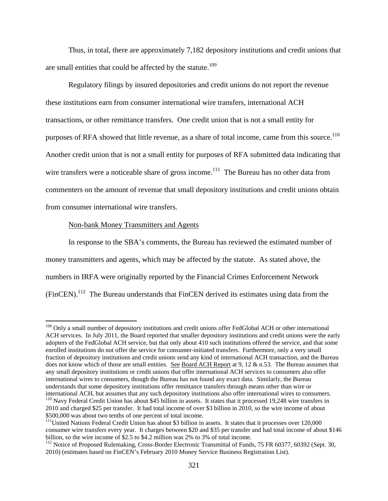Thus, in total, there are approximately 7,182 depository institutions and credit unions that are small entities that could be affected by the statute.<sup>109</sup>

Regulatory filings by insured depositories and credit unions do not report the revenue these institutions earn from consumer international wire transfers, international ACH transactions, or other remittance transfers. One credit union that is not a small entity for purposes of RFA showed that little revenue, as a share of total income, came from this source.<sup>110</sup> Another credit union that is not a small entity for purposes of RFA submitted data indicating that wire transfers were a noticeable share of gross income.<sup>111</sup> The Bureau has no other data from commenters on the amount of revenue that small depository institutions and credit unions obtain from consumer international wire transfers.

## Non-bank Money Transmitters and Agents

 $\overline{a}$ 

In response to the SBA's comments, the Bureau has reviewed the estimated number of money transmitters and agents, which may be affected by the statute. As stated above, the numbers in IRFA were originally reported by the Financial Crimes Enforcement Network (FinCEN).112 The Bureau understands that FinCEN derived its estimates using data from the

<sup>&</sup>lt;sup>109</sup> Only a small number of depository institutions and credit unions offer FedGlobal ACH or other international ACH services. In July 2011, the Board reported that smaller depository institutions and credit unions were the early adopters of the FedGlobal ACH service, but that only about 410 such institutions offered the service, and that some enrolled institutions do not offer the service for consumer-initiated transfers. Furthermore, only a very small fraction of depository institutions and credit unions send any kind of international ACH transaction, and the Bureau does not know which of those are small entities. See Board ACH Report at 9, 12 & n.53. The Bureau assumes that any small depository institutions or credit unions that offer international ACH services to consumers also offer international wires to consumers, though the Bureau has not found any exact data. Similarly, the Bureau understands that some depository institutions offer remittance transfers through means other than wire or international ACH, but assumes that any such depository institutions also offer international wires to consumers. <sup>110</sup> Navy Federal Credit Union has about \$45 billion in assets. It states that it processed 19,248 wire transfers in 2010 and charged \$25 per transfer. It had total income of over \$3 billion in 2010, so the wire income of about \$500,000 was about two tenths of one percent of total income.

<sup>&</sup>lt;sup>111</sup>United Nations Federal Credit Union has about \$3 billion in assets. It states that it processes over 120,000 consumer wire transfers every year. It charges between \$20 and \$35 per transfer and had total income of about \$146 billion, so the wire income of \$2.5 to \$4.2 million was 2% to 3% of total income.

<sup>&</sup>lt;sup>112</sup> Notice of Proposed Rulemaking, Cross-Border Electronic Transmittal of Funds, 75 FR 60377, 60392 (Sept. 30, 2010) (estimates based on FinCEN's February 2010 Money Service Business Registration List).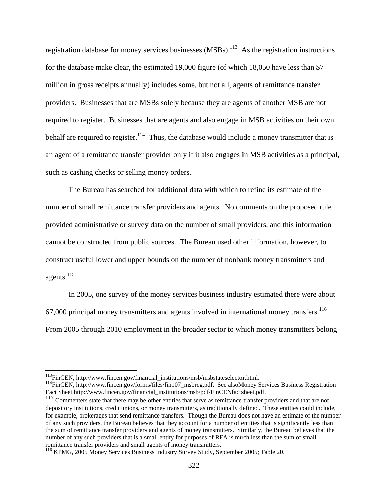registration database for money services businesses  $(MSBs)$ .<sup>113</sup> As the registration instructions for the database make clear, the estimated 19,000 figure (of which 18,050 have less than \$7 million in gross receipts annually) includes some, but not all, agents of remittance transfer providers. Businesses that are MSBs solely because they are agents of another MSB are not required to register. Businesses that are agents and also engage in MSB activities on their own behalf are required to register.<sup>114</sup> Thus, the database would include a money transmitter that is an agent of a remittance transfer provider only if it also engages in MSB activities as a principal, such as cashing checks or selling money orders.

 The Bureau has searched for additional data with which to refine its estimate of the number of small remittance transfer providers and agents. No comments on the proposed rule provided administrative or survey data on the number of small providers, and this information cannot be constructed from public sources. The Bureau used other information, however, to construct useful lower and upper bounds on the number of nonbank money transmitters and agents. $^{115}$ 

 In 2005, one survey of the money services business industry estimated there were about 67,000 principal money transmitters and agents involved in international money transfers.<sup>116</sup> From 2005 through 2010 employment in the broader sector to which money transmitters belong

<sup>&</sup>lt;sup>113</sup>FinCEN, http://www.fincen.gov/financial\_institutions/msb/msbstateselector.html.

<sup>&</sup>lt;sup>114</sup>FinCEN, http://www.fincen.gov/forms/files/fin107\_msbreg.pdf. <u>See alsoMoney Services Business Registration</u> Fact Sheet,http://www.fincen.gov/financial\_institutions/msb/pdf/FinCENfactsheet.pdf.

<sup>&</sup>lt;sup>115</sup> Commenters state that there may be other entities that serve as remittance transfer providers and that are not depository institutions, credit unions, or money transmitters, as traditionally defined. These entities could include, for example, brokerages that send remittance transfers. Though the Bureau does not have an estimate of the number of any such providers, the Bureau believes that they account for a number of entities that is significantly less than the sum of remittance transfer providers and agents of money transmitters. Similarly, the Bureau believes that the number of any such providers that is a small entity for purposes of RFA is much less than the sum of small remittance transfer providers and small agents of money transmitters.<br><sup>116</sup> KPMG, 2005 Money Services Business Industry Survey Study, September 2005; Table 20.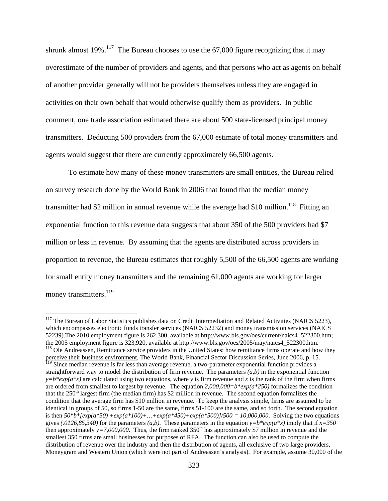shrunk almost  $19\%$ <sup>117</sup>. The Bureau chooses to use the 67,000 figure recognizing that it may overestimate of the number of providers and agents, and that persons who act as agents on behalf of another provider generally will not be providers themselves unless they are engaged in activities on their own behalf that would otherwise qualify them as providers. In public comment, one trade association estimated there are about 500 state-licensed principal money transmitters. Deducting 500 providers from the 67,000 estimate of total money transmitters and agents would suggest that there are currently approximately 66,500 agents.

To estimate how many of these money transmitters are small entities, the Bureau relied on survey research done by the World Bank in 2006 that found that the median money transmitter had \$2 million in annual revenue while the average had \$10 million.<sup>118</sup> Fitting an exponential function to this revenue data suggests that about 350 of the 500 providers had \$7 million or less in revenue. By assuming that the agents are distributed across providers in proportion to revenue, the Bureau estimates that roughly 5,500 of the 66,500 agents are working for small entity money transmitters and the remaining 61,000 agents are working for larger money transmitters.<sup>119</sup>

<sup>&</sup>lt;sup>117</sup> The Bureau of Labor Statistics publishes data on Credit Intermediation and Related Activities (NAICS 5223), which encompasses electronic funds transfer services (NAICS 52232) and money transmission services (NAICS 52239).The 2010 employment figure is 262,300, available at http://www.bls.gov/oes/current/naics4\_522300.htm; the 2005 employment figure is 323,920, available at http://www.bls.gov/oes/2005/may/naics4\_522300.htm.<br><sup>118</sup> Ole Andreassen, Remittance service providers in the United States: how remittance firms operate and how they perceive their business environment, The World Bank, Financial Sector Discussion Series, June 2006, p. 15. <sup>119</sup> Since median revenue is far less than average revenue, a two-parameter exponential function provides a straightforward way to model the distribution of firm revenue. The parameters  $(a,b)$  in the exponential function  $y=b*exp(a*x)$  are calculated using two equations, where *y* is firm revenue and *x* is the rank of the firm when firms are ordered from smallest to largest by revenue. The equation *2,000,000=b\*exp(a\*250)* formalizes the condition that the  $250<sup>th</sup>$  largest firm (the median firm) has \$2 million in revenue. The second equation formalizes the condition that the average firm has \$10 million in revenue. To keep the analysis simple, firms are assumed to be identical in groups of 50, so firms 1-50 are the same, firms 51-100 are the same, and so forth. The second equation is then  $50^*b^*[exp(a^*50) + exp(a^*100) + ... + exp(a^*450) + exp(a^*500)]/500 = 10,000,000$ . Solving the two equations gives (.0126,85,340) for the parameters  $(a,b)$ . These parameters in the equation  $y=b*exp(a*x)$  imply that if  $x=350$ then approximately  $y=7,000,000$ . Thus, the firm ranked 350<sup>th</sup> has approximately \$7 million in revenue and the smallest 350 firms are small businesses for purposes of RFA. The function can also be used to compute the distribution of revenue over the industry and then the distribution of agents, all exclusive of two large providers, Moneygram and Western Union (which were not part of Andreassen's analysis). For example, assume 30,000 of the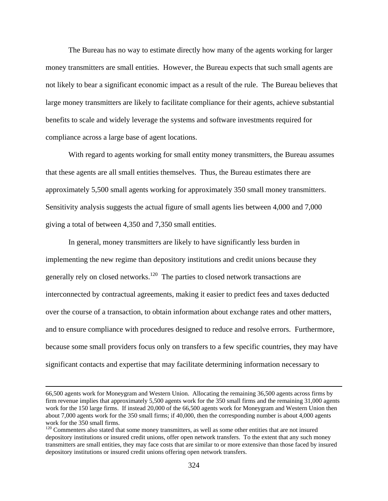The Bureau has no way to estimate directly how many of the agents working for larger money transmitters are small entities. However, the Bureau expects that such small agents are not likely to bear a significant economic impact as a result of the rule. The Bureau believes that large money transmitters are likely to facilitate compliance for their agents, achieve substantial benefits to scale and widely leverage the systems and software investments required for compliance across a large base of agent locations.

With regard to agents working for small entity money transmitters, the Bureau assumes that these agents are all small entities themselves. Thus, the Bureau estimates there are approximately 5,500 small agents working for approximately 350 small money transmitters. Sensitivity analysis suggests the actual figure of small agents lies between 4,000 and 7,000 giving a total of between 4,350 and 7,350 small entities.

 In general, money transmitters are likely to have significantly less burden in implementing the new regime than depository institutions and credit unions because they generally rely on closed networks.<sup>120</sup> The parties to closed network transactions are interconnected by contractual agreements, making it easier to predict fees and taxes deducted over the course of a transaction, to obtain information about exchange rates and other matters, and to ensure compliance with procedures designed to reduce and resolve errors. Furthermore, because some small providers focus only on transfers to a few specific countries, they may have significant contacts and expertise that may facilitate determining information necessary to

 <sup>66,500</sup> agents work for Moneygram and Western Union. Allocating the remaining 36,500 agents across firms by firm revenue implies that approximately 5,500 agents work for the 350 small firms and the remaining 31,000 agents work for the 150 large firms. If instead 20,000 of the 66,500 agents work for Moneygram and Western Union then about 7,000 agents work for the 350 small firms; if 40,000, then the corresponding number is about 4,000 agents work for the 350 small firms.

<sup>&</sup>lt;sup>120</sup> Commenters also stated that some money transmitters, as well as some other entities that are not insured depository institutions or insured credit unions, offer open network transfers. To the extent that any such money transmitters are small entities, they may face costs that are similar to or more extensive than those faced by insured depository institutions or insured credit unions offering open network transfers.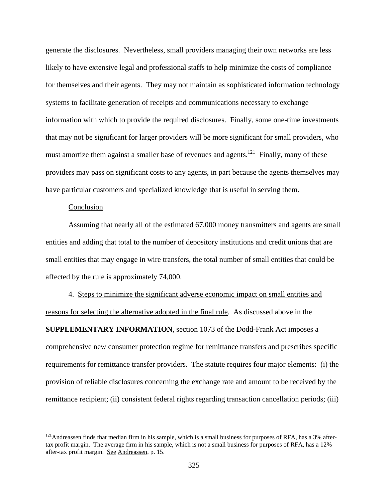generate the disclosures. Nevertheless, small providers managing their own networks are less likely to have extensive legal and professional staffs to help minimize the costs of compliance for themselves and their agents. They may not maintain as sophisticated information technology systems to facilitate generation of receipts and communications necessary to exchange information with which to provide the required disclosures. Finally, some one-time investments that may not be significant for larger providers will be more significant for small providers, who must amortize them against a smaller base of revenues and agents.<sup>121</sup> Finally, many of these providers may pass on significant costs to any agents, in part because the agents themselves may have particular customers and specialized knowledge that is useful in serving them.

## Conclusion

 $\overline{a}$ 

Assuming that nearly all of the estimated 67,000 money transmitters and agents are small entities and adding that total to the number of depository institutions and credit unions that are small entities that may engage in wire transfers, the total number of small entities that could be affected by the rule is approximately 74,000.

4. Steps to minimize the significant adverse economic impact on small entities and reasons for selecting the alternative adopted in the final rule. As discussed above in the **SUPPLEMENTARY INFORMATION**, section 1073 of the Dodd-Frank Act imposes a comprehensive new consumer protection regime for remittance transfers and prescribes specific requirements for remittance transfer providers. The statute requires four major elements: (i) the provision of reliable disclosures concerning the exchange rate and amount to be received by the remittance recipient; (ii) consistent federal rights regarding transaction cancellation periods; (iii)

 $121$ Andreassen finds that median firm in his sample, which is a small business for purposes of RFA, has a 3% aftertax profit margin. The average firm in his sample, which is not a small business for purposes of RFA, has a 12% after-tax profit margin. See Andreassen, p. 15.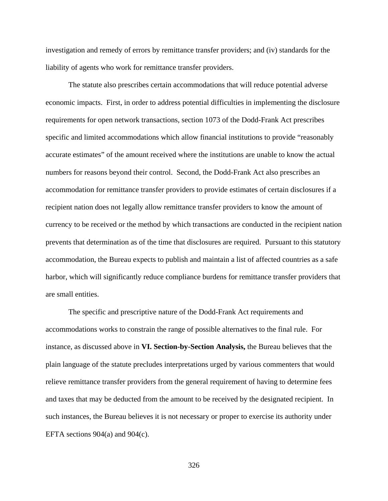investigation and remedy of errors by remittance transfer providers; and (iv) standards for the liability of agents who work for remittance transfer providers.

The statute also prescribes certain accommodations that will reduce potential adverse economic impacts. First, in order to address potential difficulties in implementing the disclosure requirements for open network transactions, section 1073 of the Dodd-Frank Act prescribes specific and limited accommodations which allow financial institutions to provide "reasonably accurate estimates" of the amount received where the institutions are unable to know the actual numbers for reasons beyond their control. Second, the Dodd-Frank Act also prescribes an accommodation for remittance transfer providers to provide estimates of certain disclosures if a recipient nation does not legally allow remittance transfer providers to know the amount of currency to be received or the method by which transactions are conducted in the recipient nation prevents that determination as of the time that disclosures are required. Pursuant to this statutory accommodation, the Bureau expects to publish and maintain a list of affected countries as a safe harbor, which will significantly reduce compliance burdens for remittance transfer providers that are small entities.

 The specific and prescriptive nature of the Dodd-Frank Act requirements and accommodations works to constrain the range of possible alternatives to the final rule. For instance, as discussed above in **VI. Section-by-Section Analysis,** the Bureau believes that the plain language of the statute precludes interpretations urged by various commenters that would relieve remittance transfer providers from the general requirement of having to determine fees and taxes that may be deducted from the amount to be received by the designated recipient. In such instances, the Bureau believes it is not necessary or proper to exercise its authority under EFTA sections  $904(a)$  and  $904(c)$ .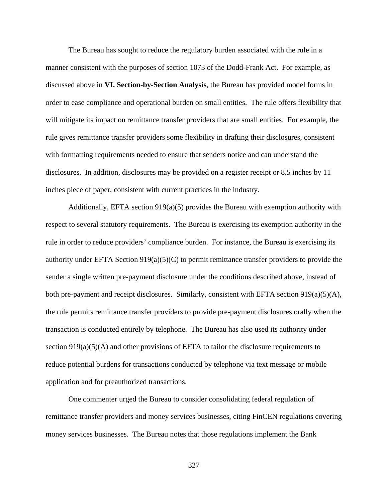The Bureau has sought to reduce the regulatory burden associated with the rule in a manner consistent with the purposes of section 1073 of the Dodd-Frank Act. For example, as discussed above in **VI. Section-by-Section Analysis**, the Bureau has provided model forms in order to ease compliance and operational burden on small entities. The rule offers flexibility that will mitigate its impact on remittance transfer providers that are small entities. For example, the rule gives remittance transfer providers some flexibility in drafting their disclosures, consistent with formatting requirements needed to ensure that senders notice and can understand the disclosures. In addition, disclosures may be provided on a register receipt or 8.5 inches by 11 inches piece of paper, consistent with current practices in the industry.

 Additionally, EFTA section 919(a)(5) provides the Bureau with exemption authority with respect to several statutory requirements. The Bureau is exercising its exemption authority in the rule in order to reduce providers' compliance burden. For instance, the Bureau is exercising its authority under EFTA Section 919(a)(5)(C) to permit remittance transfer providers to provide the sender a single written pre-payment disclosure under the conditions described above, instead of both pre-payment and receipt disclosures. Similarly, consistent with EFTA section 919(a)(5)(A), the rule permits remittance transfer providers to provide pre-payment disclosures orally when the transaction is conducted entirely by telephone. The Bureau has also used its authority under section  $919(a)(5)(A)$  and other provisions of EFTA to tailor the disclosure requirements to reduce potential burdens for transactions conducted by telephone via text message or mobile application and for preauthorized transactions.

One commenter urged the Bureau to consider consolidating federal regulation of remittance transfer providers and money services businesses, citing FinCEN regulations covering money services businesses. The Bureau notes that those regulations implement the Bank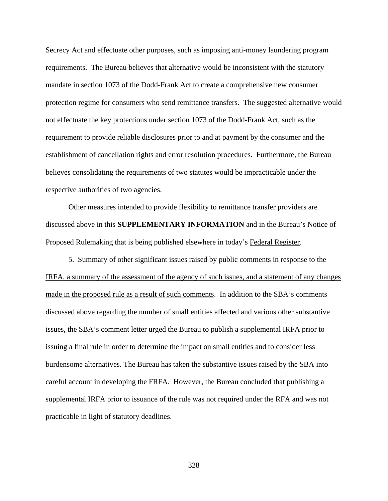Secrecy Act and effectuate other purposes, such as imposing anti-money laundering program requirements. The Bureau believes that alternative would be inconsistent with the statutory mandate in section 1073 of the Dodd-Frank Act to create a comprehensive new consumer protection regime for consumers who send remittance transfers. The suggested alternative would not effectuate the key protections under section 1073 of the Dodd-Frank Act, such as the requirement to provide reliable disclosures prior to and at payment by the consumer and the establishment of cancellation rights and error resolution procedures. Furthermore, the Bureau believes consolidating the requirements of two statutes would be impracticable under the respective authorities of two agencies.

 Other measures intended to provide flexibility to remittance transfer providers are discussed above in this **SUPPLEMENTARY INFORMATION** and in the Bureau's Notice of Proposed Rulemaking that is being published elsewhere in today's Federal Register.

5. Summary of other significant issues raised by public comments in response to the IRFA, a summary of the assessment of the agency of such issues, and a statement of any changes made in the proposed rule as a result of such comments. In addition to the SBA's comments discussed above regarding the number of small entities affected and various other substantive issues, the SBA's comment letter urged the Bureau to publish a supplemental IRFA prior to issuing a final rule in order to determine the impact on small entities and to consider less burdensome alternatives. The Bureau has taken the substantive issues raised by the SBA into careful account in developing the FRFA. However, the Bureau concluded that publishing a supplemental IRFA prior to issuance of the rule was not required under the RFA and was not practicable in light of statutory deadlines.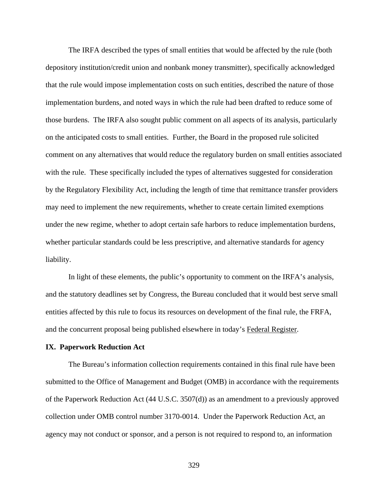The IRFA described the types of small entities that would be affected by the rule (both depository institution/credit union and nonbank money transmitter), specifically acknowledged that the rule would impose implementation costs on such entities, described the nature of those implementation burdens, and noted ways in which the rule had been drafted to reduce some of those burdens. The IRFA also sought public comment on all aspects of its analysis, particularly on the anticipated costs to small entities. Further, the Board in the proposed rule solicited comment on any alternatives that would reduce the regulatory burden on small entities associated with the rule. These specifically included the types of alternatives suggested for consideration by the Regulatory Flexibility Act, including the length of time that remittance transfer providers may need to implement the new requirements, whether to create certain limited exemptions under the new regime, whether to adopt certain safe harbors to reduce implementation burdens, whether particular standards could be less prescriptive, and alternative standards for agency liability.

In light of these elements, the public's opportunity to comment on the IRFA's analysis, and the statutory deadlines set by Congress, the Bureau concluded that it would best serve small entities affected by this rule to focus its resources on development of the final rule, the FRFA, and the concurrent proposal being published elsewhere in today's Federal Register.

### **IX. Paperwork Reduction Act**

 The Bureau's information collection requirements contained in this final rule have been submitted to the Office of Management and Budget (OMB) in accordance with the requirements of the Paperwork Reduction Act (44 U.S.C. 3507(d)) as an amendment to a previously approved collection under OMB control number 3170-0014. Under the Paperwork Reduction Act, an agency may not conduct or sponsor, and a person is not required to respond to, an information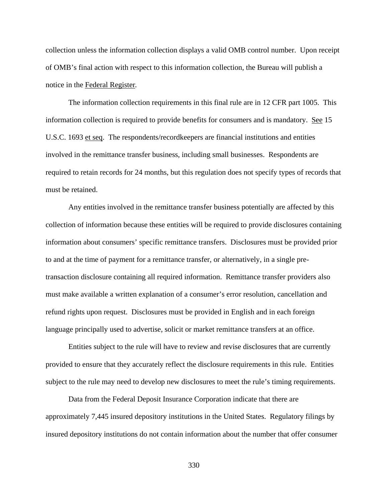collection unless the information collection displays a valid OMB control number. Upon receipt of OMB's final action with respect to this information collection, the Bureau will publish a notice in the Federal Register*.*

 The information collection requirements in this final rule are in 12 CFR part 1005. This information collection is required to provide benefits for consumers and is mandatory. See 15 U.S.C. 1693 et seq. The respondents/recordkeepers are financial institutions and entities involved in the remittance transfer business, including small businesses. Respondents are required to retain records for 24 months, but this regulation does not specify types of records that must be retained.

Any entities involved in the remittance transfer business potentially are affected by this collection of information because these entities will be required to provide disclosures containing information about consumers' specific remittance transfers. Disclosures must be provided prior to and at the time of payment for a remittance transfer, or alternatively, in a single pretransaction disclosure containing all required information. Remittance transfer providers also must make available a written explanation of a consumer's error resolution, cancellation and refund rights upon request. Disclosures must be provided in English and in each foreign language principally used to advertise, solicit or market remittance transfers at an office.

 Entities subject to the rule will have to review and revise disclosures that are currently provided to ensure that they accurately reflect the disclosure requirements in this rule. Entities subject to the rule may need to develop new disclosures to meet the rule's timing requirements.

 Data from the Federal Deposit Insurance Corporation indicate that there are approximately 7,445 insured depository institutions in the United States. Regulatory filings by insured depository institutions do not contain information about the number that offer consumer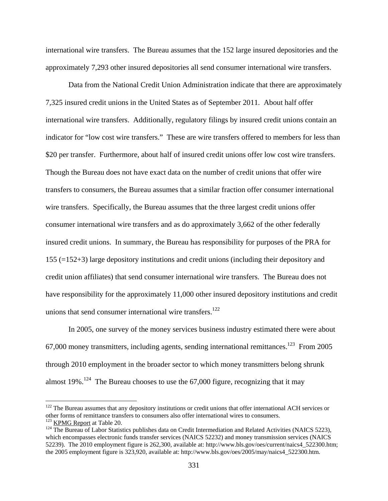international wire transfers. The Bureau assumes that the 152 large insured depositories and the approximately 7,293 other insured depositories all send consumer international wire transfers.

 Data from the National Credit Union Administration indicate that there are approximately 7,325 insured credit unions in the United States as of September 2011. About half offer international wire transfers. Additionally, regulatory filings by insured credit unions contain an indicator for "low cost wire transfers." These are wire transfers offered to members for less than \$20 per transfer. Furthermore, about half of insured credit unions offer low cost wire transfers. Though the Bureau does not have exact data on the number of credit unions that offer wire transfers to consumers, the Bureau assumes that a similar fraction offer consumer international wire transfers. Specifically, the Bureau assumes that the three largest credit unions offer consumer international wire transfers and as do approximately 3,662 of the other federally insured credit unions. In summary, the Bureau has responsibility for purposes of the PRA for 155 (=152+3) large depository institutions and credit unions (including their depository and credit union affiliates) that send consumer international wire transfers. The Bureau does not have responsibility for the approximately 11,000 other insured depository institutions and credit unions that send consumer international wire transfers.<sup>122</sup>

 In 2005, one survey of the money services business industry estimated there were about 67,000 money transmitters, including agents, sending international remittances.<sup>123</sup> From 2005 through 2010 employment in the broader sector to which money transmitters belong shrunk almost  $19\%$ .<sup>124</sup> The Bureau chooses to use the 67,000 figure, recognizing that it may

 $\overline{a}$ 

 $122$  The Bureau assumes that any depository institutions or credit unions that offer international ACH services or other forms of remittance transfers to consumers also offer international wires to consumers.<br><sup>123</sup> KPMG Report at Table 20.<br><sup>124</sup> The Bureau of Labor Statistics publishes data on Credit Intermediation and Related Activiti

which encompasses electronic funds transfer services (NAICS 52232) and money transmission services (NAICS 52239). The 2010 employment figure is 262,300, available at: http://www.bls.gov/oes/current/naics4\_522300.htm; the 2005 employment figure is 323,920, available at: http://www.bls.gov/oes/2005/may/naics4\_522300.htm.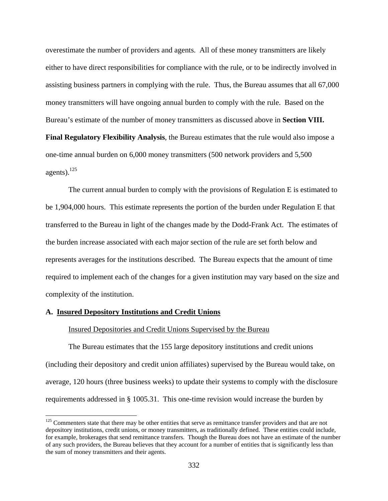overestimate the number of providers and agents. All of these money transmitters are likely either to have direct responsibilities for compliance with the rule, or to be indirectly involved in assisting business partners in complying with the rule. Thus, the Bureau assumes that all 67,000 money transmitters will have ongoing annual burden to comply with the rule. Based on the Bureau's estimate of the number of money transmitters as discussed above in **Section VIII. Final Regulatory Flexibility Analysis**, the Bureau estimates that the rule would also impose a one-time annual burden on 6,000 money transmitters (500 network providers and 5,500 agents). $^{125}$ 

 The current annual burden to comply with the provisions of Regulation E is estimated to be 1,904,000 hours. This estimate represents the portion of the burden under Regulation E that transferred to the Bureau in light of the changes made by the Dodd-Frank Act. The estimates of the burden increase associated with each major section of the rule are set forth below and represents averages for the institutions described. The Bureau expects that the amount of time required to implement each of the changes for a given institution may vary based on the size and complexity of the institution.

## **A. Insured Depository Institutions and Credit Unions**

 $\overline{a}$ 

#### Insured Depositories and Credit Unions Supervised by the Bureau

The Bureau estimates that the 155 large depository institutions and credit unions (including their depository and credit union affiliates) supervised by the Bureau would take, on average, 120 hours (three business weeks) to update their systems to comply with the disclosure requirements addressed in § 1005.31. This one-time revision would increase the burden by

<sup>&</sup>lt;sup>125</sup> Commenters state that there may be other entities that serve as remittance transfer providers and that are not depository institutions, credit unions, or money transmitters, as traditionally defined. These entities could include, for example, brokerages that send remittance transfers. Though the Bureau does not have an estimate of the number of any such providers, the Bureau believes that they account for a number of entities that is significantly less than the sum of money transmitters and their agents.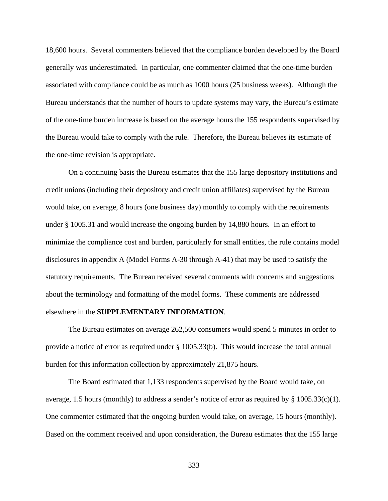18,600 hours. Several commenters believed that the compliance burden developed by the Board generally was underestimated. In particular, one commenter claimed that the one-time burden associated with compliance could be as much as 1000 hours (25 business weeks). Although the Bureau understands that the number of hours to update systems may vary, the Bureau's estimate of the one-time burden increase is based on the average hours the 155 respondents supervised by the Bureau would take to comply with the rule. Therefore, the Bureau believes its estimate of the one-time revision is appropriate.

On a continuing basis the Bureau estimates that the 155 large depository institutions and credit unions (including their depository and credit union affiliates) supervised by the Bureau would take, on average, 8 hours (one business day) monthly to comply with the requirements under § 1005.31 and would increase the ongoing burden by 14,880 hours. In an effort to minimize the compliance cost and burden, particularly for small entities, the rule contains model disclosures in appendix A (Model Forms A-30 through A-41) that may be used to satisfy the statutory requirements. The Bureau received several comments with concerns and suggestions about the terminology and formatting of the model forms. These comments are addressed elsewhere in the **SUPPLEMENTARY INFORMATION**.

 The Bureau estimates on average 262,500 consumers would spend 5 minutes in order to provide a notice of error as required under § 1005.33(b). This would increase the total annual burden for this information collection by approximately 21,875 hours.

The Board estimated that 1,133 respondents supervised by the Board would take, on average, 1.5 hours (monthly) to address a sender's notice of error as required by  $\S 1005.33(c)(1)$ . One commenter estimated that the ongoing burden would take, on average, 15 hours (monthly). Based on the comment received and upon consideration, the Bureau estimates that the 155 large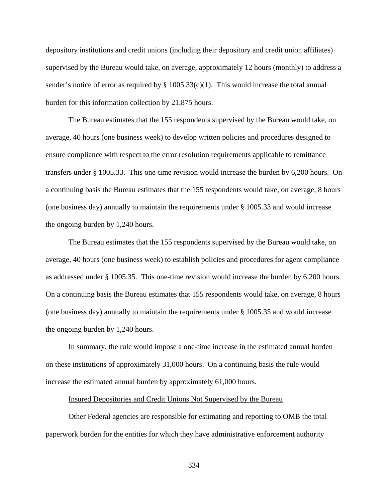depository institutions and credit unions (including their depository and credit union affiliates) supervised by the Bureau would take, on average, approximately 12 hours (monthly) to address a sender's notice of error as required by  $\S$  1005.33(c)(1). This would increase the total annual burden for this information collection by 21,875 hours.

The Bureau estimates that the 155 respondents supervised by the Bureau would take, on average, 40 hours (one business week) to develop written policies and procedures designed to ensure compliance with respect to the error resolution requirements applicable to remittance transfers under § 1005.33. This one-time revision would increase the burden by 6,200 hours. On a continuing basis the Bureau estimates that the 155 respondents would take, on average, 8 hours (one business day) annually to maintain the requirements under § 1005.33 and would increase the ongoing burden by 1,240 hours.

The Bureau estimates that the 155 respondents supervised by the Bureau would take, on average, 40 hours (one business week) to establish policies and procedures for agent compliance as addressed under § 1005.35. This one-time revision would increase the burden by 6,200 hours. On a continuing basis the Bureau estimates that 155 respondents would take, on average, 8 hours (one business day) annually to maintain the requirements under § 1005.35 and would increase the ongoing burden by 1,240 hours.

In summary, the rule would impose a one-time increase in the estimated annual burden on these institutions of approximately 31,000 hours. On a continuing basis the rule would increase the estimated annual burden by approximately 61,000 hours.

### Insured Depositories and Credit Unions Not Supervised by the Bureau

Other Federal agencies are responsible for estimating and reporting to OMB the total paperwork burden for the entities for which they have administrative enforcement authority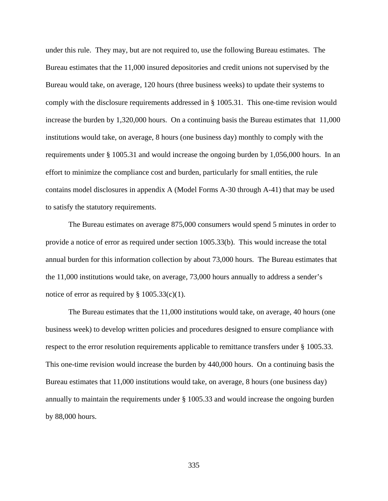under this rule. They may, but are not required to, use the following Bureau estimates. The Bureau estimates that the 11,000 insured depositories and credit unions not supervised by the Bureau would take, on average, 120 hours (three business weeks) to update their systems to comply with the disclosure requirements addressed in § 1005.31. This one-time revision would increase the burden by 1,320,000 hours. On a continuing basis the Bureau estimates that 11,000 institutions would take, on average, 8 hours (one business day) monthly to comply with the requirements under § 1005.31 and would increase the ongoing burden by 1,056,000 hours. In an effort to minimize the compliance cost and burden, particularly for small entities, the rule contains model disclosures in appendix A (Model Forms A-30 through A-41) that may be used to satisfy the statutory requirements.

 The Bureau estimates on average 875,000 consumers would spend 5 minutes in order to provide a notice of error as required under section 1005.33(b). This would increase the total annual burden for this information collection by about 73,000 hours. The Bureau estimates that the 11,000 institutions would take, on average, 73,000 hours annually to address a sender's notice of error as required by  $\S 1005.33(c)(1)$ .

The Bureau estimates that the 11,000 institutions would take, on average, 40 hours (one business week) to develop written policies and procedures designed to ensure compliance with respect to the error resolution requirements applicable to remittance transfers under § 1005.33. This one-time revision would increase the burden by 440,000 hours. On a continuing basis the Bureau estimates that 11,000 institutions would take, on average, 8 hours (one business day) annually to maintain the requirements under § 1005.33 and would increase the ongoing burden by 88,000 hours.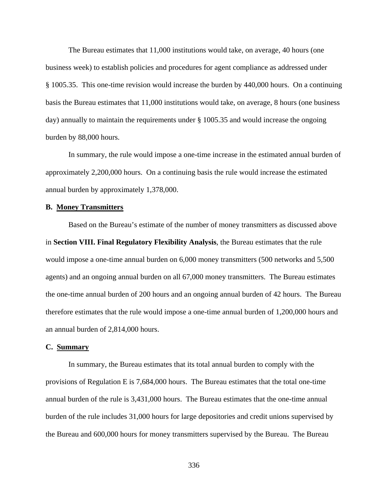The Bureau estimates that 11,000 institutions would take, on average, 40 hours (one business week) to establish policies and procedures for agent compliance as addressed under § 1005.35. This one-time revision would increase the burden by 440,000 hours. On a continuing basis the Bureau estimates that 11,000 institutions would take, on average, 8 hours (one business day) annually to maintain the requirements under § 1005.35 and would increase the ongoing burden by 88,000 hours.

In summary, the rule would impose a one-time increase in the estimated annual burden of approximately 2,200,000 hours. On a continuing basis the rule would increase the estimated annual burden by approximately 1,378,000.

### **B. Money Transmitters**

 Based on the Bureau's estimate of the number of money transmitters as discussed above in **Section VIII. Final Regulatory Flexibility Analysis**, the Bureau estimates that the rule would impose a one-time annual burden on 6,000 money transmitters (500 networks and 5,500 agents) and an ongoing annual burden on all 67,000 money transmitters. The Bureau estimates the one-time annual burden of 200 hours and an ongoing annual burden of 42 hours. The Bureau therefore estimates that the rule would impose a one-time annual burden of 1,200,000 hours and an annual burden of 2,814,000 hours.

#### **C. Summary**

 In summary, the Bureau estimates that its total annual burden to comply with the provisions of Regulation E is 7,684,000 hours. The Bureau estimates that the total one-time annual burden of the rule is 3,431,000 hours. The Bureau estimates that the one-time annual burden of the rule includes 31,000 hours for large depositories and credit unions supervised by the Bureau and 600,000 hours for money transmitters supervised by the Bureau. The Bureau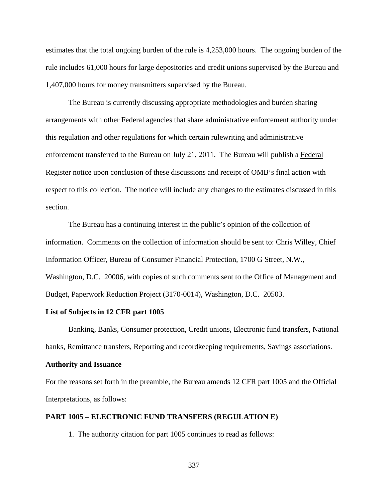estimates that the total ongoing burden of the rule is 4,253,000 hours. The ongoing burden of the rule includes 61,000 hours for large depositories and credit unions supervised by the Bureau and 1,407,000 hours for money transmitters supervised by the Bureau.

 The Bureau is currently discussing appropriate methodologies and burden sharing arrangements with other Federal agencies that share administrative enforcement authority under this regulation and other regulations for which certain rulewriting and administrative enforcement transferred to the Bureau on July 21, 2011. The Bureau will publish a Federal Register notice upon conclusion of these discussions and receipt of OMB's final action with respect to this collection. The notice will include any changes to the estimates discussed in this section.

 The Bureau has a continuing interest in the public's opinion of the collection of information. Comments on the collection of information should be sent to: Chris Willey, Chief Information Officer, Bureau of Consumer Financial Protection, 1700 G Street, N.W., Washington, D.C. 20006, with copies of such comments sent to the Office of Management and Budget, Paperwork Reduction Project (3170-0014), Washington, D.C. 20503.

## **List of Subjects in 12 CFR part 1005**

 Banking, Banks, Consumer protection, Credit unions, Electronic fund transfers, National banks, Remittance transfers, Reporting and recordkeeping requirements, Savings associations.

### **Authority and Issuance**

For the reasons set forth in the preamble, the Bureau amends 12 CFR part 1005 and the Official Interpretations, as follows:

# **PART 1005 – ELECTRONIC FUND TRANSFERS (REGULATION E)**

1. The authority citation for part 1005 continues to read as follows: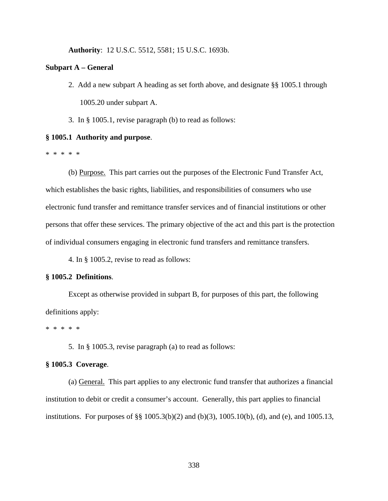**Authority**: 12 U.S.C. 5512, 5581; 15 U.S.C. 1693b.

## **Subpart A – General**

- 2. Add a new subpart A heading as set forth above, and designate §§ 1005.1 through 1005.20 under subpart A.
- 3. In § 1005.1, revise paragraph (b) to read as follows:

## **§ 1005.1 Authority and purpose**.

\* \* \* \* \*

(b) Purpose. This part carries out the purposes of the Electronic Fund Transfer Act, which establishes the basic rights, liabilities, and responsibilities of consumers who use electronic fund transfer and remittance transfer services and of financial institutions or other persons that offer these services. The primary objective of the act and this part is the protection of individual consumers engaging in electronic fund transfers and remittance transfers.

4. In § 1005.2, revise to read as follows:

## **§ 1005.2 Definitions**.

Except as otherwise provided in subpart B, for purposes of this part, the following definitions apply:

\* \* \* \* \*

5. In § 1005.3, revise paragraph (a) to read as follows:

## **§ 1005.3 Coverage**.

 (a) General. This part applies to any electronic fund transfer that authorizes a financial institution to debit or credit a consumer's account. Generally, this part applies to financial institutions. For purposes of §§ 1005.3(b)(2) and (b)(3), 1005.10(b), (d), and (e), and 1005.13,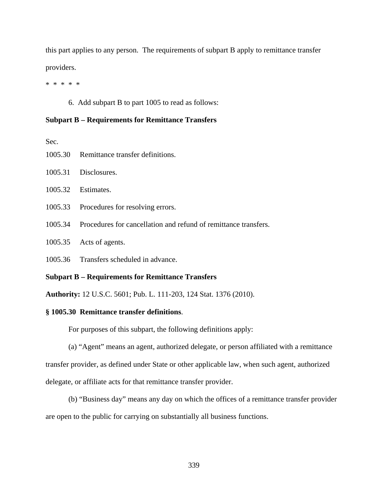this part applies to any person. The requirements of subpart B apply to remittance transfer providers.

\* \* \* \* \*

6. Add subpart B to part 1005 to read as follows:

## **Subpart B – Requirements for Remittance Transfers**

Sec.

- 1005.30 Remittance transfer definitions.
- 1005.31 Disclosures.
- 1005.32 Estimates.
- 1005.33 Procedures for resolving errors.
- 1005.34 Procedures for cancellation and refund of remittance transfers.
- 1005.35 Acts of agents.
- 1005.36 Transfers scheduled in advance.

#### **Subpart B – Requirements for Remittance Transfers**

**Authority:** 12 U.S.C. 5601; Pub. L. 111-203, 124 Stat. 1376 (2010).

## **§ 1005.30 Remittance transfer definitions**.

For purposes of this subpart, the following definitions apply:

(a) "Agent" means an agent, authorized delegate, or person affiliated with a remittance transfer provider, as defined under State or other applicable law, when such agent, authorized delegate, or affiliate acts for that remittance transfer provider.

(b) "Business day" means any day on which the offices of a remittance transfer provider are open to the public for carrying on substantially all business functions.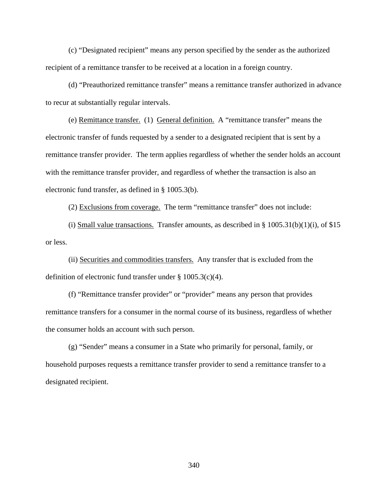(c) "Designated recipient" means any person specified by the sender as the authorized recipient of a remittance transfer to be received at a location in a foreign country.

(d) "Preauthorized remittance transfer" means a remittance transfer authorized in advance to recur at substantially regular intervals.

(e) Remittance transfer. (1) General definition. A "remittance transfer" means the electronic transfer of funds requested by a sender to a designated recipient that is sent by a remittance transfer provider. The term applies regardless of whether the sender holds an account with the remittance transfer provider, and regardless of whether the transaction is also an electronic fund transfer, as defined in § 1005.3(b).

(2) Exclusions from coverage. The term "remittance transfer" does not include:

(i) Small value transactions. Transfer amounts, as described in  $\S$  1005.31(b)(1)(i), of \$15 or less.

(ii) Securities and commodities transfers. Any transfer that is excluded from the definition of electronic fund transfer under § 1005.3(c)(4).

(f) "Remittance transfer provider" or "provider" means any person that provides remittance transfers for a consumer in the normal course of its business, regardless of whether the consumer holds an account with such person.

 (g) "Sender" means a consumer in a State who primarily for personal, family, or household purposes requests a remittance transfer provider to send a remittance transfer to a designated recipient.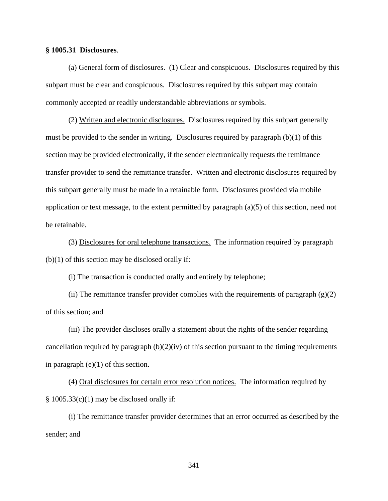## **§ 1005.31 Disclosures**.

(a) General form of disclosures. (1) Clear and conspicuous. Disclosures required by this subpart must be clear and conspicuous. Disclosures required by this subpart may contain commonly accepted or readily understandable abbreviations or symbols.

(2) Written and electronic disclosures. Disclosures required by this subpart generally must be provided to the sender in writing. Disclosures required by paragraph  $(b)(1)$  of this section may be provided electronically, if the sender electronically requests the remittance transfer provider to send the remittance transfer. Written and electronic disclosures required by this subpart generally must be made in a retainable form. Disclosures provided via mobile application or text message, to the extent permitted by paragraph (a)(5) of this section, need not be retainable.

(3) Disclosures for oral telephone transactions. The information required by paragraph  $(b)(1)$  of this section may be disclosed orally if:

(i) The transaction is conducted orally and entirely by telephone;

(ii) The remittance transfer provider complies with the requirements of paragraph  $(g)(2)$ of this section; and

(iii) The provider discloses orally a statement about the rights of the sender regarding cancellation required by paragraph  $(b)(2)(iv)$  of this section pursuant to the timing requirements in paragraph  $(e)(1)$  of this section.

(4) Oral disclosures for certain error resolution notices. The information required by § 1005.33(c)(1) may be disclosed orally if:

(i) The remittance transfer provider determines that an error occurred as described by the sender; and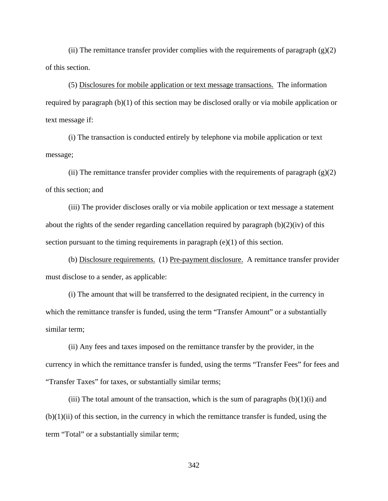(ii) The remittance transfer provider complies with the requirements of paragraph  $(g)(2)$ of this section.

(5) Disclosures for mobile application or text message transactions. The information required by paragraph (b)(1) of this section may be disclosed orally or via mobile application or text message if:

(i) The transaction is conducted entirely by telephone via mobile application or text message;

(ii) The remittance transfer provider complies with the requirements of paragraph  $(g)(2)$ of this section; and

(iii) The provider discloses orally or via mobile application or text message a statement about the rights of the sender regarding cancellation required by paragraph  $(b)(2)(iv)$  of this section pursuant to the timing requirements in paragraph  $(e)(1)$  of this section.

(b) Disclosure requirements. (1) Pre-payment disclosure. A remittance transfer provider must disclose to a sender, as applicable:

(i) The amount that will be transferred to the designated recipient, in the currency in which the remittance transfer is funded, using the term "Transfer Amount" or a substantially similar term;

(ii) Any fees and taxes imposed on the remittance transfer by the provider, in the currency in which the remittance transfer is funded, using the terms "Transfer Fees" for fees and "Transfer Taxes" for taxes, or substantially similar terms;

(iii) The total amount of the transaction, which is the sum of paragraphs  $(b)(1)(i)$  and  $(b)(1)(ii)$  of this section, in the currency in which the remittance transfer is funded, using the term "Total" or a substantially similar term;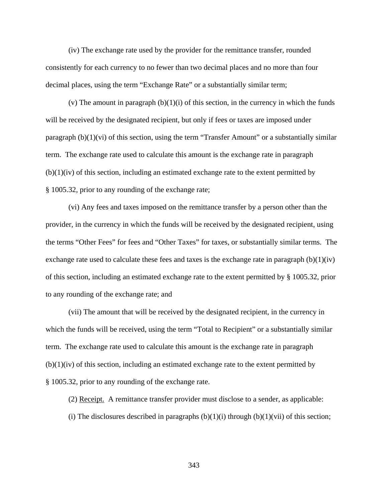(iv) The exchange rate used by the provider for the remittance transfer, rounded consistently for each currency to no fewer than two decimal places and no more than four decimal places, using the term "Exchange Rate" or a substantially similar term;

(v) The amount in paragraph  $(b)(1)(i)$  of this section, in the currency in which the funds will be received by the designated recipient, but only if fees or taxes are imposed under paragraph  $(b)(1)(vi)$  of this section, using the term "Transfer Amount" or a substantially similar term. The exchange rate used to calculate this amount is the exchange rate in paragraph  $(b)(1)(iv)$  of this section, including an estimated exchange rate to the extent permitted by § 1005.32, prior to any rounding of the exchange rate;

(vi) Any fees and taxes imposed on the remittance transfer by a person other than the provider, in the currency in which the funds will be received by the designated recipient, using the terms "Other Fees" for fees and "Other Taxes" for taxes, or substantially similar terms. The exchange rate used to calculate these fees and taxes is the exchange rate in paragraph  $(b)(1)(iv)$ of this section, including an estimated exchange rate to the extent permitted by § 1005.32, prior to any rounding of the exchange rate; and

(vii) The amount that will be received by the designated recipient, in the currency in which the funds will be received, using the term "Total to Recipient" or a substantially similar term. The exchange rate used to calculate this amount is the exchange rate in paragraph  $(b)(1)(iv)$  of this section, including an estimated exchange rate to the extent permitted by § 1005.32, prior to any rounding of the exchange rate.

(2) Receipt. A remittance transfer provider must disclose to a sender, as applicable:

(i) The disclosures described in paragraphs  $(b)(1)(i)$  through  $(b)(1)(vi)$  of this section;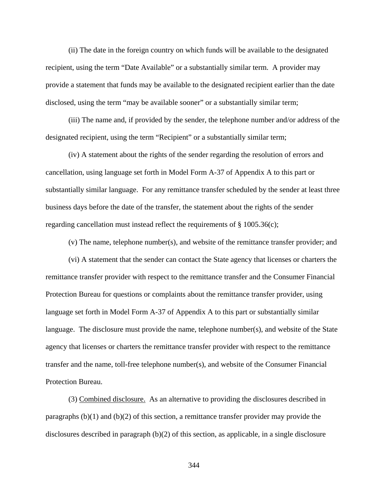(ii) The date in the foreign country on which funds will be available to the designated recipient, using the term "Date Available" or a substantially similar term. A provider may provide a statement that funds may be available to the designated recipient earlier than the date disclosed, using the term "may be available sooner" or a substantially similar term;

(iii) The name and, if provided by the sender, the telephone number and/or address of the designated recipient, using the term "Recipient" or a substantially similar term;

(iv) A statement about the rights of the sender regarding the resolution of errors and cancellation, using language set forth in Model Form A-37 of Appendix A to this part or substantially similar language. For any remittance transfer scheduled by the sender at least three business days before the date of the transfer, the statement about the rights of the sender regarding cancellation must instead reflect the requirements of § 1005.36(c);

(v) The name, telephone number(s), and website of the remittance transfer provider; and

(vi) A statement that the sender can contact the State agency that licenses or charters the remittance transfer provider with respect to the remittance transfer and the Consumer Financial Protection Bureau for questions or complaints about the remittance transfer provider, using language set forth in Model Form A-37 of Appendix A to this part or substantially similar language. The disclosure must provide the name, telephone number(s), and website of the State agency that licenses or charters the remittance transfer provider with respect to the remittance transfer and the name, toll-free telephone number(s), and website of the Consumer Financial Protection Bureau.

(3) Combined disclosure. As an alternative to providing the disclosures described in paragraphs  $(b)(1)$  and  $(b)(2)$  of this section, a remittance transfer provider may provide the disclosures described in paragraph (b)(2) of this section, as applicable, in a single disclosure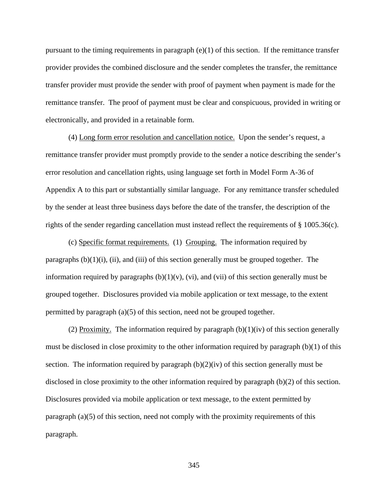pursuant to the timing requirements in paragraph (e)(1) of this section. If the remittance transfer provider provides the combined disclosure and the sender completes the transfer, the remittance transfer provider must provide the sender with proof of payment when payment is made for the remittance transfer. The proof of payment must be clear and conspicuous, provided in writing or electronically, and provided in a retainable form.

(4) Long form error resolution and cancellation notice. Upon the sender's request, a remittance transfer provider must promptly provide to the sender a notice describing the sender's error resolution and cancellation rights, using language set forth in Model Form A-36 of Appendix A to this part or substantially similar language. For any remittance transfer scheduled by the sender at least three business days before the date of the transfer, the description of the rights of the sender regarding cancellation must instead reflect the requirements of § 1005.36(c).

(c) Specific format requirements. (1) Grouping. The information required by paragraphs  $(b)(1)(i)$ ,  $(ii)$ , and  $(iii)$  of this section generally must be grouped together. The information required by paragraphs  $(b)(1)(v)$ ,  $(vi)$ , and  $(vii)$  of this section generally must be grouped together. Disclosures provided via mobile application or text message, to the extent permitted by paragraph (a)(5) of this section, need not be grouped together.

(2) Proximity. The information required by paragraph  $(b)(1)(iv)$  of this section generally must be disclosed in close proximity to the other information required by paragraph (b)(1) of this section. The information required by paragraph  $(b)(2)(iv)$  of this section generally must be disclosed in close proximity to the other information required by paragraph (b)(2) of this section. Disclosures provided via mobile application or text message, to the extent permitted by paragraph (a)(5) of this section, need not comply with the proximity requirements of this paragraph.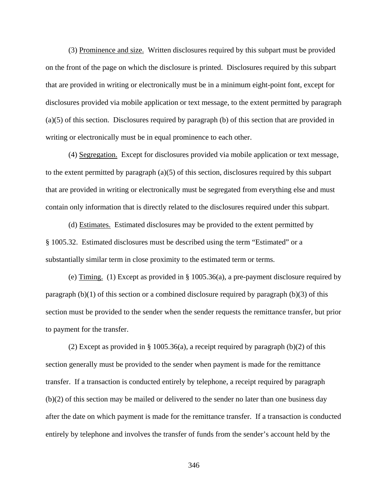(3) Prominence and size. Written disclosures required by this subpart must be provided on the front of the page on which the disclosure is printed. Disclosures required by this subpart that are provided in writing or electronically must be in a minimum eight-point font, except for disclosures provided via mobile application or text message, to the extent permitted by paragraph (a)(5) of this section. Disclosures required by paragraph (b) of this section that are provided in writing or electronically must be in equal prominence to each other.

(4) Segregation. Except for disclosures provided via mobile application or text message, to the extent permitted by paragraph (a)(5) of this section, disclosures required by this subpart that are provided in writing or electronically must be segregated from everything else and must contain only information that is directly related to the disclosures required under this subpart.

(d) Estimates. Estimated disclosures may be provided to the extent permitted by § 1005.32. Estimated disclosures must be described using the term "Estimated" or a substantially similar term in close proximity to the estimated term or terms.

(e) Timing. (1) Except as provided in § 1005.36(a), a pre-payment disclosure required by paragraph (b)(1) of this section or a combined disclosure required by paragraph (b)(3) of this section must be provided to the sender when the sender requests the remittance transfer, but prior to payment for the transfer.

(2) Except as provided in § 1005.36(a), a receipt required by paragraph (b)(2) of this section generally must be provided to the sender when payment is made for the remittance transfer. If a transaction is conducted entirely by telephone, a receipt required by paragraph (b)(2) of this section may be mailed or delivered to the sender no later than one business day after the date on which payment is made for the remittance transfer. If a transaction is conducted entirely by telephone and involves the transfer of funds from the sender's account held by the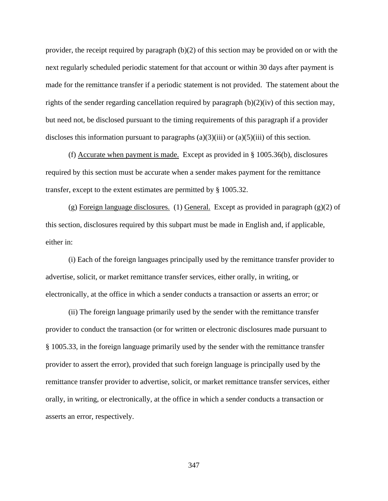provider, the receipt required by paragraph (b)(2) of this section may be provided on or with the next regularly scheduled periodic statement for that account or within 30 days after payment is made for the remittance transfer if a periodic statement is not provided. The statement about the rights of the sender regarding cancellation required by paragraph (b)(2)(iv) of this section may, but need not, be disclosed pursuant to the timing requirements of this paragraph if a provider discloses this information pursuant to paragraphs  $(a)(3)(iii)$  or  $(a)(5)(iii)$  of this section.

(f) Accurate when payment is made. Except as provided in § 1005.36(b), disclosures required by this section must be accurate when a sender makes payment for the remittance transfer, except to the extent estimates are permitted by § 1005.32.

(g) Foreign language disclosures. (1) General. Except as provided in paragraph  $(g)(2)$  of this section, disclosures required by this subpart must be made in English and, if applicable, either in:

(i) Each of the foreign languages principally used by the remittance transfer provider to advertise, solicit, or market remittance transfer services, either orally, in writing, or electronically, at the office in which a sender conducts a transaction or asserts an error; or

(ii) The foreign language primarily used by the sender with the remittance transfer provider to conduct the transaction (or for written or electronic disclosures made pursuant to § 1005.33, in the foreign language primarily used by the sender with the remittance transfer provider to assert the error), provided that such foreign language is principally used by the remittance transfer provider to advertise, solicit, or market remittance transfer services, either orally, in writing, or electronically, at the office in which a sender conducts a transaction or asserts an error, respectively.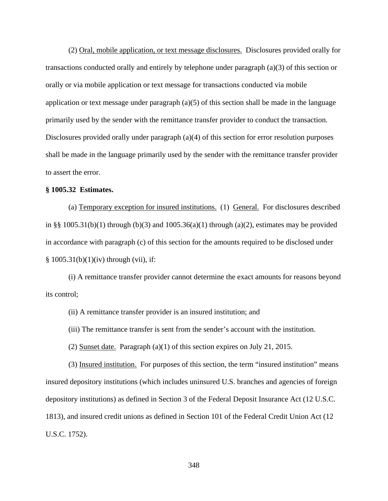(2) Oral, mobile application, or text message disclosures. Disclosures provided orally for transactions conducted orally and entirely by telephone under paragraph (a)(3) of this section or orally or via mobile application or text message for transactions conducted via mobile application or text message under paragraph (a)(5) of this section shall be made in the language primarily used by the sender with the remittance transfer provider to conduct the transaction. Disclosures provided orally under paragraph (a)(4) of this section for error resolution purposes shall be made in the language primarily used by the sender with the remittance transfer provider to assert the error.

# **§ 1005.32 Estimates.**

(a) Temporary exception for insured institutions. (1) General. For disclosures described in §§ 1005.31(b)(1) through (b)(3) and 1005.36(a)(1) through (a)(2), estimates may be provided in accordance with paragraph (c) of this section for the amounts required to be disclosed under  $§ 1005.31(b)(1)(iv)$  through (vii), if:

(i) A remittance transfer provider cannot determine the exact amounts for reasons beyond its control;

(ii) A remittance transfer provider is an insured institution; and

(iii) The remittance transfer is sent from the sender's account with the institution.

(2) Sunset date. Paragraph (a)(1) of this section expires on July 21, 2015.

 (3) Insured institution. For purposes of this section, the term "insured institution" means insured depository institutions (which includes uninsured U.S. branches and agencies of foreign depository institutions) as defined in Section 3 of the Federal Deposit Insurance Act (12 U.S.C. 1813), and insured credit unions as defined in Section 101 of the Federal Credit Union Act (12 U.S.C. 1752).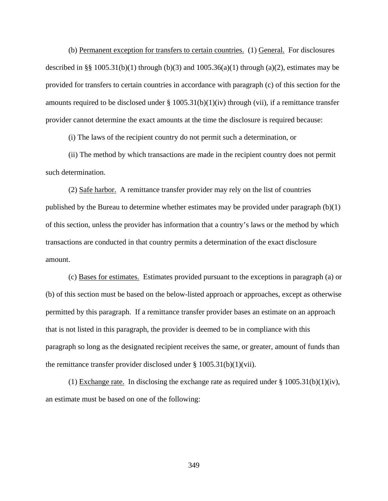(b) Permanent exception for transfers to certain countries. (1) General. For disclosures described in §§ 1005.31(b)(1) through (b)(3) and  $1005.36(a)(1)$  through (a)(2), estimates may be provided for transfers to certain countries in accordance with paragraph (c) of this section for the amounts required to be disclosed under § 1005.31(b)(1)(iv) through (vii), if a remittance transfer provider cannot determine the exact amounts at the time the disclosure is required because:

(i) The laws of the recipient country do not permit such a determination, or

(ii) The method by which transactions are made in the recipient country does not permit such determination.

(2) Safe harbor. A remittance transfer provider may rely on the list of countries published by the Bureau to determine whether estimates may be provided under paragraph (b)(1) of this section, unless the provider has information that a country's laws or the method by which transactions are conducted in that country permits a determination of the exact disclosure amount.

(c) Bases for estimates. Estimates provided pursuant to the exceptions in paragraph (a) or (b) of this section must be based on the below-listed approach or approaches, except as otherwise permitted by this paragraph. If a remittance transfer provider bases an estimate on an approach that is not listed in this paragraph, the provider is deemed to be in compliance with this paragraph so long as the designated recipient receives the same, or greater, amount of funds than the remittance transfer provider disclosed under  $\S 1005.31(b)(1)(vii)$ .

(1) Exchange rate. In disclosing the exchange rate as required under § 1005.31(b)(1)(iv), an estimate must be based on one of the following: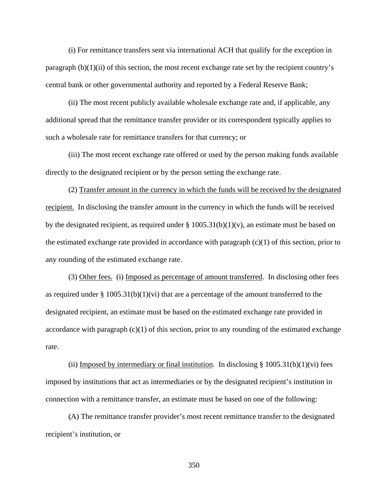(i) For remittance transfers sent via international ACH that qualify for the exception in paragraph (b)(1)(ii) of this section, the most recent exchange rate set by the recipient country's central bank or other governmental authority and reported by a Federal Reserve Bank;

(ii) The most recent publicly available wholesale exchange rate and, if applicable, any additional spread that the remittance transfer provider or its correspondent typically applies to such a wholesale rate for remittance transfers for that currency; or

(iii) The most recent exchange rate offered or used by the person making funds available directly to the designated recipient or by the person setting the exchange rate.

(2) Transfer amount in the currency in which the funds will be received by the designated recipient. In disclosing the transfer amount in the currency in which the funds will be received by the designated recipient, as required under  $\S 1005.31(b)(1)(v)$ , an estimate must be based on the estimated exchange rate provided in accordance with paragraph  $(c)(1)$  of this section, prior to any rounding of the estimated exchange rate.

(3) Other fees. (i) Imposed as percentage of amount transferred. In disclosing other fees as required under  $\S 1005.31(b)(1)(vi)$  that are a percentage of the amount transferred to the designated recipient, an estimate must be based on the estimated exchange rate provided in accordance with paragraph  $(c)(1)$  of this section, prior to any rounding of the estimated exchange rate.

(ii) Imposed by intermediary or final institution. In disclosing  $\S$  1005.31(b)(1)(vi) fees imposed by institutions that act as intermediaries or by the designated recipient's institution in connection with a remittance transfer, an estimate must be based on one of the following:

(A) The remittance transfer provider's most recent remittance transfer to the designated recipient's institution, or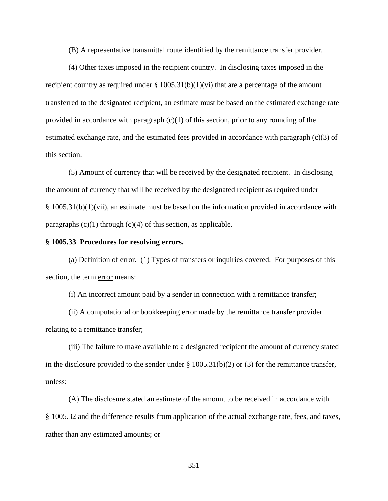(B) A representative transmittal route identified by the remittance transfer provider.

(4) Other taxes imposed in the recipient country. In disclosing taxes imposed in the recipient country as required under  $\S 1005.31(b)(1)(vi)$  that are a percentage of the amount transferred to the designated recipient, an estimate must be based on the estimated exchange rate provided in accordance with paragraph  $(c)(1)$  of this section, prior to any rounding of the estimated exchange rate, and the estimated fees provided in accordance with paragraph (c)(3) of this section.

(5) Amount of currency that will be received by the designated recipient. In disclosing the amount of currency that will be received by the designated recipient as required under § 1005.31(b)(1)(vii), an estimate must be based on the information provided in accordance with paragraphs  $(c)(1)$  through  $(c)(4)$  of this section, as applicable.

### **§ 1005.33 Procedures for resolving errors.**

(a) Definition of error. (1) Types of transfers or inquiries covered. For purposes of this section, the term error means:

(i) An incorrect amount paid by a sender in connection with a remittance transfer;

(ii) A computational or bookkeeping error made by the remittance transfer provider relating to a remittance transfer;

 (iii) The failure to make available to a designated recipient the amount of currency stated in the disclosure provided to the sender under  $\S 1005.31(b)(2)$  or (3) for the remittance transfer, unless:

(A) The disclosure stated an estimate of the amount to be received in accordance with § 1005.32 and the difference results from application of the actual exchange rate, fees, and taxes, rather than any estimated amounts; or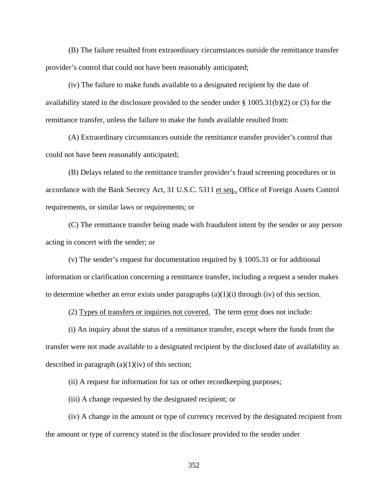(B) The failure resulted from extraordinary circumstances outside the remittance transfer provider's control that could not have been reasonably anticipated;

(iv) The failure to make funds available to a designated recipient by the date of availability stated in the disclosure provided to the sender under § 1005.31(b)(2) or (3) for the remittance transfer, unless the failure to make the funds available resulted from:

(A) Extraordinary circumstances outside the remittance transfer provider's control that could not have been reasonably anticipated;

(B) Delays related to the remittance transfer provider's fraud screening procedures or in accordance with the Bank Secrecy Act, 31 U.S.C. 5311 et seq., Office of Foreign Assets Control requirements, or similar laws or requirements; or

(C) The remittance transfer being made with fraudulent intent by the sender or any person acting in concert with the sender; or

(v) The sender's request for documentation required by § 1005.31 or for additional information or clarification concerning a remittance transfer, including a request a sender makes to determine whether an error exists under paragraphs  $(a)(1)(i)$  through  $(iv)$  of this section.

(2) Types of transfers or inquiries not covered. The term error does not include:

(i) An inquiry about the status of a remittance transfer, except where the funds from the transfer were not made available to a designated recipient by the disclosed date of availability as described in paragraph  $(a)(1)(iv)$  of this section;

(ii) A request for information for tax or other recordkeeping purposes;

(iii) A change requested by the designated recipient; or

(iv) A change in the amount or type of currency received by the designated recipient from the amount or type of currency stated in the disclosure provided to the sender under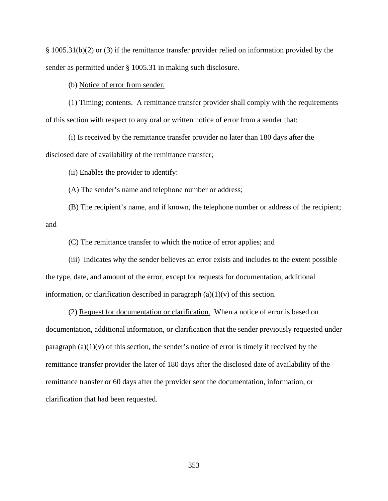§ 1005.31(b)(2) or (3) if the remittance transfer provider relied on information provided by the sender as permitted under § 1005.31 in making such disclosure.

(b) Notice of error from sender.

 (1) Timing; contents. A remittance transfer provider shall comply with the requirements of this section with respect to any oral or written notice of error from a sender that:

 (i) Is received by the remittance transfer provider no later than 180 days after the disclosed date of availability of the remittance transfer;

(ii) Enables the provider to identify:

(A) The sender's name and telephone number or address;

(B) The recipient's name, and if known, the telephone number or address of the recipient; and

(C) The remittance transfer to which the notice of error applies; and

 (iii) Indicates why the sender believes an error exists and includes to the extent possible the type, date, and amount of the error, except for requests for documentation, additional information, or clarification described in paragraph  $(a)(1)(v)$  of this section.

 (2) Request for documentation or clarification. When a notice of error is based on documentation, additional information, or clarification that the sender previously requested under paragraph  $(a)(1)(v)$  of this section, the sender's notice of error is timely if received by the remittance transfer provider the later of 180 days after the disclosed date of availability of the remittance transfer or 60 days after the provider sent the documentation, information, or clarification that had been requested.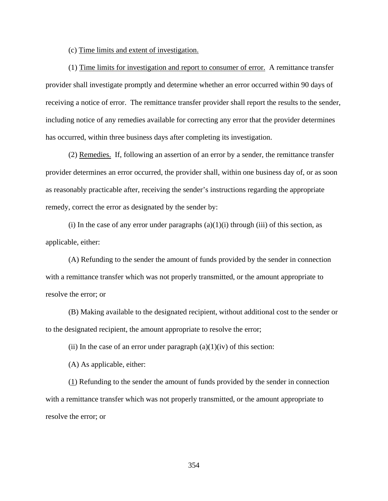(c) Time limits and extent of investigation.

 (1) Time limits for investigation and report to consumer of error. A remittance transfer provider shall investigate promptly and determine whether an error occurred within 90 days of receiving a notice of error. The remittance transfer provider shall report the results to the sender, including notice of any remedies available for correcting any error that the provider determines has occurred, within three business days after completing its investigation.

 (2) Remedies. If, following an assertion of an error by a sender, the remittance transfer provider determines an error occurred, the provider shall, within one business day of, or as soon as reasonably practicable after, receiving the sender's instructions regarding the appropriate remedy, correct the error as designated by the sender by:

(i) In the case of any error under paragraphs  $(a)(1)(i)$  through (iii) of this section, as applicable, either:

(A) Refunding to the sender the amount of funds provided by the sender in connection with a remittance transfer which was not properly transmitted, or the amount appropriate to resolve the error; or

 (B) Making available to the designated recipient, without additional cost to the sender or to the designated recipient, the amount appropriate to resolve the error;

(ii) In the case of an error under paragraph  $(a)(1)(iv)$  of this section:

(A) As applicable, either:

(1) Refunding to the sender the amount of funds provided by the sender in connection with a remittance transfer which was not properly transmitted, or the amount appropriate to resolve the error; or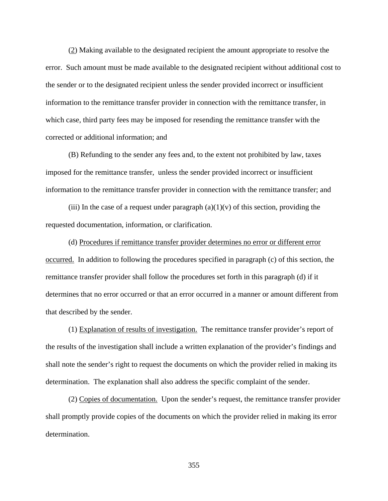(2) Making available to the designated recipient the amount appropriate to resolve the error. Such amount must be made available to the designated recipient without additional cost to the sender or to the designated recipient unless the sender provided incorrect or insufficient information to the remittance transfer provider in connection with the remittance transfer, in which case, third party fees may be imposed for resending the remittance transfer with the corrected or additional information; and

(B) Refunding to the sender any fees and, to the extent not prohibited by law, taxes imposed for the remittance transfer, unless the sender provided incorrect or insufficient information to the remittance transfer provider in connection with the remittance transfer; and

(iii) In the case of a request under paragraph  $(a)(1)(v)$  of this section, providing the requested documentation, information, or clarification.

 (d) Procedures if remittance transfer provider determines no error or different error occurred. In addition to following the procedures specified in paragraph (c) of this section, the remittance transfer provider shall follow the procedures set forth in this paragraph (d) if it determines that no error occurred or that an error occurred in a manner or amount different from that described by the sender.

 (1) Explanation of results of investigation. The remittance transfer provider's report of the results of the investigation shall include a written explanation of the provider's findings and shall note the sender's right to request the documents on which the provider relied in making its determination. The explanation shall also address the specific complaint of the sender.

 (2) Copies of documentation. Upon the sender's request, the remittance transfer provider shall promptly provide copies of the documents on which the provider relied in making its error determination.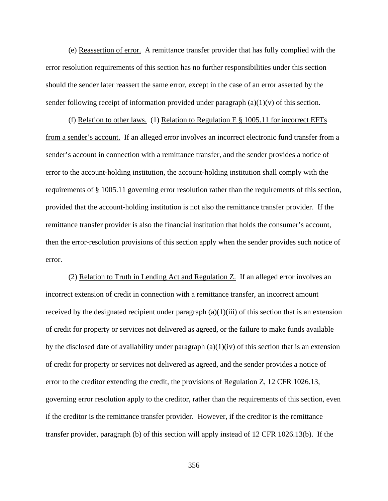(e) Reassertion of error. A remittance transfer provider that has fully complied with the error resolution requirements of this section has no further responsibilities under this section should the sender later reassert the same error, except in the case of an error asserted by the sender following receipt of information provided under paragraph  $(a)(1)(v)$  of this section.

(f) Relation to other laws. (1) Relation to Regulation E  $\S$  1005.11 for incorrect EFTs from a sender's account. If an alleged error involves an incorrect electronic fund transfer from a sender's account in connection with a remittance transfer, and the sender provides a notice of error to the account-holding institution, the account-holding institution shall comply with the requirements of § 1005.11 governing error resolution rather than the requirements of this section, provided that the account-holding institution is not also the remittance transfer provider. If the remittance transfer provider is also the financial institution that holds the consumer's account, then the error-resolution provisions of this section apply when the sender provides such notice of error.

 (2) Relation to Truth in Lending Act and Regulation Z. If an alleged error involves an incorrect extension of credit in connection with a remittance transfer, an incorrect amount received by the designated recipient under paragraph  $(a)(1)(iii)$  of this section that is an extension of credit for property or services not delivered as agreed, or the failure to make funds available by the disclosed date of availability under paragraph  $(a)(1)(iv)$  of this section that is an extension of credit for property or services not delivered as agreed, and the sender provides a notice of error to the creditor extending the credit, the provisions of Regulation Z, 12 CFR 1026.13, governing error resolution apply to the creditor, rather than the requirements of this section, even if the creditor is the remittance transfer provider. However, if the creditor is the remittance transfer provider, paragraph (b) of this section will apply instead of 12 CFR 1026.13(b). If the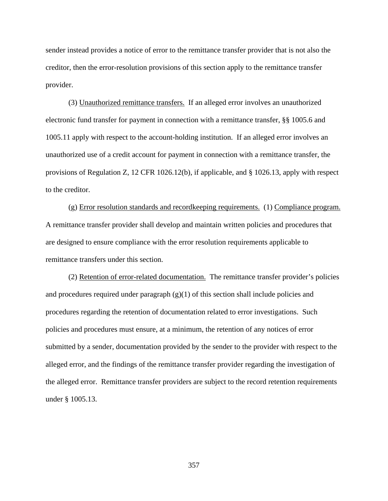sender instead provides a notice of error to the remittance transfer provider that is not also the creditor, then the error-resolution provisions of this section apply to the remittance transfer provider.

 (3) Unauthorized remittance transfers. If an alleged error involves an unauthorized electronic fund transfer for payment in connection with a remittance transfer, §§ 1005.6 and 1005.11 apply with respect to the account-holding institution. If an alleged error involves an unauthorized use of a credit account for payment in connection with a remittance transfer, the provisions of Regulation Z, 12 CFR 1026.12(b), if applicable, and § 1026.13, apply with respect to the creditor.

(g) Error resolution standards and recordkeeping requirements. (1) Compliance program. A remittance transfer provider shall develop and maintain written policies and procedures that are designed to ensure compliance with the error resolution requirements applicable to remittance transfers under this section.

 (2) Retention of error-related documentation. The remittance transfer provider's policies and procedures required under paragraph  $(g)(1)$  of this section shall include policies and procedures regarding the retention of documentation related to error investigations. Such policies and procedures must ensure, at a minimum, the retention of any notices of error submitted by a sender, documentation provided by the sender to the provider with respect to the alleged error, and the findings of the remittance transfer provider regarding the investigation of the alleged error. Remittance transfer providers are subject to the record retention requirements under § 1005.13.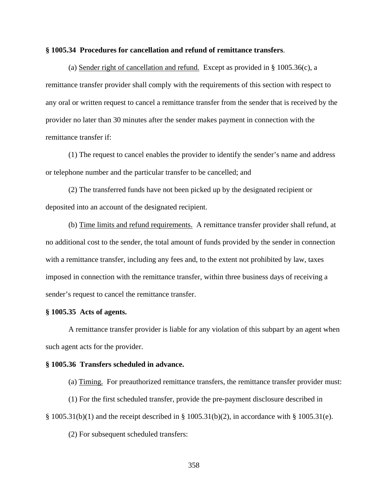### **§ 1005.34 Procedures for cancellation and refund of remittance transfers**.

(a) Sender right of cancellation and refund. Except as provided in § 1005.36(c), a remittance transfer provider shall comply with the requirements of this section with respect to any oral or written request to cancel a remittance transfer from the sender that is received by the provider no later than 30 minutes after the sender makes payment in connection with the remittance transfer if:

(1) The request to cancel enables the provider to identify the sender's name and address or telephone number and the particular transfer to be cancelled; and

(2) The transferred funds have not been picked up by the designated recipient or deposited into an account of the designated recipient.

(b) Time limits and refund requirements. A remittance transfer provider shall refund, at no additional cost to the sender, the total amount of funds provided by the sender in connection with a remittance transfer, including any fees and, to the extent not prohibited by law, taxes imposed in connection with the remittance transfer, within three business days of receiving a sender's request to cancel the remittance transfer.

## **§ 1005.35 Acts of agents.**

 A remittance transfer provider is liable for any violation of this subpart by an agent when such agent acts for the provider.

## **§ 1005.36 Transfers scheduled in advance.**

(a) Timing. For preauthorized remittance transfers, the remittance transfer provider must:

(1) For the first scheduled transfer, provide the pre-payment disclosure described in § 1005.31(b)(1) and the receipt described in § 1005.31(b)(2), in accordance with § 1005.31(e).

(2) For subsequent scheduled transfers: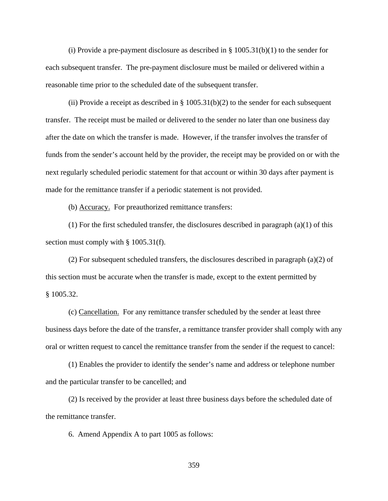(i) Provide a pre-payment disclosure as described in §  $1005.31(b)(1)$  to the sender for each subsequent transfer. The pre-payment disclosure must be mailed or delivered within a reasonable time prior to the scheduled date of the subsequent transfer.

(ii) Provide a receipt as described in  $\S$  1005.31(b)(2) to the sender for each subsequent transfer. The receipt must be mailed or delivered to the sender no later than one business day after the date on which the transfer is made. However, if the transfer involves the transfer of funds from the sender's account held by the provider, the receipt may be provided on or with the next regularly scheduled periodic statement for that account or within 30 days after payment is made for the remittance transfer if a periodic statement is not provided.

(b) Accuracy. For preauthorized remittance transfers:

(1) For the first scheduled transfer, the disclosures described in paragraph (a)(1) of this section must comply with § 1005.31(f).

(2) For subsequent scheduled transfers, the disclosures described in paragraph (a)(2) of this section must be accurate when the transfer is made, except to the extent permitted by § 1005.32.

 (c) Cancellation. For any remittance transfer scheduled by the sender at least three business days before the date of the transfer, a remittance transfer provider shall comply with any oral or written request to cancel the remittance transfer from the sender if the request to cancel:

(1) Enables the provider to identify the sender's name and address or telephone number and the particular transfer to be cancelled; and

(2) Is received by the provider at least three business days before the scheduled date of the remittance transfer.

6. Amend Appendix A to part 1005 as follows: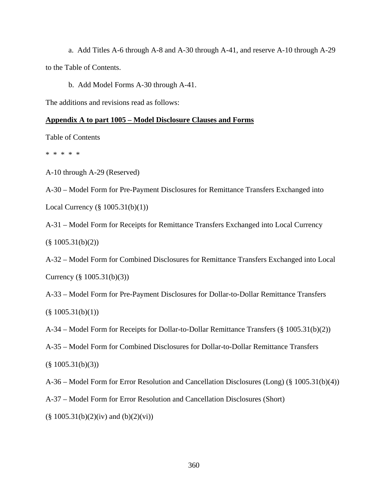a. Add Titles A-6 through A-8 and A-30 through A-41, and reserve A-10 through A-29 to the Table of Contents.

b. Add Model Forms A-30 through A-41.

The additions and revisions read as follows:

# **Appendix A to part 1005 – Model Disclosure Clauses and Forms**

Table of Contents

\* \* \* \* \*

A-10 through A-29 (Reserved)

A-30 – Model Form for Pre-Payment Disclosures for Remittance Transfers Exchanged into

Local Currency (§ 1005.31(b)(1))

A-31 – Model Form for Receipts for Remittance Transfers Exchanged into Local Currency  $(\S 1005.31(b)(2))$ 

A-32 – Model Form for Combined Disclosures for Remittance Transfers Exchanged into Local Currency (§ 1005.31(b)(3))

A-33 – Model Form for Pre-Payment Disclosures for Dollar-to-Dollar Remittance Transfers

 $(\S 1005.31(b)(1))$ 

A-34 – Model Form for Receipts for Dollar-to-Dollar Remittance Transfers (§ 1005.31(b)(2))

A-35 – Model Form for Combined Disclosures for Dollar-to-Dollar Remittance Transfers

 $(\S$  1005.31(b)(3))

A-36 – Model Form for Error Resolution and Cancellation Disclosures (Long) (§ 1005.31(b)(4))

A-37 – Model Form for Error Resolution and Cancellation Disclosures (Short)

 $(\S 1005.31(b)(2)(iv)$  and  $(b)(2)(vi))$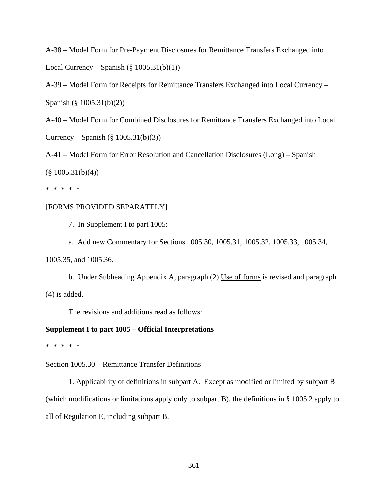A-38 – Model Form for Pre-Payment Disclosures for Remittance Transfers Exchanged into Local Currency – Spanish  $(\S 1005.31(b)(1))$ 

A-39 – Model Form for Receipts for Remittance Transfers Exchanged into Local Currency – Spanish (§ 1005.31(b)(2))

A-40 – Model Form for Combined Disclosures for Remittance Transfers Exchanged into Local Currency – Spanish  $(\S$  1005.31(b)(3))

A-41 – Model Form for Error Resolution and Cancellation Disclosures (Long) – Spanish  $(\S$  1005.31(b)(4))

\* \* \* \* \*

# [FORMS PROVIDED SEPARATELY]

7. In Supplement I to part 1005:

a. Add new Commentary for Sections 1005.30, 1005.31, 1005.32, 1005.33, 1005.34,

1005.35, and 1005.36.

 b. Under Subheading Appendix A, paragraph (2) Use of forms is revised and paragraph (4) is added.

The revisions and additions read as follows:

# **Supplement I to part 1005 – Official Interpretations**

\* \* \* \* \*

Section 1005.30 – Remittance Transfer Definitions

 1. Applicability of definitions in subpart A. Except as modified or limited by subpart B (which modifications or limitations apply only to subpart B), the definitions in § 1005.2 apply to all of Regulation E, including subpart B.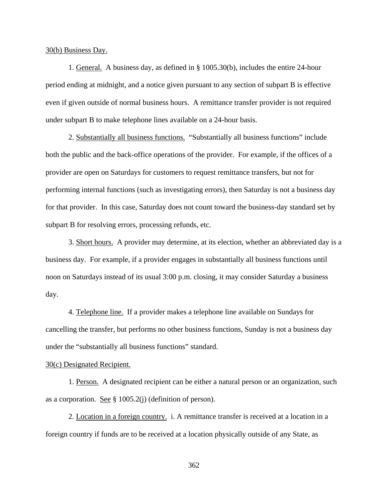30(b) Business Day.

1. General. A business day, as defined in § 1005.30(b), includes the entire 24-hour period ending at midnight, and a notice given pursuant to any section of subpart B is effective even if given outside of normal business hours. A remittance transfer provider is not required under subpart B to make telephone lines available on a 24-hour basis.

2. Substantially all business functions. "Substantially all business functions" include both the public and the back-office operations of the provider. For example, if the offices of a provider are open on Saturdays for customers to request remittance transfers, but not for performing internal functions (such as investigating errors), then Saturday is not a business day for that provider. In this case, Saturday does not count toward the business-day standard set by subpart B for resolving errors, processing refunds, etc.

3. Short hours. A provider may determine, at its election, whether an abbreviated day is a business day. For example, if a provider engages in substantially all business functions until noon on Saturdays instead of its usual 3:00 p.m. closing, it may consider Saturday a business day.

4. Telephone line. If a provider makes a telephone line available on Sundays for cancelling the transfer, but performs no other business functions, Sunday is not a business day under the "substantially all business functions" standard.

#### 30(c) Designated Recipient.

1. Person. A designated recipient can be either a natural person or an organization, such as a corporation. See  $\S 1005.2(j)$  (definition of person).

2. Location in a foreign country. i. A remittance transfer is received at a location in a foreign country if funds are to be received at a location physically outside of any State, as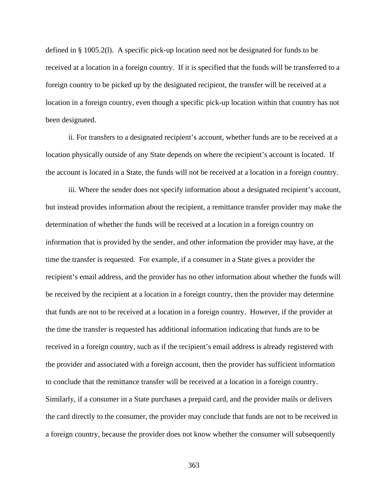defined in § 1005.2(l). A specific pick-up location need not be designated for funds to be received at a location in a foreign country. If it is specified that the funds will be transferred to a foreign country to be picked up by the designated recipient, the transfer will be received at a location in a foreign country, even though a specific pick-up location within that country has not been designated.

ii. For transfers to a designated recipient's account, whether funds are to be received at a location physically outside of any State depends on where the recipient's account is located. If the account is located in a State, the funds will not be received at a location in a foreign country.

iii. Where the sender does not specify information about a designated recipient's account, but instead provides information about the recipient, a remittance transfer provider may make the determination of whether the funds will be received at a location in a foreign country on information that is provided by the sender, and other information the provider may have, at the time the transfer is requested. For example, if a consumer in a State gives a provider the recipient's email address, and the provider has no other information about whether the funds will be received by the recipient at a location in a foreign country, then the provider may determine that funds are not to be received at a location in a foreign country. However, if the provider at the time the transfer is requested has additional information indicating that funds are to be received in a foreign country, such as if the recipient's email address is already registered with the provider and associated with a foreign account, then the provider has sufficient information to conclude that the remittance transfer will be received at a location in a foreign country. Similarly, if a consumer in a State purchases a prepaid card, and the provider mails or delivers the card directly to the consumer, the provider may conclude that funds are not to be received in a foreign country, because the provider does not know whether the consumer will subsequently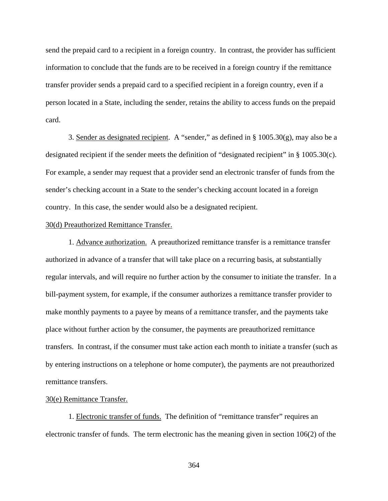send the prepaid card to a recipient in a foreign country. In contrast, the provider has sufficient information to conclude that the funds are to be received in a foreign country if the remittance transfer provider sends a prepaid card to a specified recipient in a foreign country, even if a person located in a State, including the sender, retains the ability to access funds on the prepaid card.

3. Sender as designated recipient. A "sender," as defined in  $\S 1005.30(g)$ , may also be a designated recipient if the sender meets the definition of "designated recipient" in § 1005.30(c). For example, a sender may request that a provider send an electronic transfer of funds from the sender's checking account in a State to the sender's checking account located in a foreign country. In this case, the sender would also be a designated recipient.

## 30(d) Preauthorized Remittance Transfer.

1. Advance authorization. A preauthorized remittance transfer is a remittance transfer authorized in advance of a transfer that will take place on a recurring basis, at substantially regular intervals, and will require no further action by the consumer to initiate the transfer. In a bill-payment system, for example, if the consumer authorizes a remittance transfer provider to make monthly payments to a payee by means of a remittance transfer, and the payments take place without further action by the consumer, the payments are preauthorized remittance transfers. In contrast, if the consumer must take action each month to initiate a transfer (such as by entering instructions on a telephone or home computer), the payments are not preauthorized remittance transfers.

#### 30(e) Remittance Transfer.

1. Electronic transfer of funds. The definition of "remittance transfer" requires an electronic transfer of funds. The term electronic has the meaning given in section 106(2) of the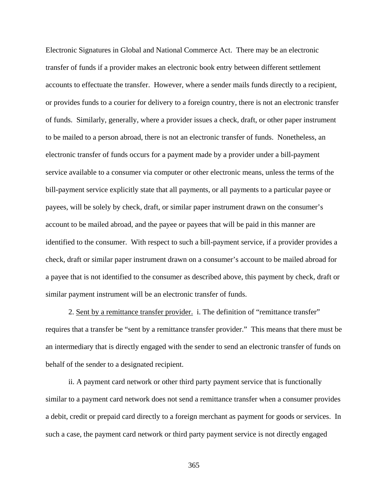Electronic Signatures in Global and National Commerce Act. There may be an electronic transfer of funds if a provider makes an electronic book entry between different settlement accounts to effectuate the transfer. However, where a sender mails funds directly to a recipient, or provides funds to a courier for delivery to a foreign country, there is not an electronic transfer of funds. Similarly, generally, where a provider issues a check, draft, or other paper instrument to be mailed to a person abroad, there is not an electronic transfer of funds. Nonetheless, an electronic transfer of funds occurs for a payment made by a provider under a bill-payment service available to a consumer via computer or other electronic means, unless the terms of the bill-payment service explicitly state that all payments, or all payments to a particular payee or payees, will be solely by check, draft, or similar paper instrument drawn on the consumer's account to be mailed abroad, and the payee or payees that will be paid in this manner are identified to the consumer. With respect to such a bill-payment service, if a provider provides a check, draft or similar paper instrument drawn on a consumer's account to be mailed abroad for a payee that is not identified to the consumer as described above, this payment by check, draft or similar payment instrument will be an electronic transfer of funds.

2. Sent by a remittance transfer provider. i. The definition of "remittance transfer" requires that a transfer be "sent by a remittance transfer provider." This means that there must be an intermediary that is directly engaged with the sender to send an electronic transfer of funds on behalf of the sender to a designated recipient.

ii. A payment card network or other third party payment service that is functionally similar to a payment card network does not send a remittance transfer when a consumer provides a debit, credit or prepaid card directly to a foreign merchant as payment for goods or services. In such a case, the payment card network or third party payment service is not directly engaged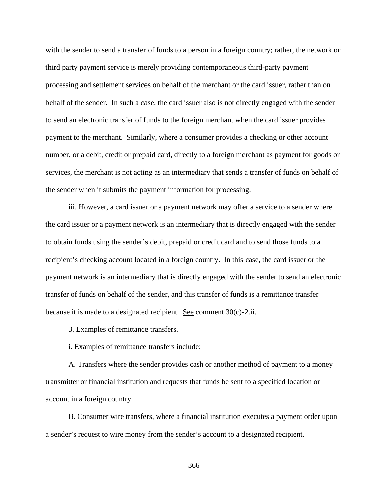with the sender to send a transfer of funds to a person in a foreign country; rather, the network or third party payment service is merely providing contemporaneous third-party payment processing and settlement services on behalf of the merchant or the card issuer, rather than on behalf of the sender. In such a case, the card issuer also is not directly engaged with the sender to send an electronic transfer of funds to the foreign merchant when the card issuer provides payment to the merchant. Similarly, where a consumer provides a checking or other account number, or a debit, credit or prepaid card, directly to a foreign merchant as payment for goods or services, the merchant is not acting as an intermediary that sends a transfer of funds on behalf of the sender when it submits the payment information for processing.

iii. However, a card issuer or a payment network may offer a service to a sender where the card issuer or a payment network is an intermediary that is directly engaged with the sender to obtain funds using the sender's debit, prepaid or credit card and to send those funds to a recipient's checking account located in a foreign country. In this case, the card issuer or the payment network is an intermediary that is directly engaged with the sender to send an electronic transfer of funds on behalf of the sender, and this transfer of funds is a remittance transfer because it is made to a designated recipient. See comment 30(c)-2.ii.

3. Examples of remittance transfers.

i. Examples of remittance transfers include:

A. Transfers where the sender provides cash or another method of payment to a money transmitter or financial institution and requests that funds be sent to a specified location or account in a foreign country.

B. Consumer wire transfers, where a financial institution executes a payment order upon a sender's request to wire money from the sender's account to a designated recipient.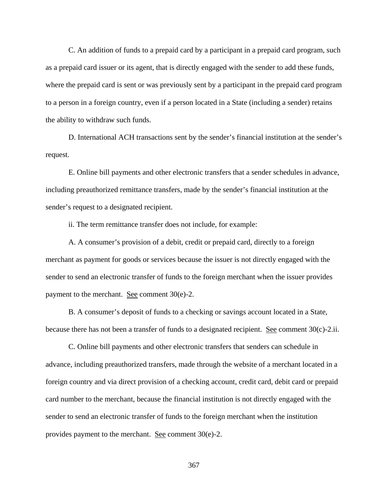C. An addition of funds to a prepaid card by a participant in a prepaid card program, such as a prepaid card issuer or its agent, that is directly engaged with the sender to add these funds, where the prepaid card is sent or was previously sent by a participant in the prepaid card program to a person in a foreign country, even if a person located in a State (including a sender) retains the ability to withdraw such funds.

D. International ACH transactions sent by the sender's financial institution at the sender's request.

E. Online bill payments and other electronic transfers that a sender schedules in advance, including preauthorized remittance transfers, made by the sender's financial institution at the sender's request to a designated recipient.

ii. The term remittance transfer does not include, for example:

A. A consumer's provision of a debit, credit or prepaid card, directly to a foreign merchant as payment for goods or services because the issuer is not directly engaged with the sender to send an electronic transfer of funds to the foreign merchant when the issuer provides payment to the merchant. See comment 30(e)-2.

B. A consumer's deposit of funds to a checking or savings account located in a State, because there has not been a transfer of funds to a designated recipient. See comment  $30(c)$ -2.ii.

C. Online bill payments and other electronic transfers that senders can schedule in advance, including preauthorized transfers, made through the website of a merchant located in a foreign country and via direct provision of a checking account, credit card, debit card or prepaid card number to the merchant, because the financial institution is not directly engaged with the sender to send an electronic transfer of funds to the foreign merchant when the institution provides payment to the merchant. See comment 30(e)-2.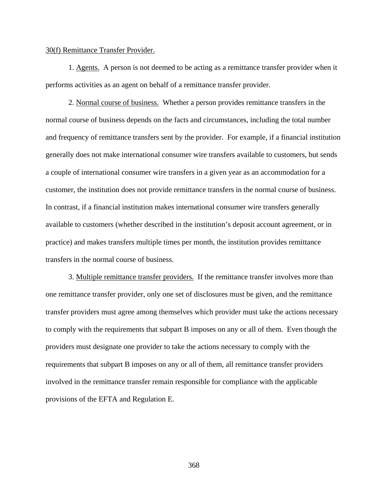30(f) Remittance Transfer Provider.

 1. Agents. A person is not deemed to be acting as a remittance transfer provider when it performs activities as an agent on behalf of a remittance transfer provider.

 2. Normal course of business. Whether a person provides remittance transfers in the normal course of business depends on the facts and circumstances, including the total number and frequency of remittance transfers sent by the provider. For example, if a financial institution generally does not make international consumer wire transfers available to customers, but sends a couple of international consumer wire transfers in a given year as an accommodation for a customer, the institution does not provide remittance transfers in the normal course of business. In contrast, if a financial institution makes international consumer wire transfers generally available to customers (whether described in the institution's deposit account agreement, or in practice) and makes transfers multiple times per month, the institution provides remittance transfers in the normal course of business.

 3. Multiple remittance transfer providers. If the remittance transfer involves more than one remittance transfer provider, only one set of disclosures must be given, and the remittance transfer providers must agree among themselves which provider must take the actions necessary to comply with the requirements that subpart B imposes on any or all of them. Even though the providers must designate one provider to take the actions necessary to comply with the requirements that subpart B imposes on any or all of them, all remittance transfer providers involved in the remittance transfer remain responsible for compliance with the applicable provisions of the EFTA and Regulation E.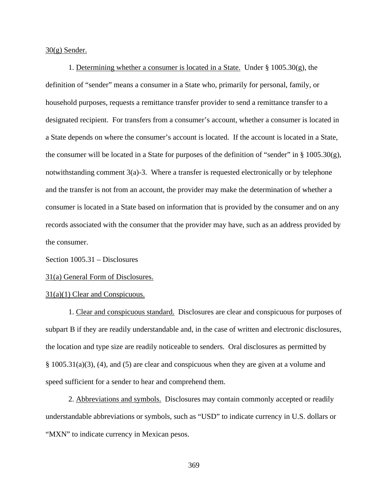30(g) Sender.

 1. Determining whether a consumer is located in a State. Under § 1005.30(g), the definition of "sender" means a consumer in a State who, primarily for personal, family, or household purposes, requests a remittance transfer provider to send a remittance transfer to a designated recipient. For transfers from a consumer's account, whether a consumer is located in a State depends on where the consumer's account is located. If the account is located in a State, the consumer will be located in a State for purposes of the definition of "sender" in § 1005.30(g), notwithstanding comment 3(a)-3. Where a transfer is requested electronically or by telephone and the transfer is not from an account, the provider may make the determination of whether a consumer is located in a State based on information that is provided by the consumer and on any records associated with the consumer that the provider may have, such as an address provided by the consumer.

Section 1005.31 – Disclosures

#### 31(a) General Form of Disclosures.

# 31(a)(1) Clear and Conspicuous.

1. Clear and conspicuous standard. Disclosures are clear and conspicuous for purposes of subpart B if they are readily understandable and, in the case of written and electronic disclosures, the location and type size are readily noticeable to senders. Oral disclosures as permitted by  $\S 1005.31(a)(3)$ , (4), and (5) are clear and conspicuous when they are given at a volume and speed sufficient for a sender to hear and comprehend them.

2. Abbreviations and symbols. Disclosures may contain commonly accepted or readily understandable abbreviations or symbols, such as "USD" to indicate currency in U.S. dollars or "MXN" to indicate currency in Mexican pesos.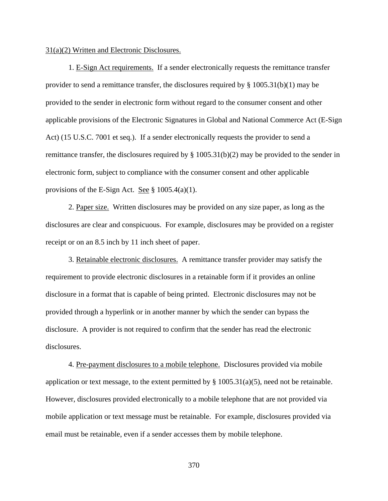# 31(a)(2) Written and Electronic Disclosures.

1. E-Sign Act requirements. If a sender electronically requests the remittance transfer provider to send a remittance transfer, the disclosures required by  $\S$  1005.31(b)(1) may be provided to the sender in electronic form without regard to the consumer consent and other applicable provisions of the Electronic Signatures in Global and National Commerce Act (E-Sign Act) (15 U.S.C. 7001 et seq.). If a sender electronically requests the provider to send a remittance transfer, the disclosures required by  $\S$  1005.31(b)(2) may be provided to the sender in electronic form, subject to compliance with the consumer consent and other applicable provisions of the E-Sign Act. See § 1005.4(a)(1).

2. Paper size. Written disclosures may be provided on any size paper, as long as the disclosures are clear and conspicuous. For example, disclosures may be provided on a register receipt or on an 8.5 inch by 11 inch sheet of paper.

3. Retainable electronic disclosures. A remittance transfer provider may satisfy the requirement to provide electronic disclosures in a retainable form if it provides an online disclosure in a format that is capable of being printed. Electronic disclosures may not be provided through a hyperlink or in another manner by which the sender can bypass the disclosure. A provider is not required to confirm that the sender has read the electronic disclosures.

4. Pre-payment disclosures to a mobile telephone. Disclosures provided via mobile application or text message, to the extent permitted by  $\S 1005.31(a)(5)$ , need not be retainable. However, disclosures provided electronically to a mobile telephone that are not provided via mobile application or text message must be retainable. For example, disclosures provided via email must be retainable, even if a sender accesses them by mobile telephone.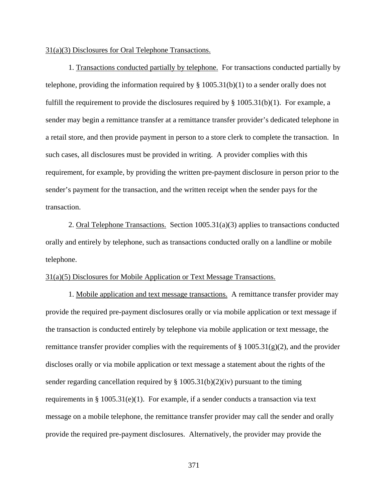# 31(a)(3) Disclosures for Oral Telephone Transactions.

 1. Transactions conducted partially by telephone. For transactions conducted partially by telephone, providing the information required by  $\S$  1005.31(b)(1) to a sender orally does not fulfill the requirement to provide the disclosures required by § 1005.31(b)(1). For example, a sender may begin a remittance transfer at a remittance transfer provider's dedicated telephone in a retail store, and then provide payment in person to a store clerk to complete the transaction. In such cases, all disclosures must be provided in writing. A provider complies with this requirement, for example, by providing the written pre-payment disclosure in person prior to the sender's payment for the transaction, and the written receipt when the sender pays for the transaction.

 2. Oral Telephone Transactions. Section 1005.31(a)(3) applies to transactions conducted orally and entirely by telephone, such as transactions conducted orally on a landline or mobile telephone.

## 31(a)(5) Disclosures for Mobile Application or Text Message Transactions.

1. Mobile application and text message transactions. A remittance transfer provider may provide the required pre-payment disclosures orally or via mobile application or text message if the transaction is conducted entirely by telephone via mobile application or text message, the remittance transfer provider complies with the requirements of  $\S 1005.31(g)(2)$ , and the provider discloses orally or via mobile application or text message a statement about the rights of the sender regarding cancellation required by  $\S 1005.31(b)(2)(iv)$  pursuant to the timing requirements in § 1005.31(e)(1). For example, if a sender conducts a transaction via text message on a mobile telephone, the remittance transfer provider may call the sender and orally provide the required pre-payment disclosures. Alternatively, the provider may provide the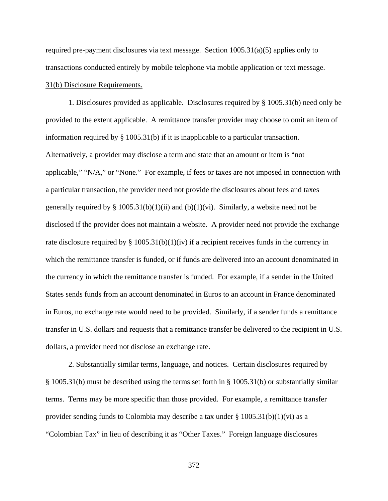required pre-payment disclosures via text message. Section 1005.31(a)(5) applies only to transactions conducted entirely by mobile telephone via mobile application or text message. 31(b) Disclosure Requirements.

 1. Disclosures provided as applicable. Disclosures required by § 1005.31(b) need only be provided to the extent applicable. A remittance transfer provider may choose to omit an item of information required by § 1005.31(b) if it is inapplicable to a particular transaction. Alternatively, a provider may disclose a term and state that an amount or item is "not applicable," "N/A," or "None." For example, if fees or taxes are not imposed in connection with a particular transaction, the provider need not provide the disclosures about fees and taxes generally required by § 1005.31(b)(1)(ii) and (b)(1)(vi). Similarly, a website need not be disclosed if the provider does not maintain a website. A provider need not provide the exchange rate disclosure required by  $\S 1005.31(b)(1)(iv)$  if a recipient receives funds in the currency in which the remittance transfer is funded, or if funds are delivered into an account denominated in the currency in which the remittance transfer is funded. For example, if a sender in the United States sends funds from an account denominated in Euros to an account in France denominated in Euros, no exchange rate would need to be provided. Similarly, if a sender funds a remittance transfer in U.S. dollars and requests that a remittance transfer be delivered to the recipient in U.S. dollars, a provider need not disclose an exchange rate.

 2. Substantially similar terms, language, and notices. Certain disclosures required by § 1005.31(b) must be described using the terms set forth in § 1005.31(b) or substantially similar terms. Terms may be more specific than those provided. For example, a remittance transfer provider sending funds to Colombia may describe a tax under  $\S 1005.31(b)(1)(vi)$  as a "Colombian Tax" in lieu of describing it as "Other Taxes." Foreign language disclosures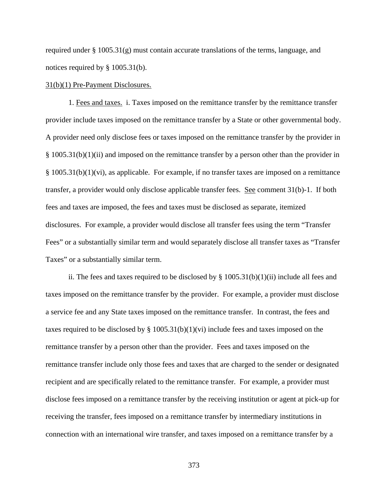required under § 1005.31(g) must contain accurate translations of the terms, language, and notices required by § 1005.31(b).

# 31(b)(1) Pre-Payment Disclosures.

 1. Fees and taxes. i. Taxes imposed on the remittance transfer by the remittance transfer provider include taxes imposed on the remittance transfer by a State or other governmental body. A provider need only disclose fees or taxes imposed on the remittance transfer by the provider in § 1005.31(b)(1)(ii) and imposed on the remittance transfer by a person other than the provider in  $§ 1005.31(b)(1)(vi)$ , as applicable. For example, if no transfer taxes are imposed on a remittance transfer, a provider would only disclose applicable transfer fees. See comment 31(b)-1. If both fees and taxes are imposed, the fees and taxes must be disclosed as separate, itemized disclosures. For example, a provider would disclose all transfer fees using the term "Transfer Fees" or a substantially similar term and would separately disclose all transfer taxes as "Transfer Taxes" or a substantially similar term.

ii. The fees and taxes required to be disclosed by  $\S$  1005.31(b)(1)(ii) include all fees and taxes imposed on the remittance transfer by the provider. For example, a provider must disclose a service fee and any State taxes imposed on the remittance transfer. In contrast, the fees and taxes required to be disclosed by  $\S$  1005.31(b)(1)(vi) include fees and taxes imposed on the remittance transfer by a person other than the provider. Fees and taxes imposed on the remittance transfer include only those fees and taxes that are charged to the sender or designated recipient and are specifically related to the remittance transfer. For example, a provider must disclose fees imposed on a remittance transfer by the receiving institution or agent at pick-up for receiving the transfer, fees imposed on a remittance transfer by intermediary institutions in connection with an international wire transfer, and taxes imposed on a remittance transfer by a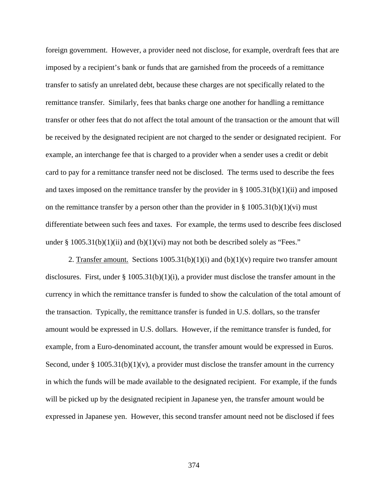foreign government. However, a provider need not disclose, for example, overdraft fees that are imposed by a recipient's bank or funds that are garnished from the proceeds of a remittance transfer to satisfy an unrelated debt, because these charges are not specifically related to the remittance transfer. Similarly, fees that banks charge one another for handling a remittance transfer or other fees that do not affect the total amount of the transaction or the amount that will be received by the designated recipient are not charged to the sender or designated recipient. For example, an interchange fee that is charged to a provider when a sender uses a credit or debit card to pay for a remittance transfer need not be disclosed. The terms used to describe the fees and taxes imposed on the remittance transfer by the provider in  $\S 1005.31(b)(1)(ii)$  and imposed on the remittance transfer by a person other than the provider in §  $1005.31(b)(1)(vi)$  must differentiate between such fees and taxes. For example, the terms used to describe fees disclosed under § 1005.31(b)(1)(ii) and (b)(1)(vi) may not both be described solely as "Fees."

2. Transfer amount. Sections  $1005.31(b)(1)(i)$  and  $(b)(1)(v)$  require two transfer amount disclosures. First, under  $\S 1005.31(b)(1)(i)$ , a provider must disclose the transfer amount in the currency in which the remittance transfer is funded to show the calculation of the total amount of the transaction. Typically, the remittance transfer is funded in U.S. dollars, so the transfer amount would be expressed in U.S. dollars. However, if the remittance transfer is funded, for example, from a Euro-denominated account, the transfer amount would be expressed in Euros. Second, under §  $1005.31(b)(1)(v)$ , a provider must disclose the transfer amount in the currency in which the funds will be made available to the designated recipient. For example, if the funds will be picked up by the designated recipient in Japanese yen, the transfer amount would be expressed in Japanese yen. However, this second transfer amount need not be disclosed if fees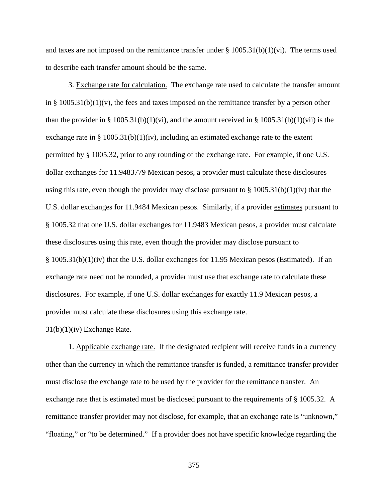and taxes are not imposed on the remittance transfer under  $\S 1005.31(b)(1)(vi)$ . The terms used to describe each transfer amount should be the same.

3. Exchange rate for calculation. The exchange rate used to calculate the transfer amount in §  $1005.31(b)(1)(v)$ , the fees and taxes imposed on the remittance transfer by a person other than the provider in § 1005.31(b)(1)(vi), and the amount received in § 1005.31(b)(1)(vii) is the exchange rate in §  $1005.31(b)(1)(iv)$ , including an estimated exchange rate to the extent permitted by § 1005.32, prior to any rounding of the exchange rate. For example, if one U.S. dollar exchanges for 11.9483779 Mexican pesos, a provider must calculate these disclosures using this rate, even though the provider may disclose pursuant to  $\S 1005.31(b)(1)(iv)$  that the U.S. dollar exchanges for 11.9484 Mexican pesos. Similarly, if a provider estimates pursuant to § 1005.32 that one U.S. dollar exchanges for 11.9483 Mexican pesos, a provider must calculate these disclosures using this rate, even though the provider may disclose pursuant to § 1005.31(b)(1)(iv) that the U.S. dollar exchanges for 11.95 Mexican pesos (Estimated). If an exchange rate need not be rounded, a provider must use that exchange rate to calculate these disclosures. For example, if one U.S. dollar exchanges for exactly 11.9 Mexican pesos, a provider must calculate these disclosures using this exchange rate.

#### 31(b)(1)(iv) Exchange Rate.

1. Applicable exchange rate. If the designated recipient will receive funds in a currency other than the currency in which the remittance transfer is funded, a remittance transfer provider must disclose the exchange rate to be used by the provider for the remittance transfer. An exchange rate that is estimated must be disclosed pursuant to the requirements of § 1005.32. A remittance transfer provider may not disclose, for example, that an exchange rate is "unknown," "floating," or "to be determined." If a provider does not have specific knowledge regarding the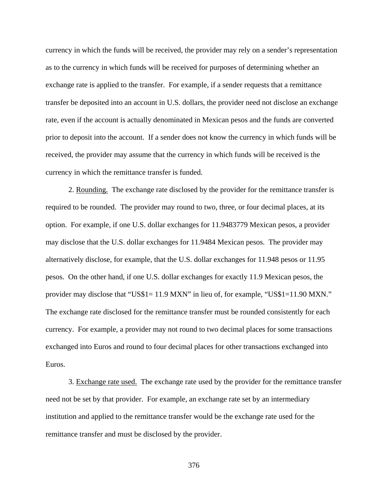currency in which the funds will be received, the provider may rely on a sender's representation as to the currency in which funds will be received for purposes of determining whether an exchange rate is applied to the transfer. For example, if a sender requests that a remittance transfer be deposited into an account in U.S. dollars, the provider need not disclose an exchange rate, even if the account is actually denominated in Mexican pesos and the funds are converted prior to deposit into the account. If a sender does not know the currency in which funds will be received, the provider may assume that the currency in which funds will be received is the currency in which the remittance transfer is funded.

2. Rounding. The exchange rate disclosed by the provider for the remittance transfer is required to be rounded. The provider may round to two, three, or four decimal places, at its option. For example, if one U.S. dollar exchanges for 11.9483779 Mexican pesos, a provider may disclose that the U.S. dollar exchanges for 11.9484 Mexican pesos. The provider may alternatively disclose, for example, that the U.S. dollar exchanges for 11.948 pesos or 11.95 pesos. On the other hand, if one U.S. dollar exchanges for exactly 11.9 Mexican pesos, the provider may disclose that "US\$1= 11.9 MXN" in lieu of, for example, "US\$1=11.90 MXN." The exchange rate disclosed for the remittance transfer must be rounded consistently for each currency. For example, a provider may not round to two decimal places for some transactions exchanged into Euros and round to four decimal places for other transactions exchanged into Euros.

3. Exchange rate used. The exchange rate used by the provider for the remittance transfer need not be set by that provider. For example, an exchange rate set by an intermediary institution and applied to the remittance transfer would be the exchange rate used for the remittance transfer and must be disclosed by the provider.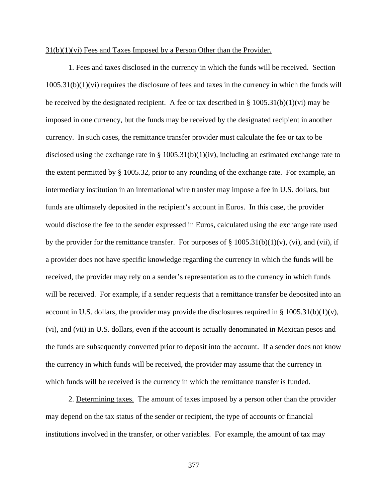# $31(b)(1)(vi)$  Fees and Taxes Imposed by a Person Other than the Provider.

 1. Fees and taxes disclosed in the currency in which the funds will be received. Section 1005.31(b)(1)(vi) requires the disclosure of fees and taxes in the currency in which the funds will be received by the designated recipient. A fee or tax described in  $\S 1005.31(b)(1)(vi)$  may be imposed in one currency, but the funds may be received by the designated recipient in another currency. In such cases, the remittance transfer provider must calculate the fee or tax to be disclosed using the exchange rate in §  $1005.31(b)(1)(iv)$ , including an estimated exchange rate to the extent permitted by § 1005.32, prior to any rounding of the exchange rate. For example, an intermediary institution in an international wire transfer may impose a fee in U.S. dollars, but funds are ultimately deposited in the recipient's account in Euros. In this case, the provider would disclose the fee to the sender expressed in Euros, calculated using the exchange rate used by the provider for the remittance transfer. For purposes of  $\S$  1005.31(b)(1)(v), (vi), and (vii), if a provider does not have specific knowledge regarding the currency in which the funds will be received, the provider may rely on a sender's representation as to the currency in which funds will be received. For example, if a sender requests that a remittance transfer be deposited into an account in U.S. dollars, the provider may provide the disclosures required in § 1005.31(b)(1)(v), (vi), and (vii) in U.S. dollars, even if the account is actually denominated in Mexican pesos and the funds are subsequently converted prior to deposit into the account. If a sender does not know the currency in which funds will be received, the provider may assume that the currency in which funds will be received is the currency in which the remittance transfer is funded.

2. Determining taxes. The amount of taxes imposed by a person other than the provider may depend on the tax status of the sender or recipient, the type of accounts or financial institutions involved in the transfer, or other variables. For example, the amount of tax may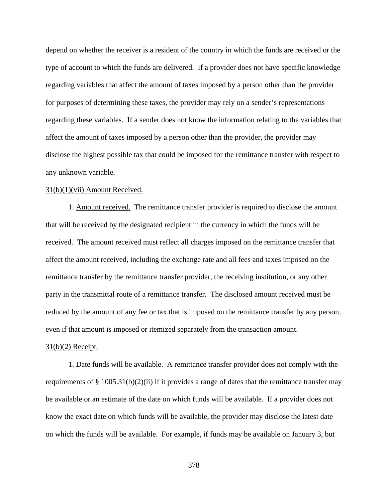depend on whether the receiver is a resident of the country in which the funds are received or the type of account to which the funds are delivered. If a provider does not have specific knowledge regarding variables that affect the amount of taxes imposed by a person other than the provider for purposes of determining these taxes, the provider may rely on a sender's representations regarding these variables. If a sender does not know the information relating to the variables that affect the amount of taxes imposed by a person other than the provider, the provider may disclose the highest possible tax that could be imposed for the remittance transfer with respect to any unknown variable.

### 31(b)(1)(vii) Amount Received.

1. Amount received. The remittance transfer provider is required to disclose the amount that will be received by the designated recipient in the currency in which the funds will be received. The amount received must reflect all charges imposed on the remittance transfer that affect the amount received, including the exchange rate and all fees and taxes imposed on the remittance transfer by the remittance transfer provider, the receiving institution, or any other party in the transmittal route of a remittance transfer. The disclosed amount received must be reduced by the amount of any fee or tax that is imposed on the remittance transfer by any person, even if that amount is imposed or itemized separately from the transaction amount.

### 31(b)(2) Receipt.

 1. Date funds will be available. A remittance transfer provider does not comply with the requirements of § 1005.31(b)(2)(ii) if it provides a range of dates that the remittance transfer may be available or an estimate of the date on which funds will be available. If a provider does not know the exact date on which funds will be available, the provider may disclose the latest date on which the funds will be available. For example, if funds may be available on January 3, but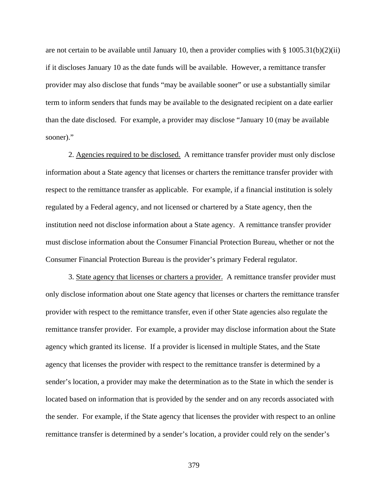are not certain to be available until January 10, then a provider complies with  $\S 1005.31(b)(2)(ii)$ if it discloses January 10 as the date funds will be available. However, a remittance transfer provider may also disclose that funds "may be available sooner" or use a substantially similar term to inform senders that funds may be available to the designated recipient on a date earlier than the date disclosed. For example, a provider may disclose "January 10 (may be available sooner)."

2. Agencies required to be disclosed. A remittance transfer provider must only disclose information about a State agency that licenses or charters the remittance transfer provider with respect to the remittance transfer as applicable. For example, if a financial institution is solely regulated by a Federal agency, and not licensed or chartered by a State agency, then the institution need not disclose information about a State agency. A remittance transfer provider must disclose information about the Consumer Financial Protection Bureau, whether or not the Consumer Financial Protection Bureau is the provider's primary Federal regulator.

3. State agency that licenses or charters a provider. A remittance transfer provider must only disclose information about one State agency that licenses or charters the remittance transfer provider with respect to the remittance transfer, even if other State agencies also regulate the remittance transfer provider. For example, a provider may disclose information about the State agency which granted its license. If a provider is licensed in multiple States, and the State agency that licenses the provider with respect to the remittance transfer is determined by a sender's location, a provider may make the determination as to the State in which the sender is located based on information that is provided by the sender and on any records associated with the sender. For example, if the State agency that licenses the provider with respect to an online remittance transfer is determined by a sender's location, a provider could rely on the sender's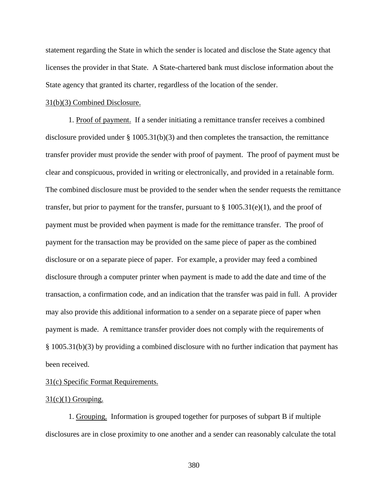statement regarding the State in which the sender is located and disclose the State agency that licenses the provider in that State. A State-chartered bank must disclose information about the State agency that granted its charter, regardless of the location of the sender.

## 31(b)(3) Combined Disclosure.

1. Proof of payment. If a sender initiating a remittance transfer receives a combined disclosure provided under  $\S 1005.31(b)(3)$  and then completes the transaction, the remittance transfer provider must provide the sender with proof of payment. The proof of payment must be clear and conspicuous, provided in writing or electronically, and provided in a retainable form. The combined disclosure must be provided to the sender when the sender requests the remittance transfer, but prior to payment for the transfer, pursuant to  $\S 1005.31(e)(1)$ , and the proof of payment must be provided when payment is made for the remittance transfer. The proof of payment for the transaction may be provided on the same piece of paper as the combined disclosure or on a separate piece of paper. For example, a provider may feed a combined disclosure through a computer printer when payment is made to add the date and time of the transaction, a confirmation code, and an indication that the transfer was paid in full. A provider may also provide this additional information to a sender on a separate piece of paper when payment is made. A remittance transfer provider does not comply with the requirements of § 1005.31(b)(3) by providing a combined disclosure with no further indication that payment has been received.

# 31(c) Specific Format Requirements.

### $31(c)(1)$  Grouping.

 1. Grouping. Information is grouped together for purposes of subpart B if multiple disclosures are in close proximity to one another and a sender can reasonably calculate the total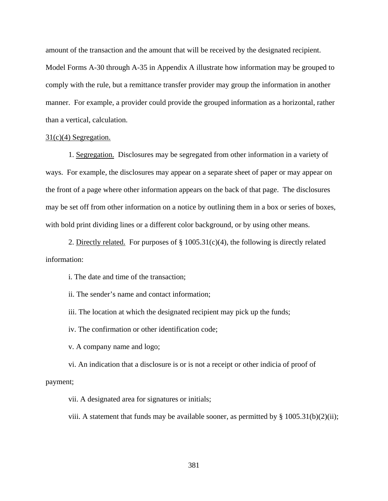amount of the transaction and the amount that will be received by the designated recipient. Model Forms A-30 through A-35 in Appendix A illustrate how information may be grouped to comply with the rule, but a remittance transfer provider may group the information in another manner. For example, a provider could provide the grouped information as a horizontal, rather than a vertical, calculation.

# 31(c)(4) Segregation.

 1. Segregation. Disclosures may be segregated from other information in a variety of ways. For example, the disclosures may appear on a separate sheet of paper or may appear on the front of a page where other information appears on the back of that page. The disclosures may be set off from other information on a notice by outlining them in a box or series of boxes, with bold print dividing lines or a different color background, or by using other means.

2. Directly related. For purposes of  $\S 1005.31(c)(4)$ , the following is directly related information:

i. The date and time of the transaction;

ii. The sender's name and contact information;

iii. The location at which the designated recipient may pick up the funds;

iv. The confirmation or other identification code;

v. A company name and logo;

vi. An indication that a disclosure is or is not a receipt or other indicia of proof of payment;

vii. A designated area for signatures or initials;

viii. A statement that funds may be available sooner, as permitted by  $\S 1005.31(b)(2)(ii)$ ;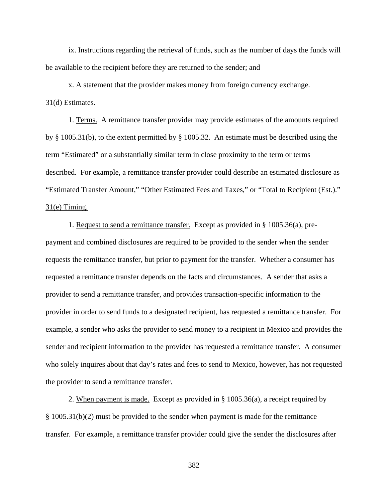ix. Instructions regarding the retrieval of funds, such as the number of days the funds will be available to the recipient before they are returned to the sender; and

x. A statement that the provider makes money from foreign currency exchange. 31(d) Estimates.

 1. Terms. A remittance transfer provider may provide estimates of the amounts required by § 1005.31(b), to the extent permitted by § 1005.32. An estimate must be described using the term "Estimated" or a substantially similar term in close proximity to the term or terms described. For example, a remittance transfer provider could describe an estimated disclosure as "Estimated Transfer Amount," "Other Estimated Fees and Taxes," or "Total to Recipient (Est.)."  $31(e)$  Timing.

 1. Request to send a remittance transfer. Except as provided in § 1005.36(a), prepayment and combined disclosures are required to be provided to the sender when the sender requests the remittance transfer, but prior to payment for the transfer. Whether a consumer has requested a remittance transfer depends on the facts and circumstances. A sender that asks a provider to send a remittance transfer, and provides transaction-specific information to the provider in order to send funds to a designated recipient, has requested a remittance transfer. For example, a sender who asks the provider to send money to a recipient in Mexico and provides the sender and recipient information to the provider has requested a remittance transfer. A consumer who solely inquires about that day's rates and fees to send to Mexico, however, has not requested the provider to send a remittance transfer.

 2. When payment is made. Except as provided in § 1005.36(a), a receipt required by § 1005.31(b)(2) must be provided to the sender when payment is made for the remittance transfer. For example, a remittance transfer provider could give the sender the disclosures after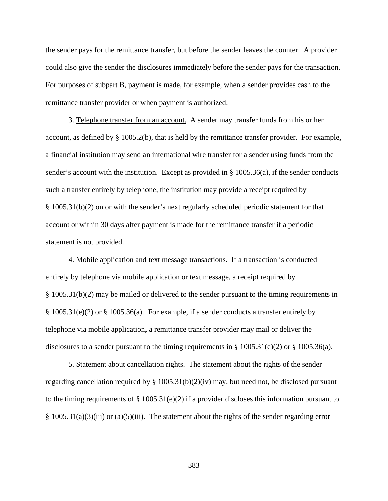the sender pays for the remittance transfer, but before the sender leaves the counter. A provider could also give the sender the disclosures immediately before the sender pays for the transaction. For purposes of subpart B, payment is made, for example, when a sender provides cash to the remittance transfer provider or when payment is authorized.

 3. Telephone transfer from an account. A sender may transfer funds from his or her account, as defined by § 1005.2(b), that is held by the remittance transfer provider. For example, a financial institution may send an international wire transfer for a sender using funds from the sender's account with the institution. Except as provided in § 1005.36(a), if the sender conducts such a transfer entirely by telephone, the institution may provide a receipt required by § 1005.31(b)(2) on or with the sender's next regularly scheduled periodic statement for that account or within 30 days after payment is made for the remittance transfer if a periodic statement is not provided.

 4. Mobile application and text message transactions. If a transaction is conducted entirely by telephone via mobile application or text message, a receipt required by § 1005.31(b)(2) may be mailed or delivered to the sender pursuant to the timing requirements in  $\S 1005.31(e)(2)$  or  $\S 1005.36(a)$ . For example, if a sender conducts a transfer entirely by telephone via mobile application, a remittance transfer provider may mail or deliver the disclosures to a sender pursuant to the timing requirements in § 1005.31(e)(2) or § 1005.36(a).

 5. Statement about cancellation rights. The statement about the rights of the sender regarding cancellation required by § 1005.31(b)(2)(iv) may, but need not, be disclosed pursuant to the timing requirements of  $\S 1005.31(e)(2)$  if a provider discloses this information pursuant to  $\S$  1005.31(a)(3)(iii) or (a)(5)(iii). The statement about the rights of the sender regarding error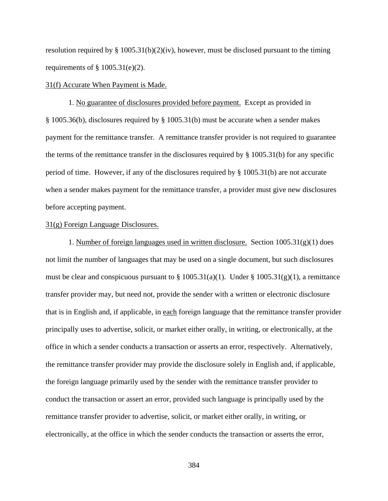resolution required by  $\S 1005.31(b)(2)(iv)$ , however, must be disclosed pursuant to the timing requirements of  $\S$  1005.31(e)(2).

# 31(f) Accurate When Payment is Made.

 1. No guarantee of disclosures provided before payment. Except as provided in § 1005.36(b), disclosures required by § 1005.31(b) must be accurate when a sender makes payment for the remittance transfer. A remittance transfer provider is not required to guarantee the terms of the remittance transfer in the disclosures required by  $\S$  1005.31(b) for any specific period of time. However, if any of the disclosures required by § 1005.31(b) are not accurate when a sender makes payment for the remittance transfer, a provider must give new disclosures before accepting payment.

## 31(g) Foreign Language Disclosures.

1. Number of foreign languages used in written disclosure. Section  $1005.31(g)(1)$  does not limit the number of languages that may be used on a single document, but such disclosures must be clear and conspicuous pursuant to  $\S 1005.31(a)(1)$ . Under  $\S 1005.31(g)(1)$ , a remittance transfer provider may, but need not, provide the sender with a written or electronic disclosure that is in English and, if applicable, in each foreign language that the remittance transfer provider principally uses to advertise, solicit, or market either orally, in writing, or electronically, at the office in which a sender conducts a transaction or asserts an error, respectively. Alternatively, the remittance transfer provider may provide the disclosure solely in English and, if applicable, the foreign language primarily used by the sender with the remittance transfer provider to conduct the transaction or assert an error, provided such language is principally used by the remittance transfer provider to advertise, solicit, or market either orally, in writing, or electronically, at the office in which the sender conducts the transaction or asserts the error,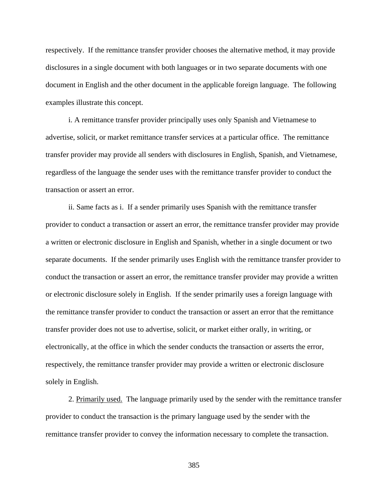respectively. If the remittance transfer provider chooses the alternative method, it may provide disclosures in a single document with both languages or in two separate documents with one document in English and the other document in the applicable foreign language. The following examples illustrate this concept.

i. A remittance transfer provider principally uses only Spanish and Vietnamese to advertise, solicit, or market remittance transfer services at a particular office. The remittance transfer provider may provide all senders with disclosures in English, Spanish, and Vietnamese, regardless of the language the sender uses with the remittance transfer provider to conduct the transaction or assert an error.

ii. Same facts as i. If a sender primarily uses Spanish with the remittance transfer provider to conduct a transaction or assert an error, the remittance transfer provider may provide a written or electronic disclosure in English and Spanish, whether in a single document or two separate documents. If the sender primarily uses English with the remittance transfer provider to conduct the transaction or assert an error, the remittance transfer provider may provide a written or electronic disclosure solely in English. If the sender primarily uses a foreign language with the remittance transfer provider to conduct the transaction or assert an error that the remittance transfer provider does not use to advertise, solicit, or market either orally, in writing, or electronically, at the office in which the sender conducts the transaction or asserts the error, respectively, the remittance transfer provider may provide a written or electronic disclosure solely in English.

2. Primarily used. The language primarily used by the sender with the remittance transfer provider to conduct the transaction is the primary language used by the sender with the remittance transfer provider to convey the information necessary to complete the transaction.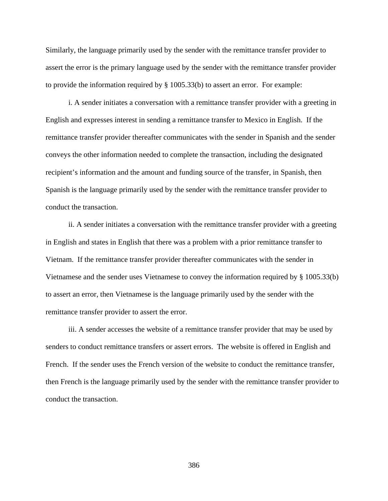Similarly, the language primarily used by the sender with the remittance transfer provider to assert the error is the primary language used by the sender with the remittance transfer provider to provide the information required by § 1005.33(b) to assert an error. For example:

i. A sender initiates a conversation with a remittance transfer provider with a greeting in English and expresses interest in sending a remittance transfer to Mexico in English. If the remittance transfer provider thereafter communicates with the sender in Spanish and the sender conveys the other information needed to complete the transaction, including the designated recipient's information and the amount and funding source of the transfer, in Spanish, then Spanish is the language primarily used by the sender with the remittance transfer provider to conduct the transaction.

ii. A sender initiates a conversation with the remittance transfer provider with a greeting in English and states in English that there was a problem with a prior remittance transfer to Vietnam. If the remittance transfer provider thereafter communicates with the sender in Vietnamese and the sender uses Vietnamese to convey the information required by § 1005.33(b) to assert an error, then Vietnamese is the language primarily used by the sender with the remittance transfer provider to assert the error.

iii. A sender accesses the website of a remittance transfer provider that may be used by senders to conduct remittance transfers or assert errors. The website is offered in English and French. If the sender uses the French version of the website to conduct the remittance transfer, then French is the language primarily used by the sender with the remittance transfer provider to conduct the transaction.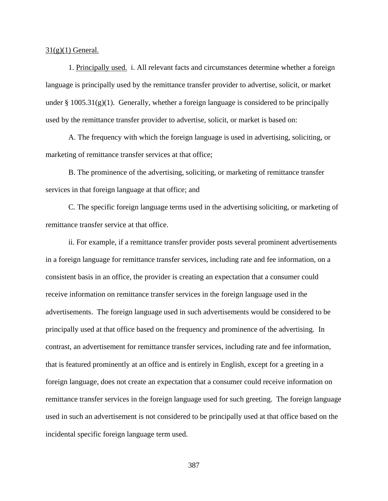$31(g)(1)$  General.

1. Principally used. i. All relevant facts and circumstances determine whether a foreign language is principally used by the remittance transfer provider to advertise, solicit, or market under  $\S 1005.31(g)(1)$ . Generally, whether a foreign language is considered to be principally used by the remittance transfer provider to advertise, solicit, or market is based on:

A. The frequency with which the foreign language is used in advertising, soliciting, or marketing of remittance transfer services at that office;

B. The prominence of the advertising, soliciting, or marketing of remittance transfer services in that foreign language at that office; and

C. The specific foreign language terms used in the advertising soliciting, or marketing of remittance transfer service at that office.

ii. For example, if a remittance transfer provider posts several prominent advertisements in a foreign language for remittance transfer services, including rate and fee information, on a consistent basis in an office, the provider is creating an expectation that a consumer could receive information on remittance transfer services in the foreign language used in the advertisements. The foreign language used in such advertisements would be considered to be principally used at that office based on the frequency and prominence of the advertising. In contrast, an advertisement for remittance transfer services, including rate and fee information, that is featured prominently at an office and is entirely in English, except for a greeting in a foreign language, does not create an expectation that a consumer could receive information on remittance transfer services in the foreign language used for such greeting. The foreign language used in such an advertisement is not considered to be principally used at that office based on the incidental specific foreign language term used.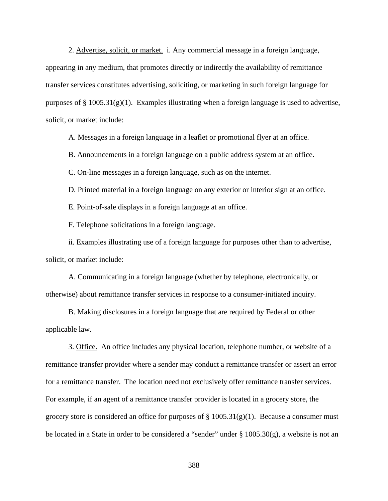2. Advertise, solicit, or market. i. Any commercial message in a foreign language, appearing in any medium, that promotes directly or indirectly the availability of remittance transfer services constitutes advertising, soliciting, or marketing in such foreign language for purposes of § 1005.31(g)(1). Examples illustrating when a foreign language is used to advertise, solicit, or market include:

A. Messages in a foreign language in a leaflet or promotional flyer at an office.

B. Announcements in a foreign language on a public address system at an office.

C. On-line messages in a foreign language, such as on the internet.

D. Printed material in a foreign language on any exterior or interior sign at an office.

E. Point-of-sale displays in a foreign language at an office.

F. Telephone solicitations in a foreign language.

ii. Examples illustrating use of a foreign language for purposes other than to advertise, solicit, or market include:

A. Communicating in a foreign language (whether by telephone, electronically, or otherwise) about remittance transfer services in response to a consumer-initiated inquiry.

B. Making disclosures in a foreign language that are required by Federal or other applicable law.

3. Office. An office includes any physical location, telephone number, or website of a remittance transfer provider where a sender may conduct a remittance transfer or assert an error for a remittance transfer. The location need not exclusively offer remittance transfer services. For example, if an agent of a remittance transfer provider is located in a grocery store, the grocery store is considered an office for purposes of  $\S 1005.31(g)(1)$ . Because a consumer must be located in a State in order to be considered a "sender" under § 1005.30(g), a website is not an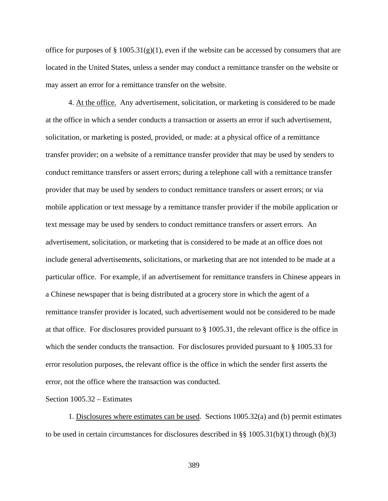office for purposes of §  $1005.31(g)(1)$ , even if the website can be accessed by consumers that are located in the United States, unless a sender may conduct a remittance transfer on the website or may assert an error for a remittance transfer on the website.

 4. At the office. Any advertisement, solicitation, or marketing is considered to be made at the office in which a sender conducts a transaction or asserts an error if such advertisement, solicitation, or marketing is posted, provided, or made: at a physical office of a remittance transfer provider; on a website of a remittance transfer provider that may be used by senders to conduct remittance transfers or assert errors; during a telephone call with a remittance transfer provider that may be used by senders to conduct remittance transfers or assert errors; or via mobile application or text message by a remittance transfer provider if the mobile application or text message may be used by senders to conduct remittance transfers or assert errors. An advertisement, solicitation, or marketing that is considered to be made at an office does not include general advertisements, solicitations, or marketing that are not intended to be made at a particular office. For example, if an advertisement for remittance transfers in Chinese appears in a Chinese newspaper that is being distributed at a grocery store in which the agent of a remittance transfer provider is located, such advertisement would not be considered to be made at that office. For disclosures provided pursuant to § 1005.31, the relevant office is the office in which the sender conducts the transaction. For disclosures provided pursuant to § 1005.33 for error resolution purposes, the relevant office is the office in which the sender first asserts the error, not the office where the transaction was conducted.

# Section 1005.32 – Estimates

1. Disclosures where estimates can be used. Sections 1005.32(a) and (b) permit estimates to be used in certain circumstances for disclosures described in §§ 1005.31(b)(1) through (b)(3)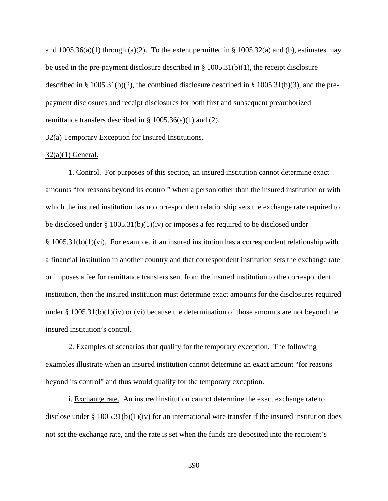and  $1005.36(a)(1)$  through (a)(2). To the extent permitted in §  $1005.32(a)$  and (b), estimates may be used in the pre-payment disclosure described in  $\S$  1005.31(b)(1), the receipt disclosure described in § 1005.31(b)(2), the combined disclosure described in § 1005.31(b)(3), and the prepayment disclosures and receipt disclosures for both first and subsequent preauthorized remittance transfers described in  $\S 1005.36(a)(1)$  and (2).

# 32(a) Temporary Exception for Insured Institutions.

#### $32(a)(1)$  General.

1. Control. For purposes of this section, an insured institution cannot determine exact amounts "for reasons beyond its control" when a person other than the insured institution or with which the insured institution has no correspondent relationship sets the exchange rate required to be disclosed under  $\S 1005.31(b)(1)(iv)$  or imposes a fee required to be disclosed under § 1005.31(b)(1)(vi). For example, if an insured institution has a correspondent relationship with a financial institution in another country and that correspondent institution sets the exchange rate or imposes a fee for remittance transfers sent from the insured institution to the correspondent institution, then the insured institution must determine exact amounts for the disclosures required under  $\S 1005.31(b)(1)(iv)$  or (vi) because the determination of those amounts are not beyond the insured institution's control.

2. Examples of scenarios that qualify for the temporary exception. The following examples illustrate when an insured institution cannot determine an exact amount "for reasons beyond its control" and thus would qualify for the temporary exception.

i. Exchange rate. An insured institution cannot determine the exact exchange rate to disclose under  $\S 1005.31(b)(1)(iv)$  for an international wire transfer if the insured institution does not set the exchange rate, and the rate is set when the funds are deposited into the recipient's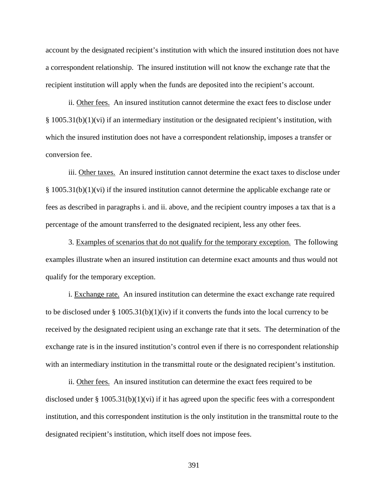account by the designated recipient's institution with which the insured institution does not have a correspondent relationship. The insured institution will not know the exchange rate that the recipient institution will apply when the funds are deposited into the recipient's account.

ii. Other fees. An insured institution cannot determine the exact fees to disclose under  $§ 1005.31(b)(1)(vi)$  if an intermediary institution or the designated recipient's institution, with which the insured institution does not have a correspondent relationship, imposes a transfer or conversion fee.

iii. Other taxes. An insured institution cannot determine the exact taxes to disclose under  $§ 1005.31(b)(1)(vi)$  if the insured institution cannot determine the applicable exchange rate or fees as described in paragraphs i. and ii. above, and the recipient country imposes a tax that is a percentage of the amount transferred to the designated recipient, less any other fees.

3. Examples of scenarios that do not qualify for the temporary exception. The following examples illustrate when an insured institution can determine exact amounts and thus would not qualify for the temporary exception.

i. Exchange rate. An insured institution can determine the exact exchange rate required to be disclosed under  $\S 1005.31(b)(1)(iv)$  if it converts the funds into the local currency to be received by the designated recipient using an exchange rate that it sets. The determination of the exchange rate is in the insured institution's control even if there is no correspondent relationship with an intermediary institution in the transmittal route or the designated recipient's institution.

ii. Other fees. An insured institution can determine the exact fees required to be disclosed under  $\S 1005.31(b)(1)(vi)$  if it has agreed upon the specific fees with a correspondent institution, and this correspondent institution is the only institution in the transmittal route to the designated recipient's institution, which itself does not impose fees.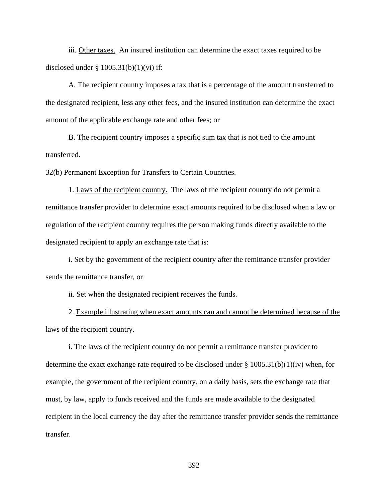iii. Other taxes. An insured institution can determine the exact taxes required to be disclosed under  $\S$  1005.31(b)(1)(vi) if:

A. The recipient country imposes a tax that is a percentage of the amount transferred to the designated recipient, less any other fees, and the insured institution can determine the exact amount of the applicable exchange rate and other fees; or

B. The recipient country imposes a specific sum tax that is not tied to the amount transferred.

# 32(b) Permanent Exception for Transfers to Certain Countries.

1. Laws of the recipient country. The laws of the recipient country do not permit a remittance transfer provider to determine exact amounts required to be disclosed when a law or regulation of the recipient country requires the person making funds directly available to the designated recipient to apply an exchange rate that is:

i. Set by the government of the recipient country after the remittance transfer provider sends the remittance transfer, or

ii. Set when the designated recipient receives the funds.

2. Example illustrating when exact amounts can and cannot be determined because of the laws of the recipient country.

i. The laws of the recipient country do not permit a remittance transfer provider to determine the exact exchange rate required to be disclosed under  $\S 1005.31(b)(1)(iv)$  when, for example, the government of the recipient country, on a daily basis, sets the exchange rate that must, by law, apply to funds received and the funds are made available to the designated recipient in the local currency the day after the remittance transfer provider sends the remittance transfer.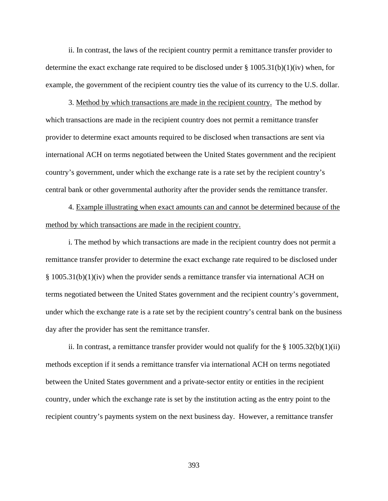ii. In contrast, the laws of the recipient country permit a remittance transfer provider to determine the exact exchange rate required to be disclosed under  $\S 1005.31(b)(1)(iv)$  when, for example, the government of the recipient country ties the value of its currency to the U.S. dollar.

3. Method by which transactions are made in the recipient country. The method by which transactions are made in the recipient country does not permit a remittance transfer provider to determine exact amounts required to be disclosed when transactions are sent via international ACH on terms negotiated between the United States government and the recipient country's government, under which the exchange rate is a rate set by the recipient country's central bank or other governmental authority after the provider sends the remittance transfer.

4. Example illustrating when exact amounts can and cannot be determined because of the method by which transactions are made in the recipient country.

i. The method by which transactions are made in the recipient country does not permit a remittance transfer provider to determine the exact exchange rate required to be disclosed under § 1005.31(b)(1)(iv) when the provider sends a remittance transfer via international ACH on terms negotiated between the United States government and the recipient country's government, under which the exchange rate is a rate set by the recipient country's central bank on the business day after the provider has sent the remittance transfer.

ii. In contrast, a remittance transfer provider would not qualify for the  $\S 1005.32(b)(1)(ii)$ methods exception if it sends a remittance transfer via international ACH on terms negotiated between the United States government and a private-sector entity or entities in the recipient country, under which the exchange rate is set by the institution acting as the entry point to the recipient country's payments system on the next business day. However, a remittance transfer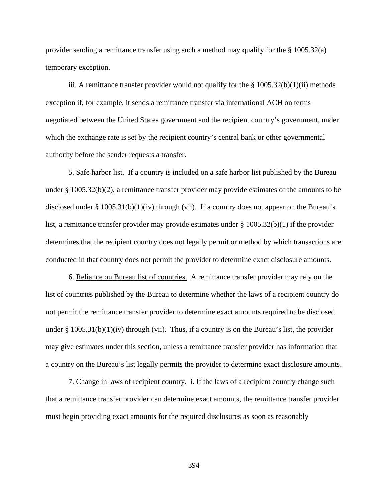provider sending a remittance transfer using such a method may qualify for the § 1005.32(a) temporary exception.

iii. A remittance transfer provider would not qualify for the  $\S 1005.32(b)(1)(ii)$  methods exception if, for example, it sends a remittance transfer via international ACH on terms negotiated between the United States government and the recipient country's government, under which the exchange rate is set by the recipient country's central bank or other governmental authority before the sender requests a transfer.

5. Safe harbor list. If a country is included on a safe harbor list published by the Bureau under § 1005.32(b)(2), a remittance transfer provider may provide estimates of the amounts to be disclosed under § 1005.31(b)(1)(iv) through (vii). If a country does not appear on the Bureau's list, a remittance transfer provider may provide estimates under  $\S 1005.32(b)(1)$  if the provider determines that the recipient country does not legally permit or method by which transactions are conducted in that country does not permit the provider to determine exact disclosure amounts.

6. Reliance on Bureau list of countries. A remittance transfer provider may rely on the list of countries published by the Bureau to determine whether the laws of a recipient country do not permit the remittance transfer provider to determine exact amounts required to be disclosed under  $\S 1005.31(b)(1)(iv)$  through (vii). Thus, if a country is on the Bureau's list, the provider may give estimates under this section, unless a remittance transfer provider has information that a country on the Bureau's list legally permits the provider to determine exact disclosure amounts.

7. Change in laws of recipient country. i. If the laws of a recipient country change such that a remittance transfer provider can determine exact amounts, the remittance transfer provider must begin providing exact amounts for the required disclosures as soon as reasonably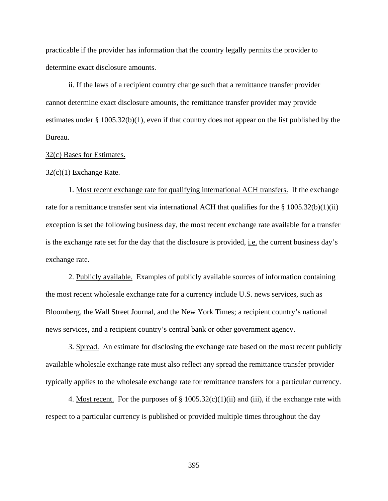practicable if the provider has information that the country legally permits the provider to determine exact disclosure amounts.

ii. If the laws of a recipient country change such that a remittance transfer provider cannot determine exact disclosure amounts, the remittance transfer provider may provide estimates under § 1005.32(b)(1), even if that country does not appear on the list published by the Bureau.

#### 32(c) Bases for Estimates.

#### 32(c)(1) Exchange Rate.

1. Most recent exchange rate for qualifying international ACH transfers. If the exchange rate for a remittance transfer sent via international ACH that qualifies for the § 1005.32(b)(1)(ii) exception is set the following business day, the most recent exchange rate available for a transfer is the exchange rate set for the day that the disclosure is provided, *i.e.* the current business day's exchange rate.

2. Publicly available. Examples of publicly available sources of information containing the most recent wholesale exchange rate for a currency include U.S. news services, such as Bloomberg, the Wall Street Journal, and the New York Times; a recipient country's national news services, and a recipient country's central bank or other government agency.

3. Spread. An estimate for disclosing the exchange rate based on the most recent publicly available wholesale exchange rate must also reflect any spread the remittance transfer provider typically applies to the wholesale exchange rate for remittance transfers for a particular currency.

4. Most recent. For the purposes of  $\S 1005.32(c)(1)(ii)$  and (iii), if the exchange rate with respect to a particular currency is published or provided multiple times throughout the day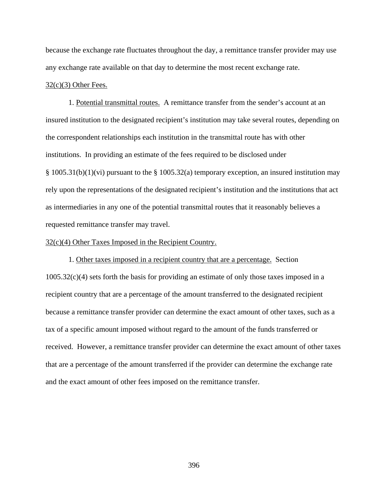because the exchange rate fluctuates throughout the day, a remittance transfer provider may use any exchange rate available on that day to determine the most recent exchange rate.

## $32(c)(3)$  Other Fees.

1. Potential transmittal routes. A remittance transfer from the sender's account at an insured institution to the designated recipient's institution may take several routes, depending on the correspondent relationships each institution in the transmittal route has with other institutions. In providing an estimate of the fees required to be disclosed under § 1005.31(b)(1)(vi) pursuant to the § 1005.32(a) temporary exception, an insured institution may rely upon the representations of the designated recipient's institution and the institutions that act as intermediaries in any one of the potential transmittal routes that it reasonably believes a requested remittance transfer may travel.

# 32(c)(4) Other Taxes Imposed in the Recipient Country.

 1. Other taxes imposed in a recipient country that are a percentage. Section 1005.32(c)(4) sets forth the basis for providing an estimate of only those taxes imposed in a recipient country that are a percentage of the amount transferred to the designated recipient because a remittance transfer provider can determine the exact amount of other taxes, such as a tax of a specific amount imposed without regard to the amount of the funds transferred or received. However, a remittance transfer provider can determine the exact amount of other taxes that are a percentage of the amount transferred if the provider can determine the exchange rate and the exact amount of other fees imposed on the remittance transfer.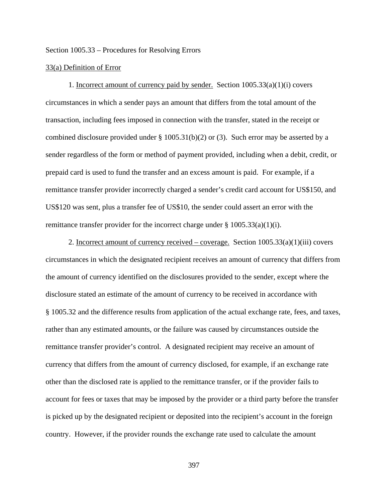### Section 1005.33 – Procedures for Resolving Errors

# 33(a) Definition of Error

 1. Incorrect amount of currency paid by sender. Section 1005.33(a)(1)(i) covers circumstances in which a sender pays an amount that differs from the total amount of the transaction, including fees imposed in connection with the transfer, stated in the receipt or combined disclosure provided under § 1005.31(b)(2) or (3). Such error may be asserted by a sender regardless of the form or method of payment provided, including when a debit, credit, or prepaid card is used to fund the transfer and an excess amount is paid. For example, if a remittance transfer provider incorrectly charged a sender's credit card account for US\$150, and US\$120 was sent, plus a transfer fee of US\$10, the sender could assert an error with the remittance transfer provider for the incorrect charge under  $\S 1005.33(a)(1)(i)$ .

2. Incorrect amount of currency received – coverage. Section  $1005.33(a)(1)(iii)$  covers circumstances in which the designated recipient receives an amount of currency that differs from the amount of currency identified on the disclosures provided to the sender, except where the disclosure stated an estimate of the amount of currency to be received in accordance with § 1005.32 and the difference results from application of the actual exchange rate, fees, and taxes, rather than any estimated amounts, or the failure was caused by circumstances outside the remittance transfer provider's control. A designated recipient may receive an amount of currency that differs from the amount of currency disclosed, for example, if an exchange rate other than the disclosed rate is applied to the remittance transfer, or if the provider fails to account for fees or taxes that may be imposed by the provider or a third party before the transfer is picked up by the designated recipient or deposited into the recipient's account in the foreign country. However, if the provider rounds the exchange rate used to calculate the amount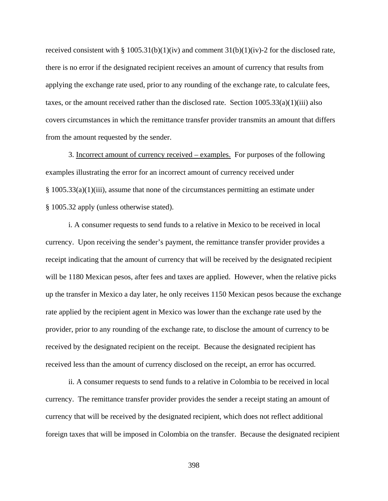received consistent with § 1005.31(b)(1)(iv) and comment 31(b)(1)(iv)-2 for the disclosed rate, there is no error if the designated recipient receives an amount of currency that results from applying the exchange rate used, prior to any rounding of the exchange rate, to calculate fees, taxes, or the amount received rather than the disclosed rate. Section 1005.33(a)(1)(iii) also covers circumstances in which the remittance transfer provider transmits an amount that differs from the amount requested by the sender.

3. Incorrect amount of currency received – examples. For purposes of the following examples illustrating the error for an incorrect amount of currency received under § 1005.33(a)(1)(iii), assume that none of the circumstances permitting an estimate under § 1005.32 apply (unless otherwise stated).

 i. A consumer requests to send funds to a relative in Mexico to be received in local currency. Upon receiving the sender's payment, the remittance transfer provider provides a receipt indicating that the amount of currency that will be received by the designated recipient will be 1180 Mexican pesos, after fees and taxes are applied. However, when the relative picks up the transfer in Mexico a day later, he only receives 1150 Mexican pesos because the exchange rate applied by the recipient agent in Mexico was lower than the exchange rate used by the provider, prior to any rounding of the exchange rate, to disclose the amount of currency to be received by the designated recipient on the receipt. Because the designated recipient has received less than the amount of currency disclosed on the receipt, an error has occurred.

 ii. A consumer requests to send funds to a relative in Colombia to be received in local currency. The remittance transfer provider provides the sender a receipt stating an amount of currency that will be received by the designated recipient, which does not reflect additional foreign taxes that will be imposed in Colombia on the transfer. Because the designated recipient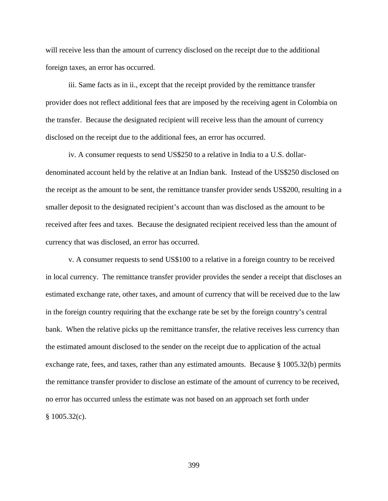will receive less than the amount of currency disclosed on the receipt due to the additional foreign taxes, an error has occurred.

 iii. Same facts as in ii., except that the receipt provided by the remittance transfer provider does not reflect additional fees that are imposed by the receiving agent in Colombia on the transfer. Because the designated recipient will receive less than the amount of currency disclosed on the receipt due to the additional fees, an error has occurred.

iv. A consumer requests to send US\$250 to a relative in India to a U.S. dollardenominated account held by the relative at an Indian bank. Instead of the US\$250 disclosed on the receipt as the amount to be sent, the remittance transfer provider sends US\$200, resulting in a smaller deposit to the designated recipient's account than was disclosed as the amount to be received after fees and taxes. Because the designated recipient received less than the amount of currency that was disclosed, an error has occurred.

 v. A consumer requests to send US\$100 to a relative in a foreign country to be received in local currency. The remittance transfer provider provides the sender a receipt that discloses an estimated exchange rate, other taxes, and amount of currency that will be received due to the law in the foreign country requiring that the exchange rate be set by the foreign country's central bank. When the relative picks up the remittance transfer, the relative receives less currency than the estimated amount disclosed to the sender on the receipt due to application of the actual exchange rate, fees, and taxes, rather than any estimated amounts. Because § 1005.32(b) permits the remittance transfer provider to disclose an estimate of the amount of currency to be received, no error has occurred unless the estimate was not based on an approach set forth under  $$1005.32(c).$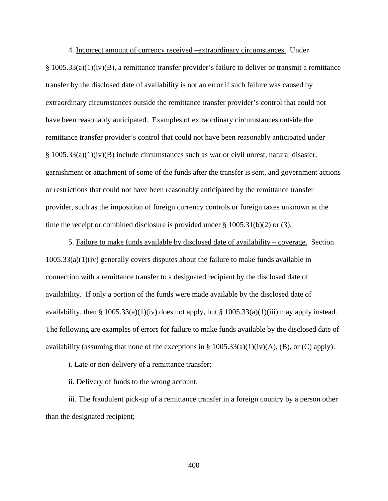4. Incorrect amount of currency received –extraordinary circumstances. Under § 1005.33(a)(1)(iv)(B), a remittance transfer provider's failure to deliver or transmit a remittance transfer by the disclosed date of availability is not an error if such failure was caused by extraordinary circumstances outside the remittance transfer provider's control that could not have been reasonably anticipated. Examples of extraordinary circumstances outside the remittance transfer provider's control that could not have been reasonably anticipated under § 1005.33(a)(1)(iv)(B) include circumstances such as war or civil unrest, natural disaster, garnishment or attachment of some of the funds after the transfer is sent, and government actions or restrictions that could not have been reasonably anticipated by the remittance transfer provider, such as the imposition of foreign currency controls or foreign taxes unknown at the time the receipt or combined disclosure is provided under  $\S$  1005.31(b)(2) or (3).

5. Failure to make funds available by disclosed date of availability – coverage. Section 1005.33(a)(1)(iv) generally covers disputes about the failure to make funds available in connection with a remittance transfer to a designated recipient by the disclosed date of availability. If only a portion of the funds were made available by the disclosed date of availability, then § 1005.33(a)(1)(iv) does not apply, but § 1005.33(a)(1)(iii) may apply instead. The following are examples of errors for failure to make funds available by the disclosed date of availability (assuming that none of the exceptions in  $\S 1005.33(a)(1)(iv)(A)$ , (B), or (C) apply).

i. Late or non-delivery of a remittance transfer;

ii. Delivery of funds to the wrong account;

 iii. The fraudulent pick-up of a remittance transfer in a foreign country by a person other than the designated recipient;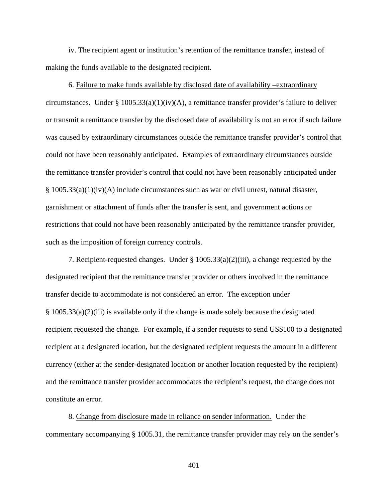iv. The recipient agent or institution's retention of the remittance transfer, instead of making the funds available to the designated recipient.

 6. Failure to make funds available by disclosed date of availability –extraordinary circumstances. Under § 1005.33(a)(1)(iv)(A), a remittance transfer provider's failure to deliver or transmit a remittance transfer by the disclosed date of availability is not an error if such failure was caused by extraordinary circumstances outside the remittance transfer provider's control that could not have been reasonably anticipated. Examples of extraordinary circumstances outside the remittance transfer provider's control that could not have been reasonably anticipated under  $§ 1005.33(a)(1)(iv)(A)$  include circumstances such as war or civil unrest, natural disaster, garnishment or attachment of funds after the transfer is sent, and government actions or restrictions that could not have been reasonably anticipated by the remittance transfer provider, such as the imposition of foreign currency controls.

7. Recipient-requested changes. Under § 1005.33(a)(2)(iii), a change requested by the designated recipient that the remittance transfer provider or others involved in the remittance transfer decide to accommodate is not considered an error. The exception under § 1005.33(a)(2)(iii) is available only if the change is made solely because the designated recipient requested the change. For example, if a sender requests to send US\$100 to a designated recipient at a designated location, but the designated recipient requests the amount in a different currency (either at the sender-designated location or another location requested by the recipient) and the remittance transfer provider accommodates the recipient's request, the change does not constitute an error.

8. Change from disclosure made in reliance on sender information. Under the commentary accompanying § 1005.31, the remittance transfer provider may rely on the sender's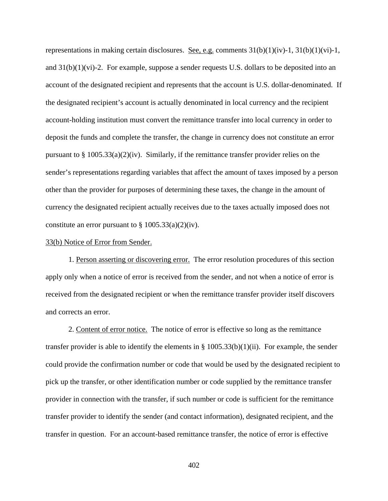representations in making certain disclosures. See, e.g. comments  $31(b)(1)(iv)-1$ ,  $31(b)(1)(vi)-1$ , and  $31(b)(1)(vi)-2$ . For example, suppose a sender requests U.S. dollars to be deposited into an account of the designated recipient and represents that the account is U.S. dollar-denominated. If the designated recipient's account is actually denominated in local currency and the recipient account-holding institution must convert the remittance transfer into local currency in order to deposit the funds and complete the transfer, the change in currency does not constitute an error pursuant to §  $1005.33(a)(2)(iv)$ . Similarly, if the remittance transfer provider relies on the sender's representations regarding variables that affect the amount of taxes imposed by a person other than the provider for purposes of determining these taxes, the change in the amount of currency the designated recipient actually receives due to the taxes actually imposed does not constitute an error pursuant to  $\S 1005.33(a)(2)(iv)$ .

### 33(b) Notice of Error from Sender.

 1. Person asserting or discovering error. The error resolution procedures of this section apply only when a notice of error is received from the sender, and not when a notice of error is received from the designated recipient or when the remittance transfer provider itself discovers and corrects an error.

 2. Content of error notice. The notice of error is effective so long as the remittance transfer provider is able to identify the elements in §  $1005.33(b)(1)(ii)$ . For example, the sender could provide the confirmation number or code that would be used by the designated recipient to pick up the transfer, or other identification number or code supplied by the remittance transfer provider in connection with the transfer, if such number or code is sufficient for the remittance transfer provider to identify the sender (and contact information), designated recipient, and the transfer in question. For an account-based remittance transfer, the notice of error is effective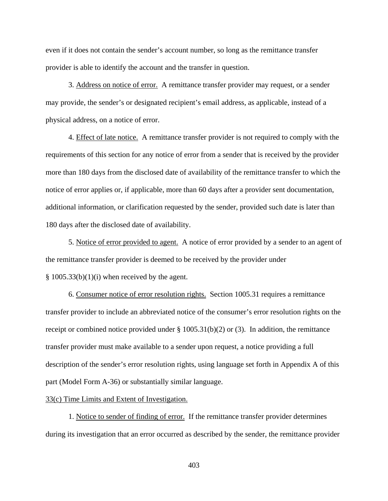even if it does not contain the sender's account number, so long as the remittance transfer provider is able to identify the account and the transfer in question.

3. Address on notice of error. A remittance transfer provider may request, or a sender may provide, the sender's or designated recipient's email address, as applicable, instead of a physical address, on a notice of error.

4. Effect of late notice. A remittance transfer provider is not required to comply with the requirements of this section for any notice of error from a sender that is received by the provider more than 180 days from the disclosed date of availability of the remittance transfer to which the notice of error applies or, if applicable, more than 60 days after a provider sent documentation, additional information, or clarification requested by the sender, provided such date is later than 180 days after the disclosed date of availability.

5. Notice of error provided to agent. A notice of error provided by a sender to an agent of the remittance transfer provider is deemed to be received by the provider under  $§ 1005.33(b)(1)(i)$  when received by the agent.

6. Consumer notice of error resolution rights. Section 1005.31 requires a remittance transfer provider to include an abbreviated notice of the consumer's error resolution rights on the receipt or combined notice provided under  $\S 1005.31(b)(2)$  or (3). In addition, the remittance transfer provider must make available to a sender upon request, a notice providing a full description of the sender's error resolution rights, using language set forth in Appendix A of this part (Model Form A-36) or substantially similar language.

33(c) Time Limits and Extent of Investigation.

 1. Notice to sender of finding of error. If the remittance transfer provider determines during its investigation that an error occurred as described by the sender, the remittance provider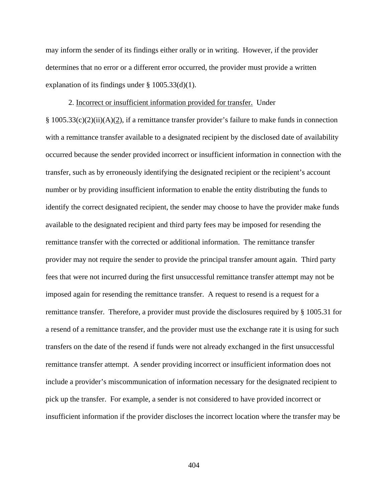may inform the sender of its findings either orally or in writing. However, if the provider determines that no error or a different error occurred, the provider must provide a written explanation of its findings under § 1005.33(d)(1).

## 2. Incorrect or insufficient information provided for transfer. Under

 $§ 1005.33(c)(2)(ii)(A)(2)$ , if a remittance transfer provider's failure to make funds in connection with a remittance transfer available to a designated recipient by the disclosed date of availability occurred because the sender provided incorrect or insufficient information in connection with the transfer, such as by erroneously identifying the designated recipient or the recipient's account number or by providing insufficient information to enable the entity distributing the funds to identify the correct designated recipient, the sender may choose to have the provider make funds available to the designated recipient and third party fees may be imposed for resending the remittance transfer with the corrected or additional information. The remittance transfer provider may not require the sender to provide the principal transfer amount again. Third party fees that were not incurred during the first unsuccessful remittance transfer attempt may not be imposed again for resending the remittance transfer. A request to resend is a request for a remittance transfer. Therefore, a provider must provide the disclosures required by § 1005.31 for a resend of a remittance transfer, and the provider must use the exchange rate it is using for such transfers on the date of the resend if funds were not already exchanged in the first unsuccessful remittance transfer attempt. A sender providing incorrect or insufficient information does not include a provider's miscommunication of information necessary for the designated recipient to pick up the transfer. For example, a sender is not considered to have provided incorrect or insufficient information if the provider discloses the incorrect location where the transfer may be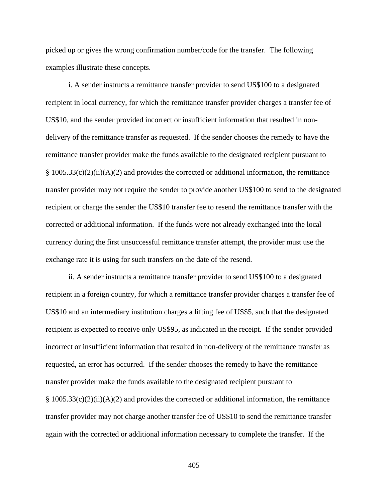picked up or gives the wrong confirmation number/code for the transfer. The following examples illustrate these concepts.

i. A sender instructs a remittance transfer provider to send US\$100 to a designated recipient in local currency, for which the remittance transfer provider charges a transfer fee of US\$10, and the sender provided incorrect or insufficient information that resulted in nondelivery of the remittance transfer as requested. If the sender chooses the remedy to have the remittance transfer provider make the funds available to the designated recipient pursuant to  $\S 1005.33(c)(2)(ii)(A)(2)$  and provides the corrected or additional information, the remittance transfer provider may not require the sender to provide another US\$100 to send to the designated recipient or charge the sender the US\$10 transfer fee to resend the remittance transfer with the corrected or additional information. If the funds were not already exchanged into the local currency during the first unsuccessful remittance transfer attempt, the provider must use the exchange rate it is using for such transfers on the date of the resend.

ii. A sender instructs a remittance transfer provider to send US\$100 to a designated recipient in a foreign country, for which a remittance transfer provider charges a transfer fee of US\$10 and an intermediary institution charges a lifting fee of US\$5, such that the designated recipient is expected to receive only US\$95, as indicated in the receipt. If the sender provided incorrect or insufficient information that resulted in non-delivery of the remittance transfer as requested, an error has occurred. If the sender chooses the remedy to have the remittance transfer provider make the funds available to the designated recipient pursuant to  $\S 1005.33(c)(2)(ii)(A)(2)$  and provides the corrected or additional information, the remittance transfer provider may not charge another transfer fee of US\$10 to send the remittance transfer again with the corrected or additional information necessary to complete the transfer. If the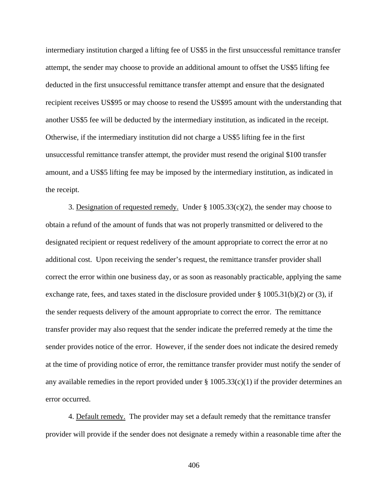intermediary institution charged a lifting fee of US\$5 in the first unsuccessful remittance transfer attempt, the sender may choose to provide an additional amount to offset the US\$5 lifting fee deducted in the first unsuccessful remittance transfer attempt and ensure that the designated recipient receives US\$95 or may choose to resend the US\$95 amount with the understanding that another US\$5 fee will be deducted by the intermediary institution, as indicated in the receipt. Otherwise, if the intermediary institution did not charge a US\$5 lifting fee in the first unsuccessful remittance transfer attempt, the provider must resend the original \$100 transfer amount, and a US\$5 lifting fee may be imposed by the intermediary institution, as indicated in the receipt.

3. Designation of requested remedy. Under  $\S 1005.33(c)(2)$ , the sender may choose to obtain a refund of the amount of funds that was not properly transmitted or delivered to the designated recipient or request redelivery of the amount appropriate to correct the error at no additional cost. Upon receiving the sender's request, the remittance transfer provider shall correct the error within one business day, or as soon as reasonably practicable, applying the same exchange rate, fees, and taxes stated in the disclosure provided under § 1005.31(b)(2) or (3), if the sender requests delivery of the amount appropriate to correct the error. The remittance transfer provider may also request that the sender indicate the preferred remedy at the time the sender provides notice of the error. However, if the sender does not indicate the desired remedy at the time of providing notice of error, the remittance transfer provider must notify the sender of any available remedies in the report provided under  $\S 1005.33(c)(1)$  if the provider determines an error occurred.

4. Default remedy. The provider may set a default remedy that the remittance transfer provider will provide if the sender does not designate a remedy within a reasonable time after the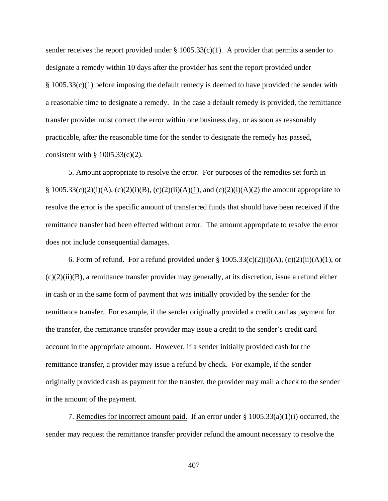sender receives the report provided under § 1005.33(c)(1). A provider that permits a sender to designate a remedy within 10 days after the provider has sent the report provided under § 1005.33(c)(1) before imposing the default remedy is deemed to have provided the sender with a reasonable time to designate a remedy. In the case a default remedy is provided, the remittance transfer provider must correct the error within one business day, or as soon as reasonably practicable, after the reasonable time for the sender to designate the remedy has passed, consistent with  $\S 1005.33(c)(2)$ .

 5. Amount appropriate to resolve the error. For purposes of the remedies set forth in § 1005.33(c)(2)(i)(A), (c)(2)(i)(B), (c)(2)(ii)(A)(1), and (c)(2)(i)(A)(2) the amount appropriate to resolve the error is the specific amount of transferred funds that should have been received if the remittance transfer had been effected without error. The amount appropriate to resolve the error does not include consequential damages.

6. Form of refund. For a refund provided under  $\S 1005.33(c)(2)(i)(A)$ ,  $(c)(2)(ii)(A)(1)$ , or  $(c)(2)(ii)(B)$ , a remittance transfer provider may generally, at its discretion, issue a refund either in cash or in the same form of payment that was initially provided by the sender for the remittance transfer. For example, if the sender originally provided a credit card as payment for the transfer, the remittance transfer provider may issue a credit to the sender's credit card account in the appropriate amount. However, if a sender initially provided cash for the remittance transfer, a provider may issue a refund by check. For example, if the sender originally provided cash as payment for the transfer, the provider may mail a check to the sender in the amount of the payment.

 7. Remedies for incorrect amount paid. If an error under § 1005.33(a)(1)(i) occurred, the sender may request the remittance transfer provider refund the amount necessary to resolve the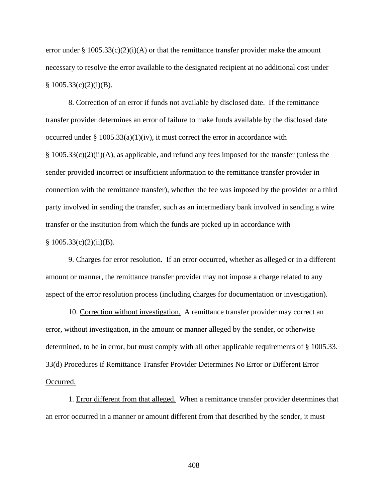error under § 1005.33(c)(2)(i)(A) or that the remittance transfer provider make the amount necessary to resolve the error available to the designated recipient at no additional cost under  $§ 1005.33(c)(2)(i)(B).$ 

8. Correction of an error if funds not available by disclosed date. If the remittance transfer provider determines an error of failure to make funds available by the disclosed date occurred under §  $1005.33(a)(1)(iv)$ , it must correct the error in accordance with § 1005.33(c)(2)(ii)(A), as applicable, and refund any fees imposed for the transfer (unless the sender provided incorrect or insufficient information to the remittance transfer provider in connection with the remittance transfer), whether the fee was imposed by the provider or a third party involved in sending the transfer, such as an intermediary bank involved in sending a wire transfer or the institution from which the funds are picked up in accordance with  $§ 1005.33(c)(2)(ii)(B).$ 

9. Charges for error resolution. If an error occurred, whether as alleged or in a different amount or manner, the remittance transfer provider may not impose a charge related to any aspect of the error resolution process (including charges for documentation or investigation).

10. Correction without investigation. A remittance transfer provider may correct an error, without investigation, in the amount or manner alleged by the sender, or otherwise determined, to be in error, but must comply with all other applicable requirements of § 1005.33. 33(d) Procedures if Remittance Transfer Provider Determines No Error or Different Error Occurred.

 1. Error different from that alleged. When a remittance transfer provider determines that an error occurred in a manner or amount different from that described by the sender, it must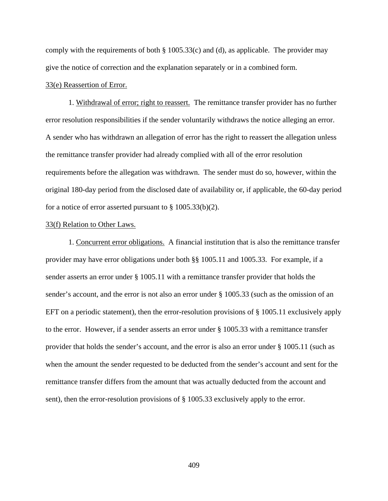comply with the requirements of both § 1005.33(c) and (d), as applicable. The provider may give the notice of correction and the explanation separately or in a combined form.

# 33(e) Reassertion of Error.

 1. Withdrawal of error; right to reassert. The remittance transfer provider has no further error resolution responsibilities if the sender voluntarily withdraws the notice alleging an error. A sender who has withdrawn an allegation of error has the right to reassert the allegation unless the remittance transfer provider had already complied with all of the error resolution requirements before the allegation was withdrawn. The sender must do so, however, within the original 180-day period from the disclosed date of availability or, if applicable, the 60-day period for a notice of error asserted pursuant to § 1005.33(b)(2).

### 33(f) Relation to Other Laws.

 1. Concurrent error obligations. A financial institution that is also the remittance transfer provider may have error obligations under both §§ 1005.11 and 1005.33. For example, if a sender asserts an error under § 1005.11 with a remittance transfer provider that holds the sender's account, and the error is not also an error under § 1005.33 (such as the omission of an EFT on a periodic statement), then the error-resolution provisions of § 1005.11 exclusively apply to the error. However, if a sender asserts an error under § 1005.33 with a remittance transfer provider that holds the sender's account, and the error is also an error under § 1005.11 (such as when the amount the sender requested to be deducted from the sender's account and sent for the remittance transfer differs from the amount that was actually deducted from the account and sent), then the error-resolution provisions of § 1005.33 exclusively apply to the error.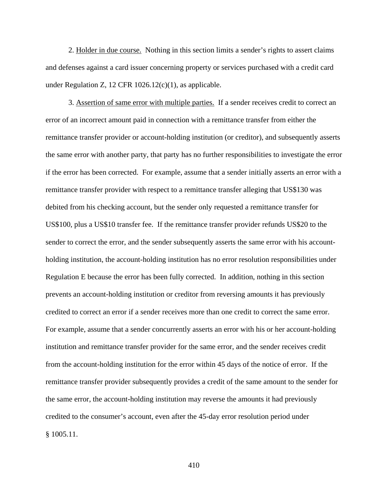2. Holder in due course. Nothing in this section limits a sender's rights to assert claims and defenses against a card issuer concerning property or services purchased with a credit card under Regulation Z, 12 CFR 1026.12(c)(1), as applicable.

 3. Assertion of same error with multiple parties. If a sender receives credit to correct an error of an incorrect amount paid in connection with a remittance transfer from either the remittance transfer provider or account-holding institution (or creditor), and subsequently asserts the same error with another party, that party has no further responsibilities to investigate the error if the error has been corrected. For example, assume that a sender initially asserts an error with a remittance transfer provider with respect to a remittance transfer alleging that US\$130 was debited from his checking account, but the sender only requested a remittance transfer for US\$100, plus a US\$10 transfer fee. If the remittance transfer provider refunds US\$20 to the sender to correct the error, and the sender subsequently asserts the same error with his accountholding institution, the account-holding institution has no error resolution responsibilities under Regulation E because the error has been fully corrected. In addition, nothing in this section prevents an account-holding institution or creditor from reversing amounts it has previously credited to correct an error if a sender receives more than one credit to correct the same error. For example, assume that a sender concurrently asserts an error with his or her account-holding institution and remittance transfer provider for the same error, and the sender receives credit from the account-holding institution for the error within 45 days of the notice of error. If the remittance transfer provider subsequently provides a credit of the same amount to the sender for the same error, the account-holding institution may reverse the amounts it had previously credited to the consumer's account, even after the 45-day error resolution period under § 1005.11.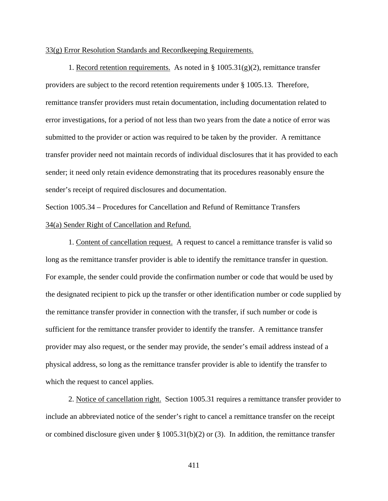## 33(g) Error Resolution Standards and Recordkeeping Requirements.

1. Record retention requirements. As noted in §  $1005.31(g)(2)$ , remittance transfer providers are subject to the record retention requirements under § 1005.13. Therefore, remittance transfer providers must retain documentation, including documentation related to error investigations, for a period of not less than two years from the date a notice of error was submitted to the provider or action was required to be taken by the provider. A remittance transfer provider need not maintain records of individual disclosures that it has provided to each sender; it need only retain evidence demonstrating that its procedures reasonably ensure the sender's receipt of required disclosures and documentation.

Section 1005.34 – Procedures for Cancellation and Refund of Remittance Transfers 34(a) Sender Right of Cancellation and Refund.

 1. Content of cancellation request. A request to cancel a remittance transfer is valid so long as the remittance transfer provider is able to identify the remittance transfer in question. For example, the sender could provide the confirmation number or code that would be used by the designated recipient to pick up the transfer or other identification number or code supplied by the remittance transfer provider in connection with the transfer, if such number or code is sufficient for the remittance transfer provider to identify the transfer. A remittance transfer provider may also request, or the sender may provide, the sender's email address instead of a physical address, so long as the remittance transfer provider is able to identify the transfer to which the request to cancel applies.

2. Notice of cancellation right. Section 1005.31 requires a remittance transfer provider to include an abbreviated notice of the sender's right to cancel a remittance transfer on the receipt or combined disclosure given under § 1005.31(b)(2) or (3). In addition, the remittance transfer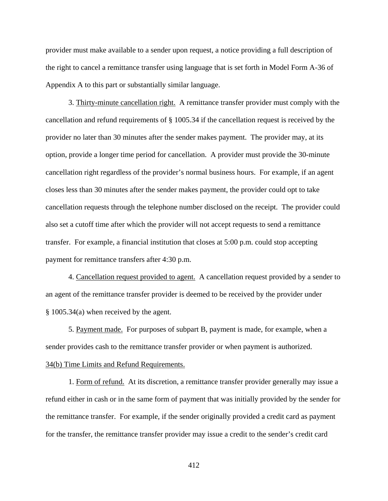provider must make available to a sender upon request, a notice providing a full description of the right to cancel a remittance transfer using language that is set forth in Model Form A-36 of Appendix A to this part or substantially similar language.

3. Thirty-minute cancellation right. A remittance transfer provider must comply with the cancellation and refund requirements of § 1005.34 if the cancellation request is received by the provider no later than 30 minutes after the sender makes payment. The provider may, at its option, provide a longer time period for cancellation. A provider must provide the 30-minute cancellation right regardless of the provider's normal business hours. For example, if an agent closes less than 30 minutes after the sender makes payment, the provider could opt to take cancellation requests through the telephone number disclosed on the receipt. The provider could also set a cutoff time after which the provider will not accept requests to send a remittance transfer. For example, a financial institution that closes at 5:00 p.m. could stop accepting payment for remittance transfers after 4:30 p.m.

4. Cancellation request provided to agent. A cancellation request provided by a sender to an agent of the remittance transfer provider is deemed to be received by the provider under § 1005.34(a) when received by the agent.

5. Payment made. For purposes of subpart B, payment is made, for example, when a sender provides cash to the remittance transfer provider or when payment is authorized. 34(b) Time Limits and Refund Requirements.

 1. Form of refund. At its discretion, a remittance transfer provider generally may issue a refund either in cash or in the same form of payment that was initially provided by the sender for the remittance transfer. For example, if the sender originally provided a credit card as payment for the transfer, the remittance transfer provider may issue a credit to the sender's credit card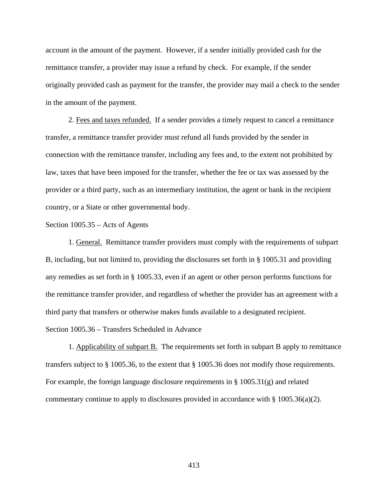account in the amount of the payment. However, if a sender initially provided cash for the remittance transfer, a provider may issue a refund by check. For example, if the sender originally provided cash as payment for the transfer, the provider may mail a check to the sender in the amount of the payment.

 2. Fees and taxes refunded. If a sender provides a timely request to cancel a remittance transfer, a remittance transfer provider must refund all funds provided by the sender in connection with the remittance transfer, including any fees and, to the extent not prohibited by law, taxes that have been imposed for the transfer, whether the fee or tax was assessed by the provider or a third party, such as an intermediary institution, the agent or bank in the recipient country, or a State or other governmental body.

# Section 1005.35 – Acts of Agents

 1. General. Remittance transfer providers must comply with the requirements of subpart B, including, but not limited to, providing the disclosures set forth in § 1005.31 and providing any remedies as set forth in § 1005.33, even if an agent or other person performs functions for the remittance transfer provider, and regardless of whether the provider has an agreement with a third party that transfers or otherwise makes funds available to a designated recipient. Section 1005.36 – Transfers Scheduled in Advance

1. Applicability of subpart B. The requirements set forth in subpart B apply to remittance transfers subject to § 1005.36, to the extent that § 1005.36 does not modify those requirements. For example, the foreign language disclosure requirements in § 1005.31(g) and related commentary continue to apply to disclosures provided in accordance with  $\S 1005.36(a)(2)$ .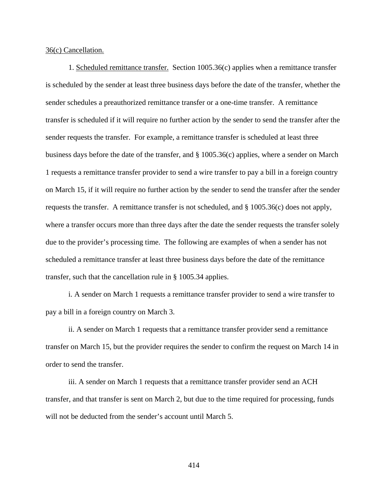36(c) Cancellation.

1. Scheduled remittance transfer. Section 1005.36(c) applies when a remittance transfer is scheduled by the sender at least three business days before the date of the transfer, whether the sender schedules a preauthorized remittance transfer or a one-time transfer. A remittance transfer is scheduled if it will require no further action by the sender to send the transfer after the sender requests the transfer. For example, a remittance transfer is scheduled at least three business days before the date of the transfer, and § 1005.36(c) applies, where a sender on March 1 requests a remittance transfer provider to send a wire transfer to pay a bill in a foreign country on March 15, if it will require no further action by the sender to send the transfer after the sender requests the transfer. A remittance transfer is not scheduled, and § 1005.36(c) does not apply, where a transfer occurs more than three days after the date the sender requests the transfer solely due to the provider's processing time. The following are examples of when a sender has not scheduled a remittance transfer at least three business days before the date of the remittance transfer, such that the cancellation rule in § 1005.34 applies.

i. A sender on March 1 requests a remittance transfer provider to send a wire transfer to pay a bill in a foreign country on March 3.

ii. A sender on March 1 requests that a remittance transfer provider send a remittance transfer on March 15, but the provider requires the sender to confirm the request on March 14 in order to send the transfer.

iii. A sender on March 1 requests that a remittance transfer provider send an ACH transfer, and that transfer is sent on March 2, but due to the time required for processing, funds will not be deducted from the sender's account until March 5.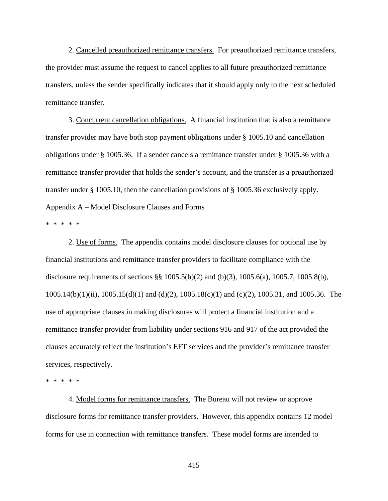2. Cancelled preauthorized remittance transfers. For preauthorized remittance transfers, the provider must assume the request to cancel applies to all future preauthorized remittance transfers, unless the sender specifically indicates that it should apply only to the next scheduled remittance transfer.

3. Concurrent cancellation obligations. A financial institution that is also a remittance transfer provider may have both stop payment obligations under § 1005.10 and cancellation obligations under § 1005.36. If a sender cancels a remittance transfer under § 1005.36 with a remittance transfer provider that holds the sender's account, and the transfer is a preauthorized transfer under § 1005.10, then the cancellation provisions of § 1005.36 exclusively apply. Appendix A – Model Disclosure Clauses and Forms

\* \* \* \* \*

2. Use of forms. The appendix contains model disclosure clauses for optional use by financial institutions and remittance transfer providers to facilitate compliance with the disclosure requirements of sections §§ 1005.5(b)(2) and (b)(3), 1005.6(a), 1005.7, 1005.8(b), 1005.14(b)(1)(ii), 1005.15(d)(1) and (d)(2), 1005.18(c)(1) and (c)(2), 1005.31, and 1005.36. The use of appropriate clauses in making disclosures will protect a financial institution and a remittance transfer provider from liability under sections 916 and 917 of the act provided the clauses accurately reflect the institution's EFT services and the provider's remittance transfer services, respectively.

\* \* \* \* \*

4. Model forms for remittance transfers. The Bureau will not review or approve disclosure forms for remittance transfer providers. However, this appendix contains 12 model forms for use in connection with remittance transfers. These model forms are intended to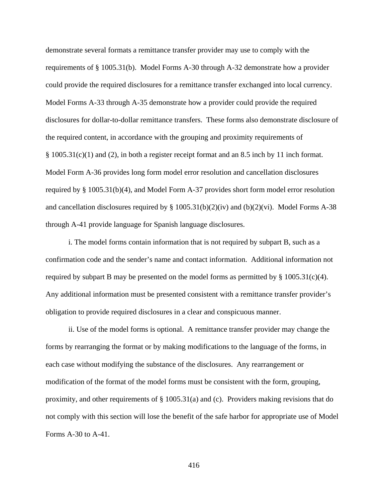demonstrate several formats a remittance transfer provider may use to comply with the requirements of § 1005.31(b). Model Forms A-30 through A-32 demonstrate how a provider could provide the required disclosures for a remittance transfer exchanged into local currency. Model Forms A-33 through A-35 demonstrate how a provider could provide the required disclosures for dollar-to-dollar remittance transfers. These forms also demonstrate disclosure of the required content, in accordance with the grouping and proximity requirements of  $\S 1005.31(c)(1)$  and (2), in both a register receipt format and an 8.5 inch by 11 inch format. Model Form A-36 provides long form model error resolution and cancellation disclosures required by § 1005.31(b)(4), and Model Form A-37 provides short form model error resolution and cancellation disclosures required by  $\S 1005.31(b)(2)(iv)$  and  $(b)(2)(vi)$ . Model Forms A-38 through A-41 provide language for Spanish language disclosures.

i. The model forms contain information that is not required by subpart B, such as a confirmation code and the sender's name and contact information. Additional information not required by subpart B may be presented on the model forms as permitted by  $\S 1005.31(c)(4)$ . Any additional information must be presented consistent with a remittance transfer provider's obligation to provide required disclosures in a clear and conspicuous manner.

ii. Use of the model forms is optional. A remittance transfer provider may change the forms by rearranging the format or by making modifications to the language of the forms, in each case without modifying the substance of the disclosures. Any rearrangement or modification of the format of the model forms must be consistent with the form, grouping, proximity, and other requirements of  $\S 1005.31(a)$  and (c). Providers making revisions that do not comply with this section will lose the benefit of the safe harbor for appropriate use of Model Forms A-30 to A-41.